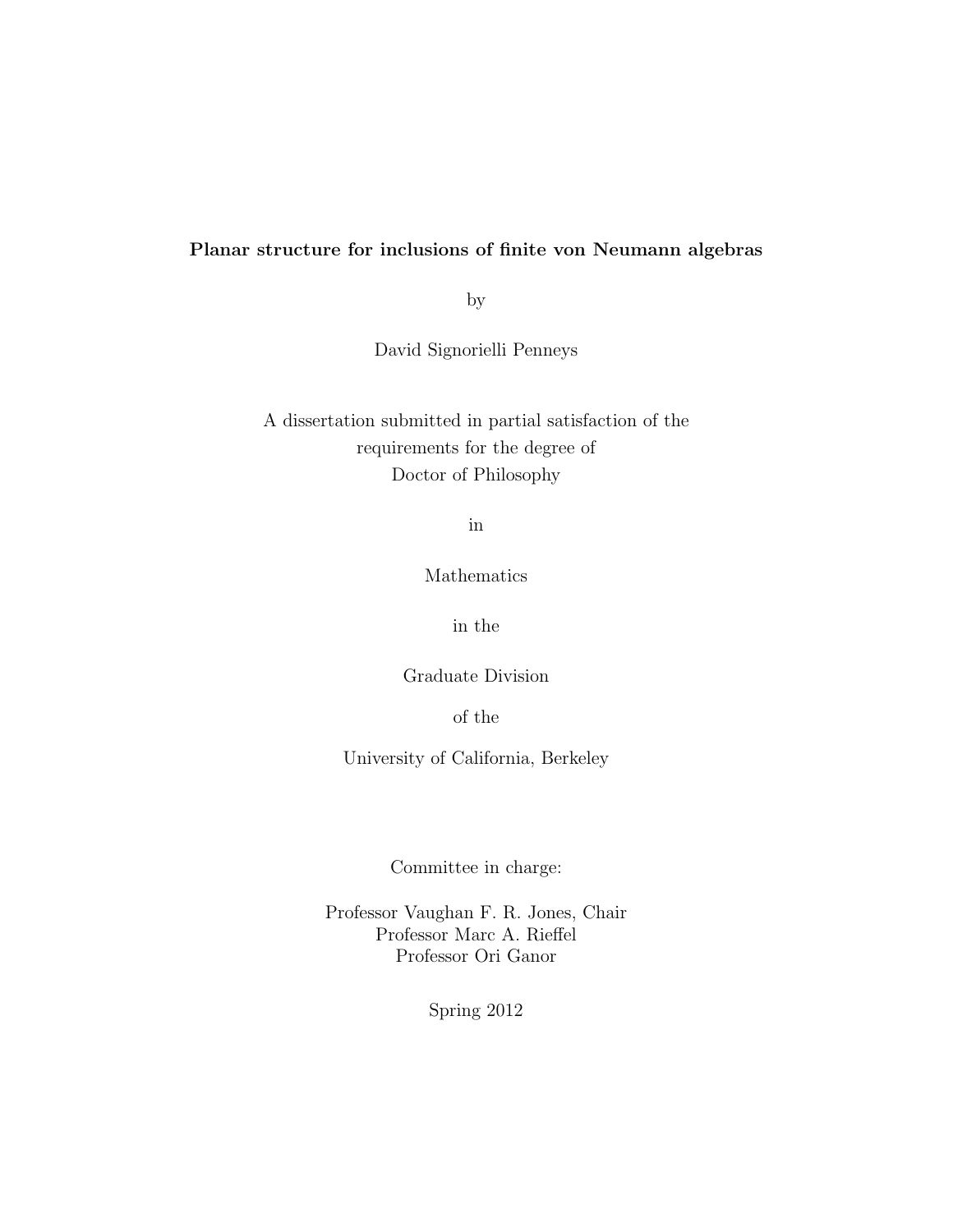### Planar structure for inclusions of finite von Neumann algebras

by

David Signorielli Penneys

A dissertation submitted in partial satisfaction of the requirements for the degree of Doctor of Philosophy

in

Mathematics

in the

Graduate Division

of the

University of California, Berkeley

Committee in charge:

Professor Vaughan F. R. Jones, Chair Professor Marc A. Rieffel Professor Ori Ganor

Spring 2012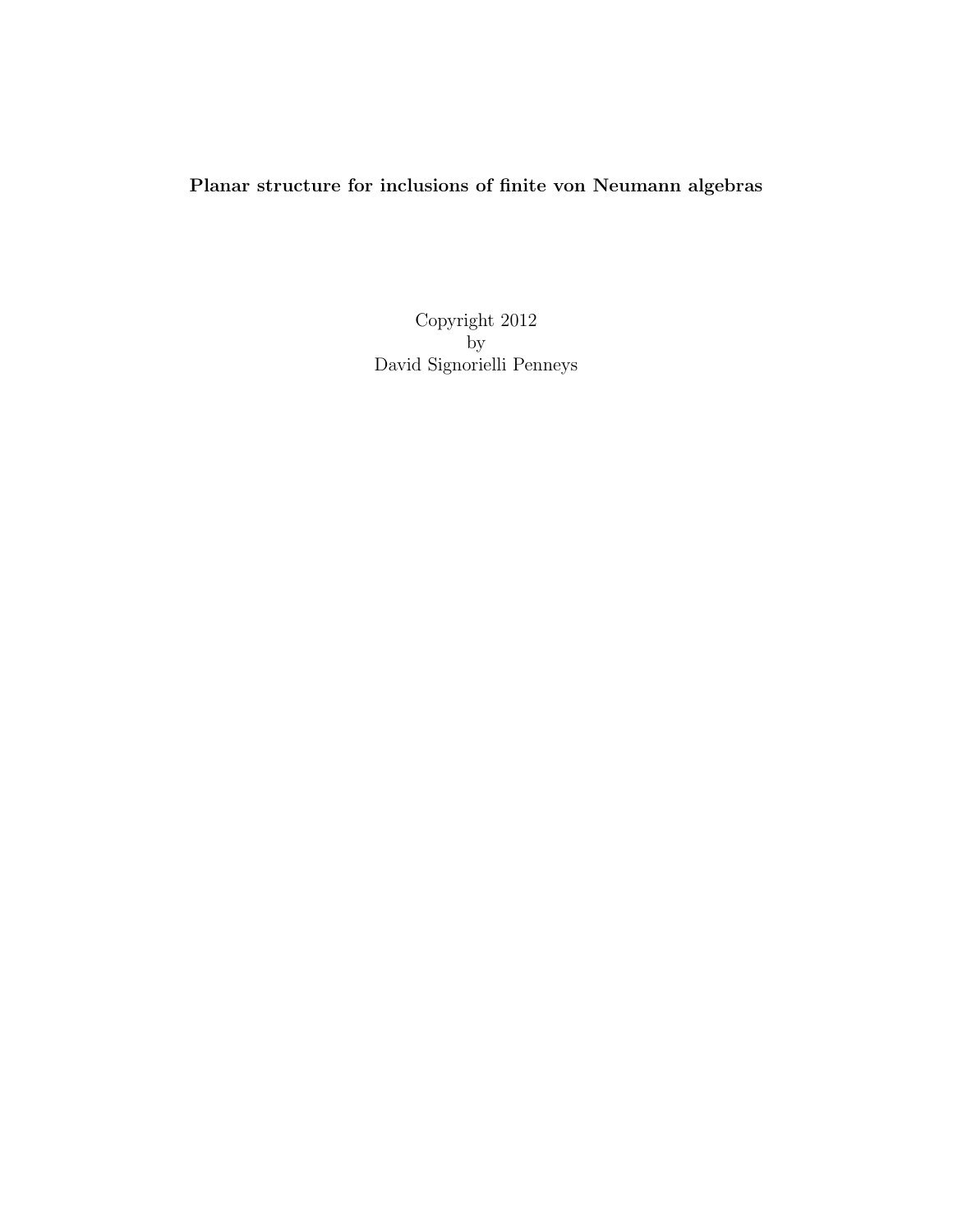# Planar structure for inclusions of finite von Neumann algebras

Copyright 2012 by David Signorielli Penneys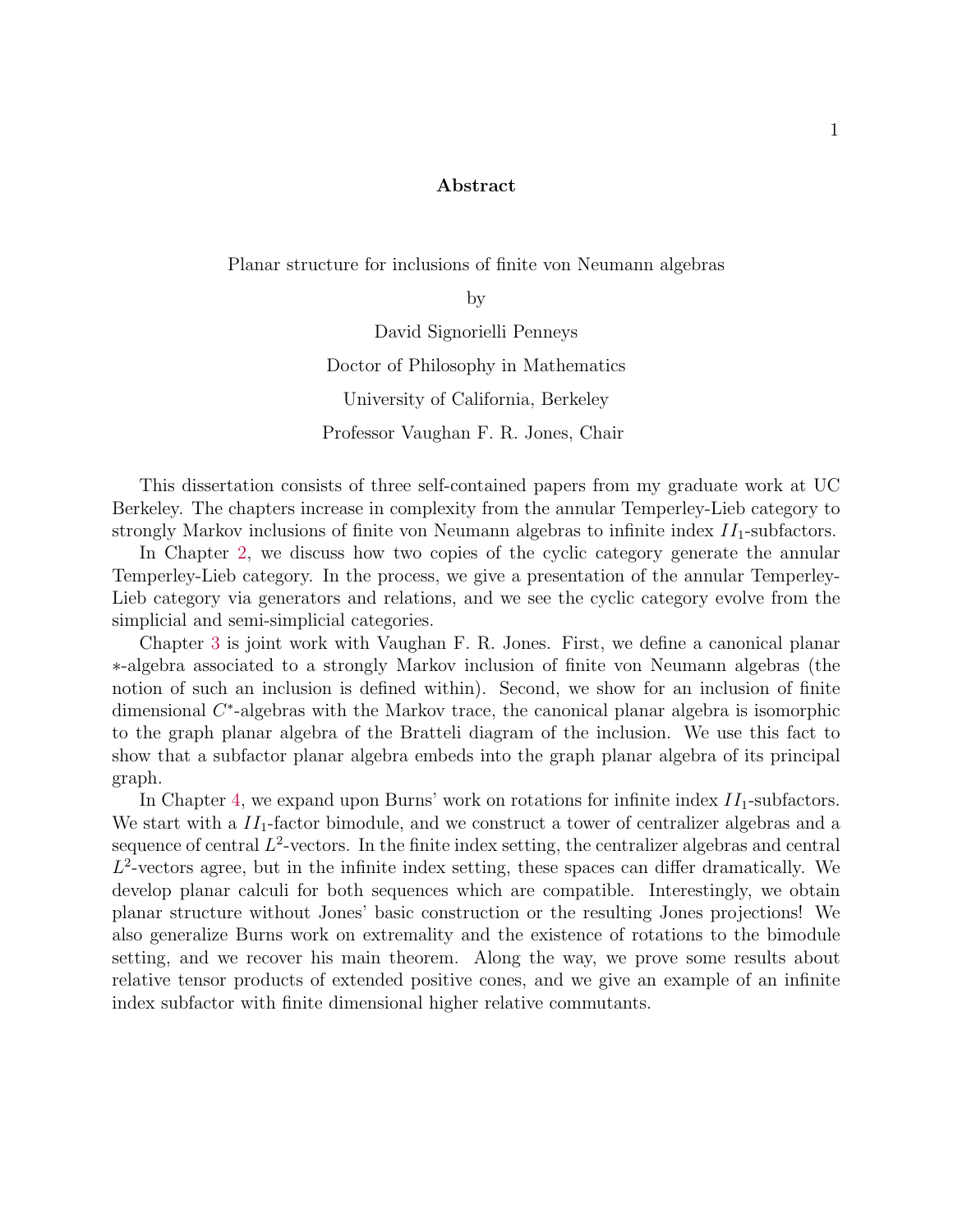#### Abstract

Planar structure for inclusions of finite von Neumann algebras

by

David Signorielli Penneys Doctor of Philosophy in Mathematics University of California, Berkeley Professor Vaughan F. R. Jones, Chair

This dissertation consists of three self-contained papers from my graduate work at UC Berkeley. The chapters increase in complexity from the annular Temperley-Lieb category to strongly Markov inclusions of finite von Neumann algebras to infinite index  $II_1$ -subfactors.

In Chapter [2,](#page-8-0) we discuss how two copies of the cyclic category generate the annular Temperley-Lieb category. In the process, we give a presentation of the annular Temperley-Lieb category via generators and relations, and we see the cyclic category evolve from the simplicial and semi-simplicial categories.

Chapter [3](#page-47-0) is joint work with Vaughan F. R. Jones. First, we define a canonical planar ∗-algebra associated to a strongly Markov inclusion of finite von Neumann algebras (the notion of such an inclusion is defined within). Second, we show for an inclusion of finite dimensional C<sup>\*</sup>-algebras with the Markov trace, the canonical planar algebra is isomorphic to the graph planar algebra of the Bratteli diagram of the inclusion. We use this fact to show that a subfactor planar algebra embeds into the graph planar algebra of its principal graph.

In Chapter [4,](#page-80-0) we expand upon Burns' work on rotations for infinite index  $II_1$ -subfactors. We start with a  $II_1$ -factor bimodule, and we construct a tower of centralizer algebras and a sequence of central  $L^2$ -vectors. In the finite index setting, the centralizer algebras and central  $L^2$ -vectors agree, but in the infinite index setting, these spaces can differ dramatically. We develop planar calculi for both sequences which are compatible. Interestingly, we obtain planar structure without Jones' basic construction or the resulting Jones projections! We also generalize Burns work on extremality and the existence of rotations to the bimodule setting, and we recover his main theorem. Along the way, we prove some results about relative tensor products of extended positive cones, and we give an example of an infinite index subfactor with finite dimensional higher relative commutants.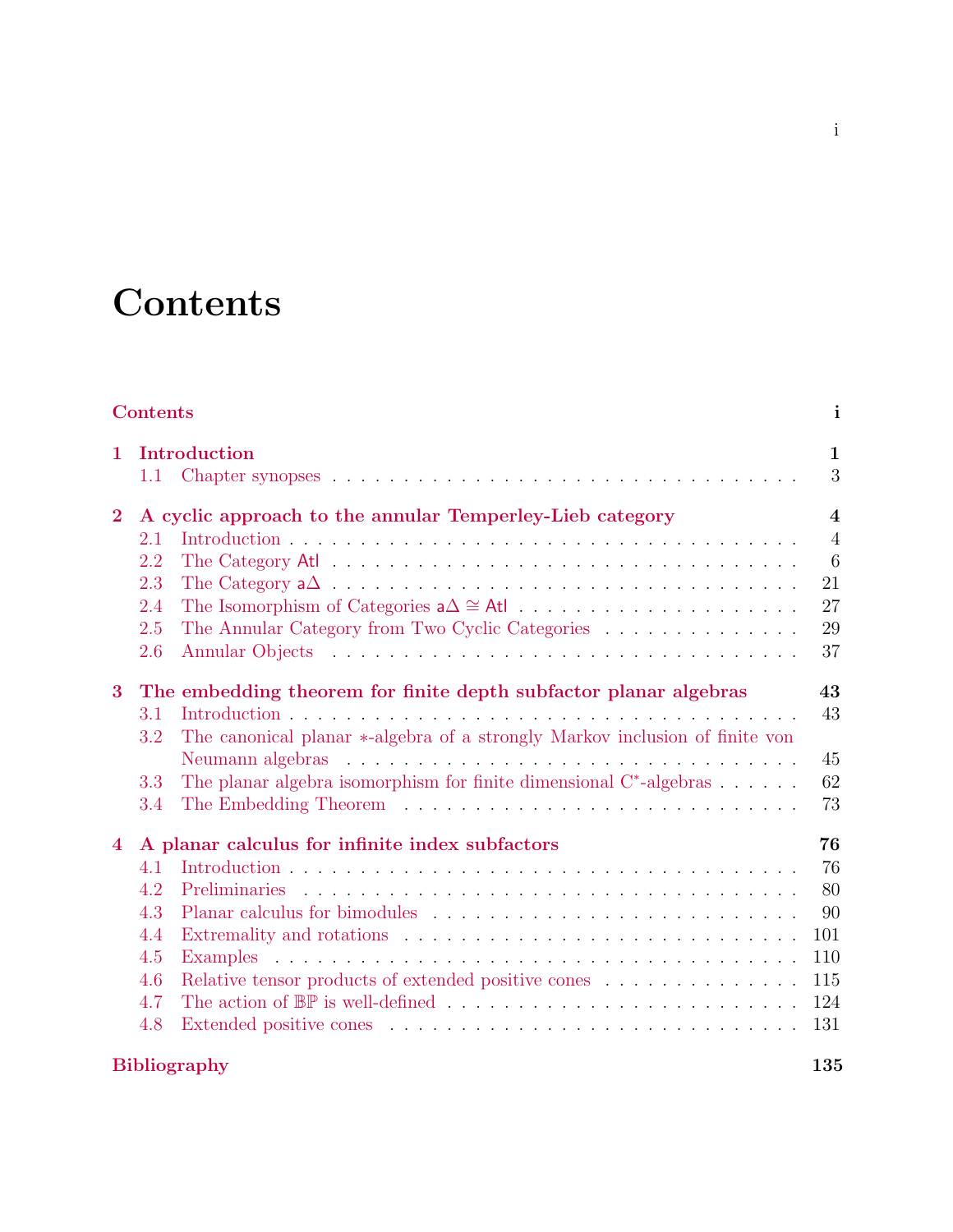# **Contents**

# <span id="page-3-0"></span>[Contents](#page-3-0) i

| $\mathbf{1}$   | Introduction                                                     |                                                                                                     |                         |  |  |  |  |
|----------------|------------------------------------------------------------------|-----------------------------------------------------------------------------------------------------|-------------------------|--|--|--|--|
|                | 1.1                                                              |                                                                                                     | 3                       |  |  |  |  |
| $\bf{2}$       |                                                                  | A cyclic approach to the annular Temperley-Lieb category                                            | $\overline{\mathbf{4}}$ |  |  |  |  |
|                | 2.1                                                              |                                                                                                     | $\overline{4}$          |  |  |  |  |
|                | 2.2                                                              |                                                                                                     | 6                       |  |  |  |  |
|                | 2.3                                                              |                                                                                                     | 21                      |  |  |  |  |
|                | 2.4                                                              |                                                                                                     | 27                      |  |  |  |  |
|                | 2.5                                                              | The Annular Category from Two Cyclic Categories                                                     | 29                      |  |  |  |  |
|                | 2.6                                                              |                                                                                                     | 37                      |  |  |  |  |
| $\bf{3}$       | The embedding theorem for finite depth subfactor planar algebras |                                                                                                     |                         |  |  |  |  |
|                | 3.1                                                              |                                                                                                     | 43                      |  |  |  |  |
|                | 3.2                                                              | The canonical planar *-algebra of a strongly Markov inclusion of finite von                         |                         |  |  |  |  |
|                |                                                                  |                                                                                                     | 45                      |  |  |  |  |
|                | 3.3                                                              | The planar algebra isomorphism for finite dimensional $C^*$ -algebras                               | 62                      |  |  |  |  |
|                | 3.4                                                              |                                                                                                     | 73                      |  |  |  |  |
| $\overline{4}$ | A planar calculus for infinite index subfactors                  |                                                                                                     |                         |  |  |  |  |
|                | 4.1                                                              |                                                                                                     | 76                      |  |  |  |  |
|                | 4.2                                                              | <b>Preliminaries</b>                                                                                | 80                      |  |  |  |  |
|                | 4.3                                                              |                                                                                                     | 90                      |  |  |  |  |
|                | 4.4                                                              |                                                                                                     | 101                     |  |  |  |  |
|                | 4.5                                                              |                                                                                                     | 110                     |  |  |  |  |
|                | 4.6                                                              | Relative tensor products of extended positive cones<br>$\hfill\ldots\ldots\ldots\ldots\ldots\ldots$ | 115                     |  |  |  |  |
|                | 4.7                                                              |                                                                                                     | 124                     |  |  |  |  |
|                | 4.8                                                              |                                                                                                     | 131                     |  |  |  |  |
|                | <b>Bibliography</b>                                              |                                                                                                     |                         |  |  |  |  |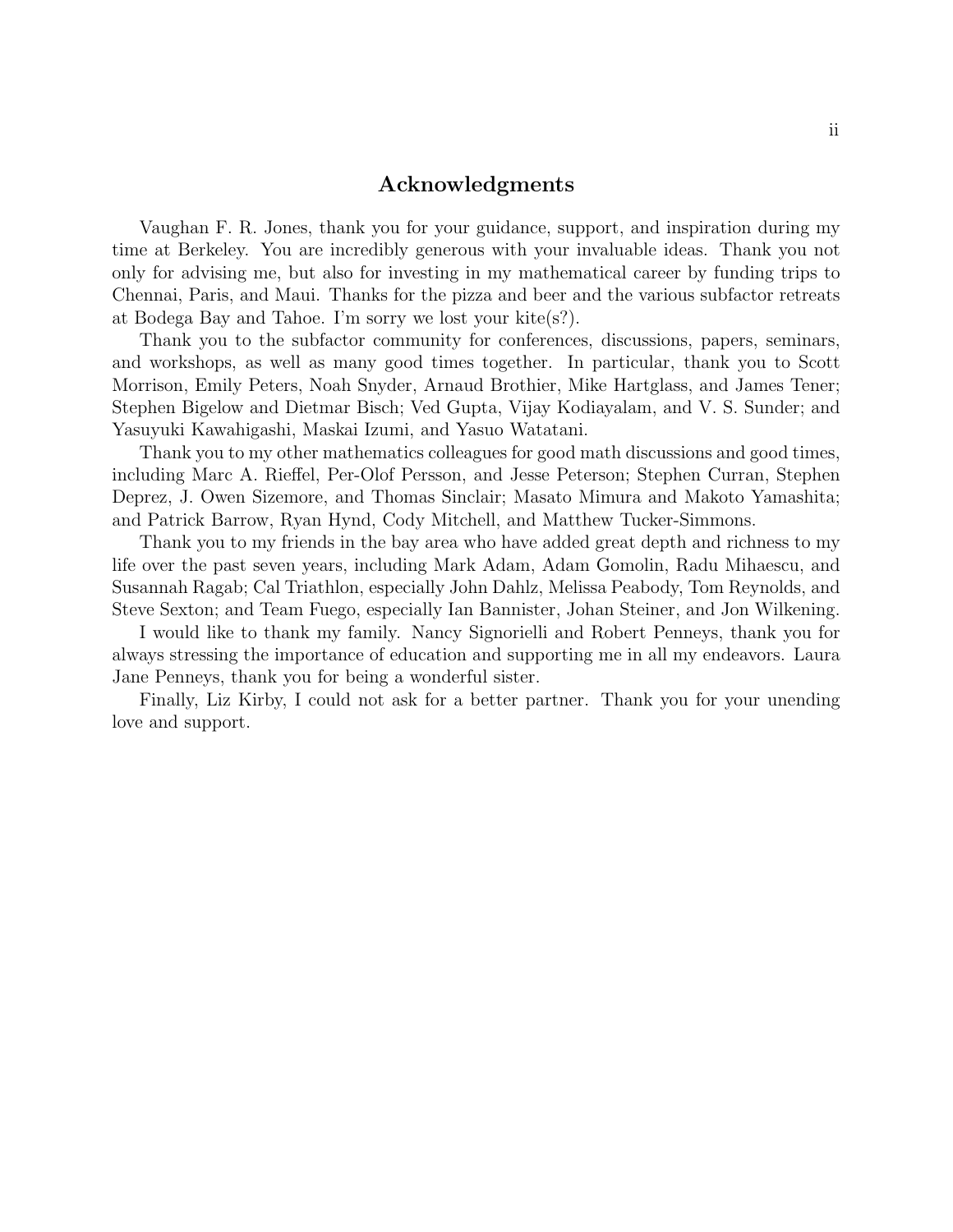#### Acknowledgments

Vaughan F. R. Jones, thank you for your guidance, support, and inspiration during my time at Berkeley. You are incredibly generous with your invaluable ideas. Thank you not only for advising me, but also for investing in my mathematical career by funding trips to Chennai, Paris, and Maui. Thanks for the pizza and beer and the various subfactor retreats at Bodega Bay and Tahoe. I'm sorry we lost your kite(s?).

Thank you to the subfactor community for conferences, discussions, papers, seminars, and workshops, as well as many good times together. In particular, thank you to Scott Morrison, Emily Peters, Noah Snyder, Arnaud Brothier, Mike Hartglass, and James Tener; Stephen Bigelow and Dietmar Bisch; Ved Gupta, Vijay Kodiayalam, and V. S. Sunder; and Yasuyuki Kawahigashi, Maskai Izumi, and Yasuo Watatani.

Thank you to my other mathematics colleagues for good math discussions and good times, including Marc A. Rieffel, Per-Olof Persson, and Jesse Peterson; Stephen Curran, Stephen Deprez, J. Owen Sizemore, and Thomas Sinclair; Masato Mimura and Makoto Yamashita; and Patrick Barrow, Ryan Hynd, Cody Mitchell, and Matthew Tucker-Simmons.

Thank you to my friends in the bay area who have added great depth and richness to my life over the past seven years, including Mark Adam, Adam Gomolin, Radu Mihaescu, and Susannah Ragab; Cal Triathlon, especially John Dahlz, Melissa Peabody, Tom Reynolds, and Steve Sexton; and Team Fuego, especially Ian Bannister, Johan Steiner, and Jon Wilkening.

I would like to thank my family. Nancy Signorielli and Robert Penneys, thank you for always stressing the importance of education and supporting me in all my endeavors. Laura Jane Penneys, thank you for being a wonderful sister.

Finally, Liz Kirby, I could not ask for a better partner. Thank you for your unending love and support.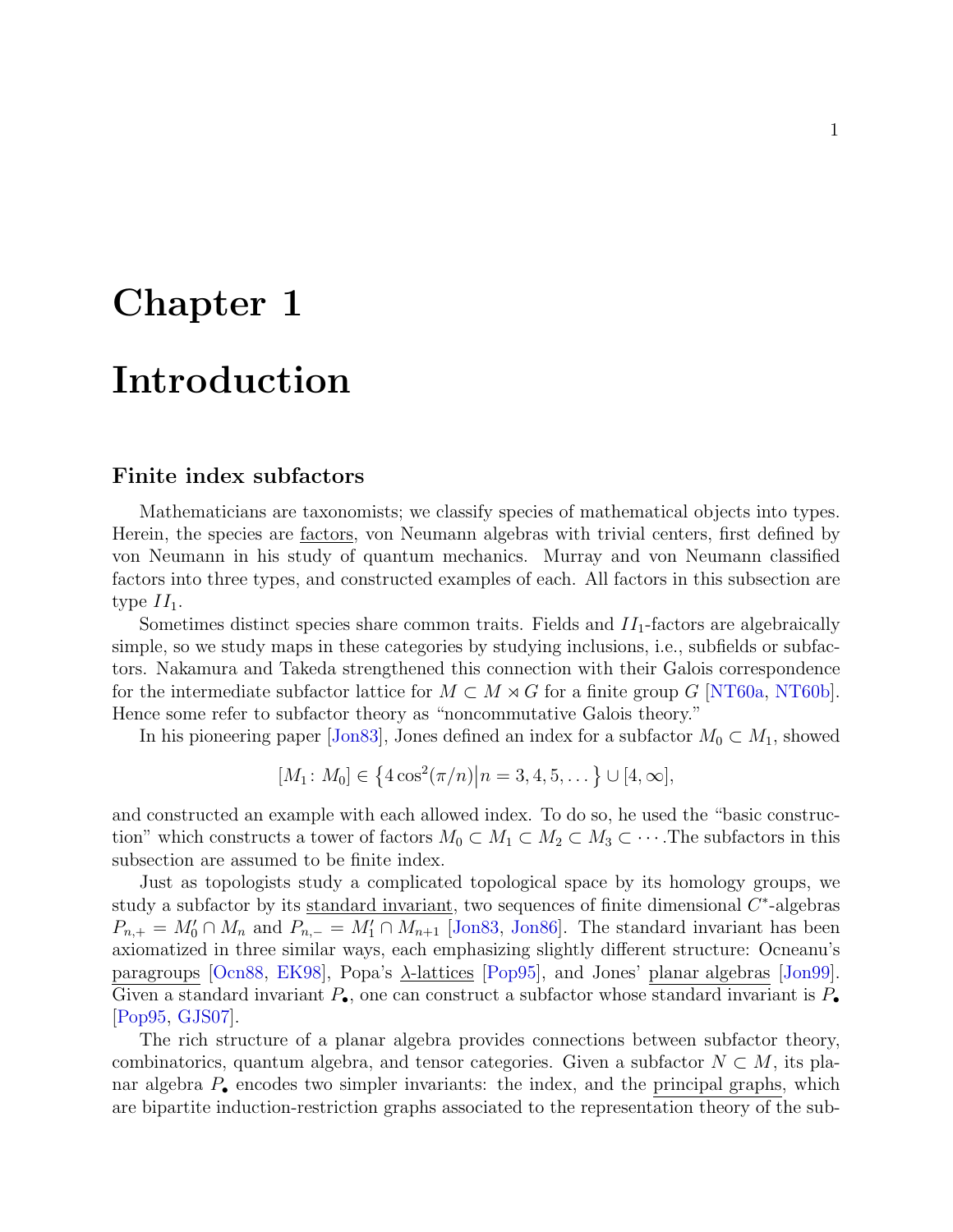# <span id="page-5-0"></span>Chapter 1

# Introduction

#### Finite index subfactors

Mathematicians are taxonomists; we classify species of mathematical objects into types. Herein, the species are factors, von Neumann algebras with trivial centers, first defined by von Neumann in his study of quantum mechanics. Murray and von Neumann classified factors into three types, and constructed examples of each. All factors in this subsection are type  $II_1$ .

Sometimes distinct species share common traits. Fields and  $II_1$ -factors are algebraically simple, so we study maps in these categories by studying inclusions, i.e., subfields or subfactors. Nakamura and Takeda strengthened this connection with their Galois correspondence for the intermediate subfactor lattice for  $M \subset M \rtimes G$  for a finite group G [\[NT60a,](#page-142-0) [NT60b\]](#page-142-1). Hence some refer to subfactor theory as "noncommutative Galois theory."

In his pioneering paper [\[Jon83\]](#page-141-0), Jones defined an index for a subfactor  $M_0 \subset M_1$ , showed

$$
[M_1: M_0] \in \{4\cos^2(\pi/n) | n = 3, 4, 5, \dots\} \cup [4, \infty],
$$

and constructed an example with each allowed index. To do so, he used the "basic construction" which constructs a tower of factors  $M_0 \subset M_1 \subset M_2 \subset M_3 \subset \cdots$ . The subfactors in this subsection are assumed to be finite index.

Just as topologists study a complicated topological space by its homology groups, we study a subfactor by its standard invariant, two sequences of finite dimensional  $C^*$ -algebras  $P_{n,+} = M'_0 \cap M_n$  and  $P_{n,-} = M'_1 \cap M_{n+1}$  [\[Jon83,](#page-141-0) [Jon86\]](#page-141-1). The standard invariant has been axiomatized in three similar ways, each emphasizing slightly different structure: Ocneanu's paragroups [\[Ocn88,](#page-142-2) [EK98\]](#page-139-1), Popa's  $\lambda$ -lattices [\[Pop95\]](#page-143-0), and Jones' planar algebras [\[Jon99\]](#page-141-2). Given a standard invariant  $P_{\bullet}$ , one can construct a subfactor whose standard invariant is  $P_{\bullet}$ [\[Pop95,](#page-143-0) [GJS07\]](#page-140-0).

The rich structure of a planar algebra provides connections between subfactor theory, combinatorics, quantum algebra, and tensor categories. Given a subfactor  $N \subset M$ , its planar algebra  $P_{\bullet}$  encodes two simpler invariants: the index, and the principal graphs, which are bipartite induction-restriction graphs associated to the representation theory of the sub-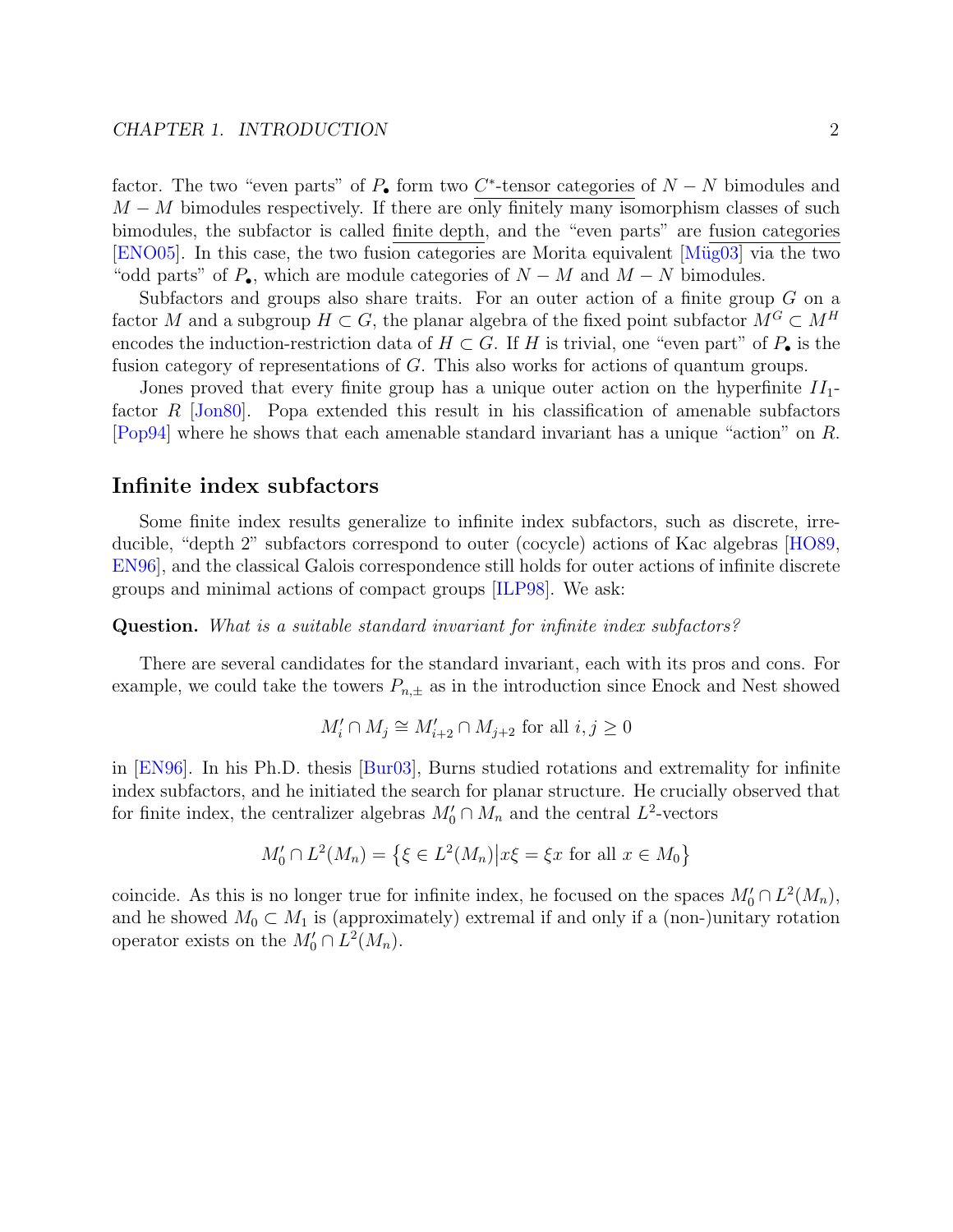factor. The two "even parts" of  $P_{\bullet}$  form two C<sup>\*</sup>-tensor categories of  $N - N$  bimodules and  $M - M$  bimodules respectively. If there are only finitely many isomorphism classes of such bimodules, the subfactor is called finite depth, and the "even parts" are fusion categories [\[ENO05\]](#page-140-1). In this case, the two fusion categories are Morita equivalent [Müg03] via the two "odd parts" of  $P_{\bullet}$ , which are module categories of  $N - M$  and  $M - N$  bimodules.

Subfactors and groups also share traits. For an outer action of a finite group G on a factor M and a subgroup  $H \subset G$ , the planar algebra of the fixed point subfactor  $M^G \subset M^H$ encodes the induction-restriction data of  $H \subset G$ . If H is trivial, one "even part" of  $P_{\bullet}$  is the fusion category of representations of G. This also works for actions of quantum groups.

Jones proved that every finite group has a unique outer action on the hyperfinite  $II_1$ factor R [\[Jon80\]](#page-141-3). Popa extended this result in his classification of amenable subfactors [\[Pop94\]](#page-143-1) where he shows that each amenable standard invariant has a unique "action" on R.

#### Infinite index subfactors

Some finite index results generalize to infinite index subfactors, such as discrete, irreducible, "depth 2" subfactors correspond to outer (cocycle) actions of Kac algebras [\[HO89,](#page-140-2) [EN96\]](#page-140-3), and the classical Galois correspondence still holds for outer actions of infinite discrete groups and minimal actions of compact groups [\[ILP98\]](#page-140-4). We ask:

#### Question. What is a suitable standard invariant for infinite index subfactors?

There are several candidates for the standard invariant, each with its pros and cons. For example, we could take the towers  $P_{n,\pm}$  as in the introduction since Enock and Nest showed

$$
M_i' \cap M_j \cong M_{i+2}' \cap M_{j+2} \text{ for all } i, j \ge 0
$$

in [\[EN96\]](#page-140-3). In his Ph.D. thesis [\[Bur03\]](#page-139-2), Burns studied rotations and extremality for infinite index subfactors, and he initiated the search for planar structure. He crucially observed that for finite index, the centralizer algebras  $M'_0 \cap M_n$  and the central  $L^2$ -vectors

$$
M'_0 \cap L^2(M_n) = \left\{ \xi \in L^2(M_n) \middle| x\xi = \xi x \text{ for all } x \in M_0 \right\}
$$

coincide. As this is no longer true for infinite index, he focused on the spaces  $M'_0 \cap L^2(M_n)$ , and he showed  $M_0 \subset M_1$  is (approximately) extremal if and only if a (non-)unitary rotation operator exists on the  $M'_0 \cap L^2(M_n)$ .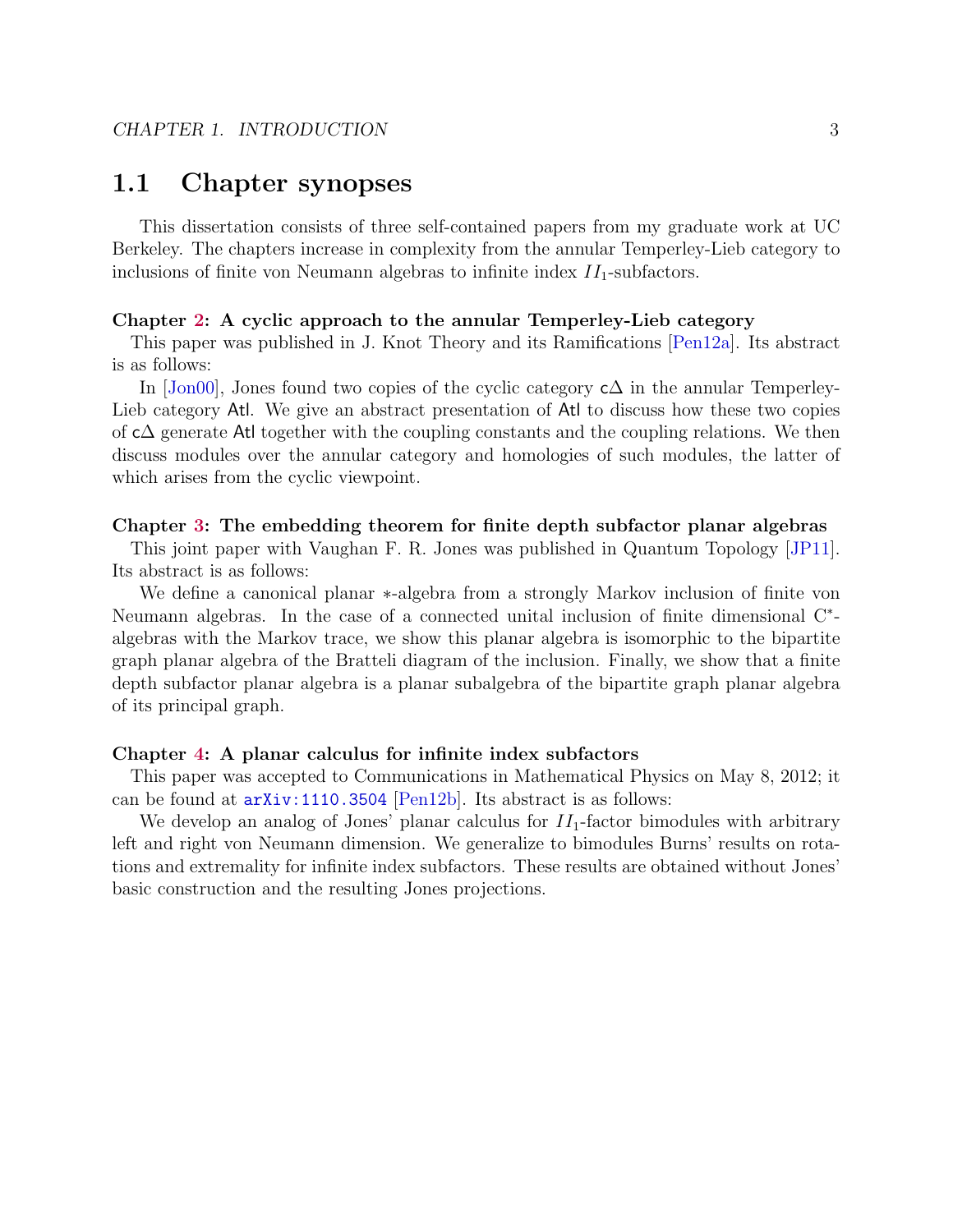# <span id="page-7-0"></span>1.1 Chapter synopses

This dissertation consists of three self-contained papers from my graduate work at UC Berkeley. The chapters increase in complexity from the annular Temperley-Lieb category to inclusions of finite von Neumann algebras to infinite index  $II_1$ -subfactors.

#### Chapter [2:](#page-8-0) A cyclic approach to the annular Temperley-Lieb category

This paper was published in J. Knot Theory and its Ramifications [\[Pen12a\]](#page-142-4). Its abstract is as follows:

In  $[John00]$ , Jones found two copies of the cyclic category c $\Delta$  in the annular Temperley-Lieb category Atl. We give an abstract presentation of Atl to discuss how these two copies of c∆ generate Atl together with the coupling constants and the coupling relations. We then discuss modules over the annular category and homologies of such modules, the latter of which arises from the cyclic viewpoint.

#### Chapter [3:](#page-47-0) The embedding theorem for finite depth subfactor planar algebras

This joint paper with Vaughan F. R. Jones was published in Quantum Topology [\[JP11\]](#page-141-5). Its abstract is as follows:

We define a canonical planar ∗-algebra from a strongly Markov inclusion of finite von Neumann algebras. In the case of a connected unital inclusion of finite dimensional C<sup>∗</sup>algebras with the Markov trace, we show this planar algebra is isomorphic to the bipartite graph planar algebra of the Bratteli diagram of the inclusion. Finally, we show that a finite depth subfactor planar algebra is a planar subalgebra of the bipartite graph planar algebra of its principal graph.

#### Chapter [4:](#page-80-0) A planar calculus for infinite index subfactors

This paper was accepted to Communications in Mathematical Physics on May 8, 2012; it can be found at [arXiv:1110.3504](http://arxiv.org/abs/1110.3504) [\[Pen12b\]](#page-142-5). Its abstract is as follows:

We develop an analog of Jones' planar calculus for  $II_1$ -factor bimodules with arbitrary left and right von Neumann dimension. We generalize to bimodules Burns' results on rotations and extremality for infinite index subfactors. These results are obtained without Jones' basic construction and the resulting Jones projections.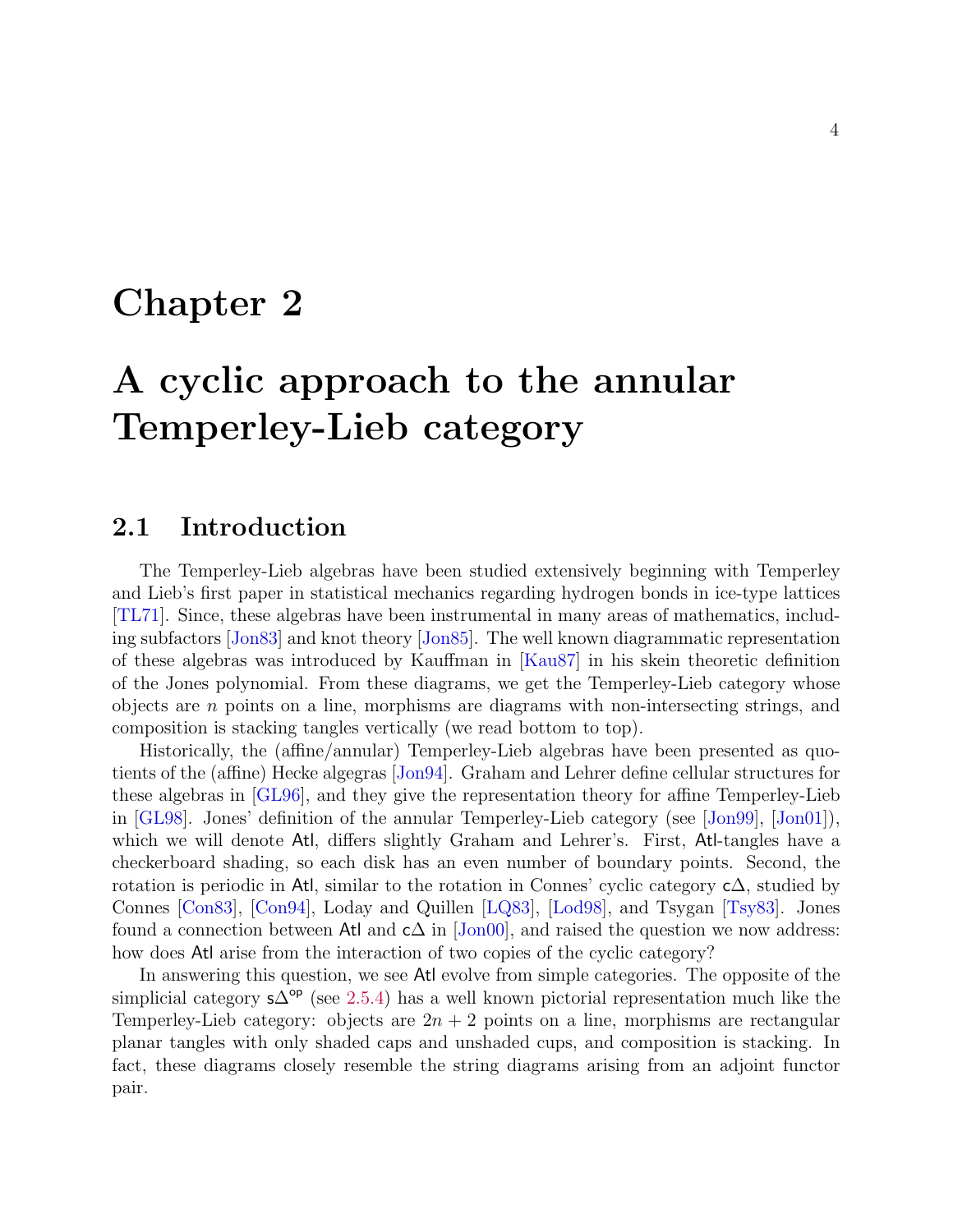# <span id="page-8-0"></span>Chapter 2

# A cyclic approach to the annular Temperley-Lieb category

# <span id="page-8-1"></span>2.1 Introduction

The Temperley-Lieb algebras have been studied extensively beginning with Temperley and Lieb's first paper in statistical mechanics regarding hydrogen bonds in ice-type lattices [\[TL71\]](#page-144-0). Since, these algebras have been instrumental in many areas of mathematics, including subfactors [\[Jon83\]](#page-141-0) and knot theory [\[Jon85\]](#page-141-6). The well known diagrammatic representation of these algebras was introduced by Kauffman in [\[Kau87\]](#page-141-7) in his skein theoretic definition of the Jones polynomial. From these diagrams, we get the Temperley-Lieb category whose objects are  $n$  points on a line, morphisms are diagrams with non-intersecting strings, and composition is stacking tangles vertically (we read bottom to top).

Historically, the (affine/annular) Temperley-Lieb algebras have been presented as quotients of the (affine) Hecke algegras [\[Jon94\]](#page-141-8). Graham and Lehrer define cellular structures for these algebras in [\[GL96\]](#page-140-5), and they give the representation theory for affine Temperley-Lieb in [\[GL98\]](#page-140-6). Jones' definition of the annular Temperley-Lieb category (see [\[Jon99\]](#page-141-2), [\[Jon01\]](#page-141-9)), which we will denote Atl, differs slightly Graham and Lehrer's. First, Atl-tangles have a checkerboard shading, so each disk has an even number of boundary points. Second, the rotation is periodic in Atl, similar to the rotation in Connes' cyclic category  $c\Delta$ , studied by Connes [\[Con83\]](#page-139-3), [\[Con94\]](#page-139-4), Loday and Quillen [\[LQ83\]](#page-142-6), [\[Lod98\]](#page-142-7), and Tsygan [\[Tsy83\]](#page-144-1). Jones found a connection between Atl and  $c\Delta$  in [\[Jon00\]](#page-141-4), and raised the question we now address: how does Atl arise from the interaction of two copies of the cyclic category?

In answering this question, we see Atl evolve from simple categories. The opposite of the simplicial category  $s\Delta^{op}$  (see [2.5.4\)](#page-34-0) has a well known pictorial representation much like the Temperley-Lieb category: objects are  $2n + 2$  points on a line, morphisms are rectangular planar tangles with only shaded caps and unshaded cups, and composition is stacking. In fact, these diagrams closely resemble the string diagrams arising from an adjoint functor pair.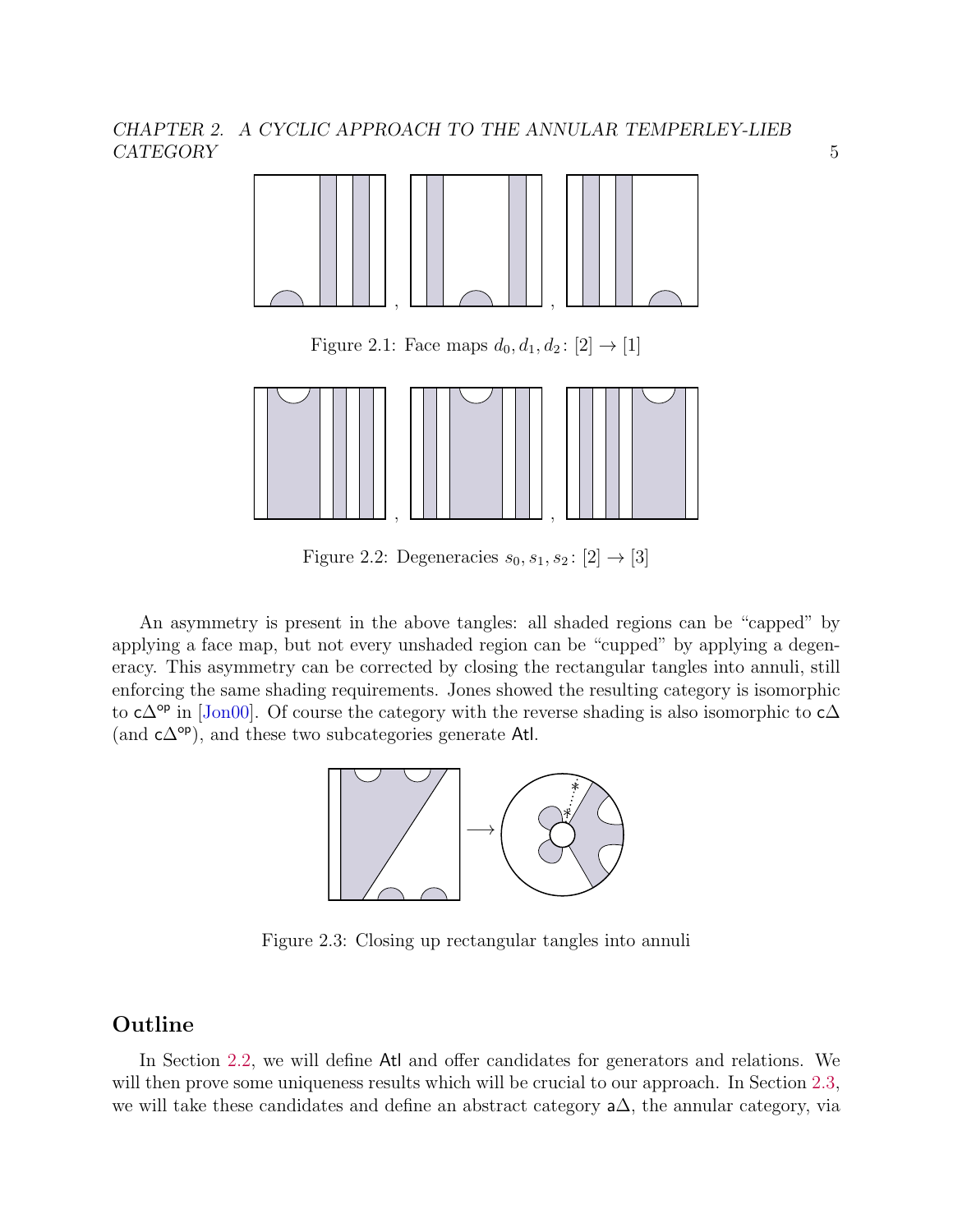

Figure 2.1: Face maps  $d_0, d_1, d_2 : [2] \to [1]$ 



Figure 2.2: Degeneracies  $s_0, s_1, s_2 : [2] \rightarrow [3]$ 

An asymmetry is present in the above tangles: all shaded regions can be "capped" by applying a face map, but not every unshaded region can be "cupped" by applying a degeneracy. This asymmetry can be corrected by closing the rectangular tangles into annuli, still enforcing the same shading requirements. Jones showed the resulting category is isomorphic to  $c\Delta^{op}$  in [\[Jon00\]](#page-141-4). Of course the category with the reverse shading is also isomorphic to  $c\Delta$ (and  $c\Delta^{op}$ ), and these two subcategories generate Atl.



Figure 2.3: Closing up rectangular tangles into annuli

# **Outline**

In Section [2.2,](#page-10-0) we will define Atl and offer candidates for generators and relations. We will then prove some uniqueness results which will be crucial to our approach. In Section [2.3,](#page-25-0) we will take these candidates and define an abstract category a∆, the annular category, via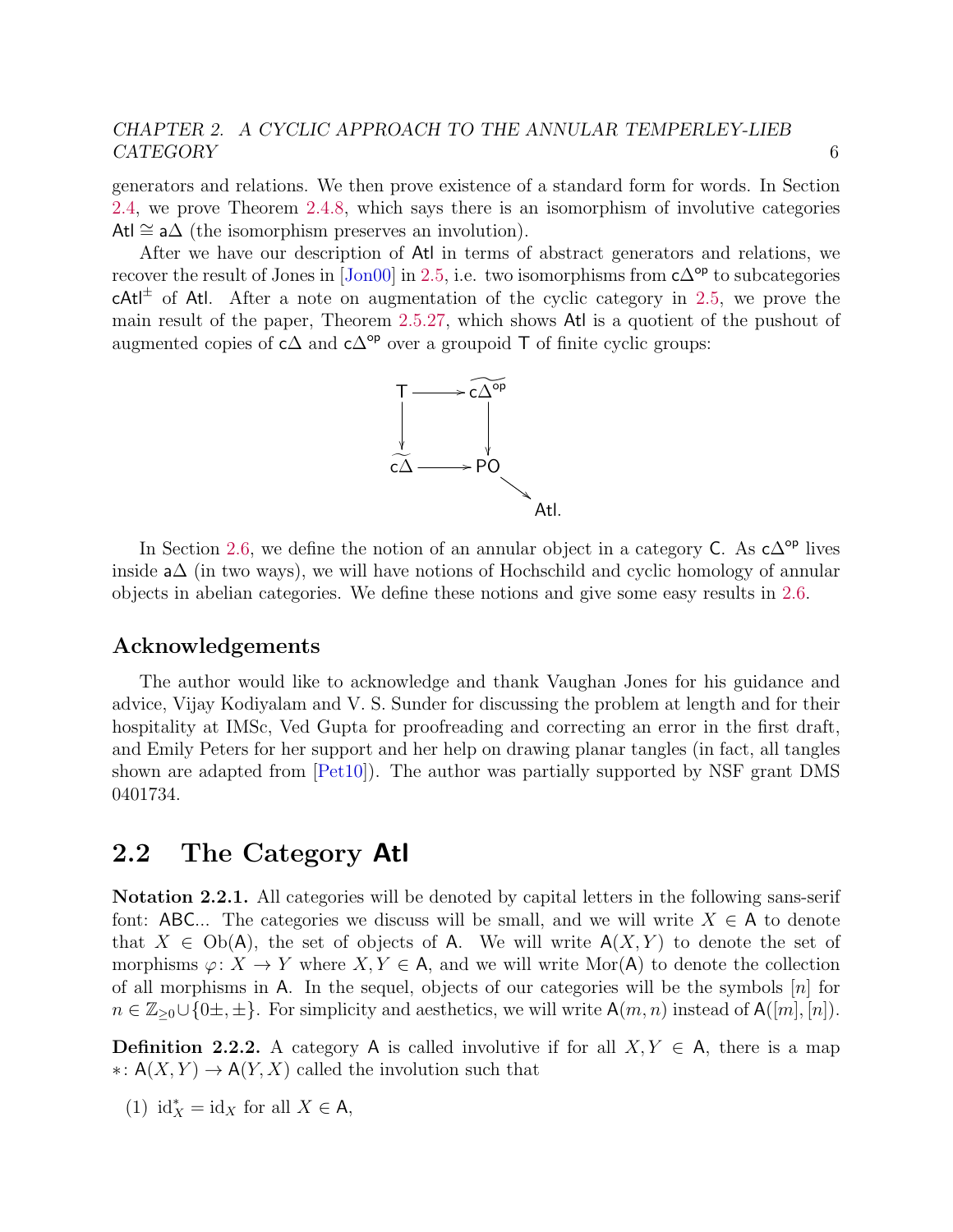generators and relations. We then prove existence of a standard form for words. In Section [2.4,](#page-31-0) we prove Theorem [2.4.8,](#page-33-1) which says there is an isomorphism of involutive categories Atl  $\cong$  a $\Delta$  (the isomorphism preserves an involution).

After we have our description of Atl in terms of abstract generators and relations, we recover the result of Jones in  $\text{[Jon00]}$  in [2.5,](#page-33-2) i.e. two isomorphisms from  $c\Delta^{\text{op}}$  to subcategories  $cAtl^{\pm}$  of Atl. After a note on augmentation of the cyclic category in [2.5,](#page-37-0) we prove the main result of the paper, Theorem [2.5.27,](#page-40-0) which shows Atl is a quotient of the pushout of augmented copies of  $c\Delta$  and  $c\Delta^{op}$  over a groupoid T of finite cyclic groups:



In Section [2.6,](#page-41-0) we define the notion of an annular object in a category C. As  $c\Delta^{\mathsf{op}}$  lives inside a∆ (in two ways), we will have notions of Hochschild and cyclic homology of annular objects in abelian categories. We define these notions and give some easy results in [2.6.](#page-43-0)

#### Acknowledgements

The author would like to acknowledge and thank Vaughan Jones for his guidance and advice, Vijay Kodiyalam and V. S. Sunder for discussing the problem at length and for their hospitality at IMSc, Ved Gupta for proofreading and correcting an error in the first draft, and Emily Peters for her support and her help on drawing planar tangles (in fact, all tangles shown are adapted from [\[Pet10\]](#page-143-2)). The author was partially supported by NSF grant DMS 0401734.

# <span id="page-10-0"></span>2.2 The Category Atl

Notation 2.2.1. All categories will be denoted by capital letters in the following sans-serif font: ABC... The categories we discuss will be small, and we will write  $X \in A$  to denote that  $X \in Ob(A)$ , the set of objects of A. We will write  $A(X, Y)$  to denote the set of morphisms  $\varphi: X \to Y$  where  $X, Y \in A$ , and we will write Mor(A) to denote the collection of all morphisms in A. In the sequel, objects of our categories will be the symbols  $[n]$  for  $n \in \mathbb{Z}_{\geq 0} \cup \{0,\pmpm\}.$  For simplicity and aesthetics, we will write  $\mathsf{A}(m,n)$  instead of  $\mathsf{A}([m],[n]).$ 

**Definition 2.2.2.** A category A is called involutive if for all  $X, Y \in A$ , there is a map ∗:  $A(X, Y)$  →  $A(Y, X)$  called the involution such that

(1)  $\mathrm{id}_X^* = \mathrm{id}_X$  for all  $X \in \mathsf{A}$ ,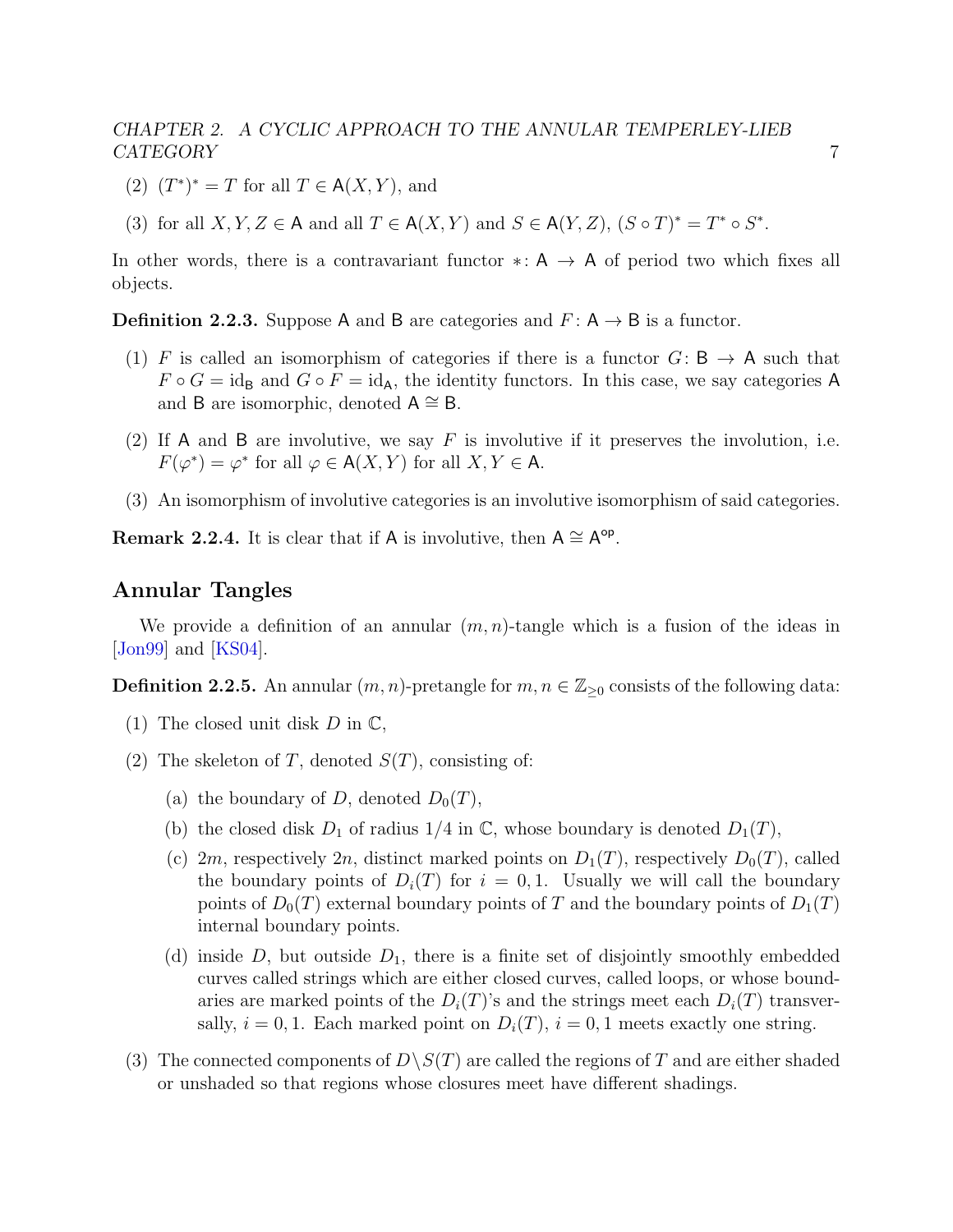- (2)  $(T^*)^* = T$  for all  $T \in A(X, Y)$ , and
- (3) for all  $X, Y, Z \in A$  and all  $T \in A(X, Y)$  and  $S \in A(Y, Z), (S \circ T)^* = T^* \circ S^*$ .

In other words, there is a contravariant functor  $\ast: A \rightarrow A$  of period two which fixes all objects.

**Definition 2.2.3.** Suppose A and B are categories and  $F: A \rightarrow B$  is a functor.

- (1) F is called an isomorphism of categories if there is a functor  $G: \mathsf{B} \to \mathsf{A}$  such that  $F \circ G = id_B$  and  $G \circ F = id_A$ , the identity functors. In this case, we say categories A and B are isomorphic, denoted  $A \cong B$ .
- (2) If A and B are involutive, we say  $F$  is involutive if it preserves the involution, i.e.  $F(\varphi^*) = \varphi^*$  for all  $\varphi \in A(X, Y)$  for all  $X, Y \in A$ .
- (3) An isomorphism of involutive categories is an involutive isomorphism of said categories.

Remark 2.2.4. It is clear that if A is involutive, then  $A \cong A^{\circ p}$ .

### Annular Tangles

We provide a definition of an annular  $(m, n)$ -tangle which is a fusion of the ideas in [\[Jon99\]](#page-141-2) and [\[KS04\]](#page-141-10).

**Definition 2.2.5.** An annular  $(m, n)$ -pretangle for  $m, n \in \mathbb{Z}_{\geq 0}$  consists of the following data:

- (1) The closed unit disk  $D$  in  $\mathbb{C}$ ,
- (2) The skeleton of T, denoted  $S(T)$ , consisting of:
	- (a) the boundary of D, denoted  $D_0(T)$ ,
	- (b) the closed disk  $D_1$  of radius  $1/4$  in  $\mathbb{C}$ , whose boundary is denoted  $D_1(T)$ ,
	- (c) 2m, respectively 2n, distinct marked points on  $D_1(T)$ , respectively  $D_0(T)$ , called the boundary points of  $D_i(T)$  for  $i = 0, 1$ . Usually we will call the boundary points of  $D_0(T)$  external boundary points of T and the boundary points of  $D_1(T)$ internal boundary points.
	- (d) inside D, but outside  $D_1$ , there is a finite set of disjointly smoothly embedded curves called strings which are either closed curves, called loops, or whose boundaries are marked points of the  $D_i(T)$ 's and the strings meet each  $D_i(T)$  transversally,  $i = 0, 1$ . Each marked point on  $D_i(T)$ ,  $i = 0, 1$  meets exactly one string.
- (3) The connected components of  $D\setminus S(T)$  are called the regions of T and are either shaded or unshaded so that regions whose closures meet have different shadings.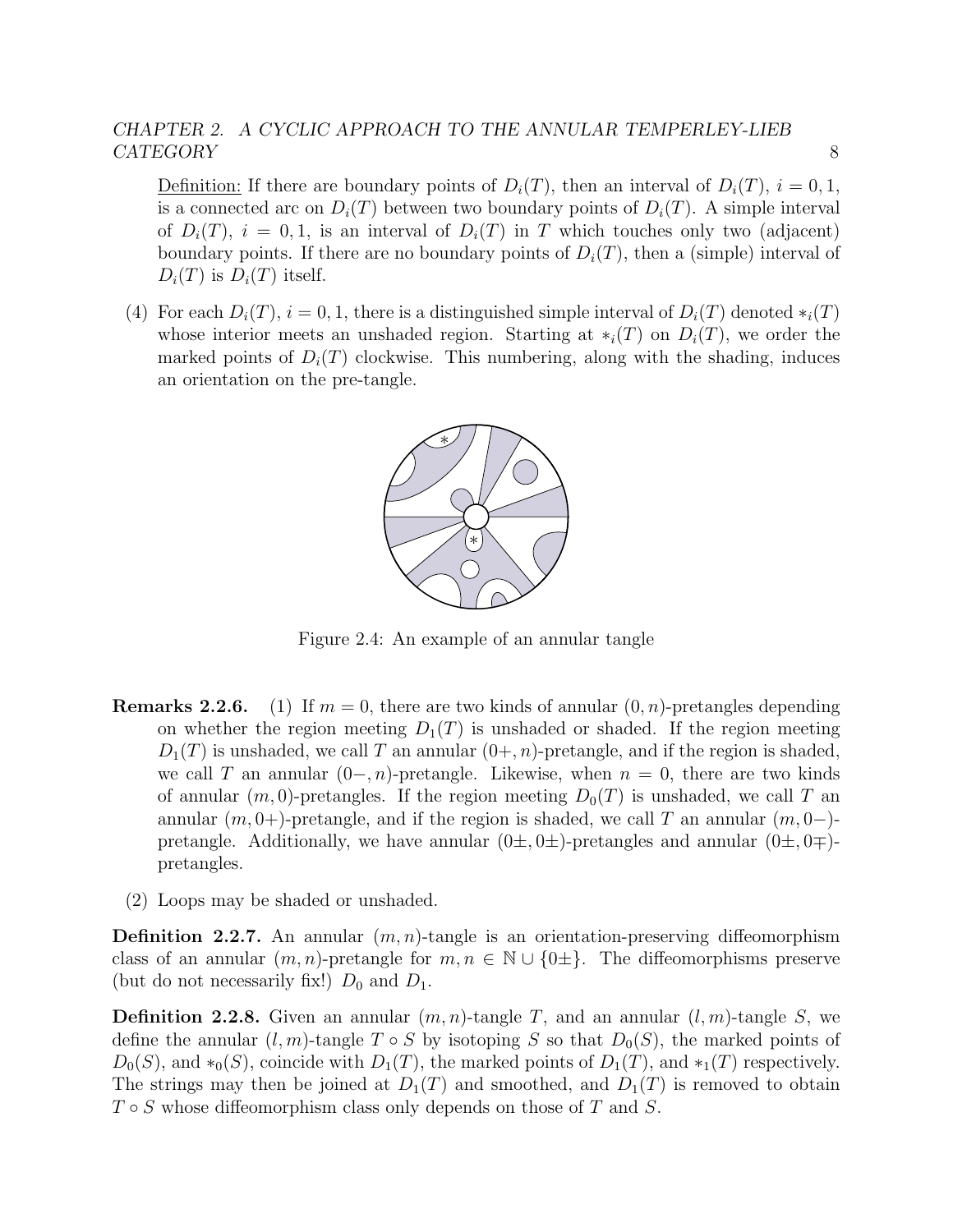Definition: If there are boundary points of  $D_i(T)$ , then an interval of  $D_i(T)$ ,  $i = 0, 1$ , is a connected arc on  $D_i(T)$  between two boundary points of  $D_i(T)$ . A simple interval of  $D_i(T)$ ,  $i = 0, 1$ , is an interval of  $D_i(T)$  in T which touches only two (adjacent) boundary points. If there are no boundary points of  $D_i(T)$ , then a (simple) interval of  $D_i(T)$  is  $D_i(T)$  itself.

(4) For each  $D_i(T)$ ,  $i = 0, 1$ , there is a distinguished simple interval of  $D_i(T)$  denoted  $*_i(T)$ whose interior meets an unshaded region. Starting at  $\ast_i(T)$  on  $D_i(T)$ , we order the marked points of  $D_i(T)$  clockwise. This numbering, along with the shading, induces an orientation on the pre-tangle.



Figure 2.4: An example of an annular tangle

- **Remarks 2.2.6.** (1) If  $m = 0$ , there are two kinds of annular  $(0, n)$ -pretangles depending on whether the region meeting  $D_1(T)$  is unshaded or shaded. If the region meeting  $D_1(T)$  is unshaded, we call T an annular  $(0+, n)$ -pretangle, and if the region is shaded, we call T an annular  $(0-, n)$ -pretangle. Likewise, when  $n = 0$ , there are two kinds of annular  $(m, 0)$ -pretangles. If the region meeting  $D_0(T)$  is unshaded, we call T an annular  $(m, 0+)$ -pretangle, and if the region is shaded, we call T an annular  $(m, 0-)$ pretangle. Additionally, we have annular  $(0\pm, 0\pm)$ -pretangles and annular  $(0\pm, 0\mp)$ pretangles.
	- (2) Loops may be shaded or unshaded.

**Definition 2.2.7.** An annular  $(m, n)$ -tangle is an orientation-preserving diffeomorphism class of an annular  $(m, n)$ -pretangle for  $m, n \in \mathbb{N} \cup \{0\pm\}.$  The diffeomorphisms preserve (but do not necessarily fix!)  $D_0$  and  $D_1$ .

**Definition 2.2.8.** Given an annular  $(m, n)$ -tangle T, and an annular  $(l, m)$ -tangle S, we define the annular  $(l, m)$ -tangle  $T \circ S$  by isotoping S so that  $D_0(S)$ , the marked points of  $D_0(S)$ , and \*<sub>0</sub> $(S)$ , coincide with  $D_1(T)$ , the marked points of  $D_1(T)$ , and \*<sub>1</sub> $(T)$  respectively. The strings may then be joined at  $D_1(T)$  and smoothed, and  $D_1(T)$  is removed to obtain  $T \circ S$  whose diffeomorphism class only depends on those of T and S.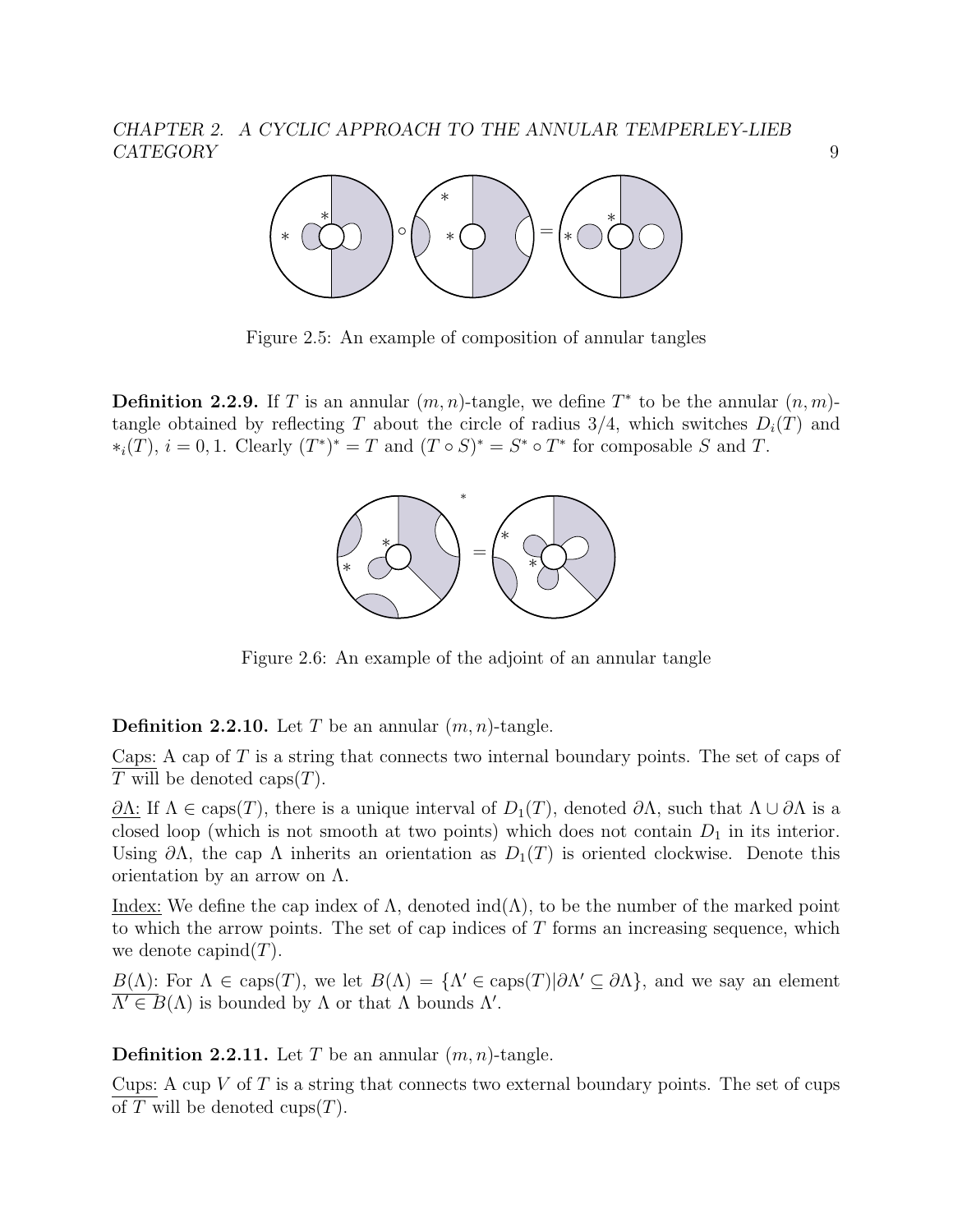

Figure 2.5: An example of composition of annular tangles

**Definition 2.2.9.** If T is an annular  $(m, n)$ -tangle, we define  $T^*$  to be the annular  $(n, m)$ tangle obtained by reflecting T about the circle of radius  $3/4$ , which switches  $D_i(T)$  and  $*_i(T), i = 0, 1$ . Clearly  $(T^*)^* = T$  and  $(T \circ S)^* = S^* \circ T^*$  for composable S and T.



Figure 2.6: An example of the adjoint of an annular tangle

**Definition 2.2.10.** Let T be an annular  $(m, n)$ -tangle.

Caps: A cap of  $T$  is a string that connects two internal boundary points. The set of caps of  $\overline{T}$  will be denoted caps $(T)$ .

 $\partial\Lambda$ : If  $\Lambda \in \text{caps}(T)$ , there is a unique interval of  $D_1(T)$ , denoted  $\partial\Lambda$ , such that  $\Lambda \cup \partial\Lambda$  is a closed loop (which is not smooth at two points) which does not contain  $D_1$  in its interior. Using  $\partial\Lambda$ , the cap  $\Lambda$  inherits an orientation as  $D_1(T)$  is oriented clockwise. Denote this orientation by an arrow on  $\Lambda$ .

Index: We define the cap index of  $\Lambda$ , denoted ind $(\Lambda)$ , to be the number of the marked point to which the arrow points. The set of cap indices of  $T$  forms an increasing sequence, which we denote capind $(T)$ .

 $B(\Lambda)$ : For  $\Lambda \in \text{caps}(T)$ , we let  $B(\Lambda) = {\Lambda' \in \text{caps}(T)|\partial \Lambda' \subseteq \partial \Lambda}$ , and we say an element  $\overline{\Lambda'} \in B(\Lambda)$  is bounded by  $\Lambda$  or that  $\Lambda$  bounds  $\Lambda'$ .

**Definition 2.2.11.** Let T be an annular  $(m, n)$ -tangle.

Cups: A cup  $V$  of  $T$  is a string that connects two external boundary points. The set of cups of T will be denoted cups $(T)$ .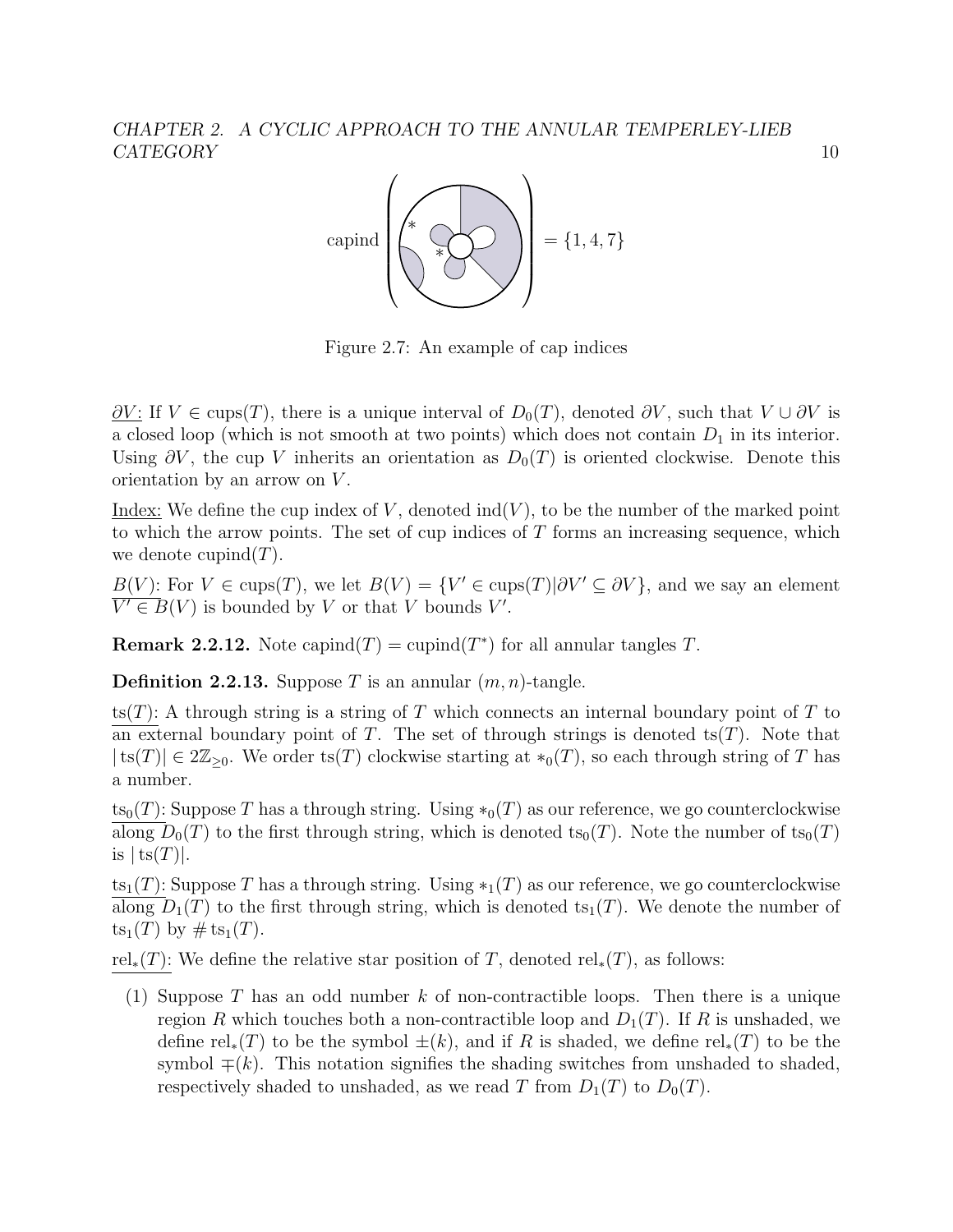

Figure 2.7: An example of cap indices

 $\partial V$ : If  $V \in \text{cups}(T)$ , there is a unique interval of  $D_0(T)$ , denoted  $\partial V$ , such that  $V \cup \partial V$  is a closed loop (which is not smooth at two points) which does not contain  $D_1$  in its interior. Using  $\partial V$ , the cup V inherits an orientation as  $D_0(T)$  is oriented clockwise. Denote this orientation by an arrow on  $V$ .

Index: We define the cup index of V, denoted  $\text{ind}(V)$ , to be the number of the marked point to which the arrow points. The set of cup indices of  $T$  forms an increasing sequence, which we denote cupind $(T)$ .

 $B(V)$ : For  $V \in \text{cups}(T)$ , we let  $B(V) = \{V' \in \text{cups}(T)|\partial V' \subseteq \partial V\}$ , and we say an element  $\overline{V' \in B(V)}$  is bounded by V or that V bounds V'.

**Remark 2.2.12.** Note capind $(T)$  = cupind $(T^*)$  for all annular tangles T.

**Definition 2.2.13.** Suppose T is an annular  $(m, n)$ -tangle.

ts(T): A through string is a string of T which connects an internal boundary point of T to an external boundary point of T. The set of through strings is denoted ts $(T)$ . Note that  $|ts(T)| \in 2\mathbb{Z}_{\geq 0}$ . We order ts(T) clockwise starting at  $*_0(T)$ , so each through string of T has a number.

 $t_{s_0}(T)$ : Suppose T has a through string. Using  $*_0(T)$  as our reference, we go counterclockwise along  $D_0(T)$  to the first through string, which is denoted ts<sub>0</sub> $(T)$ . Note the number of ts<sub>0</sub> $(T)$ is  $|ts(T)|$ .

ts<sub>1</sub>(T): Suppose T has a through string. Using  $*_1(T)$  as our reference, we go counterclockwise  $\overline{\text{along }D_1(T)}$  to the first through string, which is denoted ts<sub>1</sub>(T). We denote the number of  $ts_1(T)$  by  $\# ts_1(T)$ .

rel<sub>∗</sub>(T): We define the relative star position of T, denoted rel<sub>\*</sub>(T), as follows:

(1) Suppose T has an odd number k of non-contractible loops. Then there is a unique region R which touches both a non-contractible loop and  $D_1(T)$ . If R is unshaded, we define rel<sub>∗</sub>(T) to be the symbol  $\pm(k)$ , and if R is shaded, we define rel<sub>∗</sub>(T) to be the symbol  $\mp(k)$ . This notation signifies the shading switches from unshaded to shaded, respectively shaded to unshaded, as we read T from  $D_1(T)$  to  $D_0(T)$ .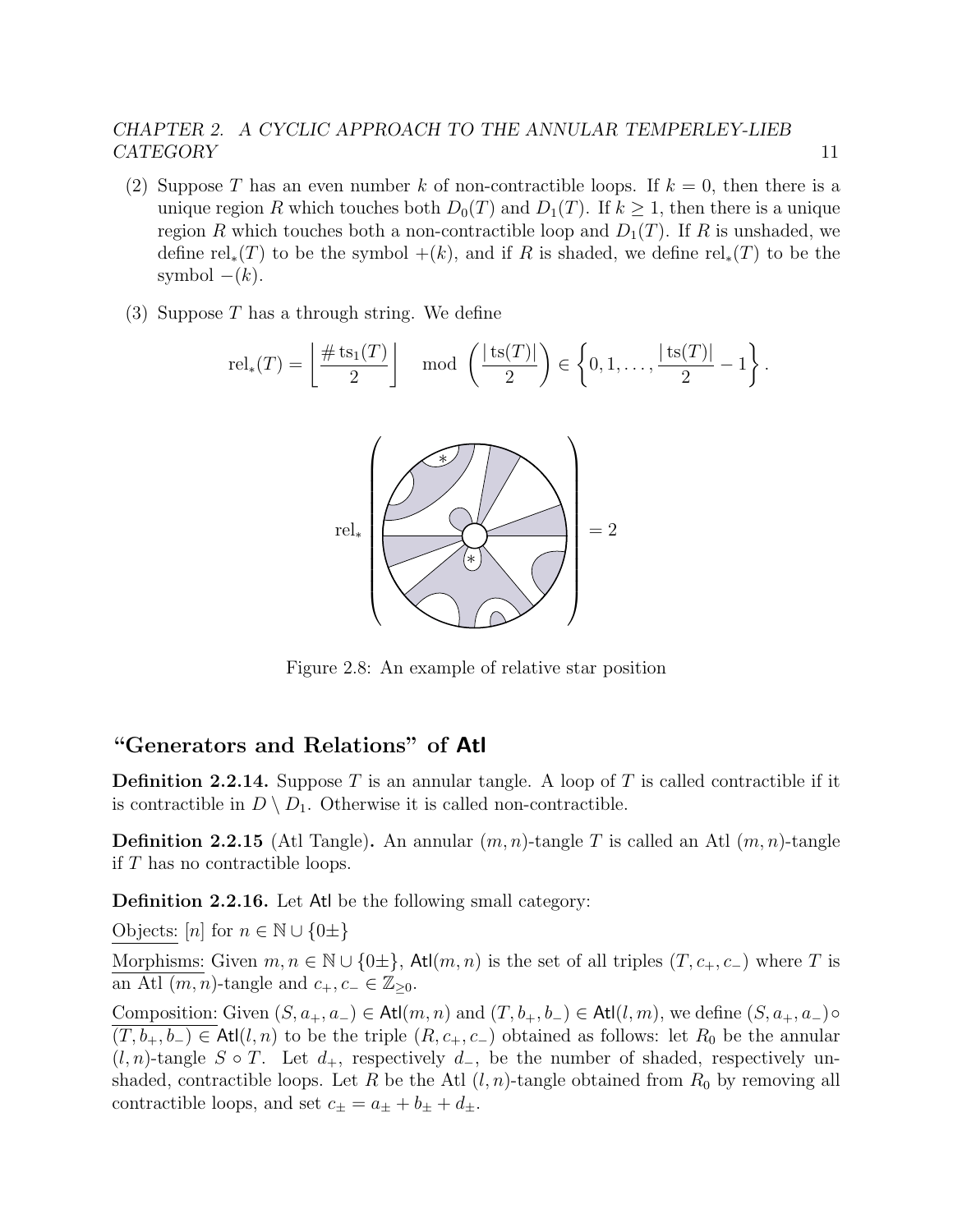- (2) Suppose T has an even number k of non-contractible loops. If  $k = 0$ , then there is a unique region R which touches both  $D_0(T)$  and  $D_1(T)$ . If  $k \geq 1$ , then there is a unique region R which touches both a non-contractible loop and  $D_1(T)$ . If R is unshaded, we define rel<sub>∗</sub>(T) to be the symbol +(k), and if R is shaded, we define rel<sub>∗</sub>(T) to be the symbol  $-(k)$ .
- (3) Suppose  $T$  has a through string. We define

$$
rel_*(T) = \left\lfloor \frac{\# \text{ts}_1(T)}{2} \right\rfloor \mod \left(\frac{|\text{ts}(T)|}{2}\right) \in \left\{0, 1, \dots, \frac{|\text{ts}(T)|}{2} - 1\right\}.
$$



Figure 2.8: An example of relative star position

#### "Generators and Relations" of Atl

**Definition 2.2.14.** Suppose T is an annular tangle. A loop of T is called contractible if it is contractible in  $D \setminus D_1$ . Otherwise it is called non-contractible.

**Definition 2.2.15** (Atl Tangle). An annular  $(m, n)$ -tangle T is called an Atl  $(m, n)$ -tangle if  $T$  has no contractible loops.

Definition 2.2.16. Let Atl be the following small category:

Objects:  $[n]$  for  $n \in \mathbb{N} \cup \{0\pm\}$ 

Morphisms: Given  $m, n \in \mathbb{N} \cup \{0\pm\},\$  Atl $(m, n)$  is the set of all triples  $(T, c_+, c_-)$  where T is an Atl  $(m, n)$ -tangle and  $c_+, c_- \in \mathbb{Z}_{\geq 0}$ .

Composition: Given  $(S, a_+, a_-) \in \text{Atl}(m, n)$  and  $(T, b_+, b_-) \in \text{Atl}(l, m)$ , we define  $(S, a_+, a_-) \circ$  $(T, b_+, b_-) \in \text{At}(l, n)$  to be the triple  $(R, c_+, c_-)$  obtained as follows: let  $R_0$  be the annular  $(l, n)$ -tangle S ∘ T. Let  $d_+$ , respectively  $d_-$ , be the number of shaded, respectively unshaded, contractible loops. Let R be the Atl  $(l, n)$ -tangle obtained from  $R_0$  by removing all contractible loops, and set  $c_{\pm} = a_{\pm} + b_{\pm} + d_{\pm}$ .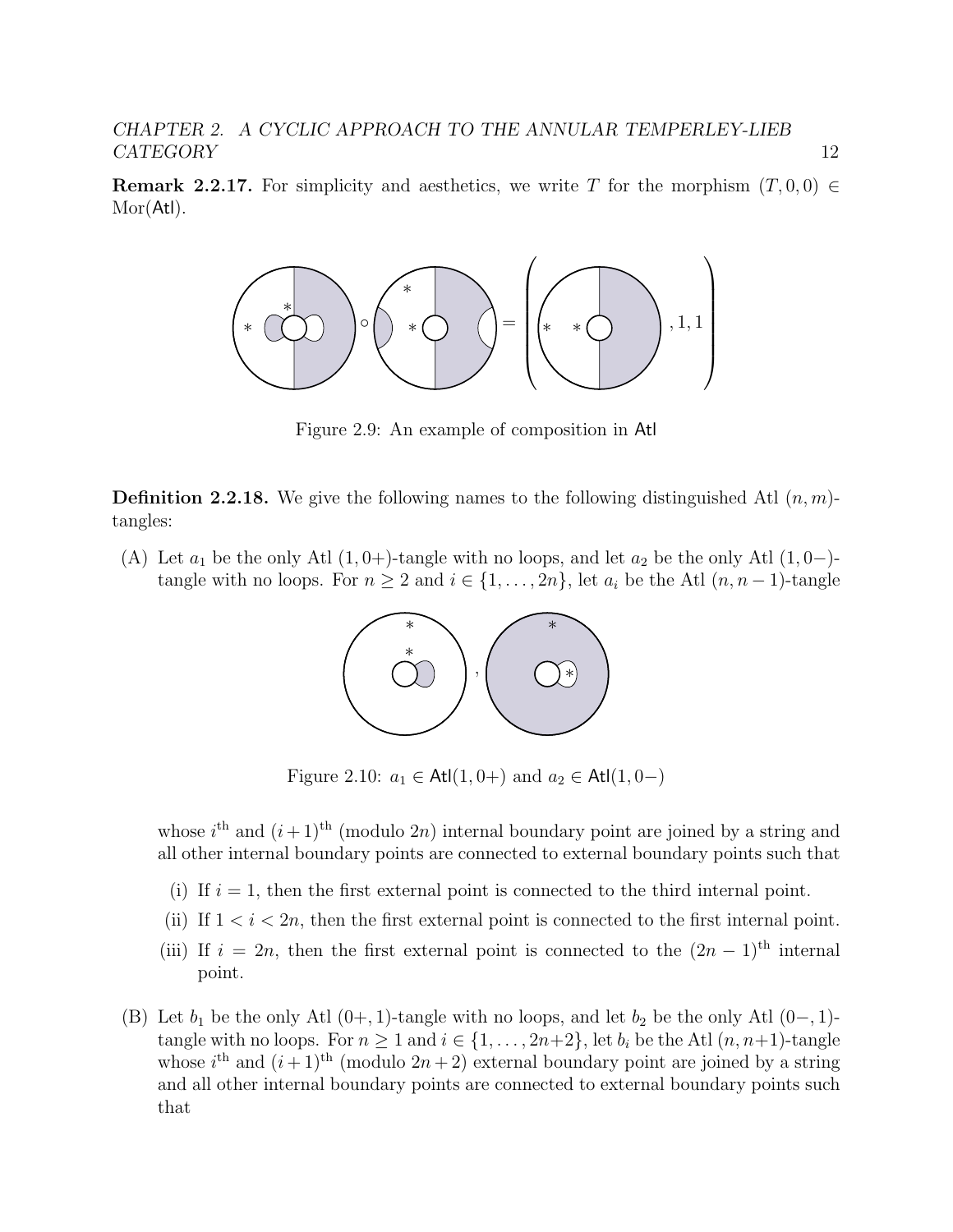**Remark 2.2.17.** For simplicity and aesthetics, we write T for the morphism  $(T, 0, 0) \in$ Mor(Atl).



Figure 2.9: An example of composition in Atl

**Definition 2.2.18.** We give the following names to the following distinguished Atl  $(n, m)$ tangles:

(A) Let  $a_1$  be the only Atl  $(1, 0+)$ -tangle with no loops, and let  $a_2$  be the only Atl  $(1, 0-)$ tangle with no loops. For  $n \geq 2$  and  $i \in \{1, ..., 2n\}$ , let  $a_i$  be the Atl  $(n, n-1)$ -tangle



Figure 2.10:  $a_1$  ∈ Atl(1, 0+) and  $a_2$  ∈ Atl(1, 0-)

whose  $i^{\text{th}}$  and  $(i+1)^{\text{th}}$  (modulo 2n) internal boundary point are joined by a string and all other internal boundary points are connected to external boundary points such that

- (i) If  $i = 1$ , then the first external point is connected to the third internal point.
- (ii) If  $1 < i < 2n$ , then the first external point is connected to the first internal point.
- (iii) If  $i = 2n$ , then the first external point is connected to the  $(2n 1)$ <sup>th</sup> internal point.
- (B) Let  $b_1$  be the only Atl (0+, 1)-tangle with no loops, and let  $b_2$  be the only Atl (0−, 1)tangle with no loops. For  $n \geq 1$  and  $i \in \{1, \ldots, 2n+2\}$ , let  $b_i$  be the Atl  $(n, n+1)$ -tangle whose  $i^{\text{th}}$  and  $(i+1)^{\text{th}}$  (modulo  $2n+2$ ) external boundary point are joined by a string and all other internal boundary points are connected to external boundary points such that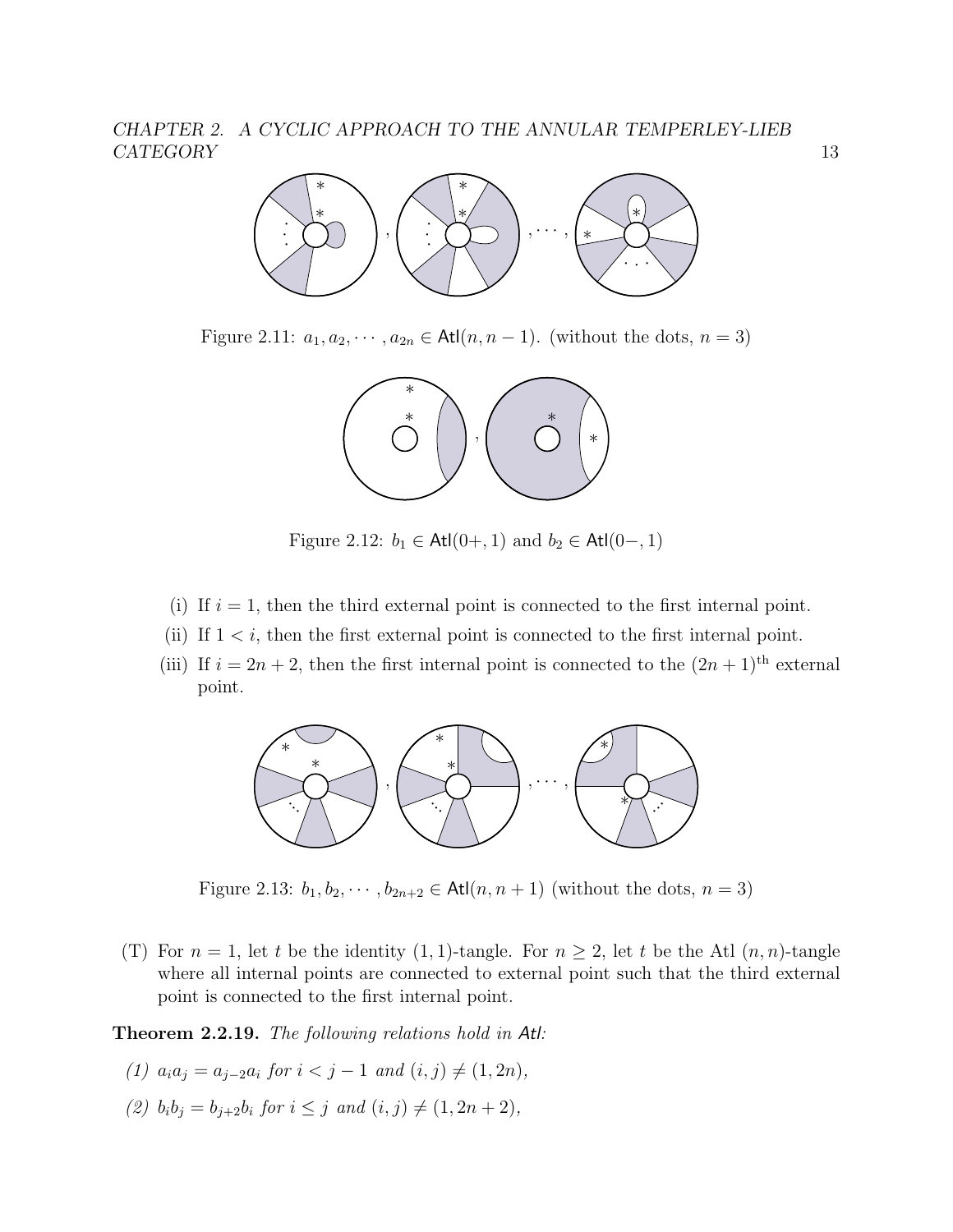

Figure 2.11:  $a_1, a_2, \dots, a_{2n} \in \text{Atl}(n, n-1)$ . (without the dots,  $n = 3$ )



Figure 2.12:  $b_1$  ∈ Atl $(0+, 1)$  and  $b_2$  ∈ Atl $(0-, 1)$ 

- (i) If  $i = 1$ , then the third external point is connected to the first internal point.
- (ii) If  $1 \leq i$ , then the first external point is connected to the first internal point.
- (iii) If  $i = 2n + 2$ , then the first internal point is connected to the  $(2n + 1)$ <sup>th</sup> external point.



Figure 2.13:  $b_1, b_2, \dots, b_{2n+2} \in \text{Atl}(n, n+1)$  (without the dots,  $n = 3$ )

(T) For  $n = 1$ , let t be the identity (1, 1)-tangle. For  $n \geq 2$ , let t be the Atl  $(n, n)$ -tangle where all internal points are connected to external point such that the third external point is connected to the first internal point.

<span id="page-17-0"></span>Theorem 2.2.19. The following relations hold in Atl:

- (1)  $a_i a_j = a_{i-2} a_i$  for  $i < j-1$  and  $(i, j) \neq (1, 2n)$ ,
- (2)  $b_i b_j = b_{i+2} b_i$  for  $i \leq j$  and  $(i, j) \neq (1, 2n + 2)$ ,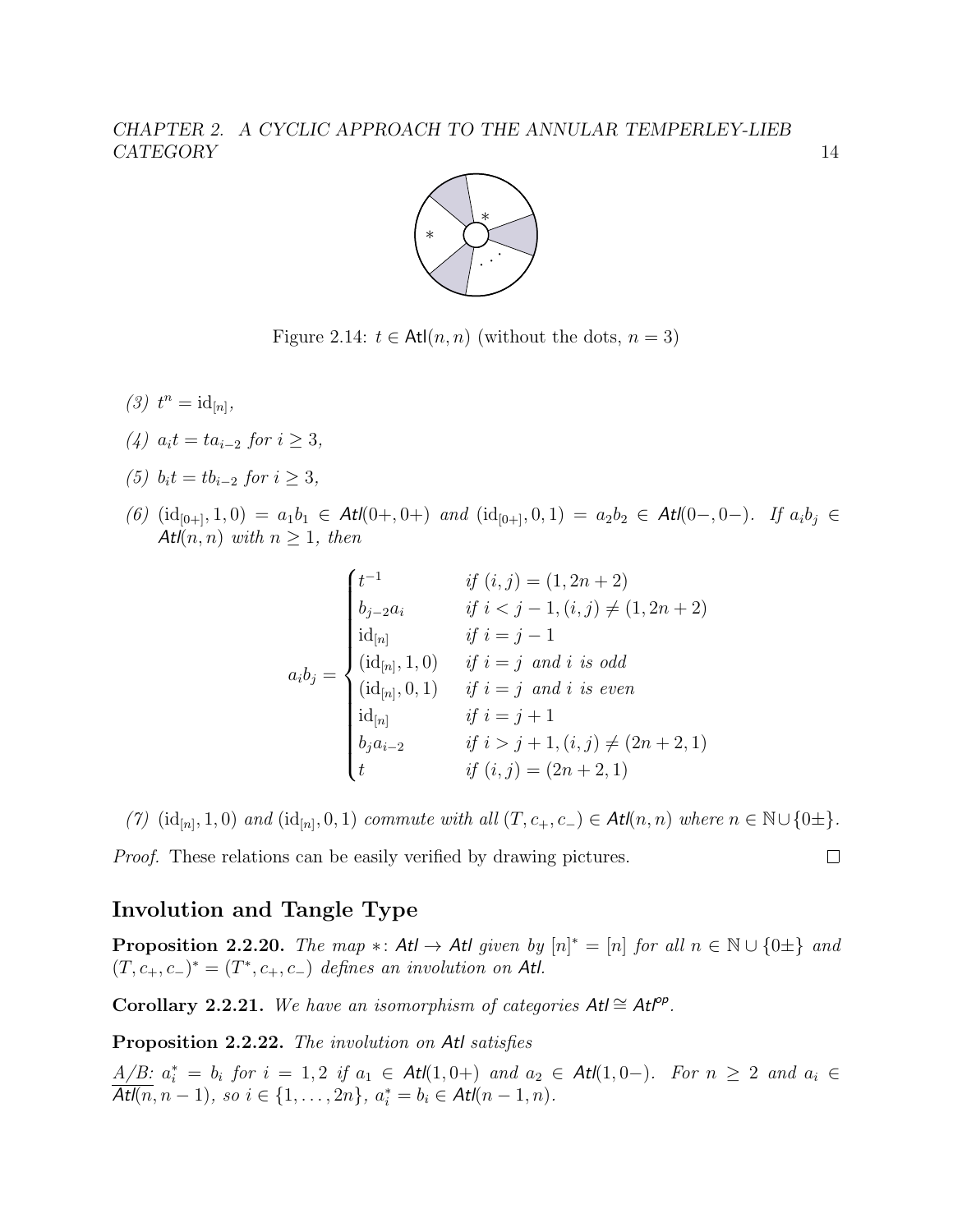

Figure 2.14:  $t \in \text{Atl}(n, n)$  (without the dots,  $n = 3$ )

- (3)  $t^n = id_{[n]},$
- (4)  $a_i t = t a_{i-2}$  for  $i \geq 3$ ,
- (5)  $b_i t = t b_{i-2}$  for  $i \geq 3$ ,
- (6)  $(id_{[0+]}, 1, 0) = a_1b_1 \in \text{Atl}(0+, 0+)$  and  $(id_{[0+]}, 0, 1) = a_2b_2 \in \text{Atl}(0-, 0-)$ . If  $a_ib_j \in$ Atl $(n, n)$  with  $n \geq 1$ , then

$$
a_i b_j = \begin{cases} t^{-1} & \text{if } (i,j) = (1, 2n+2) \\ b_{j-2} a_i & \text{if } i < j-1, (i,j) \neq (1, 2n+2) \\ \text{id}_{[n]} & \text{if } i = j-1 \\ (\text{id}_{[n]}, 1, 0) & \text{if } i = j \text{ and } i \text{ is odd} \\ (\text{id}_{[n]}, 0, 1) & \text{if } i = j \text{ and } i \text{ is even} \\ \text{id}_{[n]} & \text{if } i = j+1 \\ b_j a_{i-2} & \text{if } i > j+1, (i,j) \neq (2n+2, 1) \\ t & \text{if } (i,j) = (2n+2, 1) \end{cases}
$$

(7)  $(id_{[n]}, 1, 0)$  and  $(id_{[n]}, 0, 1)$  commute with all  $(T, c_+, c_-) \in \text{Atl}(n, n)$  where  $n \in \mathbb{N} \cup \{0 \pm \}.$ 

Proof. These relations can be easily verified by drawing pictures.

### Involution and Tangle Type

**Proposition 2.2.20.** The map  $*$ : Atl  $\rightarrow$  Atl given by  $[n]^* = [n]$  for all  $n \in \mathbb{N} \cup \{0\pm\}$  and  $(T, c_+, c_-)^* = (T^*, c_+, c_-)$  defines an involution on Atl.

Corollary 2.2.21. We have an isomorphism of categories  $At \cong At^{op}$ .

<span id="page-18-0"></span>Proposition 2.2.22. The involution on Atl satisfies

 $A/B: a_i^* = b_i$  for  $i = 1, 2$  if  $a_1 \in At(1, 0+)$  and  $a_2 \in At(1, 0-)$ . For  $n \geq 2$  and  $a_i \in At(1, 0+)$  $\overline{Atl(n, n-1)}$ , so  $i \in \{1, ..., 2n\}$ ,  $a_i^* = b_i \in Atl(n-1, n)$ .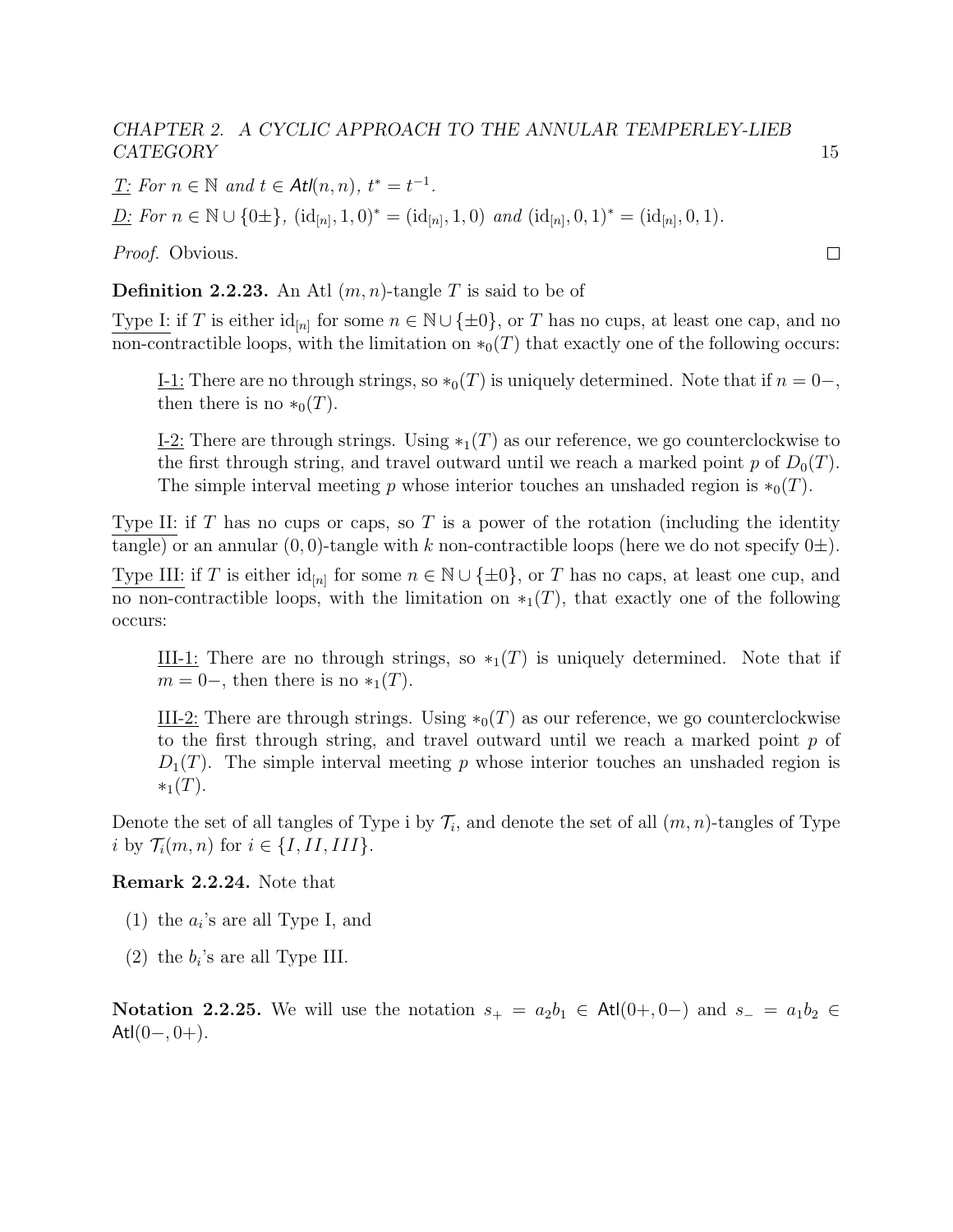$\underline{T}$ : For  $n \in \mathbb{N}$  and  $t \in \text{Atl}(n, n)$ ,  $t^* = t^{-1}$ .

 $\underline{D:}$  For  $n \in \mathbb{N} \cup \{0\pm\}, \ (\text{id}_{[n]}, 1, 0)^* = (\text{id}_{[n]}, 1, 0) \ \text{and } (\text{id}_{[n]}, 0, 1)^* = (\text{id}_{[n]}, 0, 1).$ 

Proof. Obvious.

**Definition 2.2.23.** An Atl  $(m, n)$ -tangle T is said to be of

Type I: if T is either  $\mathrm{id}_{[n]}$  for some  $n \in \mathbb{N} \cup \{\pm 0\}$ , or T has no cups, at least one cap, and no non-contractible loops, with the limitation on  $*_0(T)$  that exactly one of the following occurs:

I-1: There are no through strings, so  $*_0(T)$  is uniquely determined. Note that if  $n = 0-$ , then there is no  $*_0(T)$ .

I-2: There are through strings. Using  $*_1(T)$  as our reference, we go counterclockwise to the first through string, and travel outward until we reach a marked point p of  $D_0(T)$ . The simple interval meeting p whose interior touches an unshaded region is  $*_0(T)$ .

Type II: if  $T$  has no cups or caps, so  $T$  is a power of the rotation (including the identity tangle) or an annular  $(0, 0)$ -tangle with k non-contractible loops (here we do not specify  $0\pm$ ).

Type III: if T is either  $\mathrm{id}_{[n]}$  for some  $n \in \mathbb{N} \cup \{\pm 0\}$ , or T has no caps, at least one cup, and no non-contractible loops, with the limitation on  $*_1(T)$ , that exactly one of the following occurs:

III-1: There are no through strings, so  $*_1(T)$  is uniquely determined. Note that if  $m = 0,$  then there is no  $*_1(T)$ .

III-2: There are through strings. Using  $*_0(T)$  as our reference, we go counterclockwise to the first through string, and travel outward until we reach a marked point  $p$  of  $D_1(T)$ . The simple interval meeting p whose interior touches an unshaded region is  $*_1(T)$ .

Denote the set of all tangles of Type i by  $\mathcal{T}_i$ , and denote the set of all  $(m, n)$ -tangles of Type i by  $\mathcal{T}_i(m,n)$  for  $i \in \{I,II,III\}$ .

#### <span id="page-19-0"></span>Remark 2.2.24. Note that

- (1) the  $a_i$ 's are all Type I, and
- (2) the  $b_i$ 's are all Type III.

Notation 2.2.25. We will use the notation  $s_+ = a_2b_1 \in \text{Atl}(0+, 0-)$  and  $s_- = a_1b_2 \in \text{Atl}(0, 0)$ Atl $(0-, 0+)$ .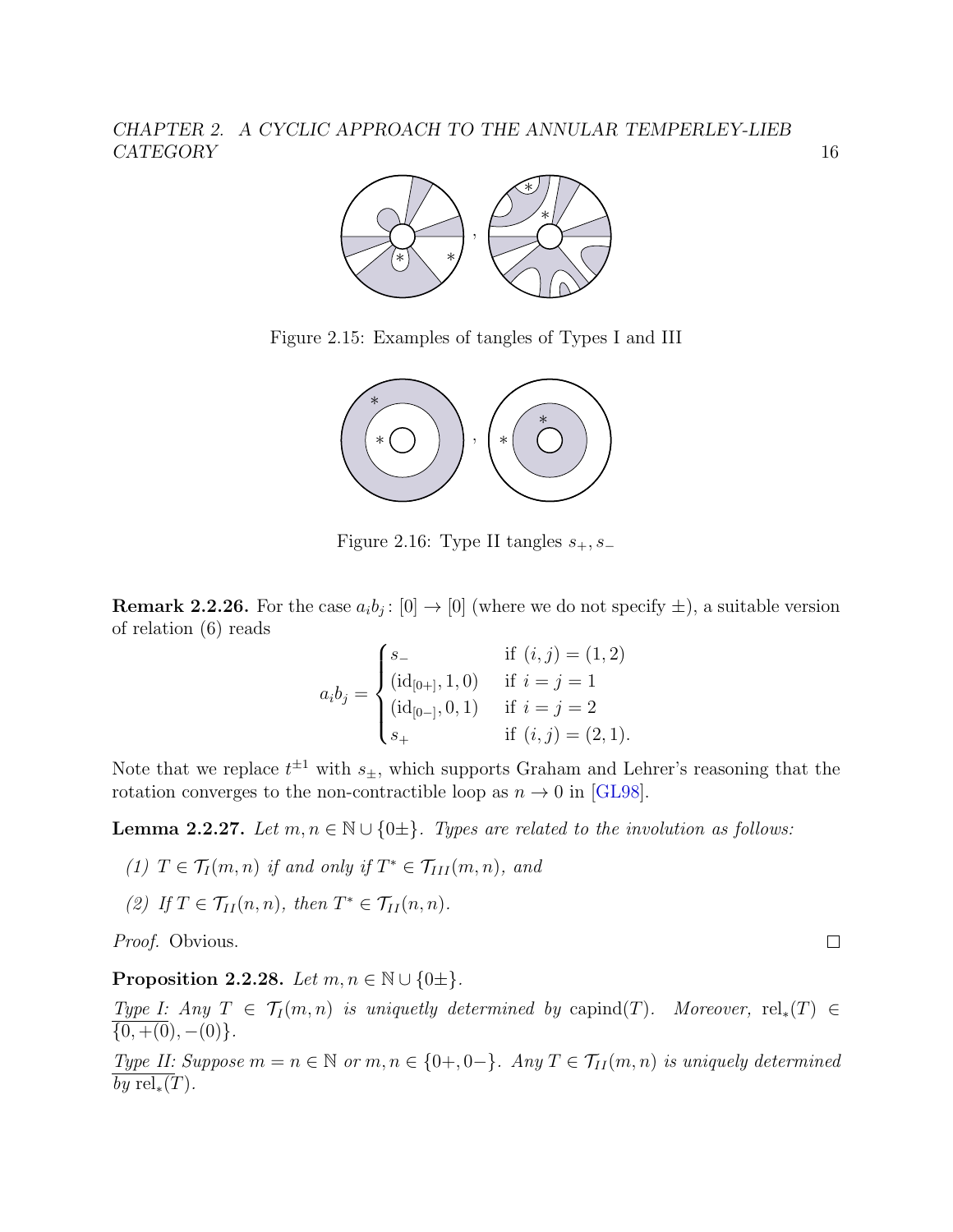

Figure 2.15: Examples of tangles of Types I and III



Figure 2.16: Type II tangles  $s_+, s_-$ 

**Remark 2.2.26.** For the case  $a_i b_j : [0] \to [0]$  (where we do not specify  $\pm$ ), a suitable version of relation (6) reads

$$
a_i b_j = \begin{cases} s_- & \text{if } (i,j) = (1,2) \\ (\mathrm{id}_{[0+]}, 1, 0) & \text{if } i = j = 1 \\ (\mathrm{id}_{[0-]}, 0, 1) & \text{if } i = j = 2 \\ s_+ & \text{if } (i,j) = (2,1). \end{cases}
$$

Note that we replace  $t^{\pm 1}$  with  $s_{\pm}$ , which supports Graham and Lehrer's reasoning that the rotation converges to the non-contractible loop as  $n \to 0$  in [\[GL98\]](#page-140-6).

<span id="page-20-0"></span>**Lemma 2.2.27.** Let  $m, n \in \mathbb{N} \cup \{0\pm\}$ . Types are related to the involution as follows:

(1) 
$$
T \in \mathcal{T}_I(m,n)
$$
 if and only if  $T^* \in \mathcal{T}_{III}(m,n)$ , and

(2) If  $T \in \mathcal{T}_{II}(n,n)$ , then  $T^* \in \mathcal{T}_{II}(n,n)$ .

Proof. Obvious.

<span id="page-20-1"></span>Proposition 2.2.28. Let  $m, n \in \mathbb{N} \cup \{0\pm\}.$ 

Type I: Any  $T \in \mathcal{T}_I(m,n)$  is uniquetly determined by capind(T). Moreover, rel<sub>\*</sub>(T)  $\in$  $\{0, +0, -0\}$ .

Type II: Suppose  $m = n \in \mathbb{N}$  or  $m, n \in \{0+, 0-\}$ . Any  $T \in \mathcal{T}_{II}(m, n)$  is uniquely determined by  $rel_*(T)$ .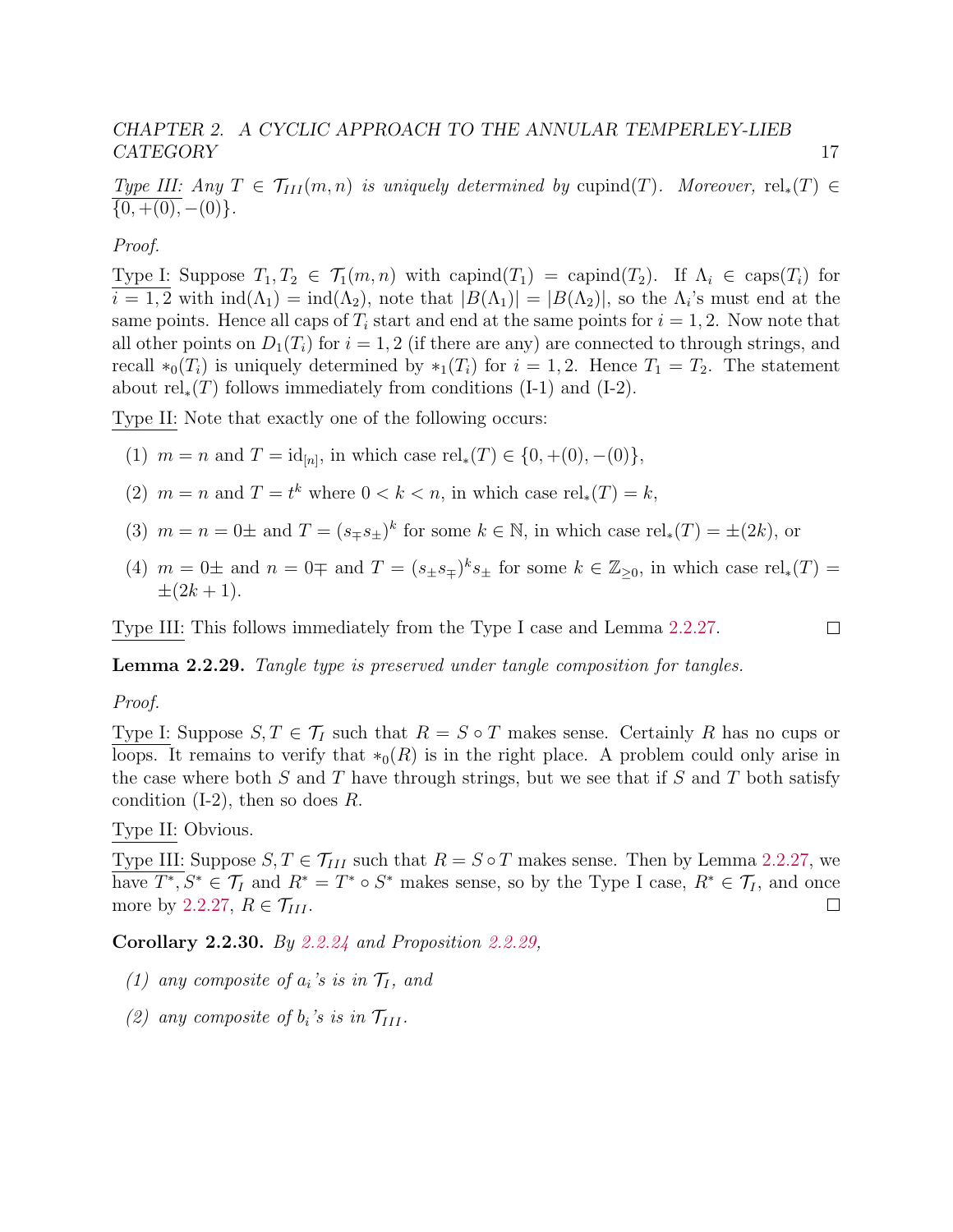Type III: Any  $T \in \mathcal{T}_{III}(m,n)$  is uniquely determined by cupind(T). Moreover, rel<sub>\*</sub>(T)  $\in$  $\overline{\{0, + (0), -(0)\}}$ .

#### Proof.

Type I: Suppose  $T_1, T_2 \in \mathcal{T}_1(m, n)$  with capind $(T_1) = \text{capital}(T_2)$ . If  $\Lambda_i \in \text{caps}(T_i)$  for  $i = 1, 2$  with  $\text{ind}(\Lambda_1) = \text{ind}(\Lambda_2)$ , note that  $|B(\Lambda_1)| = |B(\Lambda_2)|$ , so the  $\Lambda_i$ 's must end at the same points. Hence all caps of  $T_i$  start and end at the same points for  $i = 1, 2$ . Now note that all other points on  $D_1(T_i)$  for  $i = 1, 2$  (if there are any) are connected to through strings, and recall  $*_0(T_i)$  is uniquely determined by  $*_1(T_i)$  for  $i = 1, 2$ . Hence  $T_1 = T_2$ . The statement about  $rel_*(T)$  follows immediately from conditions (I-1) and (I-2).

Type II: Note that exactly one of the following occurs:

- (1)  $m = n$  and  $T = id_{[n]}$ , in which case  $rel_*(T) \in \{0, +00\}, -0)$ ,
- (2)  $m = n$  and  $T = t^k$  where  $0 < k < n$ , in which case rel<sub>\*</sub>(T) = k,
- (3)  $m = n = 0 \pm$  and  $T = (s_{\mp} s_{\pm})^k$  for some  $k \in \mathbb{N}$ , in which case rel<sub>\*</sub>(T) =  $\pm(2k)$ , or
- (4)  $m = 0 \pm$  and  $n = 0 \mp$  and  $T = (s_{\pm} s_{\mp})^k s_{\pm}$  for some  $k \in \mathbb{Z}_{\geq 0}$ , in which case rel<sub>\*</sub>(T) =  $\pm(2k+1)$ .

Type III: This follows immediately from the Type I case and Lemma [2.2.27.](#page-20-0)

<span id="page-21-0"></span>Lemma 2.2.29. Tangle type is preserved under tangle composition for tangles.

#### Proof.

Type I: Suppose  $S, T \in \mathcal{T}_I$  such that  $R = S \circ T$  makes sense. Certainly R has no cups or loops. It remains to verify that  $*_0(R)$  is in the right place. A problem could only arise in the case where both  $S$  and  $T$  have through strings, but we see that if  $S$  and  $T$  both satisfy condition  $(I-2)$ , then so does R.

#### Type II: Obvious.

Type III: Suppose  $S, T \in \mathcal{T}_{III}$  such that  $R = S \circ T$  makes sense. Then by Lemma [2.2.27,](#page-20-0) we have  $T^*, S^* \in \mathcal{T}_I$  and  $R^* = T^* \circ S^*$  makes sense, so by the Type I case,  $R^* \in \mathcal{T}_I$ , and once more by [2.2.27,](#page-20-0)  $R \in \mathcal{T}_{III}$ .  $\Box$ 

Corollary 2.2.30. By [2.2.24](#page-19-0) and Proposition [2.2.29,](#page-21-0)

- (1) any composite of  $a_i$ 's is in  $\mathcal{T}_I$ , and
- (2) any composite of  $b_i$ 's is in  $\mathcal{T}_{III}$ .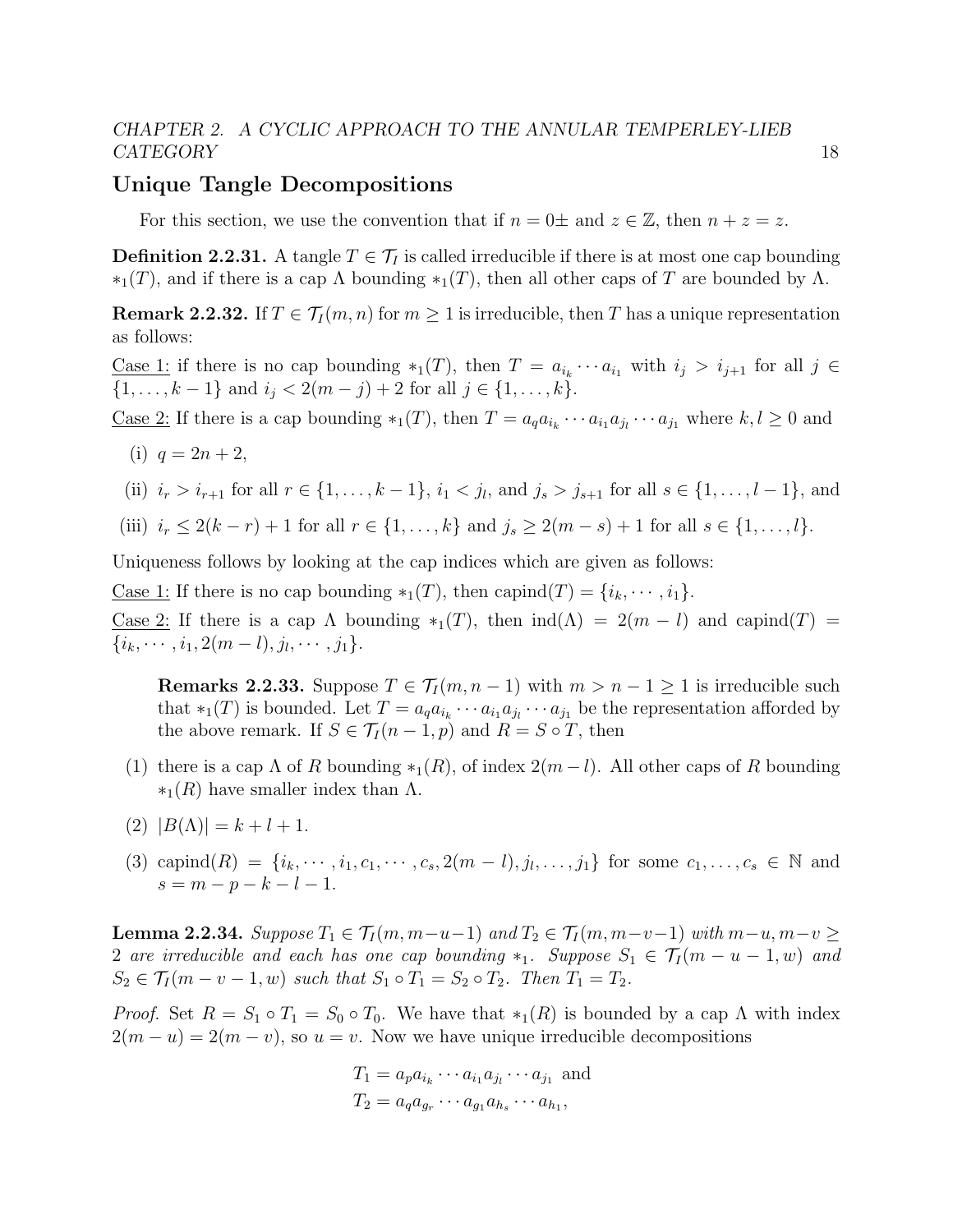#### Unique Tangle Decompositions

For this section, we use the convention that if  $n = 0 \pm$  and  $z \in \mathbb{Z}$ , then  $n + z = z$ .

**Definition 2.2.31.** A tangle  $T \in \mathcal{T}_I$  is called irreducible if there is at most one cap bounding  $*_1(T)$ , and if there is a cap  $\Lambda$  bounding  $*_1(T)$ , then all other caps of T are bounded by  $\Lambda$ .

<span id="page-22-0"></span>**Remark 2.2.32.** If  $T \in \mathcal{T}_I(m,n)$  for  $m \geq 1$  is irreducible, then T has a unique representation as follows:

<u>Case 1</u>: if there is no cap bounding  $*_1(T)$ , then  $T = a_{i_k} \cdots a_{i_1}$  with  $i_j > i_{j+1}$  for all  $j \in$  $\{1, \ldots, k-1\}$  and  $i_j < 2(m-j)+2$  for all  $j \in \{1, \ldots, k\}.$ 

<u>Case 2:</u> If there is a cap bounding  $*_1(T)$ , then  $T = a_q a_{i_k} \cdots a_{i_1} a_{j_1} \cdots a_{j_1}$  where  $k, l \ge 0$  and

- (i)  $q = 2n + 2$ ,
- (ii)  $i_r > i_{r+1}$  for all  $r \in \{1, ..., k-1\}$ ,  $i_1 < j_l$ , and  $j_s > j_{s+1}$  for all  $s \in \{1, ..., l-1\}$ , and
- (iii)  $i_r \leq 2(k-r)+1$  for all  $r \in \{1,\ldots,k\}$  and  $j_s \geq 2(m-s)+1$  for all  $s \in \{1,\ldots,k\}$ .

Uniqueness follows by looking at the cap indices which are given as follows:

<u>Case 1:</u> If there is no cap bounding  $*_1(T)$ , then capind $(T) = \{i_k, \dots, i_1\}.$ 

Case 2: If there is a cap  $\Lambda$  bounding  $*_1(T)$ , then  $ind(\Lambda) = 2(m - l)$  and capind(T) =  $\{i_k, \cdots, i_1, 2(m-l), j_l, \cdots, j_1\}.$ 

**Remarks 2.2.33.** Suppose  $T \in \mathcal{T}_I(m, n-1)$  with  $m > n-1 \geq 1$  is irreducible such that  $*_1(T)$  is bounded. Let  $T = a_q a_{i_k} \cdots a_{i_1} a_{j_l} \cdots a_{j_1}$  be the representation afforded by the above remark. If  $S \in \mathcal{T}_I(n-1,p)$  and  $R = S \circ T$ , then

- (1) there is a cap  $\Lambda$  of R bounding  $*_1(R)$ , of index  $2(m-l)$ . All other caps of R bounding  $*_1(R)$  have smaller index than  $\Lambda$ .
- (2)  $|B(\Lambda)| = k + l + 1.$
- (3) capind  $(R) = \{i_k, \dots, i_1, c_1, \dots, c_s, 2(m-l), j_l, \dots, j_1\}$  for some  $c_1, \dots, c_s \in \mathbb{N}$  and  $s = m - p - k - l - 1.$

<span id="page-22-1"></span>**Lemma 2.2.34.** Suppose  $T_1 \in \mathcal{T}_I(m, m-u-1)$  and  $T_2 \in \mathcal{T}_I(m, m-v-1)$  with  $m-u, m-v$  ≥ 2 are irreducible and each has one cap bounding  $*_1$ . Suppose  $S_1 \in \mathcal{T}_I$  (m – u – 1, w) and  $S_2 \in \mathcal{T}_I(m-v-1,w)$  such that  $S_1 \circ T_1 = S_2 \circ T_2$ . Then  $T_1 = T_2$ .

*Proof.* Set  $R = S_1 \circ T_1 = S_0 \circ T_0$ . We have that  $*_1(R)$  is bounded by a cap  $\Lambda$  with index  $2(m - u) = 2(m - v)$ , so  $u = v$ . Now we have unique irreducible decompositions

$$
T_1 = a_p a_{i_k} \cdots a_{i_1} a_{j_l} \cdots a_{j_1}
$$
 and  

$$
T_2 = a_q a_{g_r} \cdots a_{g_1} a_{h_s} \cdots a_{h_1},
$$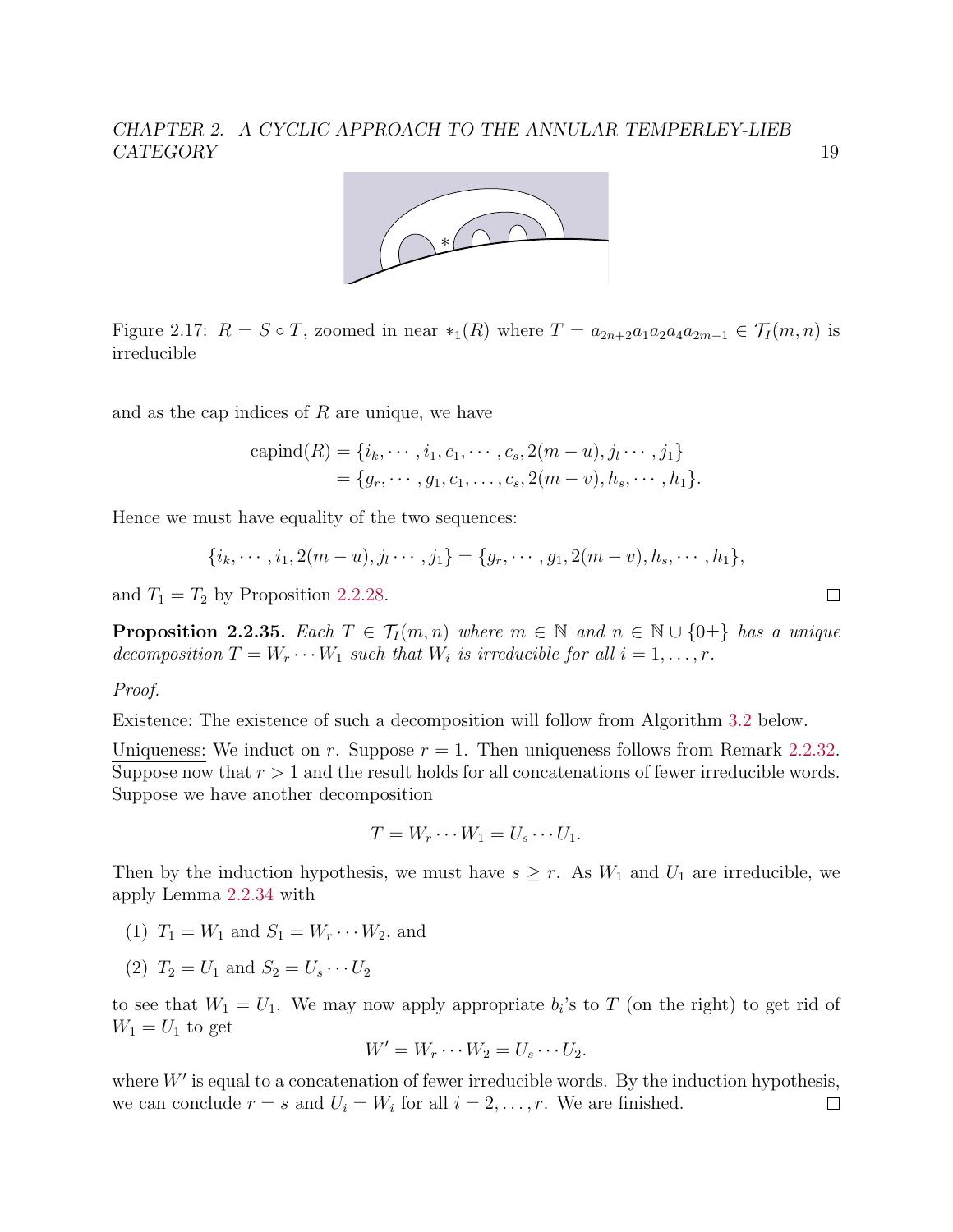

Figure 2.17:  $R = S \circ T$ , zoomed in near \*<sub>1</sub>(R) where  $T = a_{2n+2}a_1a_2a_4a_{2m-1} \in T_I(m, n)$  is irreducible

and as the cap indices of  $R$  are unique, we have

$$
capind(R) = \{i_k, \dots, i_1, c_1, \dots, c_s, 2(m - u), j_l \dots, j_1\}
$$
  
=  $\{g_r, \dots, g_1, c_1, \dots, c_s, 2(m - v), h_s, \dots, h_1\}.$ 

Hence we must have equality of the two sequences:

$$
\{i_k, \cdots, i_1, 2(m-u), j_l \cdots, j_1\} = \{g_r, \cdots, g_1, 2(m-v), h_s, \cdots, h_1\},\
$$

and  $T_1 = T_2$  by Proposition [2.2.28.](#page-20-1)

<span id="page-23-0"></span>**Proposition 2.2.35.** Each  $T \in \mathcal{T}_I(m,n)$  where  $m \in \mathbb{N}$  and  $n \in \mathbb{N} \cup \{0\pm\}$  has a unique decomposition  $T = W_r \cdots W_1$  such that  $W_i$  is irreducible for all  $i = 1, \ldots, r$ .

#### Proof.

Existence: The existence of such a decomposition will follow from Algorithm [3.2](#page-59-0) below.

Uniqueness: We induct on r. Suppose  $r = 1$ . Then uniqueness follows from Remark [2.2.32.](#page-22-0) Suppose now that  $r > 1$  and the result holds for all concatenations of fewer irreducible words. Suppose we have another decomposition

$$
T = W_r \cdots W_1 = U_s \cdots U_1.
$$

Then by the induction hypothesis, we must have  $s \geq r$ . As  $W_1$  and  $U_1$  are irreducible, we apply Lemma [2.2.34](#page-22-1) with

- (1)  $T_1 = W_1$  and  $S_1 = W_r \cdots W_2$ , and
- (2)  $T_2 = U_1$  and  $S_2 = U_s \cdots U_2$

to see that  $W_1 = U_1$ . We may now apply appropriate  $b_i$ 's to T (on the right) to get rid of  $W_1 = U_1$  to get

$$
W' = W_r \cdots W_2 = U_s \cdots U_2.
$$

where  $W'$  is equal to a concatenation of fewer irreducible words. By the induction hypothesis, we can conclude  $r = s$  and  $U_i = W_i$  for all  $i = 2, \ldots, r$ . We are finished.  $\Box$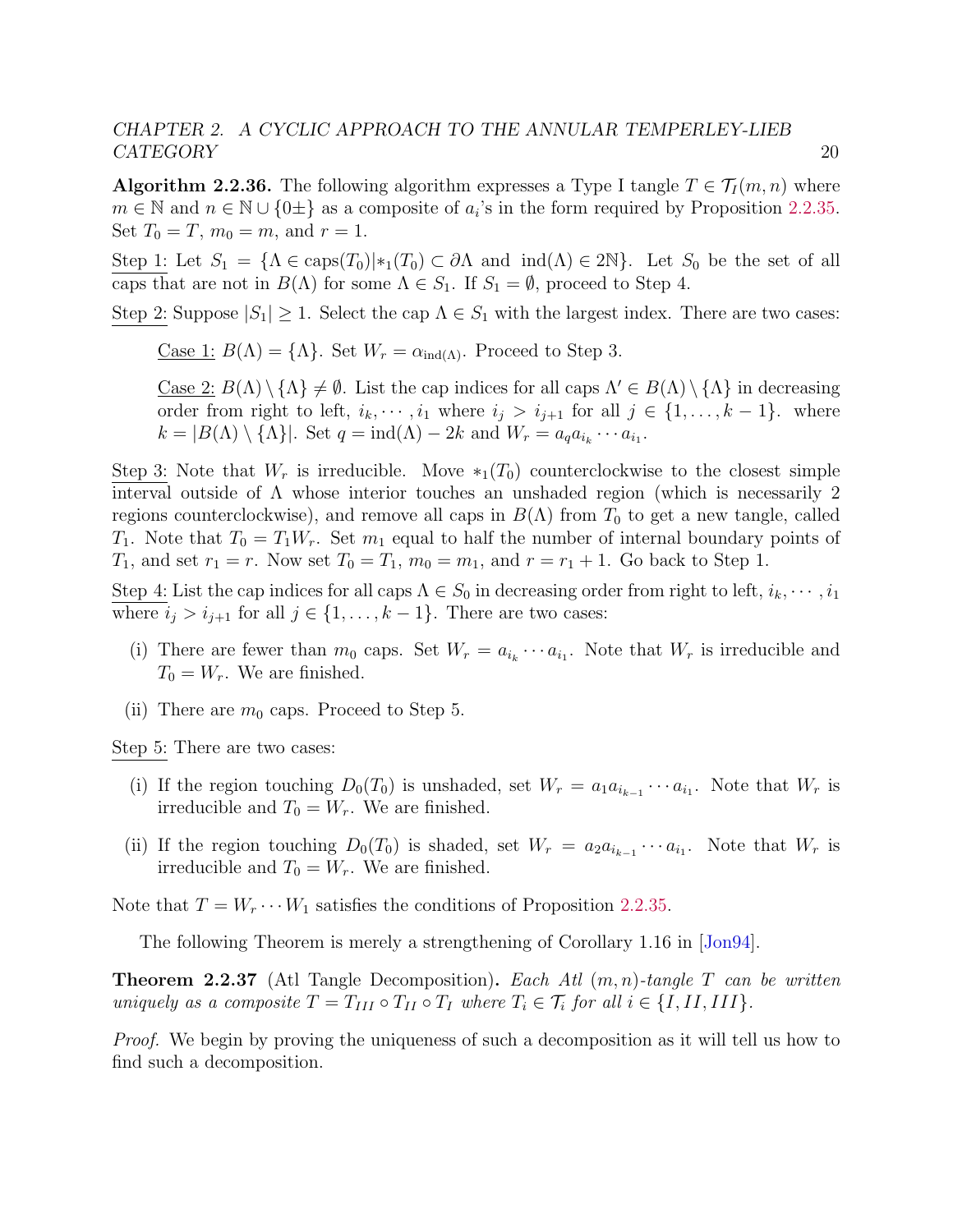**Algorithm 2.2.36.** The following algorithm expresses a Type I tangle  $T \in \mathcal{T}_I(m,n)$  where  $m \in \mathbb{N}$  and  $n \in \mathbb{N} \cup \{0\pm\}$  as a composite of  $a_i$ 's in the form required by Proposition [2.2.35.](#page-23-0) Set  $T_0 = T$ ,  $m_0 = m$ , and  $r = 1$ .

Step 1: Let  $S_1 = {\Lambda \in \text{caps}(T_0)|*_1(T_0) \subset \partial \Lambda}$  and  $\text{ind}(\Lambda) \in 2\mathbb{N}$ . Let  $S_0$  be the set of all caps that are not in  $B(\Lambda)$  for some  $\Lambda \in S_1$ . If  $S_1 = \emptyset$ , proceed to Step 4.

Step 2: Suppose  $|S_1| \geq 1$ . Select the cap  $\Lambda \in S_1$  with the largest index. There are two cases:

Case 1:  $B(\Lambda) = {\Lambda}$ . Set  $W_r = \alpha_{\text{ind}(\Lambda)}$ . Proceed to Step 3.

Case 2:  $B(\Lambda) \setminus {\Lambda} \neq \emptyset$ . List the cap indices for all caps  $\Lambda' \in B(\Lambda) \setminus {\Lambda}$  in decreasing order from right to left,  $i_k, \dots, i_1$  where  $i_j > i_{j+1}$  for all  $j \in \{1, \dots, k-1\}$ . where  $k = |B(\Lambda) \setminus {\{\Lambda\}}|$ . Set  $q = \text{ind}(\Lambda) - 2k$  and  $W_r = a_q a_{i_k} \cdots a_{i_1}$ .

Step 3: Note that  $W_r$  is irreducible. Move  $*_1(T_0)$  counterclockwise to the closest simple interval outside of  $\Lambda$  whose interior touches an unshaded region (which is necessarily 2 regions counterclockwise), and remove all caps in  $B(\Lambda)$  from  $T_0$  to get a new tangle, called  $T_1$ . Note that  $T_0 = T_1 W_r$ . Set  $m_1$  equal to half the number of internal boundary points of  $T_1$ , and set  $r_1 = r$ . Now set  $T_0 = T_1$ ,  $m_0 = m_1$ , and  $r = r_1 + 1$ . Go back to Step 1.

Step 4: List the cap indices for all caps  $\Lambda \in S_0$  in decreasing order from right to left,  $i_k, \dots, i_1$ where  $i_j > i_{j+1}$  for all  $j \in \{1, ..., k-1\}$ . There are two cases:

- (i) There are fewer than  $m_0$  caps. Set  $W_r = a_{i_k} \cdots a_{i_1}$ . Note that  $W_r$  is irreducible and  $T_0 = W_r$ . We are finished.
- (ii) There are  $m_0$  caps. Proceed to Step 5.

Step 5: There are two cases:

- (i) If the region touching  $D_0(T_0)$  is unshaded, set  $W_r = a_1 a_{i_{k-1}} \cdots a_{i_1}$ . Note that  $W_r$  is irreducible and  $T_0 = W_r$ . We are finished.
- (ii) If the region touching  $D_0(T_0)$  is shaded, set  $W_r = a_2 a_{i_{k-1}} \cdots a_{i_1}$ . Note that  $W_r$  is irreducible and  $T_0 = W_r$ . We are finished.

Note that  $T = W_r \cdots W_1$  satisfies the conditions of Proposition [2.2.35.](#page-23-0)

The following Theorem is merely a strengthening of Corollary 1.16 in [\[Jon94\]](#page-141-8).

<span id="page-24-0"></span>**Theorem 2.2.37** (Atl Tangle Decomposition). Each Atl  $(m, n)$ -tangle T can be written uniquely as a composite  $T = T_{III} \circ T_{II} \circ T_I$  where  $T_i \in \mathcal{T}_i$  for all  $i \in \{I, II, III\}$ .

Proof. We begin by proving the uniqueness of such a decomposition as it will tell us how to find such a decomposition.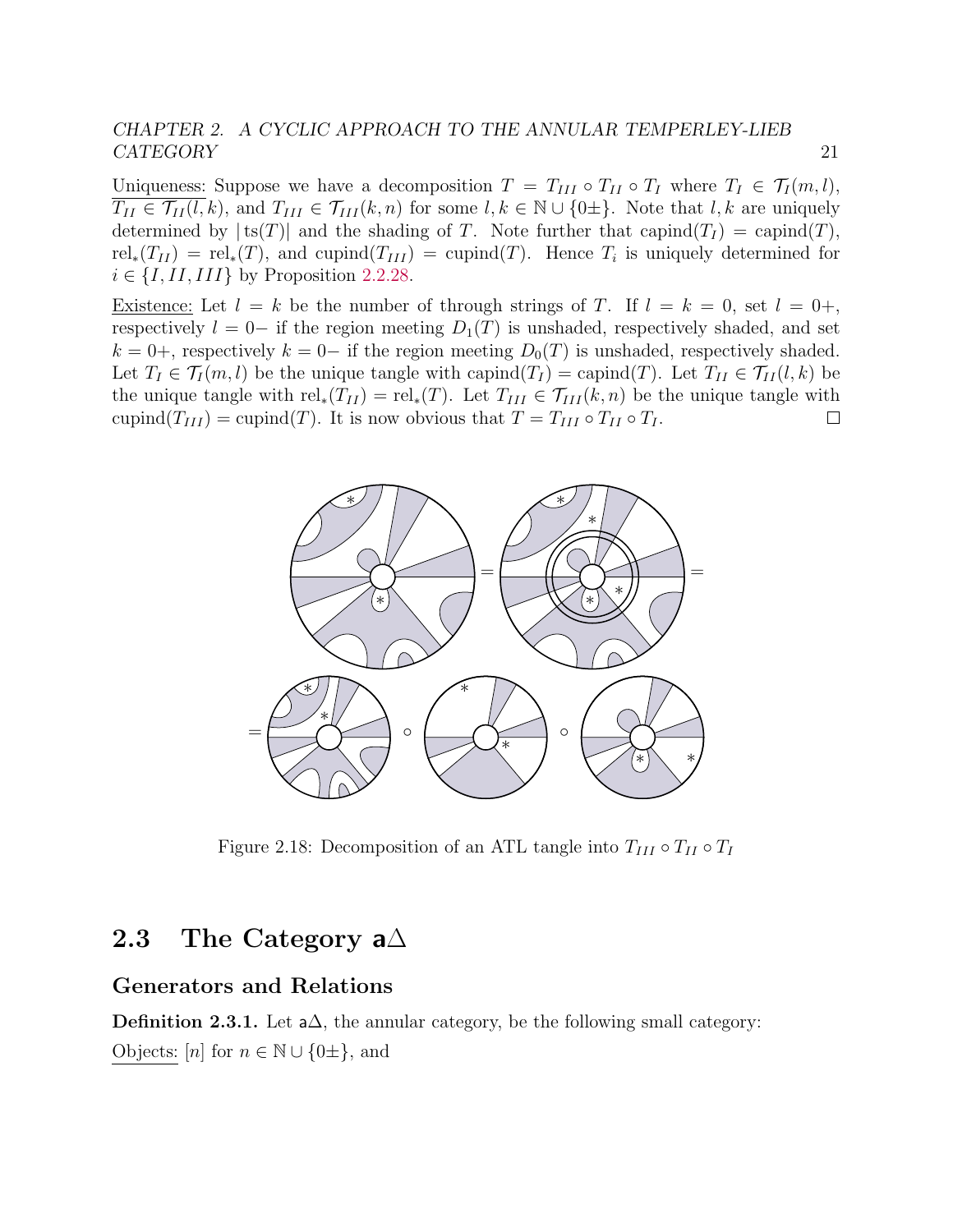Uniqueness: Suppose we have a decomposition  $T = T_{III} \circ T_{II} \circ T_I$  where  $T_I \in \mathcal{T}_I(m, l)$ ,  $T_{II} \in \mathcal{T}_{II}(l,k)$ , and  $T_{III} \in \mathcal{T}_{III}(k,n)$  for some  $l, k \in \mathbb{N} \cup \{0\pm\}$ . Note that  $l, k$  are uniquely determined by  $|ts(T)|$  and the shading of T. Note further that capind $(T<sub>I</sub>) =$  capind $(T)$ ,  $rel_*(T_{II}) = rel_*(T)$ , and cupind $(T_{III}) = \text{cupind}(T)$ . Hence  $T_i$  is uniquely determined for  $i \in \{I, II, III\}$  by Proposition [2.2.28.](#page-20-1)

Existence: Let  $l = k$  be the number of through strings of T. If  $l = k = 0$ , set  $l = 0^{+}$ , respectively  $l = 0-$  if the region meeting  $D_1(T)$  is unshaded, respectively shaded, and set  $k = 0+$ , respectively  $k = 0-$  if the region meeting  $D_0(T)$  is unshaded, respectively shaded. Let  $T_I \in \mathcal{T}_I(m, l)$  be the unique tangle with capind $(T_I) =$  capind $(T)$ . Let  $T_{II} \in \mathcal{T}_{II}(l, k)$  be the unique tangle with  $rel_*(T_{II}) = rel_*(T)$ . Let  $T_{III} \in \mathcal{T}_{III}(k,n)$  be the unique tangle with cupind( $T_{III}$ ) = cupind(T). It is now obvious that  $T = T_{III} \circ T_{II} \circ T_{I}$ .  $\Box$ 



Figure 2.18: Decomposition of an ATL tangle into  $T_{III} \circ T_{II} \circ T_I$ 

# <span id="page-25-0"></span>2.3 The Category a $\Delta$

#### Generators and Relations

**Definition 2.3.1.** Let  $a\Delta$ , the annular category, be the following small category: Objects:  $[n]$  for  $n \in \mathbb{N} \cup \{0\pm\}$ , and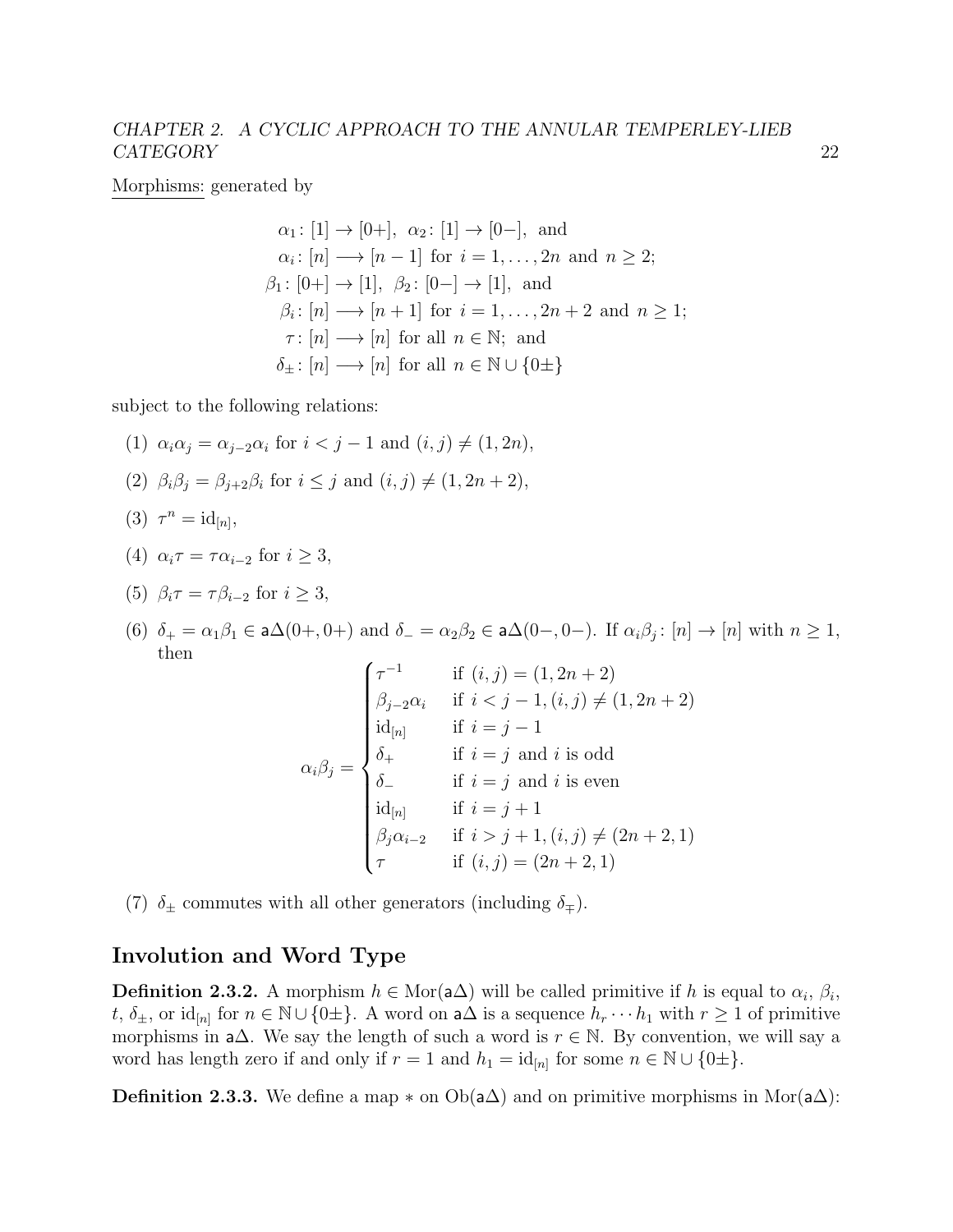Morphisms: generated by

$$
\alpha_1: [1] \to [0+], \alpha_2: [1] \to [0-], \text{ and}
$$
  
\n
$$
\alpha_i: [n] \to [n-1] \text{ for } i = 1, ..., 2n \text{ and } n \ge 2;
$$
  
\n
$$
\beta_1: [0+] \to [1], \beta_2: [0-] \to [1], \text{ and}
$$
  
\n
$$
\beta_i: [n] \to [n+1] \text{ for } i = 1, ..., 2n + 2 \text{ and } n \ge 1;
$$
  
\n
$$
\tau: [n] \to [n] \text{ for all } n \in \mathbb{N}; \text{ and}
$$
  
\n
$$
\delta_{\pm}: [n] \to [n] \text{ for all } n \in \mathbb{N} \cup \{0\pm\}
$$

subject to the following relations:

- (1)  $\alpha_i \alpha_j = \alpha_{j-2} \alpha_i$  for  $i < j-1$  and  $(i, j) \neq (1, 2n)$ ,
- (2)  $\beta_i \beta_j = \beta_{j+2} \beta_i$  for  $i \leq j$  and  $(i, j) \neq (1, 2n + 2)$ ,
- (3)  $\tau^n = id_{[n]},$
- (4)  $\alpha_i \tau = \tau \alpha_{i-2}$  for  $i > 3$ ,
- (5)  $\beta_i \tau = \tau \beta_{i-2}$  for  $i > 3$ ,
- (6)  $\delta_+ = \alpha_1 \beta_1 \in \mathsf{a}\Delta(0+,0+)$  and  $\delta_- = \alpha_2 \beta_2 \in \mathsf{a}\Delta(0-,0-)$ . If  $\alpha_i \beta_j : [n] \to [n]$  with  $n \geq 1$ , then

$$
\alpha_i \beta_j = \begin{cases}\n\tau^{-1} & \text{if } (i, j) = (1, 2n + 2) \\
\beta_{j-2} \alpha_i & \text{if } i < j - 1, (i, j) \neq (1, 2n + 2) \\
\text{id}_{[n]} & \text{if } i = j - 1 \\
\delta_+ & \text{if } i = j \text{ and } i \text{ is odd} \\
\delta_- & \text{if } i = j \text{ and } i \text{ is even} \\
\text{id}_{[n]} & \text{if } i = j + 1 \\
\beta_j \alpha_{i-2} & \text{if } i > j + 1, (i, j) \neq (2n + 2, 1) \\
\tau & \text{if } (i, j) = (2n + 2, 1)\n\end{cases}
$$

(7)  $\delta_{\pm}$  commutes with all other generators (including  $\delta_{\mp}$ ).

### Involution and Word Type

**Definition 2.3.2.** A morphism  $h \in \text{Mor}(\mathsf{a}\Delta)$  will be called primitive if h is equal to  $\alpha_i$ ,  $\beta_i$ , t,  $\delta_{\pm}$ , or id<sub>[n]</sub> for  $n \in \mathbb{N} \cup \{0\pm\}$ . A word on a $\Delta$  is a sequence  $h_r \cdots h_1$  with  $r \geq 1$  of primitive morphisms in a $\Delta$ . We say the length of such a word is  $r \in \mathbb{N}$ . By convention, we will say a word has length zero if and only if  $r = 1$  and  $h_1 = id_{[n]}$  for some  $n \in \mathbb{N} \cup \{0\pm\}.$ 

**Definition 2.3.3.** We define a map  $*$  on  $Ob(a\Delta)$  and on primitive morphisms in Mor $(a\Delta)$ :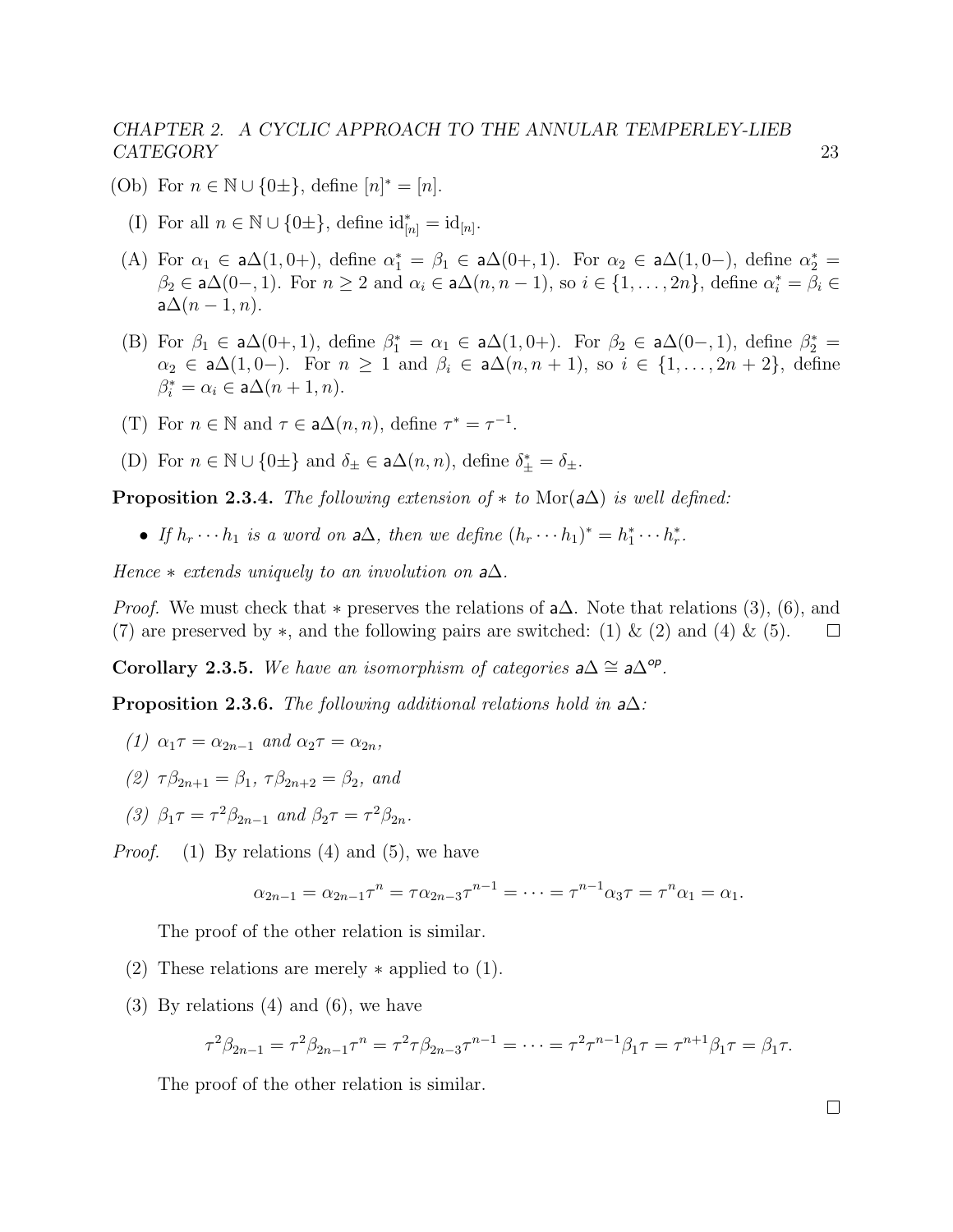- (Ob) For  $n \in \mathbb{N} \cup \{0\pm\},\$  define  $[n]^* = [n].$ 
	- (I) For all  $n \in \mathbb{N} \cup \{0\pm\},\$  define  $\mathrm{id}_{[n]}^* = \mathrm{id}_{[n]}.$
	- (A) For  $\alpha_1 \in a\Delta(1, 0+)$ , define  $\alpha_1^* = \beta_1 \in a\Delta(0+, 1)$ . For  $\alpha_2 \in a\Delta(1, 0-)$ , define  $\alpha_2^* =$  $\beta_2 \in \mathsf{a}\Delta(0-,1)$ . For  $n \geq 2$  and  $\alpha_i \in \mathsf{a}\Delta(n,n-1)$ , so  $i \in \{1,\ldots,2n\}$ , define  $\alpha_i^* = \beta_i \in$  $a\Delta(n-1,n)$ .
	- (B) For  $\beta_1 \in a\Delta(0+,1)$ , define  $\beta_1^* = \alpha_1 \in a\Delta(1,0+)$ . For  $\beta_2 \in a\Delta(0-,1)$ , define  $\beta_2^* =$  $\alpha_2 \in a\Delta(1, 0-)$ . For  $n \geq 1$  and  $\beta_i \in a\Delta(n, n + 1)$ , so  $i \in \{1, ..., 2n + 2\}$ , define  $\beta_i^* = \alpha_i \in \mathsf{a}\Delta(n+1,n).$
	- (T) For  $n \in \mathbb{N}$  and  $\tau \in \mathsf{a}\Delta(n,n)$ , define  $\tau^* = \tau^{-1}$ .
	- (D) For  $n \in \mathbb{N} \cup \{0\pm\}$  and  $\delta_{\pm} \in \mathsf{a}\Delta(n, n)$ , define  $\delta_{\pm}^* = \delta_{\pm}$ .

**Proposition 2.3.4.** The following extension of  $*$  to Mor( $a\Delta$ ) is well defined:

• If  $h_r \cdots h_1$  is a word on  $a\Delta$ , then we define  $(h_r \cdots h_1)^* = h_1^* \cdots h_r^*$ .

Hence  $*$  extends uniquely to an involution on  $a\Delta$ .

*Proof.* We must check that  $*$  preserves the relations of  $a\Delta$ . Note that relations (3), (6), and (7) are preserved by  $\ast$ , and the following pairs are switched: (1) & (2) and (4) & (5).  $\Box$ 

Corollary 2.3.5. We have an isomorphism of categories  $a\Delta \cong a\Delta^{op}$ .

<span id="page-27-0"></span>**Proposition 2.3.6.** The following additional relations hold in  $a\Delta$ :

- (1)  $\alpha_1 \tau = \alpha_{2n-1}$  and  $\alpha_2 \tau = \alpha_{2n}$ ,
- (2)  $\tau \beta_{2n+1} = \beta_1$ ,  $\tau \beta_{2n+2} = \beta_2$ , and
- (3)  $\beta_1 \tau = \tau^2 \beta_{2n-1}$  and  $\beta_2 \tau = \tau^2 \beta_{2n}$ .

*Proof.* (1) By relations (4) and (5), we have

$$
\alpha_{2n-1} = \alpha_{2n-1} \tau^n = \tau \alpha_{2n-3} \tau^{n-1} = \dots = \tau^{n-1} \alpha_3 \tau = \tau^n \alpha_1 = \alpha_1.
$$

The proof of the other relation is similar.

- (2) These relations are merely ∗ applied to (1).
- (3) By relations (4) and (6), we have

$$
\tau^2 \beta_{2n-1} = \tau^2 \beta_{2n-1} \tau^n = \tau^2 \tau \beta_{2n-3} \tau^{n-1} = \dots = \tau^2 \tau^{n-1} \beta_1 \tau = \tau^{n+1} \beta_1 \tau = \beta_1 \tau.
$$

The proof of the other relation is similar.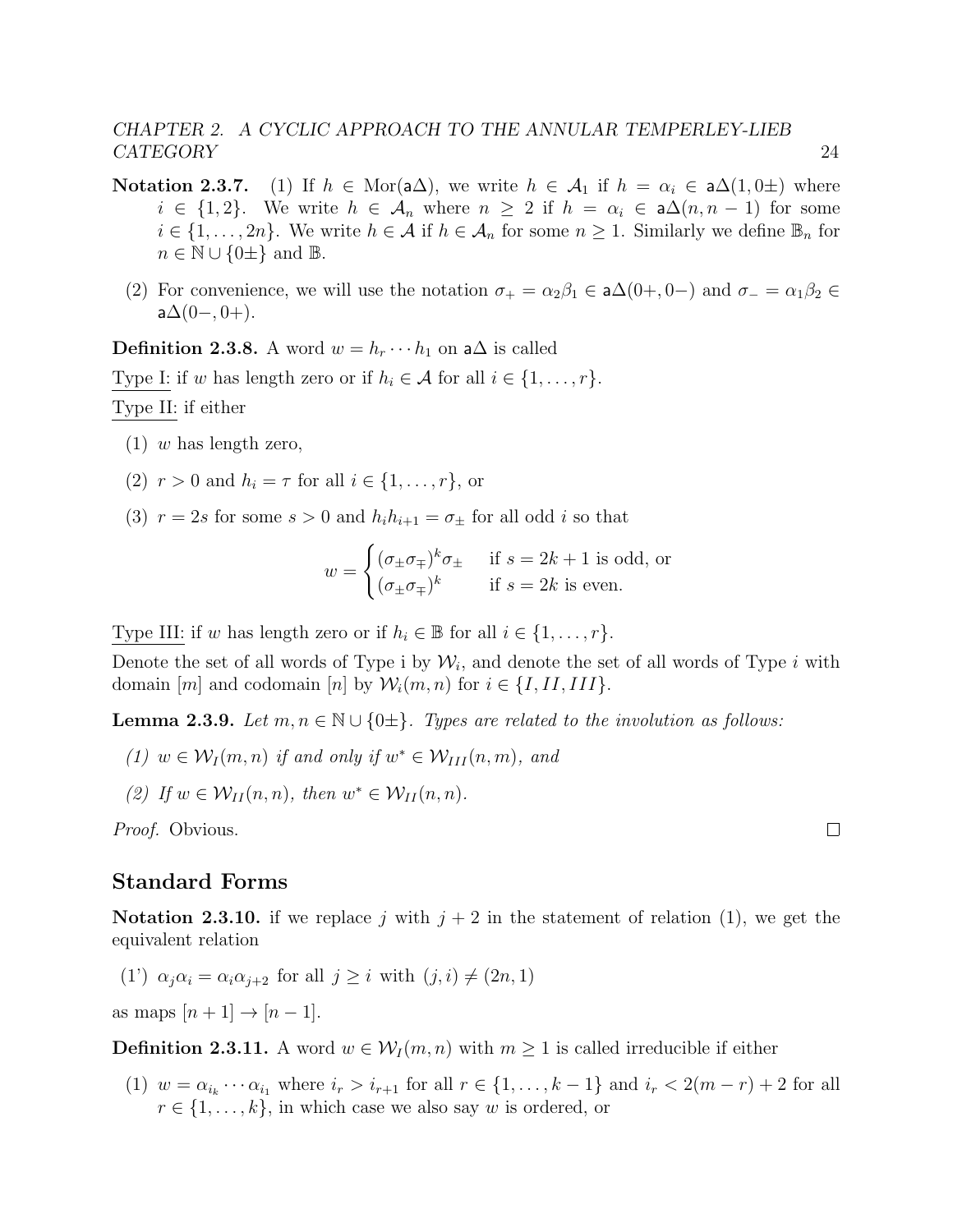- Notation 2.3.7. (1) If  $h \in \text{Mor}(\mathsf{a}\Delta)$ , we write  $h \in \mathcal{A}_1$  if  $h = \alpha_i \in \mathsf{a}\Delta(1, 0\pm)$  where  $i \in \{1,2\}$ . We write  $h \in \mathcal{A}_n$  where  $n \geq 2$  if  $h = \alpha_i \in \mathsf{a}\Delta(n,n-1)$  for some  $i \in \{1, \ldots, 2n\}$ . We write  $h \in \mathcal{A}$  if  $h \in \mathcal{A}_n$  for some  $n \geq 1$ . Similarly we define  $\mathbb{B}_n$  for  $n \in \mathbb{N} \cup \{0\pm\}$  and  $\mathbb{B}$ .
	- (2) For convenience, we will use the notation  $\sigma_+ = \alpha_2 \beta_1 \in \mathsf{a}\Delta(0+, 0-)$  and  $\sigma_- = \alpha_1 \beta_2 \in$  $a\Delta(0-,0+).$

**Definition 2.3.8.** A word  $w = h_r \cdots h_1$  on a $\Delta$  is called Type I: if w has length zero or if  $h_i \in \mathcal{A}$  for all  $i \in \{1, \ldots, r\}$ . Type II: if either

- $(1)$  w has length zero,
- (2)  $r > 0$  and  $h_i = \tau$  for all  $i \in \{1, \ldots, r\}$ , or
- (3)  $r = 2s$  for some  $s > 0$  and  $h_i h_{i+1} = \sigma_{\pm}$  for all odd i so that

$$
w = \begin{cases} (\sigma_{\pm}\sigma_{\mp})^k \sigma_{\pm} & \text{if } s = 2k + 1 \text{ is odd, or} \\ (\sigma_{\pm}\sigma_{\mp})^k & \text{if } s = 2k \text{ is even.} \end{cases}
$$

Type III: if w has length zero or if  $h_i \in \mathbb{B}$  for all  $i \in \{1, \ldots, r\}$ .

Denote the set of all words of Type i by  $\mathcal{W}_i$ , and denote the set of all words of Type i with domain  $[m]$  and codomain  $[n]$  by  $\mathcal{W}_i(m,n)$  for  $i \in \{I,II,III\}$ .

**Lemma 2.3.9.** Let  $m, n \in \mathbb{N} \cup \{0\pm\}$ . Types are related to the involution as follows:

- (1)  $w \in \mathcal{W}_I(m,n)$  if and only if  $w^* \in \mathcal{W}_{III}(n,m)$ , and
- (2) If  $w \in \mathcal{W}_{II}(n,n)$ , then  $w^* \in \mathcal{W}_{II}(n,n)$ .

Proof. Obvious.

#### Standard Forms

**Notation 2.3.10.** if we replace j with  $j + 2$  in the statement of relation (1), we get the equivalent relation

(1')  $\alpha_i \alpha_i = \alpha_i \alpha_{i+2}$  for all  $j > i$  with  $(j, i) \neq (2n, 1)$ 

as maps  $[n+1] \rightarrow [n-1]$ .

<span id="page-28-0"></span>**Definition 2.3.11.** A word  $w \in \mathcal{W}_I(m,n)$  with  $m \geq 1$  is called irreducible if either

(1)  $w = \alpha_{i_k} \cdots \alpha_{i_1}$  where  $i_r > i_{r+1}$  for all  $r \in \{1, \ldots, k-1\}$  and  $i_r < 2(m-r)+2$  for all  $r \in \{1, \ldots, k\}$ , in which case we also say w is ordered, or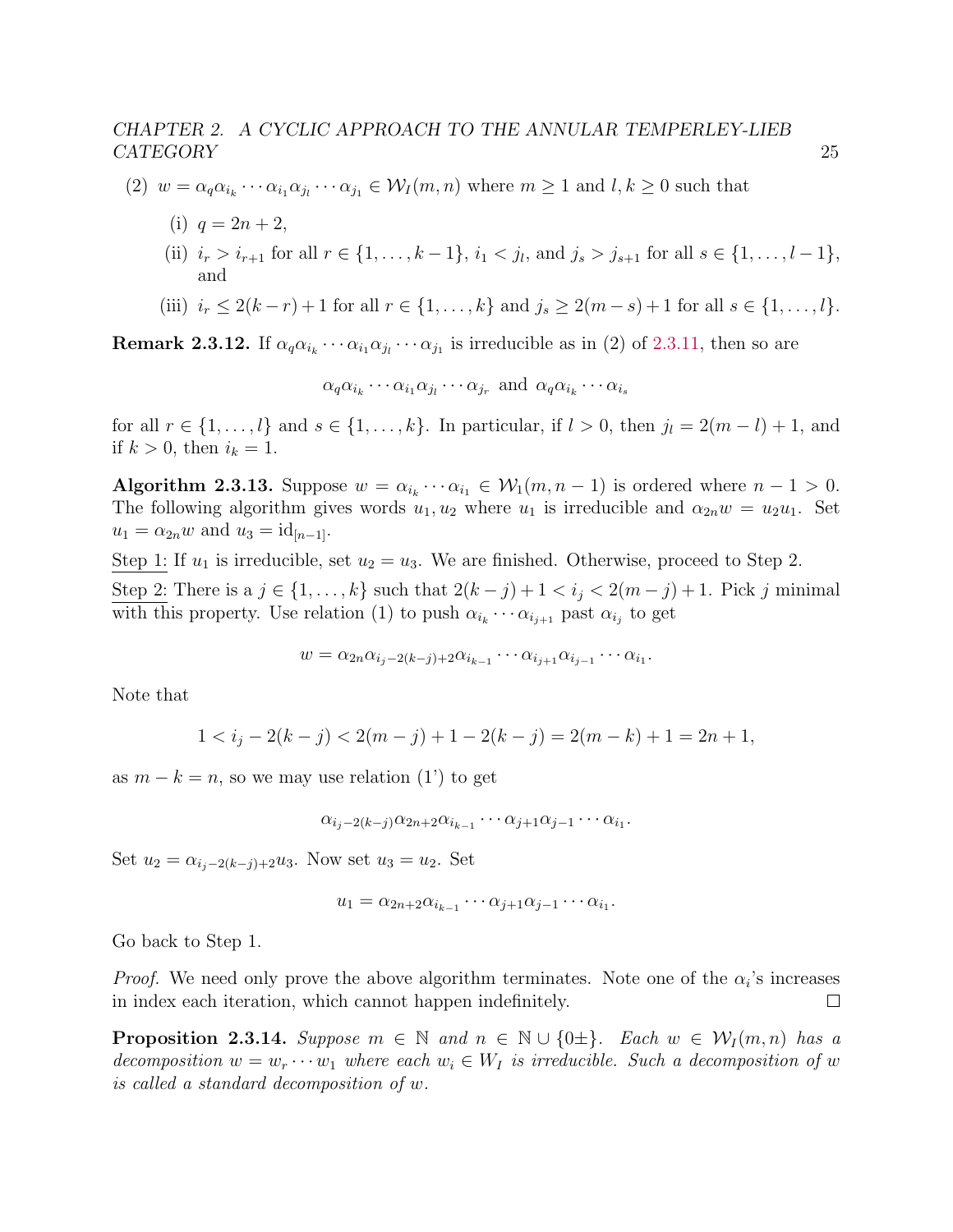- (2)  $w = \alpha_q \alpha_{i_k} \cdots \alpha_{i_1} \alpha_{j_1} \cdots \alpha_{j_1} \in \mathcal{W}_I(m,n)$  where  $m \ge 1$  and  $l, k \ge 0$  such that
	- (i)  $q = 2n + 2$ ,
	- (ii)  $i_r > i_{r+1}$  for all  $r \in \{1, ..., k-1\}$ ,  $i_1 < j_l$ , and  $j_s > j_{s+1}$  for all  $s \in \{1, ..., l-1\}$ , and
	- (iii)  $i_r \leq 2(k-r)+1$  for all  $r \in \{1,\ldots,k\}$  and  $j_s \geq 2(m-s)+1$  for all  $s \in \{1,\ldots,k\}$ .

**Remark 2.3.12.** If  $\alpha_q \alpha_{i_k} \cdots \alpha_{i_1} \alpha_{j_1} \cdots \alpha_{j_1}$  is irreducible as in (2) of [2.3.11,](#page-28-0) then so are

$$
\alpha_q \alpha_{i_k} \cdots \alpha_{i_1} \alpha_{j_l} \cdots \alpha_{j_r}
$$
 and  $\alpha_q \alpha_{i_k} \cdots \alpha_{i_s}$ 

for all  $r \in \{1, \ldots, l\}$  and  $s \in \{1, \ldots, k\}$ . In particular, if  $l > 0$ , then  $j_l = 2(m - l) + 1$ , and if  $k > 0$ , then  $i_k = 1$ .

<span id="page-29-0"></span>Algorithm 2.3.13. Suppose  $w = \alpha_{i_k} \cdots \alpha_{i_1} \in W_1(m, n-1)$  is ordered where  $n-1 > 0$ . The following algorithm gives words  $u_1, u_2$  where  $u_1$  is irreducible and  $\alpha_{2n}w = u_2u_1$ . Set  $u_1 = \alpha_{2n} w$  and  $u_3 = id_{[n-1]}$ .

Step 1: If  $u_1$  is irreducible, set  $u_2 = u_3$ . We are finished. Otherwise, proceed to Step 2.

Step 2: There is a  $j \in \{1, \ldots, k\}$  such that  $2(k-j)+1 < i_j < 2(m-j)+1$ . Pick j minimal with this property. Use relation (1) to push  $\alpha_{i_k} \cdots \alpha_{i_{j+1}}$  past  $\alpha_{i_j}$  to get

$$
w = \alpha_{2n} \alpha_{i_j-2(k-j)+2} \alpha_{i_{k-1}} \cdots \alpha_{i_{j+1}} \alpha_{i_{j-1}} \cdots \alpha_{i_1}.
$$

Note that

$$
1 < ij - 2(k - j) < 2(m - j) + 1 - 2(k - j) = 2(m - k) + 1 = 2n + 1,
$$

as  $m - k = n$ , so we may use relation (1') to get

$$
\alpha_{i_j-2(k-j)}\alpha_{2n+2}\alpha_{i_{k-1}}\cdots\alpha_{j+1}\alpha_{j-1}\cdots\alpha_{i_1}.
$$

Set  $u_2 = \alpha_{i_j-2(k-j)+2}u_3$ . Now set  $u_3 = u_2$ . Set

$$
u_1 = \alpha_{2n+2}\alpha_{i_{k-1}}\cdots\alpha_{j+1}\alpha_{j-1}\cdots\alpha_{i_1}.
$$

Go back to Step 1.

*Proof.* We need only prove the above algorithm terminates. Note one of the  $\alpha_i$ 's increases in index each iteration, which cannot happen indefinitely.  $\Box$ 

<span id="page-29-1"></span>**Proposition 2.3.14.** Suppose  $m \in \mathbb{N}$  and  $n \in \mathbb{N} \cup \{0\pm\}$ . Each  $w \in \mathcal{W}_I(m,n)$  has a decomposition  $w = w_r \cdots w_1$  where each  $w_i \in W_I$  is irreducible. Such a decomposition of w is called a standard decomposition of w.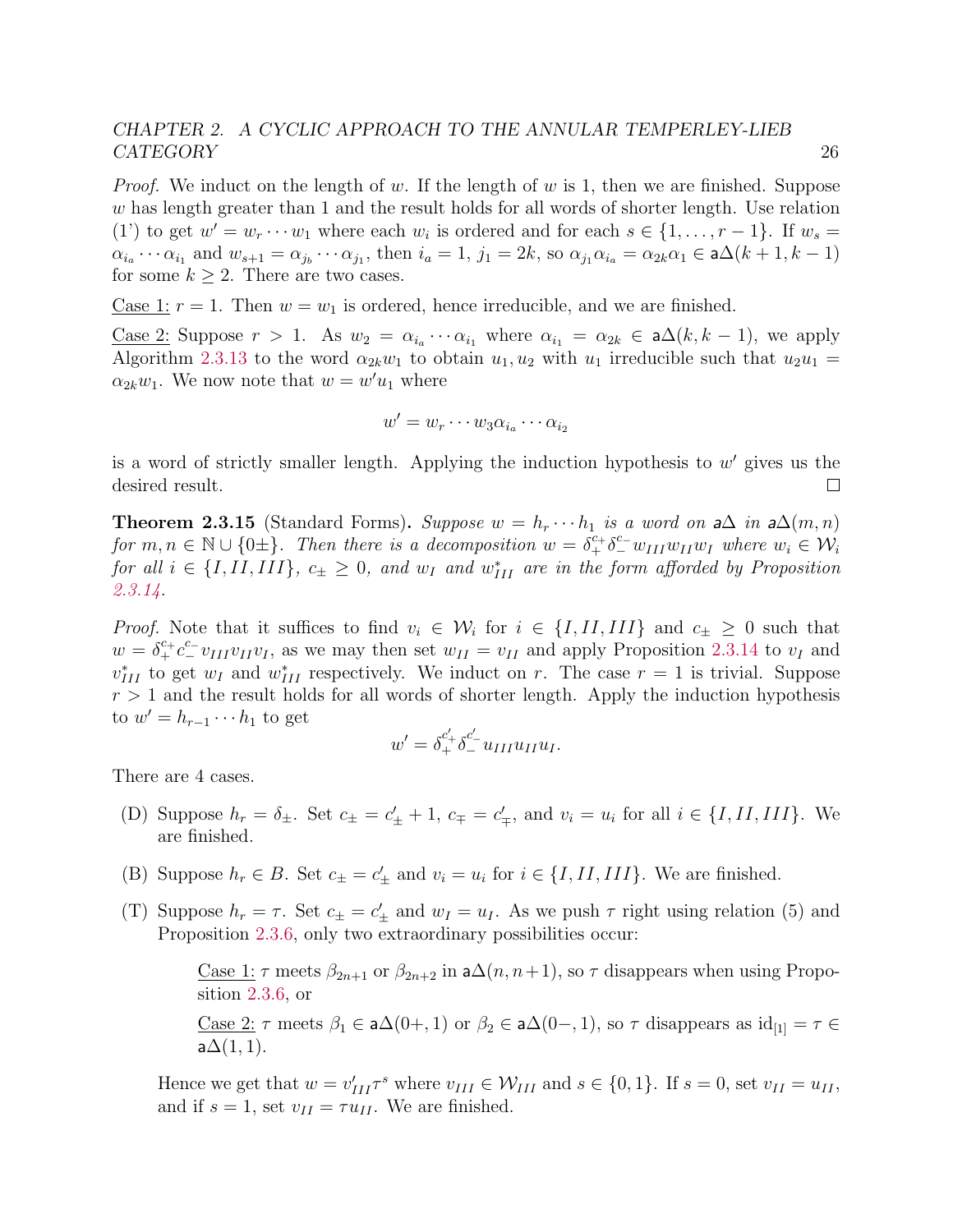*Proof.* We induct on the length of w. If the length of w is 1, then we are finished. Suppose w has length greater than 1 and the result holds for all words of shorter length. Use relation (1') to get  $w' = w_r \cdots w_1$  where each  $w_i$  is ordered and for each  $s \in \{1, \ldots, r-1\}$ . If  $w_s =$  $\alpha_{i_a} \cdots \alpha_{i_1}$  and  $w_{s+1} = \alpha_{j_b} \cdots \alpha_{j_1}$ , then  $i_a = 1$ ,  $j_1 = 2k$ , so  $\alpha_{j_1} \alpha_{i_a} = \alpha_{2k} \alpha_1 \in \mathsf{a}\Delta(k+1, k-1)$ for some  $k > 2$ . There are two cases.

Case 1:  $r = 1$ . Then  $w = w_1$  is ordered, hence irreducible, and we are finished.

<u>Case 2</u>: Suppose  $r > 1$ . As  $w_2 = \alpha_{i_a} \cdots \alpha_{i_1}$  where  $\alpha_{i_1} = \alpha_{2k} \in \mathsf{a}\Delta(k, k-1)$ , we apply Algorithm [2.3.13](#page-29-0) to the word  $\alpha_{2k}w_1$  to obtain  $u_1, u_2$  with  $u_1$  irreducible such that  $u_2u_1 =$  $\alpha_{2k}w_1$ . We now note that  $w = w'u_1$  where

$$
w' = w_r \cdots w_3 \alpha_{i_a} \cdots \alpha_{i_2}
$$

is a word of strictly smaller length. Applying the induction hypothesis to  $w'$  gives us the desired result.  $\Box$ 

<span id="page-30-0"></span>**Theorem 2.3.15** (Standard Forms). Suppose  $w = h_r \cdots h_1$  is a word on a $\Delta$  in a $\Delta(m, n)$ for  $m, n \in \mathbb{N} \cup \{0\pm\}$ . Then there is a decomposition  $w = \delta^{c_+}_{+} \delta^{c_-}_{-} w_{III} w_{II} w_I$  where  $w_i \in \mathcal{W}_i$ for all  $i \in \{I, II, III\}$ ,  $c_{\pm} \geq 0$ , and  $w_I$  and  $w_{III}^*$  are in the form afforded by Proposition [2.3.14.](#page-29-1)

*Proof.* Note that it suffices to find  $v_i \in W_i$  for  $i \in \{I, II, III\}$  and  $c_{\pm} \geq 0$  such that  $w = \delta_+^{c_+} c_-^{c_-} v_{III} v_{II} v_I$ , as we may then set  $w_{II} = v_{II}$  and apply Proposition [2.3.14](#page-29-1) to  $v_I$  and  $v_{III}^*$  to get  $w_I$  and  $w_{III}^*$  respectively. We induct on r. The case  $r = 1$  is trivial. Suppose  $r > 1$  and the result holds for all words of shorter length. Apply the induction hypothesis to  $w' = h_{r-1} \cdots h_1$  to get

$$
w' = \delta_+^{c'_+} \delta_-^{c'_-} u_{III} u_{II} u_I.
$$

There are 4 cases.

- (D) Suppose  $h_r = \delta_{\pm}$ . Set  $c_{\pm} = c'_{\pm} + 1$ ,  $c_{\mp} = c'_{\mp}$ , and  $v_i = u_i$  for all  $i \in \{I, II, III\}$ . We are finished.
- (B) Suppose  $h_r \in B$ . Set  $c_{\pm} = c'_{\pm}$  and  $v_i = u_i$  for  $i \in \{I, II, III\}$ . We are finished.
- (T) Suppose  $h_r = \tau$ . Set  $c_{\pm} = c'_{\pm}$  and  $w_I = u_I$ . As we push  $\tau$  right using relation (5) and Proposition [2.3.6,](#page-27-0) only two extraordinary possibilities occur:

Case 1:  $\tau$  meets  $\beta_{2n+1}$  or  $\beta_{2n+2}$  in  $a\Delta(n, n+1)$ , so  $\tau$  disappears when using Proposition [2.3.6,](#page-27-0) or

Case 2: 
$$
\tau
$$
 meets  $\beta_1 \in \mathsf{a}\Delta(0+,1)$  or  $\beta_2 \in \mathsf{a}\Delta(0-,1)$ , so  $\tau$  disappears as  $id_{[1]} = \tau \in \mathsf{a}\Delta(1,1)$ .

Hence we get that  $w = v'_{III} \tau^s$  where  $v_{III} \in \mathcal{W}_{III}$  and  $s \in \{0, 1\}$ . If  $s = 0$ , set  $v_{II} = u_{II}$ , and if  $s = 1$ , set  $v_{II} = \tau u_{II}$ . We are finished.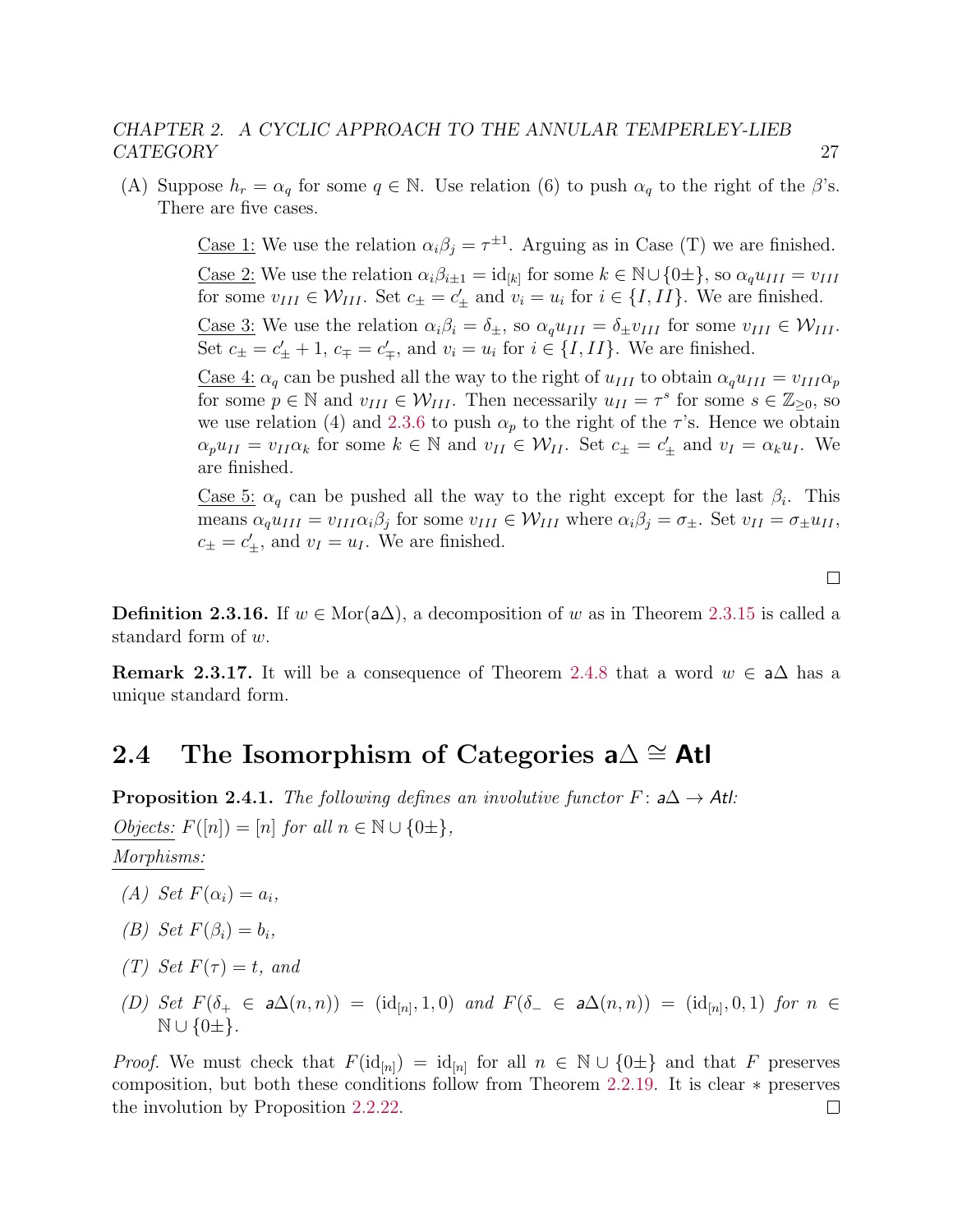(A) Suppose  $h_r = \alpha_q$  for some  $q \in \mathbb{N}$ . Use relation (6) to push  $\alpha_q$  to the right of the  $\beta$ 's. There are five cases.

> <u>Case 1</u>: We use the relation  $\alpha_i \beta_j = \tau^{\pm 1}$ . Arguing as in Case (T) we are finished. <u>Case 2:</u> We use the relation  $\alpha_i \beta_{i \pm 1} = id_{[k]}$  for some  $k \in \mathbb{N} \cup \{0 \pm \}$ , so  $\alpha_q u_{III} = v_{III}$ for some  $v_{III} \in \mathcal{W}_{III}$ . Set  $c_{\pm} = c'_{\pm}$  and  $v_i = u_i$  for  $i \in \{I, II\}$ . We are finished. Case 3: We use the relation  $\alpha_i \beta_i = \delta_{\pm}$ , so  $\alpha_a u_{III} = \delta_{\pm} v_{III}$  for some  $v_{III} \in \mathcal{W}_{III}$ . Set  $c_{\pm} = c_{\pm}' + 1$ ,  $c_{\mp} = c_{\mp}'$ , and  $v_i = u_i$  for  $i \in \{I, II\}$ . We are finished.

> <u>Case 4:</u>  $\alpha_q$  can be pushed all the way to the right of  $u_{III}$  to obtain  $\alpha_q u_{III} = v_{III} \alpha_p$ for some  $p \in \mathbb{N}$  and  $v_{III} \in \mathcal{W}_{III}$ . Then necessarily  $u_{II} = \tau^s$  for some  $s \in \mathbb{Z}_{\geq 0}$ , so we use relation (4) and [2.3.6](#page-27-0) to push  $\alpha_p$  to the right of the  $\tau$ 's. Hence we obtain  $\alpha_p u_{II} = v_{II} \alpha_k$  for some  $k \in \mathbb{N}$  and  $v_{II} \in \mathcal{W}_{II}$ . Set  $c_{\pm} = c'_{\pm}$  and  $v_I = \alpha_k u_I$ . We are finished.

> <u>Case 5:</u>  $\alpha_q$  can be pushed all the way to the right except for the last  $\beta_i$ . This means  $\alpha_q u_{III} = v_{III} \alpha_i \beta_j$  for some  $v_{III} \in W_{III}$  where  $\alpha_i \beta_j = \sigma_{\pm}$ . Set  $v_{II} = \sigma_{\pm} u_{II}$ ,  $c_{\pm} = c'_{\pm}$ , and  $v_I = u_I$ . We are finished.

> > $\Box$

**Definition 2.3.16.** If  $w \in \text{Mor}(\mathsf{a}\Delta)$ , a decomposition of w as in Theorem [2.3.15](#page-30-0) is called a standard form of w.

**Remark 2.3.17.** It will be a consequence of Theorem [2.4.8](#page-33-1) that a word  $w \in \mathsf{a}\Delta$  has a unique standard form.

# <span id="page-31-0"></span>2.4 The Isomorphism of Categories  $a\Delta \cong$  Atl

**Proposition 2.4.1.** The following defines an involutive functor  $F: a\Delta \rightarrow Atl$ : *Objects:*  $F([n]) = [n]$  for all  $n \in \mathbb{N} \cup \{0\pm\},\$ 

Morphisms:

- (A) Set  $F(\alpha_i) = a_i$ ,
- (B) Set  $F(\beta_i) = b_i$ ,
- (T) Set  $F(\tau) = t$ , and
- (D) Set  $F(\delta_+ \in a\Delta(n,n)) = (id_{[n]}, 1, 0)$  and  $F(\delta_- \in a\Delta(n,n)) = (id_{[n]}, 0, 1)$  for  $n \in$  $\mathbb{N} \cup \{0\pm\}.$

*Proof.* We must check that  $F(\mathrm{id}_{[n]}) = \mathrm{id}_{[n]}$  for all  $n \in \mathbb{N} \cup \{0\pm\}$  and that F preserves composition, but both these conditions follow from Theorem [2.2.19.](#page-17-0) It is clear ∗ preserves the involution by Proposition [2.2.22.](#page-18-0) $\Box$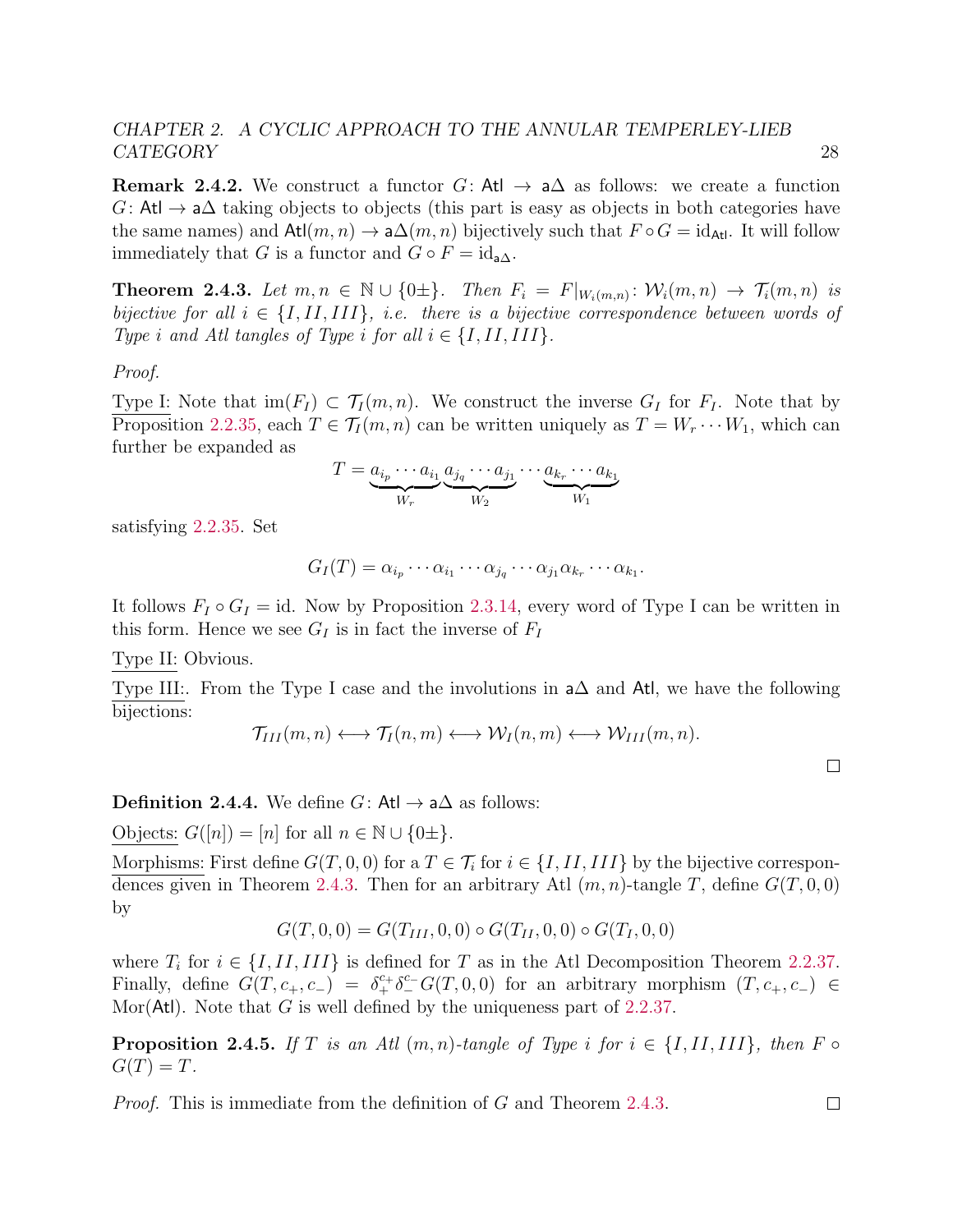**Remark 2.4.2.** We construct a functor  $G:$  At  $\rightarrow$  a $\Delta$  as follows: we create a function  $G:$  Atl  $\rightarrow$  a $\Delta$  taking objects to objects (this part is easy as objects in both categories have the same names) and  $\text{Atl}(m, n) \to \text{a}\Delta(m, n)$  bijectively such that  $F \circ G = \text{id}_{\text{Atl}}$ . It will follow immediately that G is a functor and  $G \circ F = id_{a\Delta}$ .

<span id="page-32-0"></span>**Theorem 2.4.3.** Let  $m, n \in \mathbb{N} \cup \{0\pm\}$ . Then  $F_i = F|_{W_i(m,n)} \colon \mathcal{W}_i(m,n) \to \mathcal{T}_i(m,n)$  is bijective for all  $i \in \{I, II, III\}$ , i.e. there is a bijective correspondence between words of Type i and Atl tangles of Type i for all  $i \in \{I, II, III\}$ .

Proof.

Type I: Note that  $\text{im}(F_I) \subset \mathcal{T}_I(m,n)$ . We construct the inverse  $G_I$  for  $F_I$ . Note that by Proposition [2.2.35,](#page-23-0) each  $T \in \mathcal{T}_I(m,n)$  can be written uniquely as  $T = W_r \cdots W_1$ , which can further be expanded as

$$
T = \underbrace{a_{i_p} \cdots a_{i_1}}_{W_r} \underbrace{a_{j_q} \cdots a_{j_1}}_{W_2} \cdots \underbrace{a_{k_r} \cdots a_{k_1}}_{W_1}
$$

satisfying [2.2.35.](#page-23-0) Set

$$
G_I(T) = \alpha_{i_p} \cdots \alpha_{i_1} \cdots \alpha_{j_q} \cdots \alpha_{j_1} \alpha_{k_r} \cdots \alpha_{k_1}.
$$

It follows  $F_I \circ G_I = id$ . Now by Proposition [2.3.14,](#page-29-1) every word of Type I can be written in this form. Hence we see  $G_I$  is in fact the inverse of  $F_I$ 

Type II: Obvious.

Type III:. From the Type I case and the involutions in a∆ and Atl, we have the following bijections:

$$
\mathcal{T}_{III}(m,n) \longleftrightarrow \mathcal{T}_{I}(n,m) \longleftrightarrow \mathcal{W}_{I}(n,m) \longleftrightarrow \mathcal{W}_{III}(m,n).
$$

 $\Box$ 

 $\Box$ 

**Definition 2.4.4.** We define  $G:$  Atl  $\rightarrow$  a $\Delta$  as follows:

Objects:  $G([n]) = [n]$  for all  $n \in \mathbb{N} \cup \{0 \pm \}.$ 

Morphisms: First define  $G(T, 0, 0)$  for a  $T \in \mathcal{T}_i$  for  $i \in \{I, II, III\}$  by the bijective correspon-dences given in Theorem [2.4.3.](#page-32-0) Then for an arbitrary Atl  $(m, n)$ -tangle T, define  $G(T, 0, 0)$ by

$$
G(T,0,0) = G(T_{III},0,0) \circ G(T_{II},0,0) \circ G(T_{I},0,0)
$$

where  $T_i$  for  $i \in \{I, II, III\}$  is defined for T as in the Atl Decomposition Theorem [2.2.37.](#page-24-0) Finally, define  $G(T, c_+, c_-) = \delta_+^{c_+} \delta_-^{c_-} G(T, 0, 0)$  for an arbitrary morphism  $(T, c_+, c_-) \in$ Mor(Atl). Note that G is well defined by the uniqueness part of [2.2.37.](#page-24-0)

**Proposition 2.4.5.** If T is an Atl  $(m, n)$ -tangle of Type i for  $i \in \{I, II, III\}$ , then F  $\circ$  $G(T) = T$ .

Proof. This is immediate from the definition of G and Theorem [2.4.3.](#page-32-0)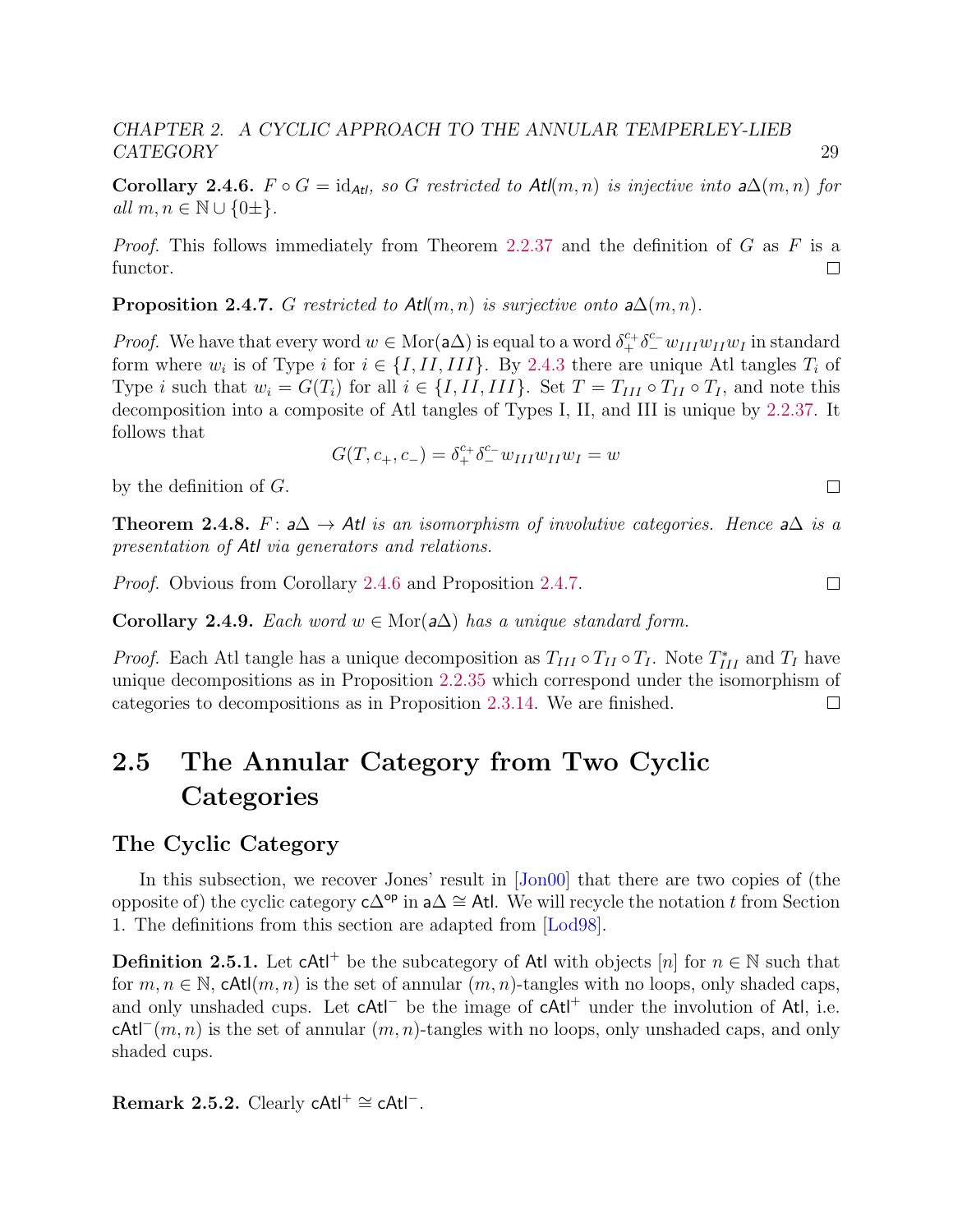<span id="page-33-3"></span>Corollary 2.4.6.  $F \circ G = id_{\text{Atl}}$ , so G restricted to Atl $(m, n)$  is injective into a $\Delta(m, n)$  for all  $m, n \in \mathbb{N} \cup \{0\pm\}.$ 

*Proof.* This follows immediately from Theorem [2.2.37](#page-24-0) and the definition of G as F is a functor.  $\Box$ 

<span id="page-33-4"></span>**Proposition 2.4.7.** G restricted to  $\text{At}(m, n)$  is surjective onto  $a\Delta(m, n)$ .

*Proof.* We have that every word  $w \in \text{Mor}(\mathsf{a}\Delta)$  is equal to a word  $\delta^{c_+}_+ \delta^{c_-}_- w_{III} w_{II} w_I$  in standard form where  $w_i$  is of Type i for  $i \in \{I, II, III\}$ . By [2.4.3](#page-32-0) there are unique Atl tangles  $T_i$  of Type i such that  $w_i = G(T_i)$  for all  $i \in \{I, II, III\}$ . Set  $T = T_{III} \circ T_{II} \circ T_I$ , and note this decomposition into a composite of Atl tangles of Types I, II, and III is unique by [2.2.37.](#page-24-0) It follows that

$$
G(T, c_{+}, c_{-}) = \delta_{+}^{c_{+}} \delta_{-}^{c_{-}} w_{III} w_{II} w_{I} = w
$$

by the definition of G.

<span id="page-33-1"></span>**Theorem 2.4.8.** F:  $a\Delta \rightarrow At$  is an isomorphism of involutive categories. Hence  $a\Delta$  is a presentation of Atl via generators and relations.

Proof. Obvious from Corollary [2.4.6](#page-33-3) and Proposition [2.4.7.](#page-33-4)

Corollary 2.4.9. Each word  $w \in \text{Mor}(\mathsf{a}\Delta)$  has a unique standard form.

*Proof.* Each Atl tangle has a unique decomposition as  $T_{III} \circ T_{II} \circ T_I$ . Note  $T_{III}^*$  and  $T_I$  have unique decompositions as in Proposition [2.2.35](#page-23-0) which correspond under the isomorphism of categories to decompositions as in Proposition [2.3.14.](#page-29-1) We are finished.  $\Box$ 

# <span id="page-33-0"></span>2.5 The Annular Category from Two Cyclic **Categories**

### <span id="page-33-2"></span>The Cyclic Category

In this subsection, we recover Jones' result in  $|Jon00|$  that there are two copies of (the opposite of) the cyclic category  $c\Delta^{\mathsf{op}}$  in  $a\Delta \cong$  Atl. We will recycle the notation t from Section 1. The definitions from this section are adapted from [\[Lod98\]](#page-142-7).

**Definition 2.5.1.** Let  $cAt^{\dagger}$  be the subcategory of Atl with objects [n] for  $n \in \mathbb{N}$  such that for  $m, n \in \mathbb{N}$ , cAtl $(m, n)$  is the set of annular  $(m, n)$ -tangles with no loops, only shaded caps, and only unshaded cups. Let cAtl<sup>-</sup> be the image of cAtl<sup>+</sup> under the involution of Atl, i.e.  $cAt<sup>−</sup>(m, n)$  is the set of annular  $(m, n)$ -tangles with no loops, only unshaded caps, and only shaded cups.

Remark 2.5.2. Clearly  $cAt<sup>+</sup> \cong cAt<sup>-</sup>$ .

 $\Box$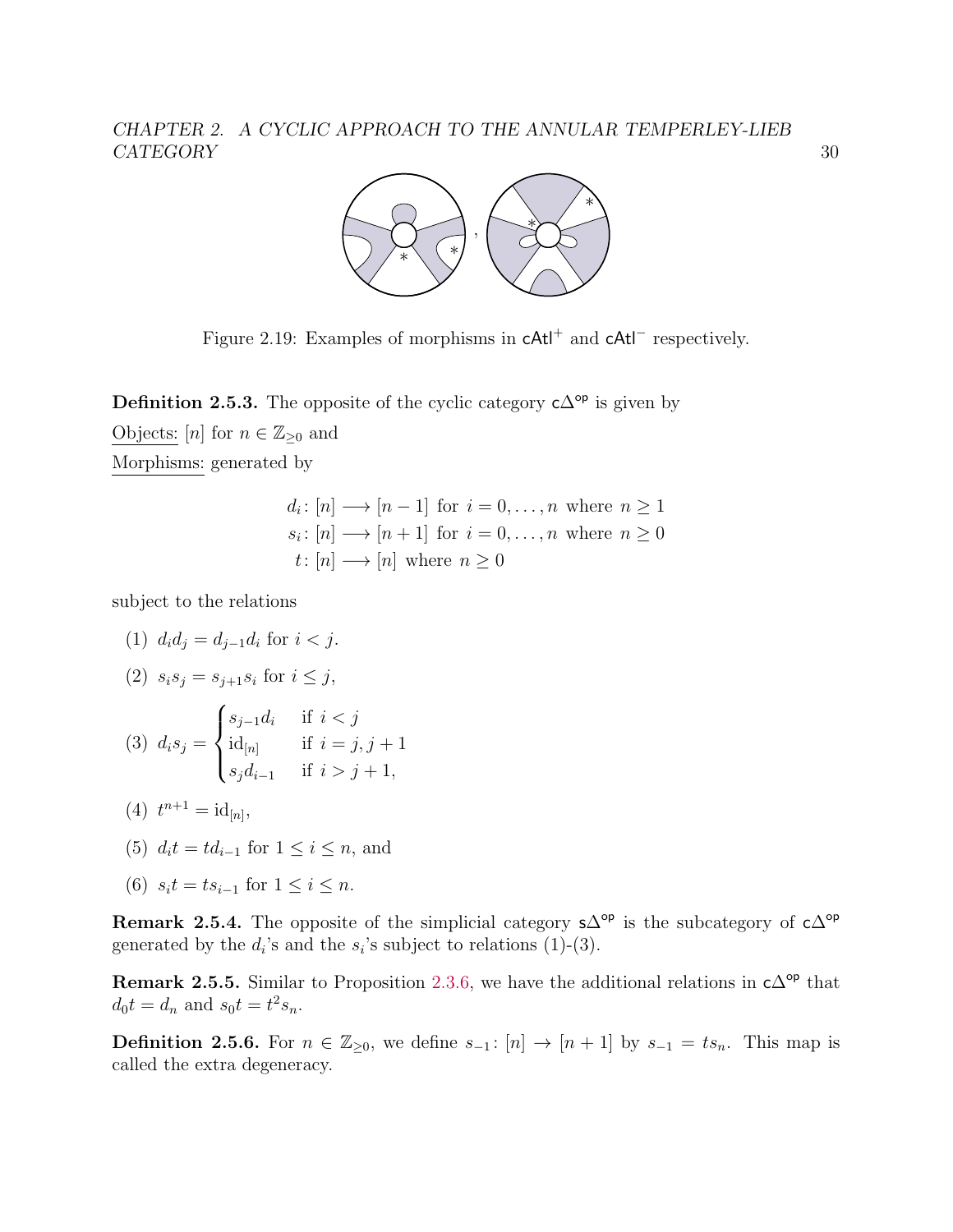

Figure 2.19: Examples of morphisms in  $cAt<sup>+</sup>$  and  $cAt<sup>-</sup>$  respectively.

**Definition 2.5.3.** The opposite of the cyclic category  $c\Delta^{op}$  is given by Objects:  $[n]$  for  $n \in \mathbb{Z}_{\geq 0}$  and Morphisms: generated by

> $d_i: [n] \longrightarrow [n-1]$  for  $i = 0, \ldots, n$  where  $n \geq 1$  $s_i: [n] \longrightarrow [n+1]$  for  $i = 0, \ldots, n$  where  $n \geq 0$  $t: [n] \longrightarrow [n]$  where  $n > 0$

subject to the relations

(1)  $d_i d_j = d_{j-1} d_i$  for  $i < j$ .

(2) 
$$
s_i s_j = s_{j+1} s_i
$$
 for  $i \leq j$ ,

(3) 
$$
d_i s_j = \begin{cases} s_{j-1} d_i & \text{if } i < j \\ \mathrm{id}_{[n]} & \text{if } i = j, j+1 \\ s_j d_{i-1} & \text{if } i > j+1, \end{cases}
$$

- (4)  $t^{n+1} = \mathrm{id}_{[n]},$
- (5)  $d_i t = t d_{i-1}$  for  $1 \leq i \leq n$ , and
- (6)  $s_it = ts_{i-1}$  for  $1 \le i \le n$ .

<span id="page-34-0"></span>**Remark 2.5.4.** The opposite of the simplicial category  $s\Delta^{op}$  is the subcategory of  $c\Delta^{op}$ generated by the  $d_i$ 's and the  $s_i$ 's subject to relations (1)-(3).

<span id="page-34-1"></span>Remark 2.5.5. Similar to Proposition [2.3.6,](#page-27-0) we have the additional relations in  $c\Delta^{op}$  that  $d_0 t = d_n$  and  $s_0 t = t^2 s_n$ .

**Definition 2.5.6.** For  $n \in \mathbb{Z}_{\geq 0}$ , we define  $s_{-1}$ :  $[n] \rightarrow [n+1]$  by  $s_{-1} = ts_n$ . This map is called the extra degeneracy.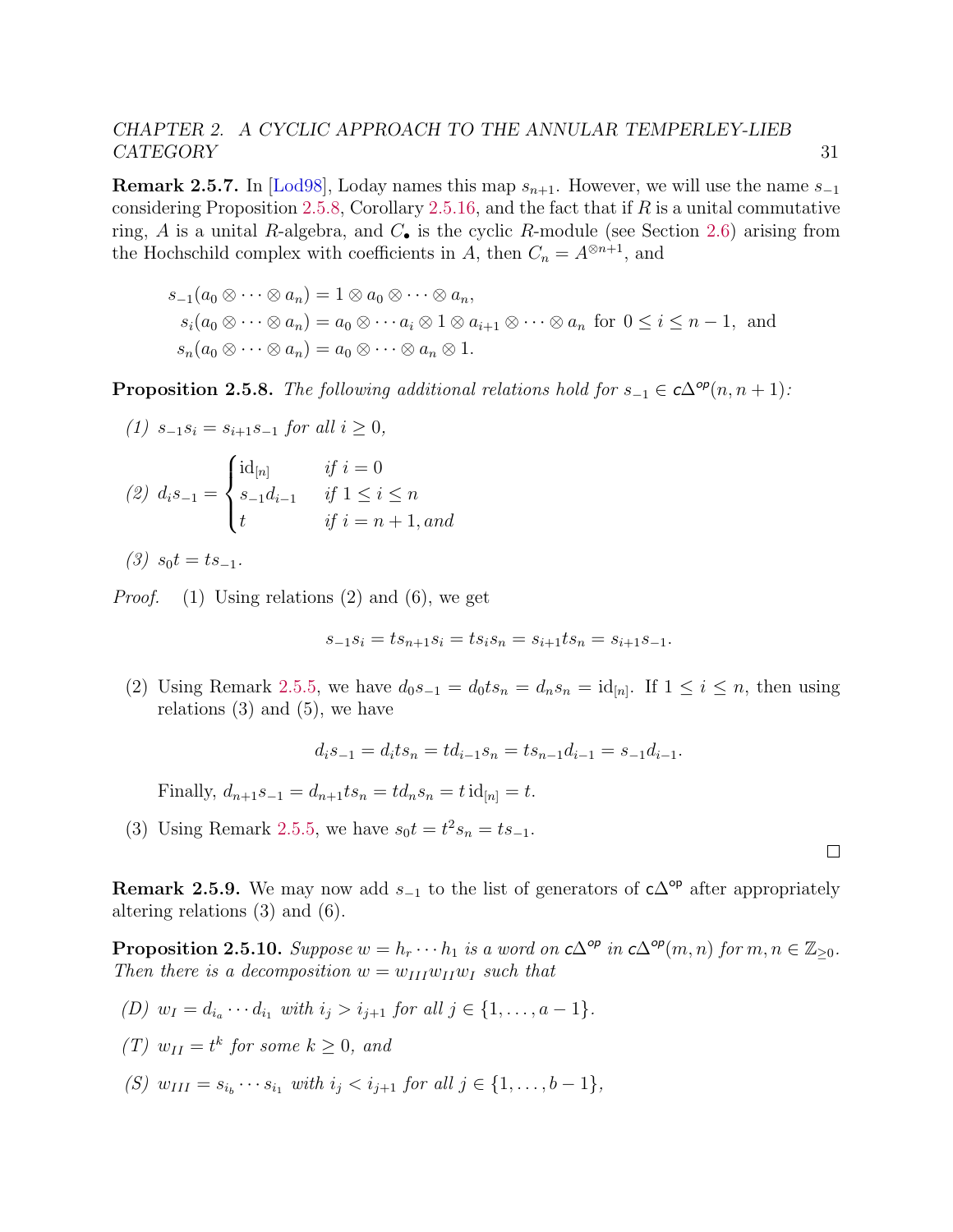**Remark 2.5.7.** In [\[Lod98\]](#page-142-7), Loday names this map  $s_{n+1}$ . However, we will use the name  $s_{-1}$ considering Proposition [2.5.8,](#page-35-0) Corollary [2.5.16,](#page-37-1) and the fact that if  $R$  is a unital commutative ring, A is a unital R-algebra, and  $C_{\bullet}$  is the cyclic R-module (see Section [2.6\)](#page-41-0) arising from the Hochschild complex with coefficients in A, then  $C_n = A^{\otimes n+1}$ , and

$$
s_{-1}(a_0 \otimes \cdots \otimes a_n) = 1 \otimes a_0 \otimes \cdots \otimes a_n,
$$
  
\n
$$
s_i(a_0 \otimes \cdots \otimes a_n) = a_0 \otimes \cdots a_i \otimes 1 \otimes a_{i+1} \otimes \cdots \otimes a_n \text{ for } 0 \le i \le n-1, \text{ and}
$$
  
\n
$$
s_n(a_0 \otimes \cdots \otimes a_n) = a_0 \otimes \cdots \otimes a_n \otimes 1.
$$

<span id="page-35-0"></span>**Proposition 2.5.8.** The following additional relations hold for  $s_{-1} \in c\Delta^{op}(n, n+1)$ :

(1) 
$$
s_{-1}s_i = s_{i+1}s_{-1}
$$
 for all  $i \ge 0$ ,  
\n(2)  $d_i s_{-1} = \begin{cases} id_{[n]} & \text{if } i = 0 \\ s_{-1}d_{i-1} & \text{if } 1 \le i \le n \\ t & \text{if } i = n+1, \text{and} \end{cases}$ 

 $(3)$  s<sub>0</sub>t = ts<sub>-1</sub>.

*Proof.* (1) Using relations (2) and (6), we get

$$
s_{-1}s_i = ts_{n+1}s_i = ts_is_n = s_{i+1}ts_n = s_{i+1}s_{-1}.
$$

(2) Using Remark [2.5.5,](#page-34-1) we have  $d_0s_{-1} = d_0ts_n = d_ns_n = id_{[n]}$ . If  $1 \le i \le n$ , then using relations  $(3)$  and  $(5)$ , we have

$$
d_i s_{-1} = d_i t s_n = t d_{i-1} s_n = t s_{n-1} d_{i-1} = s_{-1} d_{i-1}.
$$

Finally,  $d_{n+1}s_{-1} = d_{n+1}ts_n = td_ns_n = t \mathrm{id}_{[n]} = t.$ 

(3) Using Remark [2.5.5,](#page-34-1) we have  $s_0 t = t^2 s_n = t s_{-1}$ .

**Remark 2.5.9.** We may now add  $s_{-1}$  to the list of generators of  $c\Delta^{op}$  after appropriately altering relations (3) and (6).

**Proposition 2.5.10.** Suppose  $w = h_r \cdots h_1$  is a word on  $c\Delta^{op}$  in  $c\Delta^{op}(m, n)$  for  $m, n \in \mathbb{Z}_{\geq 0}$ . Then there is a decomposition  $w = w_{III}w_{II}w_I$  such that

- (D)  $w_I = d_{i_a} \cdots d_{i_1}$  with  $i_j > i_{j+1}$  for all  $j \in \{1, ..., a-1\}$ .
- (T)  $w_{II} = t^k$  for some  $k \geq 0$ , and
- (S)  $w_{III} = s_{i_b} \cdots s_{i_1}$  with  $i_j < i_{j+1}$  for all  $j \in \{1, ..., b-1\}$ ,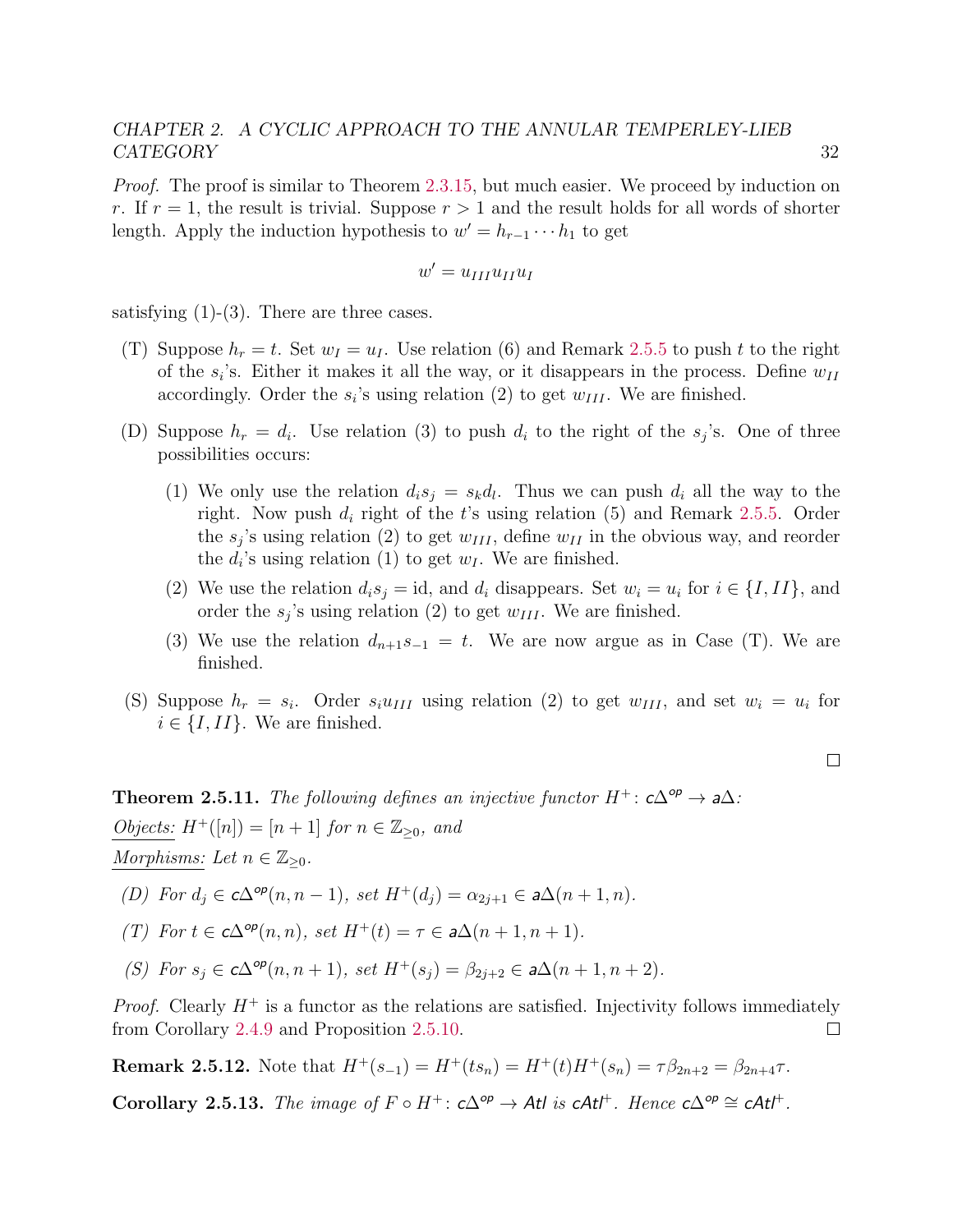Proof. The proof is similar to Theorem [2.3.15,](#page-30-0) but much easier. We proceed by induction on r. If  $r = 1$ , the result is trivial. Suppose  $r > 1$  and the result holds for all words of shorter length. Apply the induction hypothesis to  $w' = h_{r-1} \cdots h_1$  to get

$$
w' = u_{III} u_{II} u_I
$$

satisfying  $(1)-(3)$ . There are three cases.

- (T) Suppose  $h_r = t$ . Set  $w_l = u_l$ . Use relation (6) and Remark [2.5.5](#page-34-0) to push t to the right of the  $s_i$ 's. Either it makes it all the way, or it disappears in the process. Define  $w_{II}$ accordingly. Order the  $s_i$ 's using relation (2) to get  $w_{III}$ . We are finished.
- (D) Suppose  $h_r = d_i$ . Use relation (3) to push  $d_i$  to the right of the  $s_j$ 's. One of three possibilities occurs:
	- (1) We only use the relation  $d_i s_j = s_k d_l$ . Thus we can push  $d_i$  all the way to the right. Now push  $d_i$  right of the t's using relation (5) and Remark [2.5.5.](#page-34-0) Order the  $s_j$ 's using relation (2) to get  $w_{III}$ , define  $w_{II}$  in the obvious way, and reorder the  $d_i$ 's using relation (1) to get  $w_I$ . We are finished.
	- (2) We use the relation  $d_i s_j = id$ , and  $d_i$  disappears. Set  $w_i = u_i$  for  $i \in \{I, II\}$ , and order the  $s_j$ 's using relation (2) to get  $w_{III}$ . We are finished.
	- (3) We use the relation  $d_{n+1}s_{-1} = t$ . We are now argue as in Case (T). We are finished.
- (S) Suppose  $h_r = s_i$ . Order  $s_i u_{III}$  using relation (2) to get  $w_{III}$ , and set  $w_i = u_i$  for  $i \in \{I, II\}$ . We are finished.

**Theorem 2.5.11.** The following defines an injective functor  $H^+$ :  $c\Delta^{op} \to a\Delta$ : Objects:  $H^+([n]) = [n+1]$  for  $n \in \mathbb{Z}_{\geq 0}$ , and Morphisms: Let  $n \in \mathbb{Z}_{\geq 0}$ .

(D) For  $d_j \in c\Delta^{op}(n, n-1)$ , set  $H^+(d_j) = \alpha_{2j+1} \in a\Delta(n+1, n)$ .

(T) For 
$$
t \in c\Delta^{op}(n, n)
$$
, set  $H^+(t) = \tau \in a\Delta(n+1, n+1)$ .

(S) For 
$$
s_j \in c\Delta^{op}(n, n+1)
$$
, set  $H^+(s_j) = \beta_{2j+2} \in a\Delta(n+1, n+2)$ .

*Proof.* Clearly  $H^+$  is a functor as the relations are satisfied. Injectivity follows immediately from Corollary [2.4.9](#page-33-0) and Proposition [2.5.10.](#page-35-0)  $\Box$ 

**Remark 2.5.12.** Note that  $H^+(s_{-1}) = H^+(ts_n) = H^+(t)H^+(s_n) = \tau \beta_{2n+2} = \beta_{2n+4}\tau$ .

Corollary 2.5.13. The image of  $F \circ H^+$ :  $c\Delta^{op} \to Atl$  is  $cAtl^+$ . Hence  $c\Delta^{op} \cong cAtl^+$ .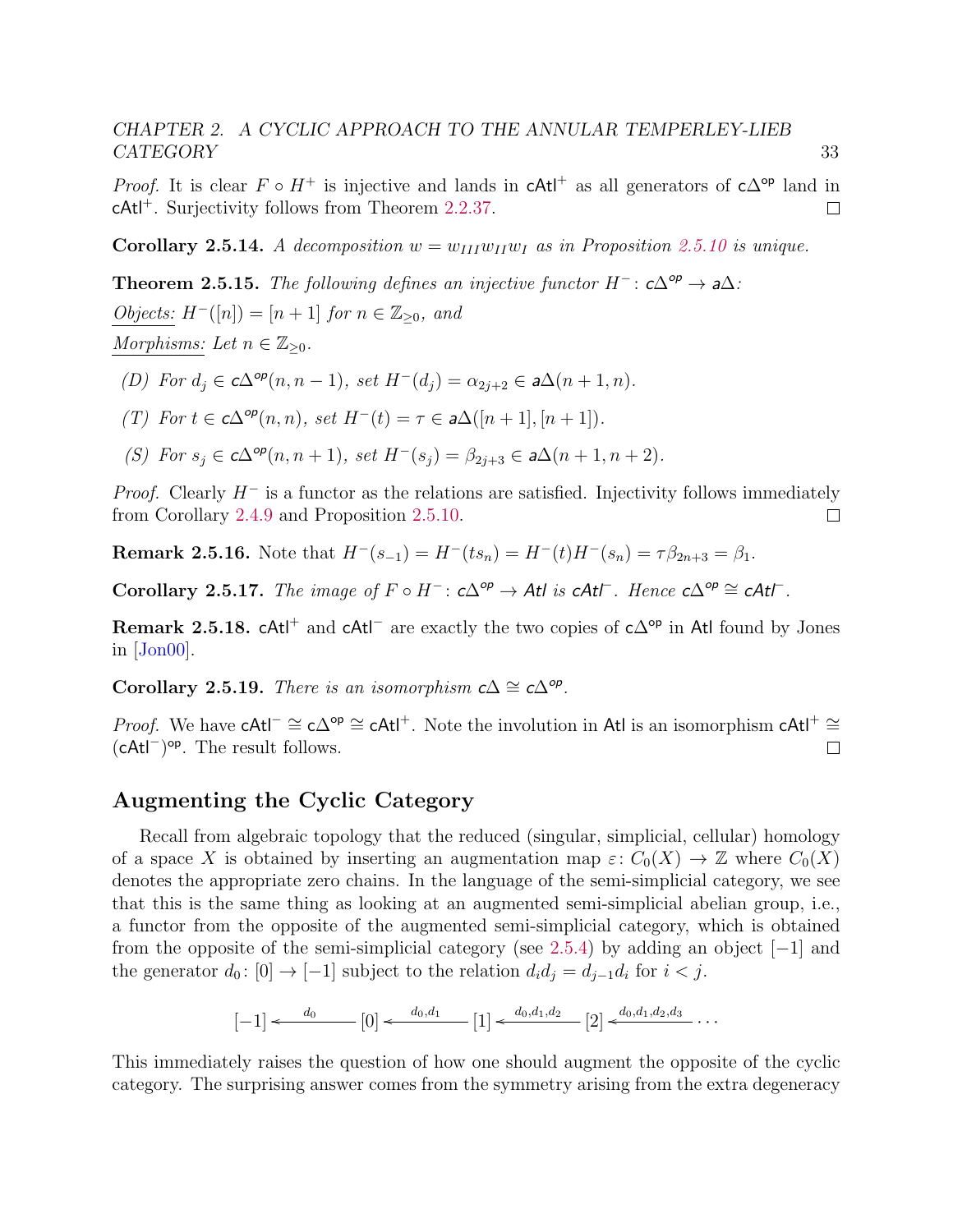*Proof.* It is clear  $F \circ H^+$  is injective and lands in cAtl<sup>+</sup> as all generators of c $\Delta^{op}$  land in cAtl<sup>+</sup>. Surjectivity follows from Theorem [2.2.37.](#page-24-0)  $\Box$ 

**Corollary 2.5.14.** A decomposition  $w = w_{III}w_{II}w_I$  as in Proposition [2.5.10](#page-35-0) is unique.

**Theorem 2.5.15.** The following defines an injective functor  $H^-$ :  $c\Delta^{op} \to a\Delta$ : *Objects:*  $H^{-}([n]) = [n+1]$  *for*  $n \in \mathbb{Z}_{\geq 0}$ *, and* Morphisms: Let  $n \in \mathbb{Z}_{\geq 0}$ .

- (D) For  $d_j \in c\Delta^{op}(n, n-1)$ , set  $H^-(d_j) = \alpha_{2j+2} \in a\Delta(n+1, n)$ .
- (T) For  $t \in c\Delta^{op}(n,n)$ , set  $H^-(t) = \tau \in a\Delta([n+1], [n+1])$ .
- (S) For  $s_j \in c\Delta^{op}(n, n+1)$ , set  $H^-(s_j) = \beta_{2j+3} \in a\Delta(n+1, n+2)$ .

*Proof.* Clearly  $H^-$  is a functor as the relations are satisfied. Injectivity follows immediately from Corollary [2.4.9](#page-33-0) and Proposition [2.5.10.](#page-35-0)  $\Box$ 

**Remark 2.5.16.** Note that  $H^{-}(s_{-1}) = H^{-}(ts_{n}) = H^{-}(t)H^{-}(s_{n}) = \tau \beta_{2n+3} = \beta_1$ .

Corollary 2.5.17. The image of  $F \circ H^-$ :  $c\Delta^{op} \to Atl$  is  $cAt\Gamma$ . Hence  $c\Delta^{op} \cong cAt\Gamma$ .

Remark 2.5.18. cAt<sup> $\pm$ </sup> and cAt<sup> $\pm$ </sup> are exactly the two copies of c∆<sup>op</sup> in Atl found by Jones in [\[Jon00\]](#page-141-0).

Corollary 2.5.19. There is an isomorphism  $c\Delta \cong c\Delta^{op}$ .

*Proof.* We have cAtl<sup>-</sup>  $\cong$  c $\Delta^{op} \cong$  cAtl<sup>+</sup>. Note the involution in Atl is an isomorphism cAtl<sup>+</sup>  $\cong$ (cAtl<sup>−</sup> ) op. The result follows.  $\Box$ 

#### <span id="page-37-0"></span>Augmenting the Cyclic Category

Recall from algebraic topology that the reduced (singular, simplicial, cellular) homology of a space X is obtained by inserting an augmentation map  $\varepsilon: C_0(X) \to \mathbb{Z}$  where  $C_0(X)$ denotes the appropriate zero chains. In the language of the semi-simplicial category, we see that this is the same thing as looking at an augmented semi-simplicial abelian group, i.e., a functor from the opposite of the augmented semi-simplicial category, which is obtained from the opposite of the semi-simplicial category (see [2.5.4\)](#page-34-1) by adding an object  $[-1]$  and the generator  $d_0: [0] \to [-1]$  subject to the relation  $d_i d_j = d_{j-1} d_i$  for  $i < j$ .

$$
[-1] \leftarrow \begin{array}{c} d_0 \qquad [0] \leftarrow \begin{array}{c} d_0, d_1 \end{array} \begin{array}{c} 1 \end{array} \right] \leftarrow \begin{array}{c} d_0, d_1, d_2 \end{array} \begin{array}{c} 2 \end{array} \right] \leftarrow \begin{array}{c} d_0, d_1, d_2, d_3 \end{array} \cdots
$$

This immediately raises the question of how one should augment the opposite of the cyclic category. The surprising answer comes from the symmetry arising from the extra degeneracy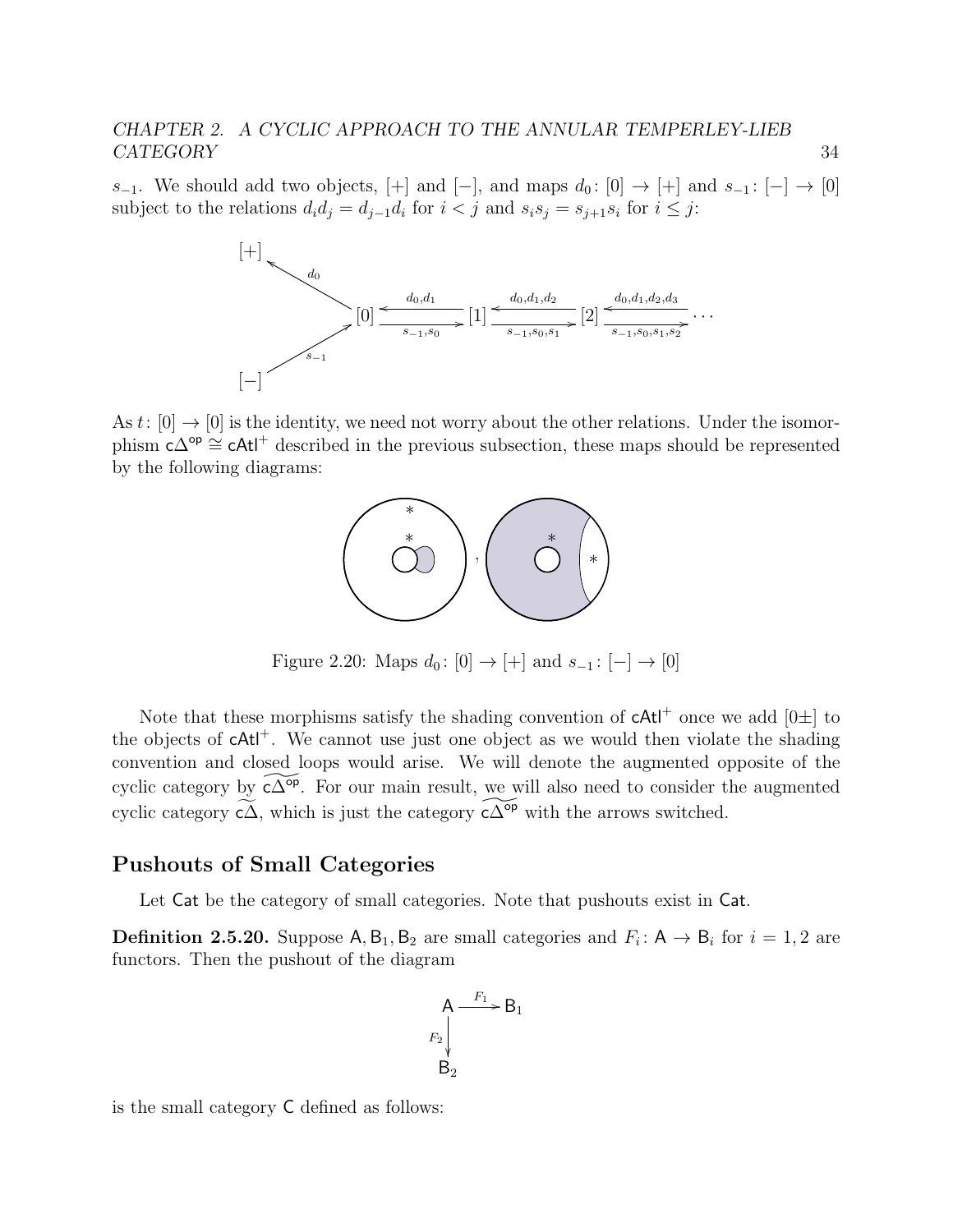s<sub>−1</sub>. We should add two objects, [+] and [−], and maps  $d_0: [0] \rightarrow [+]$  and  $s_{-1}: [-] \rightarrow [0]$ subject to the relations  $d_i d_j = d_{j-1} d_i$  for  $i < j$  and  $s_i s_j = s_{j+1} s_i$  for  $i \leq j$ :



As t:  $[0] \rightarrow [0]$  is the identity, we need not worry about the other relations. Under the isomorphism  $c\Delta^{op} \cong cAt$ <sup>+</sup> described in the previous subsection, these maps should be represented by the following diagrams:



Figure 2.20: Maps  $d_0: [0] \to [+]$  and  $s_{-1}: [-] \to [0]$ 

Note that these morphisms satisfy the shading convention of  $cAt<sup>+</sup>$  once we add  $[0\pm]$  to the objects of  $cAt^+$ . We cannot use just one object as we would then violate the shading convention and closed loops would arise. We will denote the augmented opposite of the cyclic category by  $\widetilde{c\Delta^{op}}$ . For our main result, we will also need to consider the augmented cyclic category  $\tilde{c}\tilde{\Delta}$ , which is just the category  $\tilde{c}\tilde{\Delta}^{\circ p}$  with the arrows switched.

#### Pushouts of Small Categories

Let Cat be the category of small categories. Note that pushouts exist in Cat.

**Definition 2.5.20.** Suppose  $A, B_1, B_2$  are small categories and  $F_i: A \rightarrow B_i$  for  $i = 1, 2$  are functors. Then the pushout of the diagram

$$
\begin{array}{c}\nA \xrightarrow{F_1} B_1 \\
F_2 \downarrow \\
B_2\n\end{array}
$$

is the small category C defined as follows: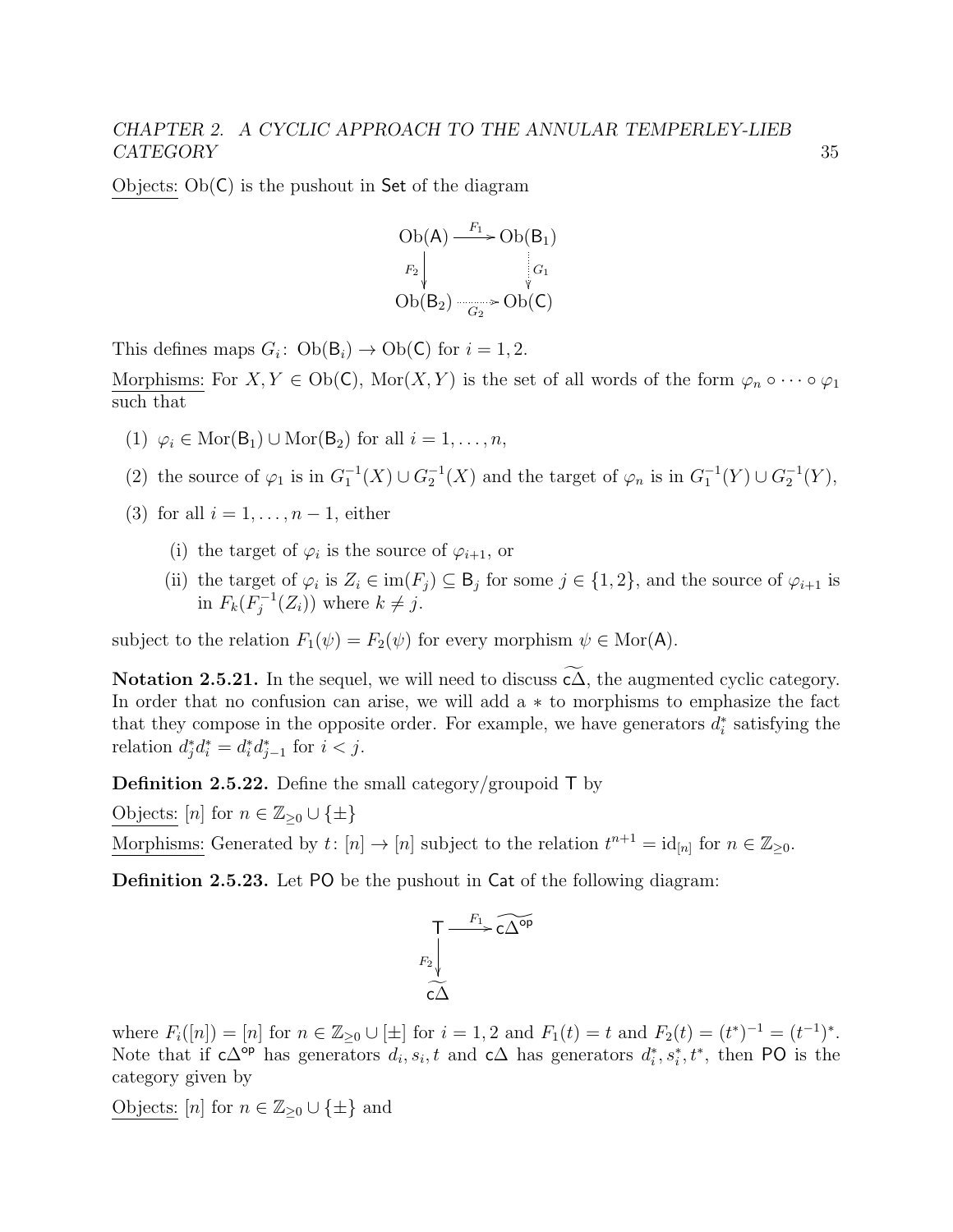Objects:  $Ob(C)$  is the pushout in Set of the diagram

$$
\begin{array}{c}\n\text{Ob}(A) \xrightarrow{F_1} \text{Ob}(B_1) \\
\downarrow F_2 \downarrow \\
\text{Ob}(B_2) \xrightarrow[ G_2]{} \text{Ob}(C)\n\end{array}
$$

This defines maps  $G_i$ :  $Ob(B_i) \rightarrow Ob(C)$  for  $i = 1, 2$ .

Morphisms: For  $X, Y \in Ob(\mathsf{C})$ , Mor $(X, Y)$  is the set of all words of the form  $\varphi_n \circ \cdots \circ \varphi_1$ such that

- (1)  $\varphi_i \in \text{Mor}(\mathsf{B}_1) \cup \text{Mor}(\mathsf{B}_2)$  for all  $i = 1, \ldots, n$ ,
- (2) the source of  $\varphi_1$  is in  $G_1^{-1}(X) \cup G_2^{-1}(X)$  and the target of  $\varphi_n$  is in  $G_1^{-1}(Y) \cup G_2^{-1}(Y)$ ,
- (3) for all  $i = 1, \ldots, n-1$ , either
	- (i) the target of  $\varphi_i$  is the source of  $\varphi_{i+1}$ , or
	- (ii) the target of  $\varphi_i$  is  $Z_i \in \text{im}(F_j) \subseteq \mathsf{B}_j$  for some  $j \in \{1,2\}$ , and the source of  $\varphi_{i+1}$  is in  $F_k(F_i^{-1})$  $j^{-1}(Z_i)$  where  $k \neq j$ .

subject to the relation  $F_1(\psi) = F_2(\psi)$  for every morphism  $\psi \in \text{Mor}(\mathsf{A})$ .

Notation 2.5.21. In the sequel, we will need to discuss  $\widetilde{c}\widetilde{\Delta}$ , the augmented cyclic category. In order that no confusion can arise, we will add a ∗ to morphisms to emphasize the fact that they compose in the opposite order. For example, we have generators  $d_i^*$  satisfying the relation  $d_j^* d_i^* = d_i^* d_{j-1}^*$  for  $i < j$ .

**Definition 2.5.22.** Define the small category/groupoid  $\mathsf{T}$  by

Objects:  $[n]$  for  $n \in \mathbb{Z}_{\geq 0} \cup \{\pm\}$ 

Morphisms: Generated by  $t: [n] \to [n]$  subject to the relation  $t^{n+1} = id_{[n]}$  for  $n \in \mathbb{Z}_{\geq 0}$ .

Definition 2.5.23. Let PO be the pushout in Cat of the following diagram:

$$
\begin{array}{ccc}\nT & \xrightarrow{F_1} & \widetilde{c\Delta^{op}} \\
F_2 & & \\
\widetilde{c\Delta}\n\end{array}
$$

where  $F_i([n]) = [n]$  for  $n \in \mathbb{Z}_{\geq 0} \cup [\pm]$  for  $i = 1, 2$  and  $F_1(t) = t$  and  $F_2(t) = (t^*)^{-1} = (t^{-1})^*$ . Note that if  $c\Delta^{op}$  has generators  $d_i, s_i, t$  and  $c\Delta$  has generators  $d_i^*, s_i^*, t^*$ , then PO is the category given by

Objects:  $[n]$  for  $n \in \mathbb{Z}_{\geq 0} \cup \{\pm\}$  and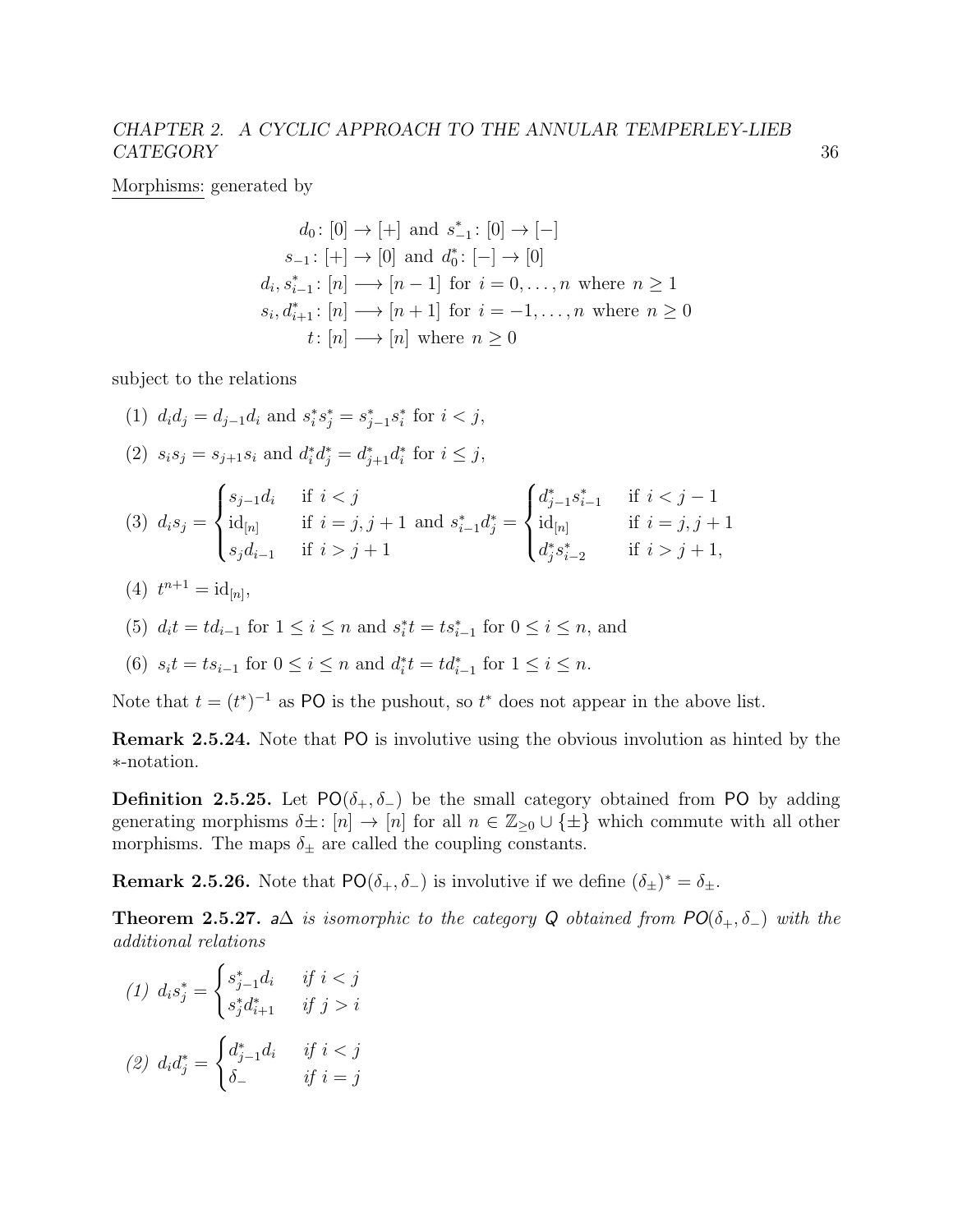Morphisms: generated by

$$
d_0: [0] \to [+]
$$
 and  $s_{-1}^*: [0] \to [-]$   
\n
$$
s_{-1}: [+] \to [0]
$$
 and  $d_0^*: [-] \to [0]$   
\n
$$
d_i, s_{i-1}^*: [n] \longrightarrow [n-1]
$$
 for  $i = 0, \ldots, n$  where  $n \ge 1$   
\n
$$
s_i, d_{i+1}^*: [n] \longrightarrow [n+1]
$$
 for  $i = -1, \ldots, n$  where  $n \ge 0$   
\n
$$
t: [n] \longrightarrow [n]
$$
 where  $n \ge 0$ 

subject to the relations

(1)  $d_i d_j = d_{j-1} d_i$  and  $s_i^* s_j^* = s_{j-1}^* s_i^*$  for  $i < j$ , (2)  $s_i s_j = s_{j+1} s_i$  and  $d_i^* d_j^* = d_{j+1}^* d_i^*$  for  $i \leq j$ ,

$$
(3) \ d_i s_j = \begin{cases} s_{j-1} d_i & \text{if } i < j \\ \mathrm{id}_{[n]} & \text{if } i = j, j+1 \\ s_j d_{i-1} & \text{if } i > j+1 \end{cases} \text{ and } s_{i-1}^* d_j^* = \begin{cases} d_{j-1}^* s_{i-1}^* & \text{if } i < j-1 \\ \mathrm{id}_{[n]} & \text{if } i = j, j+1 \\ d_j^* s_{i-2}^* & \text{if } i > j+1, \end{cases}
$$

- (4)  $t^{n+1} = \mathrm{id}_{[n]},$
- (5)  $d_i t = t d_{i-1}$  for  $1 \le i \le n$  and  $s_i^* t = t s_{i-1}^*$  for  $0 \le i \le n$ , and

(6) 
$$
s_i t = t s_{i-1}
$$
 for  $0 \le i \le n$  and  $d_i^* t = t d_{i-1}^*$  for  $1 \le i \le n$ .

Note that  $t = (t^*)^{-1}$  as PO is the pushout, so  $t^*$  does not appear in the above list.

Remark 2.5.24. Note that PO is involutive using the obvious involution as hinted by the ∗-notation.

**Definition 2.5.25.** Let  $PO(\delta_+, \delta_-)$  be the small category obtained from PO by adding generating morphisms  $\delta \pm : [n] \to [n]$  for all  $n \in \mathbb{Z}_{\geq 0} \cup \{\pm\}$  which commute with all other morphisms. The maps  $\delta_\pm$  are called the coupling constants.

**Remark 2.5.26.** Note that  $PO(\delta_+, \delta_-)$  is involutive if we define  $(\delta_{\pm})^* = \delta_{\pm}$ .

**Theorem 2.5.27.** a $\Delta$  is isomorphic to the category Q obtained from  $PO(\delta_+, \delta_-)$  with the additional relations

(1) 
$$
d_i s_j^* = \begin{cases} s_{j-1}^* d_i & \text{if } i < j \\ s_j^* d_{i+1}^* & \text{if } j > i \end{cases}
$$
  
\n(2)  $d_i d_j^* = \begin{cases} d_{j-1}^* d_i & \text{if } i < j \\ \delta_- & \text{if } i = j \end{cases}$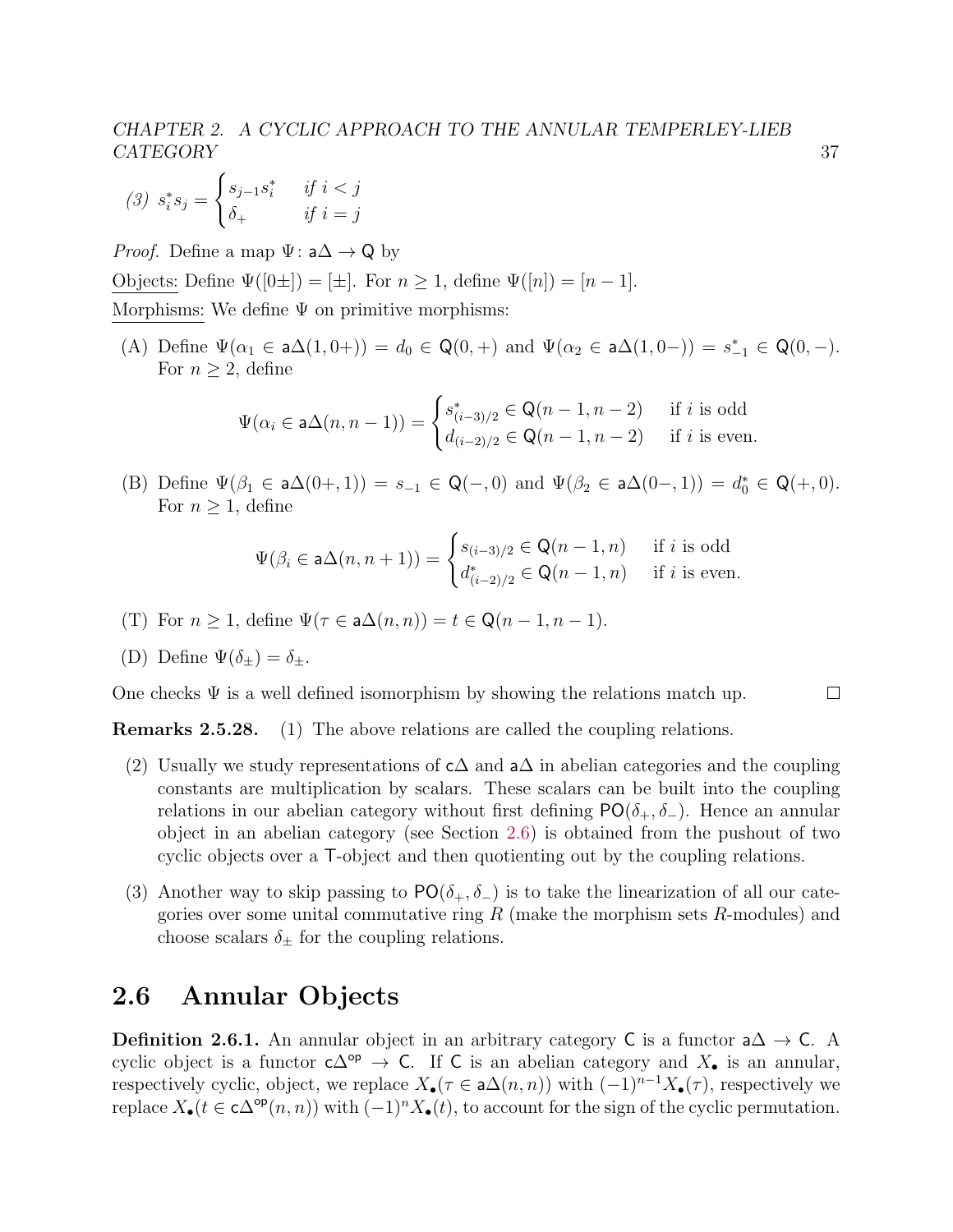$$
(3) \ s_i^* s_j = \begin{cases} s_{j-1} s_i^* & \text{if } i < j \\ \delta_+ & \text{if } i = j \end{cases}
$$

*Proof.* Define a map  $\Psi: a\Delta \rightarrow Q$  by

Objects: Define  $\Psi([0\pm]) = [\pm]$ . For  $n \geq 1$ , define  $\Psi([n]) = [n-1]$ .

Morphisms: We define  $\Psi$  on primitive morphisms:

(A) Define  $\Psi(\alpha_1 \in \mathsf{a}\Delta(1, 0+)) = d_0 \in \mathsf{Q}(0, +)$  and  $\Psi(\alpha_2 \in \mathsf{a}\Delta(1, 0-)) = s_{-1}^* \in \mathsf{Q}(0, -)$ . For  $n \geq 2$ , define

$$
\Psi(\alpha_i \in \mathsf{a}\Delta(n, n-1)) = \begin{cases} s_{(i-3)/2}^* \in \mathsf{Q}(n-1, n-2) & \text{if } i \text{ is odd} \\ d_{(i-2)/2} \in \mathsf{Q}(n-1, n-2) & \text{if } i \text{ is even.} \end{cases}
$$

(B) Define  $\Psi(\beta_1 \in a\Delta(0+,1)) = s_{-1} \in \mathsf{Q}(-,0)$  and  $\Psi(\beta_2 \in a\Delta(0-,1)) = d_0^* \in \mathsf{Q}(+,0)$ . For  $n \geq 1$ , define

$$
\Psi(\beta_i \in \mathsf{a}\Delta(n, n+1)) = \begin{cases} s_{(i-3)/2} \in \mathsf{Q}(n-1, n) & \text{if } i \text{ is odd} \\ d_{(i-2)/2}^* \in \mathsf{Q}(n-1, n) & \text{if } i \text{ is even.} \end{cases}
$$

(T) For  $n \geq 1$ , define  $\Psi(\tau \in a\Delta(n,n)) = t \in \mathbb{Q}(n-1,n-1)$ .

(D) Define 
$$
\Psi(\delta_{\pm}) = \delta_{\pm}
$$
.

One checks  $\Psi$  is a well defined isomorphism by showing the relations match up.

 $\Box$ 

Remarks 2.5.28. (1) The above relations are called the coupling relations.

- (2) Usually we study representations of  $c\Delta$  and  $a\Delta$  in abelian categories and the coupling constants are multiplication by scalars. These scalars can be built into the coupling relations in our abelian category without first defining  $PO(\delta_+, \delta_-)$ . Hence an annular object in an abelian category (see Section [2.6\)](#page-41-0) is obtained from the pushout of two cyclic objects over a T-object and then quotienting out by the coupling relations.
- (3) Another way to skip passing to  $PO(\delta_+, \delta_-)$  is to take the linearization of all our categories over some unital commutative ring  $R$  (make the morphism sets  $R$ -modules) and choose scalars  $\delta_{\pm}$  for the coupling relations.

## <span id="page-41-0"></span>2.6 Annular Objects

**Definition 2.6.1.** An annular object in an arbitrary category C is a functor  $a\Delta \rightarrow C$ . A cyclic object is a functor  $c\Delta^{op} \to C$ . If C is an abelian category and  $X_{\bullet}$  is an annular, respectively cyclic, object, we replace  $X_{\bullet}(\tau \in a\Delta(n,n))$  with  $(-1)^{n-1}X_{\bullet}(\tau)$ , respectively we replace  $X_{\bullet}(t \in c\Delta^{\mathsf{op}}(n,n))$  with  $(-1)^n X_{\bullet}(t)$ , to account for the sign of the cyclic permutation.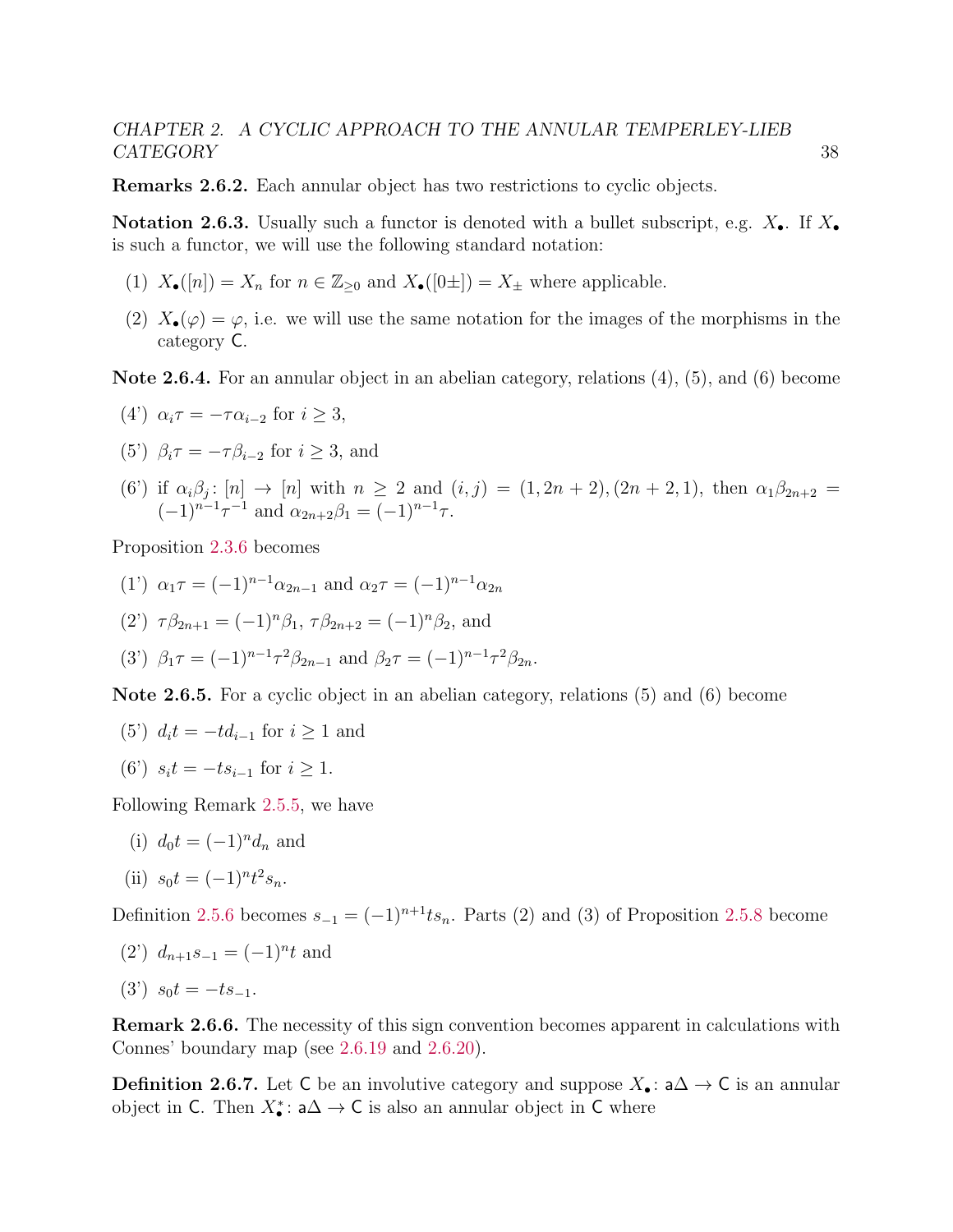Remarks 2.6.2. Each annular object has two restrictions to cyclic objects.

**Notation 2.6.3.** Usually such a functor is denoted with a bullet subscript, e.g.  $X_{\bullet}$ . If  $X_{\bullet}$ is such a functor, we will use the following standard notation:

- (1)  $X_{\bullet}([n]) = X_n$  for  $n \in \mathbb{Z}_{\geq 0}$  and  $X_{\bullet}([0 \pm]) = X_{\pm}$  where applicable.
- (2)  $X_{\bullet}(\varphi) = \varphi$ , i.e. we will use the same notation for the images of the morphisms in the category C.

Note 2.6.4. For an annular object in an abelian category, relations (4), (5), and (6) become

(4') 
$$
\alpha_i \tau = -\tau \alpha_{i-2}
$$
 for  $i \geq 3$ ,

(5') 
$$
\beta_i \tau = -\tau \beta_{i-2}
$$
 for  $i \geq 3$ , and

(6') if  $\alpha_i\beta_j: [n] \to [n]$  with  $n \geq 2$  and  $(i, j) = (1, 2n + 2), (2n + 2, 1)$ , then  $\alpha_1\beta_{2n+2} =$  $(-1)^{n-1}\tau^{-1}$  and  $\alpha_{2n+2}\beta_1 = (-1)^{n-1}\tau$ .

Proposition [2.3.6](#page-27-0) becomes

- (1')  $\alpha_1 \tau = (-1)^{n-1} \alpha_{2n-1}$  and  $\alpha_2 \tau = (-1)^{n-1} \alpha_{2n}$
- (2')  $\tau \beta_{2n+1} = (-1)^n \beta_1$ ,  $\tau \beta_{2n+2} = (-1)^n \beta_2$ , and

(3') 
$$
\beta_1 \tau = (-1)^{n-1} \tau^2 \beta_{2n-1}
$$
 and  $\beta_2 \tau = (-1)^{n-1} \tau^2 \beta_{2n}$ .

Note 2.6.5. For a cyclic object in an abelian category, relations (5) and (6) become

- (5')  $d_i t = -t d_{i-1}$  for  $i \ge 1$  and
- (6')  $s_i t = -ts_{i-1}$  for  $i \ge 1$ .

Following Remark [2.5.5,](#page-34-0) we have

(i)  $d_0 t = (-1)^n d_n$  and

(ii) 
$$
s_0 t = (-1)^n t^2 s_n
$$
.

Definition [2.5.6](#page-34-2) becomes  $s_{-1} = (-1)^{n+1}ts_n$ . Parts (2) and (3) of Proposition [2.5.8](#page-35-1) become

(2')  $d_{n+1}s_{-1} = (-1)^n t$  and

$$
(3') \ \ s_0 t = -t s_{-1}.
$$

Remark 2.6.6. The necessity of this sign convention becomes apparent in calculations with Connes' boundary map (see [2.6.19](#page-45-0) and [2.6.20\)](#page-45-1).

**Definition 2.6.7.** Let C be an involutive category and suppose  $X_{\bullet}$ :  $a\Delta \rightarrow C$  is an annular object in C. Then  $X_{\bullet}^*$ : a $\Delta \to C$  is also an annular object in C where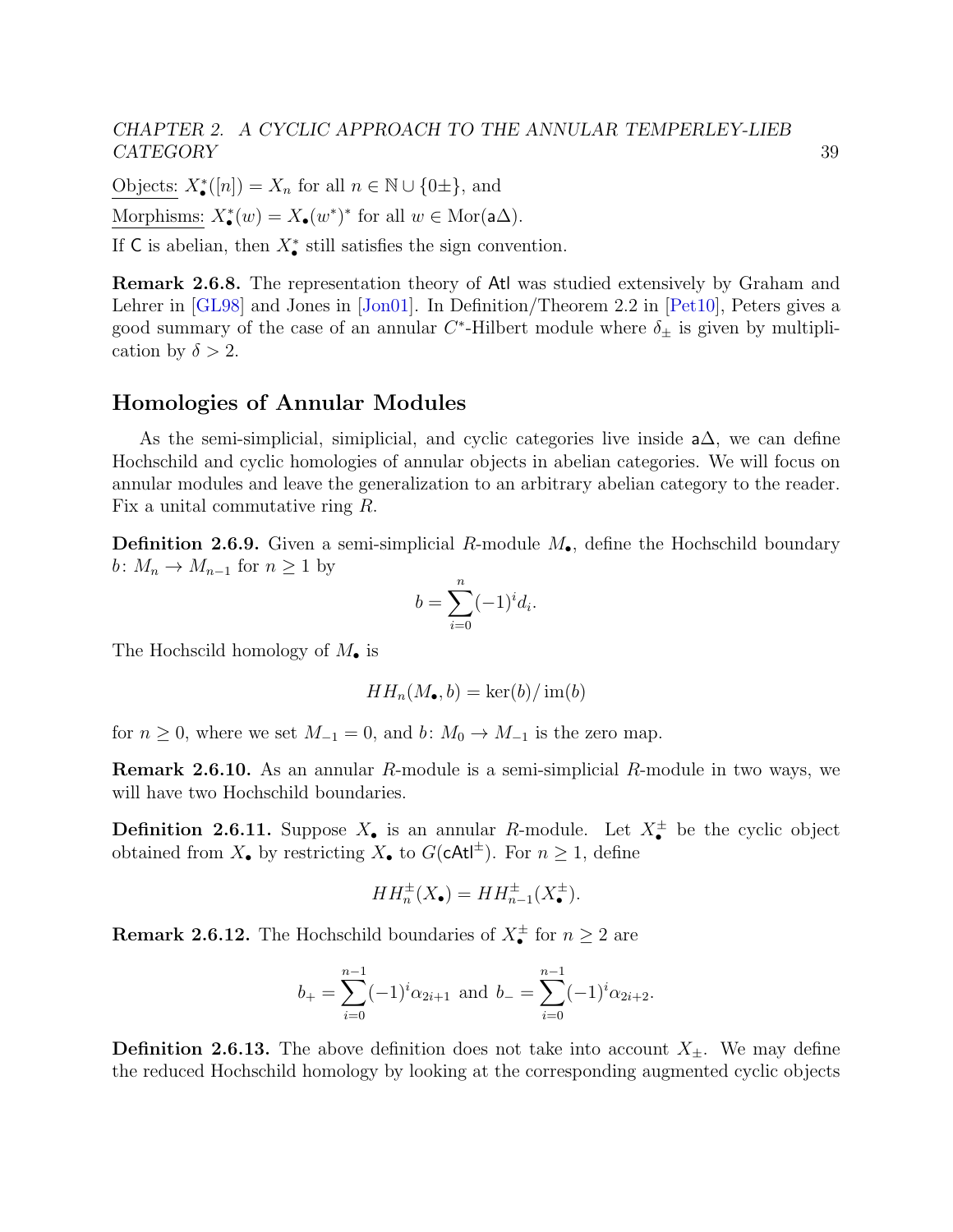Objects:  $X_{\bullet}^{*}([n]) = X_n$  for all  $n \in \mathbb{N} \cup \{0 \pm \},$  and Morphisms:  $X_{\bullet}^{*}(w) = X_{\bullet}(w^{*})^{*}$  for all  $w \in \text{Mor}(\mathsf{a}\Delta)$ .

If C is abelian, then  $X^*_{\bullet}$  still satisfies the sign convention.

Remark 2.6.8. The representation theory of Atl was studied extensively by Graham and Lehrer in [\[GL98\]](#page-140-0) and Jones in [\[Jon01\]](#page-141-1). In Definition/Theorem 2.2 in [\[Pet10\]](#page-143-0), Peters gives a good summary of the case of an annular  $C^*$ -Hilbert module where  $\delta_{\pm}$  is given by multiplication by  $\delta > 2$ .

#### Homologies of Annular Modules

As the semi-simplicial, simiplicial, and cyclic categories live inside a∆, we can define Hochschild and cyclic homologies of annular objects in abelian categories. We will focus on annular modules and leave the generalization to an arbitrary abelian category to the reader. Fix a unital commutative ring R.

**Definition 2.6.9.** Given a semi-simplicial R-module  $M_{\bullet}$ , define the Hochschild boundary b:  $M_n \to M_{n-1}$  for  $n \geq 1$  by

$$
b = \sum_{i=0}^{n} (-1)^{i} d_i
$$

.

The Hochscild homology of  $M_{\bullet}$  is

$$
HH_n(M_\bullet, b) = \ker(b)/\operatorname{im}(b)
$$

for  $n \geq 0$ , where we set  $M_{-1} = 0$ , and  $b: M_0 \to M_{-1}$  is the zero map.

Remark 2.6.10. As an annular R-module is a semi-simplicial R-module in two ways, we will have two Hochschild boundaries.

**Definition 2.6.11.** Suppose  $X_{\bullet}$  is an annular R-module. Let  $X_{\bullet}^{\pm}$  be the cyclic object obtained from  $X_{\bullet}$  by restricting  $X_{\bullet}$  to  $G(\text{cAt}^{\dagger})$ . For  $n \geq 1$ , define

$$
HH_n^{\pm}(X_{\bullet}) = HH_{n-1}^{\pm}(X_{\bullet}^{\pm}).
$$

**Remark 2.6.12.** The Hochschild boundaries of  $X_{\bullet}^{\pm}$  for  $n \geq 2$  are

$$
b_{+} = \sum_{i=0}^{n-1} (-1)^{i} \alpha_{2i+1}
$$
 and  $b_{-} = \sum_{i=0}^{n-1} (-1)^{i} \alpha_{2i+2}$ .

**Definition 2.6.13.** The above definition does not take into account  $X_{\pm}$ . We may define the reduced Hochschild homology by looking at the corresponding augmented cyclic objects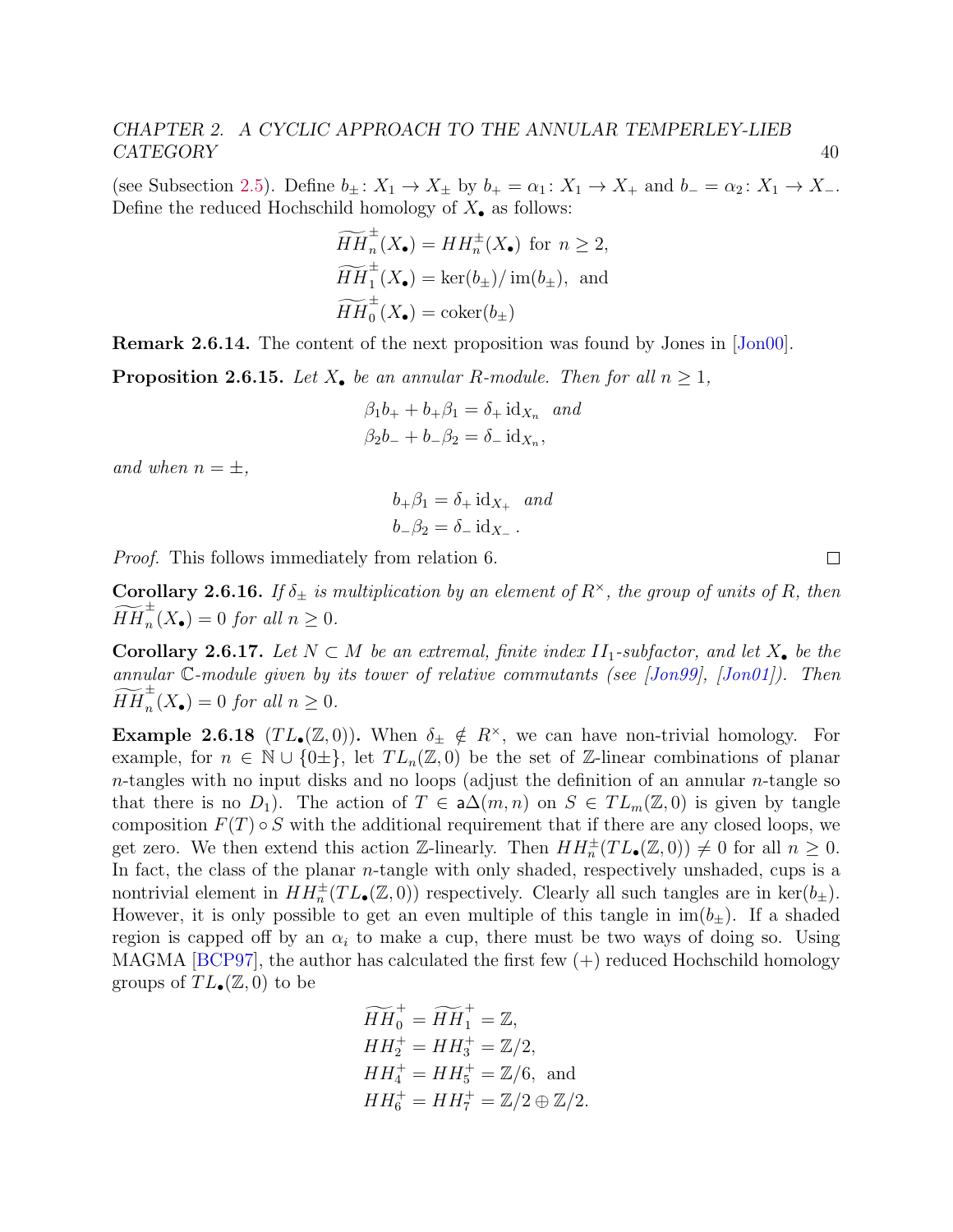(see Subsection [2.5\)](#page-37-0). Define  $b_{\pm}$ :  $X_1 \rightarrow X_{\pm}$  by  $b_{+} = \alpha_1$ :  $X_1 \rightarrow X_{+}$  and  $b_{-} = \alpha_2$ :  $X_1 \rightarrow X_{-}$ . Define the reduced Hochschild homology of  $X_{\bullet}$  as follows:

$$
\widetilde{HH}_n^{\pm}(X_{\bullet}) = HH_n^{\pm}(X_{\bullet}) \text{ for } n \ge 2,
$$
  
\n
$$
\widetilde{HH}_1^{\pm}(X_{\bullet}) = \ker(b_{\pm})/\text{ im}(b_{\pm}), \text{ and}
$$
  
\n
$$
\widetilde{HH}_0^{\pm}(X_{\bullet}) = \text{coker}(b_{\pm})
$$

Remark 2.6.14. The content of the next proposition was found by Jones in [\[Jon00\]](#page-141-0).

**Proposition 2.6.15.** Let  $X_{\bullet}$  be an annular R-module. Then for all  $n \geq 1$ ,

$$
\beta_1 b_+ + b_+ \beta_1 = \delta_+ \mathrm{id}_{X_n} \quad and
$$
  

$$
\beta_2 b_- + b_- \beta_2 = \delta_- \mathrm{id}_{X_n},
$$

and when  $n = \pm$ ,

$$
b_{+}\beta_{1} = \delta_{+} \mathrm{id}_{X_{+}} \text{ and}
$$
  

$$
b_{-}\beta_{2} = \delta_{-} \mathrm{id}_{X_{-}}.
$$

Proof. This follows immediately from relation 6.

**Corollary 2.6.16.** If  $\delta_{\pm}$  is multiplication by an element of  $R^{\times}$ , the group of units of R, then  $\widetilde{HH}_n^{\pm}(X_{\bullet}) = 0$  for all  $n \geq 0$ .

Corollary 2.6.17. Let  $N \subset M$  be an extremal, finite index  $II_1$ -subfactor, and let  $X_{\bullet}$  be the annular C-module given by its tower of relative commutants (see [\[Jon99\]](#page-141-2), [\[Jon01\]](#page-141-1)). Then  $\widetilde{HH}_n^{\pm}(X_{\bullet}) = 0$  for all  $n \geq 0$ .

**Example 2.6.18** (TL<sub>•</sub>( $\mathbb{Z}, 0$ )). When  $\delta_{\pm} \notin R^{\times}$ , we can have non-trivial homology. For example, for  $n \in \mathbb{N} \cup \{0\pm\}$ , let  $TL_n(\mathbb{Z}, 0)$  be the set of  $\mathbb{Z}$ -linear combinations of planar n-tangles with no input disks and no loops (adjust the definition of an annular  $n$ -tangle so that there is no  $D_1$ ). The action of  $T \in \mathsf{a}\Delta(m,n)$  on  $S \in TL_m(\mathbb{Z},0)$  is given by tangle composition  $F(T) \circ S$  with the additional requirement that if there are any closed loops, we get zero. We then extend this action Z-linearly. Then  $HH_n^{\pm}(TL_{\bullet}(\mathbb{Z},0)) \neq 0$  for all  $n \geq 0$ . In fact, the class of the planar *n*-tangle with only shaded, respectively unshaded, cups is a nontrivial element in  $HH_n^{\pm}(TL_{\bullet}(\mathbb{Z},0))$  respectively. Clearly all such tangles are in ker $(b_{\pm})$ . However, it is only possible to get an even multiple of this tangle in  $\text{im}(b_\pm)$ . If a shaded region is capped off by an  $\alpha_i$  to make a cup, there must be two ways of doing so. Using MAGMA [\[BCP97\]](#page-139-0), the author has calculated the first few  $(+)$  reduced Hochschild homology groups of  $TL_{\bullet}(\mathbb{Z}, 0)$  to be

$$
\widetilde{HH}_0^+ = \widetilde{HH}_1^+ = \mathbb{Z},
$$
  
\n
$$
HH_2^+ = HH_3^+ = \mathbb{Z}/2,
$$
  
\n
$$
HH_4^+ = HH_5^+ = \mathbb{Z}/6, \text{ and}
$$
  
\n
$$
HH_6^+ = HH_7^+ = \mathbb{Z}/2 \oplus \mathbb{Z}/2.
$$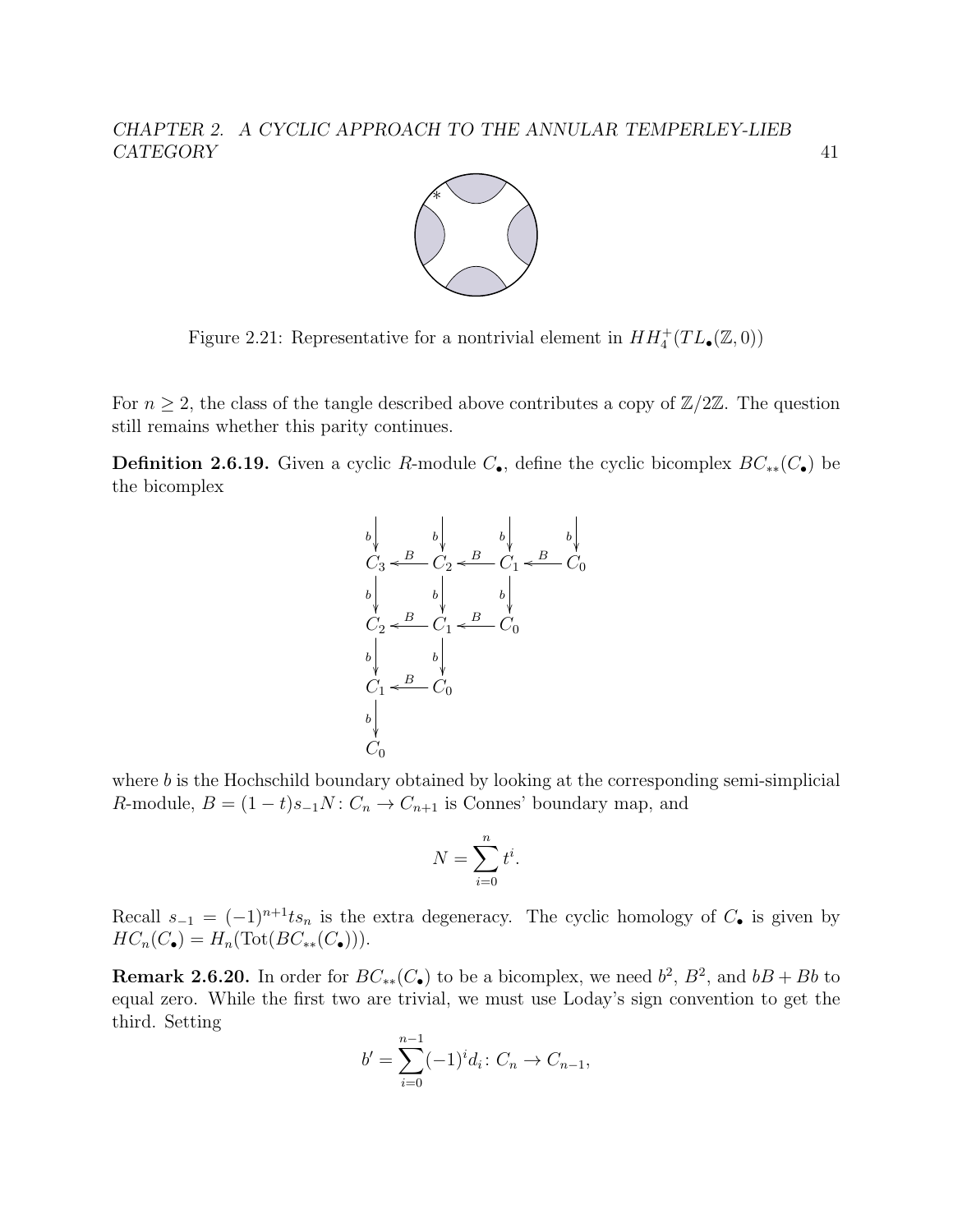

Figure 2.21: Representative for a nontrivial element in  $HH_4^+(TL_\bullet(\mathbb{Z},0))$ 

For  $n \geq 2$ , the class of the tangle described above contributes a copy of  $\mathbb{Z}/2\mathbb{Z}$ . The question still remains whether this parity continues.

<span id="page-45-0"></span>**Definition 2.6.19.** Given a cyclic R-module  $C_{\bullet}$ , define the cyclic bicomplex  $BC_{**}(C_{\bullet})$  be the bicomplex

$$
b \qquad b \qquad b \qquad b \qquad b \qquad b
$$
\n
$$
C_3 \xleftarrow{B} C_2 \xleftarrow{B} C_1 \xleftarrow{B} C_0
$$
\n
$$
C_2 \xleftarrow{B} C_1 \xleftarrow{B} C_0
$$
\n
$$
b \qquad b \qquad b \qquad b
$$
\n
$$
C_1 \xleftarrow{B} C_0
$$
\n
$$
b \qquad b \qquad b \qquad c
$$
\n
$$
C_1 \xleftarrow{B} C_0
$$

where  $b$  is the Hochschild boundary obtained by looking at the corresponding semi-simplicial R-module,  $B = (1 - t)s_{-1}N: C_n \to C_{n+1}$  is Connes' boundary map, and

$$
N = \sum_{i=0}^{n} t^i.
$$

Recall  $s_{-1} = (-1)^{n+1}ts_n$  is the extra degeneracy. The cyclic homology of  $C_{\bullet}$  is given by  $HC_n(C_\bullet) = H_n(\text{Tot}(BC_{**}(C_\bullet))).$ 

<span id="page-45-1"></span>**Remark 2.6.20.** In order for  $BC_{**}(C_{\bullet})$  to be a bicomplex, we need  $b^2$ ,  $B^2$ , and  $bB + Bb$  to equal zero. While the first two are trivial, we must use Loday's sign convention to get the third. Setting

$$
b' = \sum_{i=0}^{n-1} (-1)^i d_i \colon C_n \to C_{n-1},
$$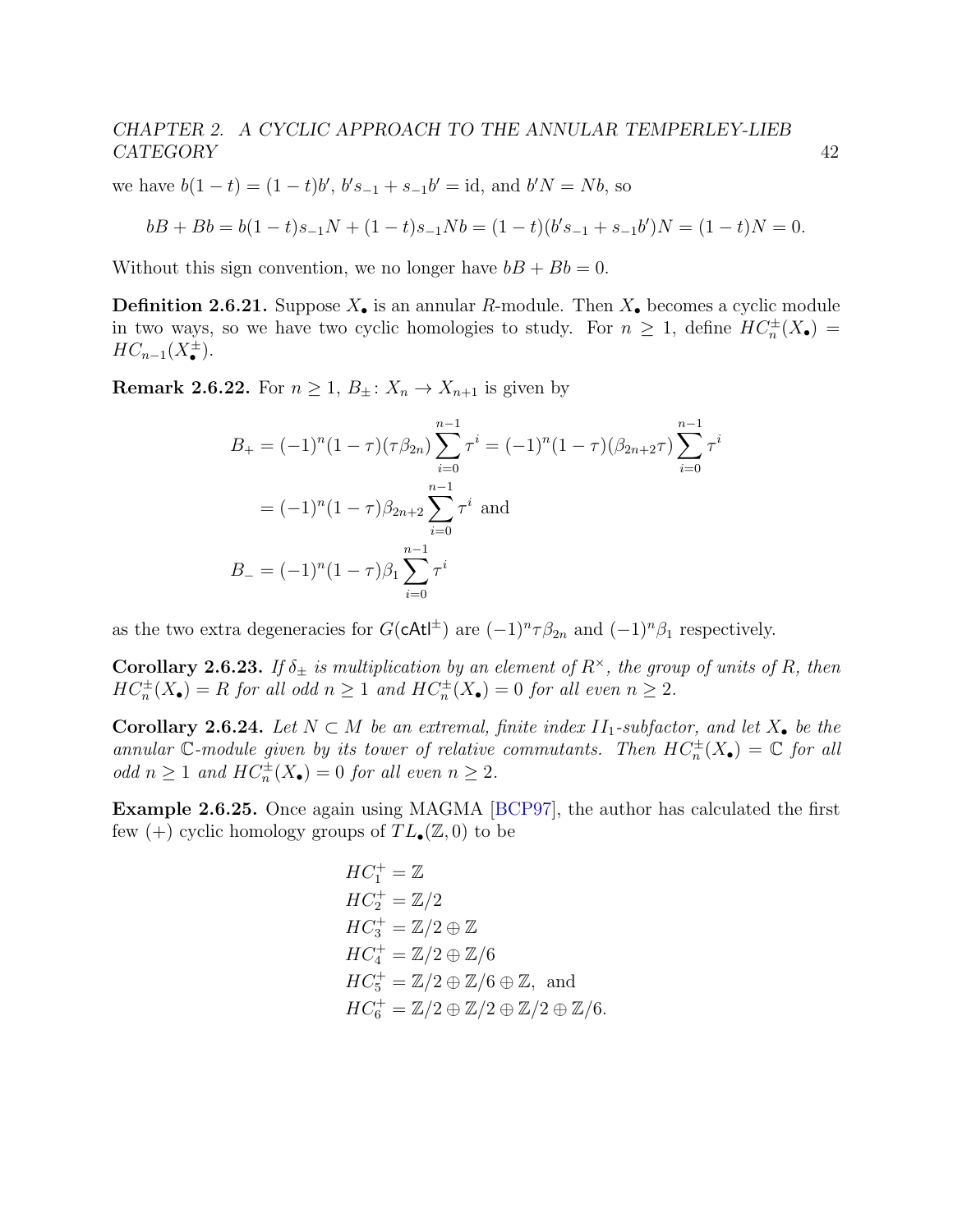we have  $b(1-t) = (1-t)b'$ ,  $b's_{-1} + s_{-1}b' = id$ , and  $b'N = Nb$ , so

$$
bB + Bb = b(1-t)s_{-1}N + (1-t)s_{-1}Nb = (1-t)(b's_{-1} + s_{-1}b')N = (1-t)N = 0.
$$

Without this sign convention, we no longer have  $bB + Bb = 0$ .

**Definition 2.6.21.** Suppose  $X_{\bullet}$  is an annular R-module. Then  $X_{\bullet}$  becomes a cyclic module in two ways, so we have two cyclic homologies to study. For  $n \geq 1$ , define  $HC_n^{\pm}(X_{\bullet})$  =  $HC_{n-1}(X_{\bullet}^{\pm}).$ 

**Remark 2.6.22.** For  $n \geq 1$ ,  $B_{\pm}$ :  $X_n \to X_{n+1}$  is given by

$$
B_{+} = (-1)^{n} (1 - \tau)(\tau \beta_{2n}) \sum_{i=0}^{n-1} \tau^{i} = (-1)^{n} (1 - \tau)(\beta_{2n+2}\tau) \sum_{i=0}^{n-1} \tau^{i}
$$
  
=  $(-1)^{n} (1 - \tau) \beta_{2n+2} \sum_{i=0}^{n-1} \tau^{i}$  and  

$$
B_{-} = (-1)^{n} (1 - \tau) \beta_{1} \sum_{i=0}^{n-1} \tau^{i}
$$

as the two extra degeneracies for  $G(\text{cAt}^{\dagger})$  are  $(-1)^n \tau \beta_{2n}$  and  $(-1)^n \beta_1$  respectively.

Corollary 2.6.23. If  $\delta_{\pm}$  is multiplication by an element of  $R^{\times}$ , the group of units of R, then  $HC_n^{\pm}(X_{\bullet}) = R$  for all odd  $n \geq 1$  and  $HC_n^{\pm}(X_{\bullet}) = 0$  for all even  $n \geq 2$ .

Corollary 2.6.24. Let  $N \subset M$  be an extremal, finite index  $II_1$ -subfactor, and let  $X_{\bullet}$  be the annular C-module given by its tower of relative commutants. Then  $HC_n^{\pm}(X_{\bullet}) = \mathbb{C}$  for all odd  $n \geq 1$  and  $HC_n^{\pm}(X_{\bullet}) = 0$  for all even  $n \geq 2$ .

Example 2.6.25. Once again using MAGMA [\[BCP97\]](#page-139-0), the author has calculated the first few (+) cyclic homology groups of  $TL_{\bullet}(\mathbb{Z}, 0)$  to be

$$
HC_1^+ = \mathbb{Z}
$$
  
\n
$$
HC_2^+ = \mathbb{Z}/2
$$
  
\n
$$
HC_3^+ = \mathbb{Z}/2 \oplus \mathbb{Z}
$$
  
\n
$$
HC_4^+ = \mathbb{Z}/2 \oplus \mathbb{Z}/6
$$
  
\n
$$
HC_5^+ = \mathbb{Z}/2 \oplus \mathbb{Z}/6 \oplus \mathbb{Z}, \text{ and}
$$
  
\n
$$
HC_6^+ = \mathbb{Z}/2 \oplus \mathbb{Z}/2 \oplus \mathbb{Z}/2 \oplus \mathbb{Z}/6.
$$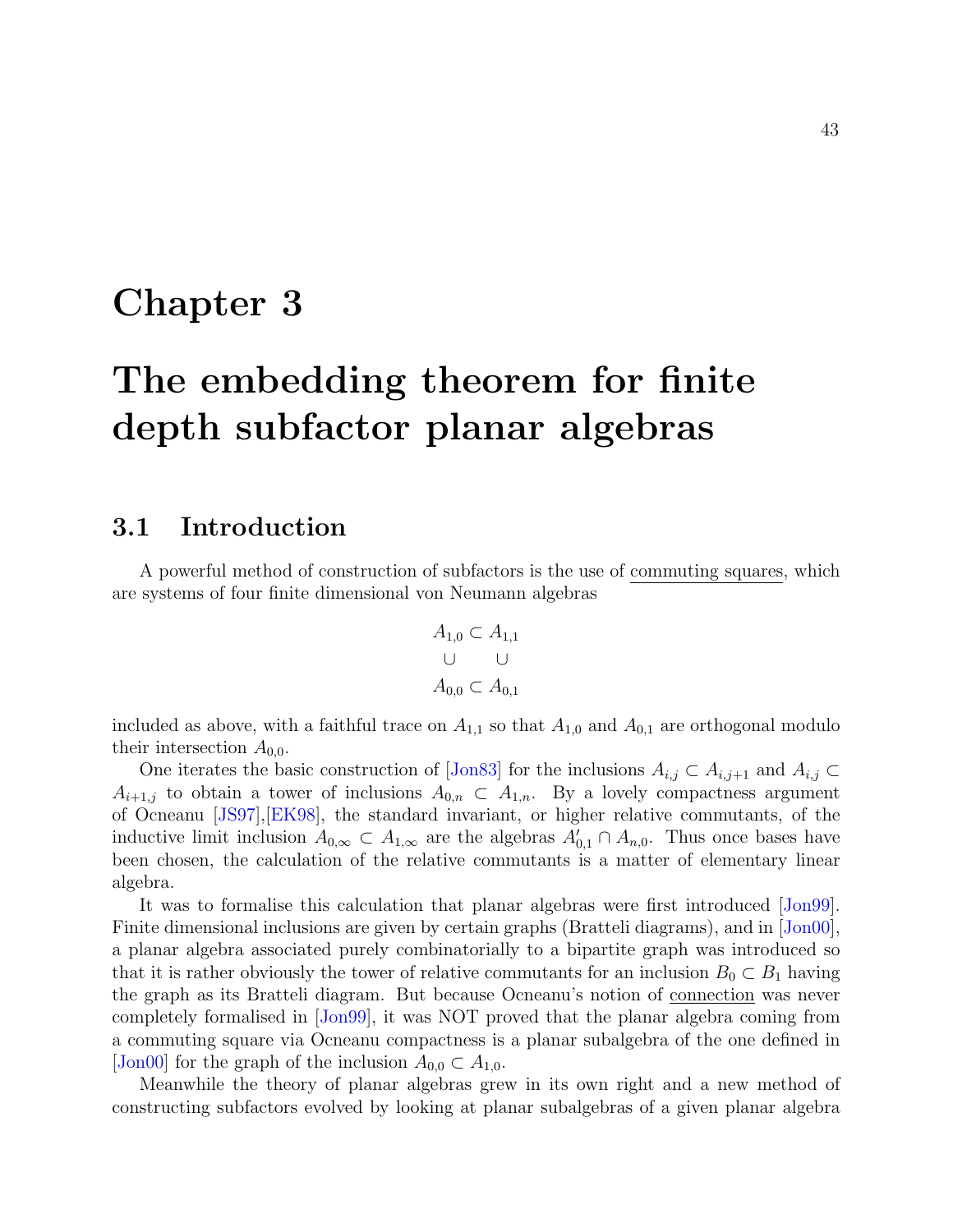# Chapter 3

# The embedding theorem for finite depth subfactor planar algebras

## 3.1 Introduction

A powerful method of construction of subfactors is the use of commuting squares, which are systems of four finite dimensional von Neumann algebras

$$
A_{1,0} \subset A_{1,1}
$$
  

$$
\cup \qquad \cup
$$
  

$$
A_{0,0} \subset A_{0,1}
$$

included as above, with a faithful trace on  $A_{1,1}$  so that  $A_{1,0}$  and  $A_{0,1}$  are orthogonal modulo their intersection  $A_{0,0}$ .

One iterates the basic construction of [\[Jon83\]](#page-141-3) for the inclusions  $A_{i,j} \subset A_{i,j+1}$  and  $A_{i,j} \subset$  $A_{i+1,j}$  to obtain a tower of inclusions  $A_{0,n} \subset A_{1,n}$ . By a lovely compactness argument of Ocneanu [\[JS97\]](#page-141-4),[\[EK98\]](#page-139-1), the standard invariant, or higher relative commutants, of the inductive limit inclusion  $A_{0,\infty} \subset A_{1,\infty}$  are the algebras  $A'_{0,1} \cap A_{n,0}$ . Thus once bases have been chosen, the calculation of the relative commutants is a matter of elementary linear algebra.

It was to formalise this calculation that planar algebras were first introduced [\[Jon99\]](#page-141-2). Finite dimensional inclusions are given by certain graphs (Bratteli diagrams), and in [\[Jon00\]](#page-141-0), a planar algebra associated purely combinatorially to a bipartite graph was introduced so that it is rather obviously the tower of relative commutants for an inclusion  $B_0 \subset B_1$  having the graph as its Bratteli diagram. But because Ocneanu's notion of connection was never completely formalised in [\[Jon99\]](#page-141-2), it was NOT proved that the planar algebra coming from a commuting square via Ocneanu compactness is a planar subalgebra of the one defined in [\[Jon00\]](#page-141-0) for the graph of the inclusion  $A_{0,0} \subset A_{1,0}$ .

Meanwhile the theory of planar algebras grew in its own right and a new method of constructing subfactors evolved by looking at planar subalgebras of a given planar algebra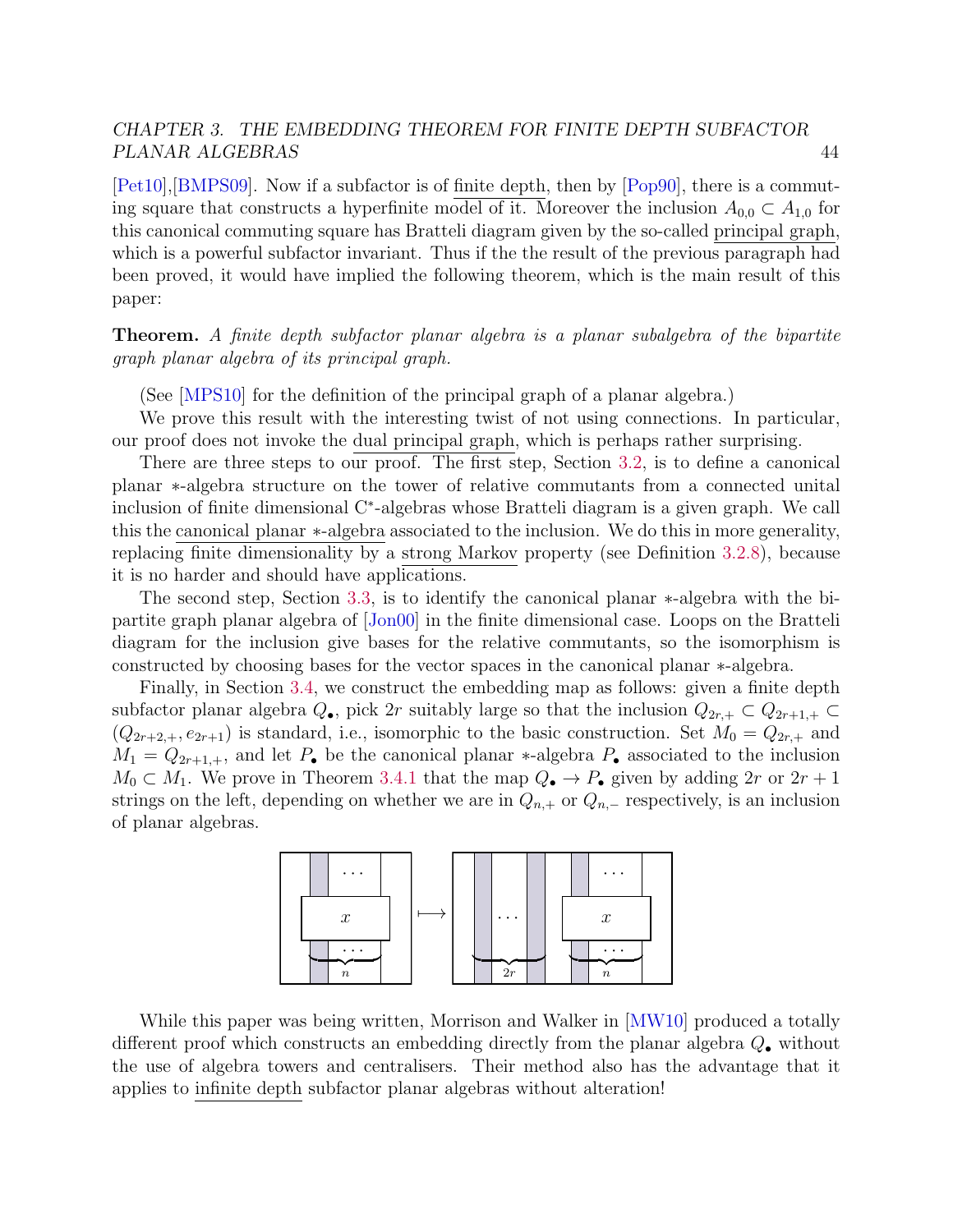[\[Pet10\]](#page-143-0),[\[BMPS09\]](#page-139-2). Now if a subfactor is of finite depth, then by [\[Pop90\]](#page-143-1), there is a commuting square that constructs a hyperfinite model of it. Moreover the inclusion  $A_{0,0} \subset A_{1,0}$  for this canonical commuting square has Bratteli diagram given by the so-called principal graph, which is a powerful subfactor invariant. Thus if the the result of the previous paragraph had been proved, it would have implied the following theorem, which is the main result of this paper:

Theorem. A finite depth subfactor planar algebra is a planar subalgebra of the bipartite graph planar algebra of its principal graph.

(See [\[MPS10\]](#page-142-0) for the definition of the principal graph of a planar algebra.)

We prove this result with the interesting twist of not using connections. In particular, our proof does not invoke the dual principal graph, which is perhaps rather surprising.

There are three steps to our proof. The first step, Section [3.2,](#page-49-0) is to define a canonical planar ∗-algebra structure on the tower of relative commutants from a connected unital inclusion of finite dimensional C<sup>∗</sup> -algebras whose Bratteli diagram is a given graph. We call this the canonical planar ∗-algebra associated to the inclusion. We do this in more generality, replacing finite dimensionality by a strong Markov property (see Definition [3.2.8\)](#page-50-0), because it is no harder and should have applications.

The second step, Section [3.3,](#page-66-0) is to identify the canonical planar ∗-algebra with the bipartite graph planar algebra of [\[Jon00\]](#page-141-0) in the finite dimensional case. Loops on the Bratteli diagram for the inclusion give bases for the relative commutants, so the isomorphism is constructed by choosing bases for the vector spaces in the canonical planar ∗-algebra.

Finally, in Section [3.4,](#page-77-0) we construct the embedding map as follows: given a finite depth subfactor planar algebra  $Q_{\bullet}$ , pick 2r suitably large so that the inclusion  $Q_{2r,+} \subset Q_{2r+1,+} \subset$  $(Q_{2r+2,+}, e_{2r+1})$  is standard, i.e., isomorphic to the basic construction. Set  $M_0 = Q_{2r,+}$  and  $M_1 = Q_{2r+1,+}$ , and let  $P_{\bullet}$  be the canonical planar \*-algebra  $P_{\bullet}$  associated to the inclusion  $M_0 \subset M_1$ . We prove in Theorem [3.4.1](#page-77-1) that the map  $Q_{\bullet} \to P_{\bullet}$  given by adding  $2r$  or  $2r + 1$ strings on the left, depending on whether we are in  $Q_{n,+}$  or  $Q_{n,-}$  respectively, is an inclusion of planar algebras.



While this paper was being written, Morrison and Walker in [\[MW10\]](#page-142-1) produced a totally different proof which constructs an embedding directly from the planar algebra Q• without the use of algebra towers and centralisers. Their method also has the advantage that it applies to infinite depth subfactor planar algebras without alteration!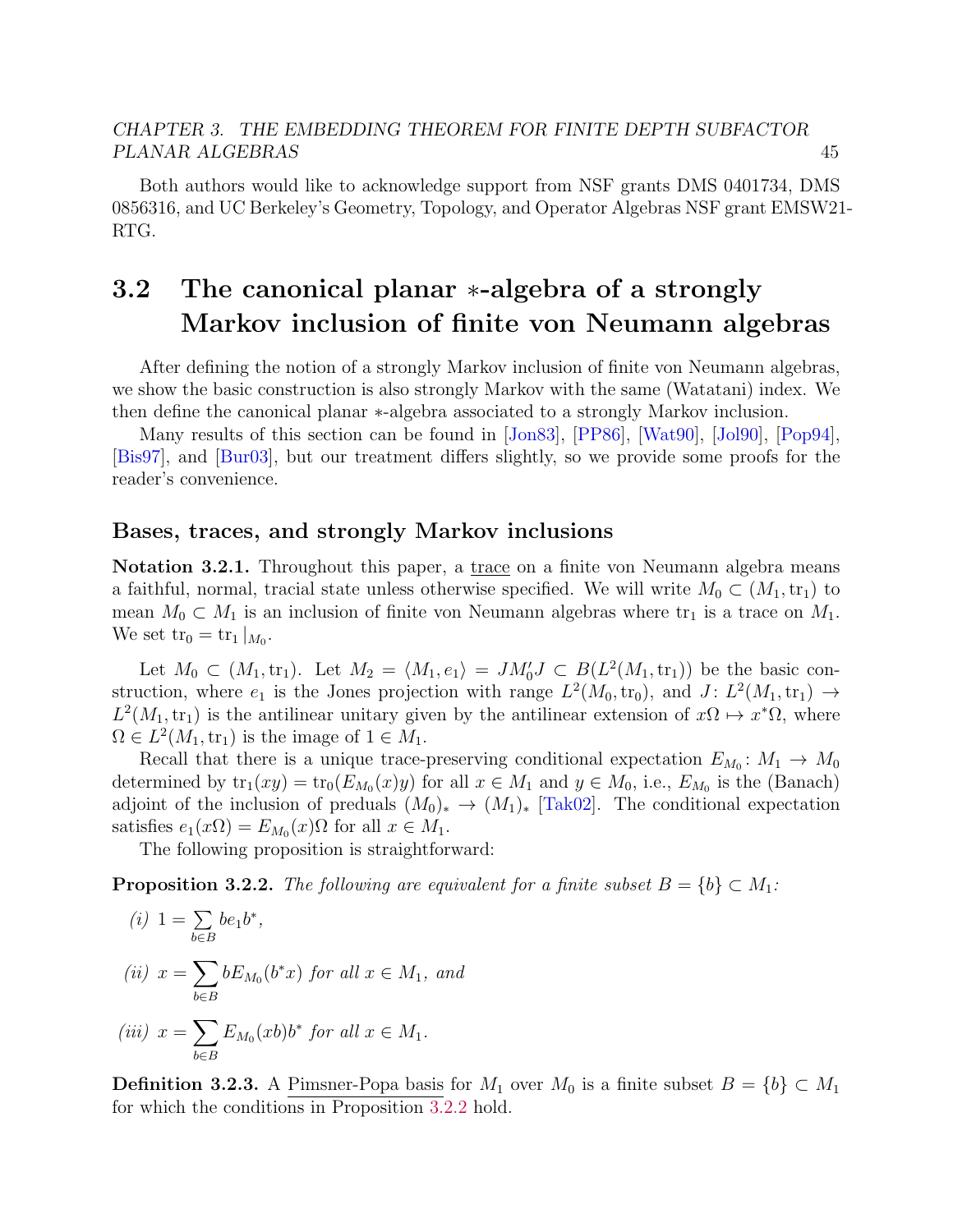Both authors would like to acknowledge support from NSF grants DMS 0401734, DMS 0856316, and UC Berkeley's Geometry, Topology, and Operator Algebras NSF grant EMSW21- RTG.

# <span id="page-49-0"></span>3.2 The canonical planar ∗-algebra of a strongly Markov inclusion of finite von Neumann algebras

After defining the notion of a strongly Markov inclusion of finite von Neumann algebras, we show the basic construction is also strongly Markov with the same (Watatani) index. We then define the canonical planar ∗-algebra associated to a strongly Markov inclusion.

Many results of this section can be found in [\[Jon83\]](#page-141-3), [\[PP86\]](#page-143-2), [\[Wat90\]](#page-144-0), [\[Jol90\]](#page-141-5), [\[Pop94\]](#page-143-3), [\[Bis97\]](#page-139-3), and [\[Bur03\]](#page-139-4), but our treatment differs slightly, so we provide some proofs for the reader's convenience.

#### <span id="page-49-2"></span>Bases, traces, and strongly Markov inclusions

Notation 3.2.1. Throughout this paper, a trace on a finite von Neumann algebra means a faithful, normal, tracial state unless otherwise specified. We will write  $M_0 \subset (M_1, \text{tr}_1)$  to mean  $M_0 \subset M_1$  is an inclusion of finite von Neumann algebras where  $\text{tr}_1$  is a trace on  $M_1$ . We set  $\text{tr}_0 = \text{tr}_1 |_{M_0}.$ 

Let  $M_0 \subset (M_1, \text{tr}_1)$ . Let  $M_2 = \langle M_1, e_1 \rangle = J M_0' J \subset B(L^2(M_1, \text{tr}_1))$  be the basic construction, where  $e_1$  is the Jones projection with range  $L^2(M_0, \text{tr}_0)$ , and  $J: L^2(M_1, \text{tr}_1) \to$  $L^2(M_1, \text{tr}_1)$  is the antilinear unitary given by the antilinear extension of  $x\Omega \mapsto x^*\Omega$ , where  $\Omega \in L^2(M_1, \text{tr}_1)$  is the image of  $1 \in M_1$ .

Recall that there is a unique trace-preserving conditional expectation  $E_{M_0}: M_1 \to M_0$ determined by  $\text{tr}_1(xy) = \text{tr}_0(E_{M_0}(x)y)$  for all  $x \in M_1$  and  $y \in M_0$ , i.e.,  $E_{M_0}$  is the (Banach) adjoint of the inclusion of preduals  $(M_0)_* \to (M_1)_*$  [\[Tak02\]](#page-143-4). The conditional expectation satisfies  $e_1(x\Omega) = E_{M_0}(x)\Omega$  for all  $x \in M_1$ .

The following proposition is straightforward:

<span id="page-49-1"></span>**Proposition 3.2.2.** The following are equivalent for a finite subset  $B = \{b\} \subset M_1$ :

(i) 
$$
1 = \sum_{b \in B} be_1 b^*,
$$
  
\n(ii) 
$$
x = \sum_{b \in B} b E_{M_0}(b^*x)
$$
 for all  $x \in M_1$ , and  
\n(iii) 
$$
x = \sum_{b \in B} E_{M_0}(xb) b^*
$$
 for all  $x \in M_1$ .

**Definition 3.2.3.** A Pimsner-Popa basis for  $M_1$  over  $M_0$  is a finite subset  $B = \{b\} \subset M_1$ for which the conditions in Proposition [3.2.2](#page-49-1) hold.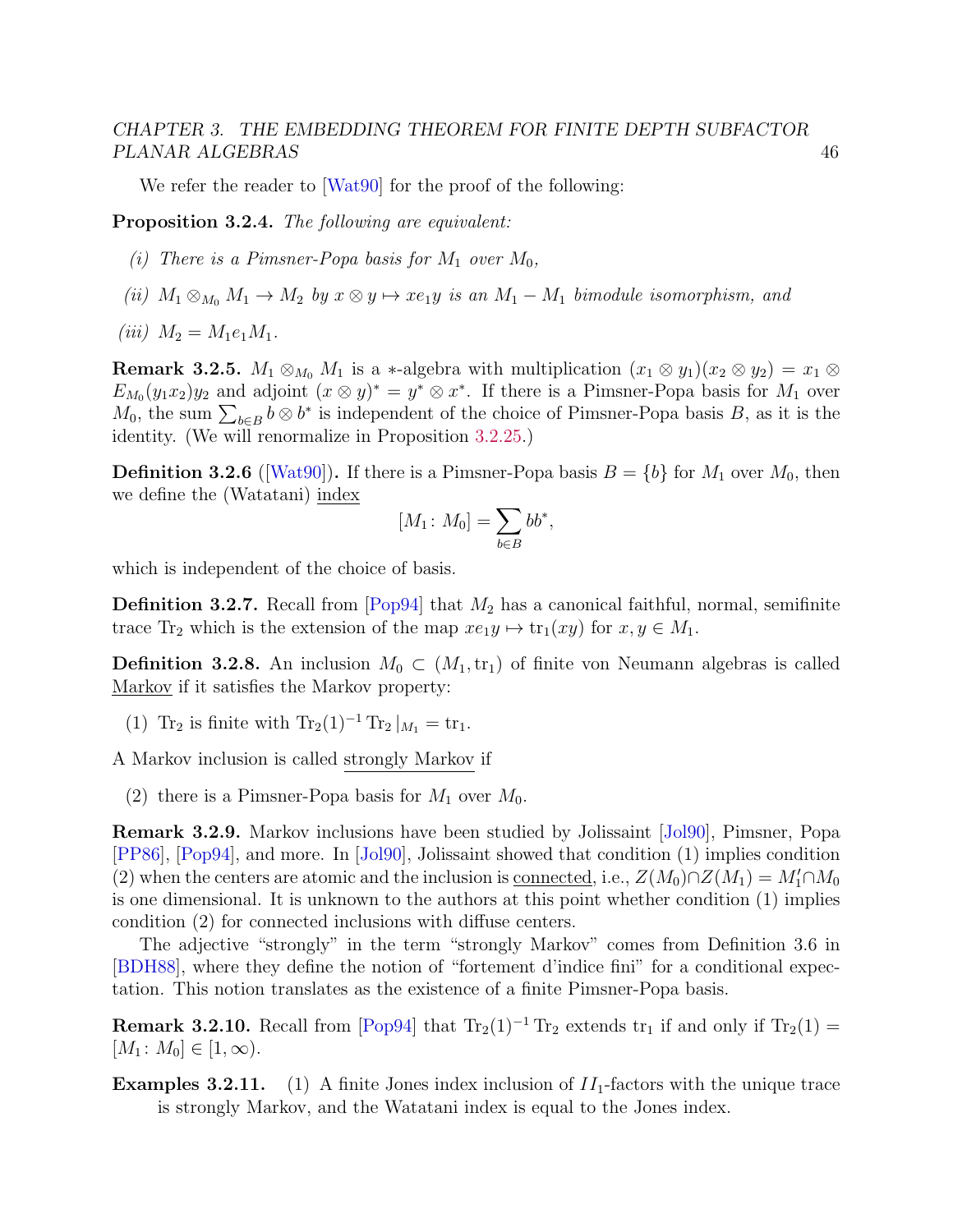We refer the reader to [\[Wat90\]](#page-144-0) for the proof of the following:

<span id="page-50-2"></span>Proposition 3.2.4. The following are equivalent:

- (i) There is a Pimsner-Popa basis for  $M_1$  over  $M_0$ ,
- (ii)  $M_1 \otimes_{M_0} M_1 \to M_2$  by  $x \otimes y \mapsto xe_1y$  is an  $M_1 M_1$  bimodule isomorphism, and
- (*iii*)  $M_2 = M_1e_1M_1$ .

<span id="page-50-3"></span>**Remark 3.2.5.**  $M_1 \otimes_{M_0} M_1$  is a ∗-algebra with multiplication  $(x_1 \otimes y_1)(x_2 \otimes y_2) = x_1 \otimes$  $E_{M_0}(y_1x_2)y_2$  and adjoint  $(x \otimes y)^* = y^* \otimes x^*$ . If there is a Pimsner-Popa basis for  $M_1$  over  $M_0$ , the sum  $\sum_{b \in B} b \otimes b^*$  is independent of the choice of Pimsner-Popa basis B, as it is the identity. (We will renormalize in Proposition [3.2.25.](#page-55-0))

**Definition 3.2.6** ([\[Wat90\]](#page-144-0)). If there is a Pimsner-Popa basis  $B = \{b\}$  for  $M_1$  over  $M_0$ , then we define the (Watatani) index

$$
[M_1: M_0] = \sum_{b \in B} bb^*,
$$

which is independent of the choice of basis.

<span id="page-50-1"></span>**Definition 3.2.7.** Recall from [\[Pop94\]](#page-143-3) that  $M_2$  has a canonical faithful, normal, semifinite trace Tr<sub>2</sub> which is the extension of the map  $xe_1y \mapsto \text{tr}_1(xy)$  for  $x, y \in M_1$ .

<span id="page-50-0"></span>**Definition 3.2.8.** An inclusion  $M_0 \,\subset (M_1, \text{tr}_1)$  of finite von Neumann algebras is called Markov if it satisfies the Markov property:

(1) Tr<sub>2</sub> is finite with Tr<sub>2</sub>(1)<sup>-1</sup> Tr<sub>2</sub> |<sub>M<sub>1</sub></sub> = tr<sub>1</sub>.

A Markov inclusion is called strongly Markov if

(2) there is a Pimsner-Popa basis for  $M_1$  over  $M_0$ .

Remark 3.2.9. Markov inclusions have been studied by Jolissaint [\[Jol90\]](#page-141-5), Pimsner, Popa [\[PP86\]](#page-143-2), [\[Pop94\]](#page-143-3), and more. In [\[Jol90\]](#page-141-5), Jolissaint showed that condition (1) implies condition (2) when the centers are atomic and the inclusion is <u>connected</u>, i.e.,  $Z(M_0) \cap Z(M_1) = M'_1 \cap M_0$ is one dimensional. It is unknown to the authors at this point whether condition (1) implies condition (2) for connected inclusions with diffuse centers.

The adjective "strongly" in the term "strongly Markov" comes from Definition 3.6 in [\[BDH88\]](#page-139-5), where they define the notion of "fortement d'indice fini" for a conditional expectation. This notion translates as the existence of a finite Pimsner-Popa basis.

**Remark 3.2.10.** Recall from [\[Pop94\]](#page-143-3) that  $Tr_2(1)^{-1} Tr_2$  extends  $tr_1$  if and only if  $Tr_2(1) =$  $[M_1: M_0] \in [1, \infty).$ 

**Examples 3.2.11.** (1) A finite Jones index inclusion of  $II_1$ -factors with the unique trace is strongly Markov, and the Watatani index is equal to the Jones index.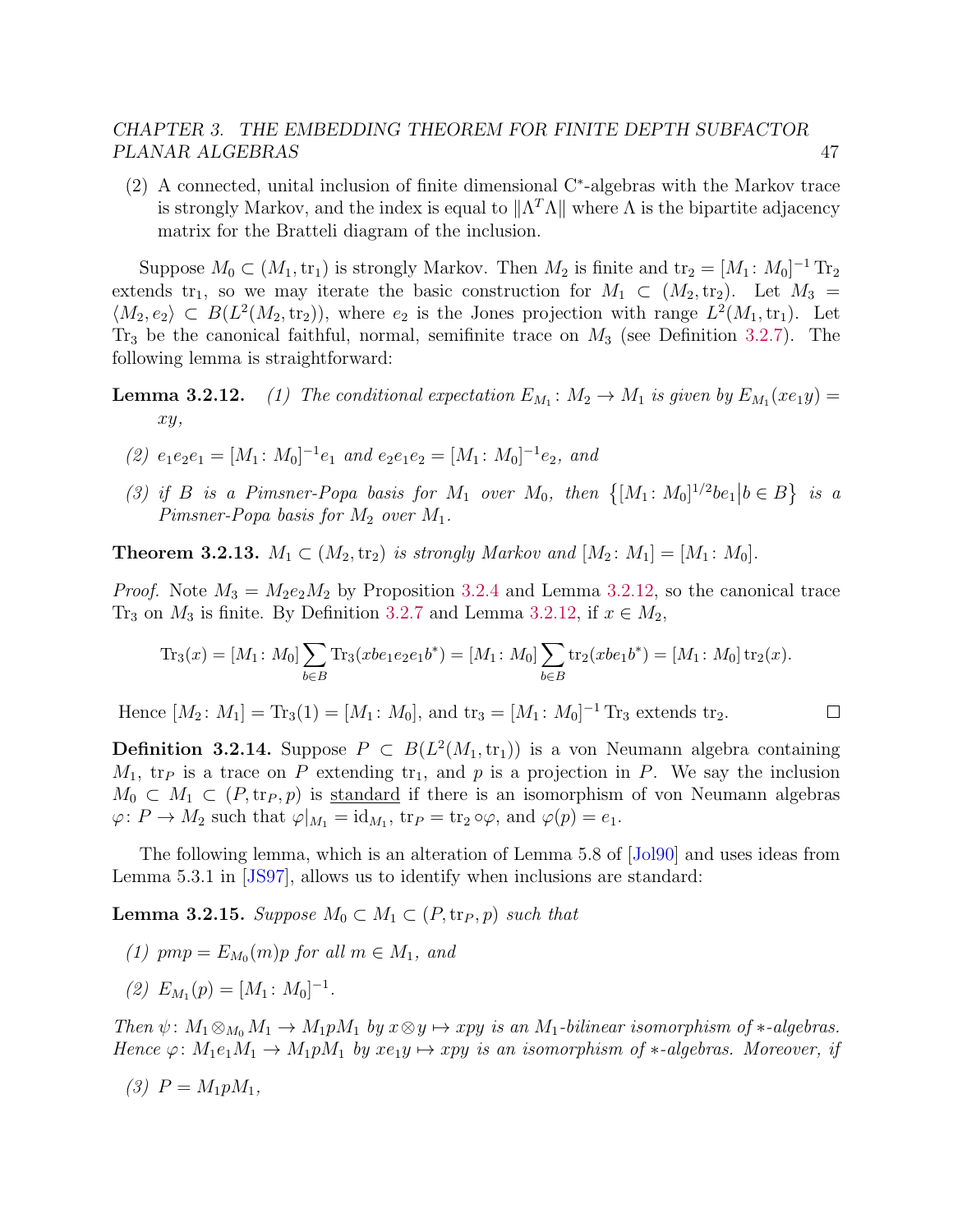(2) A connected, unital inclusion of finite dimensional C<sup>∗</sup> -algebras with the Markov trace is strongly Markov, and the index is equal to  $\|\Lambda^T\Lambda\|$  where  $\Lambda$  is the bipartite adjacency matrix for the Bratteli diagram of the inclusion.

Suppose  $M_0 \subset (M_1, \text{tr}_1)$  is strongly Markov. Then  $M_2$  is finite and  $\text{tr}_2 = [M_1: M_0]^{-1} \text{Tr}_2$ extends tr<sub>1</sub>, so we may iterate the basic construction for  $M_1 \subset (M_2, \text{tr}_2)$ . Let  $M_3 =$  $\langle M_2, e_2 \rangle \subset B(L^2(M_2, \text{tr}_2)),$  where  $e_2$  is the Jones projection with range  $L^2(M_1, \text{tr}_1)$ . Let  $Tr_3$  be the canonical faithful, normal, semifinite trace on  $M_3$  (see Definition [3.2.7\)](#page-50-1). The following lemma is straightforward:

**Lemma 3.2.12.** (1) The conditional expectation  $E_{M_1}: M_2 \to M_1$  is given by  $E_{M_1}(xe_1y) =$ xy,

- (2)  $e_1e_2e_1 = [M_1: M_0]^{-1}e_1$  and  $e_2e_1e_2 = [M_1: M_0]^{-1}e_2$ , and
- (3) if B is a Pimsner-Popa basis for  $M_1$  over  $M_0$ , then  $\{[M_1: M_0]^{1/2}$  be<sub>1</sub> $|b \in B\}$  is a Pimsner-Popa basis for  $M_2$  over  $M_1$ .

**Theorem 3.2.13.**  $M_1 \subset (M_2, \text{tr}_2)$  is strongly Markov and  $[M_2: M_1] = [M_1: M_0]$ .

*Proof.* Note  $M_3 = M_2 e_2 M_2$  by Proposition [3.2.4](#page-50-2) and Lemma [3.2.12,](#page-0-0) so the canonical trace Tr<sub>3</sub> on  $M_3$  is finite. By Definition [3.2.7](#page-50-1) and Lemma [3.2.12,](#page-0-0) if  $x \in M_2$ ,

$$
\mathrm{Tr}_3(x) = [M_1: M_0] \sum_{b \in B} \mathrm{Tr}_3(xbe_1e_2e_1b^*) = [M_1: M_0] \sum_{b \in B} \mathrm{tr}_2(xbe_1b^*) = [M_1: M_0] \mathrm{tr}_2(x).
$$

Hence  $[M_2: M_1] = Tr_3(1) = [M_1: M_0]$ , and  $tr_3 = [M_1: M_0]^{-1} Tr_3$  extends  $tr_2$ .  $\Box$ 

**Definition 3.2.14.** Suppose  $P \text{ }\subset B(L^2(M_1, \text{tr}_1))$  is a von Neumann algebra containing  $M_1$ , tr<sub>P</sub> is a trace on P extending tr<sub>1</sub>, and p is a projection in P. We say the inclusion  $M_0 \subset M_1 \subset (P, \text{tr}_P, p)$  is standard if there is an isomorphism of von Neumann algebras  $\varphi \colon P \to M_2$  such that  $\varphi|_{M_1} = \mathrm{id}_{M_1}$ ,  $\mathrm{tr}_P = \mathrm{tr}_2 \circ \varphi$ , and  $\varphi(p) = e_1$ .

The following lemma, which is an alteration of Lemma 5.8 of [\[Jol90\]](#page-141-5) and uses ideas from Lemma 5.3.1 in [\[JS97\]](#page-141-4), allows us to identify when inclusions are standard:

<span id="page-51-0"></span>**Lemma 3.2.15.** Suppose  $M_0 \subset M_1 \subset (P, \text{tr}_P, p)$  such that

- (1)  $pmp = E_{M_0}(m)p$  for all  $m \in M_1$ , and
- (2)  $E_{M_1}(p) = [M_1: M_0]^{-1}.$

Then  $\psi: M_1 \otimes_{M_0} M_1 \to M_1 p M_1$  by  $x \otimes y \mapsto xpy$  is an  $M_1$ -bilinear isomorphism of  $*$ -algebras. Hence  $\varphi: M_1e_1M_1 \to M_1pM_1$  by  $xe_1y \to xpy$  is an isomorphism of \*-algebras. Moreover, if

$$
(3) P = M_1 p M_1,
$$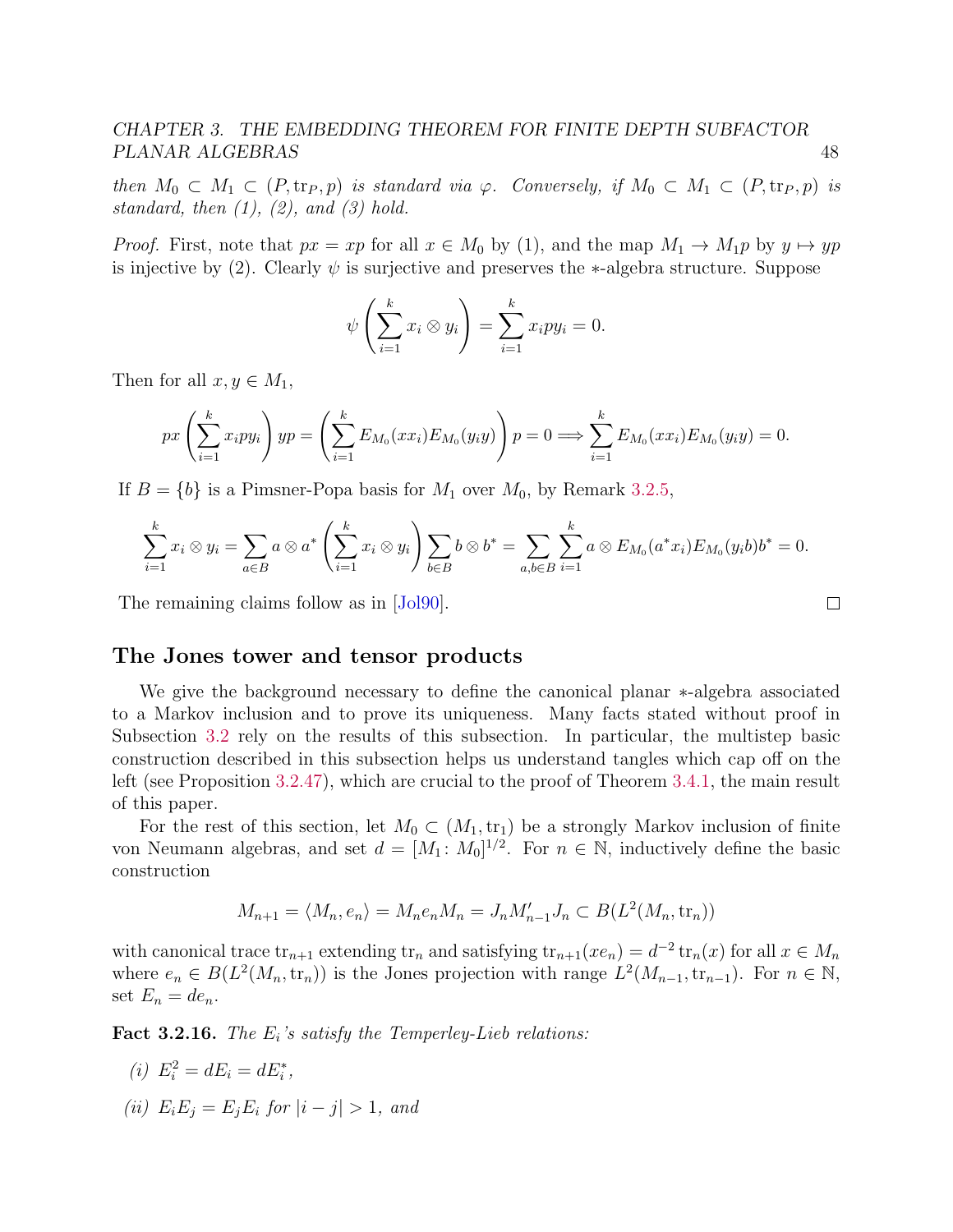then  $M_0 \subset M_1 \subset (P, \text{tr}_P, p)$  is standard via  $\varphi$ . Conversely, if  $M_0 \subset M_1 \subset (P, \text{tr}_P, p)$  is standard, then  $(1)$ ,  $(2)$ , and  $(3)$  hold.

*Proof.* First, note that  $px = xp$  for all  $x \in M_0$  by (1), and the map  $M_1 \to M_1p$  by  $y \mapsto yp$ is injective by (2). Clearly  $\psi$  is surjective and preserves the ∗-algebra structure. Suppose

$$
\psi\left(\sum_{i=1}^k x_i \otimes y_i\right) = \sum_{i=1}^k x_i py_i = 0.
$$

Then for all  $x, y \in M_1$ ,

$$
px\left(\sum_{i=1}^{k} x_i py_i\right)yp = \left(\sum_{i=1}^{k} E_{M_0}(xx_i)E_{M_0}(y_iy)\right)p = 0 \Longrightarrow \sum_{i=1}^{k} E_{M_0}(xx_i)E_{M_0}(y_iy) = 0.
$$

If  $B = \{b\}$  is a Pimsner-Popa basis for  $M_1$  over  $M_0$ , by Remark [3.2.5,](#page-50-3)

$$
\sum_{i=1}^{k} x_i \otimes y_i = \sum_{a \in B} a \otimes a^* \left( \sum_{i=1}^{k} x_i \otimes y_i \right) \sum_{b \in B} b \otimes b^* = \sum_{a,b \in B} \sum_{i=1}^{k} a \otimes E_{M_0}(a^* x_i) E_{M_0}(y_i b) b^* = 0.
$$

The remaining claims follow as in  $|J_0|$ .

#### <span id="page-52-0"></span>The Jones tower and tensor products

We give the background necessary to define the canonical planar ∗-algebra associated to a Markov inclusion and to prove its uniqueness. Many facts stated without proof in Subsection [3.2](#page-62-0) rely on the results of this subsection. In particular, the multistep basic construction described in this subsection helps us understand tangles which cap off on the left (see Proposition [3.2.47\)](#page-0-0), which are crucial to the proof of Theorem [3.4.1,](#page-77-1) the main result of this paper.

For the rest of this section, let  $M_0 \subset (M_1, \text{tr}_1)$  be a strongly Markov inclusion of finite von Neumann algebras, and set  $d = [M_1 : M_0]^{1/2}$ . For  $n \in \mathbb{N}$ , inductively define the basic construction

$$
M_{n+1} = \langle M_n, e_n \rangle = M_n e_n M_n = J_n M'_{n-1} J_n \subset B(L^2(M_n, \text{tr}_n))
$$

with canonical trace  $\text{tr}_{n+1}$  extending  $\text{tr}_n$  and satisfying  $\text{tr}_{n+1}(xe_n) = d^{-2} \text{tr}_n(x)$  for all  $x \in M_n$ where  $e_n \in B(L^2(M_n, \text{tr}_n))$  is the Jones projection with range  $L^2(M_{n-1}, \text{tr}_{n-1})$ . For  $n \in \mathbb{N}$ , set  $E_n = de_n$ .

**Fact 3.2.16.** The  $E_i$ 's satisfy the Temperley-Lieb relations:

(i) 
$$
E_i^2 = dE_i = dE_i^*
$$
,

(ii)  $E_i E_j = E_j E_i$  for  $|i - j| > 1$ , and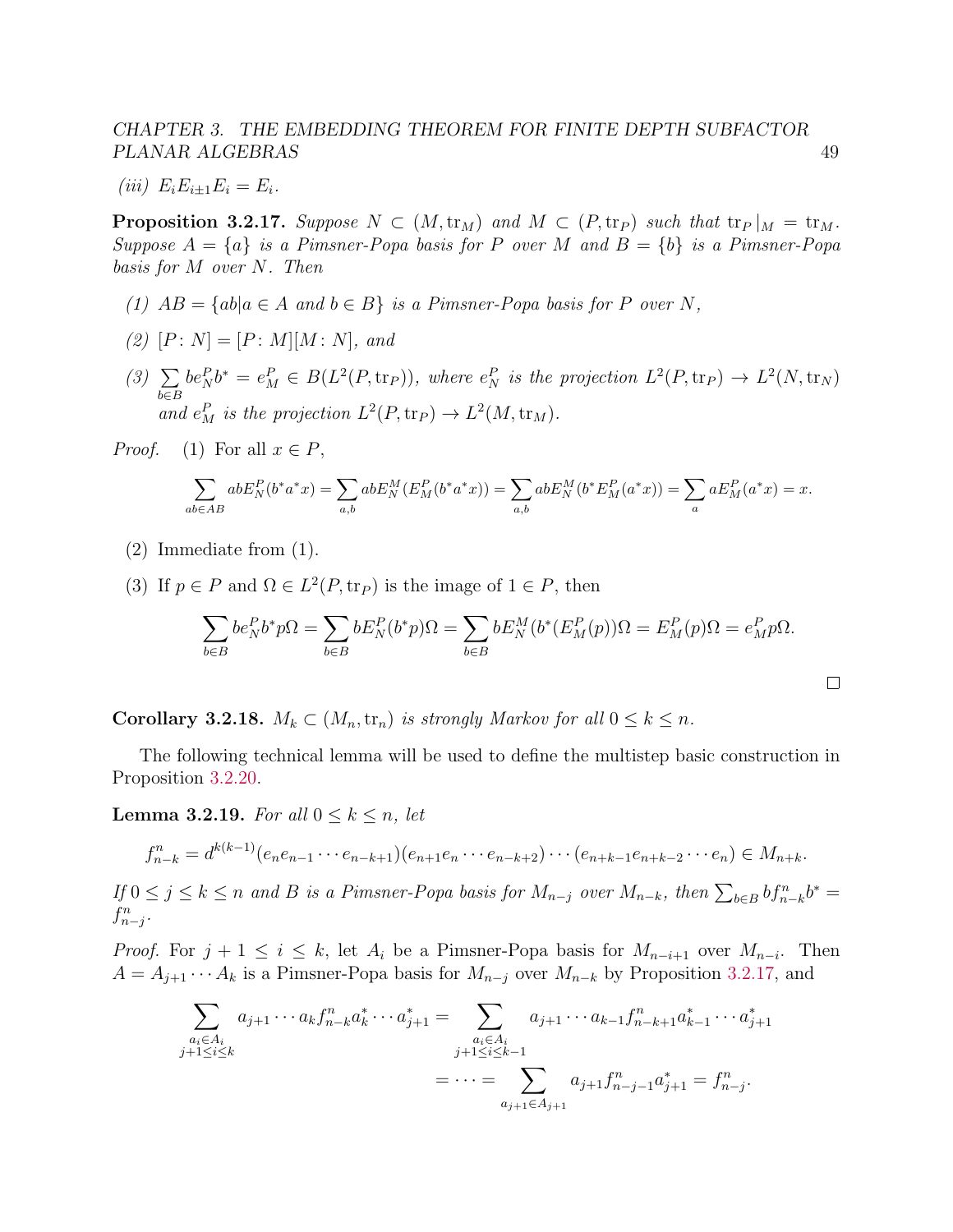$$
(iii) E_i E_{i\pm 1} E_i = E_i.
$$

<span id="page-53-0"></span>**Proposition 3.2.17.** Suppose  $N \subset (M, \text{tr}_M)$  and  $M \subset (P, \text{tr}_P)$  such that  $\text{tr}_P|_M = \text{tr}_M$ . Suppose  $A = \{a\}$  is a Pimsner-Popa basis for P over M and  $B = \{b\}$  is a Pimsner-Popa basis for M over N. Then

- (1)  $AB = \{ab|a \in A \text{ and } b \in B\}$  is a Pimsner-Popa basis for P over N,
- (2)  $[P: N] = [P: M][M: N]$ , and
- $(3)$   $\Sigma$ b∈B  $be_N^Pb^* = e_M^P \in B(L^2(P, \text{tr}_P)),$  where  $e_N^P$  is the projection  $L^2(P, \text{tr}_P) \to L^2(N, \text{tr}_N)$ and  $e_M^P$  is the projection  $L^2(P, \text{tr}_P) \to L^2(M, \text{tr}_M)$ .

*Proof.* (1) For all  $x \in P$ ,

$$
\sum_{ab \in AB} abE_N^P(b^*a^*x) = \sum_{a,b} abE_N^M(E_M^P(b^*a^*x)) = \sum_{a,b} abE_N^M(b^*E_M^P(a^*x)) = \sum_a aE_M^P(a^*x) = x.
$$

- (2) Immediate from (1).
- (3) If  $p \in P$  and  $\Omega \in L^2(P, \text{tr}_P)$  is the image of  $1 \in P$ , then

$$
\sum_{b \in B} b e_N^P b^* p \Omega = \sum_{b \in B} b E_N^P (b^* p) \Omega = \sum_{b \in B} b E_N^M (b^* (E_M^P(p)) \Omega = E_M^P(p) \Omega = e_M^P p \Omega.
$$

**Corollary 3.2.18.**  $M_k \subset (M_n, \text{tr}_n)$  is strongly Markov for all  $0 \leq k \leq n$ .

The following technical lemma will be used to define the multistep basic construction in Proposition [3.2.20.](#page-54-0)

<span id="page-53-1"></span>**Lemma 3.2.19.** For all  $0 \leq k \leq n$ , let

$$
f_{n-k}^n = d^{k(k-1)}(e_ne_{n-1}\cdots e_{n-k+1})(e_{n+1}e_n\cdots e_{n-k+2})\cdots (e_{n+k-1}e_{n+k-2}\cdots e_n) \in M_{n+k}.
$$

If  $0 \le j \le k \le n$  and B is a Pimsner-Popa basis for  $M_{n-j}$  over  $M_{n-k}$ , then  $\sum_{b \in B} bf_{n-k}^nb^* =$  $f_{n-j}^n$ .

*Proof.* For  $j + 1 \leq i \leq k$ , let  $A_i$  be a Pimsner-Popa basis for  $M_{n-i+1}$  over  $M_{n-i}$ . Then  $A = A_{j+1} \cdots A_k$  is a Pimsner-Popa basis for  $M_{n-j}$  over  $M_{n-k}$  by Proposition [3.2.17,](#page-53-0) and

$$
\sum_{\substack{a_i \in A_i \\ j+1 \le i \le k}} a_{j+1} \cdots a_k f_{n-k}^n a_k^* \cdots a_{j+1}^* = \sum_{\substack{a_i \in A_i \\ j+1 \le i \le k-1}} a_{j+1} \cdots a_{k-1} f_{n-k+1}^n a_{k-1}^* \cdots a_{j+1}^*
$$
\n
$$
= \cdots = \sum_{a_{j+1} \in A_{j+1}} a_{j+1} f_{n-j-1}^n a_{j+1}^* = f_{n-j}^n.
$$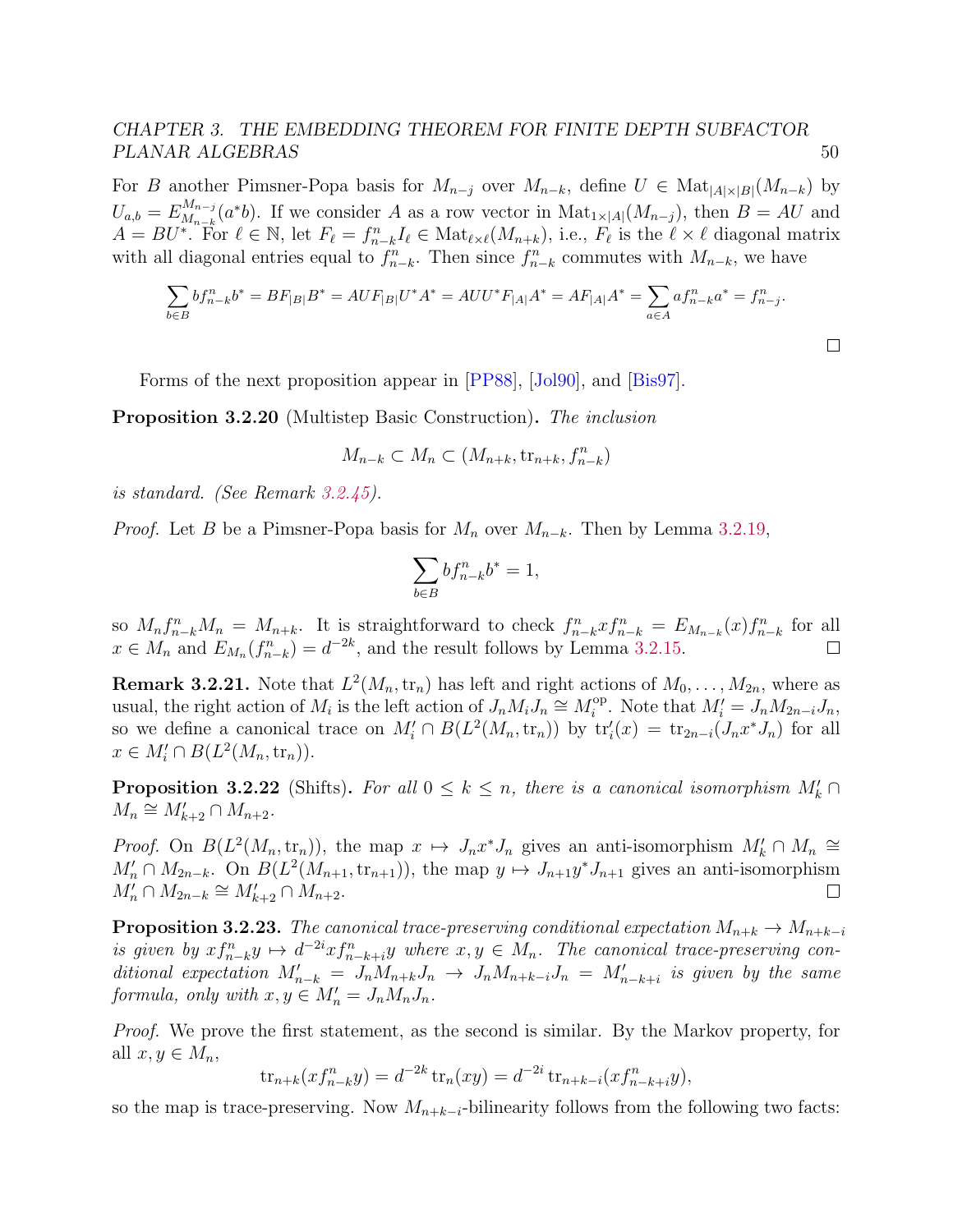For B another Pimsner-Popa basis for  $M_{n-j}$  over  $M_{n-k}$ , define  $U \in Mat_{|A| \times |B|}(M_{n-k})$  by  $U_{a,b}=E_{M_{n-k}}^{M_{n-j}}$  ${}_{M_{n-i}}^{M_{n-j}}(a^*b)$ . If we consider A as a row vector in  $\text{Mat}_{1\times|A|}(M_{n-j}),$  then  $B=AU$  and  $A = BU^*$ . For  $\ell \in \mathbb{N}$ , let  $F_{\ell} = f_{n-k}^n I_{\ell} \in Mat_{\ell \times \ell}(M_{n+k})$ , i.e.,  $F_{\ell}$  is the  $\ell \times \ell$  diagonal matrix with all diagonal entries equal to  $f_{n-k}^n$ . Then since  $f_{n-k}^n$  commutes with  $M_{n-k}$ , we have

$$
\sum_{b \in B} bf_{n-k}^n b^* = BF_{|B|}B^* = AUF_{|B|}U^*A^* = AUU^*F_{|A|}A^* = AF_{|A|}A^* = \sum_{a \in A} af_{n-k}^n a^* = f_{n-j}^n.
$$

 $\Box$ 

Forms of the next proposition appear in [\[PP88\]](#page-143-5), [\[Jol90\]](#page-141-5), and [\[Bis97\]](#page-139-3).

<span id="page-54-0"></span>Proposition 3.2.20 (Multistep Basic Construction). The inclusion

$$
M_{n-k} \subset M_n \subset (M_{n+k}, \text{tr}_{n+k}, f_{n-k}^n)
$$

is standard. (See Remark [3.2.45\)](#page-63-0).

*Proof.* Let B be a Pimsner-Popa basis for  $M_n$  over  $M_{n-k}$ . Then by Lemma [3.2.19,](#page-53-1)

$$
\sum_{b \in B} b f_{n-k}^n b^* = 1,
$$

so  $M_n f_{n-k}^n M_n = M_{n+k}$ . It is straightforward to check  $f_{n-k}^n x f_{n-k}^n = E_{M_{n-k}}(x) f_{n-k}^n$  for all  $x \in M_n$  and  $E_{M_n}(f_{n-k}^n) = d^{-2k}$ , and the result follows by Lemma [3.2.15.](#page-51-0)  $\Box$ 

**Remark 3.2.21.** Note that  $L^2(M_n, \text{tr}_n)$  has left and right actions of  $M_0, \ldots, M_{2n}$ , where as usual, the right action of  $M_i$  is the left action of  $J_n M_i J_n \cong M_i^{\text{op}}$ <sup>op</sup>. Note that  $M'_i = J_n M_{2n-i} J_n$ , so we define a canonical trace on  $M'_i \cap B(L^2(M_n, \text{tr}_n))$  by  $\text{tr}'_i(x) = \text{tr}_{2n-i}(J_n x^* J_n)$  for all  $x \in M'_i \cap B(L^2(M_n, \text{tr}_n)).$ 

**Proposition 3.2.22** (Shifts). For all  $0 \leq k \leq n$ , there is a canonical isomorphism  $M'_{k} \cap$  $M_n \cong M'_{k+2} \cap M_{n+2}.$ 

*Proof.* On  $B(L^2(M_n, \text{tr}_n))$ , the map  $x \mapsto J_n x^* J_n$  gives an anti-isomorphism  $M'_k \cap M_n \cong$  $M'_n \cap M_{2n-k}$ . On  $B(L^2(M_{n+1}, \text{tr}_{n+1}))$ , the map  $y \mapsto J_{n+1}y^*J_{n+1}$  gives an anti-isomorphism  $M'_n \cap M_{2n-k} \cong M'_{k+2} \cap M_{n+2}.$  $\Box$ 

<span id="page-54-1"></span>**Proposition 3.2.23.** The canonical trace-preserving conditional expectation  $M_{n+k} \to M_{n+k-i}$ is given by  $xf_{n-k}^n y \mapsto d^{-2i}xf_{n-k+i}^n y$  where  $x, y \in M_n$ . The canonical trace-preserving conditional expectation  $M'_{n-k} = J_n M_{n+k} J_n \rightarrow J_n M_{n+k-i} J_n = M'_{n-k+i}$  is given by the same formula, only with  $x, y \in M'_n = J_n M_n J_n$ .

Proof. We prove the first statement, as the second is similar. By the Markov property, for all  $x, y \in M_n$ ,

$$
tr_{n+k}(xf_{n-k}^ny) = d^{-2k} tr_n(xy) = d^{-2i} tr_{n+k-i}(xf_{n-k+i}^ny),
$$

so the map is trace-preserving. Now  $M_{n+k-i}$ -bilinearity follows from the following two facts: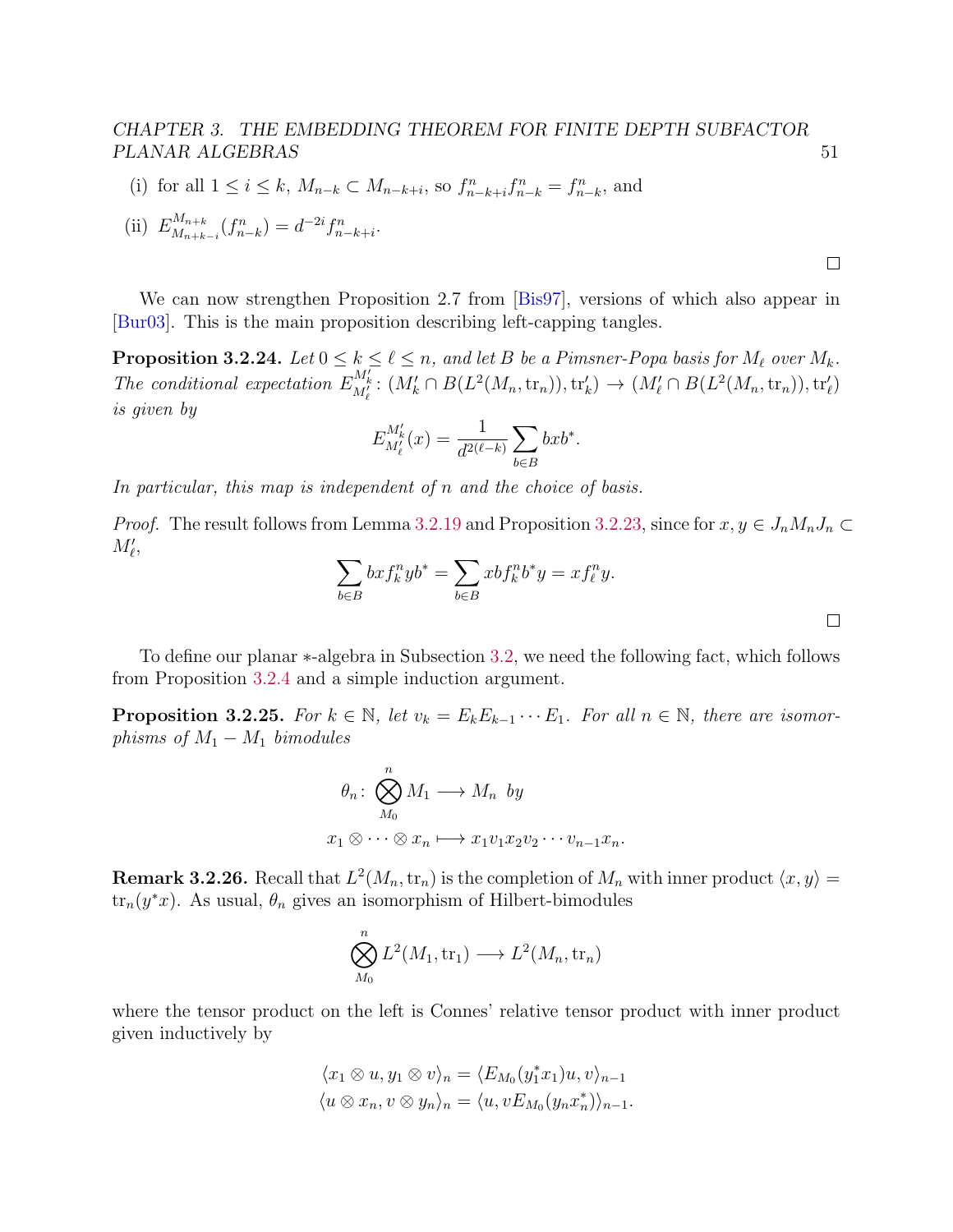(i) for all  $1 \le i \le k$ ,  $M_{n-k} \subset M_{n-k+i}$ , so  $f_{n-k+i}^n f_{n-k}^n = f_{n-k}^n$ , and

(ii) 
$$
E_{M_{n+k-i}}^{M_{n+k}}(f_{n-k}^n) = d^{-2i} f_{n-k+i}^n
$$
.

We can now strengthen Proposition 2.7 from [\[Bis97\]](#page-139-3), versions of which also appear in [\[Bur03\]](#page-139-4). This is the main proposition describing left-capping tangles.

<span id="page-55-1"></span>**Proposition 3.2.24.** Let  $0 \le k \le \ell \le n$ , and let B be a Pimsner-Popa basis for  $M_\ell$  over  $M_k$ . The conditional expectation  $E_{M'_\ell}^{M'_k}$ :  $(M'_k \cap B(L^2(M_n, \text{tr}_n)), \text{tr}'_k) \to (M'_\ell \cap B(L^2(M_n, \text{tr}_n)), \text{tr}'_\ell)$ is given by

$$
E_{M'_{\ell}}^{M'_{k}}(x) = \frac{1}{d^{2(\ell-k)}} \sum_{b \in B} bx b^*.
$$

In particular, this map is independent of n and the choice of basis.

*Proof.* The result follows from Lemma [3.2.19](#page-53-1) and Proposition [3.2.23,](#page-54-1) since for  $x, y \in J_n M_n J_n \subset$  $M'_\ell,$ 

$$
\sum_{b \in B} bx f_k^n y b^* = \sum_{b \in B} x b f_k^n b^* y = x f_\ell^n y.
$$

To define our planar ∗-algebra in Subsection [3.2,](#page-57-0) we need the following fact, which follows from Proposition [3.2.4](#page-50-2) and a simple induction argument.

<span id="page-55-0"></span>**Proposition 3.2.25.** For  $k \in \mathbb{N}$ , let  $v_k = E_k E_{k-1} \cdots E_1$ . For all  $n \in \mathbb{N}$ , there are isomorphisms of  $M_1 - M_1$  bimodules

$$
\theta_n: \bigotimes_{M_0}^n M_1 \longrightarrow M_n \text{ by}
$$

$$
x_1 \otimes \cdots \otimes x_n \longmapsto x_1 v_1 x_2 v_2 \cdots v_{n-1} x_n.
$$

**Remark 3.2.26.** Recall that  $L^2(M_n, \text{tr}_n)$  is the completion of  $M_n$  with inner product  $\langle x, y \rangle =$  $\text{tr}_n(y^*x)$ . As usual,  $\theta_n$  gives an isomorphism of Hilbert-bimodules

$$
\bigotimes_{M_0}^n L^2(M_1, \text{tr}_1) \longrightarrow L^2(M_n, \text{tr}_n)
$$

where the tensor product on the left is Connes' relative tensor product with inner product given inductively by

$$
\langle x_1 \otimes u, y_1 \otimes v \rangle_n = \langle E_{M_0}(y_1^* x_1)u, v \rangle_{n-1}
$$
  

$$
\langle u \otimes x_n, v \otimes y_n \rangle_n = \langle u, v E_{M_0}(y_n x_n^*) \rangle_{n-1}.
$$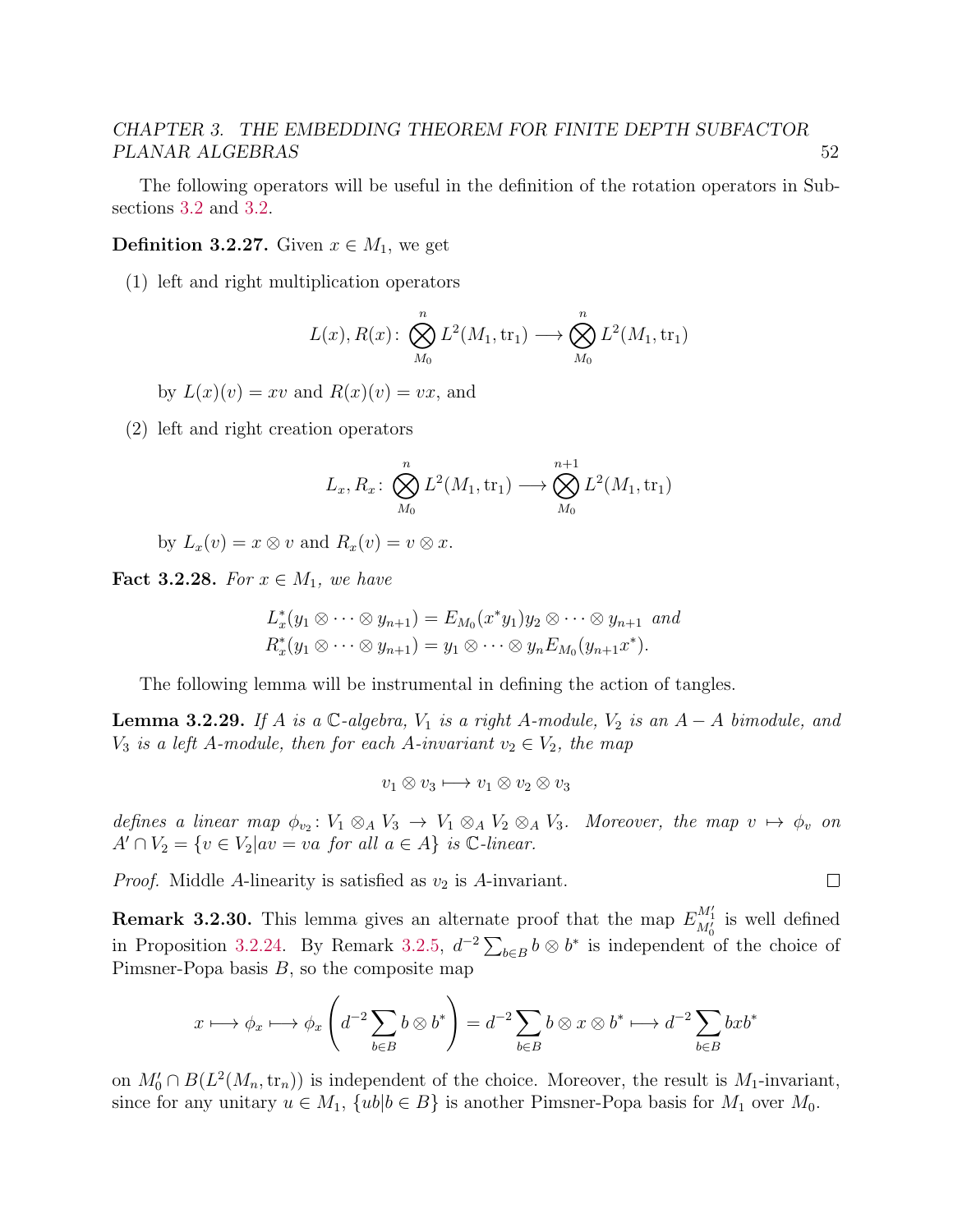The following operators will be useful in the definition of the rotation operators in Subsections [3.2](#page-60-0) and [3.2.](#page-61-0)

**Definition 3.2.27.** Given  $x \in M_1$ , we get

(1) left and right multiplication operators

$$
L(x), R(x): \bigotimes_{M_0}^n L^2(M_1, \text{tr}_1) \longrightarrow \bigotimes_{M_0}^n L^2(M_1, \text{tr}_1)
$$

by  $L(x)(v) = xv$  and  $R(x)(v) = vx$ , and

(2) left and right creation operators

$$
L_x, R_x \colon \bigotimes_{M_0}^n L^2(M_1, \text{tr}_1) \longrightarrow \bigotimes_{M_0}^{n+1} L^2(M_1, \text{tr}_1)
$$

by  $L_x(v) = x \otimes v$  and  $R_x(v) = v \otimes x$ .

Fact 3.2.28. For  $x \in M_1$ , we have

$$
L_x^*(y_1 \otimes \cdots \otimes y_{n+1}) = E_{M_0}(x^*y_1)y_2 \otimes \cdots \otimes y_{n+1} \text{ and}
$$
  

$$
R_x^*(y_1 \otimes \cdots \otimes y_{n+1}) = y_1 \otimes \cdots \otimes y_n E_{M_0}(y_{n+1}x^*).
$$

The following lemma will be instrumental in defining the action of tangles.

<span id="page-56-0"></span>**Lemma 3.2.29.** If A is a  $\mathbb{C}$ -algebra,  $V_1$  is a right A-module,  $V_2$  is an  $A - A$  bimodule, and  $V_3$  is a left A-module, then for each A-invariant  $v_2 \in V_2$ , the map

$$
v_1 \otimes v_3 \longmapsto v_1 \otimes v_2 \otimes v_3
$$

defines a linear map  $\phi_{v_2} : V_1 \otimes_A V_3 \to V_1 \otimes_A V_2 \otimes_A V_3$ . Moreover, the map  $v \mapsto \phi_v$  on  $A' \cap V_2 = \{v \in V_2 | av = va \text{ for all } a \in A\} \text{ is } \mathbb{C}\text{-linear}.$ 

 $\Box$ 

*Proof.* Middle A-linearity is satisfied as  $v_2$  is A-invariant.

**Remark 3.2.30.** This lemma gives an alternate proof that the map  $E_{M_0'}^{M_1'}$  is well defined in Proposition [3.2.24.](#page-55-1) By Remark [3.2.5,](#page-50-3)  $d^{-2} \sum_{b \in B} b \otimes b^*$  is independent of the choice of Pimsner-Popa basis  $B$ , so the composite map

$$
x \longmapsto \phi_x \longmapsto \phi_x \left( d^{-2} \sum_{b \in B} b \otimes b^* \right) = d^{-2} \sum_{b \in B} b \otimes x \otimes b^* \longmapsto d^{-2} \sum_{b \in B} bxb^*
$$

on  $M'_0 \cap B(L^2(M_n, \text{tr}_n))$  is independent of the choice. Moreover, the result is  $M_1$ -invariant, since for any unitary  $u \in M_1$ ,  $\{ub | b \in B\}$  is another Pimsner-Popa basis for  $M_1$  over  $M_0$ .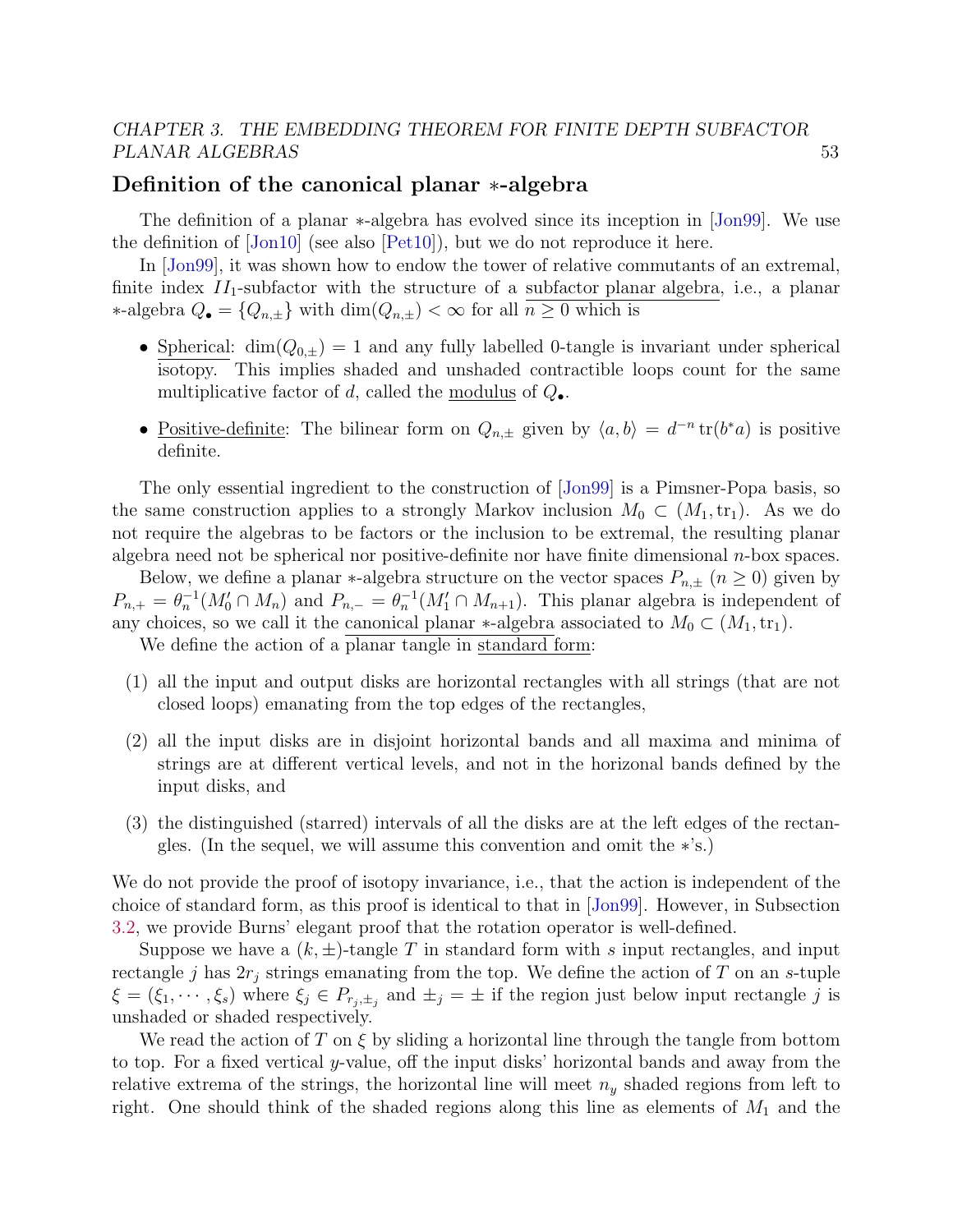#### <span id="page-57-0"></span>Definition of the canonical planar ∗-algebra

The definition of a planar ∗-algebra has evolved since its inception in [\[Jon99\]](#page-141-2). We use the definition of  $\text{Join}10\vert$  (see also  $\text{[Pet10]}$ ), but we do not reproduce it here.

In [\[Jon99\]](#page-141-2), it was shown how to endow the tower of relative commutants of an extremal, finite index  $II_1$ -subfactor with the structure of a subfactor planar algebra, i.e., a planar ∗-algebra  $Q_{\bullet} = \{Q_{n,\pm}\}\$  with  $\dim(Q_{n,\pm}) < \infty$  for all  $n \geq 0$  which is

- Spherical:  $\dim(Q_{0,\pm}) = 1$  and any fully labelled 0-tangle is invariant under spherical isotopy. This implies shaded and unshaded contractible loops count for the same multiplicative factor of d, called the modulus of  $Q_{\bullet}$ .
- <u>Positive-definite</u>: The bilinear form on  $Q_{n,\pm}$  given by  $\langle a, b \rangle = d^{-n} \text{tr}(b^*a)$  is positive definite.

The only essential ingredient to the construction of [\[Jon99\]](#page-141-2) is a Pimsner-Popa basis, so the same construction applies to a strongly Markov inclusion  $M_0 \subset (M_1, \text{tr}_1)$ . As we do not require the algebras to be factors or the inclusion to be extremal, the resulting planar algebra need not be spherical nor positive-definite nor have finite dimensional  $n$ -box spaces.

Below, we define a planar \*-algebra structure on the vector spaces  $P_{n,\pm}$   $(n \geq 0)$  given by  $P_{n,+} = \theta_n^{-1}(M_0' \cap M_n)$  and  $P_{n,-} = \theta_n^{-1}(M_1' \cap M_{n+1})$ . This planar algebra is independent of any choices, so we call it the canonical planar  $*$ -algebra associated to  $M_0 \subset (M_1, \text{tr}_1)$ .

We define the action of a planar tangle in standard form:

- (1) all the input and output disks are horizontal rectangles with all strings (that are not closed loops) emanating from the top edges of the rectangles,
- (2) all the input disks are in disjoint horizontal bands and all maxima and minima of strings are at different vertical levels, and not in the horizonal bands defined by the input disks, and
- (3) the distinguished (starred) intervals of all the disks are at the left edges of the rectangles. (In the sequel, we will assume this convention and omit the ∗'s.)

We do not provide the proof of isotopy invariance, i.e., that the action is independent of the choice of standard form, as this proof is identical to that in [\[Jon99\]](#page-141-2). However, in Subsection [3.2,](#page-60-0) we provide Burns' elegant proof that the rotation operator is well-defined.

Suppose we have a  $(k, \pm)$ -tangle T in standard form with s input rectangles, and input rectangle j has  $2r_j$  strings emanating from the top. We define the action of T on an s-tuple  $\xi = (\xi_1, \dots, \xi_s)$  where  $\xi_j \in P_{r_j, \pm_j}$  and  $\pm_j = \pm$  if the region just below input rectangle j is unshaded or shaded respectively.

We read the action of T on  $\xi$  by sliding a horizontal line through the tangle from bottom to top. For a fixed vertical y-value, off the input disks' horizontal bands and away from the relative extrema of the strings, the horizontal line will meet  $n_y$  shaded regions from left to right. One should think of the shaded regions along this line as elements of  $M_1$  and the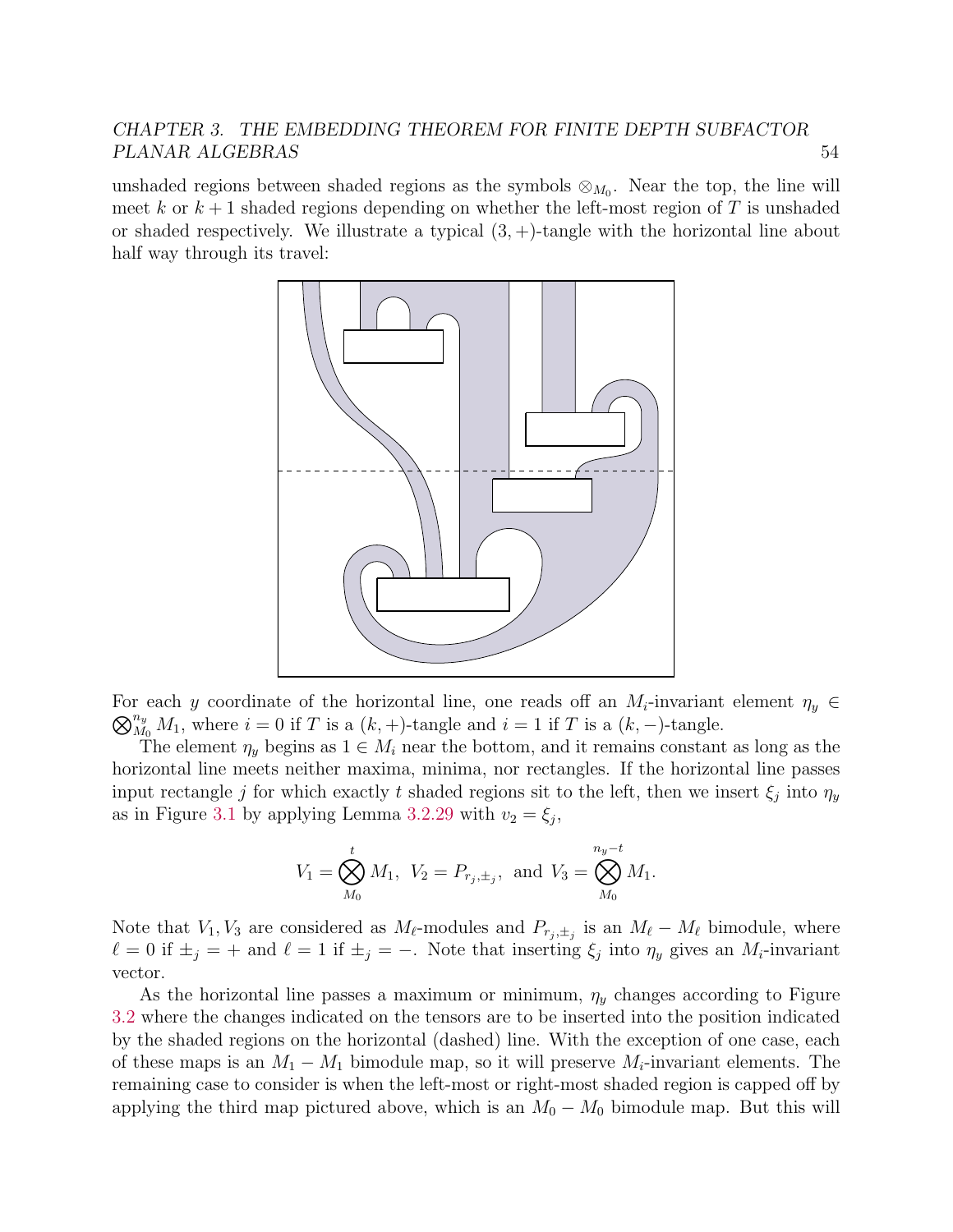unshaded regions between shaded regions as the symbols  $\otimes_{M_0}$ . Near the top, the line will meet k or  $k+1$  shaded regions depending on whether the left-most region of T is unshaded or shaded respectively. We illustrate a typical  $(3, +)$ -tangle with the horizontal line about half way through its travel:



For each y coordinate of the horizontal line, one reads off an  $M_i$ -invariant element  $\eta_y \in$  $\bigotimes_{M_0}^{n_y} M_1$ , where  $i = 0$  if T is a  $(k, +)$ -tangle and  $i = 1$  if T is a  $(k, -)$ -tangle.

The element  $\eta_u$  begins as  $1 \in M_i$  near the bottom, and it remains constant as long as the horizontal line meets neither maxima, minima, nor rectangles. If the horizontal line passes input rectangle j for which exactly t shaded regions sit to the left, then we insert  $\xi_j$  into  $\eta_y$ as in Figure [3.1](#page-59-0) by applying Lemma [3.2.29](#page-56-0) with  $v_2 = \xi_j$ ,

$$
V_1 = \bigotimes_{M_0}^t M_1, \ V_2 = P_{r_j, \pm_j}, \text{ and } V_3 = \bigotimes_{M_0}^{n_y - t} M_1.
$$

Note that  $V_1, V_3$  are considered as  $M_{\ell}$ -modules and  $P_{r_j, \pm_j}$  is an  $M_{\ell} - M_{\ell}$  bimodule, where  $\ell = 0$  if  $\pm_j = +$  and  $\ell = 1$  if  $\pm_j = -$ . Note that inserting  $\xi_j$  into  $\eta_y$  gives an  $M_i$ -invariant vector.

As the horizontal line passes a maximum or minimum,  $\eta_y$  changes according to Figure [3.2](#page-59-1) where the changes indicated on the tensors are to be inserted into the position indicated by the shaded regions on the horizontal (dashed) line. With the exception of one case, each of these maps is an  $M_1 - M_1$  bimodule map, so it will preserve  $M_i$ -invariant elements. The remaining case to consider is when the left-most or right-most shaded region is capped off by applying the third map pictured above, which is an  $M_0 - M_0$  bimodule map. But this will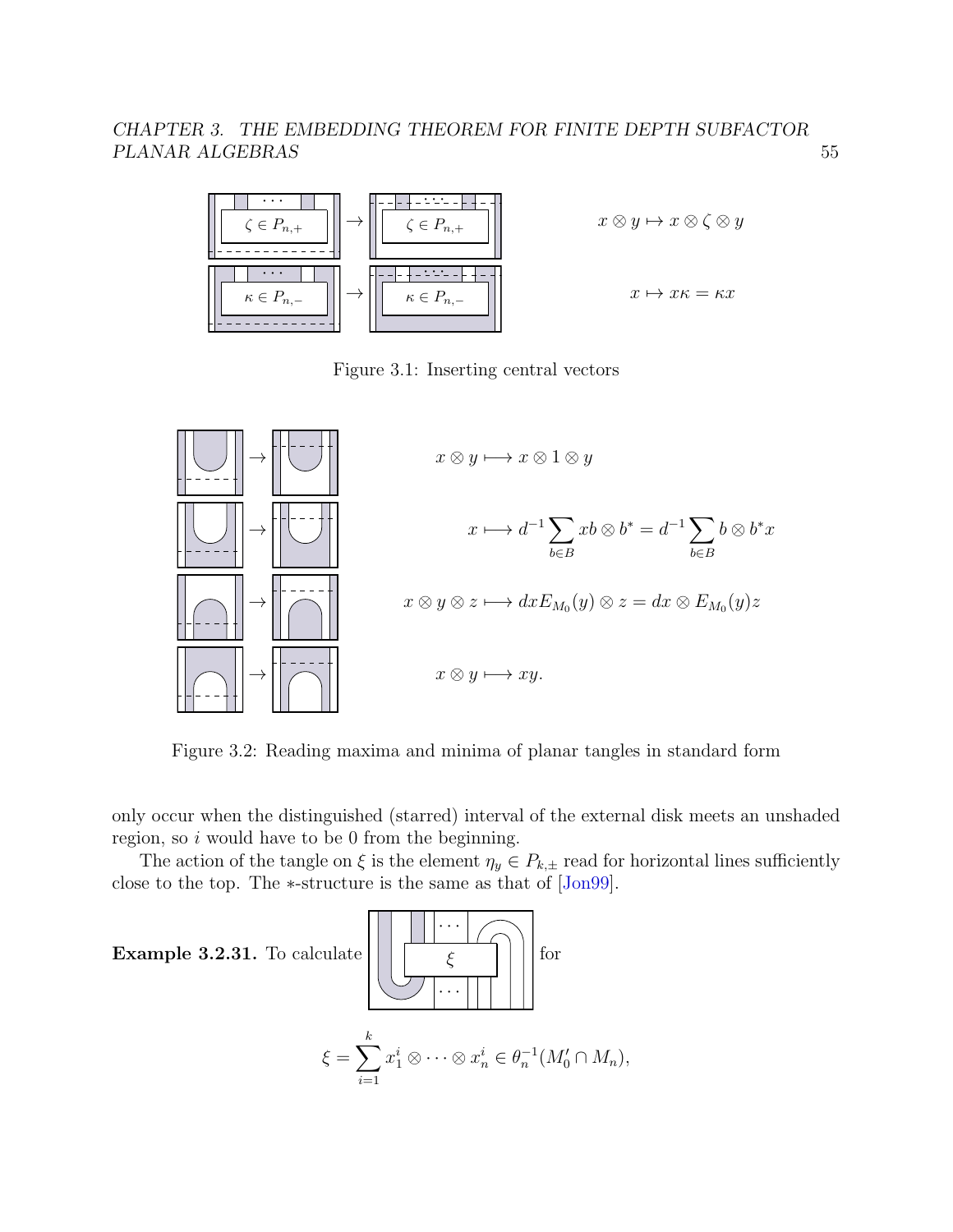

<span id="page-59-0"></span>Figure 3.1: Inserting central vectors



<span id="page-59-1"></span>Figure 3.2: Reading maxima and minima of planar tangles in standard form

only occur when the distinguished (starred) interval of the external disk meets an unshaded region, so  $i$  would have to be 0 from the beginning.

The action of the tangle on  $\xi$  is the element  $\eta_y \in P_{k,\pm}$  read for horizontal lines sufficiently close to the top. The ∗-structure is the same as that of [\[Jon99\]](#page-141-2).

 $\Box$ 

<span id="page-59-2"></span>Example  $3.2.31$ . To cal

$$
\xi = \sum_{i=1}^{k} x_1^i \otimes \cdots \otimes x_n^i \in \theta_n^{-1}(M'_0 \cap M_n),
$$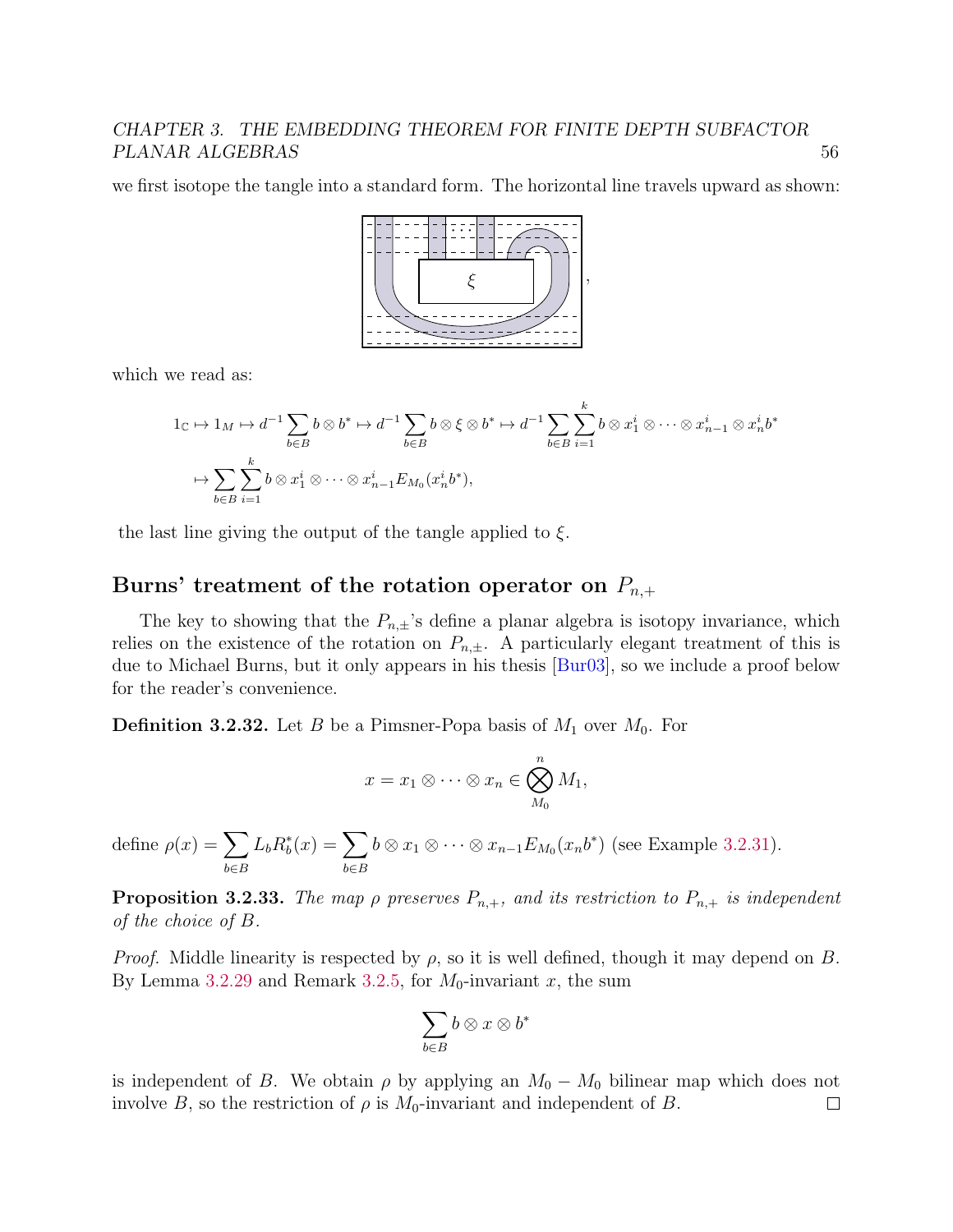we first isotope the tangle into a standard form. The horizontal line travels upward as shown:



which we read as:

$$
1_{\mathbb{C}} \mapsto 1_{M} \mapsto d^{-1} \sum_{b \in B} b \otimes b^{*} \mapsto d^{-1} \sum_{b \in B} b \otimes \xi \otimes b^{*} \mapsto d^{-1} \sum_{b \in B} \sum_{i=1}^{k} b \otimes x_{1}^{i} \otimes \cdots \otimes x_{n-1}^{i} \otimes x_{n}^{i} b^{*}
$$

$$
\mapsto \sum_{b \in B} \sum_{i=1}^{k} b \otimes x_{1}^{i} \otimes \cdots \otimes x_{n-1}^{i} E_{M_{0}}(x_{n}^{i} b^{*}),
$$

the last line giving the output of the tangle applied to  $\xi$ .

#### <span id="page-60-0"></span>Burns' treatment of the rotation operator on  $P_{n,+}$

The key to showing that the  $P_{n,\pm}$ 's define a planar algebra is isotopy invariance, which relies on the existence of the rotation on  $P_{n,\pm}$ . A particularly elegant treatment of this is due to Michael Burns, but it only appears in his thesis [\[Bur03\]](#page-139-4), so we include a proof below for the reader's convenience.

**Definition 3.2.32.** Let B be a Pimsner-Popa basis of  $M_1$  over  $M_0$ . For

$$
x = x_1 \otimes \cdots \otimes x_n \in \bigotimes_{M_0}^n M_1,
$$

define  $\rho(x) = \sum$ b∈B  $L_b R_b^*(x) = \sum$ b∈B  $b \otimes x_1 \otimes \cdots \otimes x_{n-1} E_{M_0}(x_n b^*)$  (see Example [3.2.31\)](#page-59-2).

<span id="page-60-1"></span>**Proposition 3.2.33.** The map  $\rho$  preserves  $P_{n,+}$ , and its restriction to  $P_{n,+}$  is independent of the choice of B.

*Proof.* Middle linearity is respected by  $\rho$ , so it is well defined, though it may depend on B. By Lemma [3.2.29](#page-56-0) and Remark [3.2.5,](#page-50-3) for  $M_0$ -invariant x, the sum

$$
\sum_{b\in B}b\otimes x\otimes b^*
$$

is independent of B. We obtain  $\rho$  by applying an  $M_0 - M_0$  bilinear map which does not involve B, so the restriction of  $\rho$  is  $M_0$ -invariant and independent of B.  $\Box$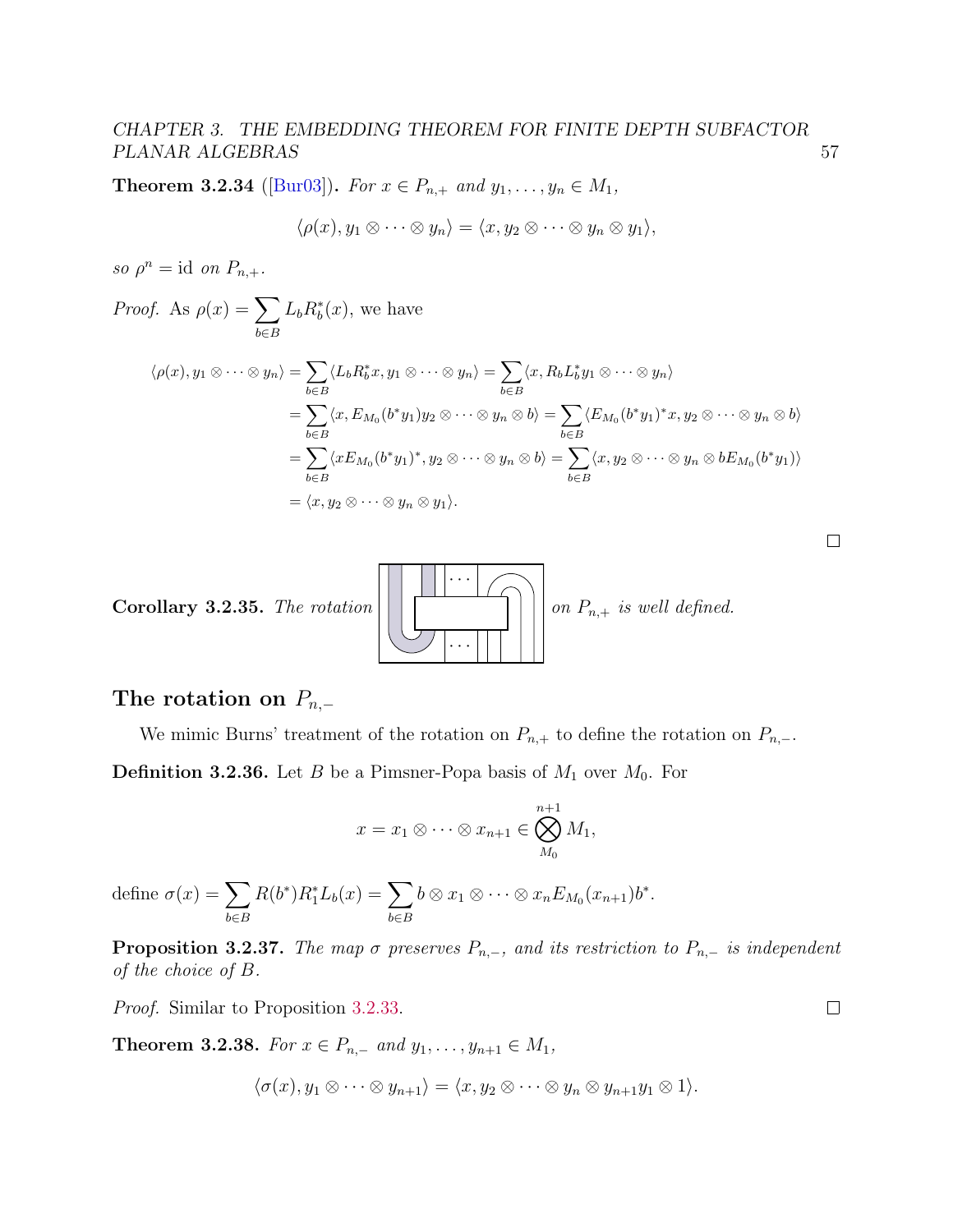<span id="page-61-1"></span>**Theorem 3.2.34** ([\[Bur03\]](#page-139-4)). For  $x \in P_{n,+}$  and  $y_1, \ldots, y_n \in M_1$ ,

$$
\langle \rho(x), y_1 \otimes \cdots \otimes y_n \rangle = \langle x, y_2 \otimes \cdots \otimes y_n \otimes y_1 \rangle,
$$

so  $\rho^n = \text{id}$  on  $P_{n,+}.$ 

Proof. As 
$$
\rho(x) = \sum_{b \in B} L_b R_b^*(x)
$$
, we have  
\n
$$
\langle \rho(x), y_1 \otimes \cdots \otimes y_n \rangle = \sum_{b \in B} \langle L_b R_b^* x, y_1 \otimes \cdots \otimes y_n \rangle = \sum_{b \in B} \langle x, R_b L_b^* y_1 \otimes \cdots \otimes y_n \rangle
$$
\n
$$
= \sum_{b \in B} \langle x, E_{M_0}(b^* y_1) y_2 \otimes \cdots \otimes y_n \otimes b \rangle = \sum_{b \in B} \langle E_{M_0}(b^* y_1)^* x, y_2 \otimes \cdots \otimes y_n \otimes b \rangle
$$
\n
$$
= \sum_{b \in B} \langle x E_{M_0}(b^* y_1)^*, y_2 \otimes \cdots \otimes y_n \otimes b \rangle = \sum_{b \in B} \langle x, y_2 \otimes \cdots \otimes y_n \otimes b E_{M_0}(b^* y_1) \rangle
$$
\n
$$
= \langle x, y_2 \otimes \cdots \otimes y_n \otimes y_1 \rangle.
$$

Corollary 3.2.35. The rotation · · · · · · on  $P_{n,+}$  is well defined.

### <span id="page-61-0"></span>The rotation on  $P_{n,-}$

We mimic Burns' treatment of the rotation on  $P_{n,+}$  to define the rotation on  $P_{n,-}$ . **Definition 3.2.36.** Let B be a Pimsner-Popa basis of  $M_1$  over  $M_0$ . For

$$
x = x_1 \otimes \cdots \otimes x_{n+1} \in \bigotimes_{M_0}^{n+1} M_1,
$$

define  $\sigma(x) = \sum$ b∈B  $R(b^*)R_1^*L_b(x) = \sum$ b∈B  $b \otimes x_1 \otimes \cdots \otimes x_n E_{M_0}(x_{n+1}) b^*.$ 

**Proposition 3.2.37.** The map  $\sigma$  preserves  $P_{n,-}$ , and its restriction to  $P_{n,-}$  is independent of the choice of B.

Proof. Similar to Proposition [3.2.33.](#page-60-1)

<span id="page-61-2"></span>Theorem 3.2.38. For  $x \in P_{n,-}$  and  $y_1, \ldots, y_{n+1} \in M_1$ ,

$$
\langle \sigma(x), y_1 \otimes \cdots \otimes y_{n+1} \rangle = \langle x, y_2 \otimes \cdots \otimes y_n \otimes y_{n+1} y_1 \otimes 1 \rangle.
$$

 $\Box$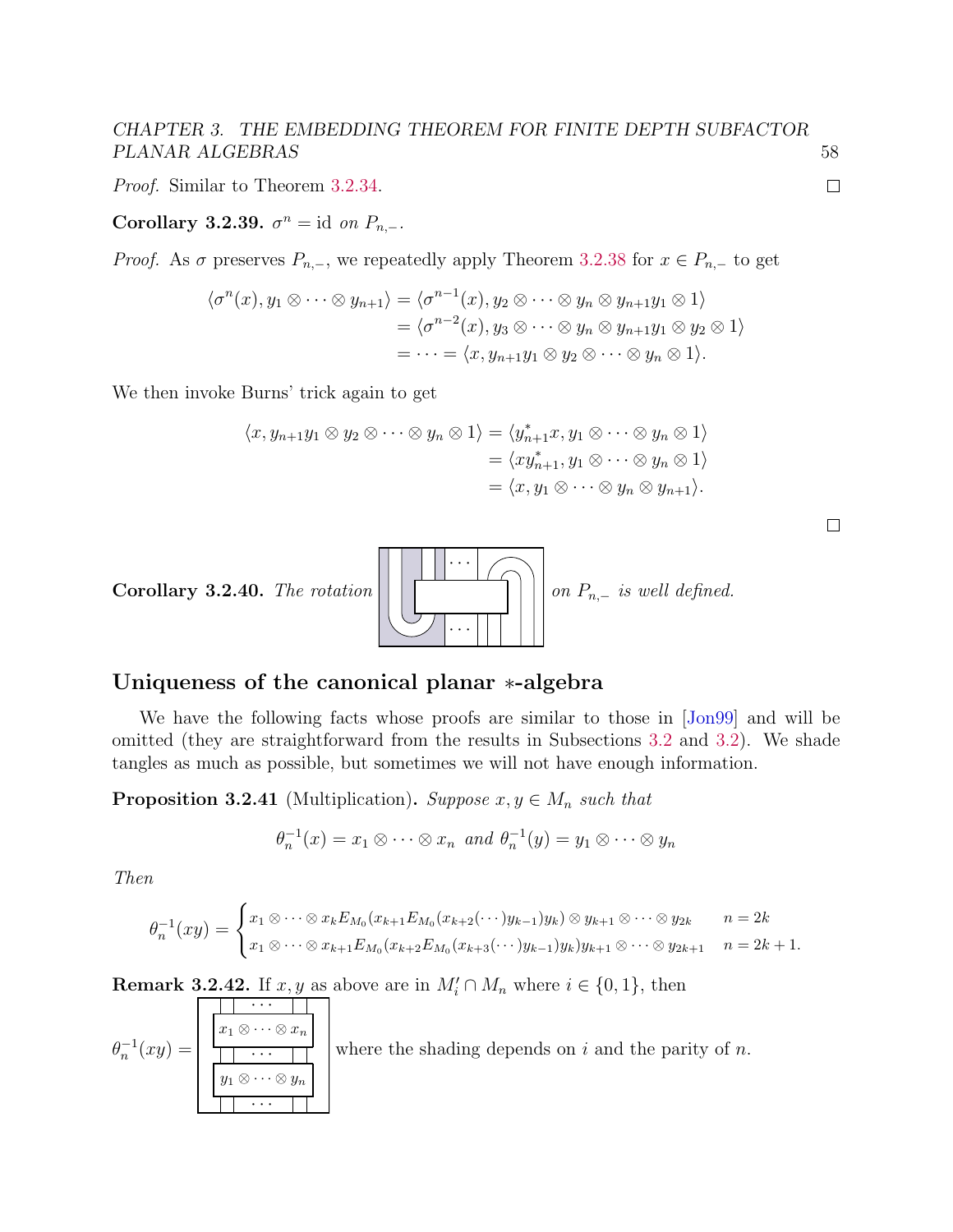Proof. Similar to Theorem [3.2.34.](#page-61-1)

Corollary 3.2.39.  $\sigma^n = id$  on  $P_{n,-}.$ 

*Proof.* As  $\sigma$  preserves  $P_{n,-}$ , we repeatedly apply Theorem [3.2.38](#page-61-2) for  $x \in P_{n,-}$  to get

$$
\langle \sigma^n(x), y_1 \otimes \cdots \otimes y_{n+1} \rangle = \langle \sigma^{n-1}(x), y_2 \otimes \cdots \otimes y_n \otimes y_{n+1} y_1 \otimes 1 \rangle
$$
  
= 
$$
\langle \sigma^{n-2}(x), y_3 \otimes \cdots \otimes y_n \otimes y_{n+1} y_1 \otimes y_2 \otimes 1 \rangle
$$
  
= 
$$
\cdots = \langle x, y_{n+1} y_1 \otimes y_2 \otimes \cdots \otimes y_n \otimes 1 \rangle.
$$

We then invoke Burns' trick again to get

$$
\langle x, y_{n+1}y_1 \otimes y_2 \otimes \cdots \otimes y_n \otimes 1 \rangle = \langle y_{n+1}^* x, y_1 \otimes \cdots \otimes y_n \otimes 1 \rangle
$$
  
=  $\langle xy_{n+1}^*, y_1 \otimes \cdots \otimes y_n \otimes 1 \rangle$   
=  $\langle x, y_1 \otimes \cdots \otimes y_n \otimes y_{n+1} \rangle$ .

| __ |  |
|----|--|
|    |  |
|    |  |
|    |  |
|    |  |
|    |  |
|    |  |
|    |  |
|    |  |
|    |  |
|    |  |
|    |  |
|    |  |
|    |  |
|    |  |
|    |  |



#### <span id="page-62-0"></span>Uniqueness of the canonical planar ∗-algebra

We have the following facts whose proofs are similar to those in [\[Jon99\]](#page-141-2) and will be omitted (they are straightforward from the results in Subsections [3.2](#page-49-2) and [3.2\)](#page-52-0). We shade tangles as much as possible, but sometimes we will not have enough information.

**Proposition 3.2.41** (Multiplication). Suppose  $x, y \in M_n$  such that

$$
\theta_n^{-1}(x) = x_1 \otimes \cdots \otimes x_n \text{ and } \theta_n^{-1}(y) = y_1 \otimes \cdots \otimes y_n
$$

Then

$$
\theta_n^{-1}(xy) = \begin{cases} x_1 \otimes \cdots \otimes x_k E_{M_0}(x_{k+1} E_{M_0}(x_{k+2}(\cdots)y_{k-1})y_k) \otimes y_{k+1} \otimes \cdots \otimes y_{2k} & n = 2k \\ x_1 \otimes \cdots \otimes x_{k+1} E_{M_0}(x_{k+2} E_{M_0}(x_{k+3}(\cdots)y_{k-1})y_k)y_{k+1} \otimes \cdots \otimes y_{2k+1} & n = 2k+1. \end{cases}
$$

<span id="page-62-1"></span>**Remark 3.2.42.** If  $x, y$  as above are in  $M_i' \cap M_n$  where  $i \in \{0, 1\}$ , then

$$
\theta_n^{-1}(xy) = \begin{bmatrix} \frac{|x_1 \otimes \cdots \otimes x_n|}{\cdots} \\ \frac{|x_1 \otimes \cdots \otimes x_n|}{\cdots} \\ \frac{|y_1 \otimes \cdots \otimes y_n|}{\cdots} \end{bmatrix}
$$
 where the shading depends on *i* and the parity of *n*.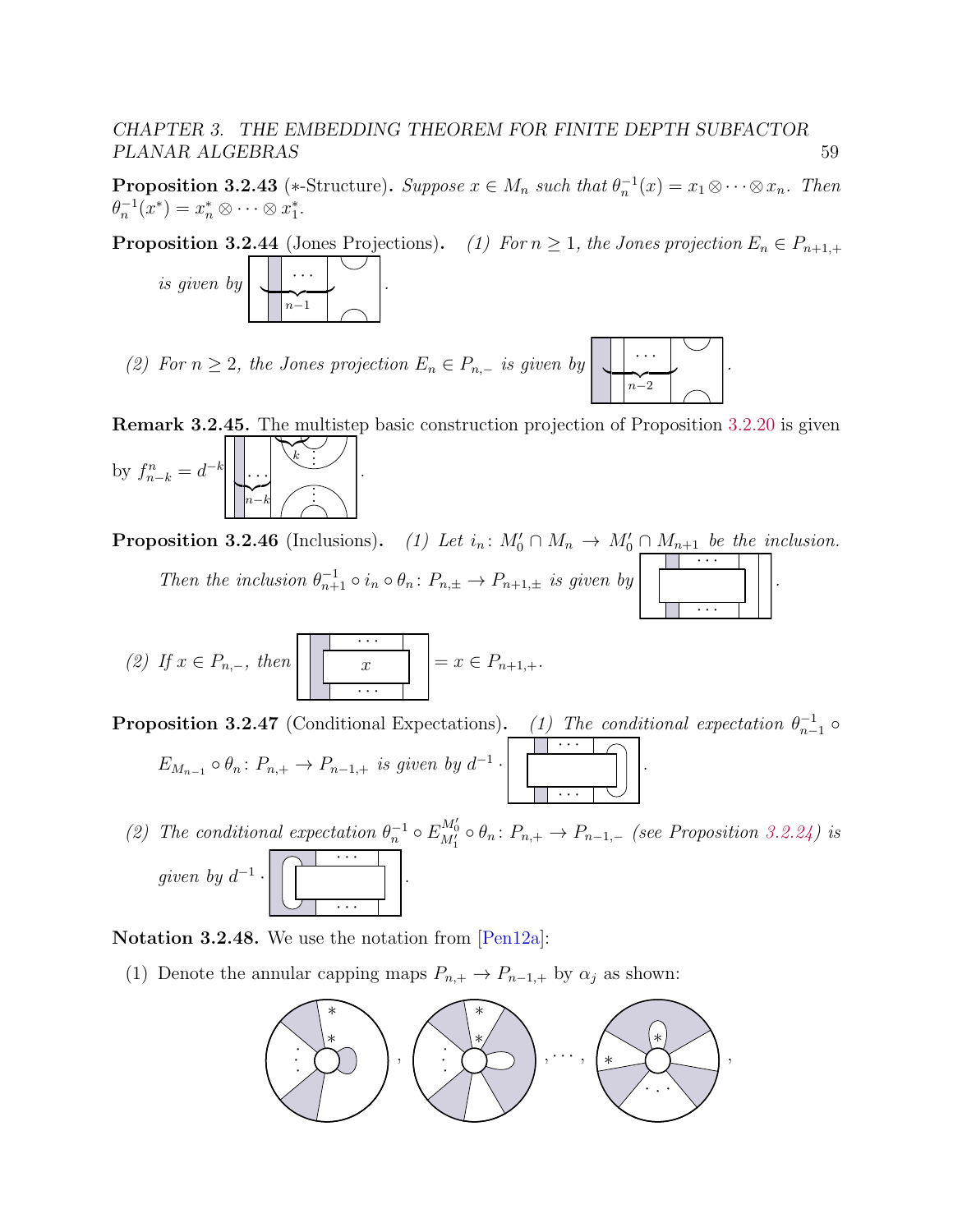<span id="page-63-1"></span>**Proposition 3.2.43** (\*-Structure). Suppose  $x \in M_n$  such that  $\theta_n^{-1}(x) = x_1 \otimes \cdots \otimes x_n$ . Then  $\theta_n^{-1}(x^*) = x_n^* \otimes \cdots \otimes x_1^*.$ 

**Proposition 3.2.44** (Jones Projections). (1) For  $n \geq 1$ , the Jones projection  $E_n \in P_{n+1,+}$ 



(2) For  $n \geq 2$ , the Jones projection  $E_n \in P_{n,-}$  is given by

<span id="page-63-0"></span>Remark 3.2.45. The multistep basic construction projection of Proposition [3.2.20](#page-54-0) is given by  $f_{n-k}^n = d^{-k}$  $\sum_{n-k}$  $n-k$  $\sum_{k}$ k  $\cdot \cdot \cdot$ . . . . . :<br>: .

 $n-2$ 

.

· · ·

.

 $\overline{\cdots}$ 

**Proposition 3.2.46** (Inclusions). (1) Let  $i_n: M'_0 \cap M_n \to M'_0 \cap M_{n+1}$  be the inclusion. Then the inclusion  $\theta_{n+1}^{-1} \circ i_n \circ \theta_n : P_{n,\pm} \to P_{n+1,\pm}$  is given by · · · .

(2) If 
$$
x \in P_{n,-}
$$
, then 
$$
\boxed{\frac{\cdots}{x}} = x \in P_{n+1,+}.
$$

**Proposition 3.2.47** (Conditional Expectations). (1) The conditional expectation  $\theta_{n-1}^{-1}$   $\circ$ 

$$
E_{M_{n-1}} \circ \theta_n \colon P_{n,+} \to P_{n-1,+} \text{ is given by } d^{-1} \cdot \left[ \begin{array}{ccc} \cdots & \cdots & \cdots \\ \vdots & \ddots & \vdots \\ \cdots & \cdots & \cdots \end{array} \right]
$$

(2) The conditional expectation  $\theta_n^{-1} \circ E_{M'_1}^{M'_0} \circ \theta_n : P_{n,+} \to P_{n-1,-}$  (see Proposition [3.2.24\)](#page-55-1) is given by  $d^{-1}$ . · · ·  $\overline{\cdots}$ .

Notation 3.2.48. We use the notation from [\[Pen12a\]](#page-142-2):

(1) Denote the annular capping maps  $P_{n,+} \to P_{n-1,+}$  by  $\alpha_j$  as shown:

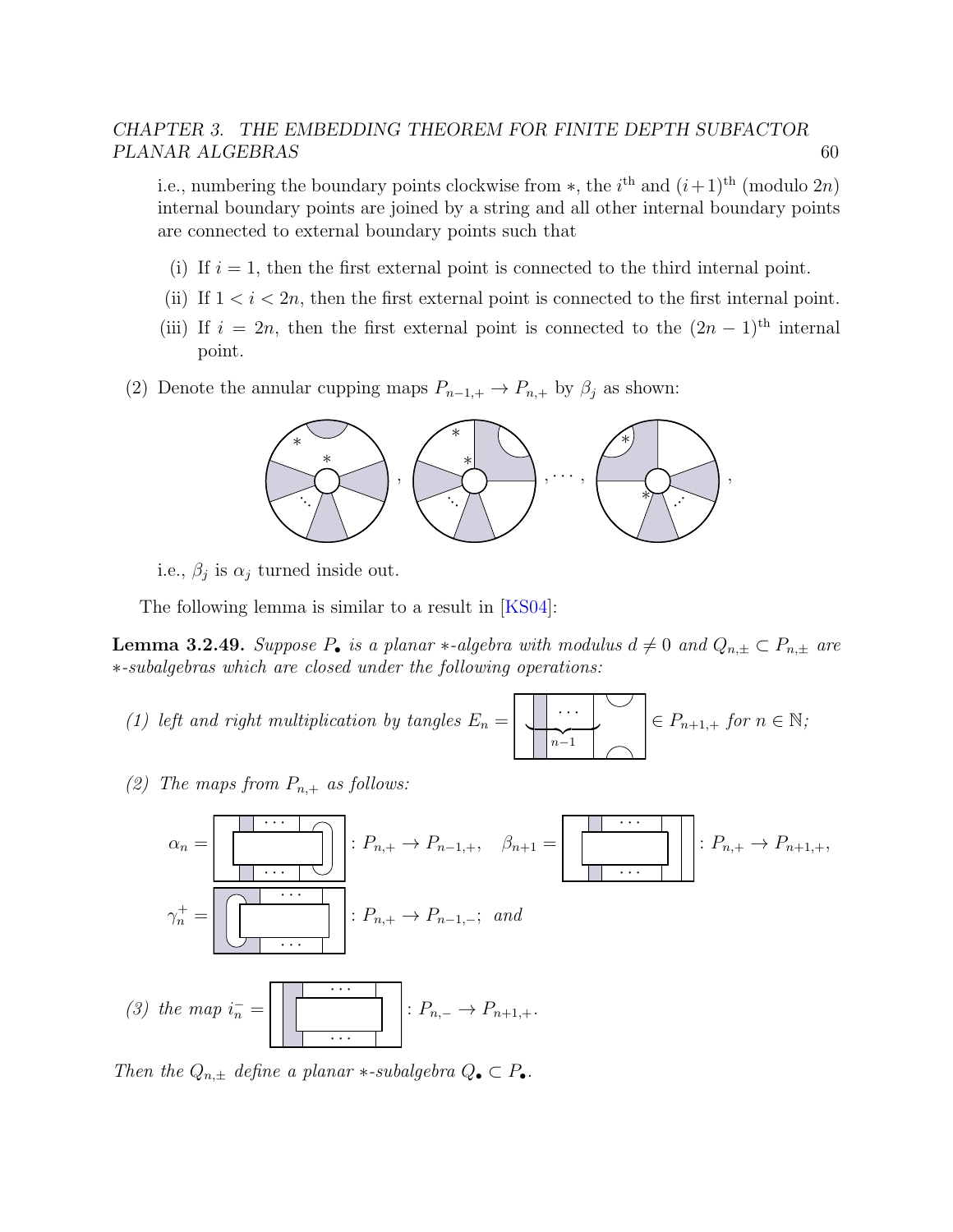i.e., numbering the boundary points clockwise from \*, the i<sup>th</sup> and  $(i+1)$ <sup>th</sup> (modulo 2n) internal boundary points are joined by a string and all other internal boundary points are connected to external boundary points such that

- (i) If  $i = 1$ , then the first external point is connected to the third internal point.
- (ii) If  $1 < i < 2n$ , then the first external point is connected to the first internal point.
- (iii) If  $i = 2n$ , then the first external point is connected to the  $(2n 1)$ <sup>th</sup> internal point.
- (2) Denote the annular cupping maps  $P_{n-1,+} \to P_{n,+}$  by  $\beta_j$  as shown:



i.e.,  $\beta_j$  is  $\alpha_j$  turned inside out.

The following lemma is similar to a result in [\[KS04\]](#page-141-7):

<span id="page-64-0"></span>**Lemma 3.2.49.** Suppose  $P_{\bullet}$  is a planar \*-algebra with modulus  $d \neq 0$  and  $Q_{n,\pm} \subset P_{n,\pm}$  are ∗-subalgebras which are closed under the following operations:

- (1) left and right multiplication by tangles  ${\cal E}_n =$  $n-1$  $\in P_{n+1,+}$  for  $n \in \mathbb{N}$ ;
- (2) The maps from  $P_{n,+}$  as follows:

$$
\alpha_n = \boxed{\begin{bmatrix} \cdots & \cdots & \cdots & \cdots & \cdots & \cdots & \cdots & \cdots & \cdots & \cdots & \cdots & \cdots & \cdots & \cdots & \cdots & \cdots & \cdots & \cdots & \cdots & \cdots & \cdots & \cdots & \cdots & \cdots & \cdots & \cdots & \cdots & \cdots & \cdots & \cdots & \cdots & \cdots & \cdots & \cdots & \cdots & \cdots & \cdots & \cdots & \cdots & \cdots & \cdots & \cdots & \cdots & \cdots & \cdots & \cdots & \cdots & \cdots & \cdots & \cdots & \cdots & \cdots & \cdots & \cdots & \cdots & \cdots & \cdots & \cdots & \cdots & \cdots & \cdots & \cdots & \cdots & \cdots & \cdots & \cdots & \cdots & \cdots & \cdots & \cdots & \cdots & \cdots & \cdots & \cdots & \cdots & \cdots & \cdots & \cdots & \cdots & \cdots & \cdots & \cdots & \cdots & \cdots & \cdots & \cdots & \cdots & \cdots & \cdots & \cdots & \cdots & \cdots & \cdots & \cdots & \cdots & \cdots & \cdots & \cdots & \cdots & \cdots & \cdots & \cdots & \cdots & \cdots & \cdots & \cdots & \cdots & \cdots & \cdots & \cdots & \cdots & \cdots & \cdots & \cdots & \cdots & \cdots & \cdots & \cdots & \cdots & \cdots & \cdots & \cdots & \cdots & \cdots & \cdots &
$$

Then the  $Q_{n,\pm}$  define a planar  $*$ -subalgebra  $Q_{\bullet} \subset P_{\bullet}$ .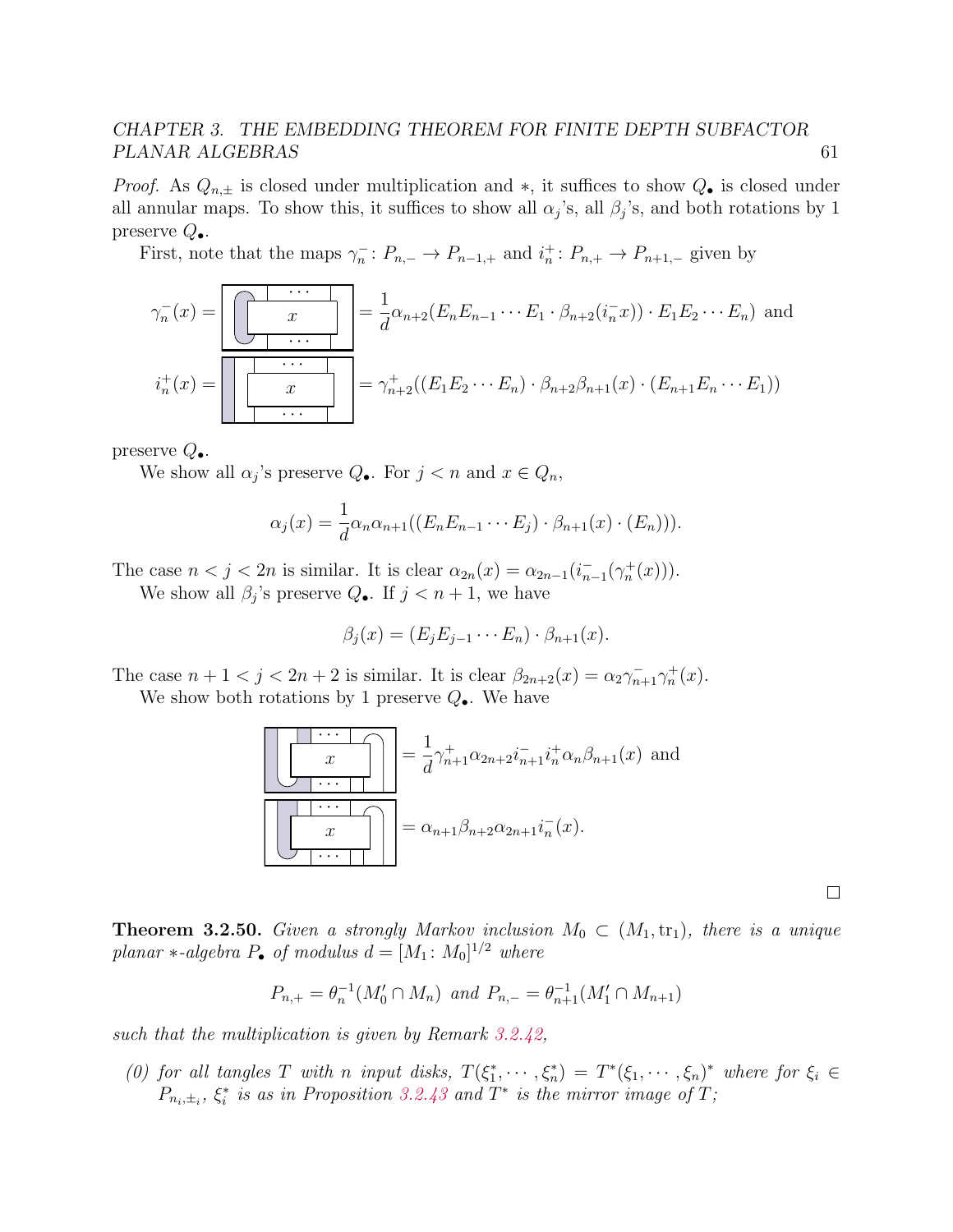*Proof.* As  $Q_{n,\pm}$  is closed under multiplication and \*, it suffices to show  $Q_{\bullet}$  is closed under all annular maps. To show this, it suffices to show all  $\alpha_j$ 's, all  $\beta_j$ 's, and both rotations by 1 preserve  $Q_{\bullet}$ .

First, note that the maps  $\gamma_n^-: P_{n,-} \to P_{n-1,+}$  and  $i_n^+: P_{n,+} \to P_{n+1,-}$  given by

$$
\gamma_n^-(x) = \boxed{\begin{bmatrix} x \\ x \\ \vdots \\ x \end{bmatrix}} = \frac{1}{d} \alpha_{n+2} (E_n E_{n-1} \cdots E_1 \cdot \beta_{n+2} (i_n^- x)) \cdot E_1 E_2 \cdots E_n)
$$
 and  

$$
i_n^+(x) = \boxed{\begin{bmatrix} \cdots \\ x \\ \vdots \\ x \end{bmatrix}} = \gamma_{n+2}^+((E_1 E_2 \cdots E_n) \cdot \beta_{n+2} \beta_{n+1}(x) \cdot (E_{n+1} E_n \cdots E_1))
$$

preserve  $Q_{\bullet}$ .

We show all  $\alpha_j$ 's preserve  $Q_{\bullet}$ . For  $j < n$  and  $x \in Q_n$ ,

$$
\alpha_j(x) = \frac{1}{d} \alpha_n \alpha_{n+1} ((E_n E_{n-1} \cdots E_j) \cdot \beta_{n+1}(x) \cdot (E_n))).
$$

The case  $n < j < 2n$  is similar. It is clear  $\alpha_{2n}(x) = \alpha_{2n-1}(i_{n-1}^-(\gamma_n^+(x)))$ .

We show all  $\beta_j$ 's preserve  $Q_{\bullet}$ . If  $j < n+1$ , we have

$$
\beta_j(x) = (E_j E_{j-1} \cdots E_n) \cdot \beta_{n+1}(x).
$$

The case  $n + 1 < j < 2n + 2$  is similar. It is clear  $\beta_{2n+2}(x) = \alpha_2 \gamma_{n+1}^+ \gamma_n^+(x)$ .

We show both rotations by 1 preserve  $Q_{\bullet}$ . We have

$$
\frac{\sqrt{x}}{\sqrt{x}} = \frac{1}{d} \gamma_{n+1}^{+} \alpha_{2n+2} i_{n+1}^{-} i_{n}^{+} \alpha_{n} \beta_{n+1}(x)
$$
 and  

$$
\alpha_{n+1} \beta_{n+2} \alpha_{2n+1} i_{n}^{-}(x).
$$

 $\Box$ 

<span id="page-65-0"></span>**Theorem 3.2.50.** Given a strongly Markov inclusion  $M_0 \,\subset (M_1, \text{tr}_1)$ , there is a unique planar ∗-algebra  $P_{\bullet}$  of modulus  $d = [M_1: M_0]^{1/2}$  where

$$
P_{n,+} = \theta_n^{-1}(M'_0 \cap M_n) \text{ and } P_{n,-} = \theta_{n+1}^{-1}(M'_1 \cap M_{n+1})
$$

such that the multiplication is given by Remark [3.2.42,](#page-62-1)

(0) for all tangles T with n input disks,  $T(\xi_1^*, \dots, \xi_n^*) = T^*(\xi_1, \dots, \xi_n)^*$  where for  $\xi_i \in$  $P_{n_i,\pm_i}$ ,  $\xi_i^*$  is as in Proposition [3.2.43](#page-63-1) and  $T^*$  is the mirror image of T;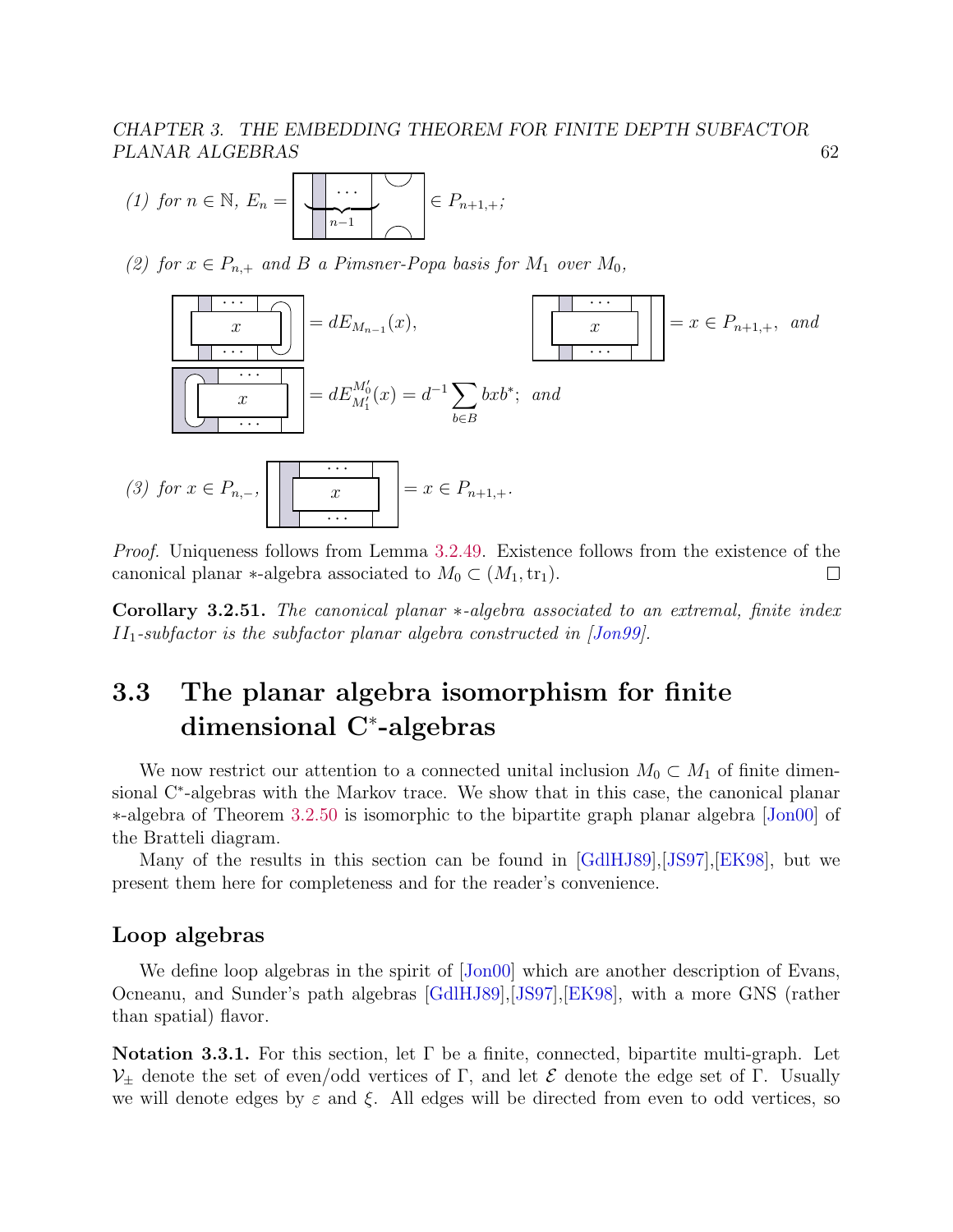(1) for 
$$
n \in \mathbb{N}
$$
,  $E_n = \begin{bmatrix} \cdot & \cdot & \cdot \\ \cdot & \cdot & \cdot \\ \cdot & \cdot & \cdot \\ \cdot & \cdot & \cdot \end{bmatrix} \in P_{n+1,+};$ 

(2) for  $x \in P_{n,+}$  and B a Pimsner-Popa basis for  $M_1$  over  $M_0$ ,



Proof. Uniqueness follows from Lemma [3.2.49.](#page-64-0) Existence follows from the existence of the canonical planar  $\ast$ -algebra associated to  $M_0 \subset (M_1, \text{tr}_1)$ .  $\Box$ 

Corollary 3.2.51. The canonical planar \*-algebra associated to an extremal, finite index  $II_1$ -subfactor is the subfactor planar algebra constructed in  $[Jon99]$ .

# <span id="page-66-0"></span>3.3 The planar algebra isomorphism for finite dimensional C<sup>∗</sup> -algebras

We now restrict our attention to a connected unital inclusion  $M_0 \subset M_1$  of finite dimensional C<sup>∗</sup>-algebras with the Markov trace. We show that in this case, the canonical planar ∗-algebra of Theorem [3.2.50](#page-65-0) is isomorphic to the bipartite graph planar algebra [\[Jon00\]](#page-141-0) of the Bratteli diagram.

Many of the results in this section can be found in [\[GdlHJ89\]](#page-140-1),[\[JS97\]](#page-141-4),[\[EK98\]](#page-139-1), but we present them here for completeness and for the reader's convenience.

#### <span id="page-66-1"></span>Loop algebras

We define loop algebras in the spirit of  $|John00|$  which are another description of Evans, Ocneanu, and Sunder's path algebras [\[GdlHJ89\]](#page-140-1),[\[JS97\]](#page-141-4),[\[EK98\]](#page-139-1), with a more GNS (rather than spatial) flavor.

Notation 3.3.1. For this section, let  $\Gamma$  be a finite, connected, bipartite multi-graph. Let  $V_{\pm}$  denote the set of even/odd vertices of Γ, and let  $\mathcal E$  denote the edge set of Γ. Usually we will denote edges by  $\varepsilon$  and  $\xi$ . All edges will be directed from even to odd vertices, so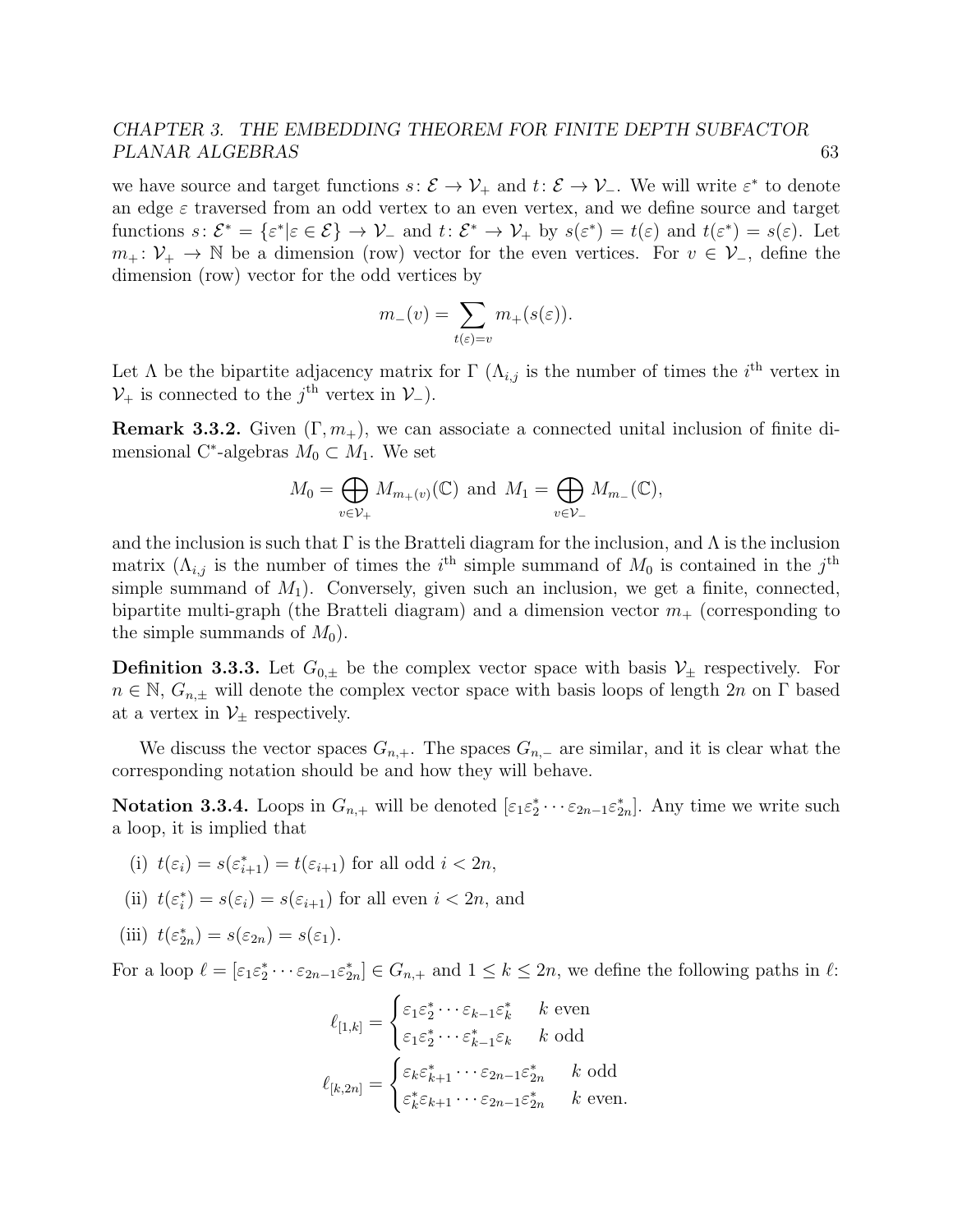we have source and target functions  $s: \mathcal{E} \to \mathcal{V}_+$  and  $t: \mathcal{E} \to \mathcal{V}_-$ . We will write  $\varepsilon^*$  to denote an edge  $\varepsilon$  traversed from an odd vertex to an even vertex, and we define source and target functions  $s: \mathcal{E}^* = \{\varepsilon^* | \varepsilon \in \mathcal{E}\} \to \mathcal{V}_-$  and  $t: \mathcal{E}^* \to \mathcal{V}_+$  by  $s(\varepsilon^*) = t(\varepsilon)$  and  $t(\varepsilon^*) = s(\varepsilon)$ . Let  $m_+ : \mathcal{V}_+ \to \mathbb{N}$  be a dimension (row) vector for the even vertices. For  $v \in \mathcal{V}_-$ , define the dimension (row) vector for the odd vertices by

$$
m_-(v)=\sum_{t(\varepsilon)=v}m_+(s(\varepsilon)).
$$

Let  $\Lambda$  be the bipartite adjacency matrix for  $\Gamma$  ( $\Lambda_{i,j}$  is the number of times the i<sup>th</sup> vertex in  $\mathcal{V}_+$  is connected to the j<sup>th</sup> vertex in  $\mathcal{V}_-$ ).

**Remark 3.3.2.** Given  $(\Gamma, m_+)$ , we can associate a connected unital inclusion of finite dimensional C<sup>\*</sup>-algebras  $M_0 \subset M_1$ . We set

$$
M_0 = \bigoplus_{v \in \mathcal{V}_+} M_{m_+(v)}(\mathbb{C}) \text{ and } M_1 = \bigoplus_{v \in \mathcal{V}_-} M_{m_-}(\mathbb{C}),
$$

and the inclusion is such that  $\Gamma$  is the Bratteli diagram for the inclusion, and  $\Lambda$  is the inclusion matrix ( $\Lambda_{i,j}$  is the number of times the i<sup>th</sup> simple summand of  $M_0$  is contained in the j<sup>th</sup> simple summand of  $M_1$ ). Conversely, given such an inclusion, we get a finite, connected, bipartite multi-graph (the Bratteli diagram) and a dimension vector  $m_{+}$  (corresponding to the simple summands of  $M_0$ ).

**Definition 3.3.3.** Let  $G_{0,\pm}$  be the complex vector space with basis  $V_{\pm}$  respectively. For  $n \in \mathbb{N}$ ,  $G_{n,\pm}$  will denote the complex vector space with basis loops of length  $2n$  on  $\Gamma$  based at a vertex in  $\mathcal{V}_{\pm}$  respectively.

We discuss the vector spaces  $G_{n,+}$ . The spaces  $G_{n,-}$  are similar, and it is clear what the corresponding notation should be and how they will behave.

<span id="page-67-0"></span>**Notation 3.3.4.** Loops in  $G_{n,+}$  will be denoted  $[\epsilon_1 \epsilon_2^* \cdots \epsilon_{2n-1} \epsilon_{2n}^*]$ . Any time we write such a loop, it is implied that

- (i)  $t(\varepsilon_i) = s(\varepsilon_{i+1}^*) = t(\varepsilon_{i+1})$  for all odd  $i < 2n$ ,
- (ii)  $t(\varepsilon_i^*) = s(\varepsilon_i) = s(\varepsilon_{i+1})$  for all even  $i < 2n$ , and
- (iii)  $t(\varepsilon_{2n}^*) = s(\varepsilon_{2n}) = s(\varepsilon_1).$

For a loop  $\ell = [\varepsilon_1 \varepsilon_2^* \cdots \varepsilon_{2n-1} \varepsilon_{2n}^*] \in G_{n,+}$  and  $1 \leq k \leq 2n$ , we define the following paths in  $\ell$ :

$$
\ell_{[1,k]} = \begin{cases} \varepsilon_1 \varepsilon_2^* \cdots \varepsilon_{k-1} \varepsilon_k^* & \text{even} \\ \varepsilon_1 \varepsilon_2^* \cdots \varepsilon_{k-1}^* \varepsilon_k & \text{odd} \end{cases}
$$
\n
$$
\ell_{[k,2n]} = \begin{cases} \varepsilon_k \varepsilon_{k+1}^* \cdots \varepsilon_{2n-1} \varepsilon_{2n}^* & \text{odd} \\ \varepsilon_k^* \varepsilon_{k+1} \cdots \varepsilon_{2n-1} \varepsilon_{2n}^* & \text{even.} \end{cases}
$$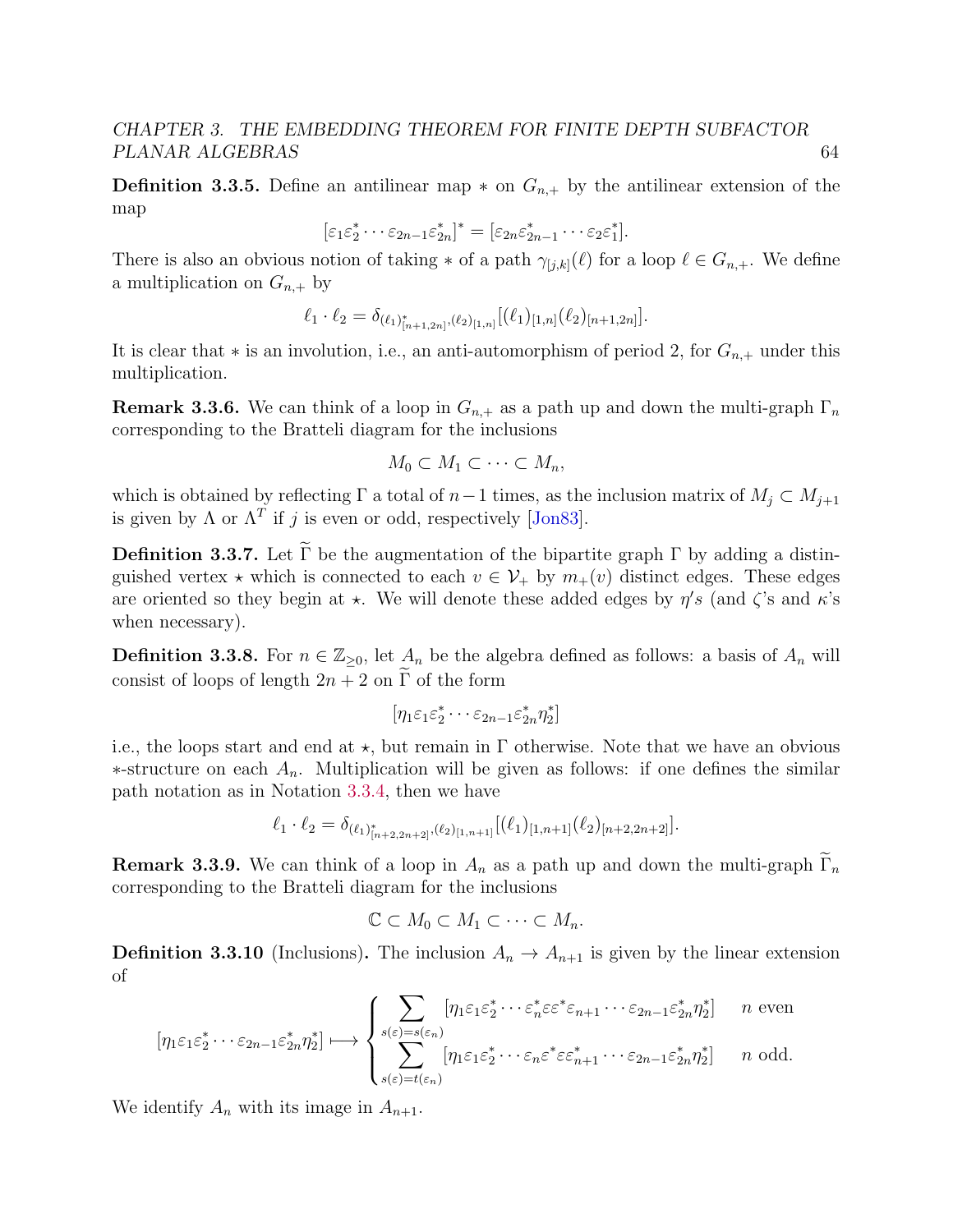**Definition 3.3.5.** Define an antilinear map  $*$  on  $G_{n,+}$  by the antilinear extension of the map

$$
[\varepsilon_1\varepsilon_2^*\cdots\varepsilon_{2n-1}\varepsilon_{2n}^*]^*=[\varepsilon_{2n}\varepsilon_{2n-1}^*\cdots\varepsilon_{2}\varepsilon_1^*].
$$

There is also an obvious notion of taking  $*$  of a path  $\gamma_{[j,k]}(\ell)$  for a loop  $\ell \in G_{n,+}$ . We define a multiplication on  $G_{n,+}$  by

$$
\ell_1 \cdot \ell_2 = \delta_{(\ell_1)_{[n+1,2n]}^*, (\ell_2)_{[1,n]}} [(\ell_1)_{[1,n]}(\ell_2)_{[n+1,2n]}].
$$

It is clear that  $*$  is an involution, i.e., an anti-automorphism of period 2, for  $G_{n,+}$  under this multiplication.

**Remark 3.3.6.** We can think of a loop in  $G_{n,+}$  as a path up and down the multi-graph  $\Gamma_n$ corresponding to the Bratteli diagram for the inclusions

$$
M_0 \subset M_1 \subset \cdots \subset M_n,
$$

which is obtained by reflecting  $\Gamma$  a total of  $n-1$  times, as the inclusion matrix of  $M_j \subset M_{j+1}$ is given by  $\Lambda$  or  $\Lambda^T$  if j is even or odd, respectively [\[Jon83\]](#page-141-3).

**Definition 3.3.7.** Let  $\widetilde{\Gamma}$  be the augmentation of the bipartite graph  $\Gamma$  by adding a distinguished vertex  $\star$  which is connected to each  $v \in \mathcal{V}_+$  by  $m_+(v)$  distinct edges. These edges are oriented so they begin at  $\star$ . We will denote these added edges by  $\eta's$  (and  $\zeta$ 's and  $\kappa$ 's when necessary).

**Definition 3.3.8.** For  $n \in \mathbb{Z}_{\geq 0}$ , let  $A_n$  be the algebra defined as follows: a basis of  $A_n$  will consist of loops of length  $2n + 2$  on  $\Gamma$  of the form

$$
[\eta_1\varepsilon_1\varepsilon_2^*\cdots\varepsilon_{2n-1}\varepsilon_{2n}^*\eta_2^*]
$$

i.e., the loops start and end at  $\star$ , but remain in  $\Gamma$  otherwise. Note that we have an obvious  $*$ -structure on each  $A_n$ . Multiplication will be given as follows: if one defines the similar path notation as in Notation [3.3.4,](#page-67-0) then we have

$$
\ell_1 \cdot \ell_2 = \delta_{(\ell_1)_{[n+2,2n+2]}^*, (\ell_2)_{[1,n+1]}} [(\ell_1)_{[1,n+1]}(\ell_2)_{[n+2,2n+2]}].
$$

**Remark 3.3.9.** We can think of a loop in  $A_n$  as a path up and down the multi-graph  $\widetilde{\Gamma}_n$ corresponding to the Bratteli diagram for the inclusions

$$
\mathbb{C} \subset M_0 \subset M_1 \subset \cdots \subset M_n.
$$

<span id="page-68-0"></span>**Definition 3.3.10** (Inclusions). The inclusion  $A_n \to A_{n+1}$  is given by the linear extension of

$$
[\eta_1 \varepsilon_1 \varepsilon_2^* \cdots \varepsilon_{2n-1} \varepsilon_{2n}^* \eta_2^*] \longmapsto \begin{cases} \sum_{s(\varepsilon)=s(\varepsilon_n)} [\eta_1 \varepsilon_1 \varepsilon_2^* \cdots \varepsilon_n^* \varepsilon \varepsilon^* \varepsilon_{n+1} \cdots \varepsilon_{2n-1} \varepsilon_{2n}^* \eta_2^*] & n \text{ even} \\ \sum_{s(\varepsilon)=t(\varepsilon_n)} [\eta_1 \varepsilon_1 \varepsilon_2^* \cdots \varepsilon_n \varepsilon^* \varepsilon \varepsilon_{n+1}^* \cdots \varepsilon_{2n-1} \varepsilon_{2n}^* \eta_2^*] & n \text{ odd.} \end{cases}
$$

We identify  $A_n$  with its image in  $A_{n+1}$ .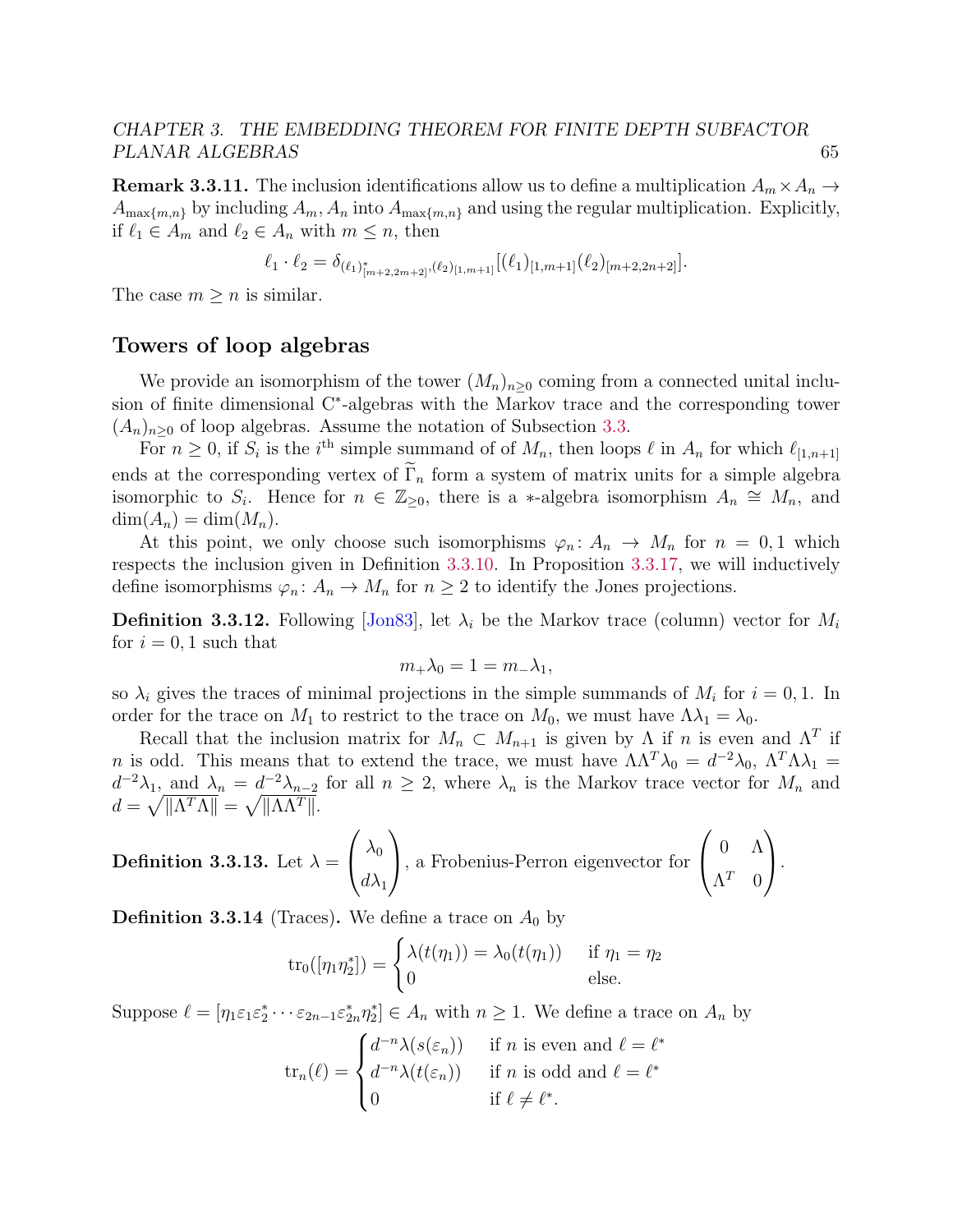**Remark 3.3.11.** The inclusion identifications allow us to define a multiplication  $A_m \times A_n \rightarrow$  $A_{\max\{m,n\}}$  by including  $A_m$ ,  $A_n$  into  $A_{\max\{m,n\}}$  and using the regular multiplication. Explicitly, if  $\ell_1 \in A_m$  and  $\ell_2 \in A_n$  with  $m \leq n$ , then

$$
\ell_1 \cdot \ell_2 = \delta_{(\ell_1)_{[m+2,2m+2]}^*, (\ell_2)_{[1,m+1]}} [(\ell_1)_{[1,m+1]}(\ell_2)_{[m+2,2n+2]}].
$$

The case  $m \geq n$  is similar.

#### Towers of loop algebras

We provide an isomorphism of the tower  $(M_n)_{n\geq 0}$  coming from a connected unital inclusion of finite dimensional C<sup>∗</sup> -algebras with the Markov trace and the corresponding tower  $(A_n)_{n\geq 0}$  of loop algebras. Assume the notation of Subsection [3.3.](#page-66-1)

For  $n \geq 0$ , if  $S_i$  is the i<sup>th</sup> simple summand of of  $M_n$ , then loops  $\ell$  in  $A_n$  for which  $\ell_{[1,n+1]}$ ends at the corresponding vertex of  $\widetilde{\Gamma}_n$  form a system of matrix units for a simple algebra isomorphic to  $S_i$ . Hence for  $n \in \mathbb{Z}_{\geq 0}$ , there is a \*-algebra isomorphism  $A_n \cong M_n$ , and  $\dim(A_n) = \dim(M_n).$ 

At this point, we only choose such isomorphisms  $\varphi_n: A_n \to M_n$  for  $n = 0,1$  which respects the inclusion given in Definition [3.3.10.](#page-68-0) In Proposition [3.3.17,](#page-70-0) we will inductively define isomorphisms  $\varphi_n: A_n \to M_n$  for  $n \geq 2$  to identify the Jones projections.

**Definition 3.3.12.** Following [\[Jon83\]](#page-141-3), let  $\lambda_i$  be the Markov trace (column) vector for  $M_i$ for  $i = 0, 1$  such that

$$
m_+\lambda_0=1=m_-\lambda_1,
$$

so  $\lambda_i$  gives the traces of minimal projections in the simple summands of  $M_i$  for  $i = 0, 1$ . In order for the trace on  $M_1$  to restrict to the trace on  $M_0$ , we must have  $\Lambda \lambda_1 = \lambda_0$ .

Recall that the inclusion matrix for  $M_n \subset M_{n+1}$  is given by  $\Lambda$  if n is even and  $\Lambda^T$  if *n* is odd. This means that to extend the trace, we must have  $\Lambda \Lambda^T \lambda_0 = d^{-2} \lambda_0$ ,  $\Lambda^T \Lambda \lambda_1 =$  $d^{-2}\lambda_1$ , and  $\lambda_n = d^{-2}\lambda_{n-2}$  for all  $n \geq 2$ , where  $\lambda_n$  is the Markov trace vector for  $M_n$  and  $d = \sqrt{\Vert \Lambda^T \Lambda \Vert} = \sqrt{\Vert \Lambda \Lambda^T \Vert}.$ 

**Definition 3.3.13.** Let 
$$
\lambda = \begin{pmatrix} \lambda_0 \\ d\lambda_1 \end{pmatrix}
$$
, a Frobenius-Perron eigenvector for  $\begin{pmatrix} 0 & \Lambda \\ \Lambda^T & 0 \end{pmatrix}$ .

**Definition 3.3.14** (Traces). We define a trace on  $A_0$  by

$$
\operatorname{tr}_0([\eta_1 \eta_2^*]) = \begin{cases} \lambda(t(\eta_1)) = \lambda_0(t(\eta_1)) & \text{if } \eta_1 = \eta_2 \\ 0 & \text{else.} \end{cases}
$$

Suppose  $\ell = [\eta_1 \varepsilon_1 \varepsilon_2^* \cdots \varepsilon_{2n-1} \varepsilon_{2n}^* \eta_2^*] \in A_n$  with  $n \ge 1$ . We define a trace on  $A_n$  by

$$
\operatorname{tr}_n(\ell) = \begin{cases} d^{-n} \lambda(s(\varepsilon_n)) & \text{if } n \text{ is even and } \ell = \ell^* \\ d^{-n} \lambda(t(\varepsilon_n)) & \text{if } n \text{ is odd and } \ell = \ell^* \\ 0 & \text{if } \ell \neq \ell^*. \end{cases}
$$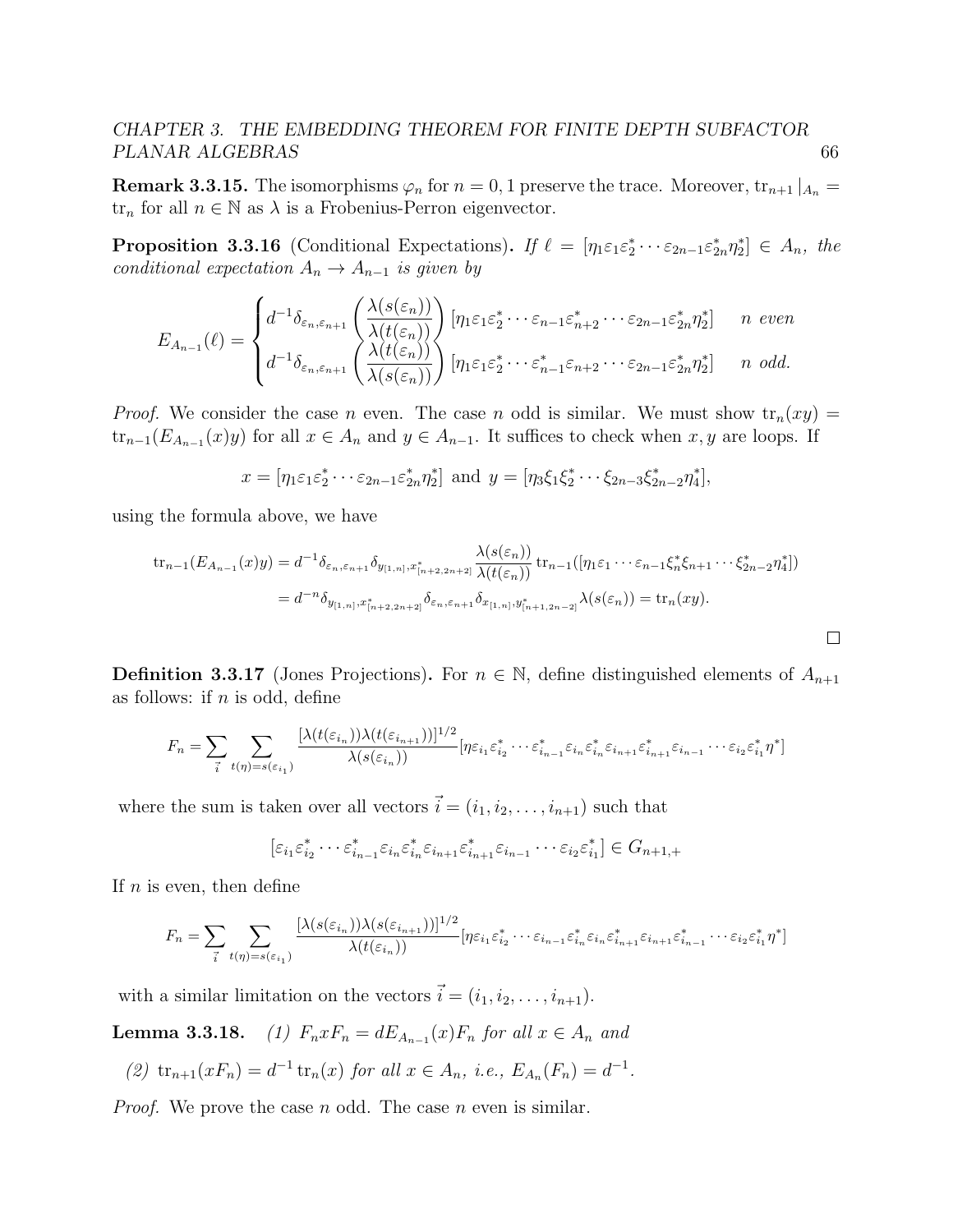**Remark 3.3.15.** The isomorphisms  $\varphi_n$  for  $n = 0, 1$  preserve the trace. Moreover,  $\text{tr}_{n+1} |_{A_n} =$  $\text{tr}_n$  for all  $n \in \mathbb{N}$  as  $\lambda$  is a Frobenius-Perron eigenvector.

**Proposition 3.3.16** (Conditional Expectations). If  $\ell = [\eta_1 \varepsilon_1 \varepsilon_2^* \cdots \varepsilon_{2n-1} \varepsilon_{2n}^* \eta_2^*] \in A_n$ , the conditional expectation  $A_n \to A_{n-1}$  is given by

$$
E_{A_{n-1}}(\ell) = \begin{cases} d^{-1}\delta_{\varepsilon_n,\varepsilon_{n+1}}\left(\frac{\lambda(s(\varepsilon_n))}{\lambda(t(\varepsilon_n))}\right)[\eta_1\varepsilon_1\varepsilon_2^*\cdots\varepsilon_{n-1}\varepsilon_{n+2}^*\cdots\varepsilon_{2n-1}\varepsilon_{2n}^*\eta_2^*] & n \text{ even} \\ d^{-1}\delta_{\varepsilon_n,\varepsilon_{n+1}}\left(\frac{\lambda(t(\varepsilon_n))}{\lambda(s(\varepsilon_n))}\right)[\eta_1\varepsilon_1\varepsilon_2^*\cdots\varepsilon_{n-1}^*\varepsilon_{n+2}\cdots\varepsilon_{2n-1}\varepsilon_{2n}^*\eta_2^*] & n \text{ odd.} \end{cases}
$$

*Proof.* We consider the case n even. The case n odd is similar. We must show  $tr_n(xy) =$  $\text{tr}_{n-1}(E_{A_{n-1}}(x)y)$  for all  $x \in A_n$  and  $y \in A_{n-1}$ . It suffices to check when  $x, y$  are loops. If

$$
x = [\eta_1 \varepsilon_1 \varepsilon_2^* \cdots \varepsilon_{2n-1} \varepsilon_{2n}^* \eta_2^*] \text{ and } y = [\eta_3 \xi_1 \xi_2^* \cdots \xi_{2n-3} \xi_{2n-2}^* \eta_4^*],
$$

using the formula above, we have

$$
\begin{split} \operatorname{tr}_{n-1}(E_{A_{n-1}}(x)y) &= d^{-1}\delta_{\varepsilon_n,\varepsilon_{n+1}}\delta_{y_{[1,n]},x^*_{[n+2,2n+2]}}\frac{\lambda(s(\varepsilon_n))}{\lambda(t(\varepsilon_n))}\operatorname{tr}_{n-1}([ \eta_1\varepsilon_1\cdots\varepsilon_{n-1}\xi_n^*\xi_{n+1}\cdots\xi_{2n-2}^*\eta_4^*]) \\ &= d^{-n}\delta_{y_{[1,n]},x^*_{[n+2,2n+2]}}\delta_{\varepsilon_n,\varepsilon_{n+1}}\delta_{x_{[1,n]},y^*_{[n+1,2n-2]}}\lambda(s(\varepsilon_n)) = \operatorname{tr}_n(xy). \end{split}
$$

<span id="page-70-0"></span>**Definition 3.3.17** (Jones Projections). For  $n \in \mathbb{N}$ , define distinguished elements of  $A_{n+1}$ as follows: if  $n$  is odd, define

$$
F_n = \sum_{\vec{i}} \sum_{t(\eta) = s(\varepsilon_{i_1})} \frac{[\lambda(t(\varepsilon_{i_n}))\lambda(t(\varepsilon_{i_{n+1}}))]^{1/2}}{\lambda(s(\varepsilon_{i_n}))} [\eta \varepsilon_{i_1} \varepsilon_{i_2}^* \cdots \varepsilon_{i_{n-1}}^* \varepsilon_{i_n} \varepsilon_{i_n}^* \varepsilon_{i_{n+1}} \varepsilon_{i_{n+1}}^* \varepsilon_{i_{n-1}} \cdots \varepsilon_{i_2} \varepsilon_{i_1}^* \eta^*]
$$

where the sum is taken over all vectors  $\vec{i} = (i_1, i_2, \ldots, i_{n+1})$  such that

$$
[\varepsilon_{i_1}\varepsilon_{i_2}^*\cdots\varepsilon_{i_{n-1}}^*\varepsilon_{i_n}\varepsilon_{i_n}^*\varepsilon_{i_{n+1}}\varepsilon_{i_{n+1}}^*\varepsilon_{i_{n-1}}\cdots\varepsilon_{i_2}\varepsilon_{i_1}^*]\in G_{n+1,+}
$$

If  $n$  is even, then define

$$
F_n = \sum_{\vec{i}} \sum_{t(\eta) = s(\varepsilon_{i_1})} \frac{[\lambda(s(\varepsilon_{i_n}))\lambda(s(\varepsilon_{i_{n+1}}))]^{1/2}}{\lambda(t(\varepsilon_{i_n}))} [\eta \varepsilon_{i_1} \varepsilon_{i_2}^* \cdots \varepsilon_{i_{n-1}} \varepsilon_{i_n}^* \varepsilon_{i_n} \varepsilon_{i_{n+1}}^* \varepsilon_{i_{n+1}} \varepsilon_{i_{n-1}}^* \cdots \varepsilon_{i_2} \varepsilon_{i_1}^* \eta^*]
$$

with a similar limitation on the vectors  $\vec{i} = (i_1, i_2, \dots, i_{n+1}).$ 

**Lemma 3.3.18.** (1)  $F_n x F_n = dE_{A_{n-1}}(x) F_n$  for all  $x \in A_n$  and

(2) 
$$
\operatorname{tr}_{n+1}(xF_n) = d^{-1} \operatorname{tr}_n(x)
$$
 for all  $x \in A_n$ , *i.e.*,  $E_{A_n}(F_n) = d^{-1}$ .

*Proof.* We prove the case n odd. The case n even is similar.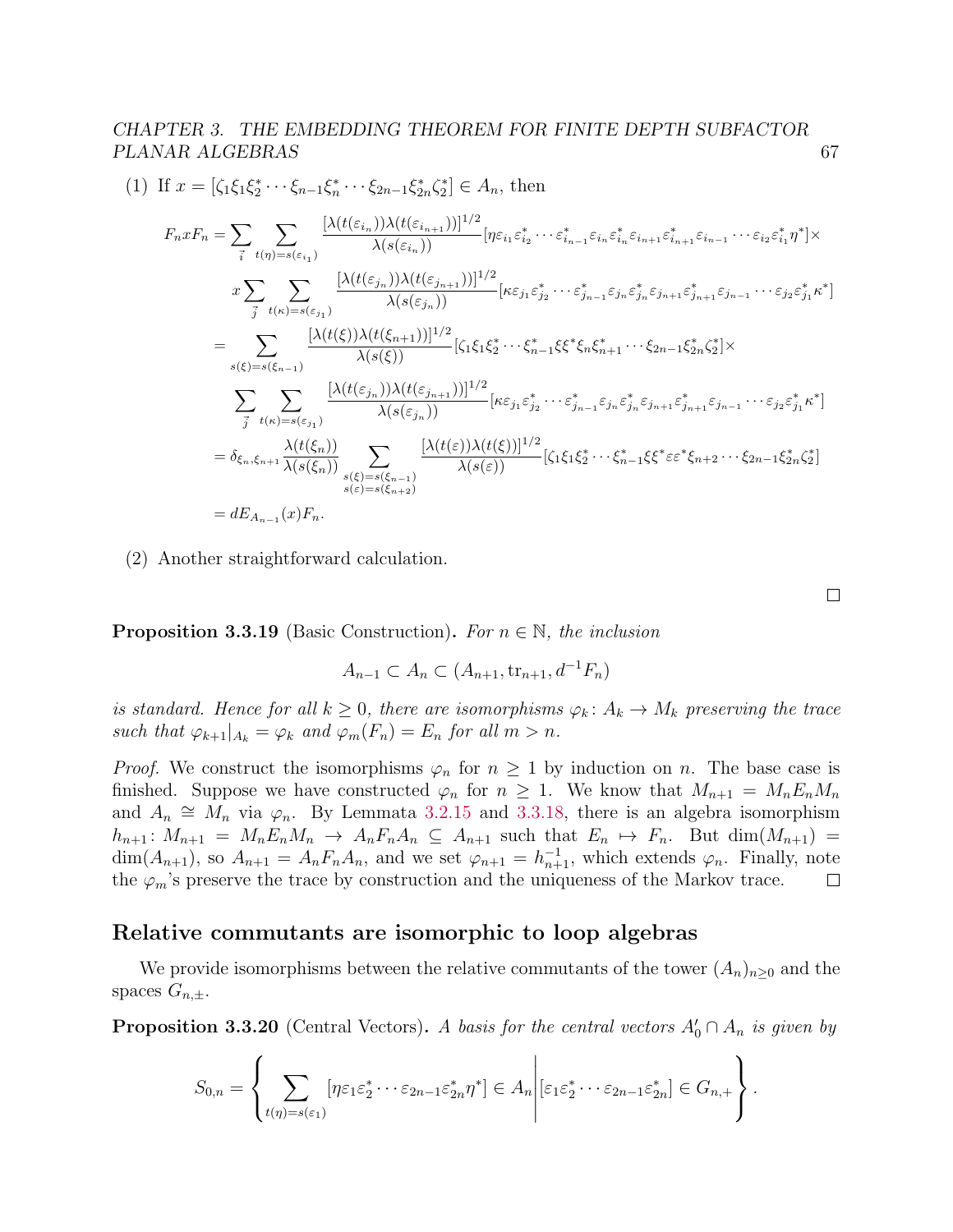$$
(1) \text{ If } x = [\zeta_1 \xi_1 \xi_2^* \cdots \xi_{n-1} \xi_n^* \cdots \xi_{2n-1} \xi_{2n}^* \xi_2^*] \in A_n, \text{ then}
$$
\n
$$
F_n x F_n = \sum_{\vec{i}} \sum_{t(\eta)=s(\varepsilon_{i_1})} \frac{[\lambda(t(\varepsilon_{i_n}))\lambda(t(\varepsilon_{i_{n+1}}))]^{1/2}}{\lambda(s(\varepsilon_{i_n}))} [\eta \varepsilon_{i_1} \varepsilon_{i_2}^* \cdots \varepsilon_{i_{n-1}}^* \varepsilon_{i_n} \varepsilon_{i_{n+1}} \varepsilon_{i_{n+1}}^* \varepsilon_{i_{n-1}} \cdots \varepsilon_{i_2} \varepsilon_{i_1}^* \eta^*] \times
$$
\n
$$
x \sum_{\vec{j}} \sum_{t(\kappa)=s(\varepsilon_{j_1})} \frac{[\lambda(t(\varepsilon_{j_n}))\lambda(t(\varepsilon_{j_{n+1}}))]^{1/2}}{\lambda(s(\varepsilon_{j_n}))} [\kappa \varepsilon_{j_1} \varepsilon_{j_2}^* \cdots \varepsilon_{j_{n-1}}^* \varepsilon_{j_n} \varepsilon_{j_{n+1}} \varepsilon_{j_{n-1}}^* \cdots \varepsilon_{j_2} \varepsilon_{j_1}^* \kappa^*]
$$
\n
$$
= \sum_{s(\xi)=s(\xi_{n-1})} \frac{[\lambda(t(\xi))\lambda(t(\xi_{n+1}))]^{1/2}}{\lambda(s(\xi))} [\zeta_1 \zeta_1 \zeta_2^* \cdots \zeta_{n-1}^* \zeta_3^* \zeta_n \zeta_{n+1}^* \cdots \zeta_{2n-1} \zeta_{2n}^* \zeta_2^*] \times
$$
\n
$$
\sum_{\vec{j}} \sum_{t(\kappa)=s(\varepsilon_{j_1})} \frac{[\lambda(t(\varepsilon_{j_n}))\lambda(t(\varepsilon_{j_{n+1}}))]^{1/2}}{\lambda(s(\varepsilon_{j_n}))} [\kappa \varepsilon_{j_1} \varepsilon_{j_2}^* \cdots \varepsilon_{j_{n-1}}^* \varepsilon_{j_n} \varepsilon_{j_{n+1}}^* \varepsilon_{j_{n+1}}^* \varepsilon_{j_{n-1
$$

(2) Another straightforward calculation.

**Proposition 3.3.19** (Basic Construction). For  $n \in \mathbb{N}$ , the inclusion

$$
A_{n-1} \subset A_n \subset (A_{n+1}, \text{tr}_{n+1}, d^{-1}F_n)
$$

is standard. Hence for all  $k \geq 0$ , there are isomorphisms  $\varphi_k: A_k \to M_k$  preserving the trace such that  $\varphi_{k+1}|_{A_k} = \varphi_k$  and  $\varphi_m(F_n) = E_n$  for all  $m > n$ .

*Proof.* We construct the isomorphisms  $\varphi_n$  for  $n \geq 1$  by induction on n. The base case is finished. Suppose we have constructed  $\varphi_n$  for  $n \geq 1$ . We know that  $M_{n+1} = M_n E_n M_n$ and  $A_n \cong M_n$  via  $\varphi_n$ . By Lemmata [3.2.15](#page-51-0) and [3.3.18,](#page-0-0) there is an algebra isomorphism  $h_{n+1}$ :  $M_{n+1} = M_n E_n M_n \rightarrow A_n F_n A_n \subseteq A_{n+1}$  such that  $E_n \mapsto F_n$ . But  $\dim(M_{n+1}) =$  $\dim(A_{n+1}),$  so  $A_{n+1} = A_n F_n A_n$ , and we set  $\varphi_{n+1} = h_{n+1}^{-1}$ , which extends  $\varphi_n$ . Finally, note the  $\varphi_m$ 's preserve the trace by construction and the uniqueness of the Markov trace.  $\Box$ 

#### Relative commutants are isomorphic to loop algebras

We provide isomorphisms between the relative commutants of the tower  $(A_n)_{n\geq 0}$  and the spaces  $G_{n,\pm}$ .

**Proposition 3.3.20** (Central Vectors). A basis for the central vectors  $A'_0 \cap A_n$  is given by

$$
S_{0,n} = \left\{ \sum_{t(\eta)=s(\varepsilon_1)} [\eta \varepsilon_1 \varepsilon_2^* \cdots \varepsilon_{2n-1} \varepsilon_{2n}^* \eta^*] \in A_n \middle| [\varepsilon_1 \varepsilon_2^* \cdots \varepsilon_{2n-1} \varepsilon_{2n}^*] \in G_{n,+} \right\}.
$$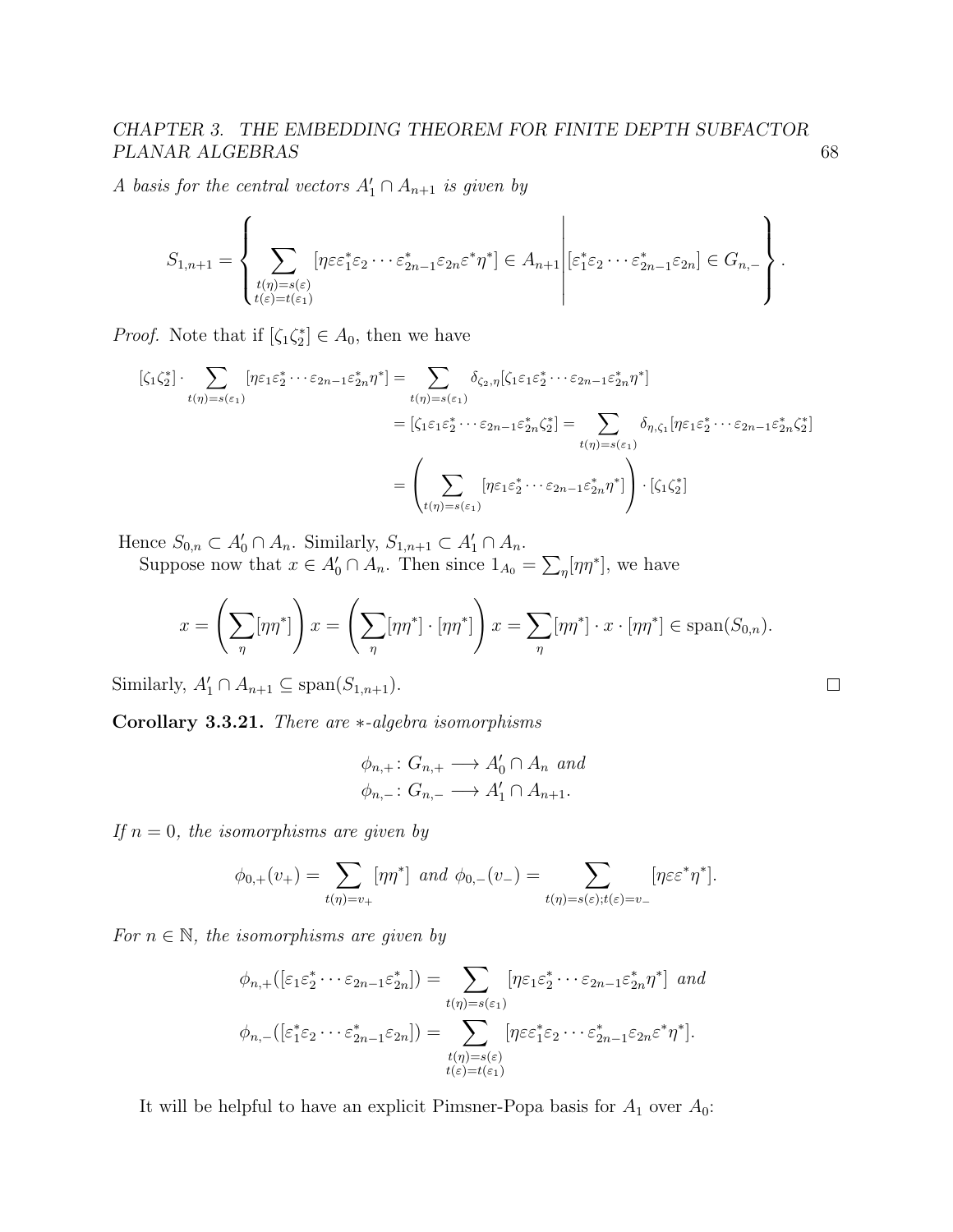A basis for the central vectors  $A'_1 \cap A_{n+1}$  is given by

$$
S_{1,n+1} = \left\{ \sum_{\substack{t(\eta) = s(\varepsilon) \\ t(\varepsilon) = t(\varepsilon_1)}} [\eta \varepsilon \varepsilon_1^* \varepsilon_2 \cdots \varepsilon_{2n-1}^* \varepsilon_{2n} \varepsilon^* \eta^*] \in A_{n+1} \middle| \varepsilon_1^* \varepsilon_2 \cdots \varepsilon_{2n-1}^* \varepsilon_{2n} \right\}.
$$

*Proof.* Note that if  $[\zeta_1 \zeta_2^*] \in A_0$ , then we have

$$
\begin{aligned} \left[\zeta_{1}\zeta_{2}^{*}\right] \cdot \sum_{t(\eta)=s(\varepsilon_{1})} \left[\eta\varepsilon_{1}\varepsilon_{2}^{*} \cdots \varepsilon_{2n-1}\varepsilon_{2n}^{*}\eta^{*}\right] &= \sum_{t(\eta)=s(\varepsilon_{1})} \delta_{\zeta_{2},\eta} \left[\zeta_{1}\varepsilon_{1}\varepsilon_{2}^{*} \cdots \varepsilon_{2n-1}\varepsilon_{2n}^{*}\eta^{*}\right] \\ &= \left[\zeta_{1}\varepsilon_{1}\varepsilon_{2}^{*} \cdots \varepsilon_{2n-1}\varepsilon_{2n}^{*}\zeta_{2}^{*}\right] = \sum_{t(\eta)=s(\varepsilon_{1})} \delta_{\eta,\zeta_{1}} \left[\eta\varepsilon_{1}\varepsilon_{2}^{*} \cdots \varepsilon_{2n-1}\varepsilon_{2n}^{*}\zeta_{2}^{*}\right] \\ &= \left(\sum_{t(\eta)=s(\varepsilon_{1})} \left[\eta\varepsilon_{1}\varepsilon_{2}^{*} \cdots \varepsilon_{2n-1}\varepsilon_{2n}^{*}\eta^{*}\right]\right) \cdot \left[\zeta_{1}\zeta_{2}^{*}\right] \end{aligned}
$$

Hence  $S_{0,n} \subset A'_0 \cap A_n$ . Similarly,  $S_{1,n+1} \subset A'_1 \cap A_n$ .

Suppose now that  $x \in A'_0 \cap A_n$ . Then since  $1_{A_0} = \sum_{\eta} [\eta \eta^*]$ , we have

$$
x = \left(\sum_{\eta} [\eta \eta^*]\right) x = \left(\sum_{\eta} [\eta \eta^*] \cdot [\eta \eta^*]\right) x = \sum_{\eta} [\eta \eta^*] \cdot x \cdot [\eta \eta^*] \in \text{span}(S_{0,n}).
$$

Similarly,  $A'_1 \cap A_{n+1} \subseteq \text{span}(S_{1,n+1})$ .

<span id="page-72-0"></span>Corollary 3.3.21. There are ∗-algebra isomorphisms

$$
\phi_{n,+}: G_{n,+} \longrightarrow A'_0 \cap A_n \text{ and}
$$
  

$$
\phi_{n,-}: G_{n,-} \longrightarrow A'_1 \cap A_{n+1}.
$$

If  $n = 0$ , the isomorphisms are given by

$$
\phi_{0,+}(v_+) = \sum_{t(\eta)=v_+} [\eta \eta^*] \ \ and \ \ \phi_{0,-}(v_-) = \sum_{t(\eta)=s(\varepsilon);t(\varepsilon)=v_-} [\eta \varepsilon \varepsilon^* \eta^*].
$$

For  $n \in \mathbb{N}$ , the isomorphisms are given by

$$
\phi_{n,+}([\varepsilon_1 \varepsilon_2^* \cdots \varepsilon_{2n-1} \varepsilon_{2n}^*]) = \sum_{t(\eta)=s(\varepsilon_1)} [\eta \varepsilon_1 \varepsilon_2^* \cdots \varepsilon_{2n-1} \varepsilon_{2n}^* \eta^*] \text{ and}
$$
  

$$
\phi_{n,-}([\varepsilon_1^* \varepsilon_2 \cdots \varepsilon_{2n-1}^* \varepsilon_{2n}]) = \sum_{\substack{t(\eta)=s(\varepsilon) \\ t(\varepsilon)=t(\varepsilon_1)}} [\eta \varepsilon \varepsilon_1^* \varepsilon_2 \cdots \varepsilon_{2n-1}^* \varepsilon_{2n} \varepsilon^* \eta^*].
$$

It will be helpful to have an explicit Pimsner-Popa basis for  $A_1$  over  $A_0$ :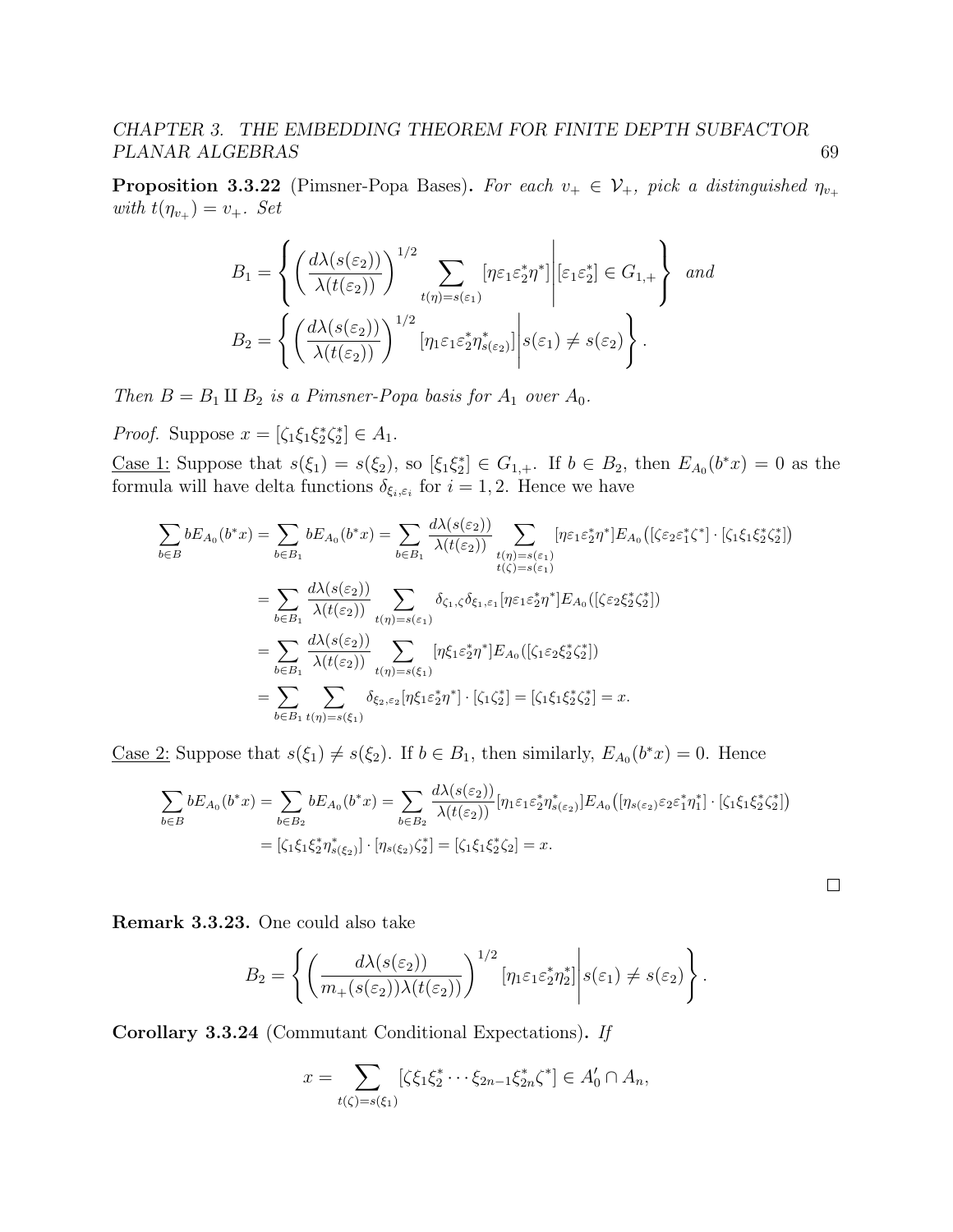<span id="page-73-0"></span>**Proposition 3.3.22** (Pimsner-Popa Bases). For each  $v_+ \in \mathcal{V}_+$ , pick a distinguished  $\eta_{v_+}$ with  $t(\eta_{v_+}) = v_+$ . Set

$$
B_1 = \left\{ \left( \frac{d\lambda(s(\varepsilon_2))}{\lambda(t(\varepsilon_2))} \right)^{1/2} \sum_{t(\eta)=s(\varepsilon_1)} [\eta \varepsilon_1 \varepsilon_2^* \eta^*] \middle| \varepsilon_1 \varepsilon_2^* \right\} \text{ and}
$$

$$
B_2 = \left\{ \left( \frac{d\lambda(s(\varepsilon_2))}{\lambda(t(\varepsilon_2))} \right)^{1/2} [\eta_1 \varepsilon_1 \varepsilon_2^* \eta^*_{s(\varepsilon_2)}] \middle| s(\varepsilon_1) \neq s(\varepsilon_2) \right\}.
$$

Then  $B = B_1 \amalg B_2$  is a Pimsner-Popa basis for  $A_1$  over  $A_0$ .

*Proof.* Suppose  $x = [\zeta_1 \xi_1 \xi_2^* \zeta_2^*] \in A_1$ .

<u>Case 1</u>: Suppose that  $s(\xi_1) = s(\xi_2)$ , so  $[\xi_1 \xi_2^*] \in G_{1,+}$ . If  $b \in B_2$ , then  $E_{A_0}(b^*x) = 0$  as the formula will have delta functions  $\delta_{\xi_i,\varepsilon_i}$  for  $i=1,2$ . Hence we have

$$
\sum_{b \in B} bE_{A_0}(b^*x) = \sum_{b \in B_1} bE_{A_0}(b^*x) = \sum_{b \in B_1} \frac{d\lambda(s(\varepsilon_2))}{\lambda(t(\varepsilon_2))} \sum_{\substack{t(\eta) = s(\varepsilon_1) \\ t(\zeta) = s(\varepsilon_1)}} [\eta \varepsilon_1 \varepsilon_2^* \eta^*] E_{A_0}([\zeta \varepsilon_2 \varepsilon_1^* \zeta^*] \cdot [\zeta_1 \xi_1 \xi_2^* \zeta_2^*])
$$
\n
$$
= \sum_{b \in B_1} \frac{d\lambda(s(\varepsilon_2))}{\lambda(t(\varepsilon_2))} \sum_{\substack{t(\eta) = s(\varepsilon_1) \\ t(\eta) = s(\varepsilon_1)}} \delta_{\zeta_1, \zeta} \delta_{\xi_1, \varepsilon_1} [\eta \varepsilon_1 \varepsilon_2^* \eta^*] E_{A_0}([\zeta \varepsilon_2 \xi_2^* \zeta_2^*])
$$
\n
$$
= \sum_{b \in B_1} \frac{d\lambda(s(\varepsilon_2))}{\lambda(t(\varepsilon_2))} \sum_{\substack{t(\eta) = s(\xi_1) \\ t(\eta) = s(\xi_1)}} [\eta \xi_1 \varepsilon_2^* \eta^*] E_{A_0}([\zeta_1 \varepsilon_2 \xi_2^* \zeta_2^*])
$$
\n
$$
= \sum_{b \in B_1} \sum_{\substack{t(\eta) = s(\xi_1) \\ t(\eta) = s(\xi_1)}} \delta_{\xi_2, \varepsilon_2} [\eta \xi_1 \varepsilon_2^* \eta^*] \cdot [\zeta_1 \zeta_2^*] = [\zeta_1 \xi_1 \xi_2^* \zeta_2^*] = x.
$$

<u>Case 2</u>: Suppose that  $s(\xi_1) \neq s(\xi_2)$ . If  $b \in B_1$ , then similarly,  $E_{A_0}(b^*x) = 0$ . Hence

$$
\sum_{b \in B} bE_{A_0}(b^*x) = \sum_{b \in B_2} bE_{A_0}(b^*x) = \sum_{b \in B_2} \frac{d\lambda(s(\varepsilon_2))}{\lambda(t(\varepsilon_2))} [\eta_1 \varepsilon_1 \varepsilon_2^* \eta_{s(\varepsilon_2)}^*] E_{A_0}([\eta_{s(\varepsilon_2)} \varepsilon_2 \varepsilon_1^* \eta_1^*] \cdot [\zeta_1 \xi_1 \xi_2^* \zeta_2^*])
$$
  
=  $[\zeta_1 \xi_1 \xi_2^* \eta_{s(\xi_2)}^*] \cdot [\eta_{s(\xi_2)} \zeta_2^*] = [\zeta_1 \xi_1 \xi_2^* \zeta_2] = x.$ 

Remark 3.3.23. One could also take

$$
B_2 = \left\{ \left( \frac{d\lambda(s(\varepsilon_2))}{m_+(s(\varepsilon_2))\lambda(t(\varepsilon_2))} \right)^{1/2} \left[ \eta_1 \varepsilon_1 \varepsilon_2^* \eta_2^* \right] \middle| s(\varepsilon_1) \neq s(\varepsilon_2) \right\}.
$$

<span id="page-73-1"></span>Corollary 3.3.24 (Commutant Conditional Expectations). If

$$
x = \sum_{t(\zeta) = s(\xi_1)} [\zeta \xi_1 \xi_2^* \cdots \xi_{2n-1} \xi_{2n}^* \zeta^*] \in A'_0 \cap A_n,
$$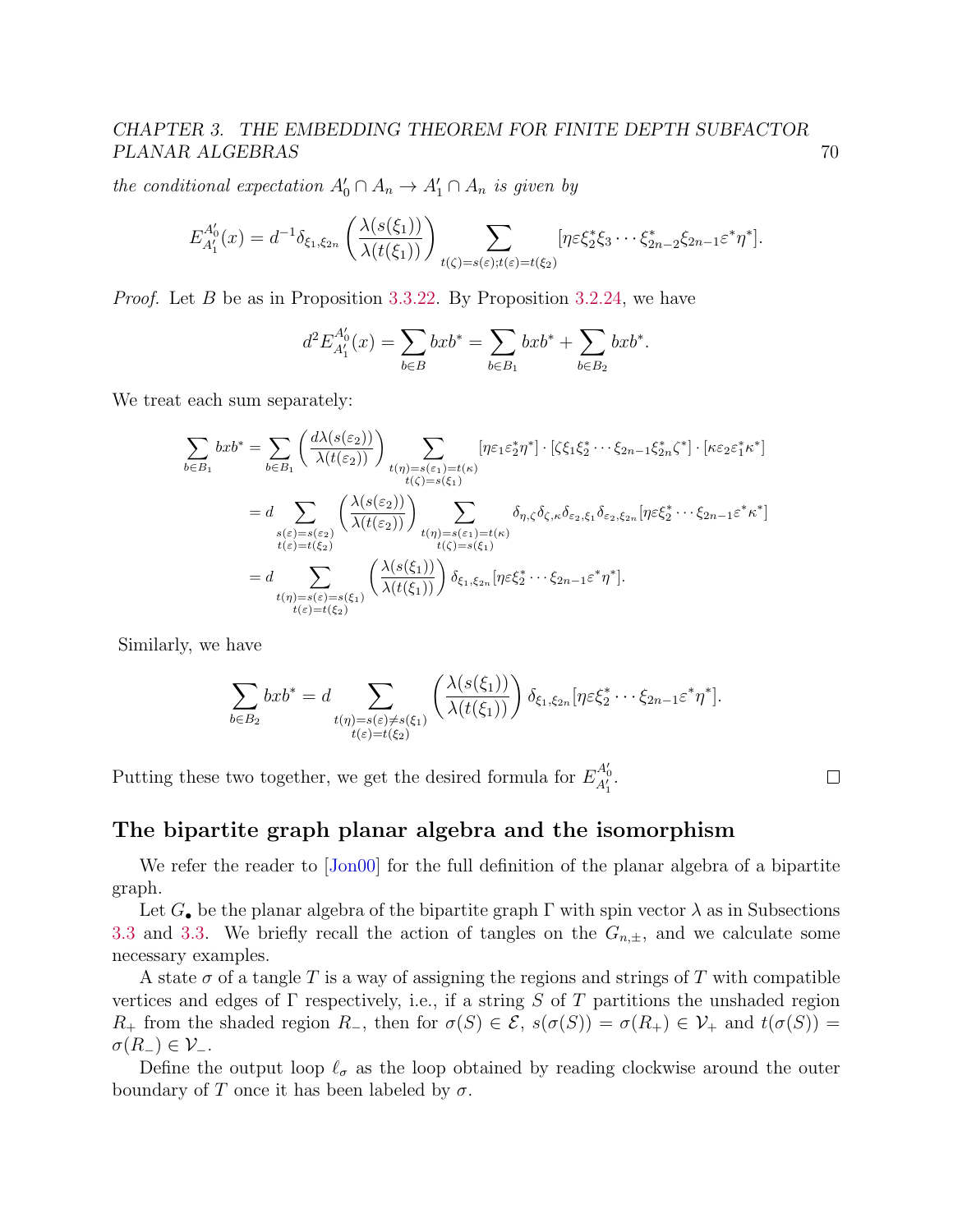the conditional expectation  $A'_0 \cap A_n \to A'_1 \cap A_n$  is given by

$$
E_{A'_1}^{A'_0}(x) = d^{-1}\delta_{\xi_1,\xi_{2n}}\left(\frac{\lambda(s(\xi_1))}{\lambda(t(\xi_1))}\right)\sum_{t(\zeta)=s(\varepsilon);t(\varepsilon)=t(\xi_2)}[\eta\varepsilon\xi_2^*\xi_3\cdots\xi_{2n-2}^*\xi_{2n-1}\varepsilon^*\eta^*].
$$

Proof. Let B be as in Proposition [3.3.22.](#page-73-0) By Proposition [3.2.24,](#page-55-0) we have

$$
d^2 E_{A'_1}^{A'_0}(x) = \sum_{b \in B} bx b^* = \sum_{b \in B_1} bx b^* + \sum_{b \in B_2} bx b^*.
$$

We treat each sum separately:

$$
\sum_{b \in B_1} bx b^* = \sum_{b \in B_1} \left( \frac{d\lambda(s(\varepsilon_2))}{\lambda(t(\varepsilon_2))} \right) \sum_{\substack{t(\eta) = s(\varepsilon_1) = t(\kappa) \\ t(\zeta) = s(\xi_1)}} [\eta \varepsilon_1 \varepsilon_2^* \eta^*] \cdot [\zeta \zeta_1 \xi_2^* \cdots \xi_{2n-1} \xi_{2n}^* \zeta^*] \cdot [\kappa \varepsilon_2 \varepsilon_1^* \kappa^*]
$$
  
\n
$$
= d \sum_{\substack{s(\varepsilon) = s(\varepsilon_2) \\ t(\varepsilon) = t(\xi_2)}} \left( \frac{\lambda(s(\varepsilon_2))}{\lambda(t(\varepsilon_2))} \right) \sum_{\substack{t(\eta) = s(\varepsilon_1) = t(\kappa) \\ t(\zeta) = s(\xi_1)}} \delta_{\eta, \zeta} \delta_{\zeta, \kappa} \delta_{\varepsilon_2, \xi_1} \delta_{\varepsilon_2, \xi_{2n}} [\eta \varepsilon \xi_2^* \cdots \xi_{2n-1} \varepsilon^* \kappa^*]
$$
  
\n
$$
= d \sum_{\substack{t(\eta) = s(\varepsilon) = s(\xi_1) \\ t(\varepsilon) = t(\xi_2)}} \left( \frac{\lambda(s(\xi_1))}{\lambda(t(\xi_1))} \right) \delta_{\xi_1, \xi_{2n}} [\eta \varepsilon \xi_2^* \cdots \xi_{2n-1} \varepsilon^* \eta^*].
$$

Similarly, we have

$$
\sum_{b \in B_2} bx b^* = d \sum_{\substack{t(\eta) = s(\varepsilon) \neq s(\xi_1) \\ t(\varepsilon) = t(\xi_2)}} \left( \frac{\lambda(s(\xi_1))}{\lambda(t(\xi_1))} \right) \delta_{\xi_1, \xi_{2n}} [\eta \varepsilon \xi_2^* \cdots \xi_{2n-1} \varepsilon^* \eta^*].
$$

Putting these two together, we get the desired formula for  $E_{A'_1}^{A'_0}$ .

 $\Box$ 

### The bipartite graph planar algebra and the isomorphism

We refer the reader to [\[Jon00\]](#page-141-0) for the full definition of the planar algebra of a bipartite graph.

Let  $G_{\bullet}$  be the planar algebra of the bipartite graph  $\Gamma$  with spin vector  $\lambda$  as in Subsections [3.3](#page-66-0) and [3.3.](#page-69-0) We briefly recall the action of tangles on the  $G_{n,\pm}$ , and we calculate some necessary examples.

A state  $\sigma$  of a tangle T is a way of assigning the regions and strings of T with compatible vertices and edges of  $\Gamma$  respectively, i.e., if a string S of T partitions the unshaded region R<sub>+</sub> from the shaded region R<sub>-</sub>, then for  $\sigma(S) \in \mathcal{E}$ ,  $s(\sigma(S)) = \sigma(R_+) \in \mathcal{V}$ <sub>+</sub> and  $t(\sigma(S)) =$  $\sigma(R_{-})\in\mathcal{V}_{-}.$ 

Define the output loop  $\ell_{\sigma}$  as the loop obtained by reading clockwise around the outer boundary of T once it has been labeled by  $\sigma$ .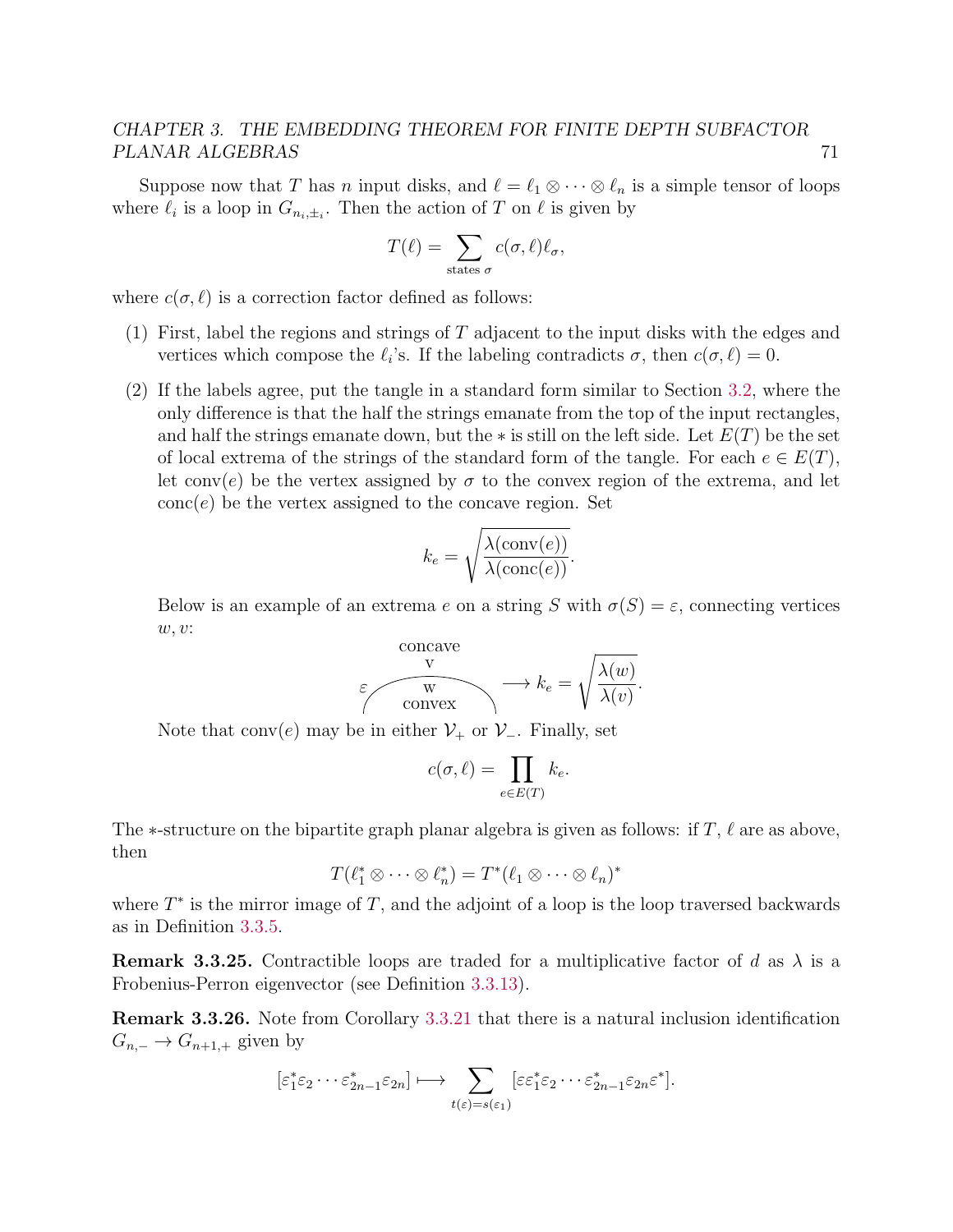Suppose now that T has n input disks, and  $\ell = \ell_1 \otimes \cdots \otimes \ell_n$  is a simple tensor of loops where  $\ell_i$  is a loop in  $G_{n_i,\pm_i}$ . Then the action of T on  $\ell$  is given by

$$
T(\ell) = \sum_{\text{states }\sigma} c(\sigma,\ell)\ell_{\sigma},
$$

where  $c(\sigma, \ell)$  is a correction factor defined as follows:

- (1) First, label the regions and strings of T adjacent to the input disks with the edges and vertices which compose the  $\ell_i$ 's. If the labeling contradicts  $\sigma$ , then  $c(\sigma, \ell) = 0$ .
- (2) If the labels agree, put the tangle in a standard form similar to Section [3.2,](#page-57-0) where the only difference is that the half the strings emanate from the top of the input rectangles, and half the strings emanate down, but the  $*$  is still on the left side. Let  $E(T)$  be the set of local extrema of the strings of the standard form of the tangle. For each  $e \in E(T)$ , let conv(e) be the vertex assigned by  $\sigma$  to the convex region of the extrema, and let  $\text{conc}(e)$  be the vertex assigned to the concave region. Set

$$
k_e = \sqrt{\frac{\lambda(\text{conv}(e))}{\lambda(\text{conc}(e))}}.
$$

Below is an example of an extrema e on a string S with  $\sigma(S) = \varepsilon$ , connecting vertices w, v:

$$
\varepsilon \qquad \qquad \downarrow \qquad \downarrow \qquad \downarrow \qquad k_e = \sqrt{\frac{\lambda(w)}{\lambda(v)}}.
$$

Note that conv(e) may be in either  $\mathcal{V}_+$  or  $\mathcal{V}_-$ . Finally, set

$$
c(\sigma, \ell) = \prod_{e \in E(T)} k_e.
$$

The  $\ast$ -structure on the bipartite graph planar algebra is given as follows: if T,  $\ell$  are as above, then

$$
T(\ell_1^* \otimes \cdots \otimes \ell_n^*) = T^*(\ell_1 \otimes \cdots \otimes \ell_n)^*
$$

where  $T^*$  is the mirror image of  $T$ , and the adjoint of a loop is the loop traversed backwards as in Definition [3.3.5.](#page-68-0)

**Remark 3.3.25.** Contractible loops are traded for a multiplicative factor of d as  $\lambda$  is a Frobenius-Perron eigenvector (see Definition [3.3.13\)](#page-69-1).

<span id="page-75-0"></span>Remark 3.3.26. Note from Corollary [3.3.21](#page-72-0) that there is a natural inclusion identification  $G_{n,-} \to G_{n+1,+}$  given by

$$
[\varepsilon_1^* \varepsilon_2 \cdots \varepsilon_{2n-1}^* \varepsilon_{2n}] \longmapsto \sum_{t(\varepsilon)=s(\varepsilon_1)} [\varepsilon \varepsilon_1^* \varepsilon_2 \cdots \varepsilon_{2n-1}^* \varepsilon_{2n} \varepsilon^*].
$$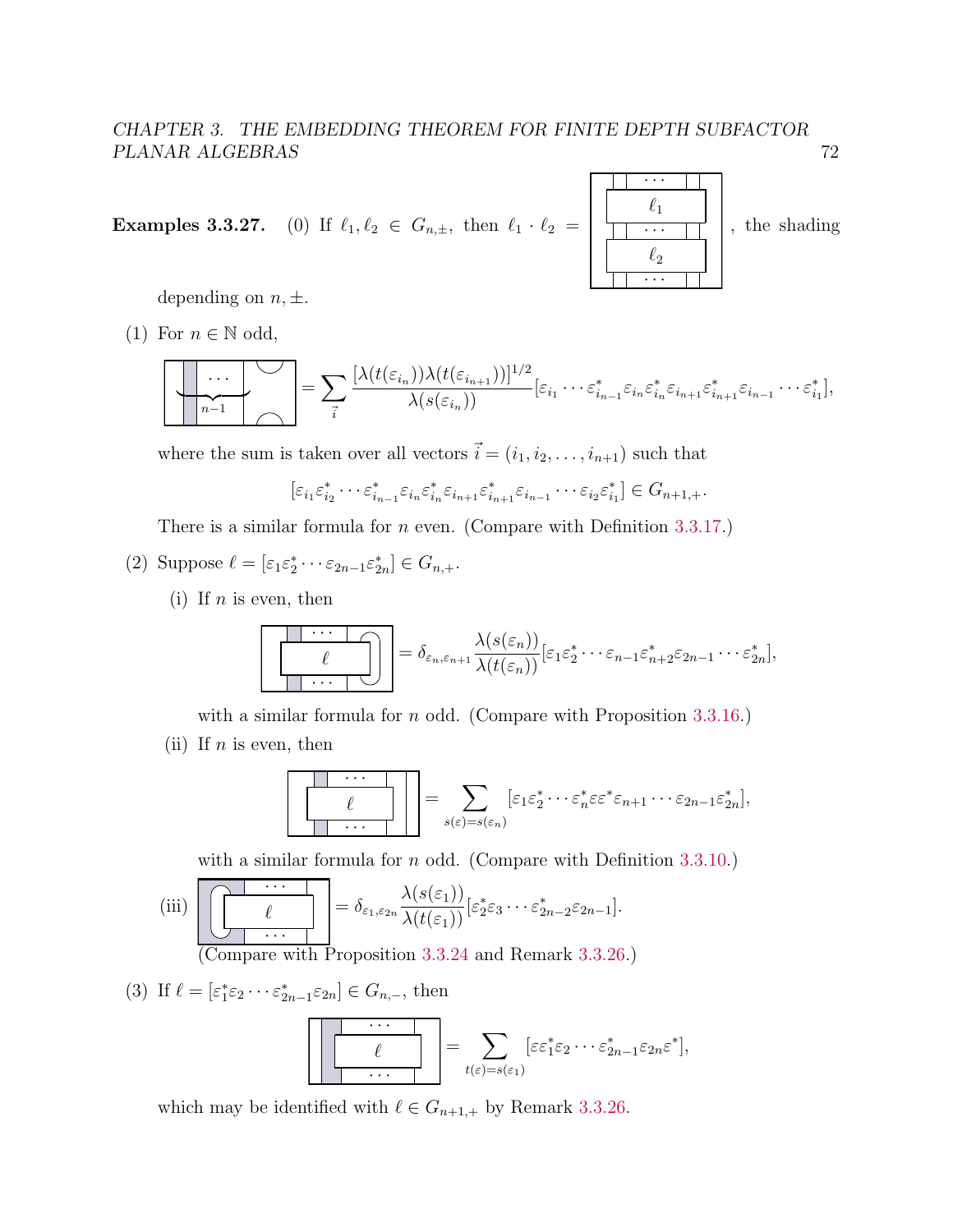**Examples 3.3.27.** (0) If  $\ell_1, \ell_2 \in G_{n,\pm}$ , then  $\ell_1 \cdot \ell_2 = \begin{bmatrix} \ell_1 & \cdots & \ell_n \\ \hline \cdots & \ell_n & \cdots & \ell_n \end{bmatrix}$ · · ·  $\ell_2$  $\ell_1$ , the shading

depending on  $n, \pm$ .

(1) For  $n \in \mathbb{N}$  odd,

$$
\left[\begin{array}{c}\n\cdots \\
\hline\nn-1\n\end{array}\right] = \sum_{\vec{i}} \frac{[\lambda(t(\varepsilon_{i_n}))\lambda(t(\varepsilon_{i_{n+1}}))]^{1/2}}{\lambda(s(\varepsilon_{i_n}))} [\varepsilon_{i_1} \cdots \varepsilon_{i_{n-1}}^* \varepsilon_{i_n} \varepsilon_{i_n} \varepsilon_{i_{n+1}} \varepsilon_{i_{n+1}}^* \varepsilon_{i_{n-1}} \cdots \varepsilon_{i_1}^*],
$$

where the sum is taken over all vectors  $\vec{i} = (i_1, i_2, \ldots, i_{n+1})$  such that

$$
[\varepsilon_{i_1}\varepsilon_{i_2}^*\cdots\varepsilon_{i_{n-1}}^*\varepsilon_{i_n}\varepsilon_{i_n}^*\varepsilon_{i_{n+1}}\varepsilon_{i_{n+1}}^*\varepsilon_{i_{n-1}}\cdots\varepsilon_{i_2}\varepsilon_{i_1}^*]\in G_{n+1,+}.
$$

There is a similar formula for  $n$  even. (Compare with Definition [3.3.17.](#page-70-0))

- (2) Suppose  $\ell = [\varepsilon_1 \varepsilon_2^* \cdots \varepsilon_{2n-1} \varepsilon_{2n}^*] \in G_{n,+}.$ 
	- (i) If  $n$  is even, then

$$
\left[\begin{array}{c} \cdots \\ \hline \ell \\ \hline \cdots \end{array}\right] = \delta_{\varepsilon_n,\varepsilon_{n+1}} \frac{\lambda(s(\varepsilon_n))}{\lambda(t(\varepsilon_n))} [\varepsilon_1 \varepsilon_2^* \cdots \varepsilon_{n-1} \varepsilon_{n+2}^* \varepsilon_{2n-1} \cdots \varepsilon_{2n}^*],
$$

with a similar formula for *n* odd. (Compare with Proposition [3.3.16.](#page-70-1))

(ii) If  $n$  is even, then

$$
\left[\begin{array}{c} \mathbf{0} & \cdots & \mathbf{0} \\ \hline \mathbf{0} & \cdots & \mathbf{0} \end{array}\right] = \sum_{s(\varepsilon)=s(\varepsilon_n)} [\varepsilon_1 \varepsilon_2^* \cdots \varepsilon_n^* \varepsilon \varepsilon^* \varepsilon_{n+1} \cdots \varepsilon_{2n-1} \varepsilon_{2n}^*],
$$

with a similar formula for *n* odd. (Compare with Definition [3.3.10.](#page-68-1))

(iii) 
$$
\left[\begin{array}{|c|}\n\hline\n\ell \\
\hline\n\ell\n\end{array}\right] = \delta_{\varepsilon_1, \varepsilon_{2n}} \frac{\lambda(s(\varepsilon_1))}{\lambda(t(\varepsilon_1))} [\varepsilon_2^* \varepsilon_3 \cdots \varepsilon_{2n-2}^* \varepsilon_{2n-1}].
$$

(Compare with Proposition [3.3.24](#page-73-1) and Remark [3.3.26.](#page-75-0))

(3) If  $\ell = [\varepsilon_1^* \varepsilon_2 \cdots \varepsilon_{2n-1}^* \varepsilon_{2n}] \in G_{n,-}$ , then

$$
\left[\begin{array}{|c|}\n\hline\n\vdots \\
\hline\n\ell\n\end{array}\right] = \sum_{t(\varepsilon)=s(\varepsilon_1)} [\varepsilon \varepsilon_1^* \varepsilon_2 \cdots \varepsilon_{2n-1}^* \varepsilon_{2n} \varepsilon^*],
$$

which may be identified with  $\ell \in G_{n+1,+}$  by Remark [3.3.26.](#page-75-0)

· · ·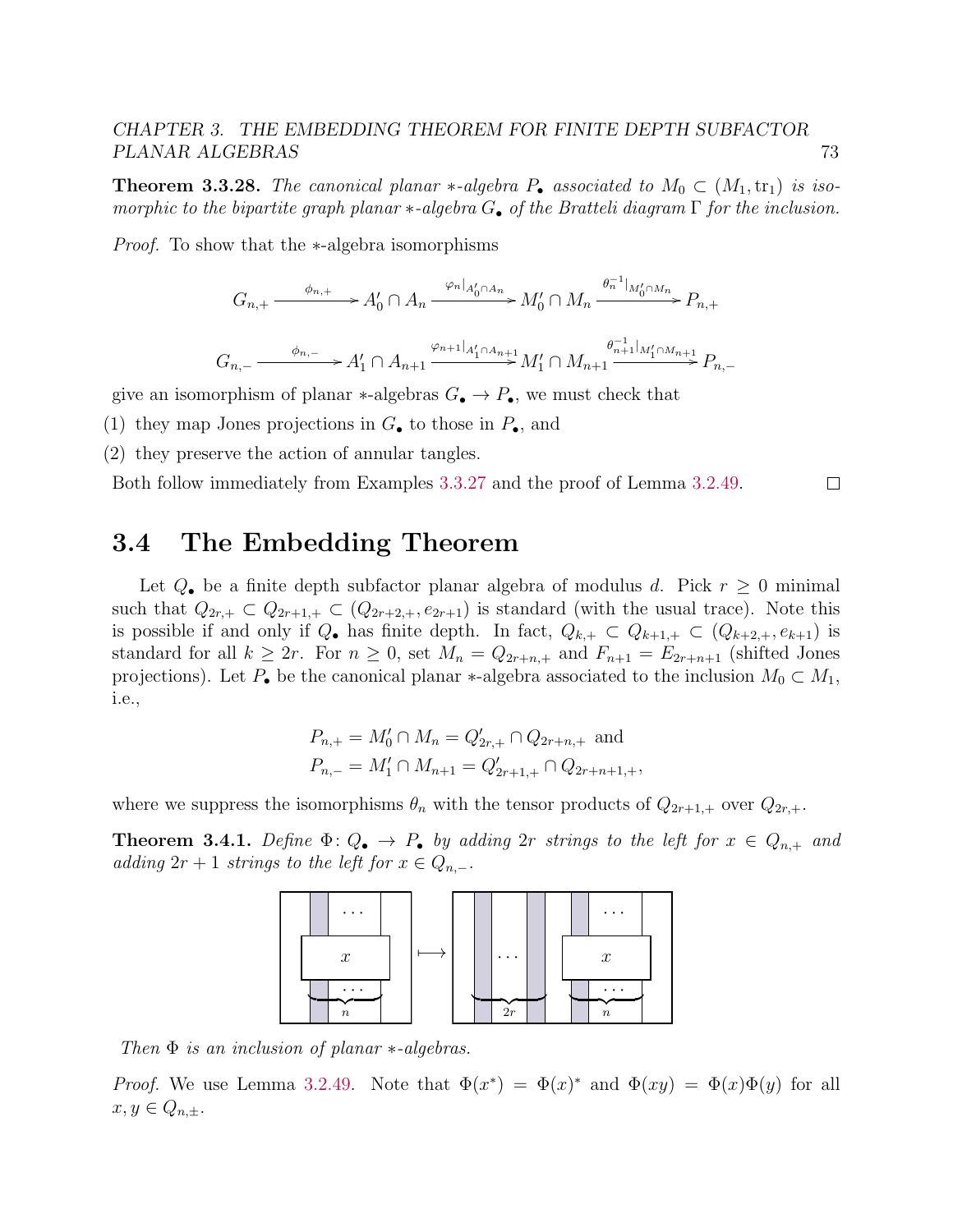**Theorem 3.3.28.** The canonical planar \*-algebra  $P_{\bullet}$  associated to  $M_0 \subset (M_1, \text{tr}_1)$  is isomorphic to the bipartite graph planar  $*$ -algebra  $G_{\bullet}$  of the Bratteli diagram  $\Gamma$  for the inclusion.

*Proof.* To show that the ∗-algebra isomorphisms

$$
G_{n,+} \xrightarrow{\phi_{n,+}} A'_0 \cap A_n \xrightarrow{\varphi_n|_{A'_0 \cap A_n}} M'_0 \cap M_n \xrightarrow{\theta_n^{-1}|_{M'_0 \cap M_n}} P_{n,+}
$$
  

$$
G_{n,-} \xrightarrow{\phi_{n,-}} A'_1 \cap A_{n+1} \xrightarrow{\varphi_{n+1}|_{A'_1 \cap A_{n+1}}} M'_1 \cap M_{n+1} \xrightarrow{\theta_{n+1}|_{M'_1 \cap M_{n+1}}} P_{n,-}
$$

give an isomorphism of planar  $*$ -algebras  $G_{\bullet} \to P_{\bullet}$ , we must check that

(1) they map Jones projections in  $G_{\bullet}$  to those in  $P_{\bullet}$ , and

(2) they preserve the action of annular tangles.

Both follow immediately from Examples [3.3.27](#page-0-0) and the proof of Lemma [3.2.49.](#page-64-0)  $\Box$ 

# 3.4 The Embedding Theorem

Let  $Q_{\bullet}$  be a finite depth subfactor planar algebra of modulus d. Pick  $r \geq 0$  minimal such that  $Q_{2r,+} \subset Q_{2r+1,+} \subset (Q_{2r+2,+}, e_{2r+1})$  is standard (with the usual trace). Note this is possible if and only if  $Q_{\bullet}$  has finite depth. In fact,  $Q_{k,+} \subset Q_{k+1,+} \subset (Q_{k+2,+}, e_{k+1})$  is standard for all  $k \ge 2r$ . For  $n \ge 0$ , set  $M_n = Q_{2r+n,+}$  and  $F_{n+1} = E_{2r+n+1}$  (shifted Jones projections). Let  $P_{\bullet}$  be the canonical planar  $*$ -algebra associated to the inclusion  $M_0 \subset M_1$ , i.e.,

$$
P_{n,+} = M'_0 \cap M_n = Q'_{2r,+} \cap Q_{2r+n,+}
$$
 and  

$$
P_{n,-} = M'_1 \cap M_{n+1} = Q'_{2r+1,+} \cap Q_{2r+n+1,+},
$$

where we suppress the isomorphisms  $\theta_n$  with the tensor products of  $Q_{2r+1,+}$  over  $Q_{2r,+}$ .

**Theorem 3.4.1.** Define  $\Phi: Q_{\bullet} \to P_{\bullet}$  by adding  $2r$  strings to the left for  $x \in Q_{n,+}$  and adding  $2r + 1$  strings to the left for  $x \in Q_{n,-}$ .



Then  $\Phi$  is an inclusion of planar  $\ast$ -algebras.

Proof. We use Lemma [3.2.49.](#page-64-0) Note that  $\Phi(x^*) = \Phi(x)^*$  and  $\Phi(xy) = \Phi(x)\Phi(y)$  for all  $x, y \in Q_{n,\pm}$ .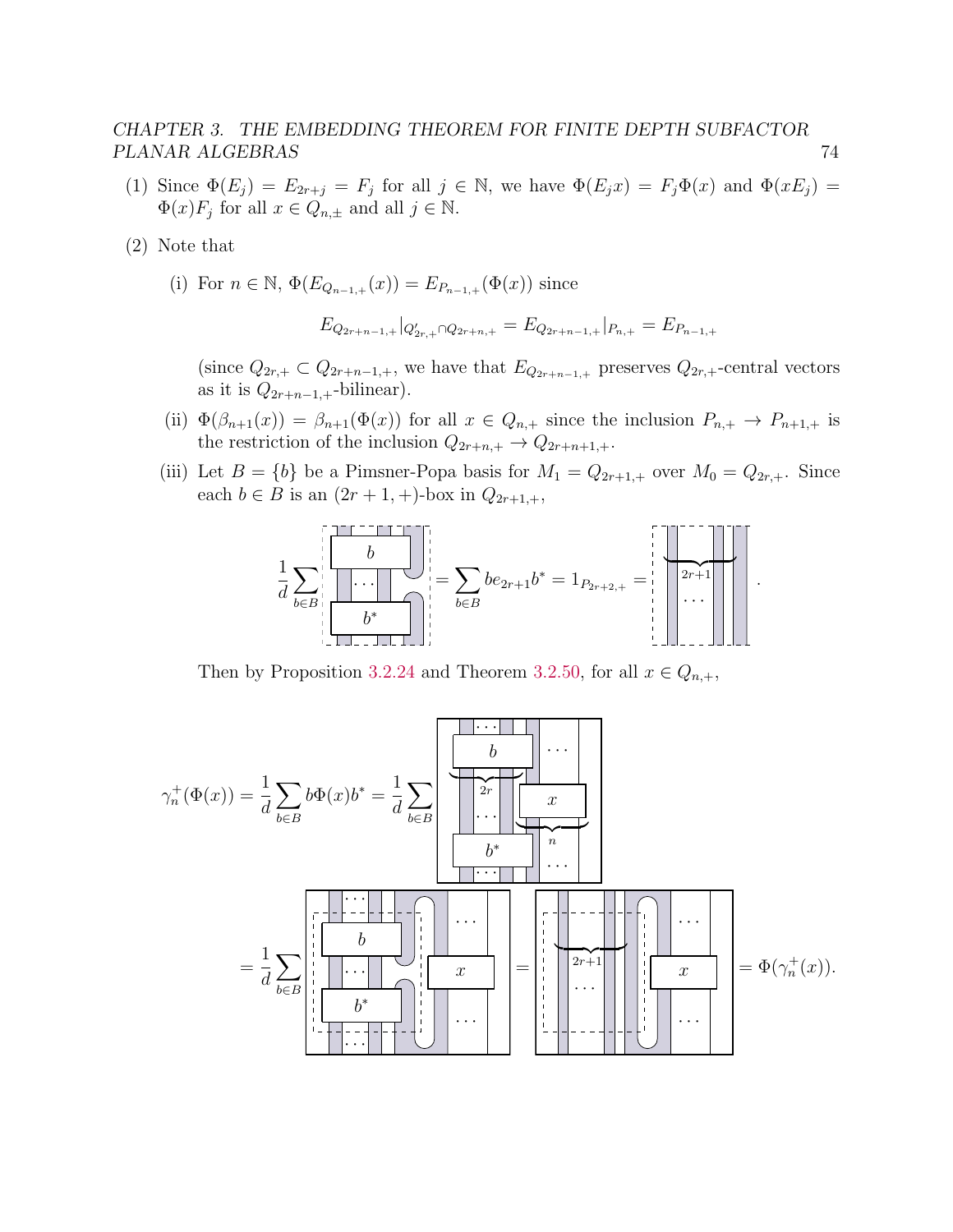- (1) Since  $\Phi(E_j) = E_{2r+j} = F_j$  for all  $j \in \mathbb{N}$ , we have  $\Phi(E_j x) = F_j \Phi(x)$  and  $\Phi(xE_j) =$  $\Phi(x) F_j$  for all  $x \in Q_{n,\pm}$  and all  $j \in \mathbb{N}$ .
- (2) Note that
	- (i) For  $n \in \mathbb{N}$ ,  $\Phi(E_{Q_{n-1,+}}(x)) = E_{P_{n-1,+}}(\Phi(x))$  since

$$
E_{Q_{2r+n-1,+}}|_{Q'_{2r,+}\cap Q_{2r+n,+}} = E_{Q_{2r+n-1,+}}|_{P_{n,+}} = E_{P_{n-1,+}}
$$

(since  $Q_{2r,+} \subset Q_{2r+n-1,+}$ , we have that  $E_{Q_{2r+n-1,+}}$  preserves  $Q_{2r,+}$ -central vectors as it is  $Q_{2r+n-1,+}$ -bilinear).

- (ii)  $\Phi(\beta_{n+1}(x)) = \beta_{n+1}(\Phi(x))$  for all  $x \in Q_{n,+}$  since the inclusion  $P_{n,+} \to P_{n+1,+}$  is the restriction of the inclusion  $Q_{2r+n,+} \to Q_{2r+n+1,+}.$
- (iii) Let  $B = \{b\}$  be a Pimsner-Popa basis for  $M_1 = Q_{2r+1,+}$  over  $M_0 = Q_{2r,+}$ . Since each  $b \in B$  is an  $(2r + 1, +)$ -box in  $Q_{2r+1,+}$ ,



Then by Proposition [3.2.24](#page-55-0) and Theorem [3.2.50,](#page-65-0) for all  $x \in Q_{n,+}$ ,

$$
\gamma_n^+(\Phi(x)) = \frac{1}{d} \sum_{b \in B} b\Phi(x)b^* = \frac{1}{d} \sum_{b \in B} \left[ \frac{b}{\begin{array}{|c|c|c|c|c|c|c|c|c|c|c|c} \hline b^* & & & & \\ \hline b^* & & & & \\ \hline & & & & & \\ \hline & & & & & \\ \hline & & & & & \\ \hline & & & & & \\ \hline & & & & & \\ \hline & & & & & \\ \hline & & & & & \\ \hline & & & & & \\ \hline & & & & & \\ \hline & & & & & \\ \hline & & & & & \\ \hline & & & & & \\ \hline & & & & & \\ \hline & & & & & \\ \hline & & & & & \\ \hline & & & & & \\ \hline & & & & & \\ \hline & & & & & \\ \hline & & & & & \\ \hline & & & & & \\ \hline & & & & & \\ \hline & & & & & \\ \hline & & & & & \\ \hline & & & & & \\ \hline & & & & & \\ \hline & & & & & \\ \hline & & & & & & \\ \hline & & & & & & \\ \hline & & & & & & \\ \hline & & & & & & \\ \hline & & & & & & \\ \hline & & & & & & \\ \hline & & & & & & \\ \hline & & & & & & \\ \hline & & & & & & \\ \hline & & & & & & \\ \hline & & & & & & \\ \hline & & & & & & \\ \hline & & & & & & \\ \hline & & & & & & \\ \hline & & & & & & & \\ \hline & & & & & & & \\ \hline & & & & & & & \\ \hline & & & & & & & \\ \hline & & & & & & & \\ \hline & & & & & & & \\ \hline & & & & & & & \\ \hline & & & & & & & \\ \hline & & & & & & & \\ \hline & & & & & & & \\ \hline & & & & & & & \\ \hline & & & & & & & \\ \hline & & & & & & & \\ \hline & & & & & & & \\ \hline & & & & & & & \\ \hline & & & & & & & & \\ \hline & & & & & & & & \\ \hline & & & & & & & & \\ \hline & & & & & & & & \\ \hline & & & & & & & & \\ \hline & & & & & & & & \\ \hline & & & & & & & & \\ \hline & & & & & & & & \\ \hline & & & & & & & & \\ \hline & & &
$$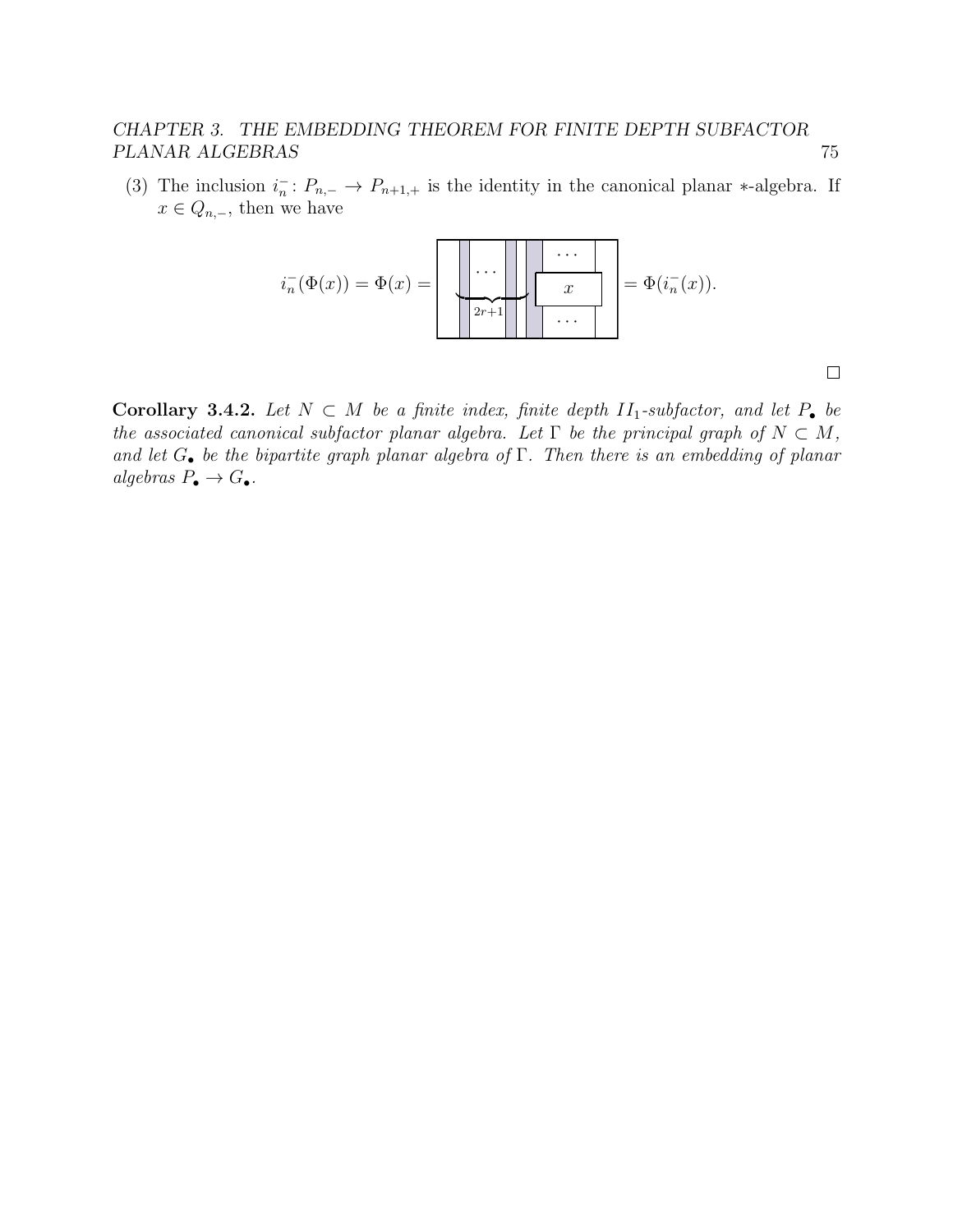(3) The inclusion  $i_n^-: P_{n,-} \to P_{n+1,+}$  is the identity in the canonical planar \*-algebra. If  $x \in Q_{n,-}$ , then we have



Corollary 3.4.2. Let  $N \subset M$  be a finite index, finite depth  $II_1$ -subfactor, and let  $P_{\bullet}$  be the associated canonical subfactor planar algebra. Let  $\Gamma$  be the principal graph of  $N \subset M$ , and let  $G_{\bullet}$  be the bipartite graph planar algebra of  $\Gamma$ . Then there is an embedding of planar algebras  $P_{\bullet} \to G_{\bullet}$ .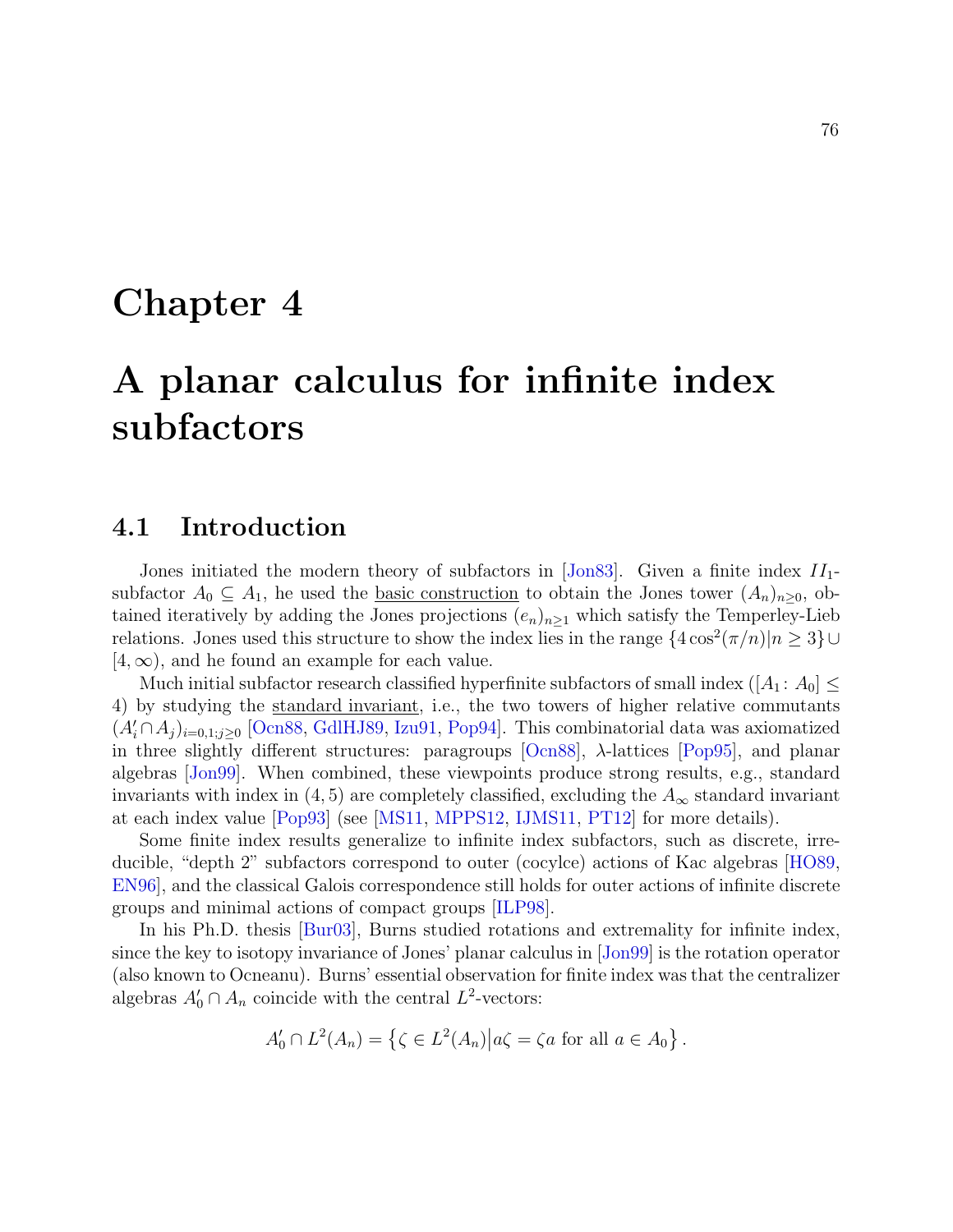# Chapter 4

# A planar calculus for infinite index subfactors

# 4.1 Introduction

Jones initiated the modern theory of subfactors in [\[Jon83\]](#page-141-1). Given a finite index  $II_1$ subfactor  $A_0 \subseteq A_1$ , he used the <u>basic construction</u> to obtain the Jones tower  $(A_n)_{n\geq 0}$ , obtained iteratively by adding the Jones projections  $(e_n)_{n\geq 1}$  which satisfy the Temperley-Lieb relations. Jones used this structure to show the index lies in the range  $\{4\cos^2(\pi/n)|n\geq 3\}\cup$  $[4,\infty)$ , and he found an example for each value.

Much initial subfactor research classified hyperfinite subfactors of small index  $([A_1: A_0] \leq$ 4) by studying the standard invariant, i.e., the two towers of higher relative commutants  $(A_i' \cap A_j)_{i=0,1;j\geq 0}$  [\[Ocn88,](#page-142-0) [GdlHJ89,](#page-140-0) [Izu91,](#page-140-1) [Pop94\]](#page-143-0). This combinatorial data was axiomatized in three slightly different structures: paragroups  $[Ocn88]$ ,  $\lambda$ -lattices  $[Pop95]$ , and planar algebras [\[Jon99\]](#page-141-2). When combined, these viewpoints produce strong results, e.g., standard invariants with index in  $(4, 5)$  are completely classified, excluding the  $A_{\infty}$  standard invariant at each index value [\[Pop93\]](#page-143-2) (see [\[MS11,](#page-142-1) [MPPS12,](#page-142-2) [IJMS11,](#page-140-2) [PT12\]](#page-143-3) for more details).

Some finite index results generalize to infinite index subfactors, such as discrete, irreducible, "depth 2" subfactors correspond to outer (cocylce) actions of Kac algebras [\[HO89,](#page-140-3) [EN96\]](#page-140-4), and the classical Galois correspondence still holds for outer actions of infinite discrete groups and minimal actions of compact groups [\[ILP98\]](#page-140-5).

In his Ph.D. thesis [\[Bur03\]](#page-139-0), Burns studied rotations and extremality for infinite index, since the key to isotopy invariance of Jones' planar calculus in [\[Jon99\]](#page-141-2) is the rotation operator (also known to Ocneanu). Burns' essential observation for finite index was that the centralizer algebras  $A'_0 \cap A_n$  coincide with the central  $L^2$ -vectors:

$$
A'_0 \cap L^2(A_n) = \left\{ \zeta \in L^2(A_n) \middle| a \zeta = \zeta a \text{ for all } a \in A_0 \right\}.
$$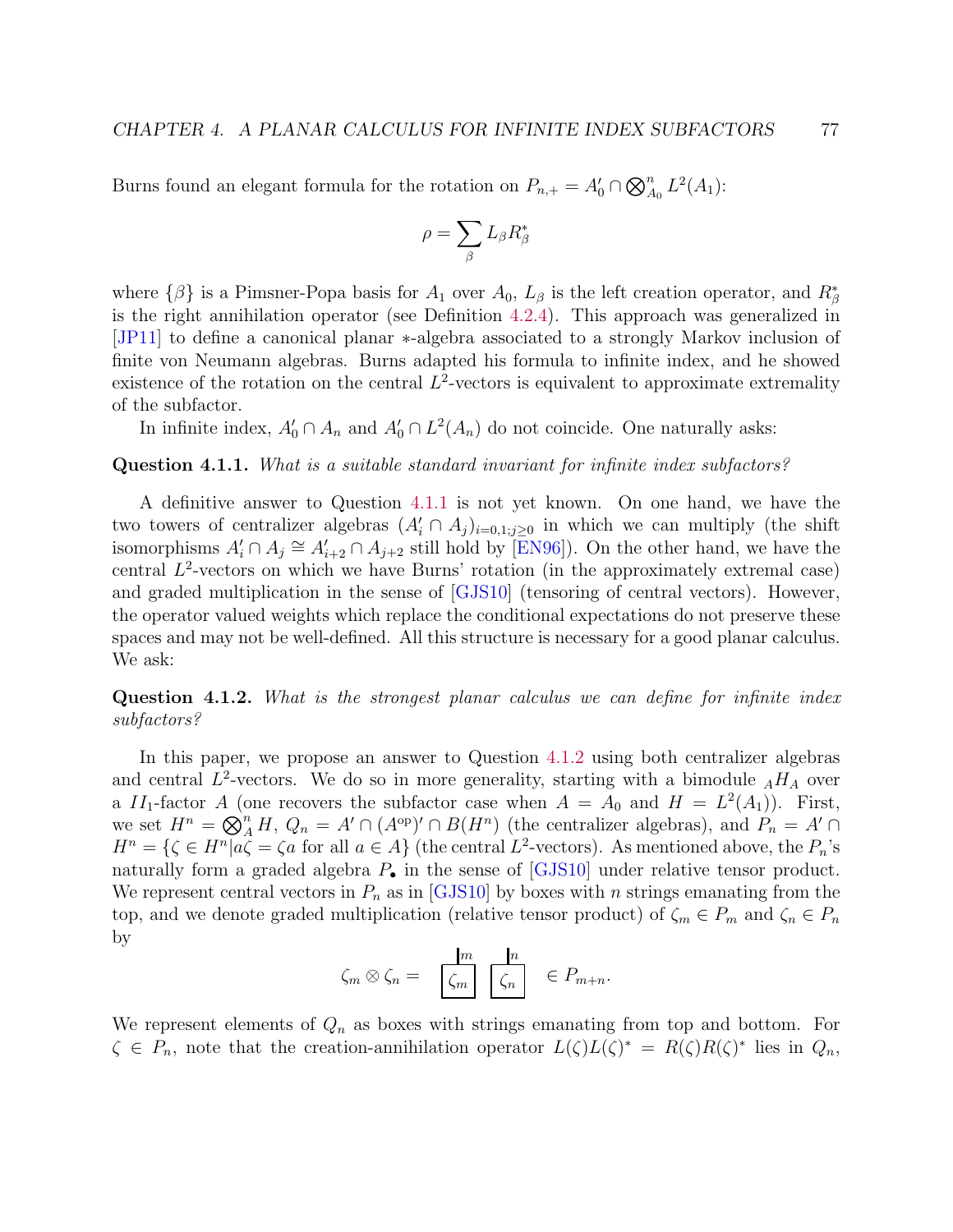Burns found an elegant formula for the rotation on  $P_{n,+} = A'_0 \cap \bigotimes_{A_0}^n L^2(A_1)$ :

$$
\rho=\sum_\beta L_\beta R_\beta^*
$$

where  $\{\beta\}$  is a Pimsner-Popa basis for  $A_1$  over  $A_0$ ,  $L_\beta$  is the left creation operator, and  $R^*_\beta$ is the right annihilation operator (see Definition [4.2.4\)](#page-86-0). This approach was generalized in [\[JP11\]](#page-141-3) to define a canonical planar ∗-algebra associated to a strongly Markov inclusion of finite von Neumann algebras. Burns adapted his formula to infinite index, and he showed existence of the rotation on the central  $L^2$ -vectors is equivalent to approximate extremality of the subfactor.

In infinite index,  $A'_0 \cap A_n$  and  $A'_0 \cap L^2(A_n)$  do not coincide. One naturally asks:

#### <span id="page-81-0"></span>Question 4.1.1. What is a suitable standard invariant for infinite index subfactors?

A definitive answer to Question [4.1.1](#page-81-0) is not yet known. On one hand, we have the two towers of centralizer algebras  $(A'_i \cap A_j)_{i=0,1;j\geq 0}$  in which we can multiply (the shift isomorphisms  $A'_i \cap A_j \cong A'_{i+2} \cap A_{j+2}$  still hold by [\[EN96\]](#page-140-4)). On the other hand, we have the central  $L^2$ -vectors on which we have Burns' rotation (in the approximately extremal case) and graded multiplication in the sense of [\[GJS10\]](#page-140-6) (tensoring of central vectors). However, the operator valued weights which replace the conditional expectations do not preserve these spaces and may not be well-defined. All this structure is necessary for a good planar calculus. We ask:

<span id="page-81-1"></span>Question 4.1.2. What is the strongest planar calculus we can define for infinite index subfactors?

In this paper, we propose an answer to Question [4.1.2](#page-81-1) using both centralizer algebras and central  $L^2$ -vectors. We do so in more generality, starting with a bimodule  $_AH_A$  over a  $II_1$ -factor A (one recovers the subfactor case when  $A = A_0$  and  $H = L^2(A_1)$ ). First, we set  $H^n = \bigotimes_A^n H$ ,  $Q_n = A' \cap (A^{\text{op}})' \cap B(H^n)$  (the centralizer algebras), and  $P_n = A' \cap$  $H^n = \{ \zeta \in H^n | a \zeta = \zeta a \text{ for all } a \in A \}$  (the central  $L^2$ -vectors). As mentioned above, the  $P_n$ 's naturally form a graded algebra  $P_{\bullet}$  in the sense of [\[GJS10\]](#page-140-6) under relative tensor product. We represent central vectors in  $P_n$  as in [\[GJS10\]](#page-140-6) by boxes with n strings emanating from the top, and we denote graded multiplication (relative tensor product) of  $\zeta_m \in P_m$  and  $\zeta_n \in P_n$ by

$$
\zeta_m \otimes \zeta_n = \frac{m}{\zeta_m} \frac{n}{\zeta_n} \in P_{m+n}.
$$

We represent elements of  $Q_n$  as boxes with strings emanating from top and bottom. For  $\zeta \in P_n$ , note that the creation-annihilation operator  $L(\zeta)L(\zeta)^* = R(\zeta)R(\zeta)^*$  lies in  $Q_n$ ,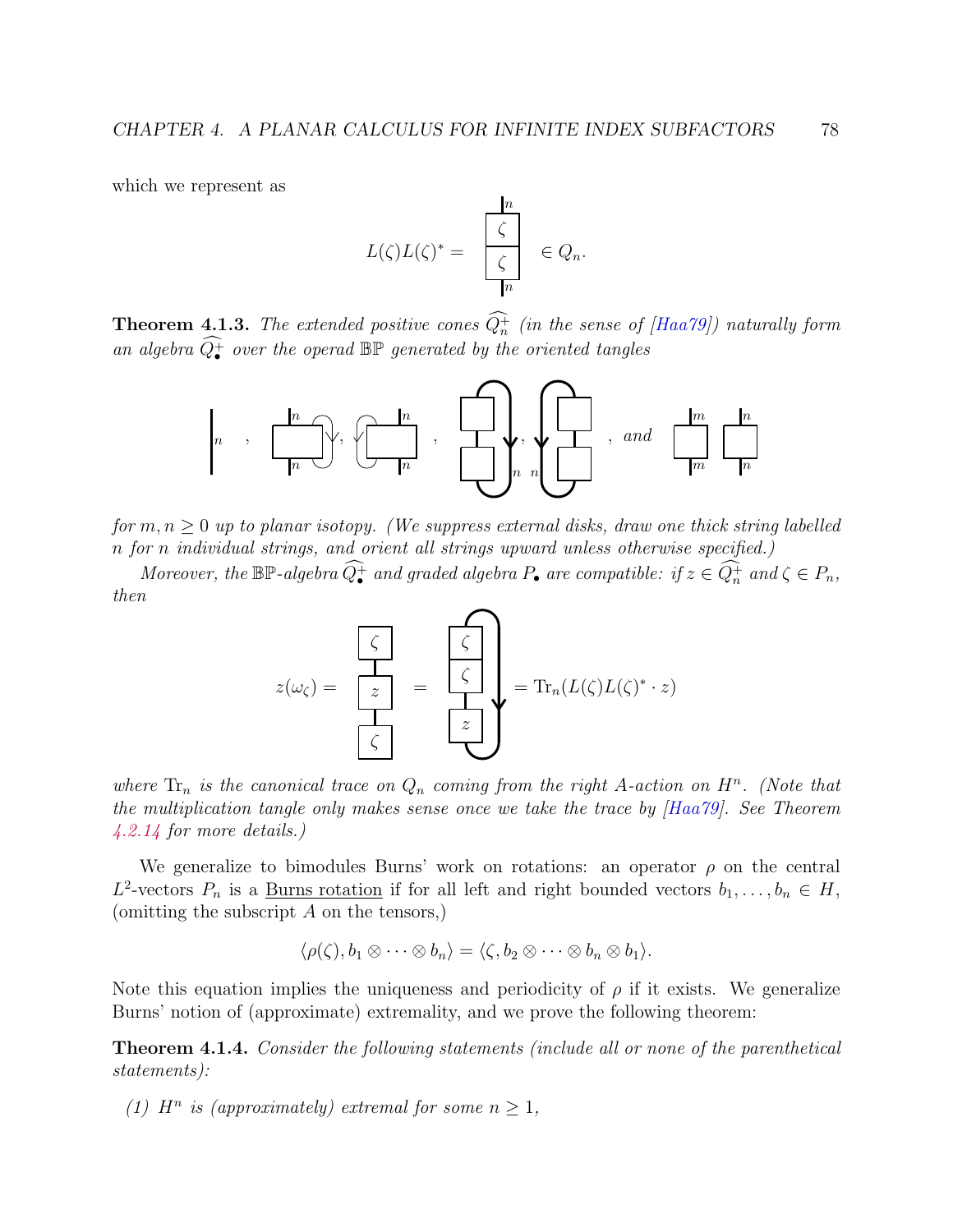which we represent as

$$
L(\zeta)L(\zeta)^* = \frac{\begin{bmatrix} n \\ \zeta \\ \zeta \end{bmatrix}}{\begin{bmatrix} \zeta \\ \eta \end{bmatrix}} \in Q_n.
$$

**Theorem 4.1.3.** The extended positive cones  $Q_n^+$  (in the sense of [\[Haa79\]](#page-140-7)) naturally form an algebra  $\widehat{Q^+_{\bullet}}$  over the operad  $\mathbb{BP}$  generated by the oriented tangles



for  $m, n \geq 0$  up to planar isotopy. (We suppress external disks, draw one thick string labelled n for n individual strings, and orient all strings upward unless otherwise specified.)

Moreover, the  $\mathbb{BP}$ -algebra  $\widehat{Q_{\bullet}}$  and graded algebra  $P_{\bullet}$  are compatible: if  $z \in \widehat{Q_n^+}$  and  $\zeta \in P_n$ , then

$$
z(\omega_{\zeta}) = \frac{\begin{bmatrix} \zeta \\ z \end{bmatrix}}{\begin{bmatrix} \zeta \\ \zeta \end{bmatrix}} = \frac{\begin{bmatrix} \zeta \\ \zeta \end{bmatrix}}{\begin{bmatrix} z \\ \zeta \end{bmatrix}} = \text{Tr}_{n}(L(\zeta)L(\zeta)^{*} \cdot z)
$$

where  $\text{Tr}_n$  is the canonical trace on  $Q_n$  coming from the right A-action on  $H^n$ . (Note that the multiplication tangle only makes sense once we take the trace by [\[Haa79\]](#page-140-7). See Theorem [4.2.14](#page-90-0) for more details.)

We generalize to bimodules Burns' work on rotations: an operator  $\rho$  on the central L<sup>2</sup>-vectors  $P_n$  is a <u>Burns rotation</u> if for all left and right bounded vectors  $b_1, \ldots, b_n \in H$ , (omitting the subscript A on the tensors,)

$$
\langle \rho(\zeta), b_1 \otimes \cdots \otimes b_n \rangle = \langle \zeta, b_2 \otimes \cdots \otimes b_n \otimes b_1 \rangle.
$$

Note this equation implies the uniqueness and periodicity of  $\rho$  if it exists. We generalize Burns' notion of (approximate) extremality, and we prove the following theorem:

<span id="page-82-0"></span>Theorem 4.1.4. Consider the following statements (include all or none of the parenthetical statements):

(1)  $H^n$  is (approximately) extremal for some  $n \geq 1$ ,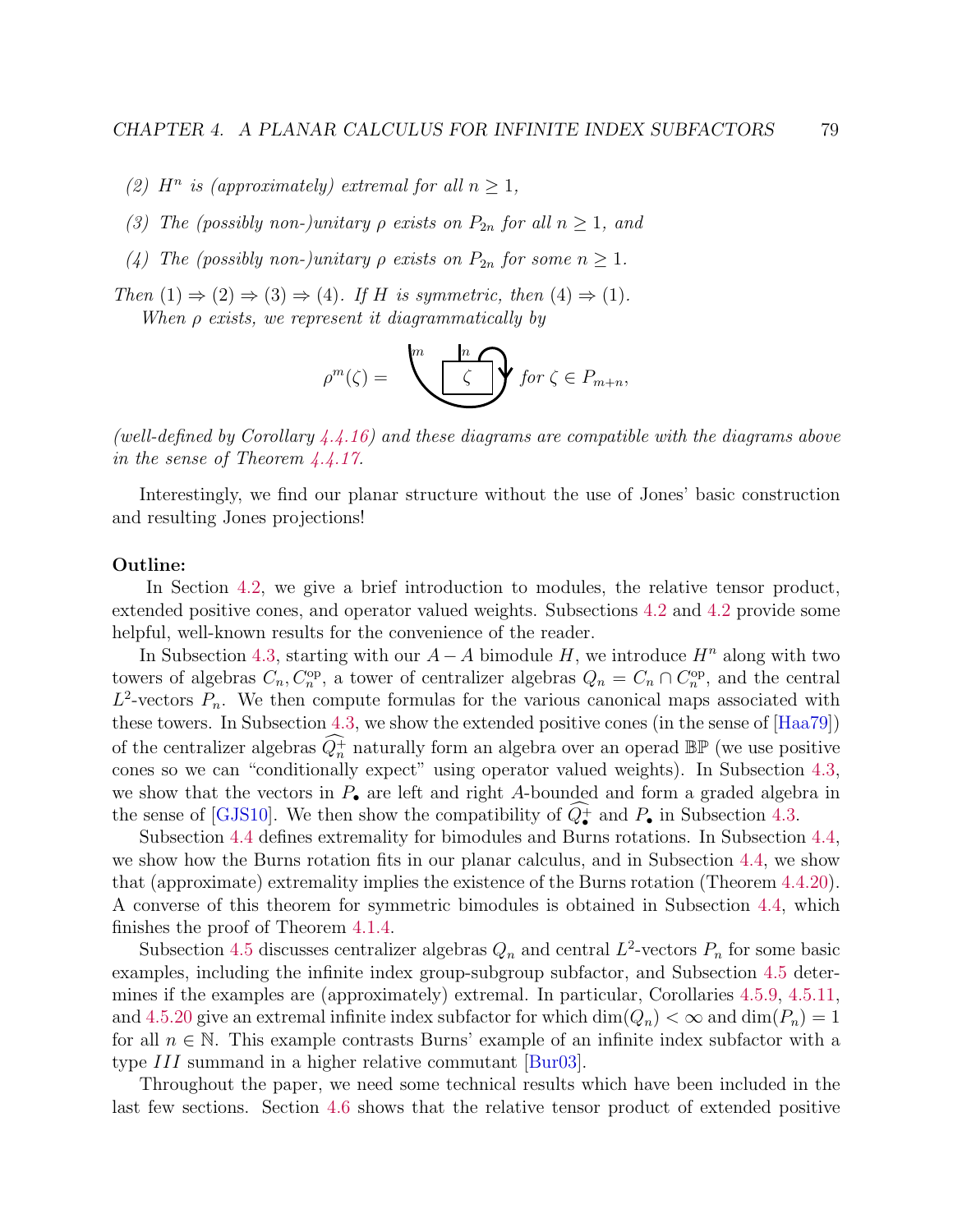- (2)  $H^n$  is (approximately) extremal for all  $n \geq 1$ ,
- (3) The (possibly non-)unitary  $\rho$  exists on  $P_{2n}$  for all  $n \geq 1$ , and
- (4) The (possibly non-)unitary  $\rho$  exists on  $P_{2n}$  for some  $n \geq 1$ .

Then  $(1) \Rightarrow (2) \Rightarrow (3) \Rightarrow (4)$ . If H is symmetric, then  $(4) \Rightarrow (1)$ .

When ρ exists, we represent it diagrammatically by

$$
\rho^m(\zeta) = \bigotimes^m \bigotimes^{\lfloor n \rfloor} \mathbf{f} \text{ or } \zeta \in P_{m+n},
$$

(well-defined by Corollary [4.4.16\)](#page-110-0) and these diagrams are compatible with the diagrams above in the sense of Theorem [4.4.17.](#page-0-0)

Interestingly, we find our planar structure without the use of Jones' basic construction and resulting Jones projections!

#### Outline:

In Section [4.2,](#page-84-0) we give a brief introduction to modules, the relative tensor product, extended positive cones, and operator valued weights. Subsections [4.2](#page-87-0) and [4.2](#page-92-0) provide some helpful, well-known results for the convenience of the reader.

In Subsection [4.3,](#page-94-0) starting with our  $A - A$  bimodule H, we introduce  $H<sup>n</sup>$  along with two towers of algebras  $C_n, C_n^{\text{op}}$ , a tower of centralizer algebras  $Q_n = C_n \cap C_n^{\text{op}}$ , and the central  $L^2$ -vectors  $P_n$ . We then compute formulas for the various canonical maps associated with these towers. In Subsection [4.3,](#page-98-0) we show the extended positive cones (in the sense of [\[Haa79\]](#page-140-7)) of the centralizer algebras  $\widehat{Q_n^+}$  naturally form an algebra over an operad  $\mathbb{BP}$  (we use positive cones so we can "conditionally expect" using operator valued weights). In Subsection [4.3,](#page-101-0) we show that the vectors in  $P_{\bullet}$  are left and right A-bounded and form a graded algebra in the sense of [\[GJS10\]](#page-140-6). We then show the compatibility of  $Q_{\bullet}^{+}$  and  $P_{\bullet}$  in Subsection [4.3.](#page-102-0)

Subsection [4.4](#page-105-0) defines extremality for bimodules and Burns rotations. In Subsection [4.4,](#page-108-0) we show how the Burns rotation fits in our planar calculus, and in Subsection [4.4,](#page-111-0) we show that (approximate) extremality implies the existence of the Burns rotation (Theorem [4.4.20\)](#page-112-0). A converse of this theorem for symmetric bimodules is obtained in Subsection [4.4,](#page-112-1) which finishes the proof of Theorem [4.1.4.](#page-82-0)

Subsection [4.5](#page-114-0) discusses centralizer algebras  $Q_n$  and central  $L^2$ -vectors  $P_n$  for some basic examples, including the infinite index group-subgroup subfactor, and Subsection [4.5](#page-117-0) determines if the examples are (approximately) extremal. In particular, Corollaries [4.5.9,](#page-116-0) [4.5.11,](#page-117-1) and [4.5.20](#page-0-0) give an extremal infinite index subfactor for which  $\dim(Q_n) < \infty$  and  $\dim(P_n) = 1$ for all  $n \in \mathbb{N}$ . This example contrasts Burns' example of an infinite index subfactor with a type III summand in a higher relative commutant [\[Bur03\]](#page-139-0).

Throughout the paper, we need some technical results which have been included in the last few sections. Section [4.6](#page-119-0) shows that the relative tensor product of extended positive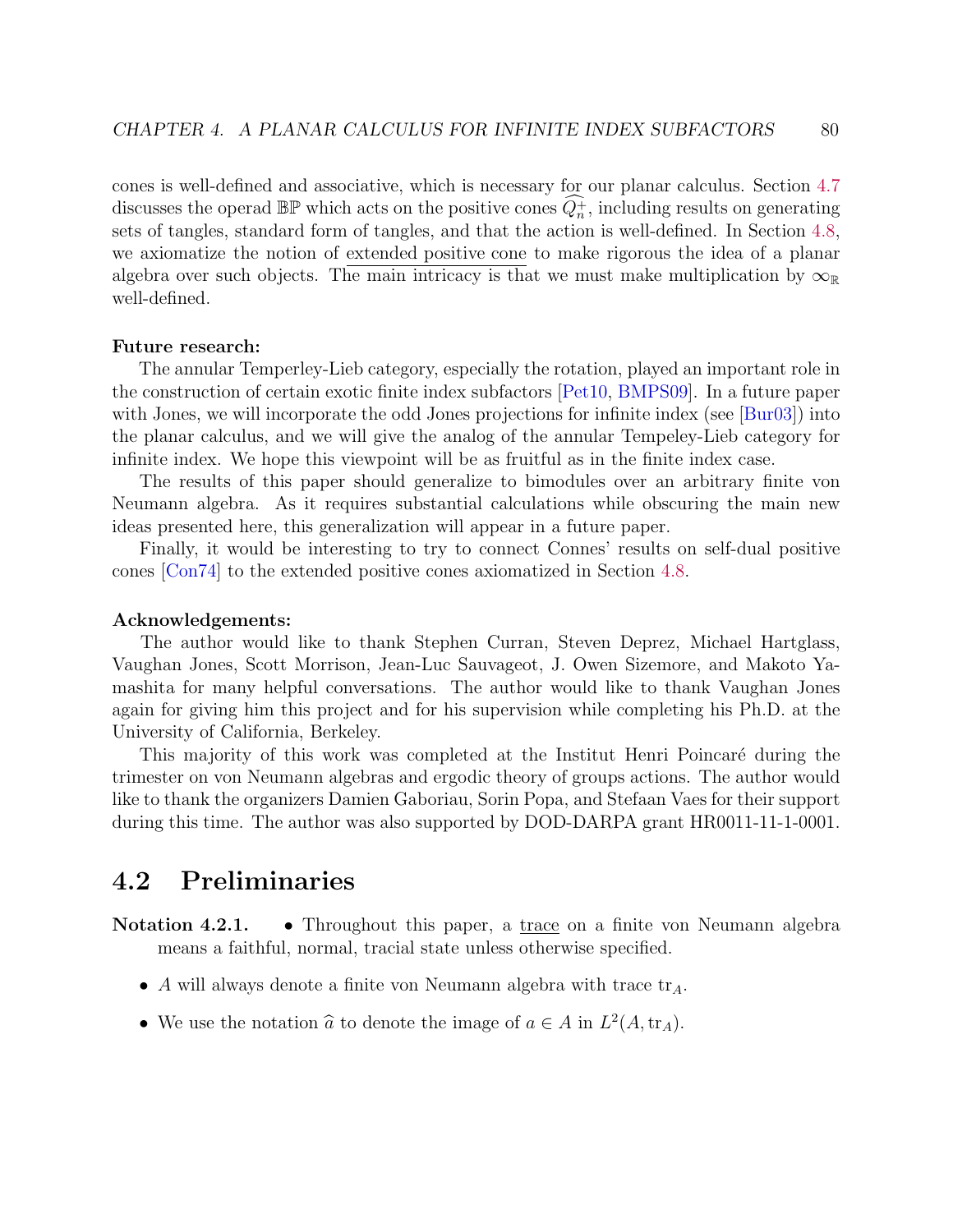cones is well-defined and associative, which is necessary for our planar calculus. Section [4.7](#page-128-0) discusses the operad  $\mathbb{BP}$  which acts on the positive cones  $\widehat{Q_n^+}$ , including results on generating sets of tangles, standard form of tangles, and that the action is well-defined. In Section [4.8,](#page-135-0) we axiomatize the notion of extended positive cone to make rigorous the idea of a planar algebra over such objects. The main intricacy is that we must make multiplication by  $\infty_{\mathbb{R}}$ well-defined.

#### Future research:

The annular Temperley-Lieb category, especially the rotation, played an important role in the construction of certain exotic finite index subfactors [\[Pet10,](#page-143-4) [BMPS09\]](#page-139-1). In a future paper with Jones, we will incorporate the odd Jones projections for infinite index (see [\[Bur03\]](#page-139-0)) into the planar calculus, and we will give the analog of the annular Tempeley-Lieb category for infinite index. We hope this viewpoint will be as fruitful as in the finite index case.

The results of this paper should generalize to bimodules over an arbitrary finite von Neumann algebra. As it requires substantial calculations while obscuring the main new ideas presented here, this generalization will appear in a future paper.

Finally, it would be interesting to try to connect Connes' results on self-dual positive cones [\[Con74\]](#page-139-2) to the extended positive cones axiomatized in Section [4.8.](#page-135-0)

#### Acknowledgements:

The author would like to thank Stephen Curran, Steven Deprez, Michael Hartglass, Vaughan Jones, Scott Morrison, Jean-Luc Sauvageot, J. Owen Sizemore, and Makoto Yamashita for many helpful conversations. The author would like to thank Vaughan Jones again for giving him this project and for his supervision while completing his Ph.D. at the University of California, Berkeley.

This majority of this work was completed at the Institut Henri Poincaré during the trimester on von Neumann algebras and ergodic theory of groups actions. The author would like to thank the organizers Damien Gaboriau, Sorin Popa, and Stefaan Vaes for their support during this time. The author was also supported by DOD-DARPA grant HR0011-11-1-0001.

# <span id="page-84-0"></span>4.2 Preliminaries

Notation 4.2.1. • Throughout this paper, a trace on a finite von Neumann algebra means a faithful, normal, tracial state unless otherwise specified.

- A will always denote a finite von Neumann algebra with trace  $\text{tr}_A$ .
- We use the notation  $\hat{a}$  to denote the image of  $a \in A$  in  $L^2(A, \text{tr}_A)$ .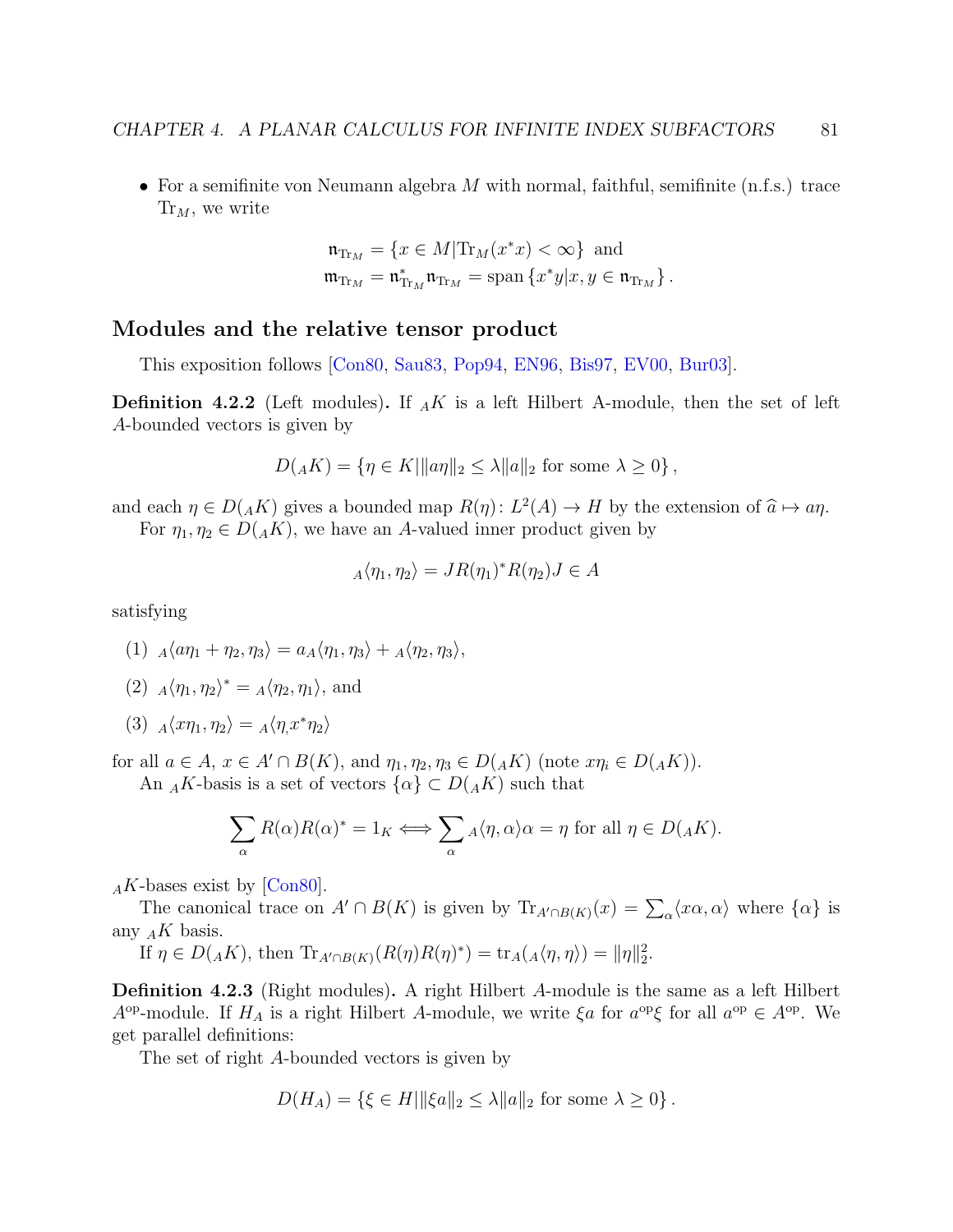• For a semifinite von Neumann algebra  $M$  with normal, faithful, semifinite (n.f.s.) trace  $\text{Tr}_M$ , we write

$$
\begin{aligned}\n\mathfrak{n}_{\mathrm{Tr}_M} &= \{x \in M | \mathrm{Tr}_M(x^*x) < \infty\} \text{ and} \\
\mathfrak{m}_{\mathrm{Tr}_M} &= \mathfrak{n}_{\mathrm{Tr}_M}^* \mathfrak{n}_{\mathrm{Tr}_M} = \mathrm{span}\left\{x^*y | x, y \in \mathfrak{n}_{\mathrm{Tr}_M}\right\}.\n\end{aligned}
$$

#### Modules and the relative tensor product

This exposition follows [\[Con80,](#page-139-3) [Sau83,](#page-143-5) [Pop94,](#page-143-0) [EN96,](#page-140-4) [Bis97,](#page-139-4) [EV00,](#page-140-8) [Bur03\]](#page-139-0).

**Definition 4.2.2** (Left modules). If  $_A K$  is a left Hilbert A-module, then the set of left A-bounded vectors is given by

$$
D(AK) = \{ \eta \in K \mid ||a\eta||_2 \le \lambda ||a||_2 \text{ for some } \lambda \ge 0 \},
$$

and each  $\eta \in D(AK)$  gives a bounded map  $R(\eta) : L^2(A) \to H$  by the extension of  $\hat{a} \mapsto a\eta$ .<br>For  $n, n \in D(AK)$  we have an A valued inner product given by For  $\eta_1, \eta_2 \in D(AK)$ , we have an A-valued inner product given by

$$
_A\langle \eta_1, \eta_2 \rangle = JR(\eta_1)^*R(\eta_2)J \in A
$$

satisfying

$$
(1) A\langle a\eta_1 + \eta_2, \eta_3 \rangle = a_A \langle \eta_1, \eta_3 \rangle + A\langle \eta_2, \eta_3 \rangle,
$$

(2) 
$$
A\langle \eta_1, \eta_2 \rangle^* = A\langle \eta_2, \eta_1 \rangle
$$
, and

(3)  $_A\langle x\eta_1, \eta_2\rangle = A\langle \eta, x^*\eta_2\rangle$ 

for all  $a \in A$ ,  $x \in A' \cap B(K)$ , and  $\eta_1, \eta_2, \eta_3 \in D({}_AK)$  (note  $x\eta_i \in D({}_AK)$ ).

An <sub>A</sub>K-basis is a set of vectors  $\{\alpha\} \subset D(AK)$  such that

$$
\sum_{\alpha} R(\alpha)R(\alpha)^* = 1_K \Longleftrightarrow \sum_{\alpha} {}_A\langle \eta, \alpha \rangle \alpha = \eta \text{ for all } \eta \in D({}_A K).
$$

 $_A K$ -bases exist by [\[Con80\]](#page-139-3).

The canonical trace on  $A' \cap B(K)$  is given by  $\text{Tr}_{A' \cap B(K)}(x) = \sum_{\alpha} \langle x\alpha, \alpha \rangle$  where  $\{\alpha\}$  is any  $_A K$  basis.

If  $\eta \in D({}_AK)$ , then  $\text{Tr}_{A' \cap B(K)}(R(\eta)R(\eta)^*) = \text{tr}_A({}_A \langle \eta, \eta \rangle) = ||\eta||_2^2$ .

Definition 4.2.3 (Right modules). A right Hilbert A-module is the same as a left Hilbert  $A^{\text{op}}$ -module. If  $H_A$  is a right Hilbert A-module, we write  $\xi a$  for  $a^{\text{op}}\xi$  for all  $a^{\text{op}} \in A^{\text{op}}$ . We get parallel definitions:

The set of right A-bounded vectors is given by

$$
D(H_A) = \{ \xi \in H \mid \|\xi a\|_2 \le \lambda \|a\|_2 \text{ for some } \lambda \ge 0 \}.
$$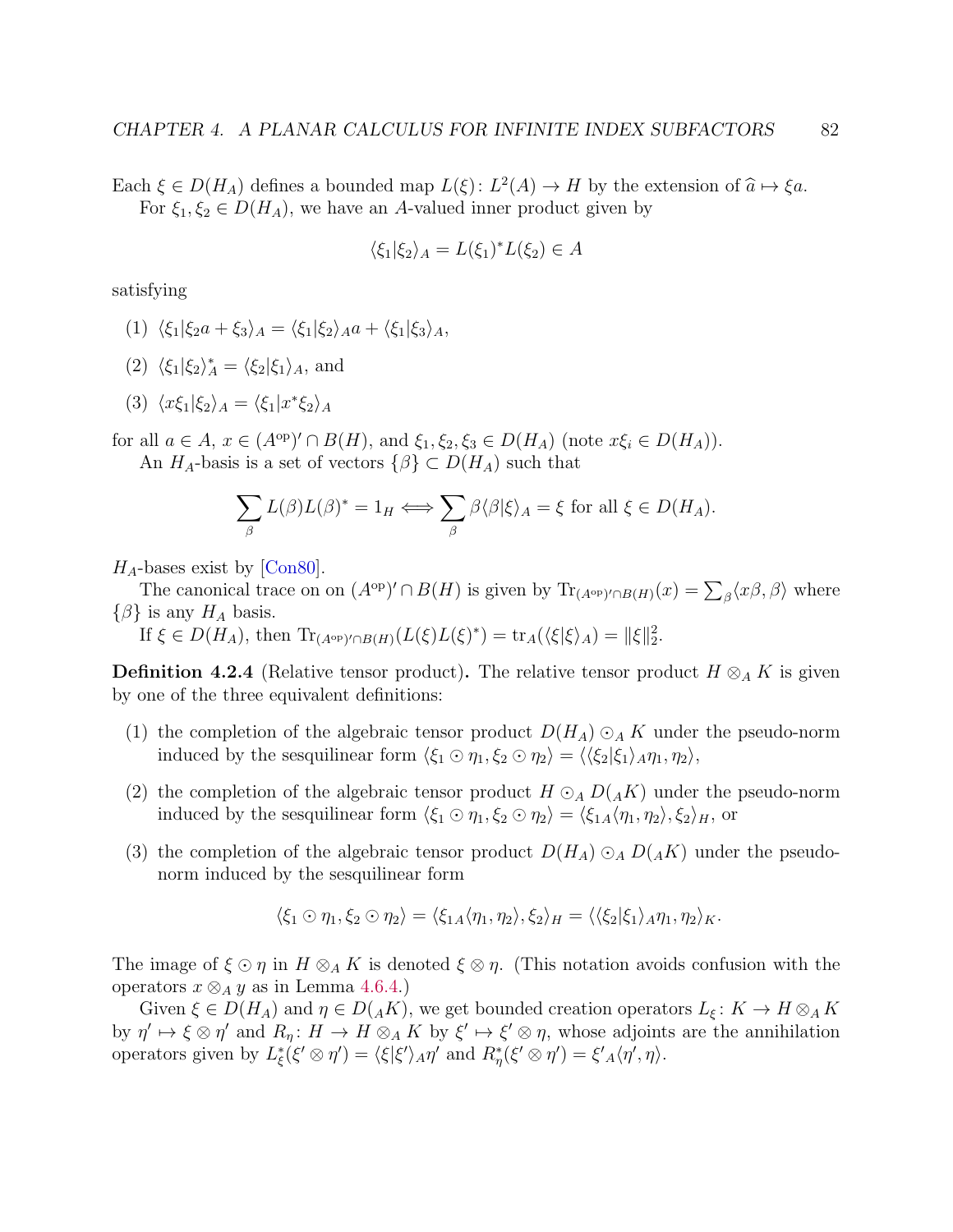Each  $\xi \in D(H_A)$  defines a bounded map  $L(\xi): L^2(A) \to H$  by the extension of  $\hat{a} \mapsto \xi a$ .<br>For  $\xi \in C(D(H_A))$  we have an A valued inner product given by For  $\xi_1, \xi_2 \in D(H_A)$ , we have an A-valued inner product given by

$$
\langle \xi_1 | \xi_2 \rangle_A = L(\xi_1)^* L(\xi_2) \in A
$$

satisfying

- (1)  $\langle \xi_1 | \xi_2 a + \xi_3 \rangle_A = \langle \xi_1 | \xi_2 \rangle_A a + \langle \xi_1 | \xi_3 \rangle_A,$
- (2)  $\langle \xi_1 | \xi_2 \rangle_A^* = \langle \xi_2 | \xi_1 \rangle_A$ , and
- (3)  $\langle x\xi_1|\xi_2\rangle_A = \langle \xi_1|x^*\xi_2\rangle_A$

for all  $a \in A$ ,  $x \in (A^{\text{op}})' \cap B(H)$ , and  $\xi_1, \xi_2, \xi_3 \in D(H_A)$  (note  $x\xi_i \in D(H_A)$ ). An  $H_A$ -basis is a set of vectors  $\{\beta\} \subset D(H_A)$  such that

$$
\sum_{\beta} L(\beta) L(\beta)^* = 1_H \Longleftrightarrow \sum_{\beta} \beta \langle \beta | \xi \rangle_A = \xi \text{ for all } \xi \in D(H_A).
$$

 $H_A$ -bases exist by [\[Con80\]](#page-139-3).

The canonical trace on on  $(A^{op})' \cap B(H)$  is given by  $\text{Tr}_{(A^{op})' \cap B(H)}(x) = \sum_{\beta} \langle x\beta, \beta \rangle$  where  $\{\beta\}$  is any  $H_A$  basis.

If  $\xi \in D(H_A)$ , then  $\text{Tr}_{(A^{\text{op}})' \cap B(H)}(L(\xi)L(\xi)^*) = \text{tr}_A(\langle \xi | \xi \rangle_A) = ||\xi||_2^2$ .

<span id="page-86-0"></span>**Definition 4.2.4** (Relative tensor product). The relative tensor product  $H \otimes_A K$  is given by one of the three equivalent definitions:

- (1) the completion of the algebraic tensor product  $D(H_A) \odot_A K$  under the pseudo-norm induced by the sesquilinear form  $\langle \xi_1 \odot \eta_1, \xi_2 \odot \eta_2 \rangle = \langle \langle \xi_2 | \xi_1 \rangle_A \eta_1, \eta_2 \rangle$ ,
- (2) the completion of the algebraic tensor product  $H \odot_A D(AK)$  under the pseudo-norm induced by the sesquilinear form  $\langle \xi_1 \odot \eta_1, \xi_2 \odot \eta_2 \rangle = \langle \xi_{1A} \langle \eta_1, \eta_2 \rangle, \xi_2 \rangle_H$ , or
- (3) the completion of the algebraic tensor product  $D(H_A) \odot_A D(AK)$  under the pseudonorm induced by the sesquilinear form

$$
\langle \xi_1 \odot \eta_1, \xi_2 \odot \eta_2 \rangle = \langle \xi_{1A} \langle \eta_1, \eta_2 \rangle, \xi_2 \rangle_H = \langle \langle \xi_2 | \xi_1 \rangle_A \eta_1, \eta_2 \rangle_K.
$$

The image of  $\xi \odot \eta$  in  $H \otimes_A K$  is denoted  $\xi \otimes \eta$ . (This notation avoids confusion with the operators  $x \otimes_A y$  as in Lemma [4.6.4.](#page-121-0))

Given  $\xi \in D(H_A)$  and  $\eta \in D({}_AK)$ , we get bounded creation operators  $L_{\xi}: K \to H \otimes_A K$ by  $\eta' \mapsto \xi \otimes \eta'$  and  $R_\eta: H \to H \otimes_A K$  by  $\xi' \mapsto \xi' \otimes \eta$ , whose adjoints are the annihilation operators given by  $L_{\xi}^{*}(\xi' \otimes \eta') = \langle \xi | \xi' \rangle_{A} \eta'$  and  $R_{\eta}^{*}(\xi' \otimes \eta') = \xi'_{A} \langle \eta', \eta \rangle$ .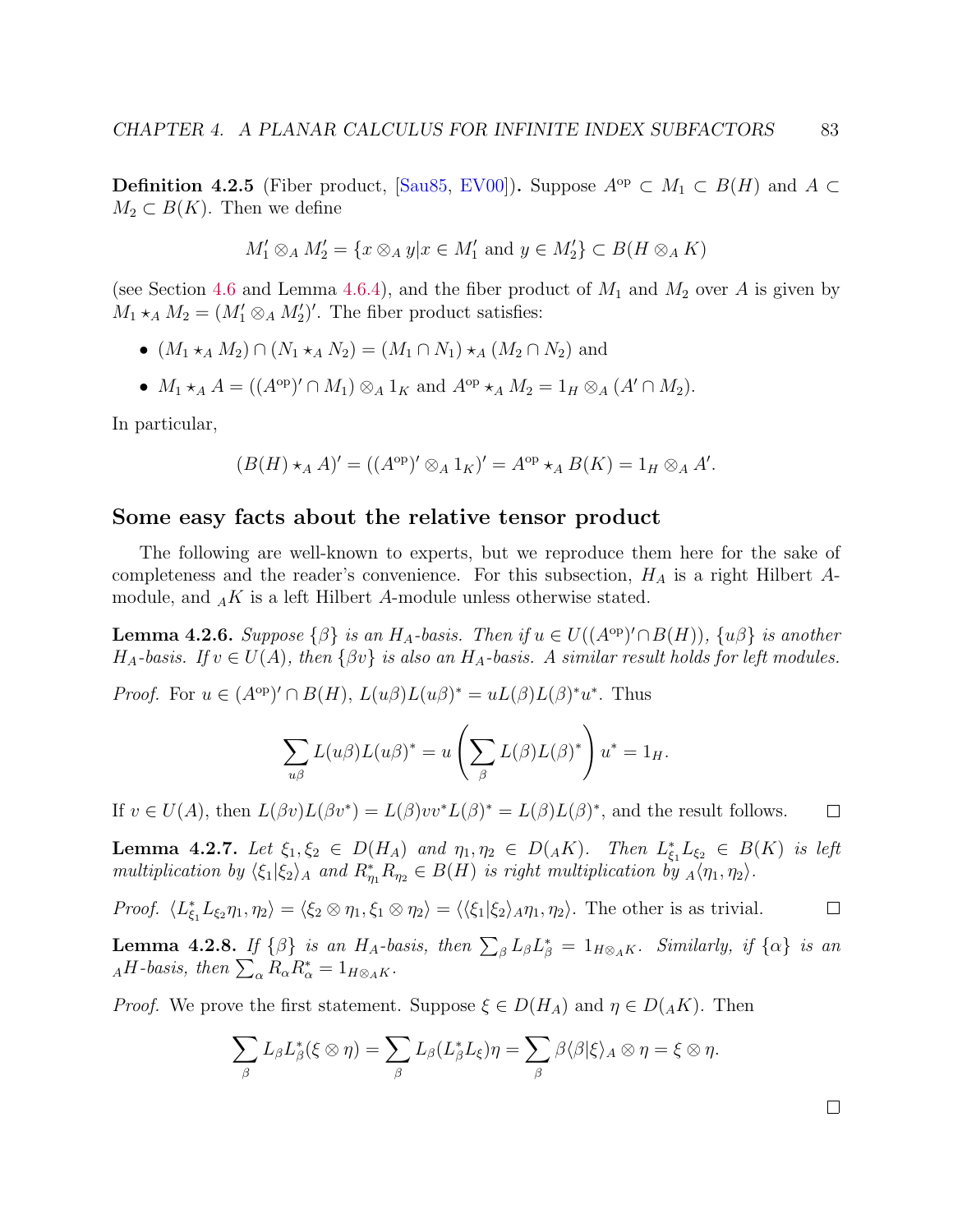<span id="page-87-1"></span>**Definition 4.2.5** (Fiber product, [\[Sau85,](#page-143-6) [EV00\]](#page-140-8)). Suppose  $A^{\text{op}} \subset M_1 \subset B(H)$  and A ⊂  $M_2 \subset B(K)$ . Then we define

$$
M'_1 \otimes_A M'_2 = \{ x \otimes_A y | x \in M'_1 \text{ and } y \in M'_2 \} \subset B(H \otimes_A K)
$$

(see Section [4.6](#page-119-0) and Lemma [4.6.4\)](#page-121-0), and the fiber product of  $M_1$  and  $M_2$  over A is given by  $M_1 \star_A M_2 = (M'_1 \otimes_A M'_2)'$ . The fiber product satisfies:

- $(M_1 \star_A M_2) \cap (N_1 \star_A N_2) = (M_1 \cap N_1) \star_A (M_2 \cap N_2)$  and
- $M_1 \star_A A = ((A^{\text{op}})' \cap M_1) \otimes_A 1_K$  and  $A^{\text{op}} \star_A M_2 = 1_H \otimes_A (A' \cap M_2)$ .

In particular,

$$
(B(H) \star_A A)' = ((A^{\rm op})' \otimes_A 1_K)' = A^{\rm op} \star_A B(K) = 1_H \otimes_A A'.
$$

#### <span id="page-87-0"></span>Some easy facts about the relative tensor product

The following are well-known to experts, but we reproduce them here for the sake of completeness and the reader's convenience. For this subsection,  $H_A$  is a right Hilbert Amodule, and  $_A K$  is a left Hilbert A-module unless otherwise stated.

<span id="page-87-2"></span>**Lemma 4.2.6.** Suppose  $\{\beta\}$  is an  $H_A$ -basis. Then if  $u \in U((A^{\text{op}})' \cap B(H))$ ,  $\{u\beta\}$  is another  $H_A$ -basis. If  $v \in U(A)$ , then  $\{\beta v\}$  is also an  $H_A$ -basis. A similar result holds for left modules.

*Proof.* For  $u \in (A^{\text{op}})' \cap B(H)$ ,  $L(u\beta)L(u\beta)^* = uL(\beta)L(\beta)^*u^*$ . Thus

$$
\sum_{u\beta} L(u\beta) L(u\beta)^* = u\left(\sum_{\beta} L(\beta) L(\beta)^*\right) u^* = 1_H.
$$

If  $v \in U(A)$ , then  $L(\beta v)L(\beta v^*) = L(\beta)v v^* L(\beta)^* = L(\beta)L(\beta)^*$ , and the result follows.  $\Box$ 

**Lemma 4.2.7.** Let  $\xi_1, \xi_2 \in D(H_A)$  and  $\eta_1, \eta_2 \in D(AK)$ . Then  $L_{\xi_1}^* L_{\xi_2} \in B(K)$  is left multiplication by  $\langle \xi_1 | \xi_2 \rangle_A$  and  $R_{\eta_1}^* R_{\eta_2} \in B(H)$  is right multiplication by  $_A \langle \eta_1, \eta_2 \rangle$ .

Proof.  $\langle L_{\xi_1}^* L_{\xi_2} \eta_1, \eta_2 \rangle = \langle \xi_2 \otimes \eta_1, \xi_1 \otimes \eta_2 \rangle = \langle \langle \xi_1 | \xi_2 \rangle_A \eta_1, \eta_2 \rangle$ . The other is as trivial.  $\Box$ 

**Lemma 4.2.8.** If  $\{\beta\}$  is an  $H_A$ -basis, then  $\sum_{\beta} L_{\beta} L_{\beta}^* = 1_{H\otimes_A K}$ . Similarly, if  $\{\alpha\}$  is an  $_AH$ -basis, then  $\sum_{\alpha} R_{\alpha} R_{\alpha}^* = 1_{H\otimes_A K}$ .

*Proof.* We prove the first statement. Suppose  $\xi \in D(H_A)$  and  $\eta \in D(AK)$ . Then

$$
\sum_{\beta} L_{\beta} L_{\beta}^*(\xi \otimes \eta) = \sum_{\beta} L_{\beta} (L_{\beta}^* L_{\xi}) \eta = \sum_{\beta} \beta \langle \beta | \xi \rangle_A \otimes \eta = \xi \otimes \eta.
$$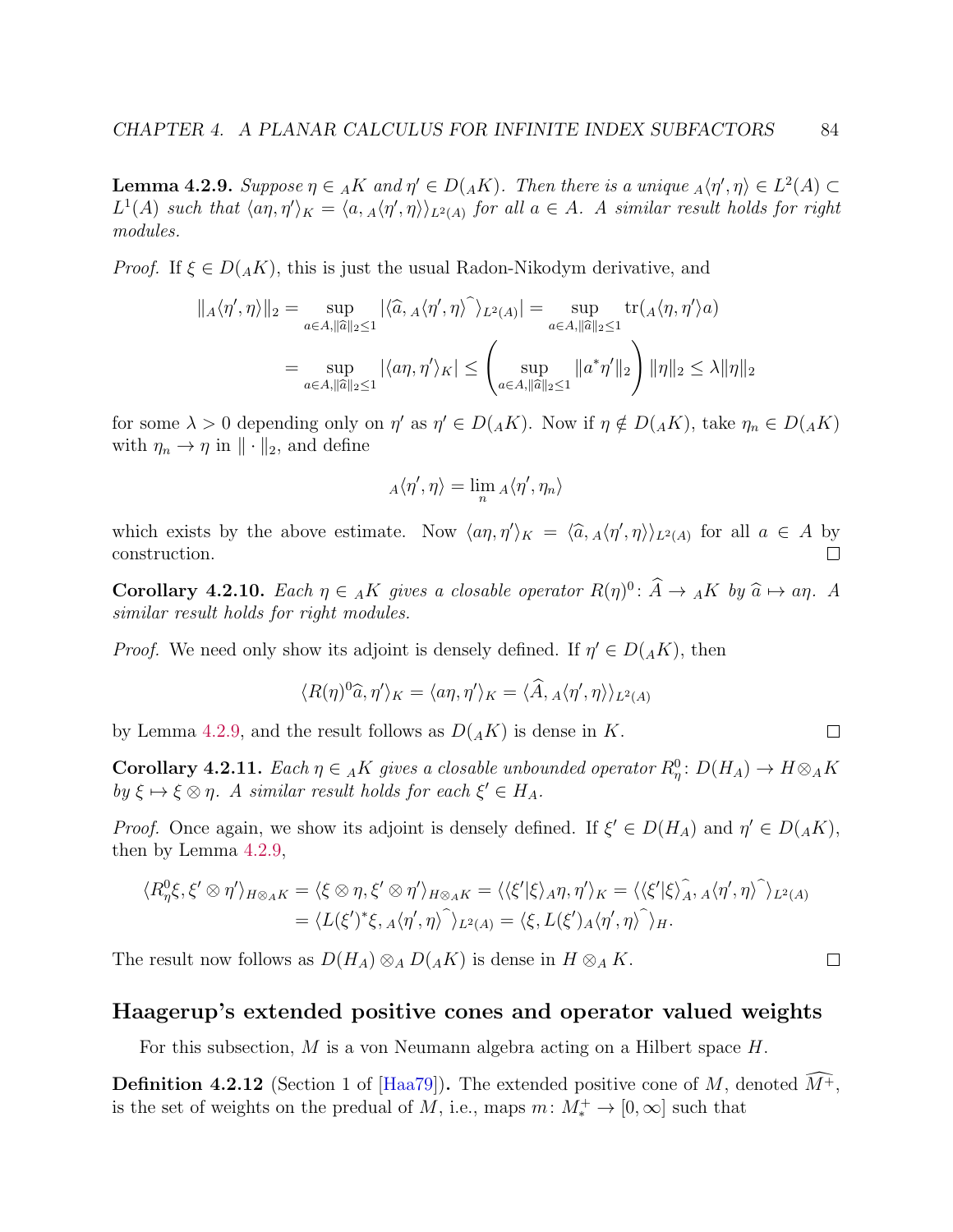<span id="page-88-0"></span>**Lemma 4.2.9.** Suppose  $\eta \in A K$  and  $\eta' \in D(A K)$ . Then there is a unique  $_A \langle \eta', \eta \rangle \in L^2(A) \subset$  $L^1(A)$  such that  $\langle a\eta, \eta'\rangle_K = \langle a, A\langle \eta', \eta \rangle \rangle_{L^2(A)}$  for all  $a \in A$ . A similar result holds for right modules.

*Proof.* If  $\xi \in D(AK)$ , this is just the usual Radon-Nikodym derivative, and

$$
\|A\langle \eta', \eta \rangle\|_2 = \sup_{a \in A, \|\widehat{a}\|_2 \le 1} |\langle \widehat{a}, A\langle \eta', \eta \rangle \widehat{\ } \rangle_{L^2(A)}| = \sup_{a \in A, \|\widehat{a}\|_2 \le 1} \text{tr}(A\langle \eta, \eta' \rangle a)
$$

$$
= \sup_{a \in A, \|\widehat{a}\|_2 \le 1} |\langle a\eta, \eta' \rangle_K| \le \left( \sup_{a \in A, \|\widehat{a}\|_2 \le 1} \|a^*\eta'\|_2 \right) \|\eta\|_2 \le \lambda \|\eta\|_2
$$

for some  $\lambda > 0$  depending only on  $\eta'$  as  $\eta' \in D({}_AK)$ . Now if  $\eta \notin D({}_AK)$ , take  $\eta_n \in D({}_AK)$ with  $\eta_n \to \eta$  in  $\|\cdot\|_2$ , and define

$$
{}_A\langle\eta',\eta\rangle=\lim_n {}_A\langle\eta',\eta_n\rangle
$$

which exists by the above estimate. Now  $\langle a\eta, \eta'\rangle_K = \langle \hat{a}, A\langle \eta', \eta \rangle \rangle_{L^2(A)}$  for all  $a \in A$  by construction.  $\Box$ 

**Corollary 4.2.10.** Each  $\eta \in A K$  gives a closable operator  $R(\eta)^0$ :  $\hat{A} \to {}_A K$  by  $\hat{a} \mapsto a\eta$ . A similar recall holds for right modules similar result holds for right modules.

*Proof.* We need only show its adjoint is densely defined. If  $\eta' \in D(AK)$ , then

$$
\langle R(\eta)^0 \hat{a}, \eta' \rangle_K = \langle a\eta, \eta' \rangle_K = \langle \hat{A}, A \langle \eta', \eta \rangle \rangle_{L^2(A)}
$$

by Lemma [4.2.9,](#page-88-0) and the result follows as  $D(AK)$  is dense in K.

<span id="page-88-1"></span>**Corollary 4.2.11.** Each  $\eta \in A K$  gives a closable unbounded operator  $R_{\eta}^0$ :  $D(H_A) \to H \otimes_A K$ by  $\xi \mapsto \xi \otimes \eta$ . A similar result holds for each  $\xi' \in H_A$ .

*Proof.* Once again, we show its adjoint is densely defined. If  $\xi' \in D(H_A)$  and  $\eta' \in D({}_AK)$ , then by Lemma [4.2.9,](#page-88-0)

$$
\langle R_{\eta}^0 \xi, \xi' \otimes \eta' \rangle_{H \otimes_A K} = \langle \xi \otimes \eta, \xi' \otimes \eta' \rangle_{H \otimes_A K} = \langle \langle \xi' | \xi \rangle_A \eta, \eta' \rangle_K = \langle \langle \xi' | \xi \rangle_A^2, A \langle \eta', \eta \rangle \rangle_{L^2(A)} = \langle L(\xi')^* \xi, A \langle \eta', \eta \rangle \rangle_{L^2(A)} = \langle \xi, L(\xi') A \langle \eta', \eta \rangle \rangle_H.
$$

The result now follows as  $D(H_A) \otimes_A D(AK)$  is dense in  $H \otimes_A K$ .

#### Haagerup's extended positive cones and operator valued weights

For this subsection,  $M$  is a von Neumann algebra acting on a Hilbert space  $H$ .

**Definition 4.2.12** (Section 1 of [\[Haa79\]](#page-140-7)). The extended positive cone of M, denoted  $M^+$ , is the set of weights on the predual of M, i.e., maps  $m: M^+_* \to [0, \infty]$  such that

 $\Box$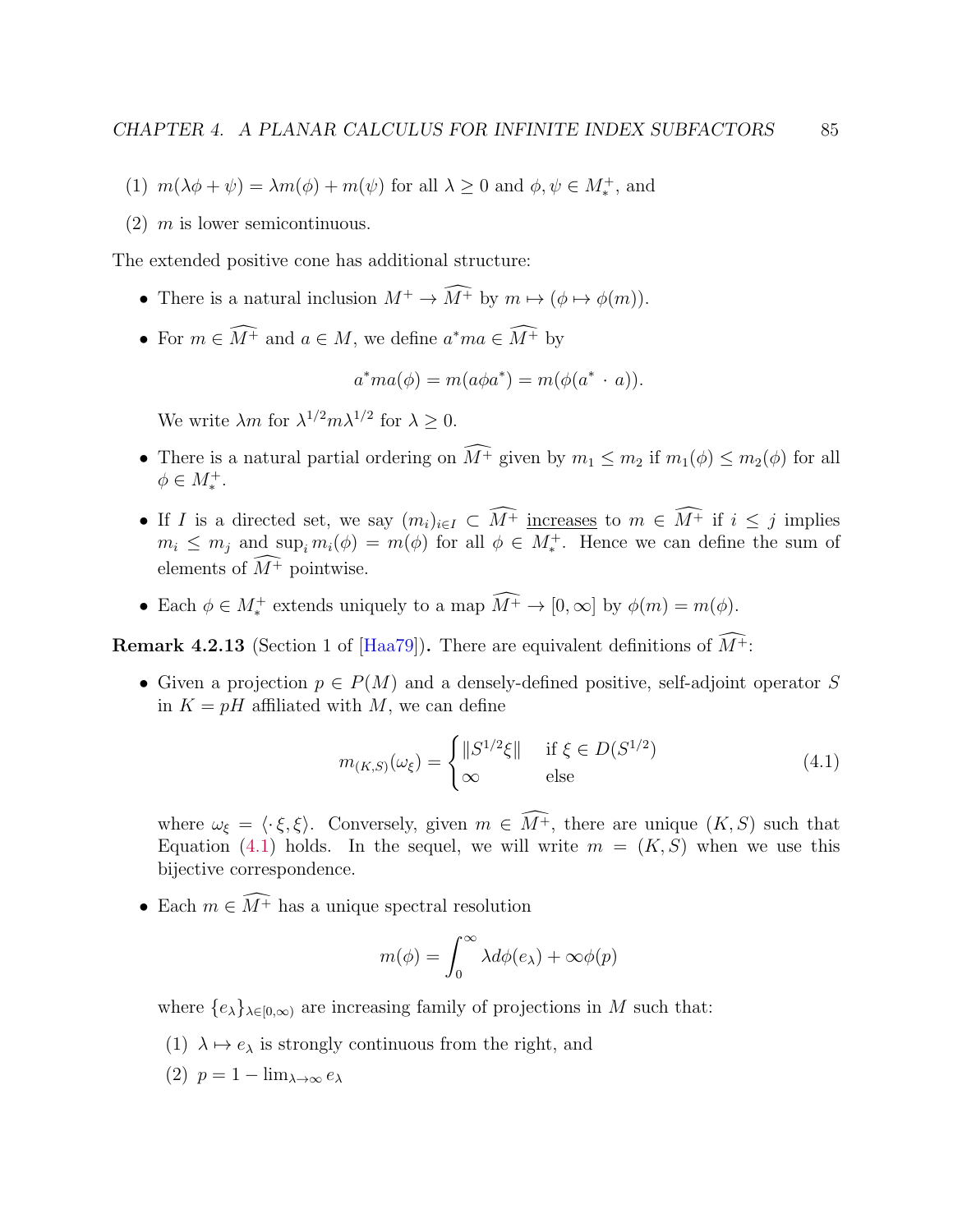- (1)  $m(\lambda \phi + \psi) = \lambda m(\phi) + m(\psi)$  for all  $\lambda \geq 0$  and  $\phi, \psi \in M_*^+$ , and
- $(2)$  m is lower semicontinuous.

The extended positive cone has additional structure:

- There is a natural inclusion  $M^+ \to \widehat{M^+}$  by  $m \mapsto (\phi \mapsto \phi(m)).$
- For  $m \in \widehat{M^+}$  and  $a \in M$ , we define  $a^*ma \in \widehat{M^+}$  by

$$
a^*ma(\phi) = m(a\phi a^*) = m(\phi(a^* \cdot a)).
$$

We write  $\lambda m$  for  $\lambda^{1/2} m \lambda^{1/2}$  for  $\lambda \geq 0$ .

- There is a natural partial ordering on  $\widehat{M^+}$  given by  $m_1 \leq m_2$  if  $m_1(\phi) \leq m_2(\phi)$  for all  $\phi \in M_*^+$ .
- If I is a directed set, we say  $(m_i)_{i\in I} \subset \widehat{M^+}$  increases to  $m \in \widehat{M^+}$  if  $i \leq j$  implies  $m_i \leq m_j$  and  $\sup_i m_i(\phi) = m(\phi)$  for all  $\phi \in M_*^+$ . Hence we can define the sum of elements of  $\widehat{M^+}$  pointwise.
- Each  $\phi \in M_*^+$  extends uniquely to a map  $M^+ \to [0, \infty]$  by  $\phi(m) = m(\phi)$ .

**Remark 4.2.13** (Section 1 of [\[Haa79\]](#page-140-7)). There are equivalent definitions of  $\widehat{M^+}$ :

• Given a projection  $p \in P(M)$  and a densely-defined positive, self-adjoint operator S in  $K = pH$  affiliated with M, we can define

<span id="page-89-0"></span>
$$
m_{(K,S)}(\omega_{\xi}) = \begin{cases} ||S^{1/2}\xi|| & \text{if } \xi \in D(S^{1/2})\\ \infty & \text{else} \end{cases}
$$
(4.1)

where  $\omega_{\xi} = \langle \cdot \xi, \xi \rangle$ . Conversely, given  $m \in \widehat{M^+}$ , there are unique  $(K, S)$  such that Equation [\(4.1\)](#page-89-0) holds. In the sequel, we will write  $m = (K, S)$  when we use this bijective correspondence.

• Each  $m \in \widehat{M^+}$  has a unique spectral resolution

$$
m(\phi) = \int_0^\infty \lambda d\phi(e_\lambda) + \infty \phi(p)
$$

where  $\{e_{\lambda}\}_{\lambda\in[0,\infty)}$  are increasing family of projections in M such that:

- (1)  $\lambda \mapsto e_{\lambda}$  is strongly continuous from the right, and
- (2)  $p = 1 \lim_{\lambda \to \infty} e_{\lambda}$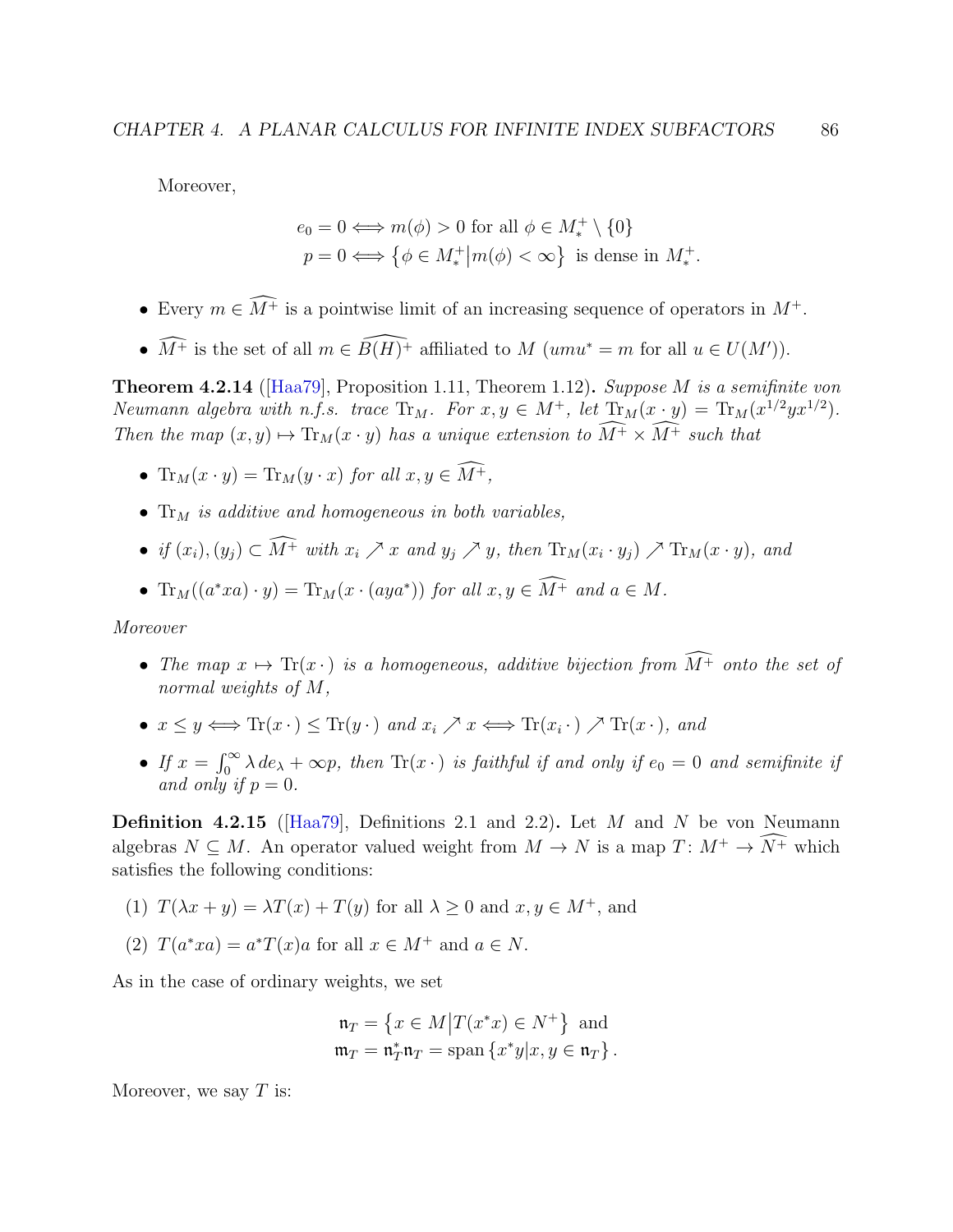Moreover,

$$
e_0 = 0 \Longleftrightarrow m(\phi) > 0 \text{ for all } \phi \in M_*^+ \setminus \{0\}
$$

$$
p = 0 \Longleftrightarrow \{\phi \in M_*^+ \big| m(\phi) < \infty\} \text{ is dense in } M_*^+
$$

.

- Every  $m \in \widehat{M^+}$  is a pointwise limit of an increasing sequence of operators in  $M^+$ .
- $\widehat{M^+}$  is the set of all  $m \in \widehat{B(H)^+}$  affiliated to  $M$  (umu<sup>\*</sup> = m for all  $u \in U(M')$ ).

<span id="page-90-0"></span>**Theorem 4.2.14** ( $\text{[Haa79]}$  $\text{[Haa79]}$  $\text{[Haa79]}$ , Proposition 1.11, Theorem 1.12). Suppose M is a semifinite von Neumann algebra with n.f.s. trace  $Tr_M$ . For  $x, y \in M^+$ , let  $Tr_M(x \cdot y) = Tr_M(x^{1/2}yx^{1/2})$ . Then the map  $(x, y) \mapsto \text{Tr}_M(x \cdot y)$  has a unique extension to  $\widehat{M^+} \times \widehat{M^+}$  such that

- $\text{Tr}_M(x \cdot y) = \text{Tr}_M(y \cdot x)$  for all  $x, y \in \widehat{M^+}$ ,
- $Tr_M$  is additive and homogeneous in both variables,
- if  $(x_i), (y_j) \subset M^+$  with  $x_i \nearrow x$  and  $y_j \nearrow y$ , then  $\text{Tr}_M(x_i \cdot y_j) \nearrow \text{Tr}_M(x \cdot y)$ , and
- $\text{Tr}_M((a^*xa)\cdot y) = \text{Tr}_M(x\cdot (aya^*))$  for all  $x, y \in M^+$  and  $a \in M$ .

Moreover

- The map  $x \mapsto \text{Tr}(x \cdot)$  is a homogeneous, additive bijection from  $\widehat{M^+}$  onto the set of normal weights of M,
- $x \leq y \Longleftrightarrow \text{Tr}(x \cdot) \leq \text{Tr}(y \cdot)$  and  $x_i \nearrow x \Longleftrightarrow \text{Tr}(x_i \cdot) \nearrow \text{Tr}(x \cdot)$ , and
- If  $x = \int_0^\infty \lambda \, de_\lambda + \infty p$ , then  $\text{Tr}(x \cdot)$  is faithful if and only if  $e_0 = 0$  and semifinite if and only if  $p = 0$ .

Definition 4.2.15 ([\[Haa79\]](#page-140-7), Definitions 2.1 and 2.2). Let  $M$  and  $N$  be von Neumann algebras  $N \subseteq M$ . An operator valued weight from  $M \to N$  is a map  $T: M^+ \to \widehat{N^+}$  which satisfies the following conditions:

- (1)  $T(\lambda x + y) = \lambda T(x) + T(y)$  for all  $\lambda > 0$  and  $x, y \in M^+$ , and
- (2)  $T(a^*xa) = a^*T(x)a$  for all  $x \in M^+$  and  $a \in N$ .

As in the case of ordinary weights, we set

$$
\mathfrak{n}_T = \left\{ x \in M \middle| T(x^*x) \in N^+ \right\} \text{ and}
$$
  

$$
\mathfrak{m}_T = \mathfrak{n}_T^* \mathfrak{n}_T = \text{span} \left\{ x^* y \middle| x, y \in \mathfrak{n}_T \right\}.
$$

Moreover, we say  $T$  is: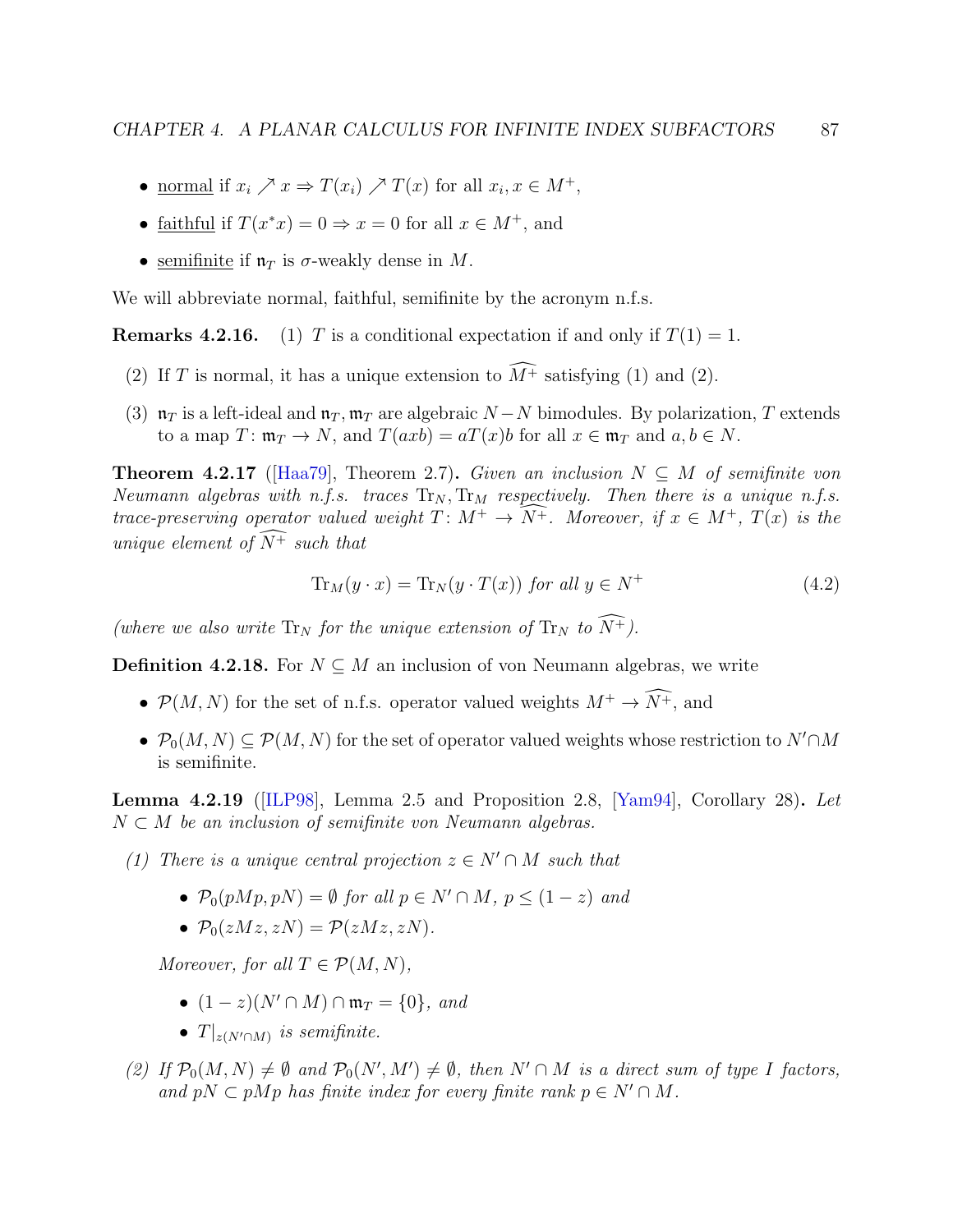- <u>normal</u> if  $x_i \nearrow x \Rightarrow T(x_i) \nearrow T(x)$  for all  $x_i, x \in M^+$ ,
- faithful if  $T(x^*x) = 0 \Rightarrow x = 0$  for all  $x \in M^+$ , and
- semifinite if  $\mathfrak{n}_T$  is  $\sigma$ -weakly dense in M.

We will abbreviate normal, faithful, semifinite by the acronym n.f.s.

**Remarks 4.2.16.** (1) T is a conditional expectation if and only if  $T(1) = 1$ .

- (2) If T is normal, it has a unique extension to  $\widehat{M}^+$  satisfying (1) and (2).
- (3)  $\mathfrak{n}_T$  is a left-ideal and  $\mathfrak{n}_T$ ,  $\mathfrak{m}_T$  are algebraic  $N N$  bimodules. By polarization, T extends to a map  $T: \mathfrak{m}_T \to N$ , and  $T(axb) = aT(x)b$  for all  $x \in \mathfrak{m}_T$  and  $a, b \in N$ .

<span id="page-91-1"></span>**Theorem 4.2.17** ([\[Haa79\]](#page-140-7), Theorem 2.7). Given an inclusion  $N \subseteq M$  of semifinite von Neumann algebras with n.f.s. traces  $\text{Tr}_{N}$ ,  $\text{Tr}_{M}$  respectively. Then there is a unique n.f.s. trace-preserving operator valued weight  $T: M^+ \to \widehat{N^+}$ . Moreover, if  $x \in M^+$ ,  $T(x)$  is the unique element of  $\widehat{N^+}$  such that

<span id="page-91-0"></span>
$$
\operatorname{Tr}_M(y \cdot x) = \operatorname{Tr}_N(y \cdot T(x)) \text{ for all } y \in N^+ \tag{4.2}
$$

(where we also write  $\text{Tr}_N$  for the unique extension of  $\text{Tr}_N$  to  $\widehat{N^+}$ ).

**Definition 4.2.18.** For  $N \subseteq M$  an inclusion of von Neumann algebras, we write

- $\mathcal{P}(M, N)$  for the set of n.f.s. operator valued weights  $M^+ \to \widehat{N^+}$ , and
- $\mathcal{P}_0(M, N) \subset \mathcal{P}(M, N)$  for the set of operator valued weights whose restriction to  $N' \cap M$ is semifinite.

<span id="page-91-2"></span>**Lemma 4.2.19** ([\[ILP98\]](#page-140-5), Lemma 2.5 and Proposition 2.8, [\[Yam94\]](#page-144-0), Corollary 28). Let  $N \subset M$  be an inclusion of semifinite von Neumann algebras.

- (1) There is a unique central projection  $z \in N' \cap M$  such that
	- $\mathcal{P}_0(pMp, pN) = \emptyset$  for all  $p \in N' \cap M$ ,  $p \leq (1-z)$  and
	- $P_0(zMz, zN) = P(zMz, zN)$ .

Moreover, for all  $T \in \mathcal{P}(M, N)$ ,

- $(1-z)(N' \cap M) \cap \mathfrak{m}_T = \{0\}, \text{ and}$
- $T|_{z(N' \cap M)}$  is semifinite.
- (2) If  $\mathcal{P}_0(M, N) \neq \emptyset$  and  $\mathcal{P}_0(N', M') \neq \emptyset$ , then  $N' \cap M$  is a direct sum of type I factors, and pN  $\subset pMp$  has finite index for every finite rank  $p \in N' \cap M$ .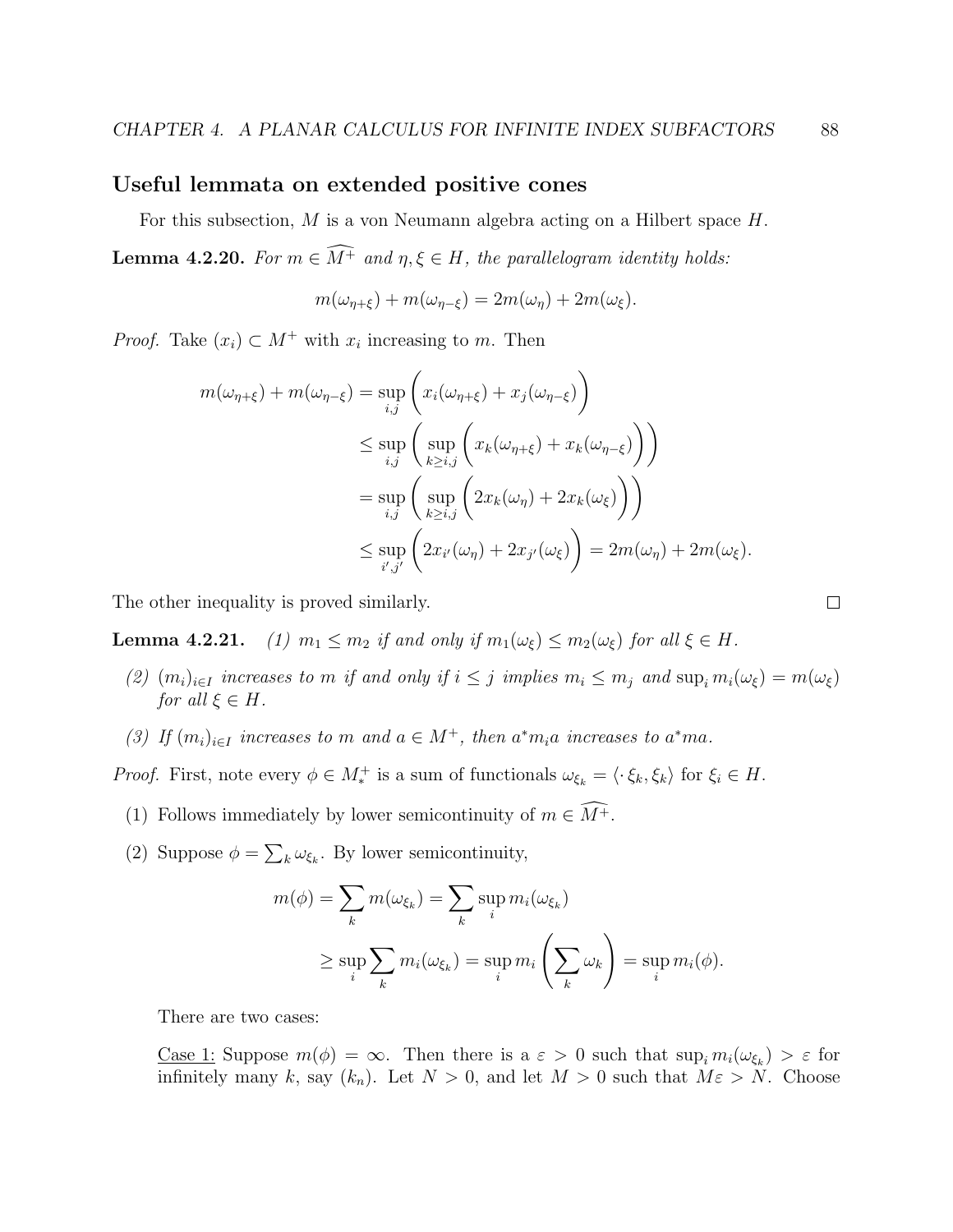#### <span id="page-92-0"></span>Useful lemmata on extended positive cones

For this subsection, M is a von Neumann algebra acting on a Hilbert space H.

<span id="page-92-1"></span>**Lemma 4.2.20.** For  $m \in \widehat{M^+}$  and  $\eta, \xi \in H$ , the parallelogram identity holds:

$$
m(\omega_{\eta+\xi})+m(\omega_{\eta-\xi})=2m(\omega_{\eta})+2m(\omega_{\xi}).
$$

*Proof.* Take  $(x_i) \subset M^+$  with  $x_i$  increasing to m. Then

$$
m(\omega_{\eta+\xi}) + m(\omega_{\eta-\xi}) = \sup_{i,j} \left( x_i(\omega_{\eta+\xi}) + x_j(\omega_{\eta-\xi}) \right)
$$
  
\n
$$
\leq \sup_{i,j} \left( \sup_{k \geq i,j} \left( x_k(\omega_{\eta+\xi}) + x_k(\omega_{\eta-\xi}) \right) \right)
$$
  
\n
$$
= \sup_{i,j} \left( \sup_{k \geq i,j} \left( 2x_k(\omega_{\eta}) + 2x_k(\omega_{\xi}) \right) \right)
$$
  
\n
$$
\leq \sup_{i',j'} \left( 2x_{i'}(\omega_{\eta}) + 2x_{j'}(\omega_{\xi}) \right) = 2m(\omega_{\eta}) + 2m(\omega_{\xi}).
$$

The other inequality is proved similarly.

**Lemma 4.2.21.** (1)  $m_1 \leq m_2$  if and only if  $m_1(\omega_{\xi}) \leq m_2(\omega_{\xi})$  for all  $\xi \in H$ .

- (2)  $(m_i)_{i\in I}$  increases to m if and only if  $i \leq j$  implies  $m_i \leq m_j$  and  $\sup_i m_i(\omega_{\xi}) = m(\omega_{\xi})$ for all  $\xi \in H$ .
- (3) If  $(m_i)_{i \in I}$  increases to m and  $a \in M^+$ , then  $a^* m_i a$  increases to  $a^* m a$ .

*Proof.* First, note every  $\phi \in M_*^+$  is a sum of functionals  $\omega_{\xi_k} = \langle \cdot \xi_k, \xi_k \rangle$  for  $\xi_i \in H$ .

- (1) Follows immediately by lower semicontinuity of  $m \in \widehat{M^+}$ .
- (2) Suppose  $\phi = \sum_{k} \omega_{\xi_k}$ . By lower semicontinuity,

$$
m(\phi) = \sum_{k} m(\omega_{\xi_k}) = \sum_{k} \sup_{i} m_i(\omega_{\xi_k})
$$
  
 
$$
\geq \sup_{i} \sum_{k} m_i(\omega_{\xi_k}) = \sup_{i} m_i \left(\sum_{k} \omega_k\right) = \sup_{i} m_i(\phi).
$$

There are two cases:

<u>Case 1</u>: Suppose  $m(\phi) = \infty$ . Then there is a  $\varepsilon > 0$  such that  $\sup_i m_i(\omega_{\xi_k}) > \varepsilon$  for infinitely many k, say  $(k_n)$ . Let  $N > 0$ , and let  $M > 0$  such that  $M\varepsilon > N$ . Choose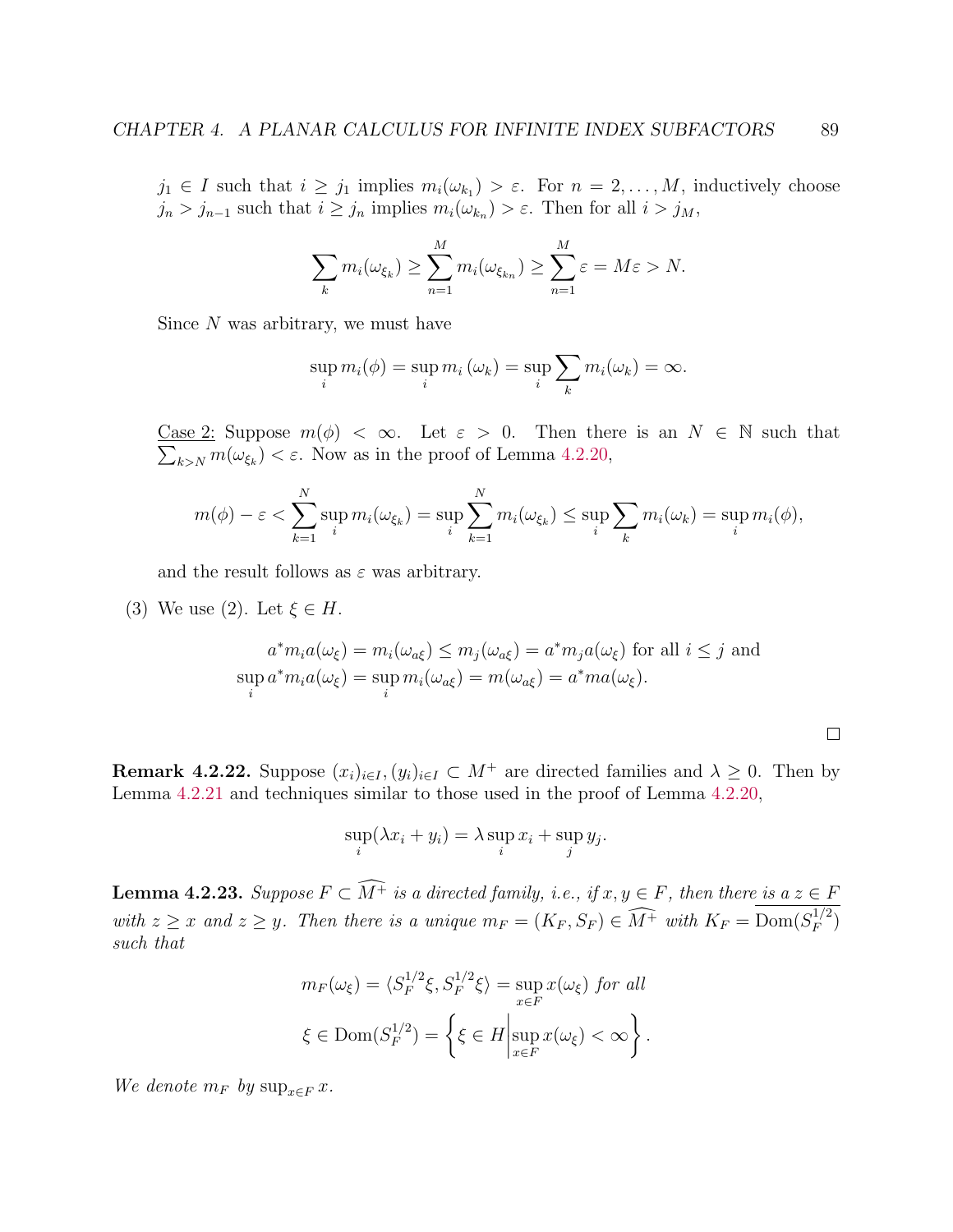$j_1 \in I$  such that  $i \geq j_1$  implies  $m_i(\omega_{k_1}) > \varepsilon$ . For  $n = 2, ..., M$ , inductively choose  $j_n > j_{n-1}$  such that  $i \ge j_n$  implies  $m_i(\omega_{k_n}) > \varepsilon$ . Then for all  $i > j_M$ ,

$$
\sum_{k} m_i(\omega_{\xi_k}) \ge \sum_{n=1}^{M} m_i(\omega_{\xi_{k_n}}) \ge \sum_{n=1}^{M} \varepsilon = M\varepsilon > N.
$$

Since  $N$  was arbitrary, we must have

$$
\sup_i m_i(\phi) = \sup_i m_i (\omega_k) = \sup_i \sum_k m_i (\omega_k) = \infty.
$$

Case 2: Suppose  $m(\phi) < \infty$ . Let  $\varepsilon > 0$ . Then there is an  $N \in \mathbb{N}$  such that  $\sum_{k>N} m(\omega_{\xi_k}) < \varepsilon$ . Now as in the proof of Lemma [4.2.20,](#page-92-1)

$$
m(\phi) - \varepsilon < \sum_{k=1}^N \sup_i m_i(\omega_{\xi_k}) = \sup_i \sum_{k=1}^N m_i(\omega_{\xi_k}) \le \sup_i \sum_k m_i(\omega_k) = \sup_i m_i(\phi),
$$

and the result follows as  $\varepsilon$  was arbitrary.

(3) We use (2). Let  $\xi \in H$ .

$$
a^* m_i a(\omega_{\xi}) = m_i(\omega_{a\xi}) \le m_j(\omega_{a\xi}) = a^* m_j a(\omega_{\xi}) \text{ for all } i \le j \text{ and}
$$
  
\n
$$
\sup_i a^* m_i a(\omega_{\xi}) = \sup_i m_i(\omega_{a\xi}) = m(\omega_{a\xi}) = a^* m a(\omega_{\xi}).
$$

| ۰ |  |
|---|--|
|   |  |
|   |  |
|   |  |
|   |  |
|   |  |
|   |  |
|   |  |
|   |  |

Remark 4.2.22. Suppose  $(x_i)_{i\in I}$ ,  $(y_i)_{i\in I} \subset M^+$  are directed families and  $\lambda \geq 0$ . Then by Lemma [4.2.21](#page-0-0) and techniques similar to those used in the proof of Lemma [4.2.20,](#page-92-1)

$$
\sup_i(\lambda x_i + y_i) = \lambda \sup_i x_i + \sup_j y_j.
$$

**Lemma 4.2.23.** Suppose  $F \subset \widehat{M^+}$  is a directed family, i.e., if  $x, y \in F$ , then there is a  $z \in F$ with  $z \geq x$  and  $z \geq y$ . Then there is a unique  $m_F = (K_F, S_F) \in \widehat{M^+}$  with  $K_F = \text{Dom}(S_F^{1/2})$  $\binom{1/2}{F}$ such that

$$
m_F(\omega_{\xi}) = \langle S_F^{1/2}\xi, S_F^{1/2}\xi \rangle = \sup_{x \in F} x(\omega_{\xi}) \text{ for all}
$$
  

$$
\xi \in \text{Dom}(S_F^{1/2}) = \left\{ \xi \in H \middle| \sup_{x \in F} x(\omega_{\xi}) < \infty \right\}.
$$

We denote  $m_F$  by  $\sup_{x \in F} x$ .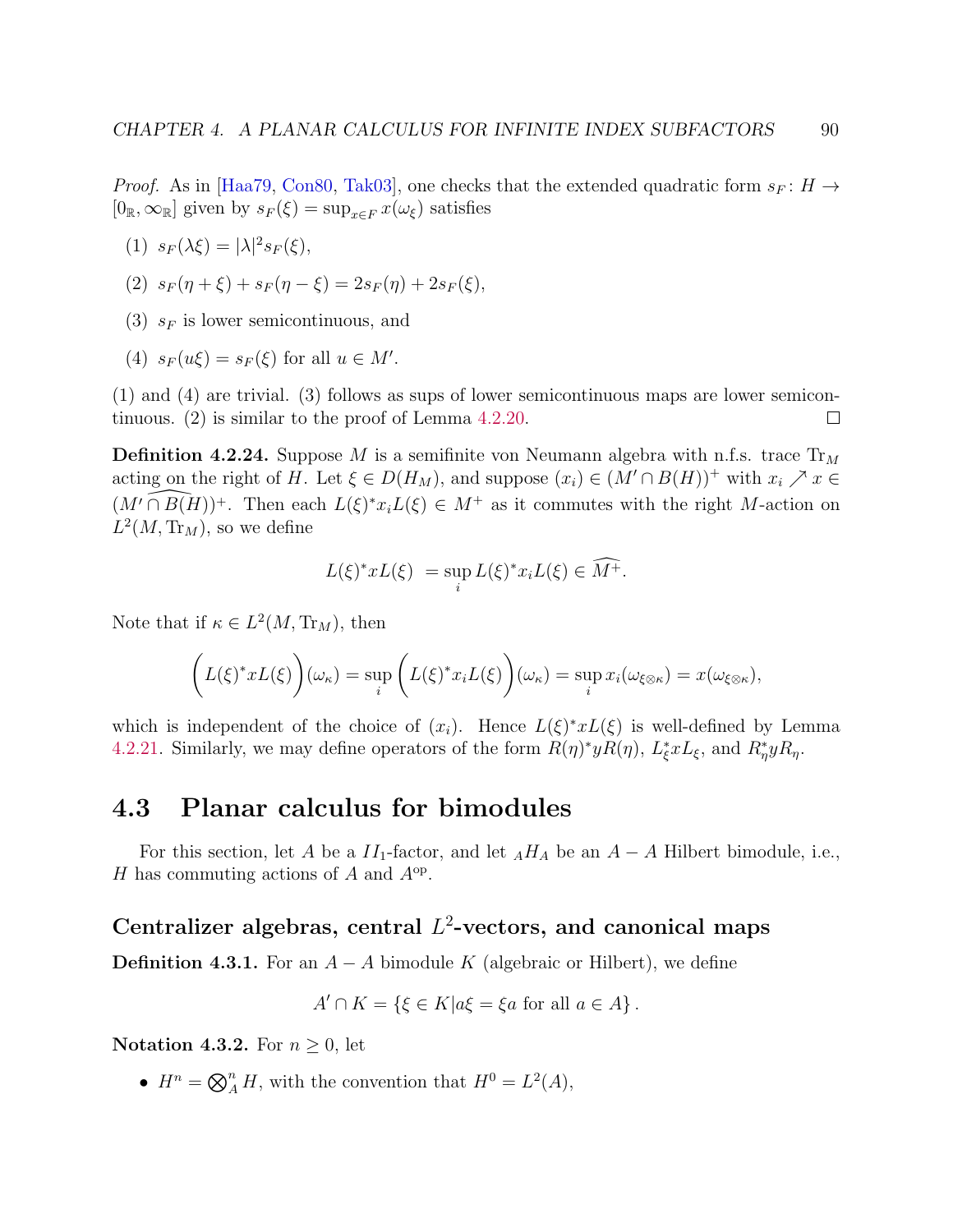*Proof.* As in [\[Haa79,](#page-140-7) [Con80,](#page-139-3) [Tak03\]](#page-143-7), one checks that the extended quadratic form  $s_F : H \to$  $[0_{\mathbb{R}}, \infty_{\mathbb{R}}]$  given by  $s_F(\xi) = \sup_{x \in F} x(\omega_{\xi})$  satisfies

$$
(1) s_F(\lambda \xi) = |\lambda|^2 s_F(\xi),
$$

(2) 
$$
s_F(\eta + \xi) + s_F(\eta - \xi) = 2s_F(\eta) + 2s_F(\xi),
$$

- (3)  $s_F$  is lower semicontinuous, and
- (4)  $s_F(u\xi) = s_F(\xi)$  for all  $u \in M'$ .

(1) and (4) are trivial. (3) follows as sups of lower semicontinuous maps are lower semicontinuous. (2) is similar to the proof of Lemma [4.2.20.](#page-92-1)  $\Box$ 

**Definition 4.2.24.** Suppose M is a semifinite von Neumann algebra with n.f.s. trace  $Tr_M$ acting on the right of H. Let  $\xi \in D(H_M)$ , and suppose  $(x_i) \in (M' \cap B(H))^+$  with  $x_i \nearrow x \in$  $(M' \cap B(H))$ <sup>+</sup>. Then each  $L(\xi)^* x_i L(\xi) \in M^+$  as it commutes with the right M-action on  $L^2(M, \text{Tr}_M)$ , so we define

$$
L(\xi)^* x L(\xi) = \sup_i L(\xi)^* x_i L(\xi) \in \widehat{M^+}.
$$

Note that if  $\kappa \in L^2(M, \text{Tr}_M)$ , then

$$
\left(L(\xi)^* x L(\xi)\right)(\omega_{\kappa}) = \sup_{i} \left(L(\xi)^* x_i L(\xi)\right)(\omega_{\kappa}) = \sup_{i} x_i(\omega_{\xi \otimes \kappa}) = x(\omega_{\xi \otimes \kappa}),
$$

which is independent of the choice of  $(x_i)$ . Hence  $L(\xi)^* x L(\xi)$  is well-defined by Lemma [4.2.21.](#page-0-0) Similarly, we may define operators of the form  $R(\eta)^* y R(\eta)$ ,  $L_{\xi}^* x L_{\xi}$ , and  $R_{\eta}^* y R_{\eta}$ .

# 4.3 Planar calculus for bimodules

For this section, let A be a  $II_1$ -factor, and let  $_AH_A$  be an  $A - A$  Hilbert bimodule, i.e., H has commuting actions of A and  $A^{\rm op}$ .

# <span id="page-94-0"></span>Centralizer algebras, central  $L^2$ -vectors, and canonical maps

**Definition 4.3.1.** For an  $A - A$  bimodule K (algebraic or Hilbert), we define

$$
A' \cap K = \{ \xi \in K | a\xi = \xi a \text{ for all } a \in A \}.
$$

Notation 4.3.2. For  $n \geq 0$ , let

•  $H^n = \bigotimes_A^n H$ , with the convention that  $H^0 = L^2(A)$ ,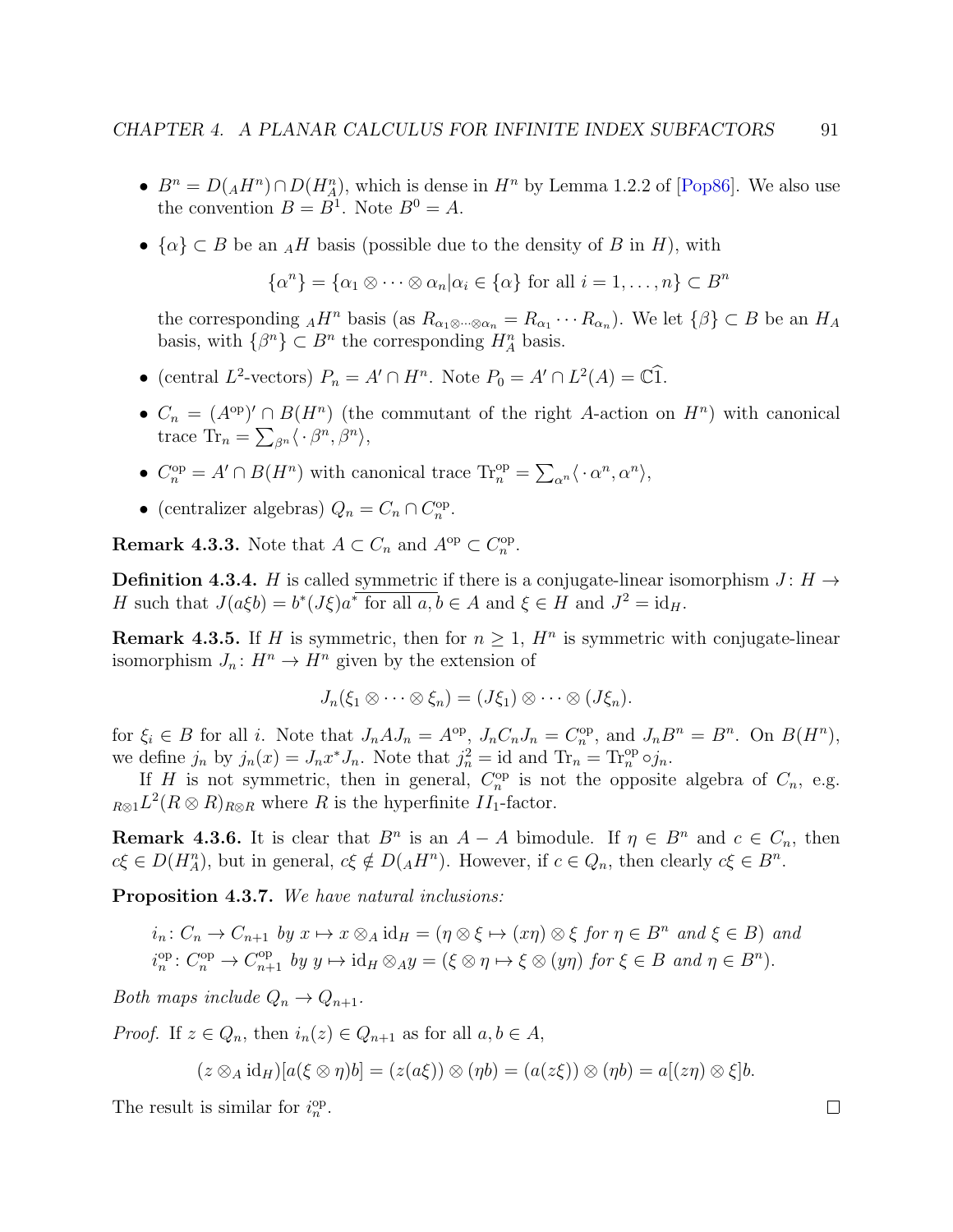- $B^n = D(AH^n) \cap D(H_A^n)$ , which is dense in  $H^n$  by Lemma 1.2.2 of [\[Pop86\]](#page-143-8). We also use the convention  $B = B^1$ . Note  $B^0 = A$ .
- $\{\alpha\} \subset B$  be an  $_AH$  basis (possible due to the density of B in H), with

$$
\{\alpha^n\} = \{\alpha_1 \otimes \cdots \otimes \alpha_n | \alpha_i \in \{\alpha\} \text{ for all } i = 1, \ldots, n\} \subset B^n
$$

the corresponding  $_AH^n$  basis (as  $R_{\alpha_1\otimes\cdots\otimes\alpha_n} = R_{\alpha_1}\cdots R_{\alpha_n}$ ). We let  $\{\beta\}\subset B$  be an  $H_A$ basis, with  $\{\beta^n\} \subset B^n$  the corresponding  $H_A^n$  basis.

- (central L<sup>2</sup>-vectors)  $P_n = A' \cap H^n$ . Note  $P_0 = A' \cap L^2(A) = \mathbb{C} \widehat{1}$ .
- $C_n = (A^{\rm op})' \cap B(H^n)$  (the commutant of the right A-action on  $H^n$ ) with canonical trace  $\text{Tr}_n = \sum_{\beta^n} \langle \cdot \beta^n, \beta^n \rangle$ ,
- $C_n^{\text{op}} = A' \cap B(H^n)$  with canonical trace  $\text{Tr}_n^{\text{op}} = \sum_{\alpha^n} \langle \cdot \alpha^n, \alpha^n \rangle$ ,
- (centralizer algebras)  $Q_n = C_n \cap C_n^{\text{op}}$ .

**Remark 4.3.3.** Note that  $A \subset C_n$  and  $A^{\text{op}} \subset C_n^{\text{op}}$ .

**Definition 4.3.4.** H is called symmetric if there is a conjugate-linear isomorphism  $J: H \rightarrow$ H such that  $J(a\xi b) = b^*(J\xi)a^*$  for all  $a, b \in A$  and  $\xi \in H$  and  $J^2 = id_H$ .

**Remark 4.3.5.** If H is symmetric, then for  $n \geq 1$ ,  $H^n$  is symmetric with conjugate-linear isomorphism  $J_n: H^n \to H^n$  given by the extension of

$$
J_n(\xi_1\otimes\cdots\otimes\xi_n)=(J\xi_1)\otimes\cdots\otimes(J\xi_n).
$$

for  $\xi_i \in B$  for all i. Note that  $J_n A J_n = A^{\rm op}$ ,  $J_n C_n J_n = C_n^{\rm op}$ , and  $J_n B^n = B^n$ . On  $B(H^n)$ , we define  $j_n$  by  $j_n(x) = J_n x^* J_n$ . Note that  $j_n^2 = id$  and  $Tr_n = Tr_n^{\text{op}} \circ j_n$ .

If H is not symmetric, then in general,  $C_n^{\rm op}$  is not the opposite algebra of  $C_n$ , e.g.  $R \otimes 1^2 (R \otimes R)_{R \otimes R}$  where R is the hyperfinite  $II_1$ -factor.

**Remark 4.3.6.** It is clear that  $B^n$  is an  $A - A$  bimodule. If  $\eta \in B^n$  and  $c \in C_n$ , then  $c\xi \in D(H_A^n)$ , but in general,  $c\xi \notin D(AH^n)$ . However, if  $c \in Q_n$ , then clearly  $c\xi \in B^n$ .

<span id="page-95-0"></span>Proposition 4.3.7. We have natural inclusions:

 $i_n: C_n \to C_{n+1}$  by  $x \mapsto x \otimes_A id_H = (\eta \otimes \xi \mapsto (x\eta) \otimes \xi$  for  $\eta \in B^n$  and  $\xi \in B)$  and  $i_n^{\text{op}}: C_n^{\text{op}} \to C_{n+1}^{\text{op}}$  by  $y \mapsto \text{id}_H \otimes_A y = (\xi \otimes \eta \mapsto \xi \otimes (y\eta))$  for  $\xi \in B$  and  $\eta \in B^n$ ).

Both maps include  $Q_n \to Q_{n+1}$ .

*Proof.* If  $z \in Q_n$ , then  $i_n(z) \in Q_{n+1}$  as for all  $a, b \in A$ ,

$$
(z \otimes_A id_H)[a(\xi \otimes \eta)b] = (z(a\xi)) \otimes (\eta b) = (a(z\xi)) \otimes (\eta b) = a[(z\eta) \otimes \xi]b.
$$

The result is similar for  $i_n^{\text{op}}$ .

$$
^{11}
$$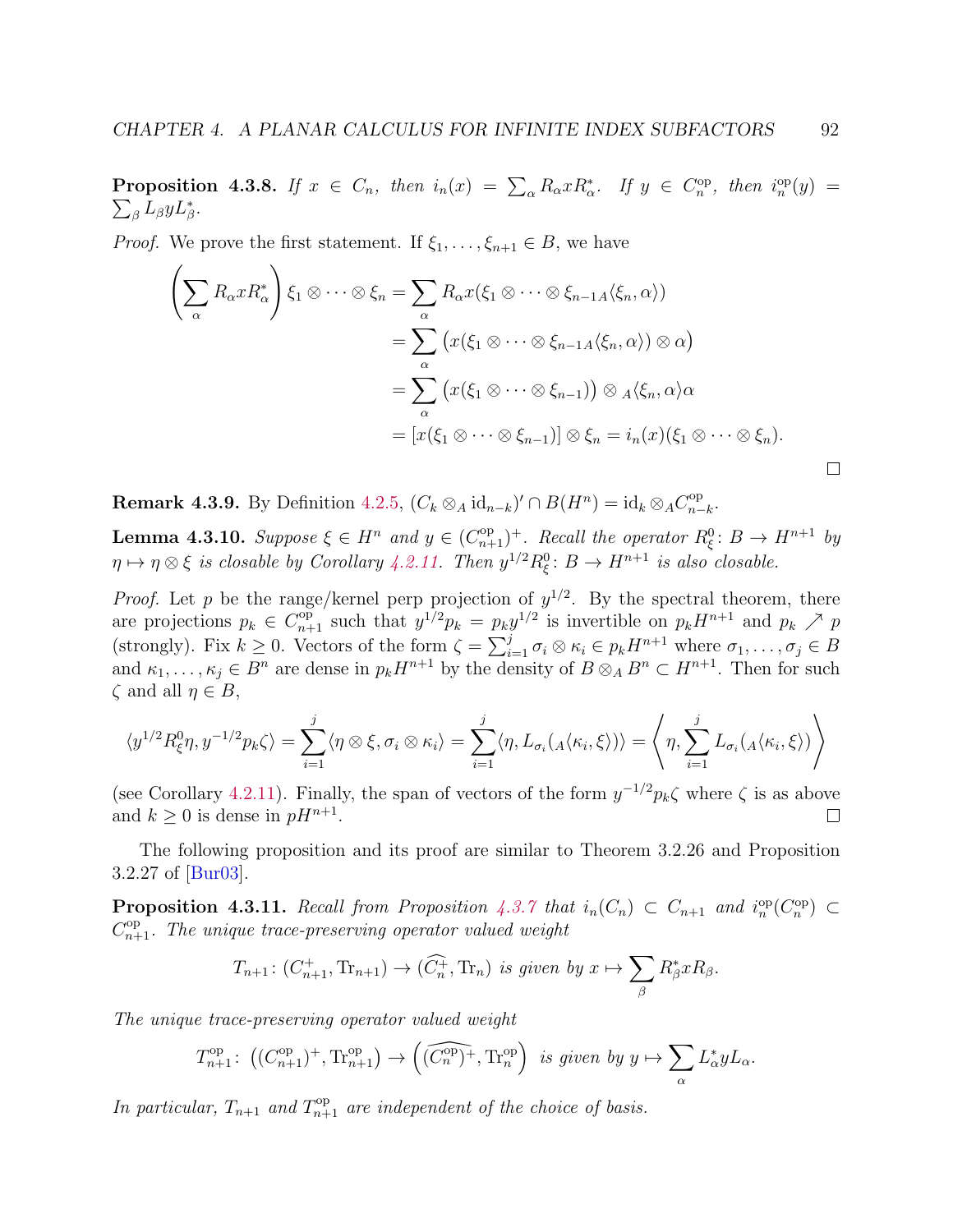**Proposition 4.3.8.** If  $x \in C_n$ , then  $i_n(x) = \sum_{\alpha} R_{\alpha} x R_{\alpha}^*$ . If  $y \in C_n^{\text{op}}$ , then  $i_n^{\text{op}}(y) =$  $\sum_{\beta} L_{\beta} y L_{\beta}^*$ .

*Proof.* We prove the first statement. If  $\xi_1, \ldots, \xi_{n+1} \in B$ , we have

$$
\left(\sum_{\alpha} R_{\alpha} x R_{\alpha}^{*}\right) \xi_{1} \otimes \cdots \otimes \xi_{n} = \sum_{\alpha} R_{\alpha} x (\xi_{1} \otimes \cdots \otimes \xi_{n-1} A \langle \xi_{n}, \alpha \rangle)
$$
  

$$
= \sum_{\alpha} \left(x (\xi_{1} \otimes \cdots \otimes \xi_{n-1} A \langle \xi_{n}, \alpha \rangle) \otimes \alpha\right)
$$
  

$$
= \sum_{\alpha} \left(x (\xi_{1} \otimes \cdots \otimes \xi_{n-1})\right) \otimes A \langle \xi_{n}, \alpha \rangle \alpha
$$
  

$$
= \left[x (\xi_{1} \otimes \cdots \otimes \xi_{n-1})\right] \otimes \xi_{n} = i_{n}(x) (\xi_{1} \otimes \cdots \otimes \xi_{n}).
$$

**Remark 4.3.9.** By Definition [4.2.5,](#page-87-1)  $(C_k \otimes_A id_{n-k})' \cap B(H^n) = id_k \otimes_A C_{n-k}^{op}$  $_{n-k}^{\infty}$ .

<span id="page-96-0"></span>**Lemma 4.3.10.** Suppose  $\xi \in H^n$  and  $y \in (C_{n+1}^{\text{op}})^+$ . Recall the operator  $R_{\xi}^0: B \to H^{n+1}$  by  $\eta \mapsto \eta \otimes \xi$  is closable by Corollary [4.2.11.](#page-88-1) Then  $y^{1/2}R_{\xi}^0$ :  $B \to H^{n+1}$  is also closable.

*Proof.* Let p be the range/kernel perp projection of  $y^{1/2}$ . By the spectral theorem, there are projections  $p_k \in C_{n+1}^{\text{op}}$  such that  $y^{1/2}p_k = p_k y^{1/2}$  is invertible on  $p_k H^{n+1}$  and  $p_k \nearrow p$ (strongly). Fix  $k \geq 0$ . Vectors of the form  $\zeta = \sum_{i=1}^{j} \sigma_i \otimes \kappa_i \in p_k H^{n+1}$  where  $\sigma_1, \ldots, \sigma_j \in B$ and  $\kappa_1, \ldots, \kappa_j \in B^n$  are dense in  $p_k H^{n+1}$  by the density of  $B \otimes_A B^n \subset H^{n+1}$ . Then for such  $\zeta$  and all  $\eta \in B$ ,

$$
\langle y^{1/2} R_{\xi}^{0} \eta, y^{-1/2} p_{k} \zeta \rangle = \sum_{i=1}^{j} \langle \eta \otimes \xi, \sigma_{i} \otimes \kappa_{i} \rangle = \sum_{i=1}^{j} \langle \eta, L_{\sigma_{i}}(A \langle \kappa_{i}, \xi \rangle) \rangle = \left\langle \eta, \sum_{i=1}^{j} L_{\sigma_{i}}(A \langle \kappa_{i}, \xi \rangle) \right\rangle
$$

(see Corollary [4.2.11\)](#page-88-1). Finally, the span of vectors of the form  $y^{-1/2}p_k\zeta$  where  $\zeta$  is as above and  $k \geq 0$  is dense in  $pH^{n+1}$ .  $\Box$ 

The following proposition and its proof are similar to Theorem 3.2.26 and Proposition 3.2.27 of [\[Bur03\]](#page-139-0).

<span id="page-96-1"></span>**Proposition 4.3.11.** Recall from Proposition [4.3.7](#page-95-0) that  $i_n(C_n) \subset C_{n+1}$  and  $i_n^{\rm op}(C_n^{\rm op}) \subset$  $C_{n+1}^{\text{op}}$ . The unique trace-preserving operator valued weight

$$
T_{n+1} : (C_{n+1}^+, \text{Tr}_{n+1}) \to (\widehat{C_n^+}, \text{Tr}_n) \text{ is given by } x \mapsto \sum_{\beta} R_{\beta}^* x R_{\beta}.
$$

The unique trace-preserving operator valued weight

$$
T_{n+1}^{\mathrm{op}}\colon \left( (C_{n+1}^{\mathrm{op}})^{+}, \mathrm{Tr}_{n+1}^{\mathrm{op}} \right) \to \left( \widehat{(C_{n}^{\mathrm{op}})^{+}}, \mathrm{Tr}_{n}^{\mathrm{op}} \right) \text{ is given by } y \mapsto \sum_{\alpha} L_{\alpha}^{*} y L_{\alpha}.
$$

In particular,  $T_{n+1}$  and  $T_{n+1}^{\text{op}}$  are independent of the choice of basis.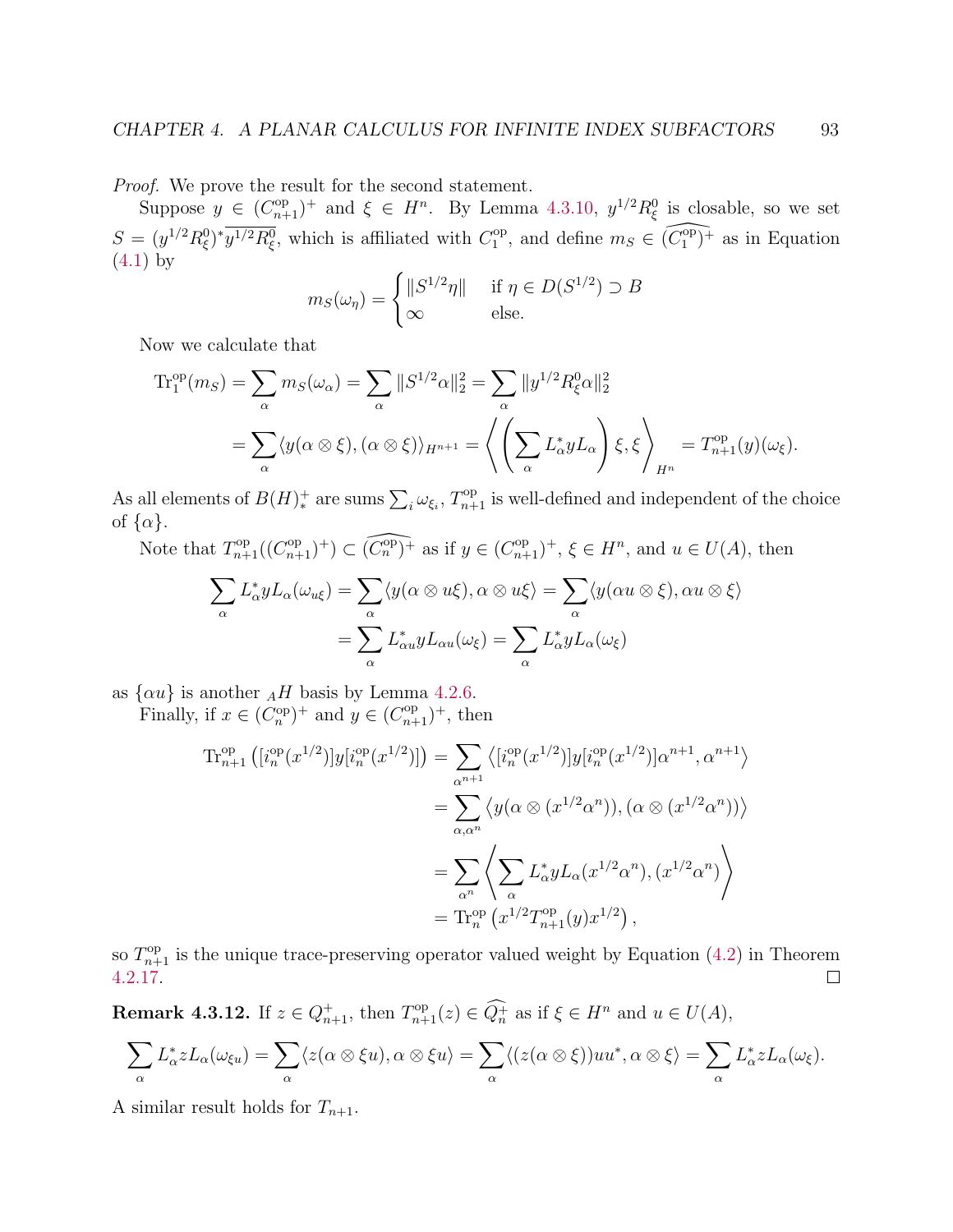Proof. We prove the result for the second statement.

Suppose  $y \in (C_{n+1}^{\text{op}})^+$  and  $\xi \in H^n$ . By Lemma [4.3.10,](#page-96-0)  $y^{1/2} R_{\xi}^0$  is closable, so we set  $S = (y^{1/2}R_{\xi}^0)^* \overline{y^{1/2}R_{\xi}^0}$ , which is affiliated with  $C_1^{\text{op}}$  $\widehat{\mathcal{C}}_1^{\text{op}},$  and define  $m_S \in \widehat{(\mathcal{C}_1^{\text{op}})^+}$  $_1^{\text{op}}$  + as in Equation [\(4.1\)](#page-89-0) by

$$
m_S(\omega_\eta) = \begin{cases} ||S^{1/2}\eta|| & \text{if } \eta \in D(S^{1/2}) \supset B \\ \infty & \text{else.} \end{cases}
$$

Now we calculate that

$$
\begin{split} \text{Tr}_{1}^{\text{op}}(m_{S}) &= \sum_{\alpha} m_{S}(\omega_{\alpha}) = \sum_{\alpha} \|S^{1/2}\alpha\|_{2}^{2} = \sum_{\alpha} \|y^{1/2}R_{\xi}^{0}\alpha\|_{2}^{2} \\ &= \sum_{\alpha} \langle y(\alpha \otimes \xi), (\alpha \otimes \xi) \rangle_{H^{n+1}} = \left\langle \left(\sum_{\alpha} L_{\alpha}^{*} y L_{\alpha}\right) \xi, \xi \right\rangle_{H^{n}} = T_{n+1}^{\text{op}}(y)(\omega_{\xi}). \end{split}
$$

As all elements of  $B(H)^+_*$  are sums  $\sum_i \omega_{\xi_i}$ ,  $T_{n+1}^{\text{op}}$  is well-defined and independent of the choice of  $\{\alpha\}.$ 

Note that  $T_{n+1}^{\text{op}}((C_{n+1}^{\text{op}})^+) \subset (\widehat{C_n^{\text{op}}})^+$  as if  $y \in (C_{n+1}^{\text{op}})^+$ ,  $\xi \in H^n$ , and  $u \in U(A)$ , then

$$
\sum_{\alpha} L_{\alpha}^* y L_{\alpha}(\omega_{u\xi}) = \sum_{\alpha} \langle y(\alpha \otimes u\xi), \alpha \otimes u\xi \rangle = \sum_{\alpha} \langle y(\alpha u \otimes \xi), \alpha u \otimes \xi \rangle
$$

$$
= \sum_{\alpha} L_{\alpha u}^* y L_{\alpha u}(\omega_{\xi}) = \sum_{\alpha} L_{\alpha}^* y L_{\alpha}(\omega_{\xi})
$$

as  $\{\alpha u\}$  is another  $_AH$  basis by Lemma [4.2.6.](#page-87-2)

Finally, if  $x \in (C_n^{\text{op}})^+$  and  $y \in (C_{n+1}^{\text{op}})^+$ , then

$$
\begin{split} \operatorname{Tr}_{n+1}^{\mathrm{op}} \left( [i_{n}^{\mathrm{op}}(x^{1/2})] y [i_{n}^{\mathrm{op}}(x^{1/2})] \right) &= \sum_{\alpha^{n+1}} \left\langle [i_{n}^{\mathrm{op}}(x^{1/2})] y [i_{n}^{\mathrm{op}}(x^{1/2})] \alpha^{n+1}, \alpha^{n+1} \right\rangle \\ &= \sum_{\alpha, \alpha^{n}} \left\langle y (\alpha \otimes (x^{1/2} \alpha^{n})) , (\alpha \otimes (x^{1/2} \alpha^{n})) \right\rangle \\ &= \sum_{\alpha^{n}} \left\langle \sum_{\alpha} L_{\alpha}^{*} y L_{\alpha}(x^{1/2} \alpha^{n}) , (x^{1/2} \alpha^{n}) \right\rangle \\ &= \operatorname{Tr}_{n}^{\mathrm{op}} \left( x^{1/2} T_{n+1}^{\mathrm{op}}(y) x^{1/2} \right) , \end{split}
$$

so  $T_{n+1}^{\text{op}}$  is the unique trace-preserving operator valued weight by Equation [\(4.2\)](#page-91-0) in Theorem [4.2.17.](#page-91-1)  $\Box$ 

<span id="page-97-0"></span>**Remark 4.3.12.** If  $z \in Q_{n+1}^+$ , then  $T_{n+1}^{\text{op}}(z) \in \widehat{Q_n^+}$  as if  $\xi \in H^n$  and  $u \in U(A)$ ,

$$
\sum_{\alpha} L_{\alpha}^* z L_{\alpha}(\omega_{\xi u}) = \sum_{\alpha} \langle z(\alpha \otimes \xi u), \alpha \otimes \xi u \rangle = \sum_{\alpha} \langle (z(\alpha \otimes \xi))uu^*, \alpha \otimes \xi \rangle = \sum_{\alpha} L_{\alpha}^* z L_{\alpha}(\omega_{\xi}).
$$

A similar result holds for  $T_{n+1}$ .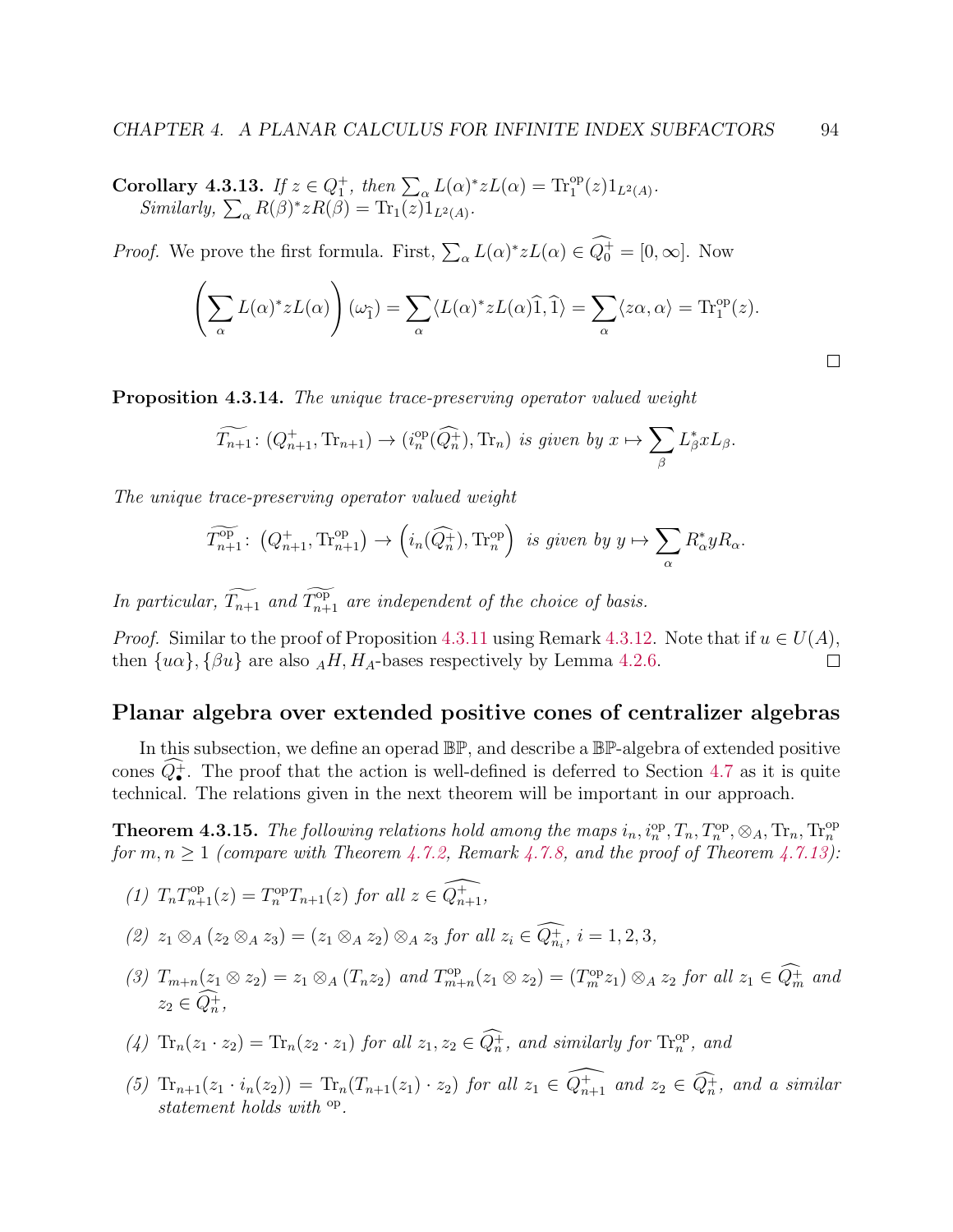Corollary 4.3.13. If  $z \in Q_1^+$ , then  $\sum_{\alpha} L(\alpha)^* z L(\alpha) = \text{Tr}_1^{\text{op}}(z) 1_{L^2(A)}$ . Similarly,  $\sum_{\alpha} R(\beta)^* z R(\beta) = \text{Tr}_1(z) 1_{L^2(A)}$ .

*Proof.* We prove the first formula. First,  $\sum_{\alpha} L(\alpha)^* z L(\alpha) \in Q_0^+ = [0, \infty]$ . Now

$$
\left(\sum_{\alpha} L(\alpha)^* z L(\alpha)\right) (\omega_{\widehat{1}}) = \sum_{\alpha} \langle L(\alpha)^* z L(\alpha) \widehat{1}, \widehat{1} \rangle = \sum_{\alpha} \langle z \alpha, \alpha \rangle = \text{Tr}_{1}^{\text{op}}(z).
$$

<span id="page-98-2"></span>Proposition 4.3.14. The unique trace-preserving operator valued weight

$$
\widetilde{T_{n+1}}\colon (Q_{n+1}^+, \mathrm{Tr}_{n+1}) \to (i_n^{\mathrm{op}}(\widehat{Q_n^+}), \mathrm{Tr}_n) \text{ is given by } x \mapsto \sum_{\beta} L_{\beta}^* x L_{\beta}.
$$

The unique trace-preserving operator valued weight

$$
\widetilde{T_{n+1}^{\text{op}}} \colon \left(Q_{n+1}^+, \mathrm{Tr}_{n+1}^{\text{op}}\right) \to \left(i_n(\widehat{Q_n^+}), \mathrm{Tr}_n^{\text{op}}\right) \text{ is given by } y \mapsto \sum_{\alpha} R_{\alpha}^* y R_{\alpha}.
$$

In particular,  $\widetilde{T_{n+1}}$  and  $\widetilde{T_{n+1}}$  are independent of the choice of basis.

*Proof.* Similar to the proof of Proposition [4.3.11](#page-96-1) using Remark [4.3.12.](#page-97-0) Note that if  $u \in U(A)$ , then  $\{u\alpha\}, \{\beta u\}$  are also  $_A H, H_A$ -bases respectively by Lemma [4.2.6.](#page-87-2)  $\Box$ 

# <span id="page-98-0"></span>Planar algebra over extended positive cones of centralizer algebras

In this subsection, we define an operad BP, and describe a BP-algebra of extended positive cones  $Q_{\bullet}^{+}$ . The proof that the action is well-defined is deferred to Section [4.7](#page-128-0) as it is quite technical. The relations given in the next theorem will be important in our approach.

<span id="page-98-1"></span>**Theorem 4.3.15.** The following relations hold among the maps  $i_n, i_n^{\text{op}}, T_n, T_n^{\text{op}}, \otimes_A, \text{Tr}_n, \text{Tr}_n^{\text{op}}$ for  $m, n \geq 1$  (compare with Theorem [4.7.2,](#page-129-0) Remark [4.7.8,](#page-132-0) and the proof of Theorem [4.7.13\)](#page-135-1):

(1) 
$$
T_n T_{n+1}^{\text{op}}(z) = T_n^{\text{op}} T_{n+1}(z)
$$
 for all  $z \in \widehat{Q_{n+1}}$ ,

$$
(2) \; z_1 \otimes_A (z_2 \otimes_A z_3) = (z_1 \otimes_A z_2) \otimes_A z_3 \; \text{for all} \; z_i \in \widehat{Q_{n_i}} \; i = 1, 2, 3,
$$

(3)  $T_{m+n}(z_1 \otimes z_2) = z_1 \otimes_A (T_n z_2)$  and  $T_{m+n}^{\text{op}}$  $\mathcal{L}_{m+n}(z_1 \otimes z_2) = (T_m^{\text{op}} z_1) \otimes_A z_2 \text{ for all } z_1 \in \tilde{Q}_m^+ \text{ and }$  $z_2 \in Q_n^+,$ 

(4) 
$$
\text{Tr}_n(z_1 \cdot z_2) = \text{Tr}_n(z_2 \cdot z_1)
$$
 for all  $z_1, z_2 \in \widehat{Q}_n^+$ , and similarly for  $\text{Tr}_n^{\text{op}}$ , and

(5)  $\text{Tr}_{n+1}(z_1 \cdot i_n(z_2)) = \text{Tr}_n(T_{n+1}(z_1) \cdot z_2)$  for all  $z_1 \in \widehat{Q_{n+1}}$  and  $z_2 \in \widehat{Q_n}$ , and a similar statement holds with  $^{\text{op}}$ .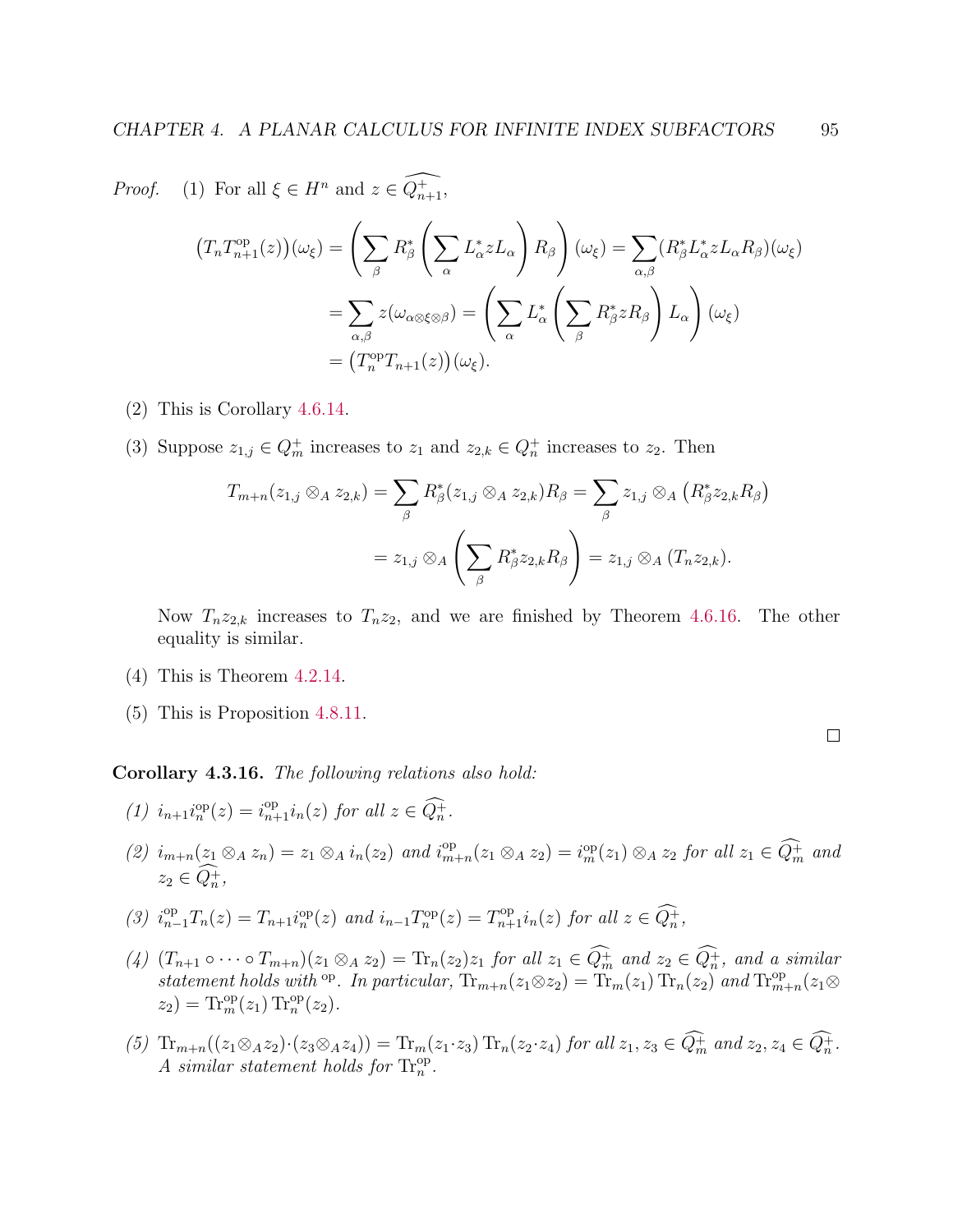*Proof.* (1) For all  $\xi \in H^n$  and  $z \in \widehat{Q_{n+1}^+}$ ,  $(T_n T_{n+1}^{\text{op}}(z))(\omega_{\xi}) = \Bigg(\sum$ β  $R^*_\beta\left(\sum\right.$ α  $L^*_{\alpha} z L_{\alpha}$  $\setminus$  $R_\beta$  $\setminus$  $(\omega_{\xi}) = \sum$  $_{\alpha,\beta}$  $(R_{\beta}^* L_{\alpha}^* z L_{\alpha} R_{\beta})(\omega_{\xi})$  $=$   $\sum$  $_{\alpha,\beta}$  $z(\omega_{\alpha\otimes \xi\otimes \beta}) = \Bigg(\sum \Bigg)$ α  $L_{\alpha}^* \left( \sum_{i=1}^{\infty}$ β  $R^*_{\beta} z R_{\beta}$  $\setminus$  $L_{\alpha}$  $\setminus$  $(\omega_{\xi})$ =  $(T_n^{\text{op}}T_{n+1}(z))(\omega_{\xi}).$ 

- (2) This is Corollary [4.6.14.](#page-127-0)
- (3) Suppose  $z_{1,j} \in Q_m^+$  increases to  $z_1$  and  $z_{2,k} \in Q_n^+$  increases to  $z_2$ . Then

$$
T_{m+n}(z_{1,j} \otimes_A z_{2,k}) = \sum_{\beta} R_{\beta}^*(z_{1,j} \otimes_A z_{2,k}) R_{\beta} = \sum_{\beta} z_{1,j} \otimes_A (R_{\beta}^* z_{2,k} R_{\beta})
$$
  
=  $z_{1,j} \otimes_A \left( \sum_{\beta} R_{\beta}^* z_{2,k} R_{\beta} \right) = z_{1,j} \otimes_A (T_n z_{2,k}).$ 

Now  $T_n z_{2,k}$  increases to  $T_n z_2$ , and we are finished by Theorem [4.6.16.](#page-128-1) The other equality is similar.

- (4) This is Theorem [4.2.14.](#page-90-0)
- (5) This is Proposition [4.8.11.](#page-138-0)

<span id="page-99-0"></span>Corollary 4.3.16. The following relations also hold:

- (1)  $i_{n+1}i_n^{\mathrm{op}}(z) = i_{n+1}^{\mathrm{op}}i_n(z)$  for all  $z \in \widehat{Q_n^+}$ .
- (2)  $i_{m+n}(z_1 \otimes_A z_n) = z_1 \otimes_A i_n(z_2)$  and  $i_m^{\rm op}$  $\lim_{m+n}(z_1 \otimes_A z_2) = i_m^{\rm op}(z_1) \otimes_A z_2$  for all  $z_1 \in \tilde{Q}_m^+$  and  $z_2 \in Q_n^+,$

$$
(3) i_{n-1}^{\text{op}} T_n(z) = T_{n+1} i_n^{\text{op}}(z) \text{ and } i_{n-1} T_n^{\text{op}}(z) = T_{n+1}^{\text{op}} i_n(z) \text{ for all } z \in \widehat{Q_n^+},
$$

- (4)  $(T_{n+1} \circ \cdots \circ T_{m+n})(z_1 \otimes_A z_2) = \text{Tr}_n(z_2)z_1$  for all  $z_1 \in Q_m^+$  and  $z_2 \in Q_n^+$ , and a similar statement holds with <sup>op</sup>. In particular,  $\text{Tr}_{m+n}(z_1 \otimes z_2) = \text{Tr}_m(z_1) \text{Tr}_n(z_2)$  and  $\text{Tr}_{m+n}^{\text{op}}(z_1 \otimes z_2)$  $z_2$ ) = Tr<sub>m</sub><sup>op</sup>( $z_1$ ) Tr<sub>n</sub><sup>op</sup>( $z_2$ ).
- (5)  $\text{Tr}_{m+n}((z_1 \otimes_A z_2) \cdot (z_3 \otimes_A z_4)) = \text{Tr}_m(z_1 \cdot z_3) \text{Tr}_n(z_2 \cdot z_4)$  for all  $z_1, z_3 \in Q_m^+$  and  $z_2, z_4 \in Q_n^+$ . A similar statement holds for  $\text{Tr}_{n}^{\text{op}}$ .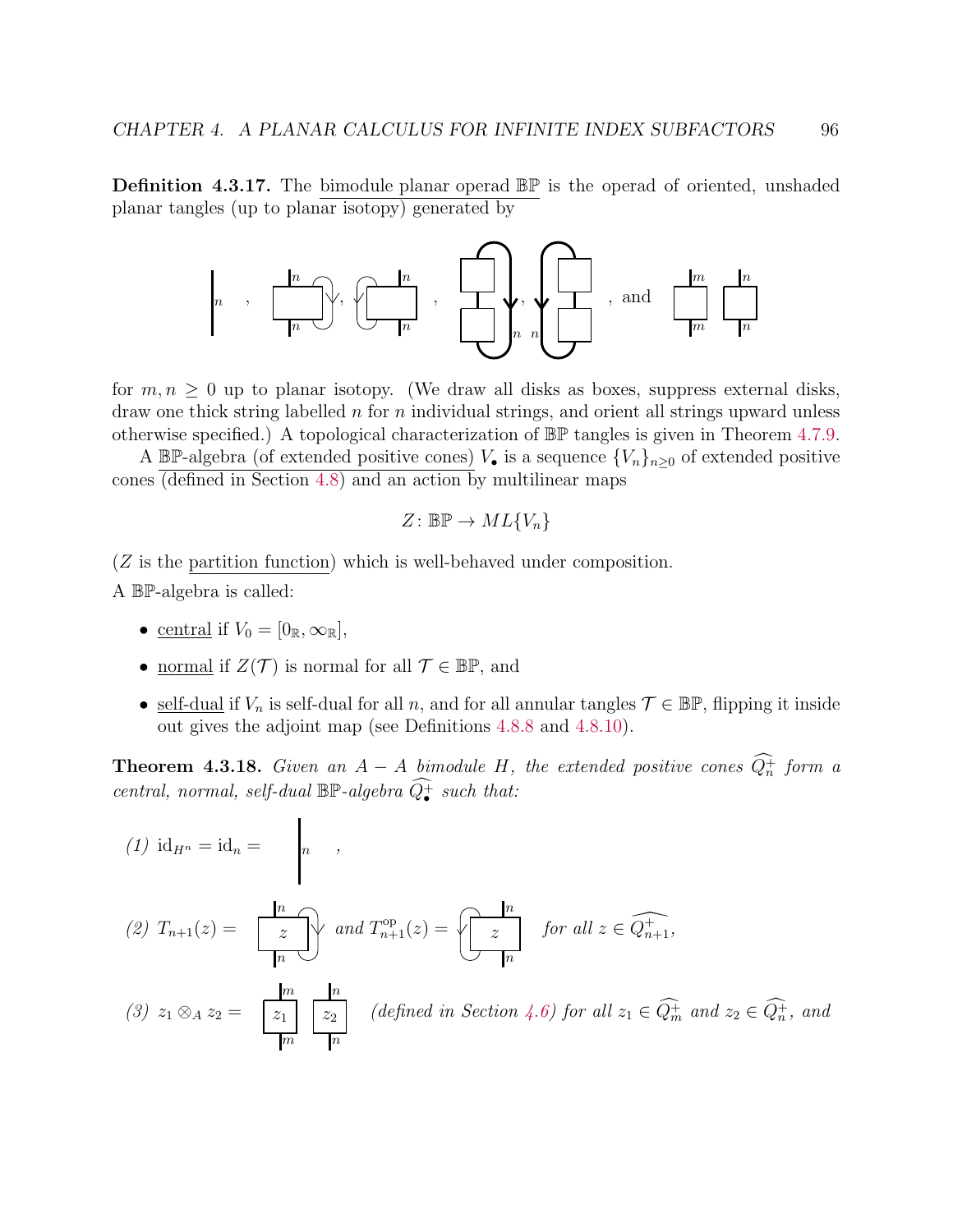Definition 4.3.17. The bimodule planar operad BP is the operad of oriented, unshaded planar tangles (up to planar isotopy) generated by



for  $m, n \geq 0$  up to planar isotopy. (We draw all disks as boxes, suppress external disks, draw one thick string labelled  $n$  for  $n$  individual strings, and orient all strings upward unless otherwise specified.) A topological characterization of BP tangles is given in Theorem [4.7.9.](#page-132-1)

A BP-algebra (of extended positive cones)  $V_{\bullet}$  is a sequence  $\{V_n\}_{n\geq 0}$  of extended positive cones  $\overline{(\text{defined in Section 4.8})}$  and an action by multilinear maps

$$
Z\colon\mathbb{BP}\to ML\{V_n\}
$$

(Z is the partition function) which is well-behaved under composition.

A BP-algebra is called:

- central if  $V_0 = [0_{\mathbb{R}}, \infty_{\mathbb{R}}]$ ,
- <u>normal</u> if  $Z(\mathcal{T})$  is normal for all  $\mathcal{T} \in \mathbb{BP}$ , and

 $\mathbf{I}$ 

• self-dual if  $V_n$  is self-dual for all n, and for all annular tangles  $\mathcal{T} \in \mathbb{BP}$ , flipping it inside out gives the adjoint map (see Definitions [4.8.8](#page-137-0) and [4.8.10\)](#page-138-1).

**Theorem 4.3.18.** Given an  $A - A$  bimodule H, the extended positive cones  $Q_n^+$  form a central, normal, self-dual  $\mathbb{BP}$ -algebra  $\widehat{Q^+_{\bullet}}$  such that:

(1) 
$$
id_{H^n} = id_n = \begin{bmatrix} \frac{n}{z} \\ \frac{z}{m} \end{bmatrix}
$$
,  
\n(2)  $T_{n+1}(z) = \begin{bmatrix} \frac{n}{z} \\ \frac{z}{m} \end{bmatrix}$  and  $T_{n+1}^{op}(z) = \begin{bmatrix} \frac{n}{z} \\ \frac{z}{m} \end{bmatrix}$  for all  $z \in \widehat{Q_{n+1}^+}$ ,  
\n(3)  $z_1 \otimes_A z_2 = \begin{bmatrix} \frac{m}{z_1} & \frac{n}{z_2} \\ \frac{m}{z_1} & \frac{m}{z_2} \end{bmatrix}$  (defined in Section 4.6) for all  $z_1 \in \widehat{Q_m^+}$  and  $z_2 \in \widehat{Q_n^+}$ , and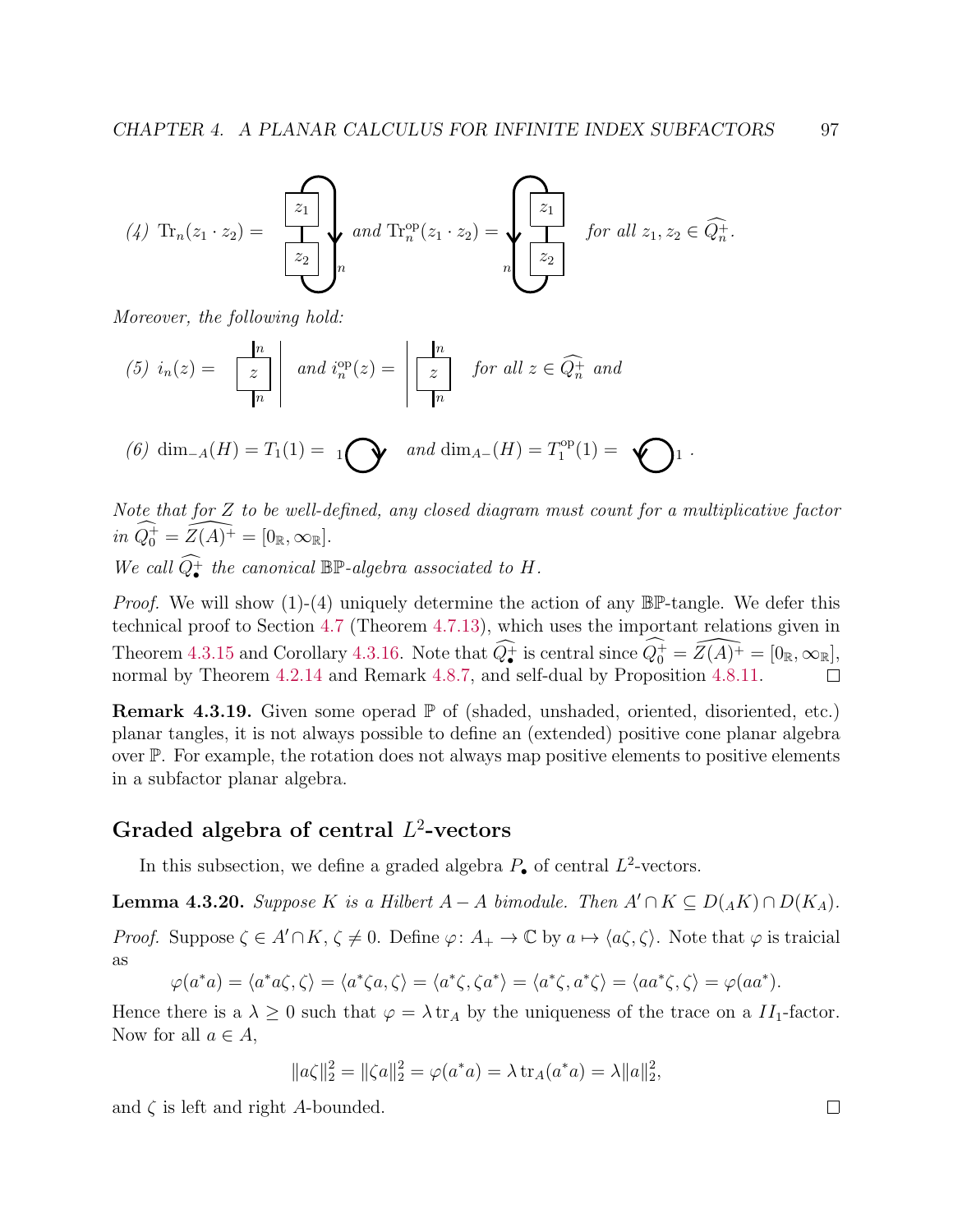$$
(4) \operatorname{Tr}_n(z_1 \cdot z_2) = \sum_{\begin{bmatrix} z_2 \\ z_2 \end{bmatrix} n} and \operatorname{Tr}_n^{\operatorname{op}}(z_1 \cdot z_2) = \underbrace{\left\{\begin{bmatrix} z_1 \\ z_2 \end{bmatrix} \right\}}_{n} \text{ for all } z_1, z_2 \in \widehat{Q}_n^+
$$

Moreover, the following hold:

$$
(5) \ i_n(z) = \left\lfloor \frac{n}{z} \right\rfloor \quad \text{and} \ i_n^{\text{op}}(z) = \left\lfloor \frac{n}{z} \right\rfloor \quad \text{for all } z \in \widehat{Q_n^+} \text{ and}
$$

(6) dim<sub>-A</sub>(H) = 
$$
T_1(1) = 1
$$
  $\bigodot$  and dim<sub>A-</sub>(H) =  $T_1^{\text{op}}(1) = \bigodot$  1.

Note that for Z to be well-defined, any closed diagram must count for a multiplicative factor in  $\widehat{Q_0^+} = \widehat{Z(A)^+} = [0_{\mathbb{R}}, \infty_{\mathbb{R}}].$ We call  $\widehat{Q^+_{\bullet}}$  the canonical  $\mathbb{BP}$ -algebra associated to H.

*Proof.* We will show  $(1)-(4)$  uniquely determine the action of any  $\mathbb{BP}$ -tangle. We defer this technical proof to Section [4.7](#page-128-0) (Theorem [4.7.13\)](#page-135-1), which uses the important relations given in Theorem [4.3.15](#page-98-1) and Corollary [4.3.16.](#page-99-0) Note that  $\widehat{Q}_{\bullet}^{+}$  is central since  $\widehat{Q}_{0}^{+} = \widehat{Z(A)^{+}} = [0_{\mathbb{R}}, \infty_{\mathbb{R}}]$ , normal by Theorem  $4.2.14$  and Remark  $4.8.7$ , and self-dual by Proposition  $4.8.11$ .

**Remark 4.3.19.** Given some operad  $\mathbb{P}$  of (shaded, unshaded, oriented, disoriented, etc.) planar tangles, it is not always possible to define an (extended) positive cone planar algebra over P. For example, the rotation does not always map positive elements to positive elements in a subfactor planar algebra.

# <span id="page-101-0"></span>Graded algebra of central  $L^2$ -vectors

In this subsection, we define a graded algebra  $P_{\bullet}$  of central  $L^2$ -vectors.

<span id="page-101-1"></span>**Lemma 4.3.20.** Suppose K is a Hilbert  $A - A$  bimodule. Then  $A' \cap K \subseteq D(AK) \cap D(K_A)$ .

*Proof.* Suppose  $\zeta \in A' \cap K$ ,  $\zeta \neq 0$ . Define  $\varphi: A_+ \to \mathbb{C}$  by  $a \mapsto \langle a\zeta, \zeta \rangle$ . Note that  $\varphi$  is traicial as

$$
\varphi(a^*a) = \langle a^*a\zeta, \zeta \rangle = \langle a^*\zeta a, \zeta \rangle = \langle a^*\zeta, \zeta a^* \rangle = \langle a^*\zeta, a^*\zeta \rangle = \langle aa^*\zeta, \zeta \rangle = \varphi(aa^*).
$$

Hence there is a  $\lambda \geq 0$  such that  $\varphi = \lambda \text{ tr}_A$  by the uniqueness of the trace on a  $II_1$ -factor. Now for all  $a \in A$ ,

$$
||a\zeta||_2^2 = ||\zeta a||_2^2 = \varphi(a^*a) = \lambda \operatorname{tr}_A(a^*a) = \lambda ||a||_2^2,
$$

and  $\zeta$  is left and right A-bounded.

.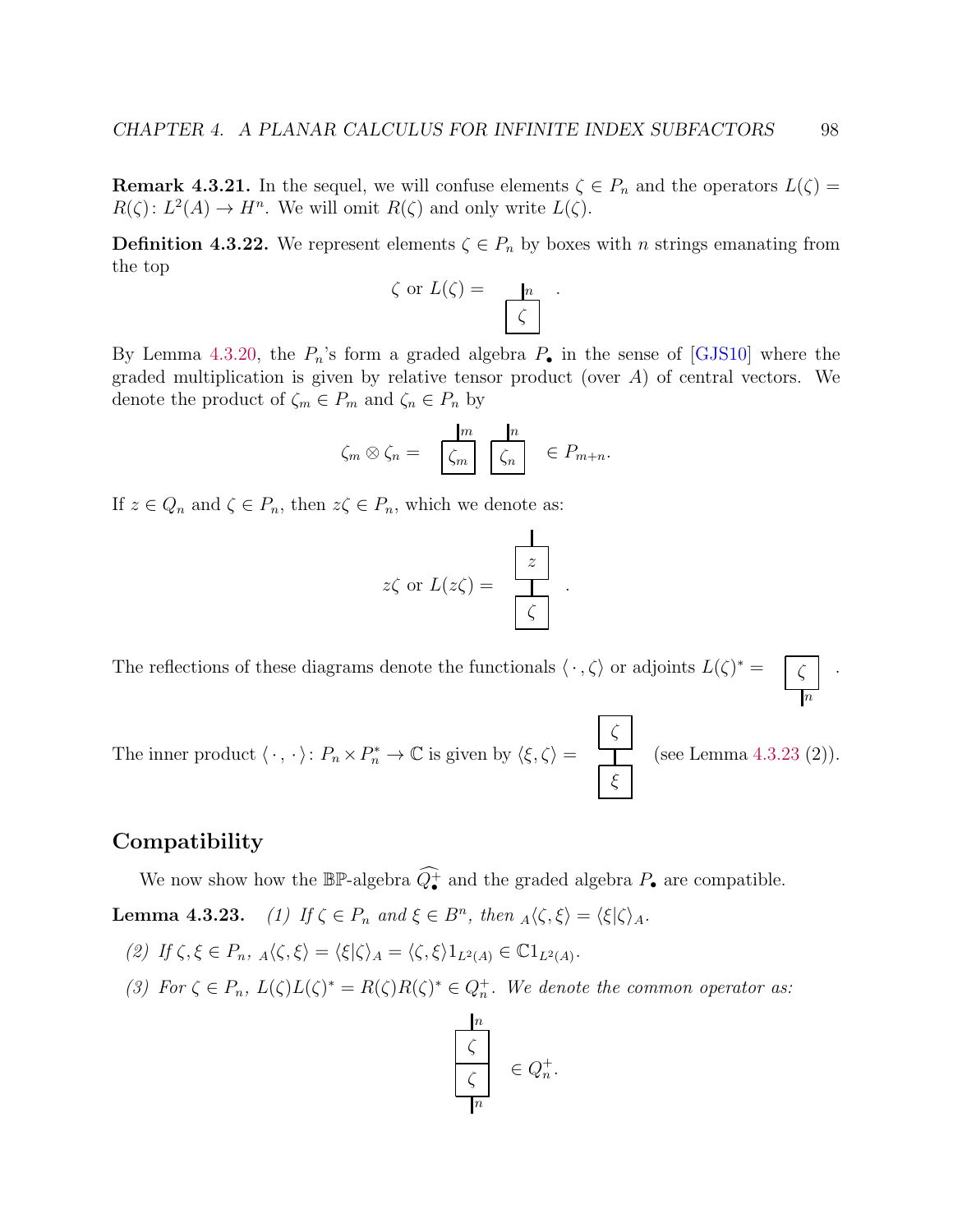**Remark 4.3.21.** In the sequel, we will confuse elements  $\zeta \in P_n$  and the operators  $L(\zeta)$  =  $R(\zeta): L^2(A) \to H^n$ . We will omit  $R(\zeta)$  and only write  $L(\zeta)$ .

**Definition 4.3.22.** We represent elements  $\zeta \in P_n$  by boxes with *n* strings emanating from the top

$$
\zeta \text{ or } L(\zeta) = \frac{n}{\zeta} .
$$

By Lemma [4.3.20,](#page-101-1) the  $P_n$ 's form a graded algebra  $P_{\bullet}$  in the sense of [\[GJS10\]](#page-140-6) where the graded multiplication is given by relative tensor product (over  $A$ ) of central vectors. We denote the product of  $\zeta_m \in P_m$  and  $\zeta_n \in P_n$  by

$$
\zeta_m \otimes \zeta_n = \frac{m}{\zeta_m} \frac{n}{\zeta_n} \in P_{m+n}.
$$

If  $z \in Q_n$  and  $\zeta \in P_n$ , then  $z \zeta \in P_n$ , which we denote as:

$$
z\zeta
$$
 or  $L(z\zeta) = \frac{z}{\zeta}$ 

.

The reflections of these diagrams denote the functionals  $\langle \cdot, \zeta \rangle$  or adjoints  $L(\zeta)^* = \sqrt{\zeta}$ .

The inner product  $\langle \cdot, \cdot \rangle$ :  $P_n \times P_n^* \to \mathbb{C}$  is given by  $\langle \xi, \zeta \rangle =$ ζ ξ (see Lemma [4.3.23](#page-0-0) (2)).

### <span id="page-102-0"></span>Compatibility

We now show how the  $\mathbb{BP}$ -algebra  $\widehat{Q^+_{\bullet}}$  and the graded algebra  $P_{\bullet}$  are compatible.

**Lemma 4.3.23.** (1) If  $\zeta \in P_n$  and  $\xi \in B^n$ , then  $_A \langle \zeta, \xi \rangle = \langle \xi | \zeta \rangle_A$ .

- (2) If  $\zeta, \xi \in P_n$ ,  $_A \langle \zeta, \xi \rangle = \langle \xi | \zeta \rangle_A = \langle \zeta, \xi \rangle 1_{L^2(A)} \in \mathbb{C} 1_{L^2(A)}$ .
- (3) For  $\zeta \in P_n$ ,  $L(\zeta)L(\zeta)^* = R(\zeta)R(\zeta)^* \in Q_n^+$ . We denote the common operator as:



n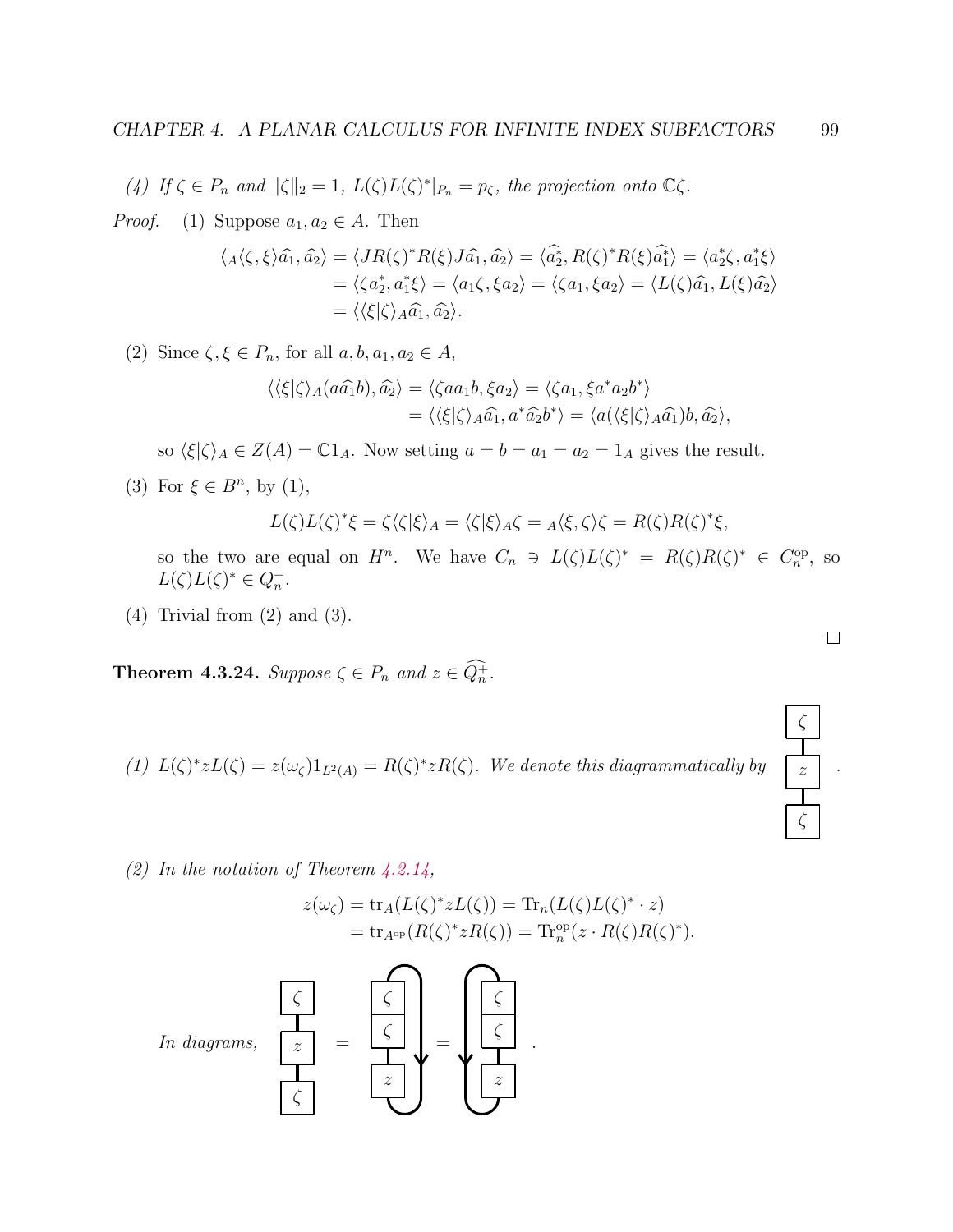(4) If  $\zeta \in P_n$  and  $\|\zeta\|_2 = 1$ ,  $L(\zeta)L(\zeta)^*|_{P_n} = p_{\zeta}$ , the projection onto  $\mathbb{C}\zeta$ .

*Proof.* (1) Suppose  $a_1, a_2 \in A$ . Then

$$
\langle A\langle \zeta, \xi \rangle \widehat{a_1}, \widehat{a_2} \rangle = \langle JR(\zeta)^* R(\xi) J \widehat{a_1}, \widehat{a_2} \rangle = \langle \widehat{a_2^*}, R(\zeta)^* R(\xi) \widehat{a_1^*} \rangle = \langle a_2^* \zeta, a_1^* \xi \rangle
$$
  
=  $\langle \zeta a_2^*, a_1^* \xi \rangle = \langle a_1 \zeta, \xi a_2 \rangle = \langle \zeta a_1, \xi a_2 \rangle = \langle L(\zeta) \widehat{a_1}, L(\xi) \widehat{a_2} \rangle$   
=  $\langle \langle \xi | \zeta \rangle_A \widehat{a_1}, \widehat{a_2} \rangle$ .

(2) Since  $\zeta, \xi \in P_n$ , for all  $a, b, a_1, a_2 \in A$ ,

$$
\langle \langle \xi | \zeta \rangle_A (a\hat{a_1}b), \hat{a_2} \rangle = \langle \zeta a a_1b, \xi a_2 \rangle = \langle \zeta a_1, \xi a^* a_2 b^* \rangle
$$
  
=  $\langle \langle \xi | \zeta \rangle_A \hat{a_1}, a^* \hat{a_2} b^* \rangle = \langle a(\langle \xi | \zeta \rangle_A \hat{a_1})b, \hat{a_2} \rangle,$ 

so  $\langle \xi | \zeta \rangle_A \in Z(A) = \mathbb{C}1_A$ . Now setting  $a = b = a_1 = a_2 = 1_A$  gives the result.

(3) For  $\xi \in B^n$ , by (1),

$$
L(\zeta)L(\zeta)^*\xi = \zeta\langle\zeta|\xi\rangle_A = \langle\zeta|\xi\rangle_A\zeta = {}_A\langle\xi,\zeta\rangle\zeta = R(\zeta)R(\zeta)^*\xi,
$$

so the two are equal on  $H^n$ . We have  $C_n \ni L(\zeta)L(\zeta)^* = R(\zeta)R(\zeta)^* \in C_n^{\text{op}}$ , so  $L(\zeta)L(\zeta)^* \in Q_n^+.$ 

(4) Trivial from (2) and (3).

<span id="page-103-0"></span>**Theorem 4.3.24.** Suppose  $\zeta \in P_n$  and  $z \in Q_n^+$ .

(1) 
$$
L(\zeta)^* z L(\zeta) = z(\omega_{\zeta}) 1_{L^2(A)} = R(\zeta)^* z R(\zeta)
$$
. We denote this diagrammatically by



(2) In the notation of Theorem  $4.2.14$ ,

$$
z(\omega_{\zeta}) = \text{tr}_A(L(\zeta)^* z L(\zeta)) = \text{Tr}_n(L(\zeta) L(\zeta)^* \cdot z)
$$
  
= 
$$
\text{tr}_{A^{\text{op}}}(R(\zeta)^* z R(\zeta)) = \text{Tr}_n^{\text{op}}(z \cdot R(\zeta) R(\zeta)^*).
$$

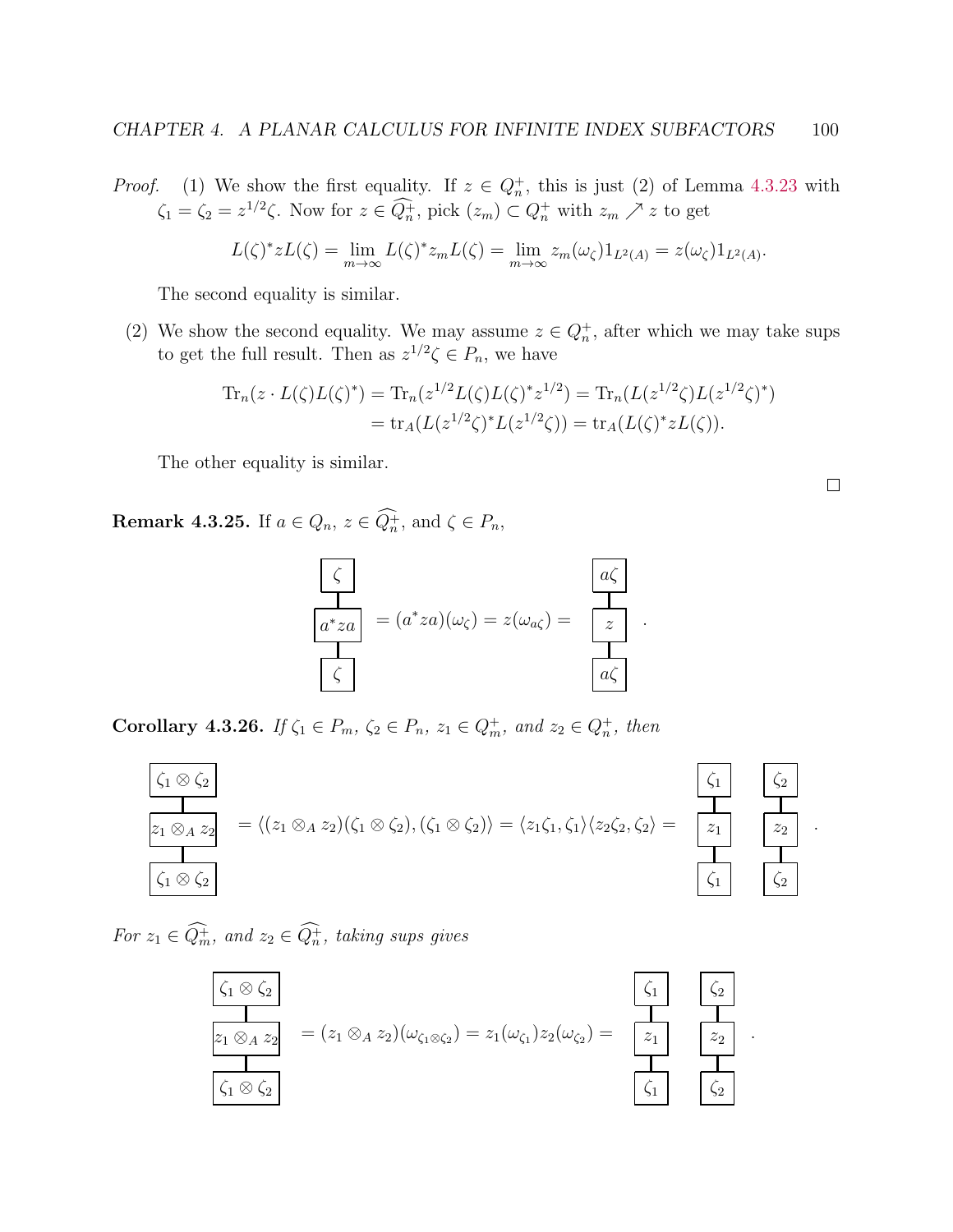*Proof.* (1) We show the first equality. If  $z \in Q_n^+$ , this is just (2) of Lemma [4.3.23](#page-0-0) with  $\zeta_1 = \zeta_2 = z^{1/2}\zeta$ . Now for  $z \in \overline{Q_n^+}$ , pick  $(z_m) \subset Q_n^+$  with  $z_m \nearrow z$  to get

$$
L(\zeta)^* z L(\zeta) = \lim_{m \to \infty} L(\zeta)^* z_m L(\zeta) = \lim_{m \to \infty} z_m(\omega_{\zeta}) 1_{L^2(A)} = z(\omega_{\zeta}) 1_{L^2(A)}.
$$

The second equality is similar.

(2) We show the second equality. We may assume  $z \in Q_n^+$ , after which we may take sups to get the full result. Then as  $z^{1/2}\zeta \in P_n$ , we have

$$
\mathrm{Tr}_n(z \cdot L(\zeta)L(\zeta)^*) = \mathrm{Tr}_n(z^{1/2}L(\zeta)L(\zeta)^*z^{1/2}) = \mathrm{Tr}_n(L(z^{1/2}\zeta)L(z^{1/2}\zeta)^*)
$$
  
= 
$$
\mathrm{tr}_A(L(z^{1/2}\zeta)^*L(z^{1/2}\zeta)) = \mathrm{tr}_A(L(\zeta)^*zL(\zeta)).
$$

The other equality is similar.

**Remark 4.3.25.** If  $a \in Q_n$ ,  $z \in Q_n^+$ , and  $\zeta \in P_n$ ,



<span id="page-104-0"></span>Corollary 4.3.26. If  $\zeta_1 \in P_m$ ,  $\zeta_2 \in P_n$ ,  $z_1 \in Q_m^+$ , and  $z_2 \in Q_n^+$ , then



For  $z_1 \in Q_m^+$ , and  $z_2 \in Q_n^+$ , taking sups gives



 $\Box$ 

 $\zeta_2$ 

 $z_2$ 

.

 $\zeta_2$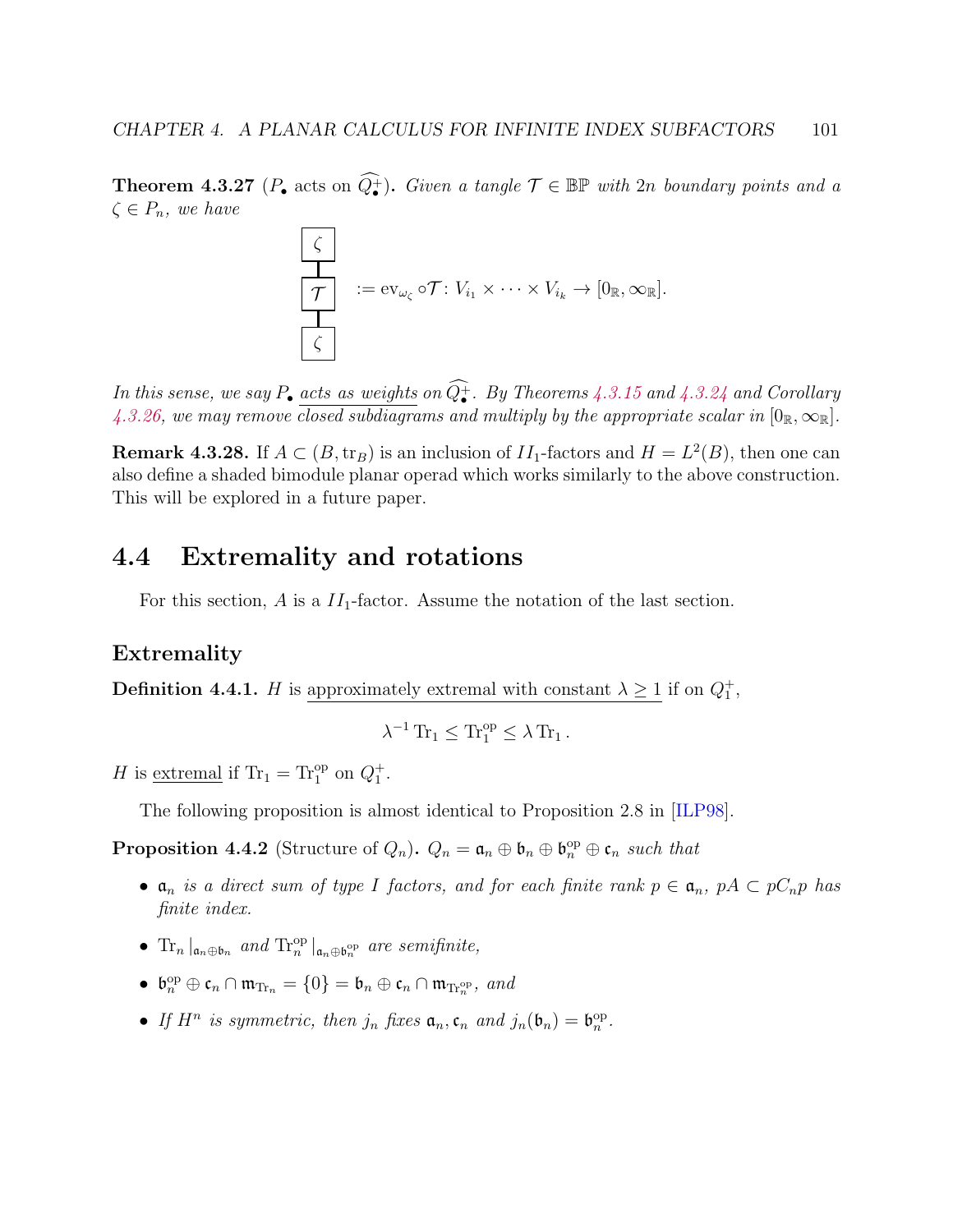**Theorem 4.3.27** ( $P_{\bullet}$  acts on  $\widehat{Q_{\bullet}^+}$ ). Given a tangle  $\mathcal{T} \in \mathbb{BP}$  with 2n boundary points and a  $\zeta \in P_n$ , we have

$$
\begin{array}{|c|}\n\hline\n\downarrow \\
\hline\n\mathcal{T} & := \mathrm{ev}_{\omega_{\zeta}} \circ \mathcal{T} \colon V_{i_1} \times \cdots \times V_{i_k} \to [0_{\mathbb{R}}, \infty_{\mathbb{R}}]. \\
\hline\n\zeta\n\end{array}
$$

In this sense, we say  $P_{\bullet}$  acts as weights on  $Q_{\bullet}^{+}$ . By Theorems [4.3.15](#page-98-1) and [4.3.24](#page-103-0) and Corollary [4.3.26,](#page-104-0) we may remove closed subdiagrams and multiply by the appropriate scalar in  $[0_R,\infty_R]$ .

**Remark 4.3.28.** If  $A \subset (B, \text{tr}_B)$  is an inclusion of  $II_1$ -factors and  $H = L^2(B)$ , then one can also define a shaded bimodule planar operad which works similarly to the above construction. This will be explored in a future paper.

# 4.4 Extremality and rotations

For this section, A is a  $II_1$ -factor. Assume the notation of the last section.

### <span id="page-105-0"></span>Extremality

**Definition 4.4.1.** *H* is approximately extremal with constant  $\lambda \geq 1$  if on  $Q_1^+$ ,

$$
\lambda^{-1}\operatorname{Tr}_1\leq \operatorname{Tr}_1^{op}\leq \lambda\operatorname{Tr}_1.
$$

H is <u>extremal</u> if  $Tr_1 = Tr_1^{\text{op}}$  on  $Q_1^+$ .

The following proposition is almost identical to Proposition 2.8 in [\[ILP98\]](#page-140-5).

<span id="page-105-1"></span>**Proposition 4.4.2** (Structure of  $Q_n$ ).  $Q_n = \mathfrak{a}_n \oplus \mathfrak{b}_n \oplus \mathfrak{b}_n^{\text{op}} \oplus \mathfrak{c}_n$  such that

- $a_n$  is a direct sum of type I factors, and for each finite rank  $p \in a_n$ ,  $pA \subset pC_n$  has finite index.
- $\text{Tr}_n |_{\mathfrak{a}_n \oplus \mathfrak{b}_n}$  and  $\text{Tr}_n^{\text{op}} |_{\mathfrak{a}_n \oplus \mathfrak{b}_n^{\text{op}}}$  are semifinite,
- $\mathfrak{b}_n^{\mathrm{op}} \oplus \mathfrak{c}_n \cap \mathfrak{m}_{\mathrm{Tr}_n} = \{0\} = \mathfrak{b}_n \oplus \mathfrak{c}_n \cap \mathfrak{m}_{\mathrm{Tr}_n^{\mathrm{op}}}, \text{ and}$
- If  $H^n$  is symmetric, then  $j_n$  fixes  $\mathfrak{a}_n$ ,  $\mathfrak{c}_n$  and  $j_n(\mathfrak{b}_n) = \mathfrak{b}_n^{\mathrm{op}}$ .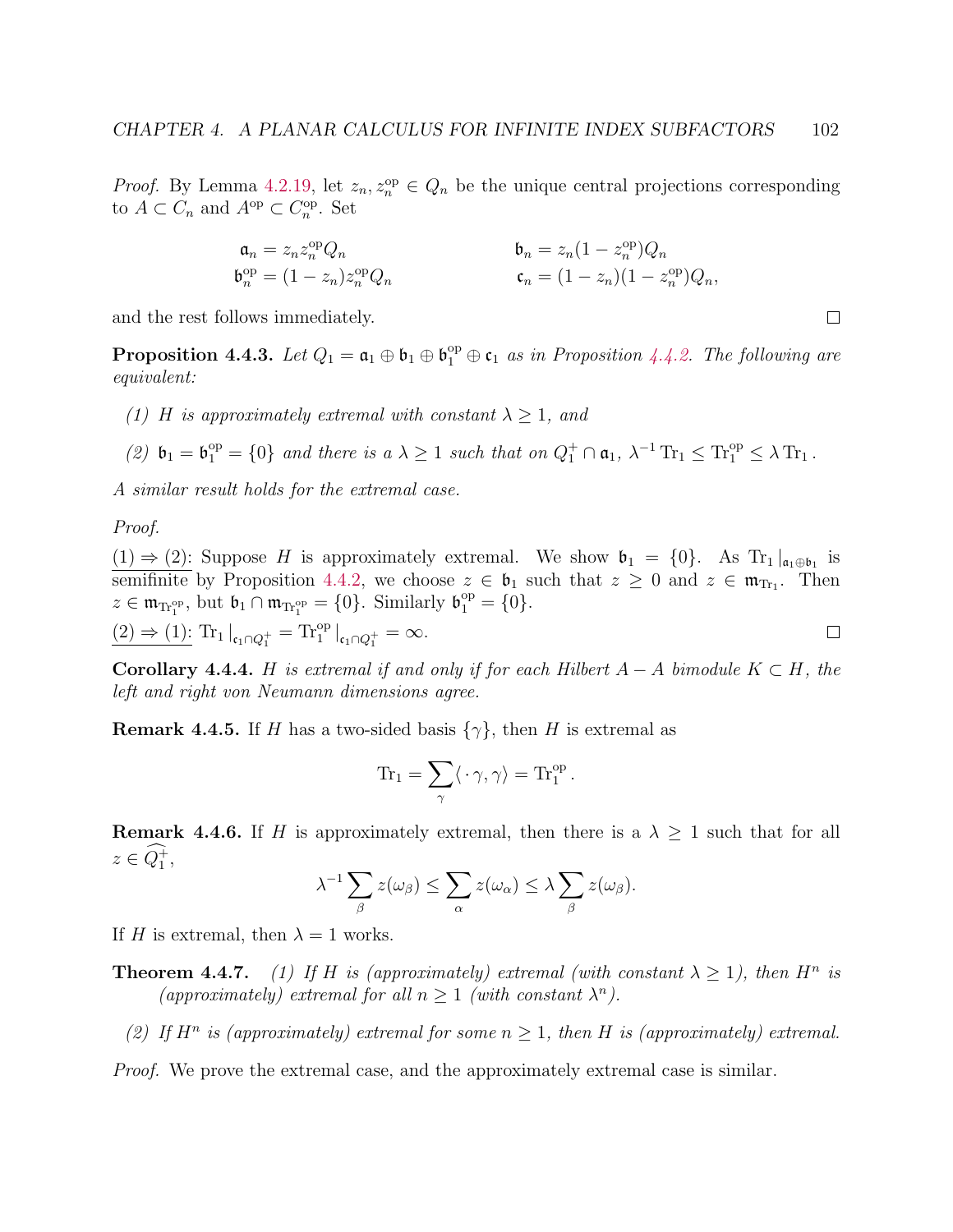*Proof.* By Lemma [4.2.19,](#page-91-2) let  $z_n, z_n^{\text{op}} \in Q_n$  be the unique central projections corresponding to  $A \subset C_n$  and  $A^{\rm op} \subset C_n^{\rm op}$ . Set

$$
\begin{aligned} \mathfrak{a}_n&=z_nz_n^{\mathrm{op}}Q_n\\ \mathfrak{b}_n^{\mathrm{op}}&=(1-z_n)z_n^{\mathrm{op}}Q_n\end{aligned} \qquad\qquad \begin{aligned} \mathfrak{b}_n&=z_n(1-z_n^{\mathrm{op}})Q_n\\ \mathfrak{c}_n&=(1-z_n)(1-z_n^{\mathrm{op}})Q_n, \end{aligned}
$$

 $\Box$ 

and the rest follows immediately.

**Proposition 4.4.3.** Let  $Q_1 = \mathfrak{a}_1 \oplus \mathfrak{b}_1 \oplus \mathfrak{b}_1^{\text{op}} \oplus \mathfrak{c}_1$  as in Proposition [4.4.2.](#page-105-1) The following are equivalent:

- (1) H is approximately extremal with constant  $\lambda \geq 1$ , and
- (2)  $\mathfrak{b}_1 = \mathfrak{b}_1^{\text{op}} = \{0\}$  and there is  $a \lambda \geq 1$  such that on  $Q_1^+ \cap \mathfrak{a}_1$ ,  $\lambda^{-1} \operatorname{Tr}_1 \leq \operatorname{Tr}_1^{\text{op}} \leq \lambda \operatorname{Tr}_1$ .

A similar result holds for the extremal case.

Proof.

 $(1) \Rightarrow (2)$ : Suppose H is approximately extremal. We show  $\mathfrak{b}_1 = \{0\}$ . As Tr<sub>1</sub> $\vert_{\mathfrak{a}_1 \oplus \mathfrak{b}_1}$  is semifinite by Proposition [4.4.2,](#page-105-1) we choose  $z \in \mathfrak{b}_1$  such that  $z \geq 0$  and  $z \in \mathfrak{m}_{T_1}$ . Then  $z \in \mathfrak{m}_{\text{Tr}_1^{\text{op}}}, \text{ but } \mathfrak{b}_1 \cap \mathfrak{m}_{\text{Tr}_1^{\text{op}}} = \{0\}. \text{ Similarly } \mathfrak{b}_1^{\text{op}} = \{0\}.$ 

$$
\underline{(2) \Rightarrow (1):} \operatorname{Tr}_1 |_{\mathfrak{c}_1 \cap Q_1^+} = \operatorname{Tr}_1^{\operatorname{op}} |_{\mathfrak{c}_1 \cap Q_1^+} = \infty.
$$

**Corollary 4.4.4.** H is extremal if and only if for each Hilbert  $A - A$  bimodule  $K \subset H$ , the left and right von Neumann dimensions agree.

**Remark 4.4.5.** If H has a two-sided basis  $\{\gamma\}$ , then H is extremal as

$$
\mathrm{Tr}_1 = \sum_{\gamma} \langle \cdot \gamma, \gamma \rangle = \mathrm{Tr}_1^{\mathrm{op}}.
$$

**Remark 4.4.6.** If H is approximately extremal, then there is a  $\lambda \geq 1$  such that for all  $z \in Q_1^+,$ 

$$
\lambda^{-1} \sum_{\beta} z(\omega_{\beta}) \leq \sum_{\alpha} z(\omega_{\alpha}) \leq \lambda \sum_{\beta} z(\omega_{\beta}).
$$

If H is extremal, then  $\lambda = 1$  works.

- **Theorem 4.4.7.** (1) If H is (approximately) extremal (with constant  $\lambda \geq 1$ ), then H<sup>n</sup> is (approximately) extremal for all  $n \geq 1$  (with constant  $\lambda^n$ ).
	- (2) If  $H^n$  is (approximately) extremal for some  $n \geq 1$ , then H is (approximately) extremal.

Proof. We prove the extremal case, and the approximately extremal case is similar.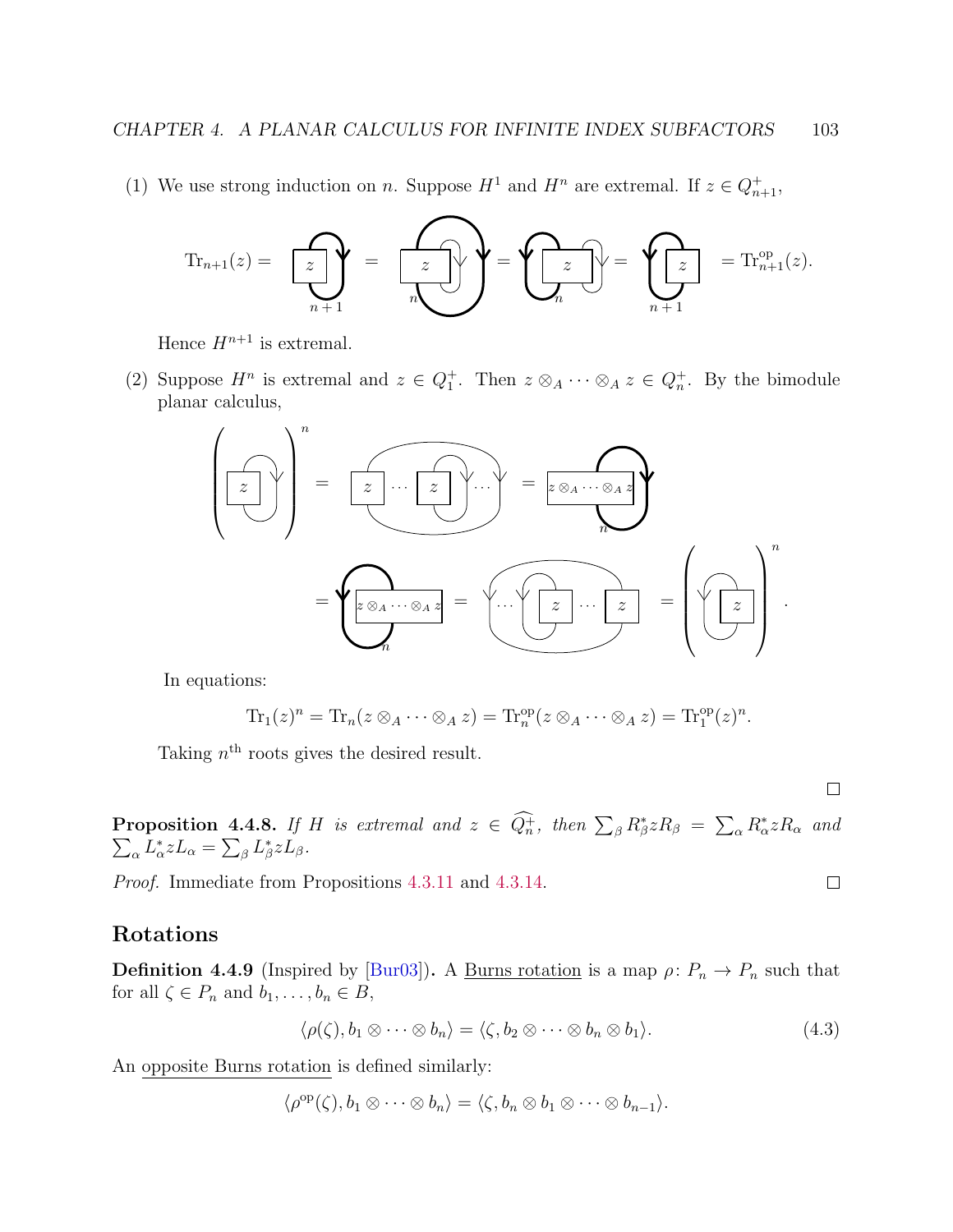(1) We use strong induction on n. Suppose  $H^1$  and  $H^n$  are extremal. If  $z \in Q_{n+1}^+$ ,

$$
\mathrm{Tr}_{n+1}(z) = \sum_{n+1} z \leftarrow \sum_{n+1} z \leftarrow \sum_{n+1} z \leftarrow \sum_{n+1} z \leftarrow \sum_{n+1} z \leftarrow \mathrm{Tr}_{n+1}^{\mathrm{op}}(z).
$$

Hence  $H^{n+1}$  is extremal.

(2) Suppose  $H^n$  is extremal and  $z \in Q_1^+$ . Then  $z \otimes_A \cdots \otimes_A z \in Q_n^+$ . By the bimodule planar calculus,



In equations:

$$
\mathrm{Tr}_1(z)^n = \mathrm{Tr}_n(z \otimes_A \cdots \otimes_A z) = \mathrm{Tr}_n^{\mathrm{op}}(z \otimes_A \cdots \otimes_A z) = \mathrm{Tr}_1^{\mathrm{op}}(z)^n.
$$

Taking  $n<sup>th</sup>$  roots gives the desired result.

 $\Box$ 

 $\Box$ 

Proposition 4.4.8. If H is extremal and  $z \in \tilde{Q}_n^+$ , then  $\sum_{\beta} R_{\beta}^* z R_{\beta} = \sum_{\alpha} R_{\alpha}^*$  $\sum$  $zR_{\alpha}$  and  $_{\alpha}L_{\alpha}^{*}zL_{\alpha} = \sum_{\beta}L_{\beta}^{*}zL_{\beta}.$ 

Proof. Immediate from Propositions [4.3.11](#page-96-1) and [4.3.14.](#page-98-2)

### Rotations

**Definition 4.4.9** (Inspired by [\[Bur03\]](#page-139-0)). A <u>Burns rotation</u> is a map  $\rho: P_n \to P_n$  such that for all  $\zeta \in P_n$  and  $b_1, \ldots, b_n \in B$ ,

$$
\langle \rho(\zeta), b_1 \otimes \cdots \otimes b_n \rangle = \langle \zeta, b_2 \otimes \cdots \otimes b_n \otimes b_1 \rangle. \tag{4.3}
$$

An opposite Burns rotation is defined similarly:

$$
\langle \rho^{\rm op}(\zeta), b_1 \otimes \cdots \otimes b_n \rangle = \langle \zeta, b_n \otimes b_1 \otimes \cdots \otimes b_{n-1} \rangle.
$$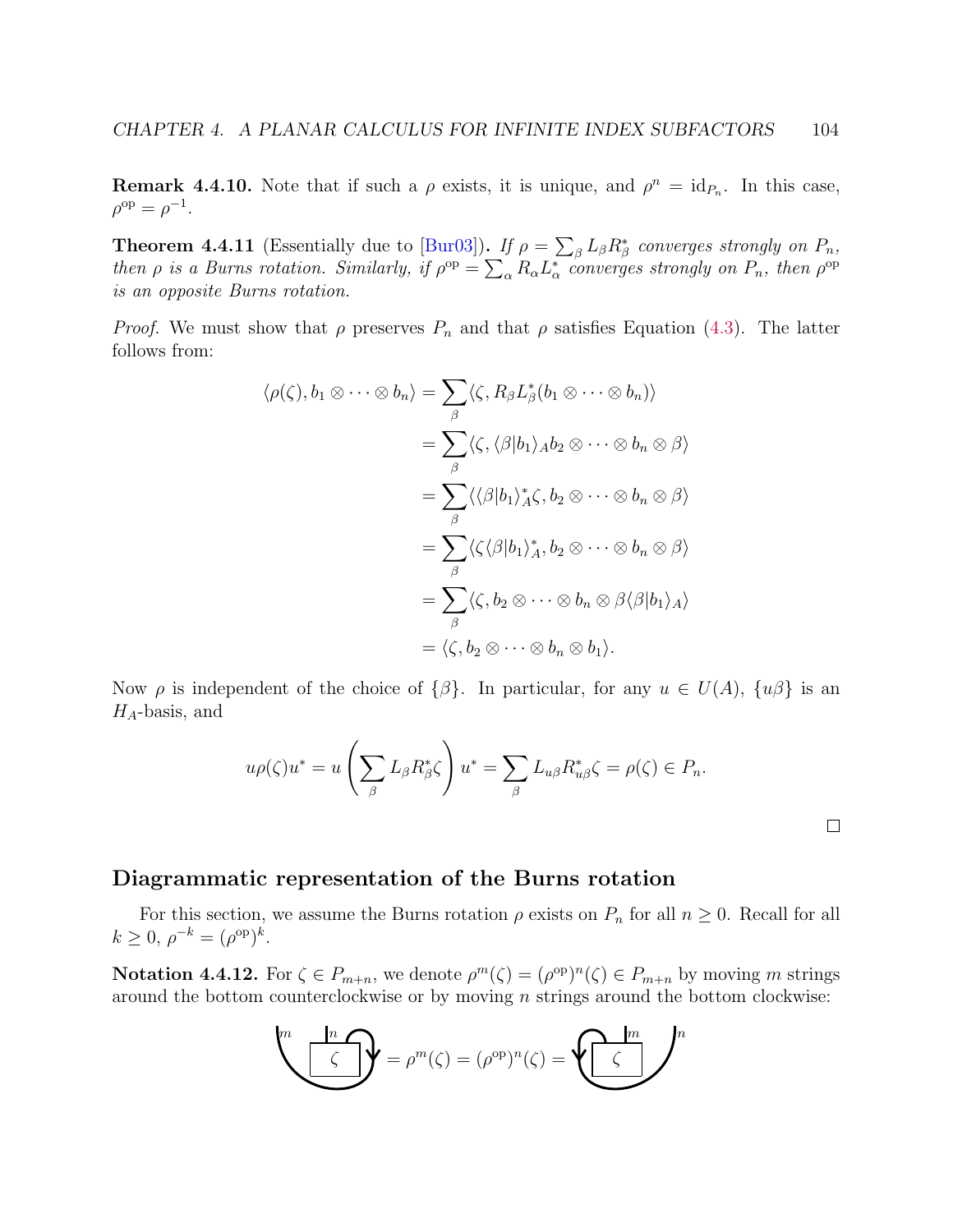**Remark 4.4.10.** Note that if such a  $\rho$  exists, it is unique, and  $\rho^n = id_{P_n}$ . In this case,  $\rho^{\rm op} = \rho^{-1}.$ 

**Theorem 4.4.11** (Essentially due to [\[Bur03\]](#page-139-0)). If  $\rho = \sum_{\beta} L_{\beta} R_{\beta}^*$  converges strongly on  $P_n$ , then  $\rho$  is a Burns rotation. Similarly, if  $\rho^{op} = \sum_{\alpha} R_{\alpha} L_{\alpha}^*$  converges strongly on  $P_n$ , then  $\rho^{op}$ is an opposite Burns rotation.

*Proof.* We must show that  $\rho$  preserves  $P_n$  and that  $\rho$  satisfies Equation [\(4.3\)](#page-107-0). The latter follows from:

$$
\langle \rho(\zeta), b_1 \otimes \cdots \otimes b_n \rangle = \sum_{\beta} \langle \zeta, R_{\beta} L_{\beta}^*(b_1 \otimes \cdots \otimes b_n) \rangle
$$
  

$$
= \sum_{\beta} \langle \zeta, \langle \beta | b_1 \rangle_A b_2 \otimes \cdots \otimes b_n \otimes \beta \rangle
$$
  

$$
= \sum_{\beta} \langle \langle \beta | b_1 \rangle_A^* \zeta, b_2 \otimes \cdots \otimes b_n \otimes \beta \rangle
$$
  

$$
= \sum_{\beta} \langle \zeta \langle \beta | b_1 \rangle_A^*, b_2 \otimes \cdots \otimes b_n \otimes \beta \rangle
$$
  

$$
= \sum_{\beta} \langle \zeta, b_2 \otimes \cdots \otimes b_n \otimes \beta \langle \beta | b_1 \rangle_A \rangle
$$
  

$$
= \langle \zeta, b_2 \otimes \cdots \otimes b_n \otimes b_1 \rangle.
$$

Now  $\rho$  is independent of the choice of  $\{\beta\}$ . In particular, for any  $u \in U(A)$ ,  $\{u\beta\}$  is an  $H_A$ -basis, and

$$
u\rho(\zeta)u^* = u\left(\sum_{\beta} L_{\beta}R_{\beta}^*\zeta\right)u^* = \sum_{\beta} L_{u\beta}R_{u\beta}^*\zeta = \rho(\zeta) \in P_n.
$$

## Diagrammatic representation of the Burns rotation

For this section, we assume the Burns rotation  $\rho$  exists on  $P_n$  for all  $n \geq 0$ . Recall for all  $k \geq 0, \, \rho^{-k} = (\rho^{\rm op})^k.$ 

**Notation 4.4.12.** For  $\zeta \in P_{m+n}$ , we denote  $\rho^m(\zeta) = (\rho^{\rm op})^n(\zeta) \in P_{m+n}$  by moving m strings around the bottom counterclockwise or by moving n strings around the bottom clockwise:

$$
\sum_{\alpha=1}^{m} \frac{1}{\beta} \sum_{\beta=1}^{m} \rho^{\beta}(\zeta) = (\rho^{\text{op}})^n(\zeta) = \sum_{\alpha=1}^{m} \frac{1}{\beta} \sum_{\beta=1}^{m} \rho^{\beta}(\zeta)
$$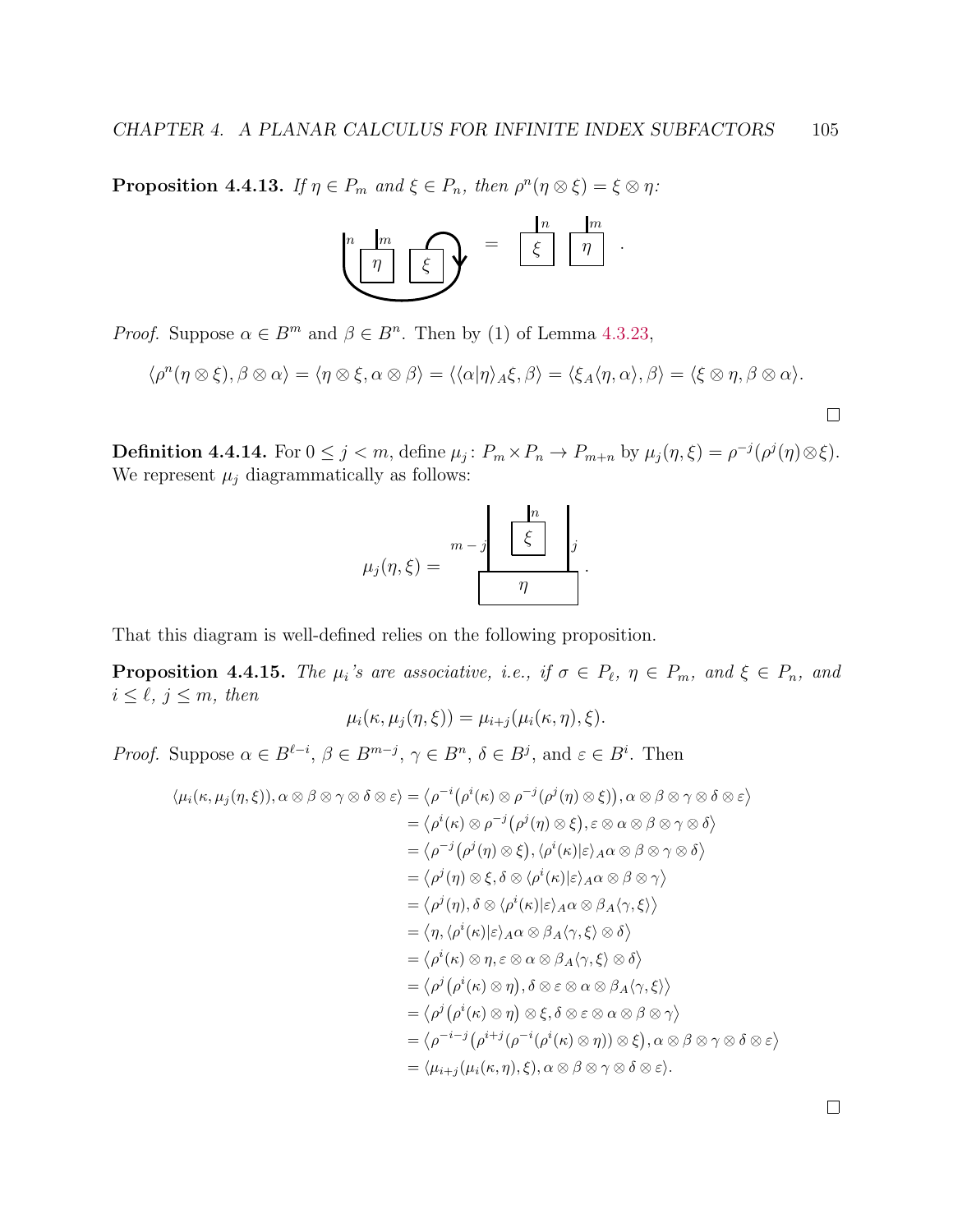**Proposition 4.4.13.** If  $\eta \in P_m$  and  $\xi \in P_n$ , then  $\rho^n(\eta \otimes \xi) = \xi \otimes \eta$ :



*Proof.* Suppose  $\alpha \in B^m$  and  $\beta \in B^n$ . Then by (1) of Lemma [4.3.23,](#page-0-0)

$$
\langle \rho^n(\eta \otimes \xi), \beta \otimes \alpha \rangle = \langle \eta \otimes \xi, \alpha \otimes \beta \rangle = \langle \langle \alpha | \eta \rangle_A \xi, \beta \rangle = \langle \xi_A \langle \eta, \alpha \rangle, \beta \rangle = \langle \xi \otimes \eta, \beta \otimes \alpha \rangle.
$$

**Definition 4.4.14.** For  $0 \le j < m$ , define  $\mu_j$ :  $P_m \times P_n \to P_{m+n}$  by  $\mu_j(\eta, \xi) = \rho^{-j}(\rho^j(\eta) \otimes \xi)$ . We represent  $\mu_j$  diagrammatically as follows:

$$
\mu_j(\eta,\xi) = \frac{m-j}{\pi} \frac{\left|\frac{n}{\xi}\right|}{\eta}.
$$

That this diagram is well-defined relies on the following proposition.

**Proposition 4.4.15.** The  $\mu_i$ 's are associative, i.e., if  $\sigma \in P_\ell$ ,  $\eta \in P_m$ , and  $\xi \in P_n$ , and  $i \leq \ell, j \leq m, \text{ then}$ 

$$
\mu_i(\kappa, \mu_j(\eta, \xi)) = \mu_{i+j}(\mu_i(\kappa, \eta), \xi).
$$

*Proof.* Suppose  $\alpha \in B^{\ell-i}$ ,  $\beta \in B^{m-j}$ ,  $\gamma \in B^n$ ,  $\delta \in B^j$ , and  $\varepsilon \in B^i$ . Then

$$
\langle \mu_i(\kappa, \mu_j(\eta, \xi)), \alpha \otimes \beta \otimes \gamma \otimes \delta \otimes \varepsilon \rangle = \langle \rho^{-i} (\rho^i(\kappa) \otimes \rho^{-j} (\rho^j(\eta) \otimes \xi)), \alpha \otimes \beta \otimes \gamma \otimes \delta \otimes \varepsilon \rangle
$$
  
\n
$$
= \langle \rho^i(\kappa) \otimes \rho^{-j} (\rho^j(\eta) \otimes \xi), \varepsilon \otimes \alpha \otimes \beta \otimes \gamma \otimes \delta \rangle
$$
  
\n
$$
= \langle \rho^{-j} (\rho^j(\eta) \otimes \xi), \langle \rho^i(\kappa) | \varepsilon \rangle_A \alpha \otimes \beta \otimes \gamma \otimes \delta \rangle
$$
  
\n
$$
= \langle \rho^j(\eta) \otimes \xi, \delta \otimes \langle \rho^i(\kappa) | \varepsilon \rangle_A \alpha \otimes \beta \otimes \gamma \rangle
$$
  
\n
$$
= \langle \rho^j(\eta), \delta \otimes \langle \rho^i(\kappa) | \varepsilon \rangle_A \alpha \otimes \beta_A \langle \gamma, \xi \rangle \rangle
$$
  
\n
$$
= \langle \eta, \langle \rho^i(\kappa) | \varepsilon \rangle_A \alpha \otimes \beta_A \langle \gamma, \xi \rangle \otimes \delta \rangle
$$
  
\n
$$
= \langle \rho^i(\kappa) \otimes \eta, \varepsilon \otimes \alpha \otimes \beta_A \langle \gamma, \xi \rangle \otimes \delta \rangle
$$
  
\n
$$
= \langle \rho^j (\rho^i(\kappa) \otimes \eta), \delta \otimes \varepsilon \otimes \alpha \otimes \beta_A \langle \gamma, \xi \rangle \rangle
$$
  
\n
$$
= \langle \rho^{-i-j} (\rho^{i+j} (\rho^{-i} (\rho^i(\kappa) \otimes \eta)) \otimes \xi), \alpha \otimes \beta \otimes \gamma \otimes \delta \otimes \varepsilon \rangle
$$
  
\n
$$
= \langle \mu_{i+j} (\mu_i(\kappa, \eta), \xi), \alpha \otimes \beta \otimes \gamma \otimes \delta \otimes \varepsilon \rangle.
$$

 $\Box$ 

 $\Box$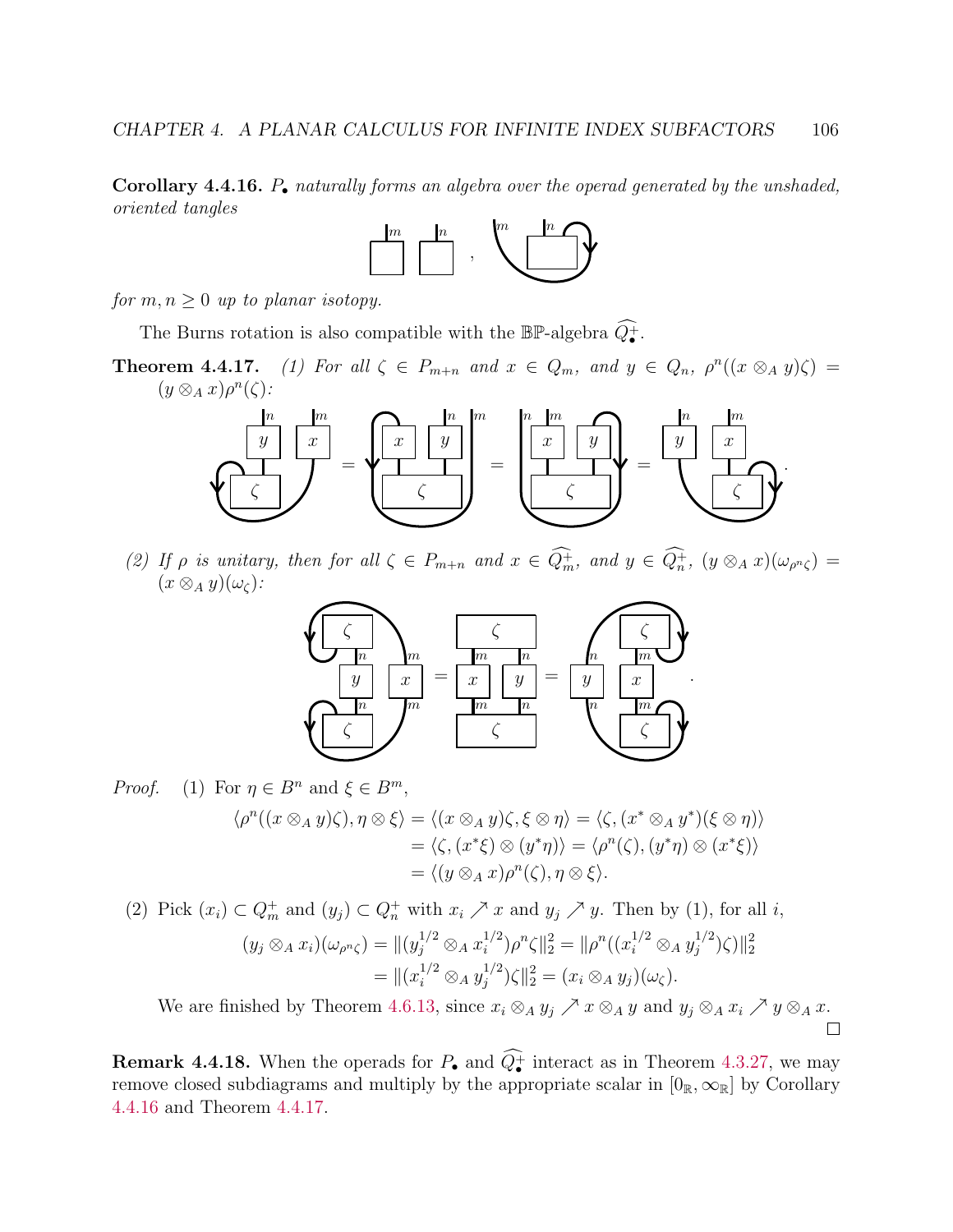<span id="page-110-0"></span>**Corollary 4.4.16.**  $P_{\bullet}$  naturally forms an algebra over the operad generated by the unshaded, oriented tangles



for  $m, n \geq 0$  up to planar isotopy.

The Burns rotation is also compatible with the  $\mathbb{BP}$ -algebra  $\widehat{Q}_{\bullet}^+$ .

**Theorem 4.4.17.** (1) For all  $\zeta \in P_{m+n}$  and  $x \in Q_m$ , and  $y \in Q_n$ ,  $\rho^n((x \otimes_A y)\zeta) =$  $(y \otimes_A x)\rho^n(\zeta)$ :



(2) If  $\rho$  is unitary, then for all  $\zeta \in P_{m+n}$  and  $x \in Q_m^+$ , and  $y \in Q_n^+$ ,  $(y \otimes_A x)(\omega_{\rho^n \zeta}) =$  $(x \otimes_A y)(\omega_{\zeta})$ :



*Proof.* (1) For 
$$
\eta \in B^n
$$
 and  $\xi \in B^m$ ,  
\n
$$
\langle \rho^n((x \otimes_A y)\zeta), \eta \otimes \xi \rangle = \langle (x \otimes_A y)\zeta, \xi \otimes \eta \rangle = \langle \zeta, (x^* \otimes_A y^*)(\xi \otimes \eta) \rangle
$$
\n
$$
= \langle \zeta, (x^*\xi) \otimes (y^*\eta) \rangle = \langle \rho^n(\zeta), (y^*\eta) \otimes (x^*\xi) \rangle
$$
\n
$$
= \langle (y \otimes_A x)\rho^n(\zeta), \eta \otimes \xi \rangle.
$$

(2) Pick  $(x_i) \subset Q_m^+$  and  $(y_j) \subset Q_n^+$  with  $x_i \nearrow x$  and  $y_j \nearrow y$ . Then by (1), for all *i*,

$$
(y_j \otimes_A x_i)(\omega_{\rho^n \zeta}) = ||(y_j^{1/2} \otimes_A x_i^{1/2})\rho^n \zeta||_2^2 = ||\rho^n((x_i^{1/2} \otimes_A y_j^{1/2})\zeta)||_2^2
$$
  
= 
$$
||(x_i^{1/2} \otimes_A y_j^{1/2})\zeta||_2^2 = (x_i \otimes_A y_j)(\omega_{\zeta}).
$$

We are finished by Theorem [4.6.13,](#page-125-0) since  $x_i \otimes_A y_j \nearrow x \otimes_A y$  and  $y_j \otimes_A x_i \nearrow y \otimes_A x$ .  $\Box$ 

**Remark 4.4.18.** When the operads for  $P_{\bullet}$  and  $Q_{\bullet}^{+}$  interact as in Theorem [4.3.27,](#page-105-0) we may remove closed subdiagrams and multiply by the appropriate scalar in  $[0_R,\infty_R]$  by Corollary [4.4.16](#page-110-0) and Theorem [4.4.17.](#page-0-0)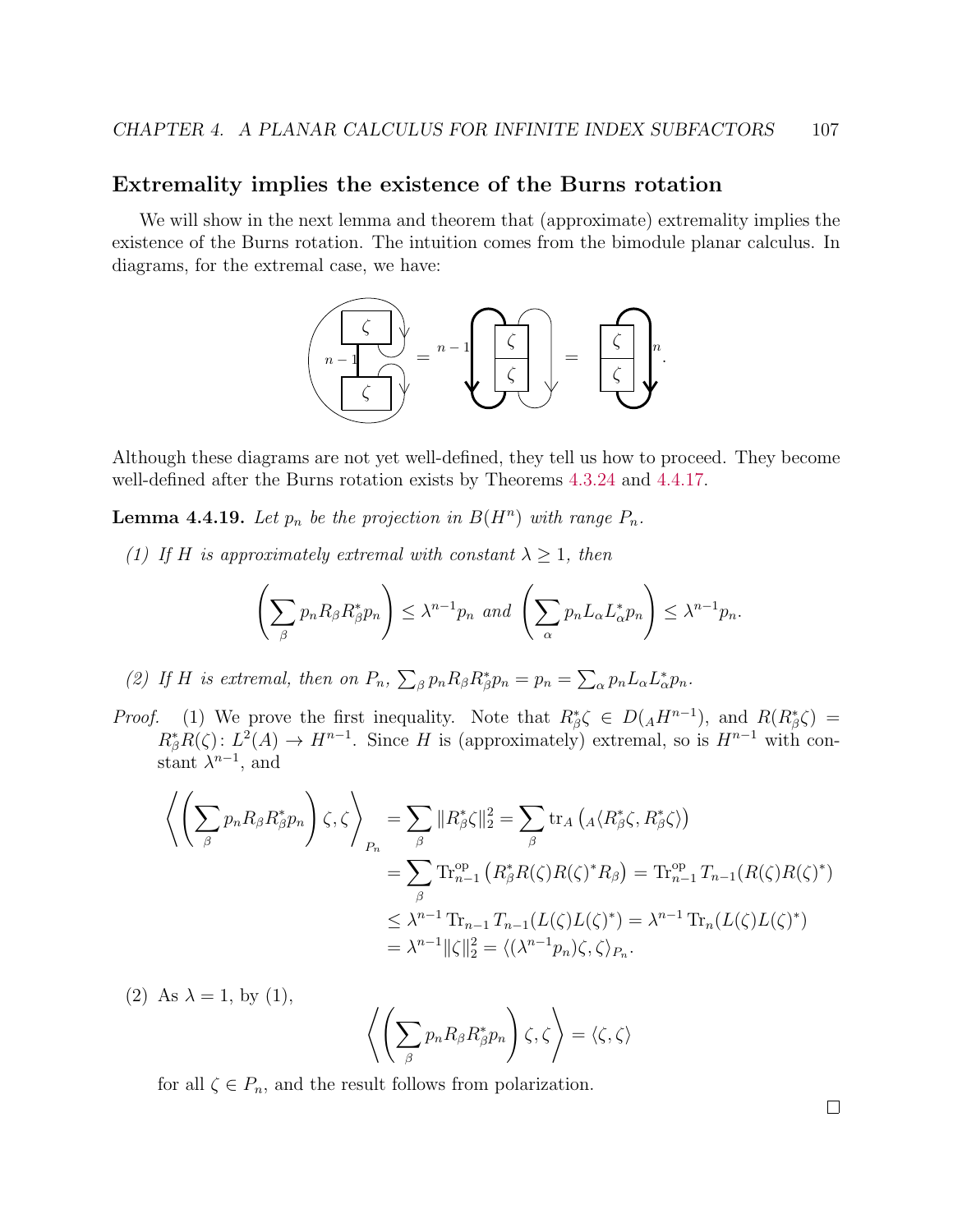### Extremality implies the existence of the Burns rotation

We will show in the next lemma and theorem that (approximate) extremality implies the existence of the Burns rotation. The intuition comes from the bimodule planar calculus. In diagrams, for the extremal case, we have:



Although these diagrams are not yet well-defined, they tell us how to proceed. They become well-defined after the Burns rotation exists by Theorems [4.3.24](#page-103-0) and [4.4.17.](#page-0-0)

<span id="page-111-0"></span>**Lemma 4.4.19.** Let  $p_n$  be the projection in  $B(H^n)$  with range  $P_n$ .

(1) If H is approximately extremal with constant  $\lambda \geq 1$ , then

$$
\left(\sum_{\beta} p_n R_{\beta} R_{\beta}^* p_n\right) \leq \lambda^{n-1} p_n \text{ and } \left(\sum_{\alpha} p_n L_{\alpha} L_{\alpha}^* p_n\right) \leq \lambda^{n-1} p_n.
$$

(2) If H is extremal, then on  $P_n$ ,  $\sum_{\beta} p_n R_{\beta} R_{\beta}^* p_n = p_n = \sum_{\alpha} p_n L_{\alpha} L_{\alpha}^* p_n$ .

*Proof.* (1) We prove the first inequality. Note that  $R_{\beta}^* \zeta \in D(AH^{n-1})$ , and  $R(R_{\beta}^* \zeta) =$  $R_{\beta}^*R(\zeta): L^2(A) \to H^{n-1}$ . Since H is (approximately) extremal, so is  $H^{n-1}$  with constant  $\lambda^{n-1}$ , and

$$
\left\langle \left( \sum_{\beta} p_n R_{\beta} R_{\beta}^* p_n \right) \zeta, \zeta \right\rangle_{P_n} = \sum_{\beta} \| R_{\beta}^* \zeta \|_2^2 = \sum_{\beta} \text{tr}_A \left( {}_A \langle R_{\beta}^* \zeta, R_{\beta}^* \zeta \rangle \right)
$$
  
\n
$$
= \sum_{\beta} \text{Tr}_{n-1}^{\text{op}} \left( R_{\beta}^* R(\zeta) R(\zeta)^* R_{\beta} \right) = \text{Tr}_{n-1}^{\text{op}} T_{n-1} (R(\zeta) R(\zeta)^*)
$$
  
\n
$$
\leq \lambda^{n-1} \text{Tr}_{n-1} T_{n-1} (L(\zeta) L(\zeta)^*) = \lambda^{n-1} \text{Tr}_n (L(\zeta) L(\zeta)^*)
$$
  
\n
$$
= \lambda^{n-1} \| \zeta \|_2^2 = \langle (\lambda^{n-1} p_n) \zeta, \zeta \rangle_{P_n}.
$$

(2) As  $\lambda = 1$ , by (1),  $/(\nabla$ β  $p_n R_\beta R_\beta^* p_n$  $\bigg\langle \zeta,\zeta\rangle = \langle \zeta,\zeta\rangle$ 

for all  $\zeta \in P_n$ , and the result follows from polarization.

 $\Box$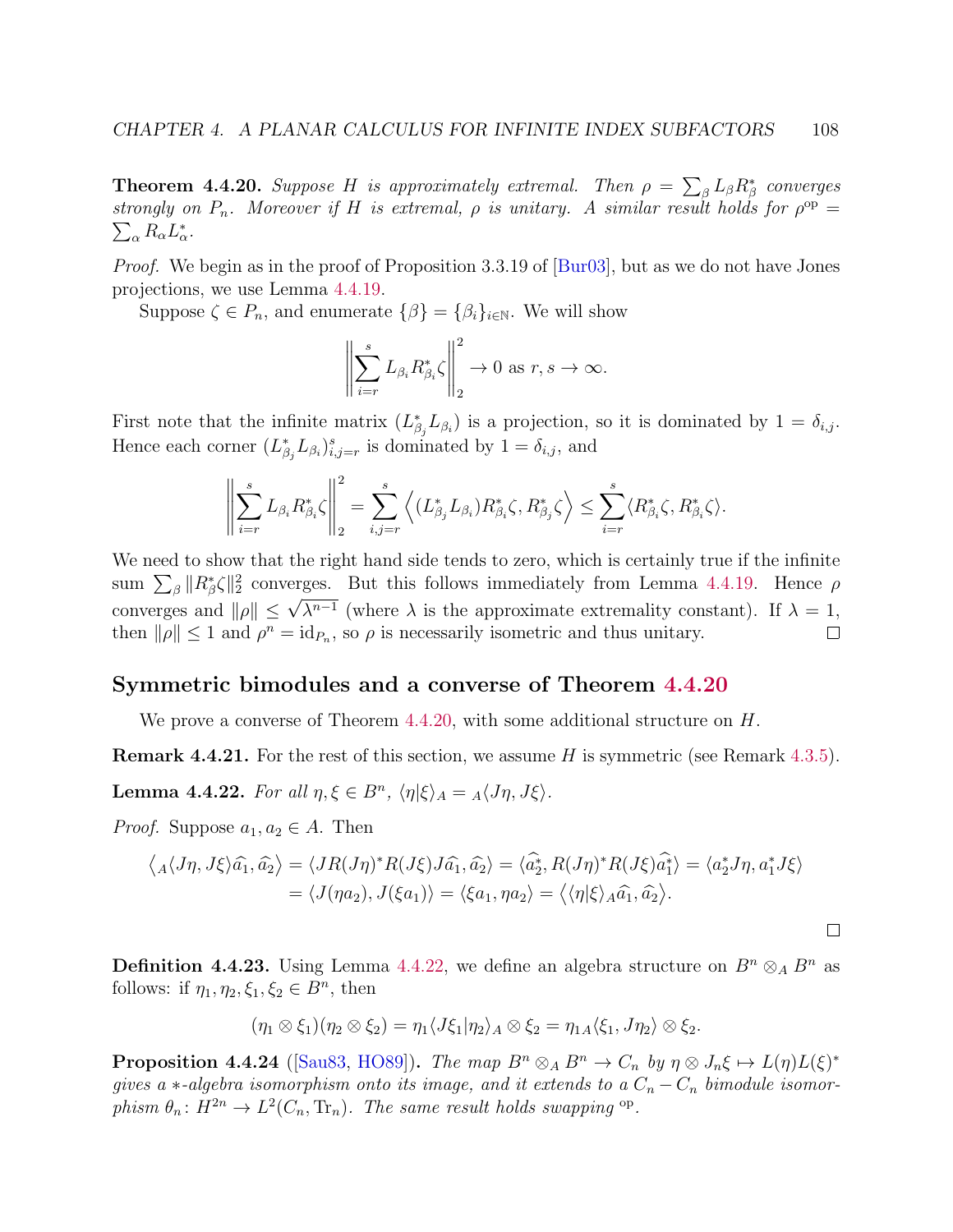<span id="page-112-0"></span>**Theorem 4.4.20.** Suppose H is approximately extremal. Then  $\rho = \sum_{\beta} L_{\beta} R_{\beta}^*$  converges strongly on  $P_n$ . Moreover if H is extremal,  $\rho$  is unitary. A similar result holds for  $\rho^{\rm op} =$  $\sum_{\alpha} R_{\alpha} L_{\alpha}^*$ .

*Proof.* We begin as in the proof of Proposition 3.3.19 of  $\lbrack \text{Bur03} \rbrack$ , but as we do not have Jones projections, we use Lemma [4.4.19.](#page-111-0)

Suppose  $\zeta \in P_n$ , and enumerate  $\{\beta\} = {\beta_i\}_{i \in \mathbb{N}}$ . We will show

$$
\left\| \sum_{i=r}^{s} L_{\beta_i} R_{\beta_i}^* \zeta \right\|_2^2 \to 0 \text{ as } r, s \to \infty.
$$

First note that the infinite matrix  $(L_{\beta_j}^* L_{\beta_i})$  is a projection, so it is dominated by  $1 = \delta_{i,j}$ . Hence each corner  $(L_{\beta_j}^* L_{\beta_i})_{i,j=r}^s$  is dominated by  $1 = \delta_{i,j}$ , and

$$
\left\|\sum_{i=r}^s L_{\beta_i} R_{\beta_i}^* \zeta\right\|_2^2 = \sum_{i,j=r}^s \left\langle (L_{\beta_j}^* L_{\beta_i}) R_{\beta_i}^* \zeta, R_{\beta_j}^* \zeta \right\rangle \le \sum_{i=r}^s \langle R_{\beta_i}^* \zeta, R_{\beta_i}^* \zeta \rangle.
$$

We need to show that the right hand side tends to zero, which is certainly true if the infinite sum  $\sum_{\beta} ||R_{\beta}^* \zeta||_2^2$  converges. But this follows immediately from Lemma [4.4.19.](#page-111-0) Hence  $\rho$ converges and  $||\rho|| \leq \sqrt{\lambda^{n-1}}$  (where  $\lambda$  is the approximate extremality constant). If  $\lambda = 1$ , then  $\|\rho\| \leq 1$  and  $\rho^n = \text{id}_{P_n}$ , so  $\rho$  is necessarily isometric and thus unitary.  $\Box$ 

#### Symmetric bimodules and a converse of Theorem [4.4.20](#page-112-0)

We prove a converse of Theorem  $4.4.20$ , with some additional structure on H.

**Remark 4.4.21.** For the rest of this section, we assume H is symmetric (see Remark [4.3.5\)](#page-95-0).

<span id="page-112-1"></span>Lemma 4.4.22. For all  $\eta, \xi \in B^n$ ,  $\langle \eta | \xi \rangle_A = {}_A \langle J\eta, J\xi \rangle$ .

*Proof.* Suppose  $a_1, a_2 \in A$ . Then

$$
\langle A \langle J\eta, J\xi \rangle \hat{a_1}, \hat{a_2} \rangle = \langle JR(J\eta)^* R(J\xi) J\hat{a_1}, \hat{a_2} \rangle = \langle \hat{a_2^*}, R(J\eta)^* R(J\xi) \hat{a_1^*} \rangle = \langle a_2^* J\eta, a_1^* J\xi \rangle
$$
  
=  $\langle J(\eta a_2), J(\xi a_1) \rangle = \langle \xi a_1, \eta a_2 \rangle = \langle \langle \eta | \xi \rangle_A \hat{a_1}, \hat{a_2} \rangle.$ 

 $\Box$ 

**Definition 4.4.23.** Using Lemma [4.4.22,](#page-112-1) we define an algebra structure on  $B^n \otimes_A B^n$  as follows: if  $\eta_1, \eta_2, \xi_1, \xi_2 \in B^n$ , then

$$
(\eta_1 \otimes \xi_1)(\eta_2 \otimes \xi_2) = \eta_1 \langle J\xi_1 | \eta_2 \rangle_A \otimes \xi_2 = \eta_{1A} \langle \xi_1, J\eta_2 \rangle \otimes \xi_2.
$$

<span id="page-112-2"></span>**Proposition 4.4.24** ([\[Sau83,](#page-143-0) [HO89\]](#page-140-0)). The map  $B^n \otimes_A B^n \to C_n$  by  $\eta \otimes J_n \xi \mapsto L(\eta)L(\xi)^*$ gives a  $*$ -algebra isomorphism onto its image, and it extends to a  $C_n - C_n$  bimodule isomorphism  $\theta_n: H^{2n} \to L^2(C_n, \text{Tr}_n)$ . The same result holds swapping <sup>op</sup>.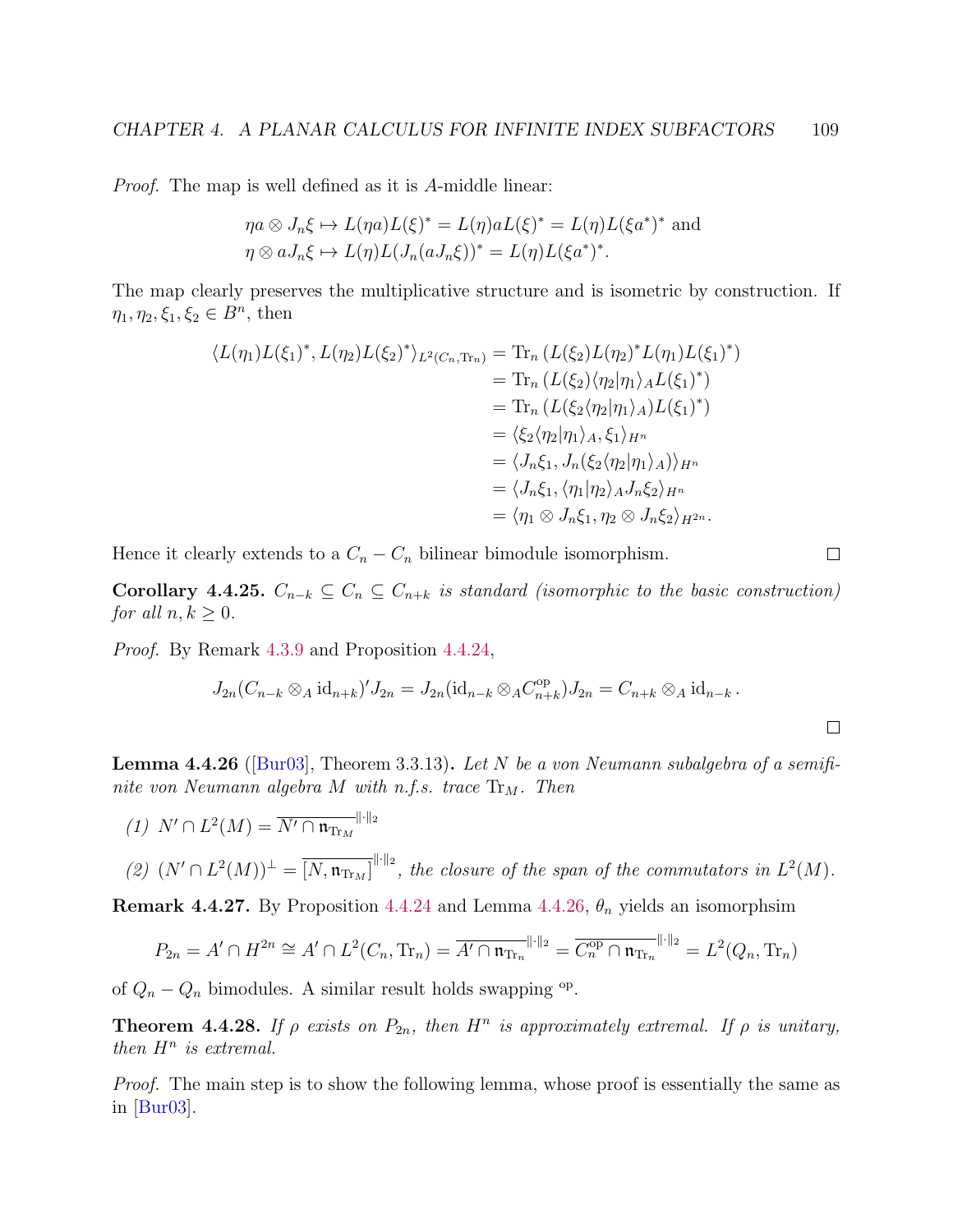Proof. The map is well defined as it is A-middle linear:

$$
\eta a \otimes J_n \xi \mapsto L(\eta a)L(\xi)^* = L(\eta)aL(\xi)^* = L(\eta)L(\xi a^*)^* \text{ and}
$$
  

$$
\eta \otimes aJ_n \xi \mapsto L(\eta)L(J_n(aJ_n\xi))^* = L(\eta)L(\xi a^*)^*.
$$

The map clearly preserves the multiplicative structure and is isometric by construction. If  $\eta_1, \eta_2, \xi_1, \xi_2 \in B^n$ , then

$$
\langle L(\eta_1)L(\xi_1)^*, L(\eta_2)L(\xi_2)^* \rangle_{L^2(C_n, \text{Tr}_n)} = \text{Tr}_n (L(\xi_2)L(\eta_2)^*L(\eta_1)L(\xi_1)^*)
$$
  
\n
$$
= \text{Tr}_n (L(\xi_2)\langle \eta_2|\eta_1\rangle_A L(\xi_1)^*)
$$
  
\n
$$
= \text{Tr}_n (L(\xi_2\langle \eta_2|\eta_1\rangle_A)L(\xi_1)^*)
$$
  
\n
$$
= \langle \xi_2 \langle \eta_2|\eta_1\rangle_A, \xi_1\rangle_{H^n}
$$
  
\n
$$
= \langle J_n \xi_1, J_n(\xi_2 \langle \eta_2|\eta_1\rangle_A) \rangle_{H^n}
$$
  
\n
$$
= \langle J_n \xi_1, \langle \eta_1|\eta_2\rangle_A J_n \xi_2 \rangle_{H^n}
$$
  
\n
$$
= \langle \eta_1 \otimes J_n \xi_1, \eta_2 \otimes J_n \xi_2 \rangle_{H^{2n}}.
$$

Hence it clearly extends to a  $C_n - C_n$  bilinear bimodule isomorphism.

Corollary 4.4.25.  $C_{n-k} \subseteq C_n \subseteq C_{n+k}$  is standard (isomorphic to the basic construction) for all  $n, k \geq 0$ .

Proof. By Remark [4.3.9](#page-96-0) and Proposition [4.4.24,](#page-112-2)

$$
J_{2n}(C_{n-k}\otimes_A id_{n+k})'J_{2n}=J_{2n}(id_{n-k}\otimes_A C_{n+k}^{\text{op}})J_{2n}=C_{n+k}\otimes_A id_{n-k}.
$$

 $\Box$ 

<span id="page-113-0"></span>**Lemma 4.4.26** ([\[Bur03\]](#page-139-0), Theorem 3.3.13). Let N be a von Neumann subalgebra of a semifinite von Neumann algebra  $M$  with n.f.s. trace  $\text{Tr}_M$ . Then

\n- (1) 
$$
N' \cap L^2(M) = \overline{N' \cap \mathfrak{n}_{\text{Tr}_M}}^{\|\cdot\|_2}
$$
\n- (2)  $(N' \cap L^2(M))^{\perp} = \overline{[N, \mathfrak{n}_{\text{Tr}_M}]}^{\|\cdot\|_2}$ , the closure of the span of the commutators in  $L^2(M)$ .
\n

**Remark 4.4.27.** By Proposition [4.4.24](#page-112-2) and Lemma [4.4.26,](#page-113-0)  $\theta_n$  yields an isomorphsim

$$
P_{2n} = A' \cap H^{2n} \cong A' \cap L^2(C_n, \text{Tr}_n) = \overline{A' \cap \mathfrak{n}_{\text{Tr}_n}}^{\|\cdot\|_2} = \overline{C_n^{\text{op}} \cap \mathfrak{n}_{\text{Tr}_n}}^{\|\cdot\|_2} = L^2(Q_n, \text{Tr}_n)
$$

of  $Q_n - Q_n$  bimodules. A similar result holds swapping <sup>op</sup>.

<span id="page-113-1"></span>**Theorem 4.4.28.** If  $\rho$  exists on  $P_{2n}$ , then  $H^n$  is approximately extremal. If  $\rho$  is unitary, then  $H^n$  is extremal.

Proof. The main step is to show the following lemma, whose proof is essentially the same as in [\[Bur03\]](#page-139-0).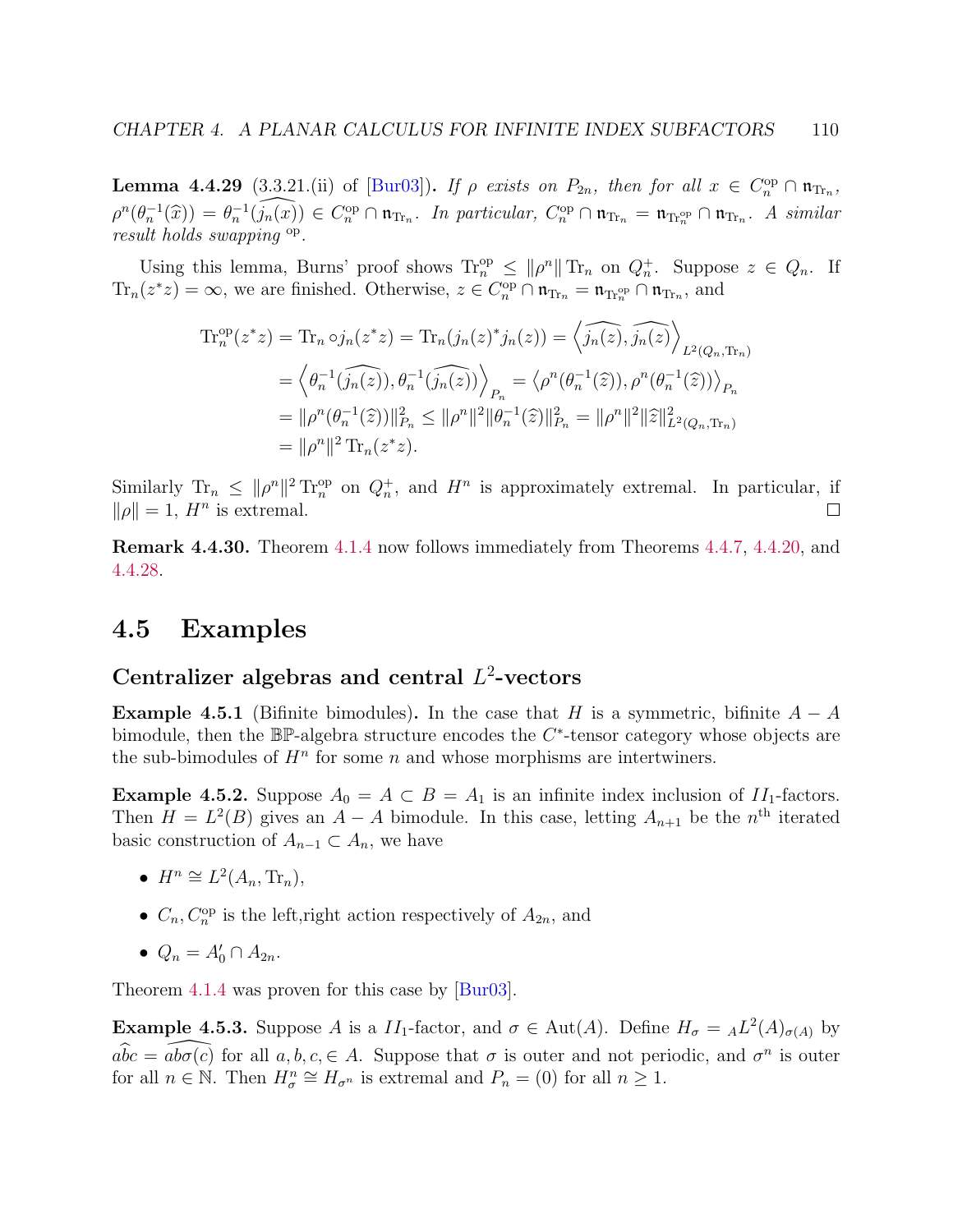**Lemma 4.4.29** (3.3.21.(ii) of [\[Bur03\]](#page-139-0)). If  $\rho$  exists on  $P_{2n}$ , then for all  $x \in C_n^{\text{op}} \cap \mathfrak{n}_{\text{Tr}_n}$ ,  $\rho^{n}(\theta_{n}^{-1}(\widehat{x})) = \theta_{n}^{-1}(\widehat{j_{n}(x)}) \in C_{n}^{\text{op}} \cap \mathfrak{n}_{\text{Tr}_{n}}$ . In particular,  $C_{n}^{\text{op}} \cap \mathfrak{n}_{\text{Tr}_{n}} = \mathfrak{n}_{\text{Tr}_{n}^{\text{op}}} \cap \mathfrak{n}_{\text{Tr}_{n}}$ . A similar result holds swapping op.

Using this lemma, Burns' proof shows  $\text{Tr}_n^{\text{op}} \leq ||\rho^n|| \text{Tr}_n$  on  $Q_n^+$ . Suppose  $z \in Q_n$ . If  $\text{Tr}_n(z^*z) = \infty$ , we are finished. Otherwise,  $z \in C_n^{\text{op}} \cap \mathfrak{n}_{\text{Tr}_n} = \mathfrak{n}_{\text{Tr}_n^{\text{op}}} \cap \mathfrak{n}_{\text{Tr}_n}$ , and

$$
\begin{split} \text{Tr}_{n}^{\text{op}}(z^{*}z) &= \text{Tr}_{n} \circ j_{n}(z^{*}z) = \text{Tr}_{n}(j_{n}(z)^{*}j_{n}(z)) = \left\langle \widehat{j_{n}(z)}, \widehat{j_{n}(z)} \right\rangle_{L^{2}(Q_{n}, \text{Tr}_{n})} \\ &= \left\langle \theta_{n}^{-1}(\widehat{j_{n}(z)}), \theta_{n}^{-1}(\widehat{j_{n}(z)}) \right\rangle_{P_{n}} = \left\langle \rho^{n}(\theta_{n}^{-1}(\widehat{z})), \rho^{n}(\theta_{n}^{-1}(\widehat{z})) \right\rangle_{P_{n}} \\ &= \|\rho^{n}(\theta_{n}^{-1}(\widehat{z}))\|_{P_{n}}^{2} \le \|\rho^{n}\|^{2} \|\theta_{n}^{-1}(\widehat{z})\|_{P_{n}}^{2} = \|\rho^{n}\|^{2} \|\widehat{z}\|_{L^{2}(Q_{n}, \text{Tr}_{n})}^{2} \\ &= \|\rho^{n}\|^{2} \text{Tr}_{n}(z^{*}z). \end{split}
$$

Similarly  $\text{Tr}_n \leq ||\rho^n||^2 \text{Tr}_n^{\text{op}}$  on  $Q_n^+$ , and  $H^n$  is approximately extremal. In particular, if  $\|\rho\|=1$ ,  $H^n$  is extremal.  $\Box$ 

Remark 4.4.30. Theorem [4.1.4](#page-82-0) now follows immediately from Theorems [4.4.7,](#page-0-0) [4.4.20,](#page-112-0) and [4.4.28.](#page-113-1)

## 4.5 Examples

# Centralizer algebras and central  $L^2$ -vectors

<span id="page-114-0"></span>**Example 4.5.1** (Bifinite bimodules). In the case that H is a symmetric, bifinite  $A - A$ bimodule, then the  $\mathbb{BP}$ -algebra structure encodes the  $C^*$ -tensor category whose objects are the sub-bimodules of  $H<sup>n</sup>$  for some n and whose morphisms are intertwiners.

**Example 4.5.2.** Suppose  $A_0 = A \subset B = A_1$  is an infinite index inclusion of  $II_1$ -factors. Then  $H = L<sup>2</sup>(B)$  gives an  $A - A$  bimodule. In this case, letting  $A_{n+1}$  be the n<sup>th</sup> iterated basic construction of  $A_{n-1} \subset A_n$ , we have

- $H^n \cong L^2(A_n, \text{Tr}_n),$
- $C_n$ ,  $C_n^{\text{op}}$  is the left, right action respectively of  $A_{2n}$ , and
- $Q_n = A'_0 \cap A_{2n}$ .

Theorem [4.1.4](#page-82-0) was proven for this case by [\[Bur03\]](#page-139-0).

<span id="page-114-1"></span>**Example 4.5.3.** Suppose A is a  $II_1$ -factor, and  $\sigma \in \text{Aut}(A)$ . Define  $H_{\sigma} = {}_A L^2(A)_{\sigma(A)}$  by  $a\widehat{bc} = \widehat{ab\sigma(c)}$  for all  $a, b, c, \in A$ . Suppose that  $\sigma$  is outer and not periodic, and  $\sigma^n$  is outer for all  $n \in \mathbb{N}$ . Then  $H_{\sigma}^{n} \cong H_{\sigma^{n}}$  is extremal and  $P_{n} = (0)$  for all  $n \geq 1$ .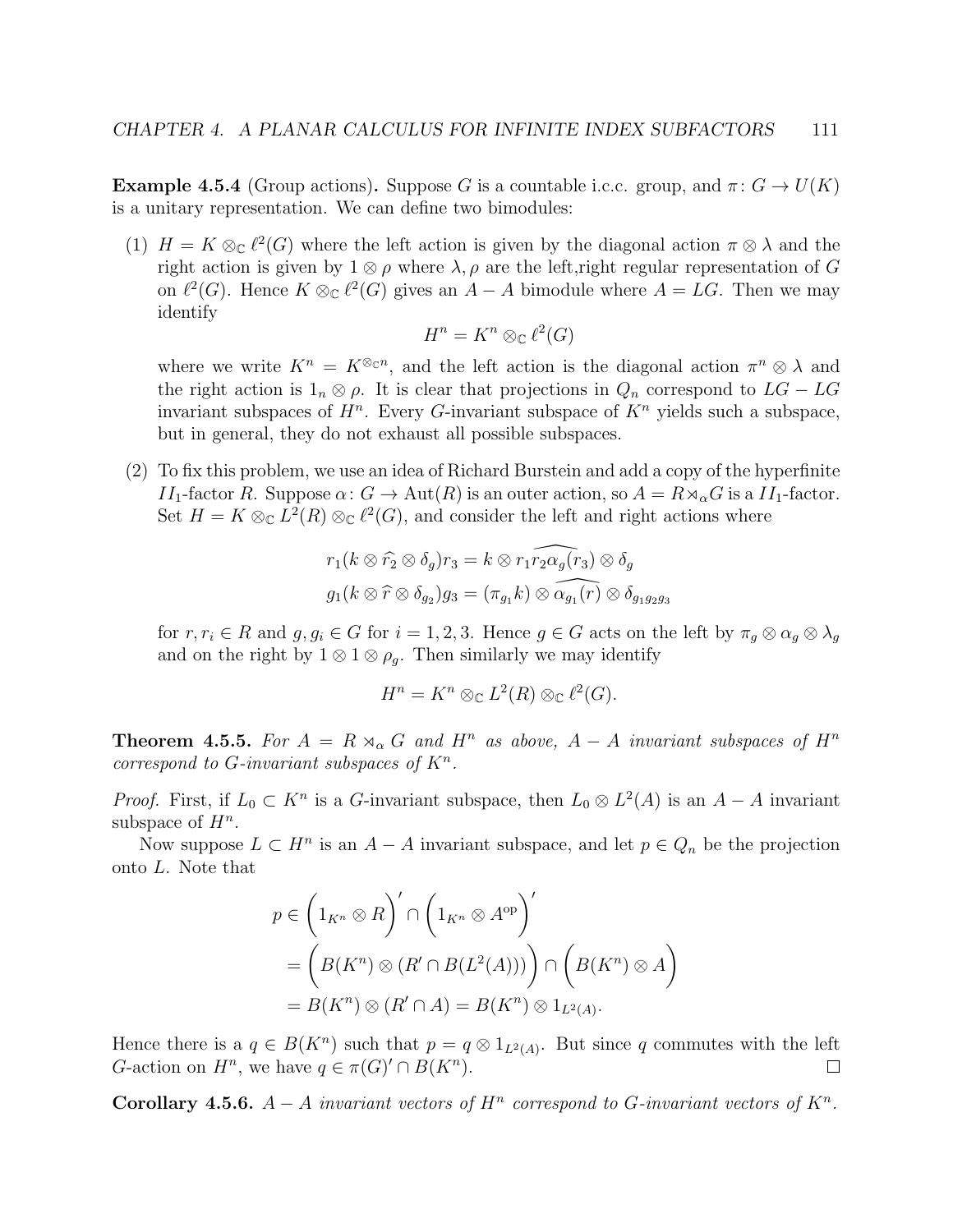<span id="page-115-0"></span>**Example 4.5.4** (Group actions). Suppose G is a countable i.c.c. group, and  $\pi: G \to U(K)$ is a unitary representation. We can define two bimodules:

(1)  $H = K \otimes_{\mathbb{C}} \ell^2(G)$  where the left action is given by the diagonal action  $\pi \otimes \lambda$  and the right action is given by  $1 \otimes \rho$  where  $\lambda, \rho$  are the left,right regular representation of G on  $\ell^2(G)$ . Hence  $K \otimes_{\mathbb{C}} \ell^2(G)$  gives an  $A - A$  bimodule where  $A = LG$ . Then we may identify

$$
H^n = K^n \otimes_{\mathbb{C}} \ell^2(G)
$$

where we write  $K^n = K^{\otimes_{\mathbb{C}^n}}$ , and the left action is the diagonal action  $\pi^n \otimes \lambda$  and the right action is  $1_n \otimes \rho$ . It is clear that projections in  $Q_n$  correspond to  $LG - LG$ invariant subspaces of  $H^n$ . Every G-invariant subspace of  $K^n$  yields such a subspace, but in general, they do not exhaust all possible subspaces.

(2) To fix this problem, we use an idea of Richard Burstein and add a copy of the hyperfinite  $II_1$ -factor R. Suppose  $\alpha: G \to \text{Aut}(R)$  is an outer action, so  $A = R \rtimes_{\alpha} G$  is a  $II_1$ -factor. Set  $H = K \otimes_{\mathbb{C}} L^2(R) \otimes_{\mathbb{C}} \ell^2(G)$ , and consider the left and right actions where

$$
r_1(k \otimes \widehat{r}_2 \otimes \delta_g) r_3 = k \otimes \widehat{r_1 r_2 \alpha_g(r_3)} \otimes \delta_g
$$

$$
g_1(k \otimes \widehat{r} \otimes \delta_{g_2}) g_3 = (\pi_{g_1} k) \otimes \widehat{\alpha_{g_1(r)}} \otimes \delta_{g_1 g_2 g_3}
$$

for  $r, r_i \in R$  and  $g, g_i \in G$  for  $i = 1, 2, 3$ . Hence  $g \in G$  acts on the left by  $\pi_g \otimes \alpha_g \otimes \lambda_g$ and on the right by  $1 \otimes 1 \otimes \rho_g$ . Then similarly we may identify

$$
H^n = K^n \otimes_{\mathbb{C}} L^2(R) \otimes_{\mathbb{C}} \ell^2(G).
$$

<span id="page-115-1"></span>**Theorem 4.5.5.** For  $A = R \rtimes_{\alpha} G$  and  $H^n$  as above,  $A - A$  invariant subspaces of  $H^n$ correspond to  $G$ -invariant subspaces of  $K<sup>n</sup>$ .

*Proof.* First, if  $L_0 \subset K^n$  is a G-invariant subspace, then  $L_0 \otimes L^2(A)$  is an  $A - A$  invariant subspace of  $H^n$ .

Now suppose  $L \subset H^n$  is an  $A - A$  invariant subspace, and let  $p \in Q_n$  be the projection onto L. Note that

$$
p \in \left(1_{K^n} \otimes R\right)' \cap \left(1_{K^n} \otimes A^{op}\right)'
$$
  
= 
$$
\left(B(K^n) \otimes (R' \cap B(L^2(A)))\right) \cap \left(B(K^n) \otimes A\right)
$$
  
= 
$$
B(K^n) \otimes (R' \cap A) = B(K^n) \otimes 1_{L^2(A)}.
$$

Hence there is a  $q \in B(K^n)$  such that  $p = q \otimes 1_{L^2(A)}$ . But since q commutes with the left G-action on  $H^n$ , we have  $q \in \pi(G)' \cap B(K^n)$ .  $\Box$ 

Corollary 4.5.6.  $A - A$  invariant vectors of  $H^n$  correspond to G-invariant vectors of  $K^n$ .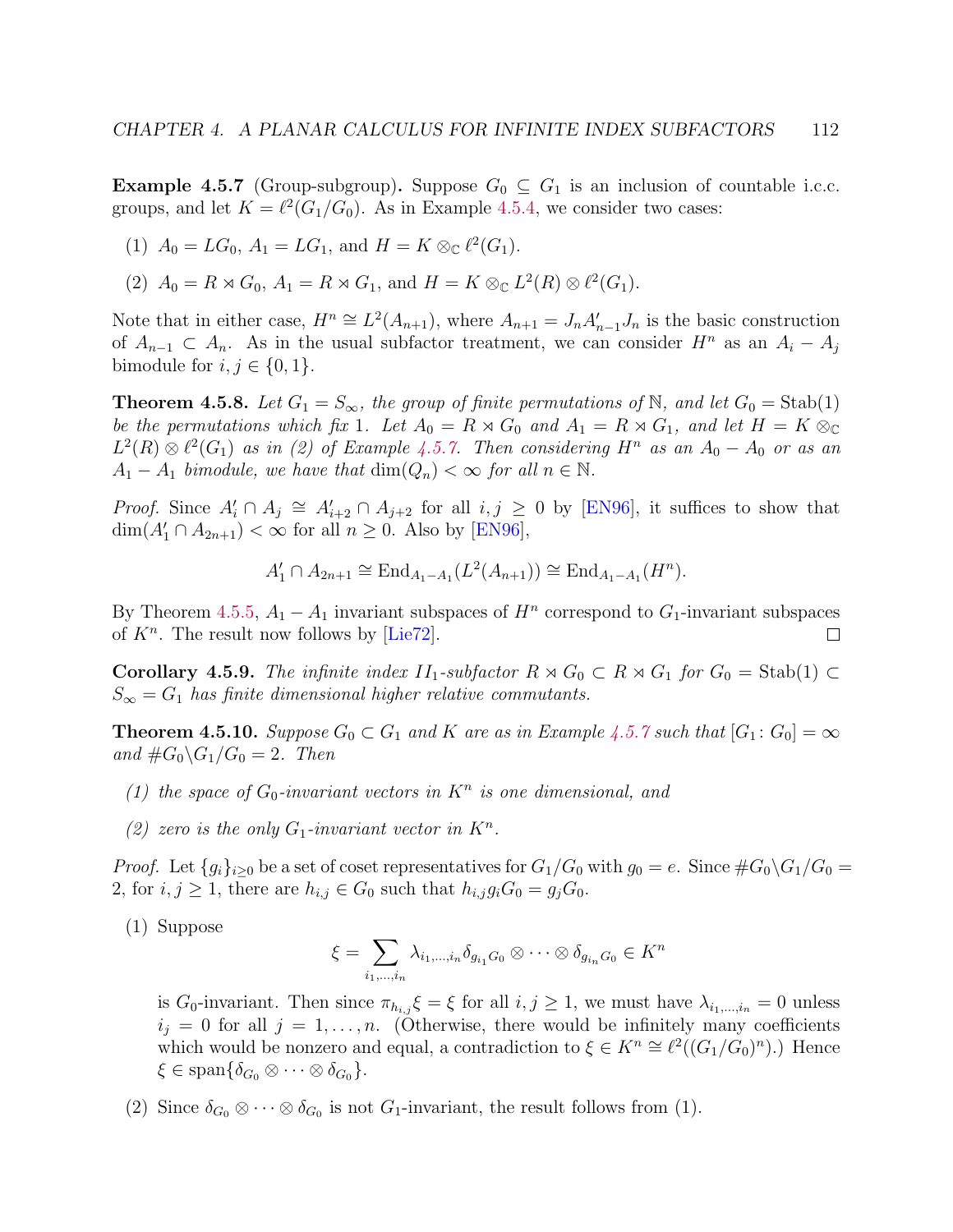<span id="page-116-0"></span>**Example 4.5.7** (Group-subgroup). Suppose  $G_0 \subseteq G_1$  is an inclusion of countable i.c.c. groups, and let  $K = \ell^2(G_1/G_0)$ . As in Example [4.5.4,](#page-115-0) we consider two cases:

- (1)  $A_0 = LG_0$ ,  $A_1 = LG_1$ , and  $H = K \otimes_{\mathbb{C}} \ell^2(G_1)$ .
- (2)  $A_0 = R \rtimes G_0$ ,  $A_1 = R \rtimes G_1$ , and  $H = K \otimes_{\mathbb{C}} L^2(R) \otimes \ell^2(G_1)$ .

Note that in either case,  $H^n \cong L^2(A_{n+1})$ , where  $A_{n+1} = J_n A'_{n-1} J_n$  is the basic construction of  $A_{n-1} \subset A_n$ . As in the usual subfactor treatment, we can consider  $H^n$  as an  $A_i - A_j$ bimodule for  $i, j \in \{0, 1\}.$ 

**Theorem 4.5.8.** Let  $G_1 = S_{\infty}$ , the group of finite permutations of N, and let  $G_0 = \text{Stab}(1)$ be the permutations which fix 1. Let  $A_0 = R \rtimes G_0$  and  $A_1 = R \rtimes G_1$ , and let  $H = K \otimes_{\mathbb{C}}$  $L^2(R) \otimes \ell^2(G_1)$  as in (2) of Example [4.5.7.](#page-116-0) Then considering  $H^n$  as an  $A_0 - A_0$  or as an  $A_1 - A_1$  bimodule, we have that  $\dim(Q_n) < \infty$  for all  $n \in \mathbb{N}$ .

*Proof.* Since  $A'_i \cap A_j \cong A'_{i+2} \cap A_{j+2}$  for all  $i, j \ge 0$  by [\[EN96\]](#page-140-1), it suffices to show that  $\dim(A'_1 \cap A_{2n+1}) < \infty$  for all  $n \geq 0$ . Also by [\[EN96\]](#page-140-1),

$$
A'_1 \cap A_{2n+1} \cong \text{End}_{A_1 - A_1}(L^2(A_{n+1})) \cong \text{End}_{A_1 - A_1}(H^n).
$$

By Theorem [4.5.5,](#page-115-1)  $A_1 - A_1$  invariant subspaces of  $H^n$  correspond to  $G_1$ -invariant subspaces of  $K<sup>n</sup>$ . The result now follows by [\[Lie72\]](#page-141-0).  $\Box$ 

**Corollary 4.5.9.** The infinite index  $II_1$ -subfactor  $R \rtimes G_0 \subset R \rtimes G_1$  for  $G_0 = \text{Stab}(1) \subset$  $S_{\infty} = G_1$  has finite dimensional higher relative commutants.

<span id="page-116-1"></span>**Theorem 4.5.10.** Suppose  $G_0 \subset G_1$  and K are as in Example [4.5.7](#page-116-0) such that  $[G_1: G_0] = \infty$ and  $\#G_0 \backslash G_1/G_0 = 2$ . Then

- (1) the space of  $G_0$ -invariant vectors in  $K^n$  is one dimensional, and
- (2) zero is the only  $G_1$ -invariant vector in  $K^n$ .

*Proof.* Let  ${g_i}_{i>0}$  be a set of coset representatives for  $G_1/G_0$  with  $g_0 = e$ . Since  $\#G_0 \backslash G_1/G_0 =$ 2, for  $i, j \geq 1$ , there are  $h_{i,j} \in G_0$  such that  $h_{i,j}g_iG_0 = g_iG_0$ .

(1) Suppose

$$
\xi = \sum_{i_1,\dots,i_n} \lambda_{i_1,\dots,i_n} \delta_{g_{i_1}G_0} \otimes \dots \otimes \delta_{g_{i_n}G_0} \in K^n
$$

is G<sub>0</sub>-invariant. Then since  $\pi_{h_i,j} \xi = \xi$  for all  $i,j \geq 1$ , we must have  $\lambda_{i_1,\dots,i_n} = 0$  unless  $i_j = 0$  for all  $j = 1, \ldots, n$ . (Otherwise, there would be infinitely many coefficients which would be nonzero and equal, a contradiction to  $\xi \in K^n \cong \ell^2((G_1/G_0)^n)$ .) Hence  $\xi \in \text{span}\{\delta_{G_0} \otimes \cdots \otimes \delta_{G_0}\}.$ 

(2) Since  $\delta_{G_0} \otimes \cdots \otimes \delta_{G_0}$  is not  $G_1$ -invariant, the result follows from (1).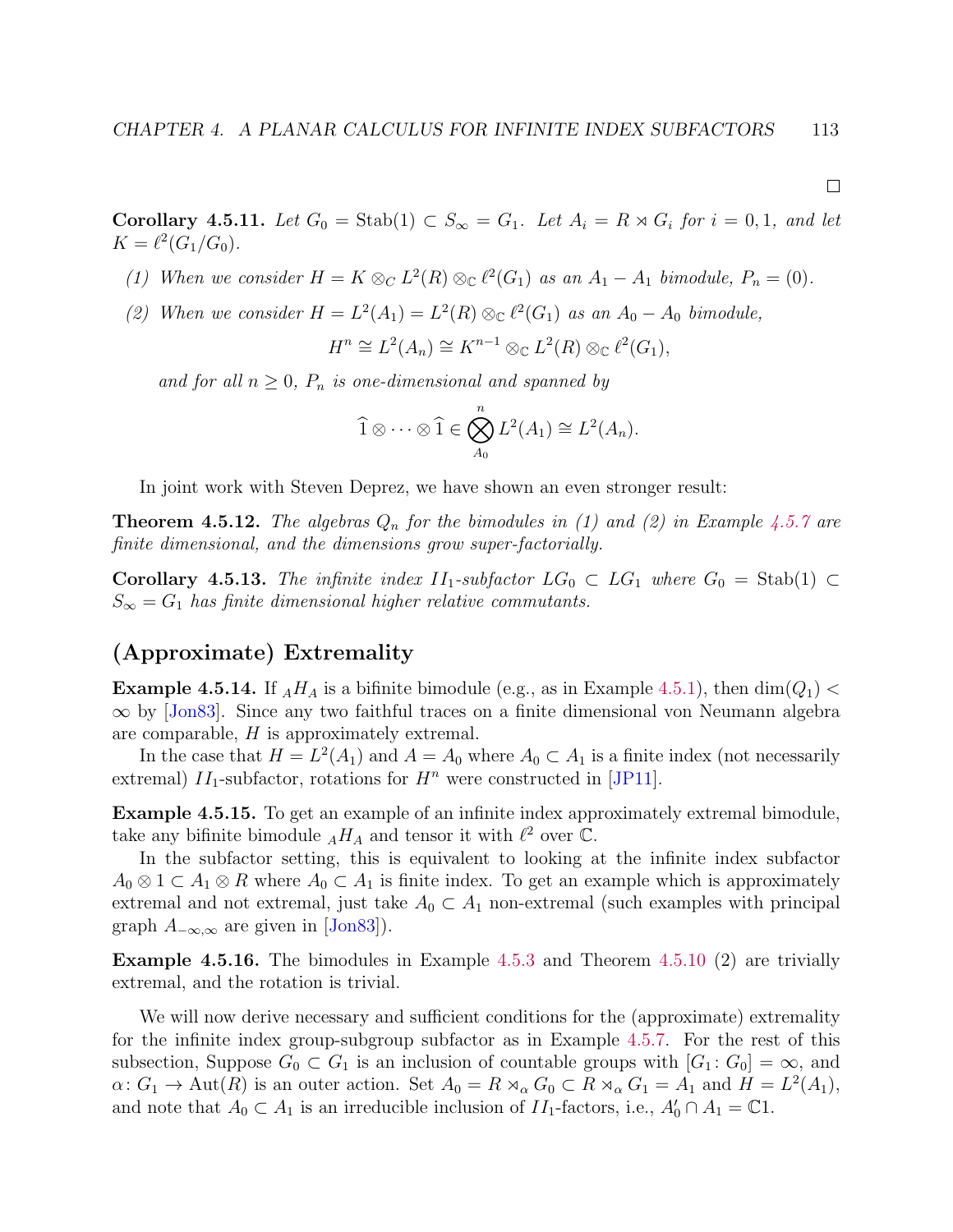**Corollary 4.5.11.** Let  $G_0 = \text{Stab}(1) \subset S_\infty = G_1$ . Let  $A_i = R \rtimes G_i$  for  $i = 0, 1$ , and let  $K = \ell^2(G_1/G_0).$ 

- (1) When we consider  $H = K \otimes_C L^2(R) \otimes_{\mathbb{C}} \ell^2(G_1)$  as an  $A_1 A_1$  bimodule,  $P_n = (0)$ .
- (2) When we consider  $H = L^2(A_1) = L^2(R) \otimes_{\mathbb{C}} \ell^2(G_1)$  as an  $A_0 A_0$  bimodule,

$$
H^n \cong L^2(A_n) \cong K^{n-1} \otimes_{\mathbb{C}} L^2(R) \otimes_{\mathbb{C}} \ell^2(G_1),
$$

and for all  $n \geq 0$ ,  $P_n$  is one-dimensional and spanned by

$$
\widehat{1} \otimes \cdots \otimes \widehat{1} \in \bigotimes_{A_0}^n L^2(A_1) \cong L^2(A_n).
$$

In joint work with Steven Deprez, we have shown an even stronger result:

**Theorem 4.5.12.** The algebras  $Q_n$  for the bimodules in (1) and (2) in Example [4.5.7](#page-116-0) are finite dimensional, and the dimensions grow super-factorially.

Corollary 4.5.13. The infinite index  $II_1$ -subfactor  $LG_0 \subset LG_1$  where  $G_0 = \text{Stab}(1) \subset$  $S_{\infty} = G_1$  has finite dimensional higher relative commutants.

## (Approximate) Extremality

**Example 4.5.14.** If  $_AH_A$  is a bifinite bimodule (e.g., as in Example [4.5.1\)](#page-114-0), then dim( $Q_1$ ) < ∞ by [\[Jon83\]](#page-141-1). Since any two faithful traces on a finite dimensional von Neumann algebra are comparable, H is approximately extremal.

In the case that  $H = L^2(A_1)$  and  $A = A_0$  where  $A_0 \subset A_1$  is a finite index (not necessarily extremal)  $II_1$ -subfactor, rotations for  $H^n$  were constructed in [\[JP11\]](#page-141-2).

Example 4.5.15. To get an example of an infinite index approximately extremal bimodule, take any bifinite bimodule  $_A H_A$  and tensor it with  $\ell^2$  over  $\mathbb{C}$ .

In the subfactor setting, this is equivalent to looking at the infinite index subfactor  $A_0 \otimes 1 \subset A_1 \otimes R$  where  $A_0 \subset A_1$  is finite index. To get an example which is approximately extremal and not extremal, just take  $A_0 \subset A_1$  non-extremal (such examples with principal graph  $A_{-\infty,\infty}$  are given in [\[Jon83\]](#page-141-1)).

Example 4.5.16. The bimodules in Example [4.5.3](#page-114-1) and Theorem [4.5.10](#page-116-1) (2) are trivially extremal, and the rotation is trivial.

We will now derive necessary and sufficient conditions for the (approximate) extremality for the infinite index group-subgroup subfactor as in Example [4.5.7.](#page-116-0) For the rest of this subsection, Suppose  $G_0 \subset G_1$  is an inclusion of countable groups with  $[G_1: G_0] = \infty$ , and  $\alpha\colon G_1\to \text{Aut}(R)$  is an outer action. Set  $A_0 = R\rtimes_\alpha G_0 \subset R\rtimes_\alpha G_1 = A_1$  and  $H = L^2(A_1)$ , and note that  $A_0 \subset A_1$  is an irreducible inclusion of  $II_1$ -factors, i.e.,  $A'_0 \cap A_1 = \mathbb{C}1$ .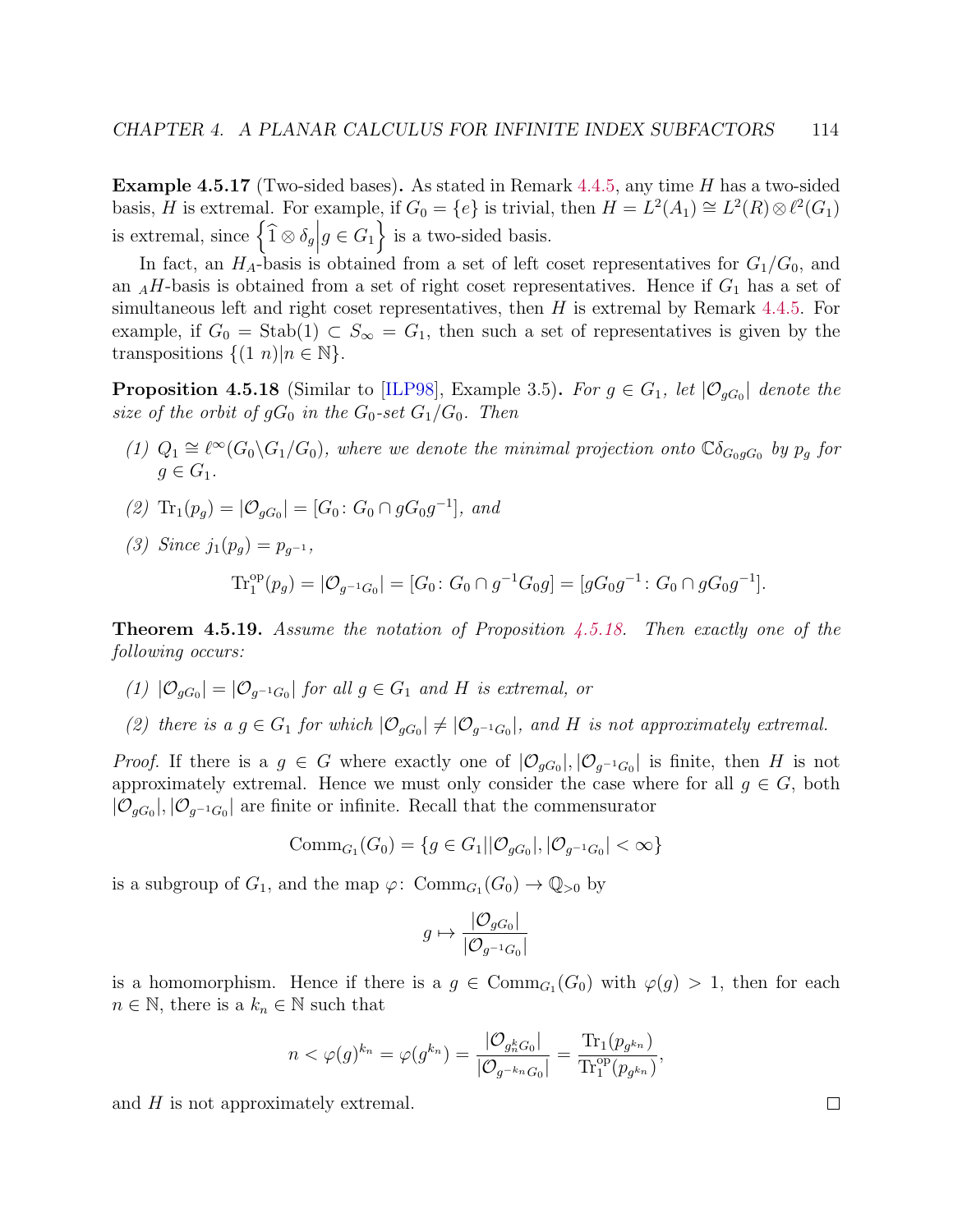Example 4.5.17 (Two-sided bases). As stated in Remark [4.4.5,](#page-106-0) any time H has a two-sided basis, H is extremal. For example, if  $G_0 = \{e\}$  is trivial, then  $H = L^2(A_1) \cong L^2(R) \otimes \ell^2(G_1)$ is extremal, since  $\left\{\widehat{1} \otimes \delta_g \middle| g \in G_1\right\}$  is a two-sided basis.

In fact, an  $H_A$ -basis is obtained from a set of left coset representatives for  $G_1/G_0$ , and an  $_AH$ -basis is obtained from a set of right coset representatives. Hence if  $G_1$  has a set of simultaneous left and right coset representatives, then  $H$  is extremal by Remark [4.4.5.](#page-106-0) For example, if  $G_0 = \text{Stab}(1) \subset S_\infty = G_1$ , then such a set of representatives is given by the transpositions  $\{(1\ n)|n \in \mathbb{N}\}.$ 

<span id="page-118-0"></span>**Proposition 4.5.18** (Similar to [\[ILP98\]](#page-140-2), Example 3.5). For  $g \in G_1$ , let  $|\mathcal{O}_{gG_0}|$  denote the size of the orbit of  $gG_0$  in the  $G_0$ -set  $G_1/G_0$ . Then

- (1)  $Q_1 \cong \ell^{\infty}(G_0 \backslash G_1/G_0)$ , where we denote the minimal projection onto  $\mathbb{C}\delta_{G_0gG_0}$  by  $p_g$  for  $a \in G_1$ .
- (2)  $\text{Tr}_1(p_g) = |\mathcal{O}_{gG_0}| = [G_0: G_0 \cap gG_0g^{-1}],$  and
- (3) Since  $j_1(p_q) = p_{q^{-1}}$ ,

 $\mathrm{Tr}^{\mathrm{op}}_1(p_g) = |\mathcal{O}_{g^{-1}G_0}| = [G_0: G_0 \cap g^{-1}G_0 g] = [g G_0 g^{-1}: G_0 \cap g G_0 g^{-1}].$ 

**Theorem 4.5.19.** Assume the notation of Proposition [4.5.18.](#page-118-0) Then exactly one of the following occurs:

- (1)  $|\mathcal{O}_{gG_0}| = |\mathcal{O}_{g^{-1}G_0}|$  for all  $g \in G_1$  and H is extremal, or
- (2) there is a  $g \in G_1$  for which  $|\mathcal{O}_{gG_0}| \neq |\mathcal{O}_{g^{-1}G_0}|$ , and H is not approximately extremal.

*Proof.* If there is a  $g \in G$  where exactly one of  $|\mathcal{O}_{gG_0}|, |\mathcal{O}_{g^{-1}G_0}|$  is finite, then H is not approximately extremal. Hence we must only consider the case where for all  $g \in G$ , both  $|\mathcal{O}_{gG_0}|, |\mathcal{O}_{g^{-1}G_0}|$  are finite or infinite. Recall that the commensurator

$$
\mathrm{Comm}_{G_1}(G_0) = \{ g \in G_1 | | \mathcal{O}_{gG_0} |, | \mathcal{O}_{g^{-1}G_0} | < \infty \}
$$

is a subgroup of  $G_1$ , and the map  $\varphi$ :  $\mathrm{Comm}_{G_1}(G_0) \to \mathbb{Q}_{>0}$  by

$$
g \mapsto \frac{|\mathcal{O}_{gG_0}|}{|\mathcal{O}_{g^{-1}G_0}|}
$$

is a homomorphism. Hence if there is a  $g \in \text{Comm}_{G_1}(G_0)$  with  $\varphi(g) > 1$ , then for each  $n \in \mathbb{N}$ , there is a  $k_n \in \mathbb{N}$  such that

$$
n < \varphi(g)^{k_n} = \varphi(g^{k_n}) = \frac{|\mathcal{O}_{g_n^k G_0}|}{|\mathcal{O}_{g^{-k_n} G_0}|} = \frac{\text{Tr}_1(p_{g^{k_n}})}{\text{Tr}_1^{\text{op}}(p_{g^{k_n}})},
$$

and  $H$  is not approximately extremal.

 $\Box$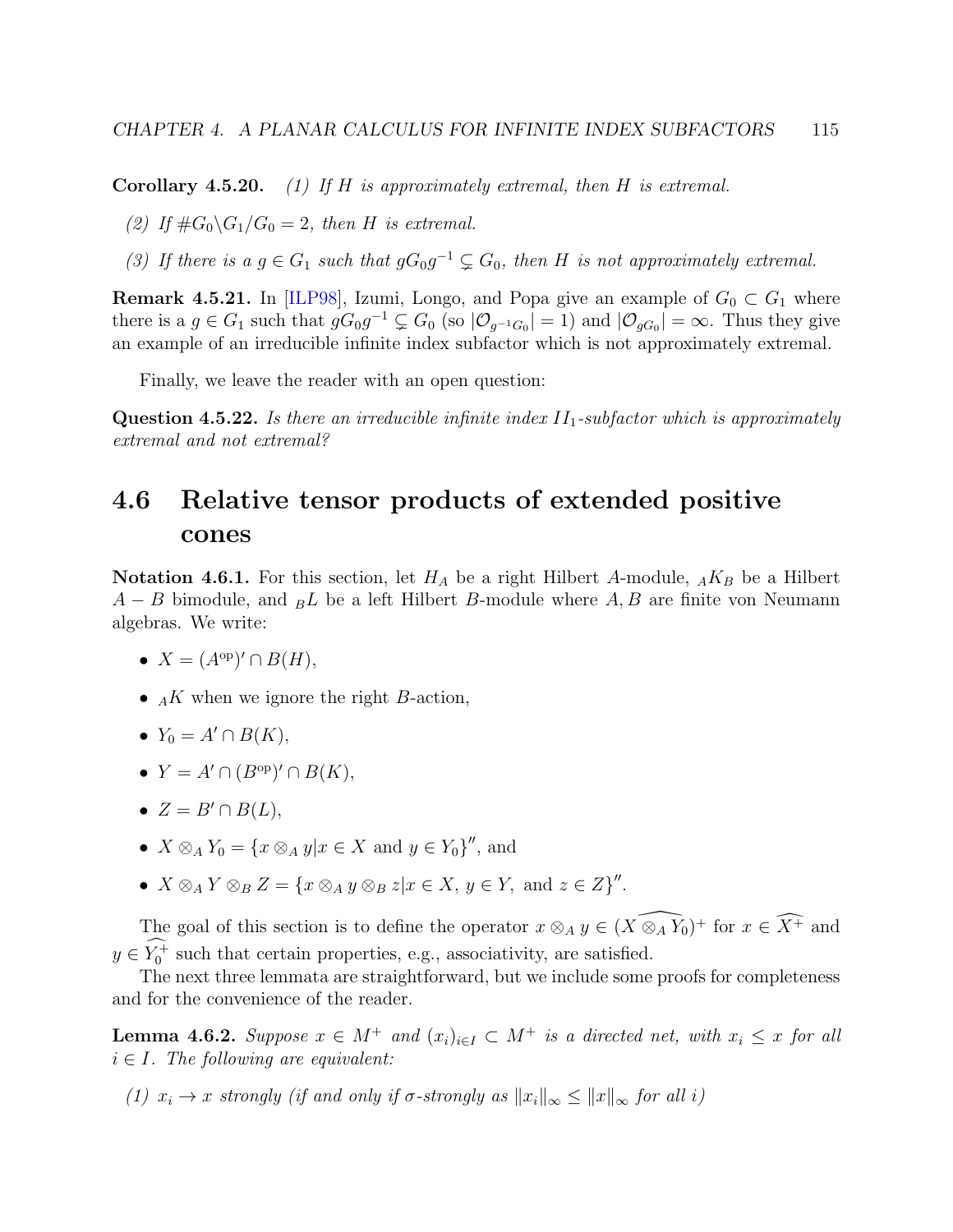**Corollary 4.5.20.** (1) If H is approximately extremal, then H is extremal.

(2) If  $\#G_0 \backslash G_1/G_0 = 2$ , then H is extremal.

(3) If there is a  $g \in G_1$  such that  $gG_0g^{-1} \subsetneq G_0$ , then H is not approximately extremal.

**Remark 4.5.21.** In [\[ILP98\]](#page-140-2), Izumi, Longo, and Popa give an example of  $G_0 \subset G_1$  where there is a  $g \in G_1$  such that  $gG_0g^{-1} \subsetneq G_0$  (so  $|\mathcal{O}_{g^{-1}G_0}| = 1$ ) and  $|\mathcal{O}_{gG_0}| = \infty$ . Thus they give an example of an irreducible infinite index subfactor which is not approximately extremal.

Finally, we leave the reader with an open question:

**Question 4.5.22.** Is there an irreducible infinite index  $II_1$ -subfactor which is approximately extremal and not extremal?

# <span id="page-119-1"></span>4.6 Relative tensor products of extended positive cones

**Notation 4.6.1.** For this section, let  $H_A$  be a right Hilbert A-module,  $_A K_B$  be a Hilbert  $A - B$  bimodule, and  $_B L$  be a left Hilbert B-module where A, B are finite von Neumann algebras. We write:

• 
$$
X = (A^{\rm op})' \cap B(H),
$$

- $_A K$  when we ignore the right B-action,
- $Y_0 = A' \cap B(K)$ ,
- $Y = A' \cap (B^{\rm op})' \cap B(K)$ ,
- $Z = B' \cap B(L)$ ,
- $X \otimes_A Y_0 = \{x \otimes_A y | x \in X \text{ and } y \in Y_0\}''$ , and
- $X \otimes_A Y \otimes_B Z = \{x \otimes_A y \otimes_B z | x \in X, y \in Y, \text{ and } z \in Z\}''$ .

The goal of this section is to define the operator  $x \otimes_A y \in (\widehat{X \otimes_A Y_0})^+$  for  $x \in \widehat{X^+}$  and  $y \in Y_0^+$  such that certain properties, e.g., associativity, are satisfied.

The next three lemmata are straightforward, but we include some proofs for completeness and for the convenience of the reader.

<span id="page-119-0"></span>**Lemma 4.6.2.** Suppose  $x \in M^+$  and  $(x_i)_{i \in I} \subset M^+$  is a directed net, with  $x_i \leq x$  for all  $i \in I$ . The following are equivalent:

(1)  $x_i \to x$  strongly (if and only if  $\sigma$ -strongly as  $||x_i||_{\infty} \le ||x||_{\infty}$  for all i)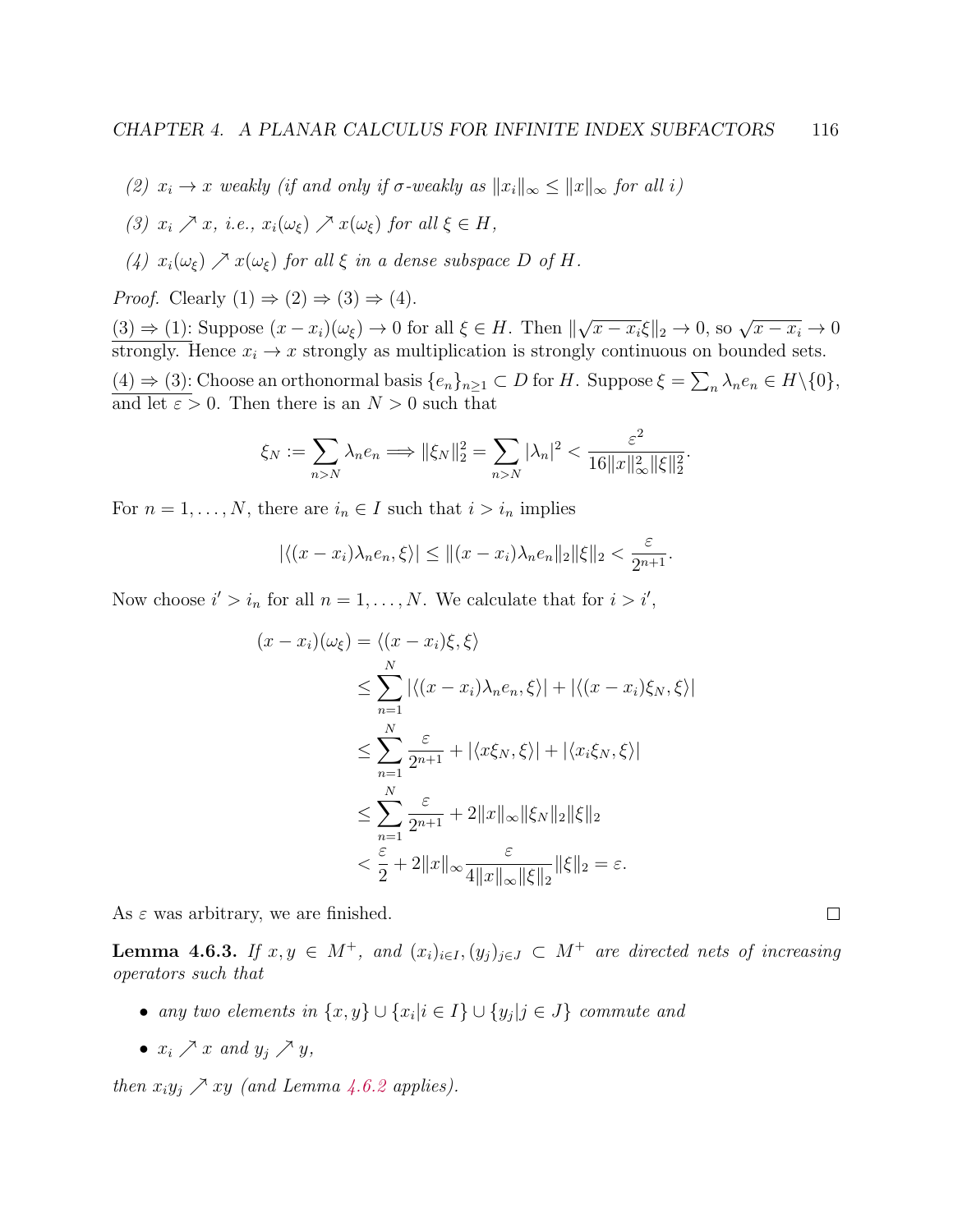- (2)  $x_i \to x$  weakly (if and only if  $\sigma$ -weakly as  $||x_i||_{\infty} \le ||x||_{\infty}$  for all i)
- (3)  $x_i \nearrow x$ , i.e.,  $x_i(\omega_{\xi}) \nearrow x(\omega_{\xi})$  for all  $\xi \in H$ ,
- (4)  $x_i(\omega_{\xi}) \nearrow x(\omega_{\xi})$  for all  $\xi$  in a dense subspace D of H.

*Proof.* Clearly  $(1) \Rightarrow (2) \Rightarrow (3) \Rightarrow (4)$ .

 $(3) \Rightarrow (1)$ : Suppose  $(x - x_i)(\omega_{\xi}) \rightarrow 0$  for all  $\xi \in H$ . Then  $\parallel$  $\sqrt{x-x_i}\xi\|_2\to 0$ , so  $\sqrt{x-x_i}\to 0$ strongly. Hence  $x_i \to x$  strongly as multiplication is strongly continuous on bounded sets.  $(4) \Rightarrow (3)$ : Choose an orthonormal basis  $\{e_n\}_{n\geq 1} \subset D$  for H. Suppose  $\xi = \sum_n \lambda_n e_n \in H \setminus \{0\},$ and let  $\varepsilon > 0$ . Then there is an  $N > 0$  such that

$$
\xi_N := \sum_{n>N} \lambda_n e_n \Longrightarrow \|\xi_N\|_2^2 = \sum_{n>N} |\lambda_n|^2 < \frac{\varepsilon^2}{16 \|x\|_\infty^2 \|\xi\|_2^2}.
$$

For  $n = 1, \ldots, N$ , there are  $i_n \in I$  such that  $i > i_n$  implies

$$
|\langle (x-x_i)\lambda_n e_n, \xi \rangle| \le ||(x-x_i)\lambda_n e_n||_2 ||\xi||_2 < \frac{\varepsilon}{2^{n+1}}.
$$

Now choose  $i' > i_n$  for all  $n = 1, ..., N$ . We calculate that for  $i > i'$ ,

$$
(x - x_i)(\omega_{\xi}) = \langle (x - x_i)\xi, \xi \rangle
$$
  
\n
$$
\leq \sum_{n=1}^{N} |\langle (x - x_i)\lambda_n e_n, \xi \rangle| + |\langle (x - x_i)\xi_N, \xi \rangle|
$$
  
\n
$$
\leq \sum_{n=1}^{N} \frac{\varepsilon}{2^{n+1}} + |\langle x\xi_N, \xi \rangle| + |\langle x_i\xi_N, \xi \rangle|
$$
  
\n
$$
\leq \sum_{n=1}^{N} \frac{\varepsilon}{2^{n+1}} + 2||x||_{\infty} ||\xi_N||_2 ||\xi||_2
$$
  
\n
$$
< \frac{\varepsilon}{2} + 2||x||_{\infty} \frac{\varepsilon}{4||x||_{\infty} ||\xi||_2} ||\xi||_2 = \varepsilon.
$$

As  $\varepsilon$  was arbitrary, we are finished.

<span id="page-120-0"></span>**Lemma 4.6.3.** If  $x, y \in M^+$ , and  $(x_i)_{i \in I}$ ,  $(y_j)_{j \in J} \subset M^+$  are directed nets of increasing operators such that

 $\Box$ 

- any two elements in  $\{x, y\} \cup \{x_i | i \in I\} \cup \{y_j | j \in J\}$  commute and
- $x_i \nearrow x$  and  $y_j \nearrow y$ ,

then  $x_i y_j \nearrow xy$  (and Lemma [4.6.2](#page-119-0) applies).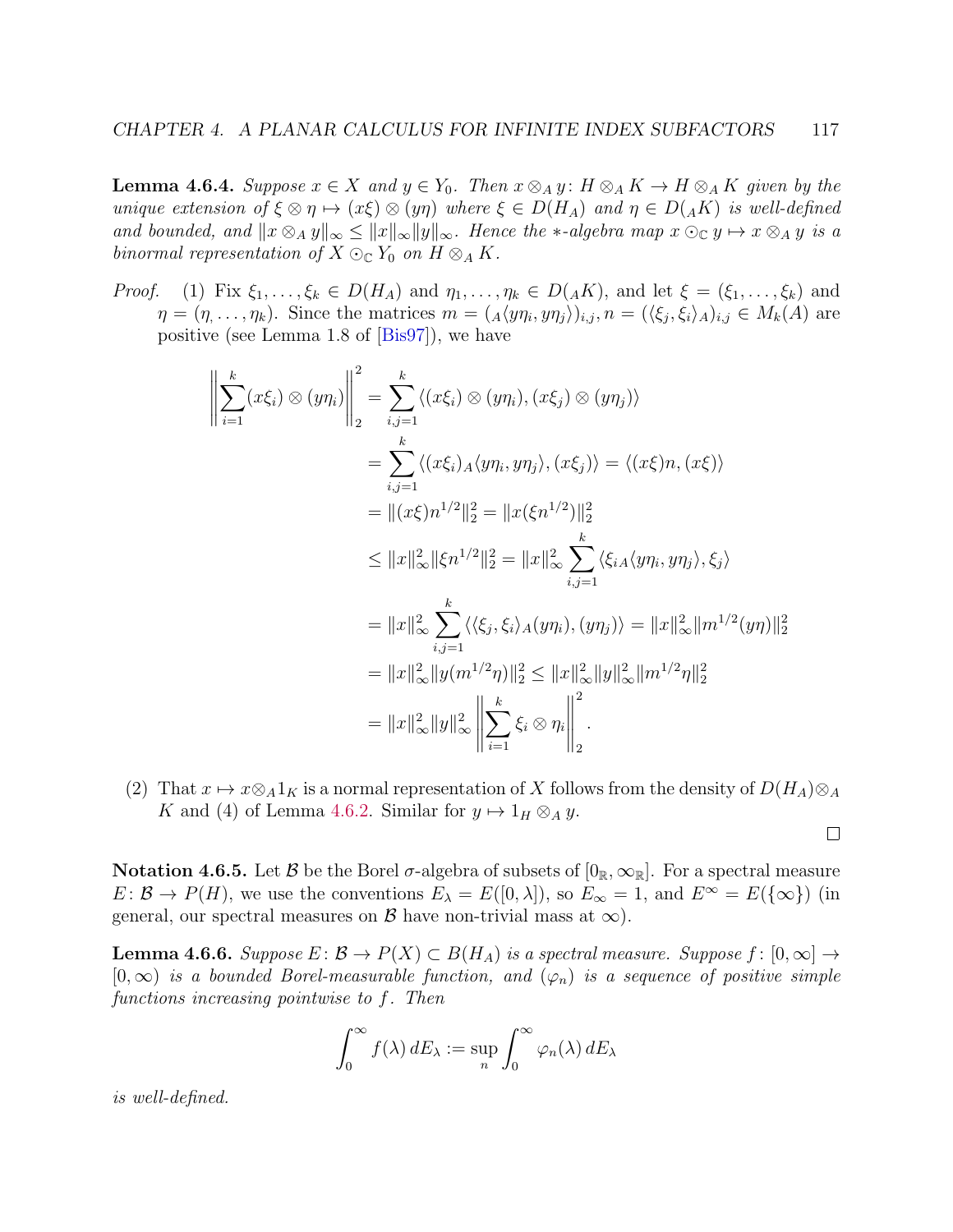**Lemma 4.6.4.** Suppose  $x \in X$  and  $y \in Y_0$ . Then  $x \otimes_A y$ :  $H \otimes_A K \to H \otimes_A K$  given by the unique extension of  $\xi \otimes \eta \mapsto (x\xi) \otimes (y\eta)$  where  $\xi \in D(H_A)$  and  $\eta \in D({}_AK)$  is well-defined and bounded, and  $||x \otimes_A y||_{\infty} \le ||x||_{\infty} ||y||_{\infty}$ . Hence the  $\ast$ -algebra map  $x \odot_{\mathbb{C}} y \mapsto x \otimes_A y$  is a binormal representation of  $X \odot_{\mathbb{C}} Y_0$  on  $H \otimes_A K$ .

*Proof.* (1) Fix  $\xi_1, \ldots, \xi_k \in D(H_A)$  and  $\eta_1, \ldots, \eta_k \in D(AK)$ , and let  $\xi = (\xi_1, \ldots, \xi_k)$  and  $\eta = (\eta, \ldots, \eta_k)$ . Since the matrices  $m = (A \langle y \eta_i, y \eta_j \rangle)_{i,j}, n = (\langle \xi_j, \xi_i \rangle_A)_{i,j} \in M_k(A)$  are positive (see Lemma 1.8 of [\[Bis97\]](#page-139-1)), we have

$$
\left\|\sum_{i=1}^{k} (x\xi_i) \otimes (y\eta_i)\right\|_2^2 = \sum_{i,j=1}^{k} \langle (x\xi_i) \otimes (y\eta_i), (x\xi_j) \otimes (y\eta_j) \rangle
$$
  
\n
$$
= \sum_{i,j=1}^{k} \langle (x\xi_i)_A \langle y\eta_i, y\eta_j \rangle, (x\xi_j) \rangle = \langle (x\xi)n, (x\xi) \rangle
$$
  
\n
$$
= ||(x\xi)n^{1/2}||_2^2 = ||x(\xi n^{1/2})||_2^2
$$
  
\n
$$
\leq ||x||_{\infty}^2 ||\xi n^{1/2}||_2^2 = ||x||_{\infty}^2 \sum_{i,j=1}^{k} \langle \xi_{iA} \langle y\eta_i, y\eta_j \rangle, \xi_j \rangle
$$
  
\n
$$
= ||x||_{\infty}^2 \sum_{i,j=1}^{k} \langle \langle \xi_j, \xi_i \rangle_A (y\eta_i), (y\eta_j) \rangle = ||x||_{\infty}^2 ||m^{1/2}(y\eta)||_2^2
$$
  
\n
$$
= ||x||_{\infty}^2 ||y(m^{1/2}\eta)||_2^2 \leq ||x||_{\infty}^2 ||y||_{\infty}^2 ||m^{1/2}\eta||_2^2
$$
  
\n
$$
= ||x||_{\infty}^2 ||y||_{\infty}^2 \left\|\sum_{i=1}^{k} \xi_i \otimes \eta_i\right\|_2^2.
$$

(2) That  $x \mapsto x \otimes_A 1_K$  is a normal representation of X follows from the density of  $D(H_A) \otimes_A$ K and (4) of Lemma [4.6.2.](#page-119-0) Similar for  $y \mapsto 1_H \otimes_A y$ .

 $\Box$ 

<span id="page-121-1"></span>**Notation 4.6.5.** Let B be the Borel  $\sigma$ -algebra of subsets of  $[0_{\mathbb{R}}, \infty_{\mathbb{R}}]$ . For a spectral measure  $E: \mathcal{B} \to P(H)$ , we use the conventions  $E_{\lambda} = E([0, \lambda])$ , so  $E_{\infty} = 1$ , and  $E^{\infty} = E(\{\infty\})$  (in general, our spectral measures on  $\beta$  have non-trivial mass at  $\infty$ ).

<span id="page-121-0"></span>**Lemma 4.6.6.** Suppose  $E: \mathcal{B} \to P(X) \subset B(H_A)$  is a spectral measure. Suppose  $f: [0, \infty] \to$  $[0,\infty)$  is a bounded Borel-measurable function, and  $(\varphi_n)$  is a sequence of positive simple functions increasing pointwise to f. Then

$$
\int_0^\infty f(\lambda) dE_\lambda := \sup_n \int_0^\infty \varphi_n(\lambda) dE_\lambda
$$

is well-defined.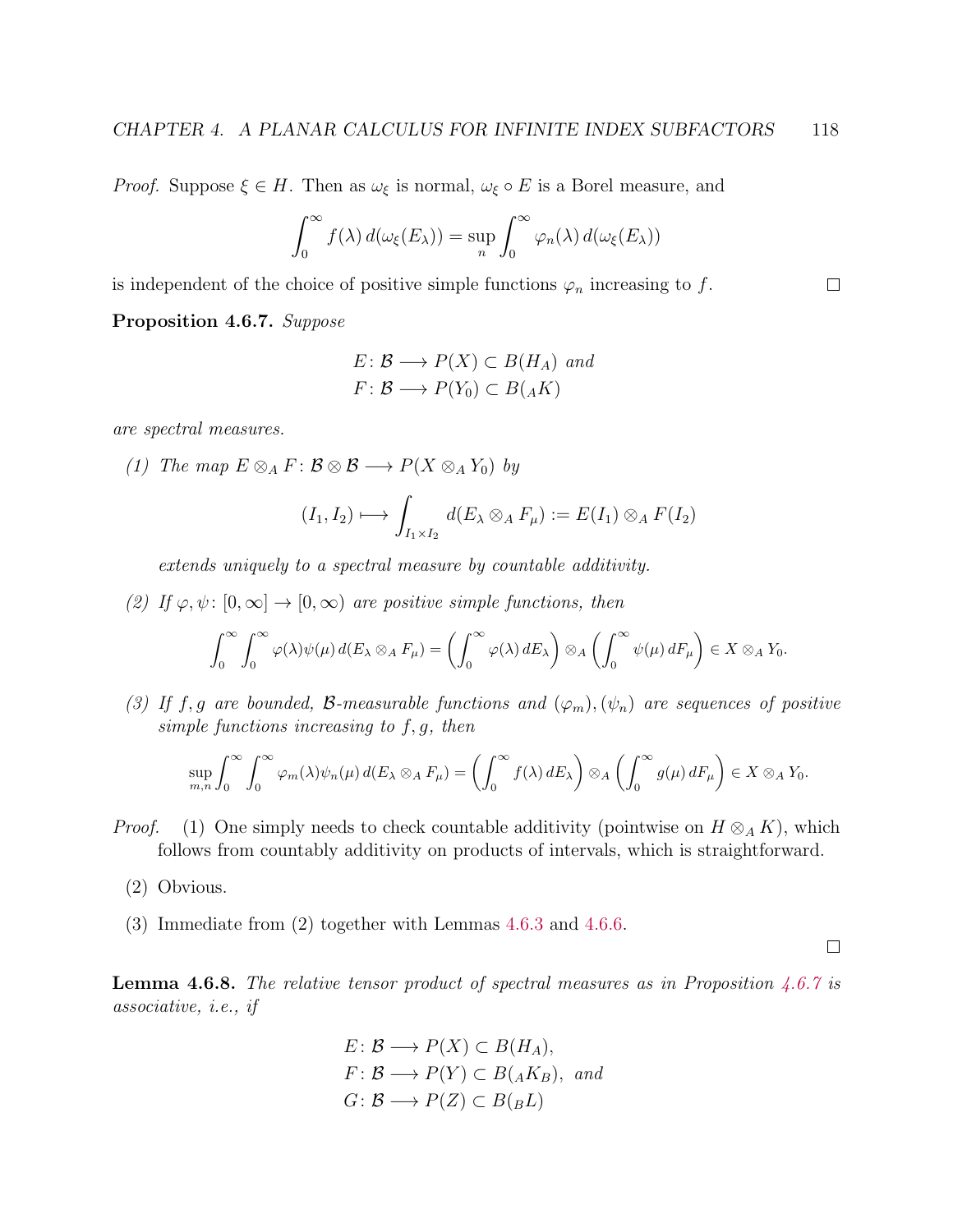*Proof.* Suppose  $\xi \in H$ . Then as  $\omega_{\xi}$  is normal,  $\omega_{\xi} \circ E$  is a Borel measure, and

$$
\int_0^\infty f(\lambda) d(\omega_{\xi}(E_\lambda)) = \sup_n \int_0^\infty \varphi_n(\lambda) d(\omega_{\xi}(E_\lambda))
$$

is independent of the choice of positive simple functions  $\varphi_n$  increasing to f.

<span id="page-122-0"></span>Proposition 4.6.7. Suppose

$$
E: \mathcal{B} \longrightarrow P(X) \subset B(H_A) \text{ and}
$$
  

$$
F: \mathcal{B} \longrightarrow P(Y_0) \subset B(AK)
$$

are spectral measures.

(1) The map  $E \otimes_A F : \mathcal{B} \otimes \mathcal{B} \longrightarrow P(X \otimes_A Y_0)$  by

$$
(I_1, I_2) \longmapsto \int_{I_1 \times I_2} d(E_\lambda \otimes_A F_\mu) := E(I_1) \otimes_A F(I_2)
$$

extends uniquely to a spectral measure by countable additivity.

(2) If  $\varphi, \psi : [0, \infty] \to [0, \infty)$  are positive simple functions, then

$$
\int_0^\infty \int_0^\infty \varphi(\lambda) \psi(\mu) d(E_\lambda \otimes_A F_\mu) = \left( \int_0^\infty \varphi(\lambda) dE_\lambda \right) \otimes_A \left( \int_0^\infty \psi(\mu) dF_\mu \right) \in X \otimes_A Y_0.
$$

(3) If f, g are bounded, B-measurable functions and  $(\varphi_m), (\psi_n)$  are sequences of positive simple functions increasing to  $f, g$ , then

$$
\sup_{m,n}\int_0^\infty\int_0^\infty \varphi_m(\lambda)\psi_n(\mu)\,d(E_\lambda\otimes_A F_\mu)=\left(\int_0^\infty f(\lambda)\,dE_\lambda\right)\otimes_A\left(\int_0^\infty g(\mu)\,dF_\mu\right)\in X\otimes_A Y_0.
$$

- *Proof.* (1) One simply needs to check countable additivity (pointwise on  $H \otimes_A K$ ), which follows from countably additivity on products of intervals, which is straightforward.
	- (2) Obvious.
	- (3) Immediate from (2) together with Lemmas [4.6.3](#page-120-0) and [4.6.6.](#page-121-0)

 $\Box$ 

 $\Box$ 

**Lemma 4.6.8.** The relative tensor product of spectral measures as in Proposition [4.6.7](#page-122-0) is associative, i.e., if

$$
E: \mathcal{B} \longrightarrow P(X) \subset B(H_A),
$$
  

$$
F: \mathcal{B} \longrightarrow P(Y) \subset B(AK_B), \text{ and}
$$
  

$$
G: \mathcal{B} \longrightarrow P(Z) \subset B(BL)
$$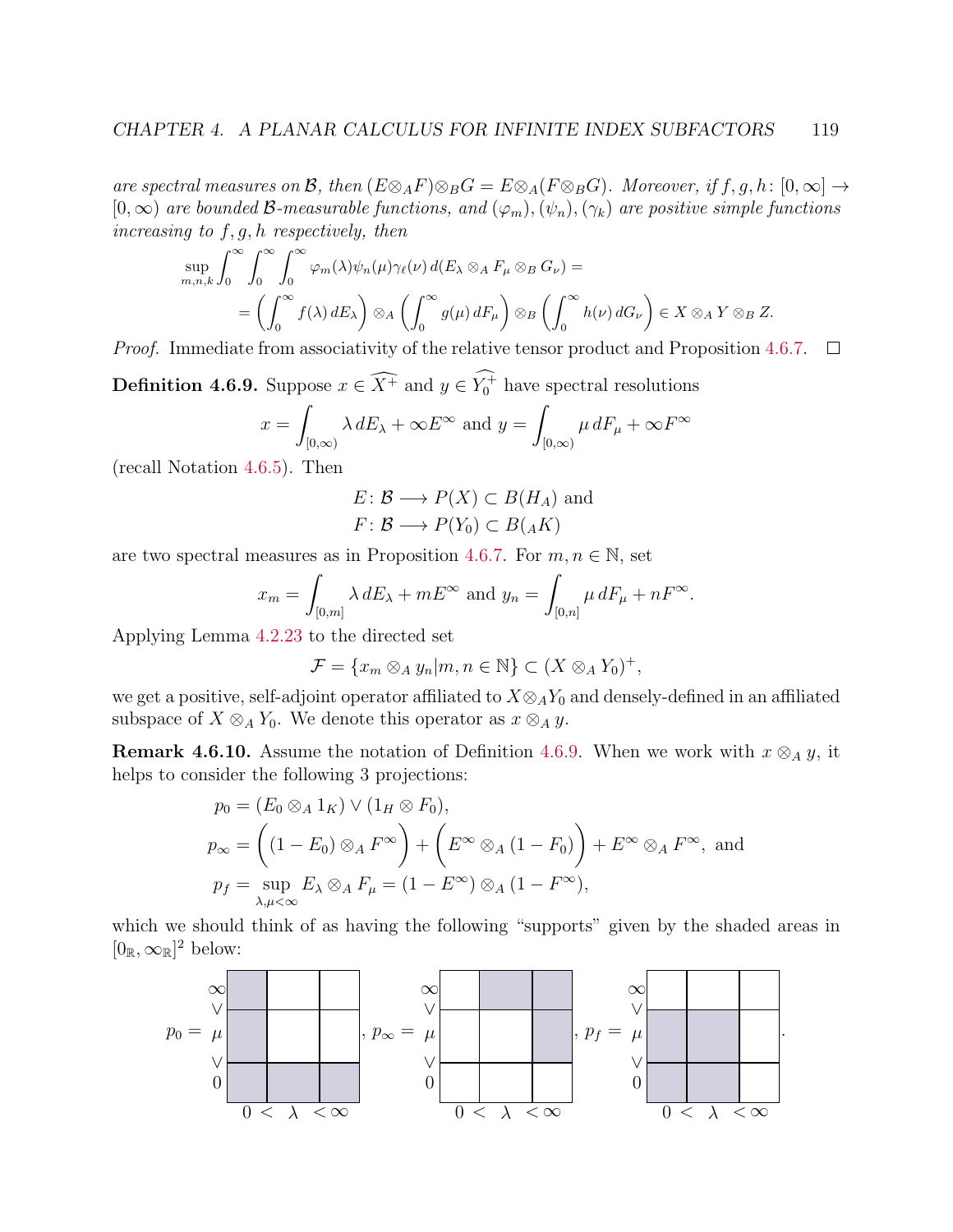are spectral measures on B, then  $(E \otimes_A F) \otimes_B G = E \otimes_A (F \otimes_B G)$ . Moreover, if  $f, g, h : [0, \infty] \rightarrow$  $[0,\infty)$  are bounded B-measurable functions, and  $(\varphi_m),(\psi_n),(\gamma_k)$  are positive simple functions increasing to  $f, g, h$  respectively, then

$$
\sup_{m,n,k} \int_0^\infty \int_0^\infty \int_0^\infty \varphi_m(\lambda) \psi_n(\mu) \gamma_\ell(\nu) d(E_\lambda \otimes_A F_\mu \otimes_B G_\nu) =
$$
\n
$$
= \left( \int_0^\infty f(\lambda) dE_\lambda \right) \otimes_A \left( \int_0^\infty g(\mu) dF_\mu \right) \otimes_B \left( \int_0^\infty h(\nu) dG_\nu \right) \in X \otimes_A Y \otimes_B Z.
$$
\nsumediate from a geometricity of the relative tensor and the real Proposition 4.

*Proof.* Immediate from associativity of the relative tensor product and Proposition [4.6.7.](#page-122-0)  $\Box$ 

<span id="page-123-0"></span>**Definition 4.6.9.** Suppose  $x \in \widehat{X^+}$  and  $y \in Y_0^+$  have spectral resolutions

$$
x = \int_{[0,\infty)} \lambda \, dE_{\lambda} + \infty E^{\infty} \text{ and } y = \int_{[0,\infty)} \mu \, dF_{\mu} + \infty F^{\infty}
$$

(recall Notation [4.6.5\)](#page-121-1). Then

$$
E: \mathcal{B} \longrightarrow P(X) \subset B(H_A) \text{ and}
$$
  

$$
F: \mathcal{B} \longrightarrow P(Y_0) \subset B(AK)
$$

are two spectral measures as in Proposition [4.6.7.](#page-122-0) For  $m, n \in \mathbb{N}$ , set

$$
x_m = \int_{[0,m]} \lambda \, dE_\lambda + mE^\infty \text{ and } y_n = \int_{[0,n]} \mu \, dF_\mu + nF^\infty.
$$

Applying Lemma [4.2.23](#page-93-0) to the directed set

$$
\mathcal{F} = \{x_m \otimes_A y_n | m, n \in \mathbb{N}\} \subset (X \otimes_A Y_0)^+,
$$

we get a positive, self-adjoint operator affiliated to  $X \otimes_A Y_0$  and densely-defined in an affiliated subspace of  $X \otimes_A Y_0$ . We denote this operator as  $x \otimes_A y$ .

<span id="page-123-1"></span>**Remark 4.6.10.** Assume the notation of Definition [4.6.9.](#page-123-0) When we work with  $x \otimes_A y$ , it helps to consider the following 3 projections:

$$
p_0 = (E_0 \otimes_A 1_K) \vee (1_H \otimes F_0),
$$
  
\n
$$
p_{\infty} = ((1 - E_0) \otimes_A F^{\infty}) + (E^{\infty} \otimes_A (1 - F_0)) + E^{\infty} \otimes_A F^{\infty},
$$
 and  
\n
$$
p_f = \sup_{\lambda, \mu < \infty} E_{\lambda} \otimes_A F_{\mu} = (1 - E^{\infty}) \otimes_A (1 - F^{\infty}),
$$

which we should think of as having the following "supports" given by the shaded areas in  $[0_{\mathbb{R}}, \infty_{\mathbb{R}}]^2$  below:

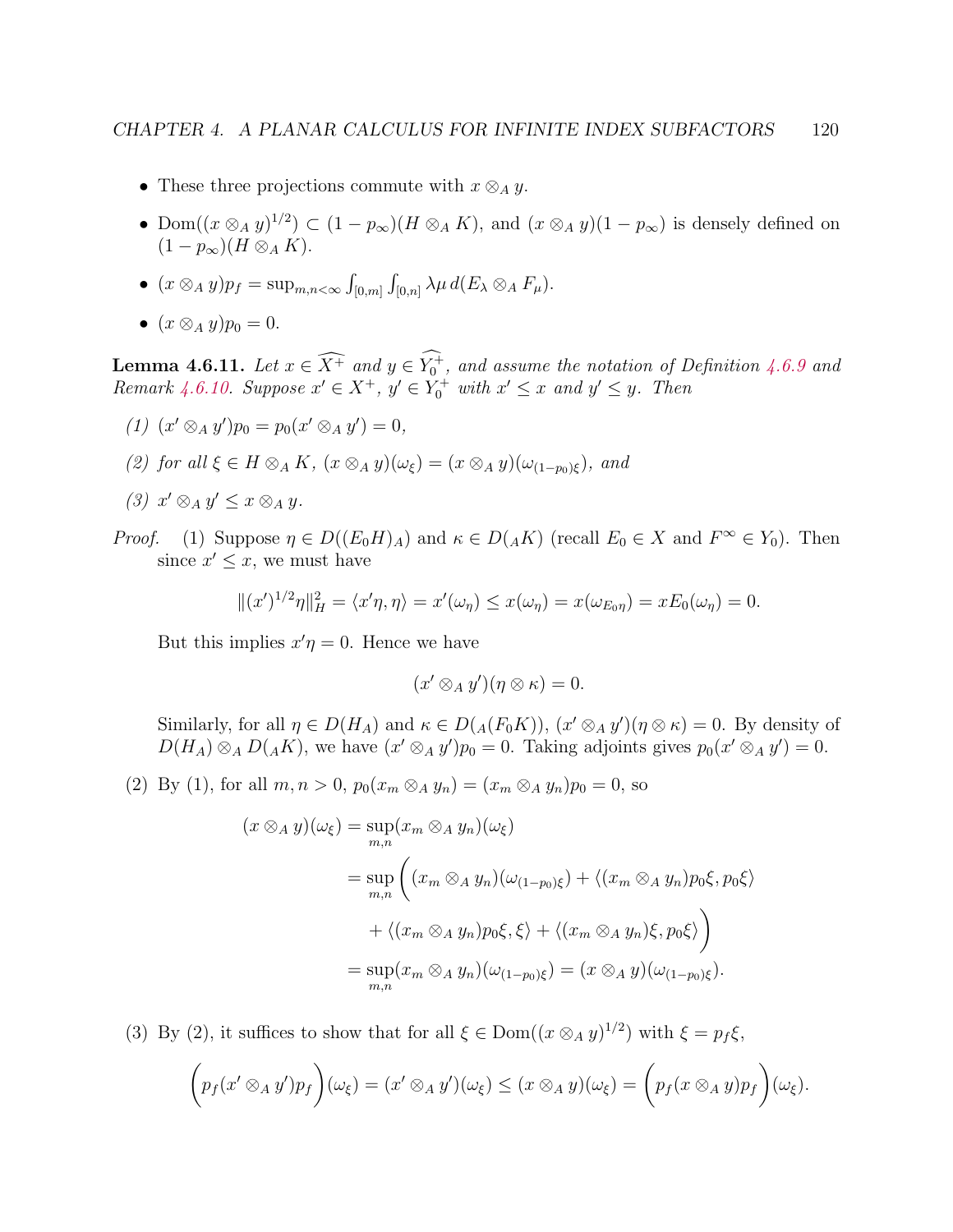- These three projections commute with  $x \otimes_A y$ .
- Dom $((x \otimes_A y)^{1/2}) \subset (1 p_\infty)(H \otimes_A K)$ , and  $(x \otimes_A y)(1 p_\infty)$  is densely defined on  $(1-p_{\infty})(H \otimes_A K).$
- $(x \otimes_A y)p_f = \sup_{m,n < \infty} \int_{[0,m]} \int_{[0,n]} \lambda \mu d(E_\lambda \otimes_A F_\mu).$
- $(x \otimes_A y)p_0 = 0.$

<span id="page-124-0"></span>**Lemma 4.6.11.** Let  $x \in \overline{X^+}$  and  $y \in Y_0^+$ , and assume the notation of Definition [4.6.9](#page-123-0) and Remark [4.6.10.](#page-123-1) Suppose  $x' \in X^+$ ,  $y' \in Y_0^+$  with  $x' \leq x$  and  $y' \leq y$ . Then

- (1)  $(x' \otimes_A y')p_0 = p_0(x' \otimes_A y') = 0,$
- (2) for all  $\xi \in H \otimes_A K$ ,  $(x \otimes_A y)(\omega_{\xi}) = (x \otimes_A y)(\omega_{(1-n_0)\xi})$ , and
- (3)  $x' \otimes_A y' \leq x \otimes_A y$ .
- *Proof.* (1) Suppose  $\eta \in D((E_0H)_A)$  and  $\kappa \in D(AK)$  (recall  $E_0 \in X$  and  $F^{\infty} \in Y_0$ ). Then since  $x' \leq x$ , we must have

$$
\|(x')^{1/2}\eta\|_H^2 = \langle x'\eta, \eta \rangle = x'(\omega_\eta) \le x(\omega_\eta) = x(\omega_{E_0\eta}) = xE_0(\omega_\eta) = 0.
$$

But this implies  $x'\eta = 0$ . Hence we have

$$
(x' \otimes_A y')(\eta \otimes \kappa) = 0.
$$

Similarly, for all  $\eta \in D(H_A)$  and  $\kappa \in D(A(F_0 K))$ ,  $(x' \otimes_A y')(\eta \otimes \kappa) = 0$ . By density of  $D(H_A) \otimes_A D(AK)$ , we have  $(x' \otimes_A y')p_0 = 0$ . Taking adjoints gives  $p_0(x' \otimes_A y') = 0$ .

(2) By (1), for all  $m, n > 0$ ,  $p_0(x_m \otimes_A y_n) = (x_m \otimes_A y_n)p_0 = 0$ , so

$$
(x \otimes_A y)(\omega_{\xi}) = \sup_{m,n} (x_m \otimes_A y_n)(\omega_{\xi})
$$
  
= 
$$
\sup_{m,n} \left( (x_m \otimes_A y_n)(\omega_{(1-p_0)\xi}) + \langle (x_m \otimes_A y_n)p_0\xi, p_0\xi \rangle \right)
$$
  
+ 
$$
\langle (x_m \otimes_A y_n)p_0\xi, \xi \rangle + \langle (x_m \otimes_A y_n)\xi, p_0\xi \rangle
$$
  
= 
$$
\sup_{m,n} (x_m \otimes_A y_n)(\omega_{(1-p_0)\xi}) = (x \otimes_A y)(\omega_{(1-p_0)\xi}).
$$

(3) By (2), it suffices to show that for all  $\xi \in \text{Dom}((x \otimes_A y)^{1/2})$  with  $\xi = p_f \xi$ ,

$$
\left(p_f(x'\otimes_A y')p_f\right)(\omega_{\xi})=(x'\otimes_A y')(\omega_{\xi})\leq (x\otimes_A y)(\omega_{\xi})=\left(p_f(x\otimes_A y)p_f\right)(\omega_{\xi}).
$$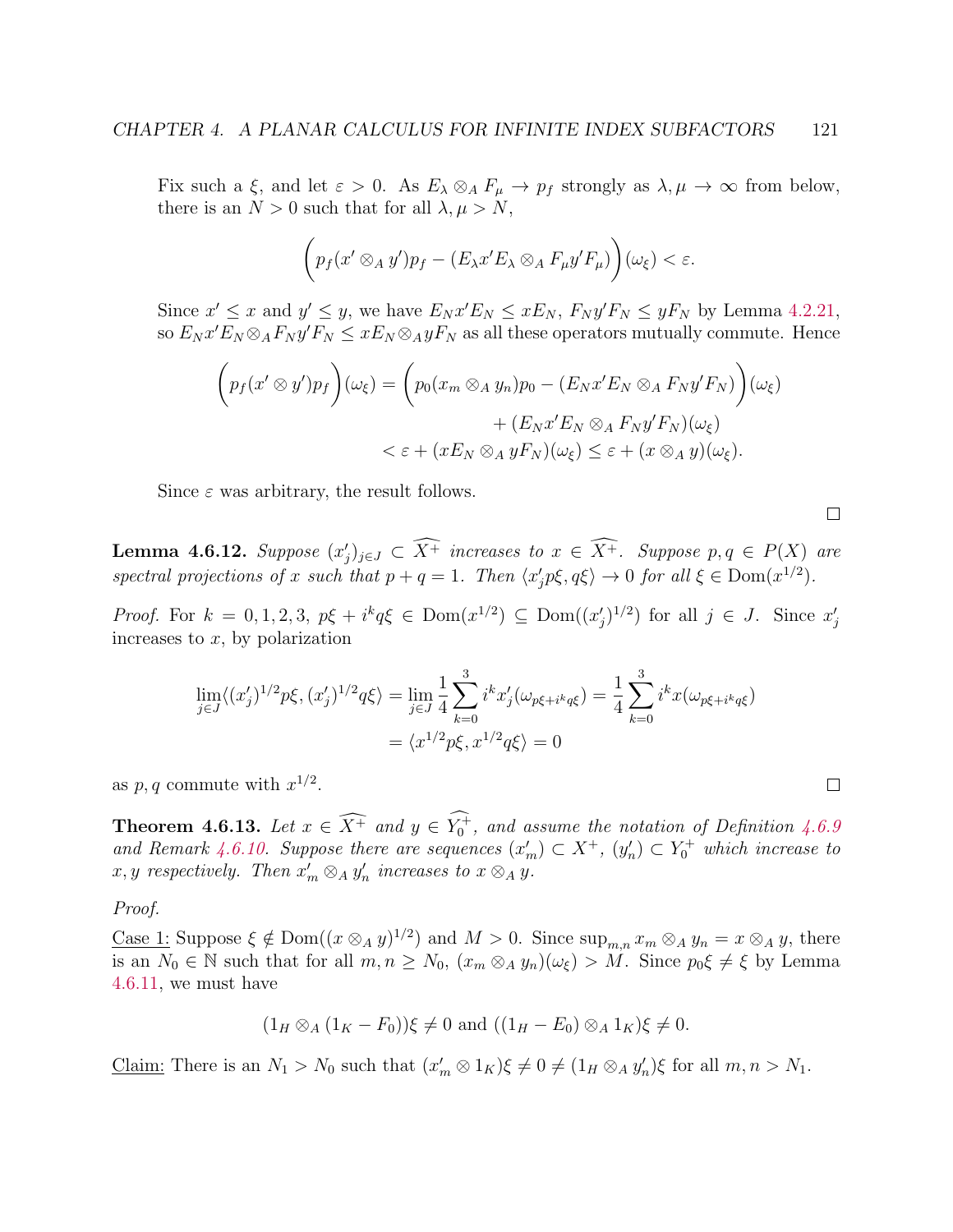Fix such a  $\xi$ , and let  $\varepsilon > 0$ . As  $E_{\lambda} \otimes_A F_{\mu} \to p_f$  strongly as  $\lambda, \mu \to \infty$  from below, there is an  $N > 0$  such that for all  $\lambda, \mu > N$ ,

$$
\bigg(p_f(x'\otimes_A y')p_f-(E_\lambda x'E_\lambda\otimes_A F_\mu y'F_\mu)\bigg)(\omega_\xi)<\varepsilon.
$$

Since  $x' \le x$  and  $y' \le y$ , we have  $E_N x' E_N \le x E_N$ ,  $F_N y' F_N \le y F_N$  by Lemma [4.2.21,](#page-0-0) so  $E_N x' E_N \otimes_A F_N y' F_N \leq x E_N \otimes_A y F_N$  as all these operators mutually commute. Hence

$$
\left(p_f(x' \otimes y')p_f\right)(\omega_{\xi}) = \left(p_0(x_m \otimes_A y_n)p_0 - (E_Nx'E_N \otimes_A F_Ny'F_N)\right)(\omega_{\xi})
$$

$$
+ (E_Nx'E_N \otimes_A F_Ny'F_N)(\omega_{\xi})
$$

$$
< \varepsilon + (xE_N \otimes_A yF_N)(\omega_{\xi}) \leq \varepsilon + (x \otimes_A y)(\omega_{\xi}).
$$

Since  $\varepsilon$  was arbitrary, the result follows.

<span id="page-125-1"></span>**Lemma 4.6.12.** Suppose  $(x'_j)_{j\in J} \subset \overline{X^+}$  increases to  $x \in \overline{X^+}$ . Suppose  $p, q \in P(X)$  are spectral projections of x such that  $p + q = 1$ . Then  $\langle x'_j p \xi, q \xi \rangle \to 0$  for all  $\xi \in \text{Dom}(x^{1/2})$ .

*Proof.* For  $k = 0, 1, 2, 3$ ,  $p\xi + i^k q \xi \in \text{Dom}(x^{1/2}) \subseteq \text{Dom}((x'_j)^{1/2})$  for all  $j \in J$ . Since  $x'_j$ increases to  $x$ , by polarization

$$
\lim_{j \in J} \langle (x'_j)^{1/2} p \xi, (x'_j)^{1/2} q \xi \rangle = \lim_{j \in J} \frac{1}{4} \sum_{k=0}^3 i^k x'_j (\omega_{p\xi + i^k q \xi}) = \frac{1}{4} \sum_{k=0}^3 i^k x (\omega_{p\xi + i^k q \xi})
$$

$$
= \langle x^{1/2} p \xi, x^{1/2} q \xi \rangle = 0
$$

as  $p, q$  commute with  $x^{1/2}$ .

<span id="page-125-0"></span>**Theorem 4.6.13.** Let  $x \in \widehat{X^+}$  and  $y \in Y_0^+$ , and assume the notation of Definition [4.6.9](#page-123-0) and Remark [4.6.10.](#page-123-1) Suppose there are sequences  $(x'_m) \subset X^+$ ,  $(y'_n) \subset Y_0^+$  which increase to x, y respectively. Then  $x'_m \otimes_A y'_n$  increases to  $x \otimes_A y$ .

Proof.

<u>Case 1</u>: Suppose  $\xi \notin \text{Dom}((x \otimes_A y)^{1/2})$  and  $M > 0$ . Since  $\sup_{m,n} x_m \otimes_A y_n = x \otimes_A y$ , there is an  $N_0 \in \mathbb{N}$  such that for all  $m, n \ge N_0$ ,  $(x_m \otimes_A y_n)(\omega_{\xi}) > M$ . Since  $p_0 \xi \neq \xi$  by Lemma [4.6.11,](#page-124-0) we must have

$$
(1_H \otimes_A (1_K - F_0))\xi \neq 0 \text{ and } ((1_H - E_0) \otimes_A 1_K)\xi \neq 0.
$$

Claim: There is an  $N_1 > N_0$  such that  $(x'_m \otimes 1_K)\xi \neq 0 \neq (1_H \otimes_A y'_n)\xi$  for all  $m, n > N_1$ .

 $\Box$ 

 $\Box$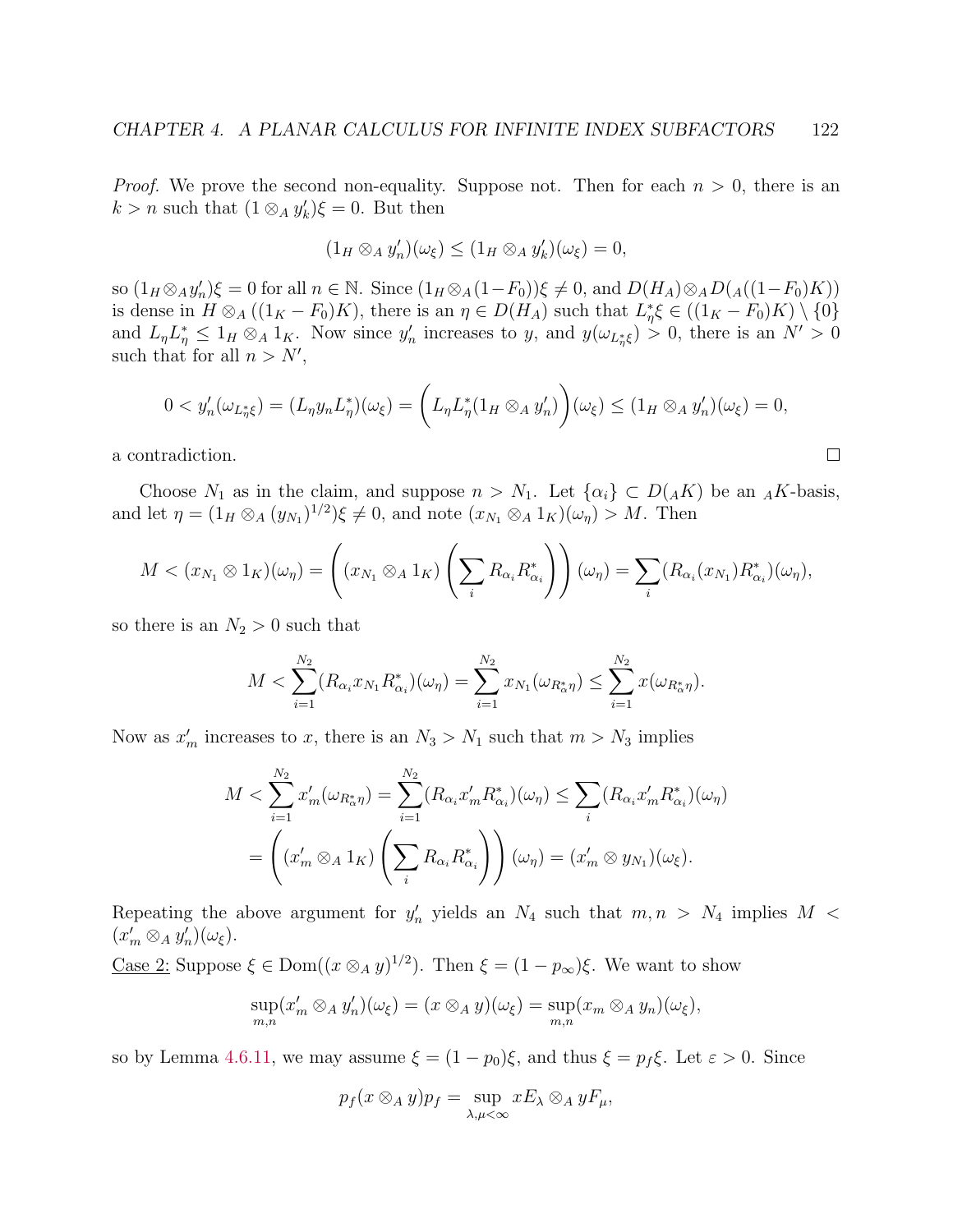*Proof.* We prove the second non-equality. Suppose not. Then for each  $n > 0$ , there is an  $k > n$  such that  $(1 \otimes_A y'_k)\xi = 0$ . But then

$$
(1_H \otimes_A y'_n)(\omega_{\xi}) \leq (1_H \otimes_A y'_k)(\omega_{\xi}) = 0,
$$

so  $(1_H \otimes_A y'_n)\xi = 0$  for all  $n \in \mathbb{N}$ . Since  $(1_H \otimes_A (1-F_0))\xi \neq 0$ , and  $D(H_A) \otimes_A D(A((1-F_0)K))$ is dense in  $H \otimes_A ((1_K - F_0)K)$ , there is an  $\eta \in D(H_A)$  such that  $L_{\eta}^* \xi \in ((1_K - F_0)K) \setminus \{0\}$ and  $L_{\eta}L_{\eta}^* \leq 1_H \otimes_A 1_K$ . Now since  $y'_n$  increases to y, and  $y(\omega_{L_{\eta}^* \xi}) > 0$ , there is an  $N' > 0$ such that for all  $n > N'$ ,

$$
0 < y_n'(\omega_{L^*_{\eta}\xi}) = (L_{\eta}y_n L^*_{\eta})(\omega_{\xi}) = \left(L_{\eta}L^*_{\eta}(1_H \otimes_A y_n')\right)(\omega_{\xi}) \leq (1_H \otimes_A y_n')(\omega_{\xi}) = 0,
$$

 $\Box$ 

a contradiction.

Choose  $N_1$  as in the claim, and suppose  $n > N_1$ . Let  $\{\alpha_i\} \subset D(AK)$  be an  $_AK$ -basis, and let  $\eta = (1_H \otimes_A (y_{N_1})^{1/2})\xi \neq 0$ , and note  $(x_{N_1} \otimes_A 1_K)(\omega_{\eta}) > M$ . Then

$$
M < (x_{N_1} \otimes 1_K)(\omega_\eta) = \left( (x_{N_1} \otimes_A 1_K) \left( \sum_i R_{\alpha_i} R_{\alpha_i}^* \right) \right) (\omega_\eta) = \sum_i (R_{\alpha_i}(x_{N_1}) R_{\alpha_i}^*) (\omega_\eta),
$$

so there is an  $N_2 > 0$  such that

$$
M < \sum_{i=1}^{N_2} (R_{\alpha_i} x_{N_1} R_{\alpha_i}^*)(\omega_\eta) = \sum_{i=1}^{N_2} x_{N_1} (\omega_{R_\alpha^* \eta}) \le \sum_{i=1}^{N_2} x(\omega_{R_\alpha^* \eta}).
$$

Now as  $x'_m$  increases to x, there is an  $N_3 > N_1$  such that  $m > N_3$  implies

$$
M < \sum_{i=1}^{N_2} x'_m(\omega_{R^*_\alpha\eta}) = \sum_{i=1}^{N_2} (R_{\alpha_i} x'_m R^*_{\alpha_i})(\omega_\eta) \le \sum_i (R_{\alpha_i} x'_m R^*_{\alpha_i})(\omega_\eta)
$$
\n
$$
= \left( (x'_m \otimes_A 1_K) \left( \sum_i R_{\alpha_i} R^*_{\alpha_i} \right) \right) (\omega_\eta) = (x'_m \otimes y_{N_1})(\omega_\xi).
$$

Repeating the above argument for  $y'_n$  yields an  $N_4$  such that  $m, n > N_4$  implies  $M <$  $(x'_m \otimes_A y'_n)(\omega_{\xi}).$ 

Case 2: Suppose  $\xi \in \text{Dom}((x \otimes_A y)^{1/2})$ . Then  $\xi = (1 - p_{\infty})\xi$ . We want to show

$$
\sup_{m,n}(x'_m \otimes_A y'_n)(\omega_{\xi}) = (x \otimes_A y)(\omega_{\xi}) = \sup_{m,n}(x_m \otimes_A y_n)(\omega_{\xi}),
$$

so by Lemma [4.6.11,](#page-124-0) we may assume  $\xi = (1 - p_0)\xi$ , and thus  $\xi = p_f \xi$ . Let  $\varepsilon > 0$ . Since

$$
p_f(x \otimes_A y)p_f = \sup_{\lambda,\mu < \infty} xE_\lambda \otimes_A yF_\mu,
$$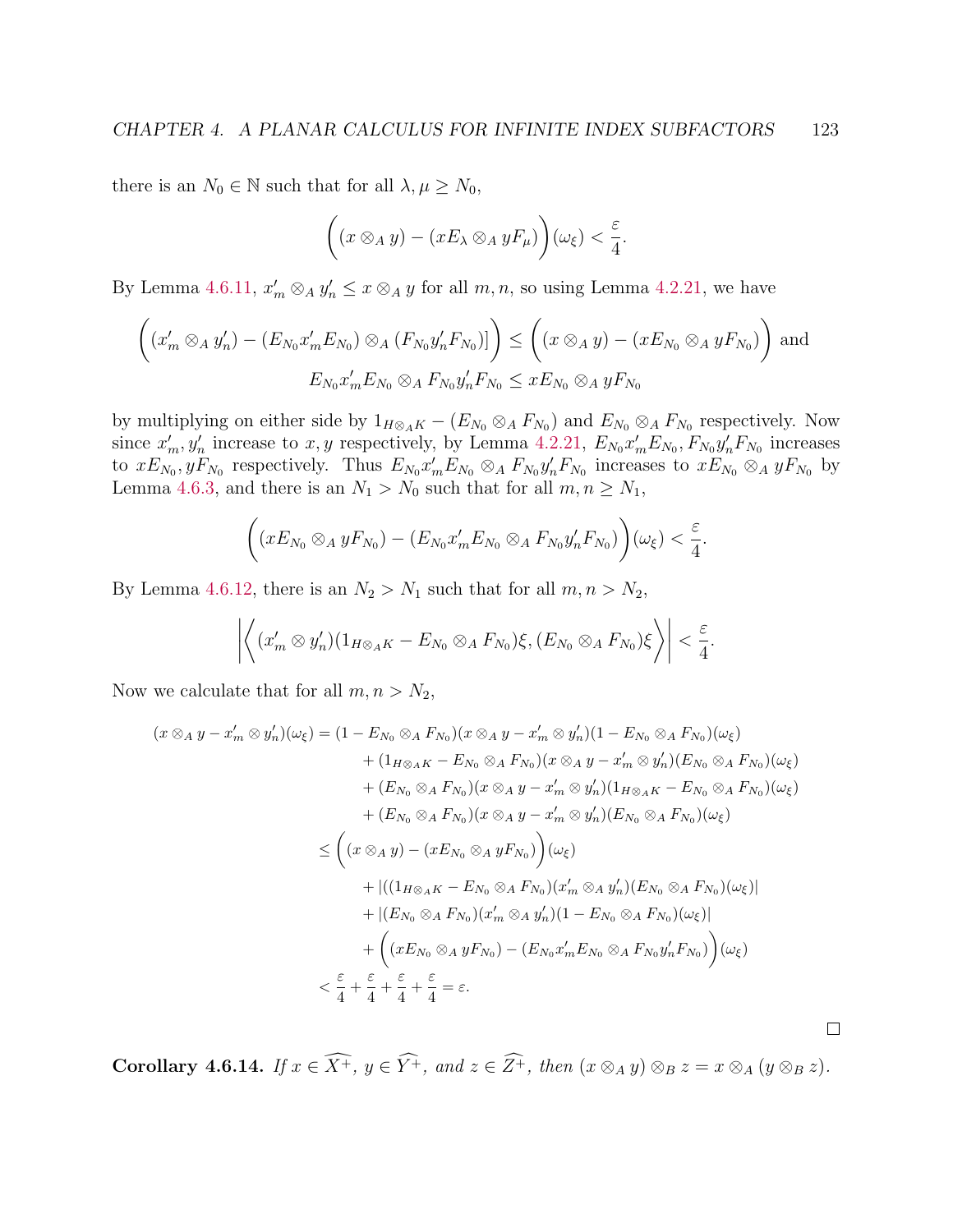there is an  $N_0 \in \mathbb{N}$  such that for all  $\lambda, \mu \ge N_0$ ,

$$
\left((x \otimes_A y) - (xE_\lambda \otimes_A yF_\mu)\right)(\omega_\xi) < \frac{\varepsilon}{4}.
$$

By Lemma [4.6.11,](#page-124-0)  $x'_m \otimes_A y'_n \le x \otimes_A y$  for all  $m, n$ , so using Lemma [4.2.21,](#page-0-0) we have

$$
\left( (x'_m \otimes_A y'_n) - (E_{N_0} x'_m E_{N_0}) \otimes_A (F_{N_0} y'_n F_{N_0}) \right) \leq \left( (x \otimes_A y) - (x E_{N_0} \otimes_A y F_{N_0}) \right) \text{ and}
$$
  

$$
E_{N_0} x'_m E_{N_0} \otimes_A F_{N_0} y'_n F_{N_0} \leq x E_{N_0} \otimes_A y F_{N_0}
$$

by multiplying on either side by  $1_{H\otimes_A K} - (E_{N_0}\otimes_A F_{N_0})$  and  $E_{N_0}\otimes_A F_{N_0}$  respectively. Now since  $x'_m, y'_n$  increase to  $x, y$  respectively, by Lemma [4.2.21,](#page-0-0)  $E_{N_0} x'_m E_{N_0}$ ,  $F_{N_0} y'_n F_{N_0}$  increases to  $xE_{N_0}, yF_{N_0}$  respectively. Thus  $E_{N_0}x'_mE_{N_0}\otimes_A F_{N_0}y'_nF_{N_0}$  increases to  $xE_{N_0}\otimes_A yF_{N_0}$  by Lemma [4.6.3,](#page-120-0) and there is an  $N_1 > N_0$  such that for all  $m, n \ge N_1$ ,

$$
\left((xE_{N_0}\otimes_A yF_{N_0})-(E_{N_0}x_m'E_{N_0}\otimes_A F_{N_0}y_n'F_{N_0})\right)(\omega_{\xi})<\frac{\varepsilon}{4}.
$$

By Lemma [4.6.12,](#page-125-1) there is an  $N_2 > N_1$  such that for all  $m, n > N_2$ ,

$$
\left| \left\langle (x'_m \otimes y'_n)(1_{H\otimes_A K} - E_{N_0}\otimes_A F_{N_0})\xi, (E_{N_0}\otimes_A F_{N_0})\xi \right\rangle \right| < \frac{\varepsilon}{4}.
$$

Now we calculate that for all  $m, n > N_2$ ,

$$
(x \otimes_A y - x'_m \otimes y'_n)(\omega_{\xi}) = (1 - E_{N_0} \otimes_A F_{N_0})(x \otimes_A y - x'_m \otimes y'_n)(1 - E_{N_0} \otimes_A F_{N_0})(\omega_{\xi})
$$
  
+ 
$$
(1_{H \otimes_A K} - E_{N_0} \otimes_A F_{N_0})(x \otimes_A y - x'_m \otimes y'_n)(E_{N_0} \otimes_A F_{N_0})(\omega_{\xi})
$$
  
+ 
$$
(E_{N_0} \otimes_A F_{N_0})(x \otimes_A y - x'_m \otimes y'_n)(1_{H \otimes_A K} - E_{N_0} \otimes_A F_{N_0})(\omega_{\xi})
$$
  
+ 
$$
(E_{N_0} \otimes_A F_{N_0})(x \otimes_A y - x'_m \otimes y'_n)(E_{N_0} \otimes_A F_{N_0})(\omega_{\xi})
$$
  

$$
\leq ((x \otimes_A y) - (x E_{N_0} \otimes_A y F_{N_0}))(\omega_{\xi})
$$
  
+ 
$$
|((1_{H \otimes_A K} - E_{N_0} \otimes_A F_{N_0})(x'_m \otimes_A y'_n)(E_{N_0} \otimes_A F_{N_0})(\omega_{\xi})|
$$
  
+ 
$$
|(E_{N_0} \otimes_A F_{N_0})(x'_m \otimes_A y'_n)(1 - E_{N_0} \otimes_A F_{N_0})(\omega_{\xi})|
$$
  
+ 
$$
((x E_{N_0} \otimes_A y F_{N_0}) - (E_{N_0} x'_m E_{N_0} \otimes_A F_{N_0} y'_n F_{N_0}))(\omega_{\xi})
$$
  

$$
< \frac{\varepsilon}{4} + \frac{\varepsilon}{4} + \frac{\varepsilon}{4} + \frac{\varepsilon}{4} + \frac{\varepsilon}{4} = \varepsilon.
$$

Corollary 4.6.14. If  $x \in \widehat{X^+}$ ,  $y \in \widehat{Y^+}$ , and  $z \in \widehat{Z^+}$ , then  $(x \otimes_A y) \otimes_B z = x \otimes_A (y \otimes_B z)$ .

 $\Box$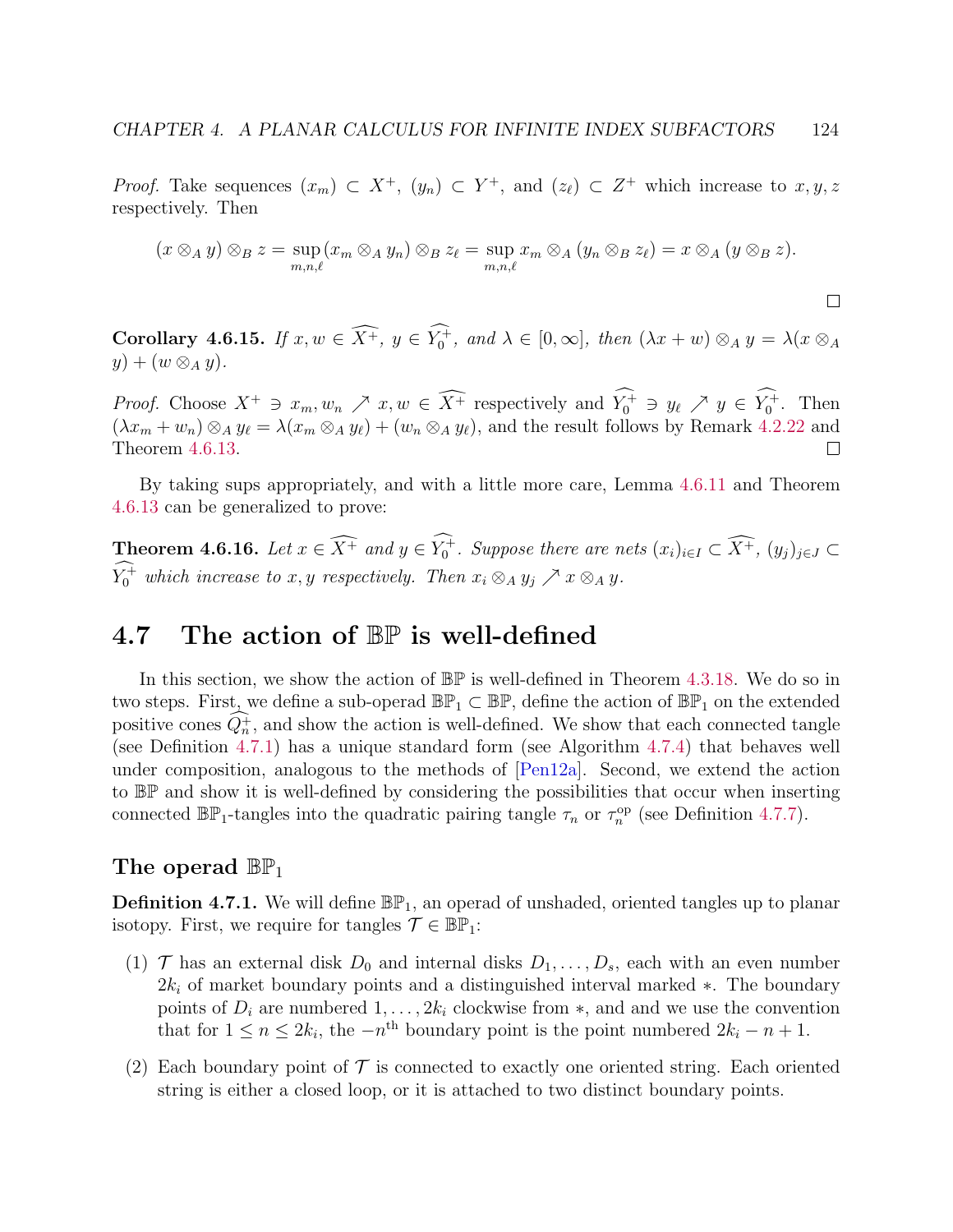*Proof.* Take sequences  $(x_m) \subset X^+$ ,  $(y_n) \subset Y^+$ , and  $(z_\ell) \subset Z^+$  which increase to  $x, y, z$ respectively. Then

$$
(x \otimes_A y) \otimes_B z = \sup_{m,n,\ell} (x_m \otimes_A y_n) \otimes_B z_\ell = \sup_{m,n,\ell} x_m \otimes_A (y_n \otimes_B z_\ell) = x \otimes_A (y \otimes_B z).
$$

 $\Box$ 

<span id="page-128-1"></span>Corollary 4.6.15. If  $x, w \in \overline{X^+}$ ,  $y \in Y_0^+$ , and  $\lambda \in [0, \infty]$ , then  $(\lambda x + w) \otimes_A y = \lambda (x \otimes_A y)$  $y) + (w \otimes_A y).$ 

*Proof.* Choose  $X^+ \ni x_m, w_n \nearrow x, w \in \widehat{X^+}$  respectively and  $Y_0^+ \ni y_\ell \nearrow y \in Y_0^+$ . Then  $(\lambda x_m + w_n) \otimes_A y_\ell = \lambda (x_m \otimes_A y_\ell) + (w_n \otimes_A y_\ell)$ , and the result follows by Remark [4.2.22](#page-93-1) and Theorem [4.6.13.](#page-125-0)  $\Box$ 

By taking sups appropriately, and with a little more care, Lemma [4.6.11](#page-124-0) and Theorem [4.6.13](#page-125-0) can be generalized to prove:

**Theorem 4.6.16.** Let  $x \in \widehat{X^+}$  and  $y \in Y_0^+$ . Suppose there are nets  $(x_i)_{i \in I} \subset \widehat{X^+}$ ,  $(y_j)_{j \in J} \subset \widehat{X^-}$  $Y_0^+$  which increase to x, y respectively. Then  $x_i \otimes_A y_j \nearrow x \otimes_A y$ .

# 4.7 The action of  $\mathbb{BP}$  is well-defined

In this section, we show the action of BP is well-defined in Theorem [4.3.18.](#page-100-0) We do so in two steps. First, we define a sub-operad  $\mathbb{BP}_1 \subset \mathbb{BP}$ , define the action of  $\mathbb{BP}_1$  on the extended positive cones  $Q_n^+$ , and show the action is well-defined. We show that each connected tangle (see Definition [4.7.1\)](#page-128-0) has a unique standard form (see Algorithm [4.7.4\)](#page-130-0) that behaves well under composition, analogous to the methods of [\[Pen12a\]](#page-142-0). Second, we extend the action to BP and show it is well-defined by considering the possibilities that occur when inserting connected  $\mathbb{BP}_1$ -tangles into the quadratic pairing tangle  $\tau_n$  or  $\tau_n^{\text{op}}$  (see Definition [4.7.7\)](#page-132-0).

## The operad  $\mathbb{BP}_1$

<span id="page-128-0"></span>**Definition 4.7.1.** We will define  $\mathbb{BP}_1$ , an operad of unshaded, oriented tangles up to planar isotopy. First, we require for tangles  $\mathcal{T} \in \mathbb{BP}_1$ :

- (1)  $\mathcal{T}$  has an external disk  $D_0$  and internal disks  $D_1, \ldots, D_s$ , each with an even number  $2k_i$  of market boundary points and a distinguished interval marked  $\ast$ . The boundary points of  $D_i$  are numbered  $1, \ldots, 2k_i$  clockwise from  $\ast$ , and and we use the convention that for  $1 \le n \le 2k_i$ , the  $-n^{\text{th}}$  boundary point is the point numbered  $2k_i - n + 1$ .
- (2) Each boundary point of  $\mathcal T$  is connected to exactly one oriented string. Each oriented string is either a closed loop, or it is attached to two distinct boundary points.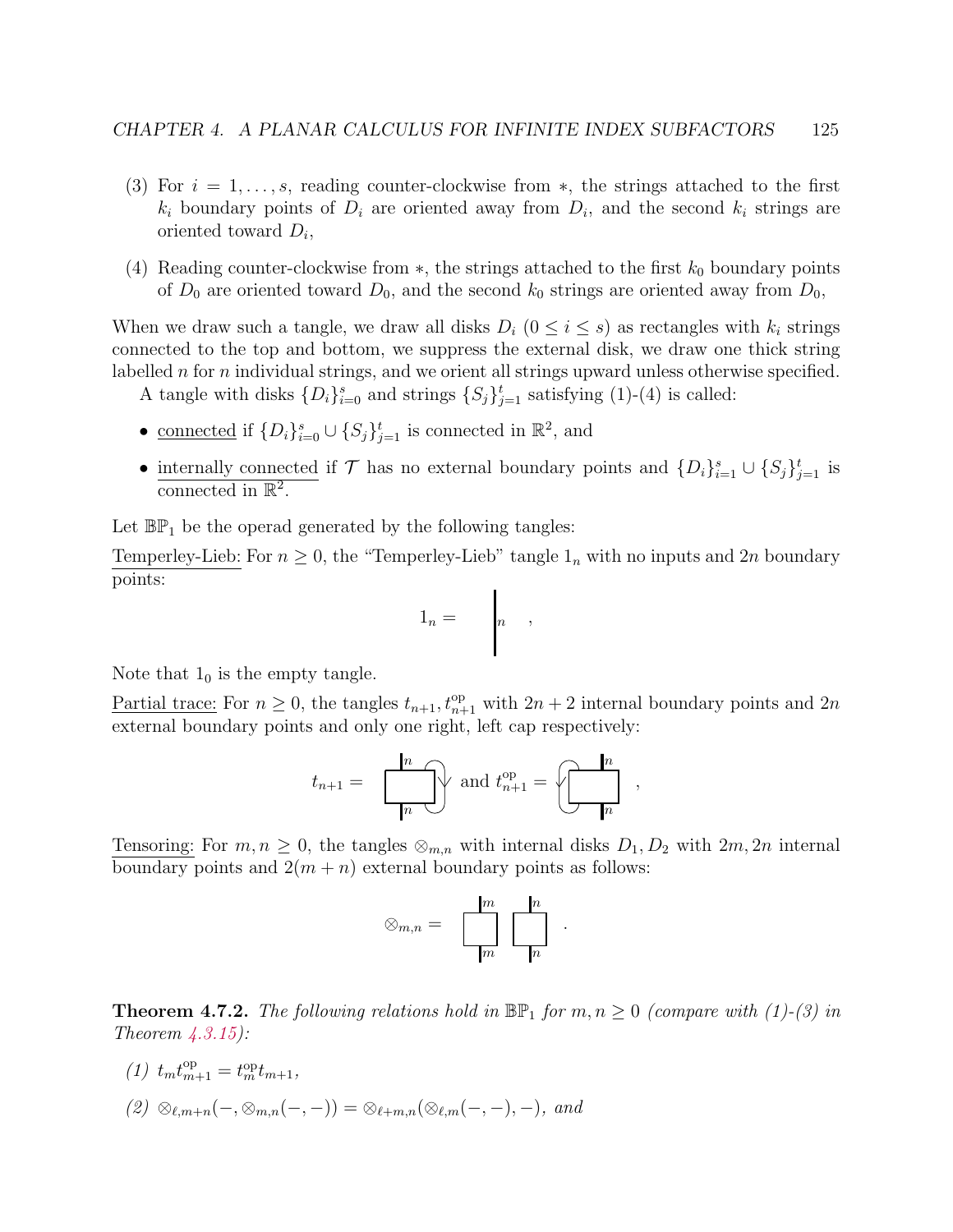- (3) For  $i = 1, \ldots, s$ , reading counter-clockwise from  $\ast$ , the strings attached to the first  $k_i$  boundary points of  $D_i$  are oriented away from  $D_i$ , and the second  $k_i$  strings are oriented toward  $D_i$ ,
- (4) Reading counter-clockwise from  $*$ , the strings attached to the first  $k_0$  boundary points of  $D_0$  are oriented toward  $D_0$ , and the second  $k_0$  strings are oriented away from  $D_0$ ,

When we draw such a tangle, we draw all disks  $D_i$  ( $0 \le i \le s$ ) as rectangles with  $k_i$  strings connected to the top and bottom, we suppress the external disk, we draw one thick string labelled n for n individual strings, and we orient all strings upward unless otherwise specified.

A tangle with disks  $\{D_i\}_{i=0}^s$  and strings  $\{S_j\}_{j=1}^t$  satisfying (1)-(4) is called:

- <u>connected</u> if  $\{D_i\}_{i=0}^s \cup \{S_j\}_{j=1}^t$  is connected in  $\mathbb{R}^2$ , and
- internally connected if  $\mathcal T$  has no external boundary points and  $\{D_i\}_{i=1}^s\cup\{S_j\}_{j=1}^t$  is connected in  $\mathbb{R}^2$ .

Let  $\mathbb{BP}_1$  be the operad generated by the following tangles:

Temperley-Lieb: For  $n \geq 0$ , the "Temperley-Lieb" tangle  $1_n$  with no inputs and  $2n$  boundary points:  $\blacksquare$ 

$$
1_n = \begin{array}{c} \n \end{array}
$$

Note that  $1_0$  is the empty tangle.

Partial trace: For  $n \geq 0$ , the tangles  $t_{n+1}$ ,  $t_{n+1}^{\text{op}}$  with  $2n+2$  internal boundary points and  $2n$ external boundary points and only one right, left cap respectively:

$$
t_{n+1} = \boxed{\begin{array}{c} n \\ n \end{array}} \text{ and } t_{n+1}^{\text{op}} = \boxed{\begin{array}{c} n \\ n \end{array}} \end{array},
$$

Tensoring: For  $m, n \geq 0$ , the tangles  $\otimes_{m,n}$  with internal disks  $D_1, D_2$  with  $2m, 2n$  internal boundary points and  $2(m + n)$  external boundary points as follows:

$$
\otimes_{m,n} = \n\begin{array}{c}\n\boxed{m} & \boxed{n} \\
\boxed{m} & \boxed{n}\n\end{array}.
$$

<span id="page-129-0"></span>**Theorem 4.7.2.** The following relations hold in  $\mathbb{BP}_1$  for  $m, n \geq 0$  (compare with (1)-(3) in Theorem  $\angle 4.3.15$ :

(1)  $t_m t_{m+1}^{\text{op}} = t_m^{\text{op}} t_{m+1},$  $(2) \otimes_{\ell,m+n} (-, \otimes_{m,n} (-,-)) = \otimes_{\ell+m,n} (\otimes_{\ell,m} (-,-), -),$  and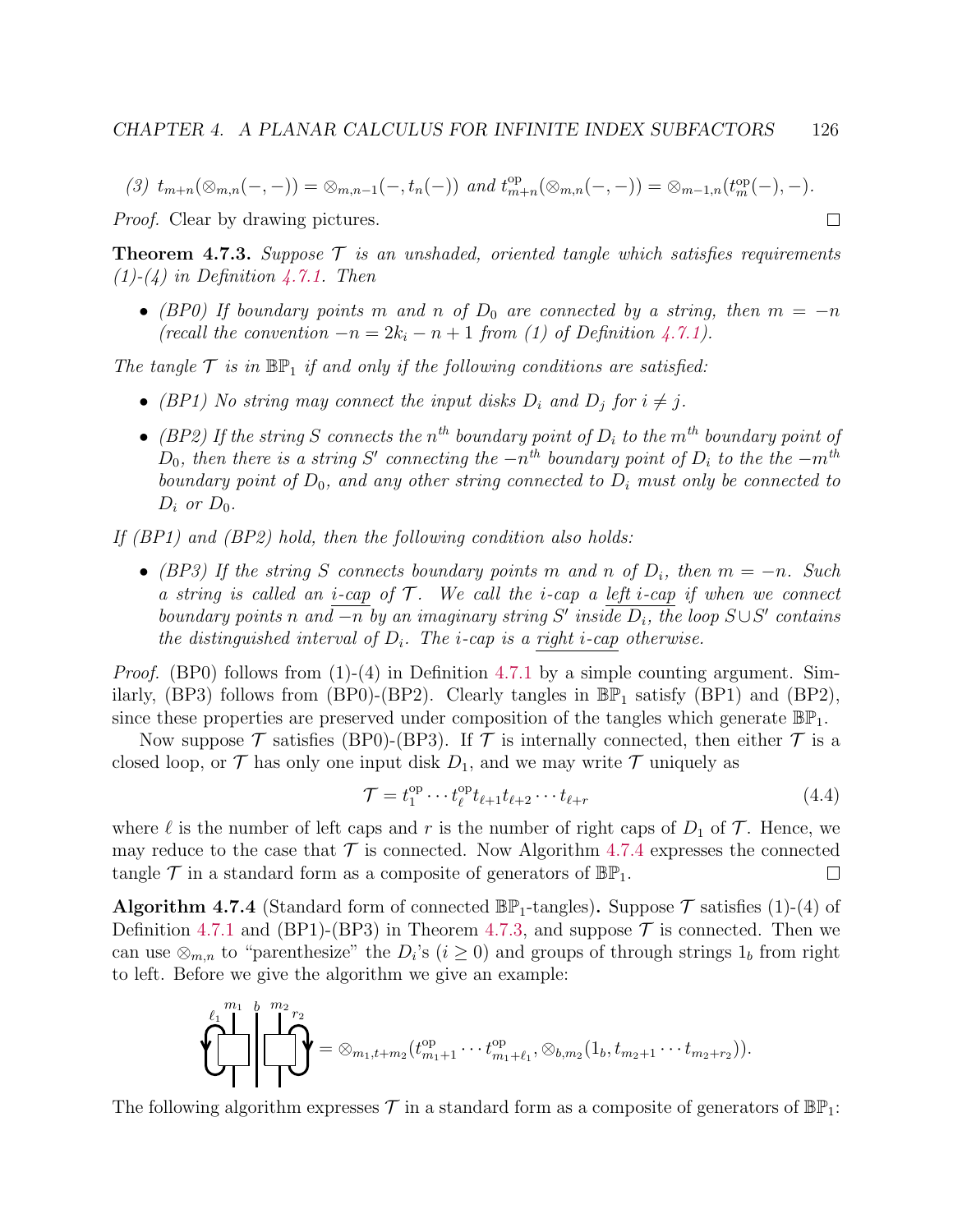$$
(3) t_{m+n}(\otimes_{m,n}(-,-)) = \otimes_{m,n-1}(-,t_n(-)) \text{ and } t_{m+n}^{\text{op}}(\otimes_{m,n}(-,-)) = \otimes_{m-1,n}(t_m^{\text{op}}(-),-).
$$

Proof. Clear by drawing pictures.

<span id="page-130-1"></span>**Theorem 4.7.3.** Suppose  $\mathcal{T}$  is an unshaded, oriented tangle which satisfies requirements  $(1)-(4)$  in Definition [4.7.1.](#page-128-0) Then

• (BP0) If boundary points m and n of  $D_0$  are connected by a string, then  $m = -n$ (recall the convention  $-n = 2k_i - n + 1$  from (1) of Definition [4.7.1\)](#page-128-0).

The tangle  $\mathcal T$  is in  $\mathbb{BP}_1$  if and only if the following conditions are satisfied:

- (BP1) No string may connect the input disks  $D_i$  and  $D_j$  for  $i \neq j$ .
- (BP2) If the string S connects the  $n^{th}$  boundary point of  $D_i$  to the  $m^{th}$  boundary point of  $D_0$ , then there is a string S' connecting the  $-n^{th}$  boundary point of  $D_i$  to the the  $-m^{th}$ boundary point of  $D_0$ , and any other string connected to  $D_i$  must only be connected to  $D_i$  or  $D_0$ .

If (BP1) and (BP2) hold, then the following condition also holds:

• (BP3) If the string S connects boundary points m and n of  $D_i$ , then  $m = -n$ . Such a string is called an *i*-cap of  $\mathcal{T}$ . We call the *i*-cap a left *i*-cap if when we connect boundary points n and  $\overline{-n}$  by an imaginary string S' inside  $D_i$ , the loop  $S\cup S'$  contains the distinguished interval of  $D_i$ . The *i*-cap is a right *i*-cap otherwise.

*Proof.* (BP0) follows from  $(1)-(4)$  in Definition [4.7.1](#page-128-0) by a simple counting argument. Similarly, (BP3) follows from (BP0)-(BP2). Clearly tangles in  $\mathbb{BP}_1$  satisfy (BP1) and (BP2), since these properties are preserved under composition of the tangles which generate  $\mathbb{BP}_1$ .

Now suppose  $\mathcal T$  satisfies (BP0)-(BP3). If  $\mathcal T$  is internally connected, then either  $\mathcal T$  is a closed loop, or  $\mathcal T$  has only one input disk  $D_1$ , and we may write  $\mathcal T$  uniquely as

<span id="page-130-2"></span>
$$
\mathcal{T} = t_1^{\text{op}} \cdots t_\ell^{\text{op}} t_{\ell+1} t_{\ell+2} \cdots t_{\ell+r} \tag{4.4}
$$

 $\Box$ 

where  $\ell$  is the number of left caps and r is the number of right caps of  $D_1$  of  $\mathcal T$ . Hence, we may reduce to the case that  $\mathcal T$  is connected. Now Algorithm [4.7.4](#page-130-0) expresses the connected tangle  $\mathcal T$  in a standard form as a composite of generators of  $\mathbb{BP}_1$ .  $\Box$ 

<span id="page-130-0"></span>**Algorithm 4.7.4** (Standard form of connected  $\mathbb{BP}_1$ -tangles). Suppose  $\mathcal T$  satisfies (1)-(4) of Definition [4.7.1](#page-128-0) and (BP1)-(BP3) in Theorem [4.7.3,](#page-130-1) and suppose  $\mathcal T$  is connected. Then we can use  $\otimes_{m,n}$  to "parenthesize" the  $D_i$ 's  $(i \geq 0)$  and groups of through strings  $1_b$  from right to left. Before we give the algorithm we give an example:

$$
\left\{\left\{\prod_{i=1}^{m_1}\left\{\prod_{j=2}^{m_2}r_2\right\}}\right\}=\otimes_{m_1,t+m_2}(t_{m_1+1}^{\text{op}}\cdots t_{m_1+\ell_1}^{\text{op}},\otimes_{b,m_2}(1_b,t_{m_2+1}\cdots t_{m_2+r_2})).
$$

The following algorithm expresses  $\mathcal T$  in a standard form as a composite of generators of  $\mathbb{BP}_1$ :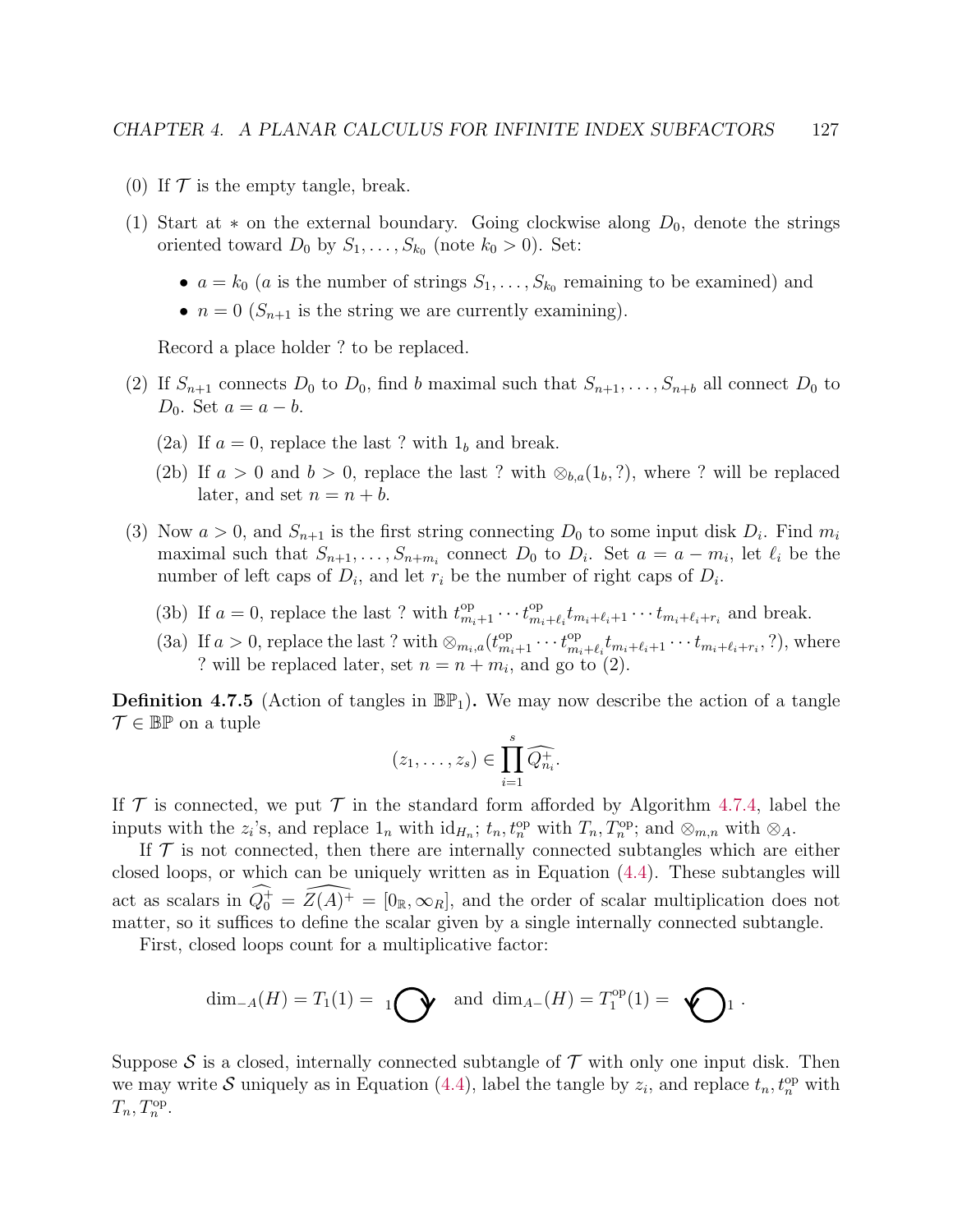- (0) If  $\mathcal T$  is the empty tangle, break.
- (1) Start at  $*$  on the external boundary. Going clockwise along  $D_0$ , denote the strings oriented toward  $D_0$  by  $S_1, \ldots, S_{k_0}$  (note  $k_0 > 0$ ). Set:
	- $a = k_0$  (a is the number of strings  $S_1, \ldots, S_{k_0}$  remaining to be examined) and
	- $n = 0$  ( $S_{n+1}$  is the string we are currently examining).

Record a place holder ? to be replaced.

- (2) If  $S_{n+1}$  connects  $D_0$  to  $D_0$ , find b maximal such that  $S_{n+1}, \ldots, S_{n+b}$  all connect  $D_0$  to D<sub>0</sub>. Set  $a = a - b$ .
	- (2a) If  $a = 0$ , replace the last ? with  $1<sub>b</sub>$  and break.
	- (2b) If  $a > 0$  and  $b > 0$ , replace the last ? with  $\otimes_{b,a}(1_b, ?)$ , where ? will be replaced later, and set  $n = n + b$ .
- (3) Now  $a > 0$ , and  $S_{n+1}$  is the first string connecting  $D_0$  to some input disk  $D_i$ . Find  $m_i$ maximal such that  $S_{n+1}, \ldots, S_{n+m_i}$  connect  $D_0$  to  $D_i$ . Set  $a = a - m_i$ , let  $\ell_i$  be the number of left caps of  $D_i$ , and let  $r_i$  be the number of right caps of  $D_i$ .
	- (3b) If  $a = 0$ , replace the last ? with  $t_{m_i+1}^{\text{op}} \cdots t_{m_i}^{\text{op}}$  ${}_{m_i+\ell_i}^{\text{op}} t_{m_i+\ell_i+1} \cdots t_{m_i+\ell_i+r_i}$  and break.
	- (3a) If  $a > 0$ , replace the last ? with  $\otimes_{m_i,a} (t^{\text{op}}_{m_i+1} \cdots t^{\text{op}}_{m_i})$  $t_{m_i+\ell_i}^{\text{op}} t_{m_i+\ell_i+1} \cdots t_{m_i+\ell_i+r_i},$ ?), where ? will be replaced later, set  $n = n + m_i$ , and go to (2).

<span id="page-131-0"></span>**Definition 4.7.5** (Action of tangles in  $\mathbb{BP}_1$ ). We may now describe the action of a tangle  $\mathcal{T} \in \mathbb{BP}$  on a tuple

$$
(z_1,\ldots,z_s)\in \prod_{i=1}^s\widehat{Q_{n_i}^+}.
$$

If  $\mathcal T$  is connected, we put  $\mathcal T$  in the standard form afforded by Algorithm [4.7.4,](#page-130-0) label the inputs with the  $z_i$ 's, and replace  $1_n$  with  $id_{H_n}$ ;  $t_n$ ,  $t_n^{op}$  with  $T_n$ ,  $T_n^{op}$ ; and  $\otimes_{m,n}$  with  $\otimes_A$ .

If  $\mathcal T$  is not connected, then there are internally connected subtangles which are either closed loops, or which can be uniquely written as in Equation [\(4.4\)](#page-130-2). These subtangles will act as scalars in  $\widehat{Q_0^+} = \widehat{Z(A)^+} = [0_R, \infty_R]$ , and the order of scalar multiplication does not matter, so it suffices to define the scalar given by a single internally connected subtangle.

First, closed loops count for a multiplicative factor:

$$
\dim_{-A}(H) = T_1(1) = 1
$$
  $\bigodot$  and  $\dim_{A-}(H) = T_1^{\text{op}}(1) = \bigodot$  1.

Suppose S is a closed, internally connected subtangle of  $\mathcal T$  with only one input disk. Then we may write S uniquely as in Equation [\(4.4\)](#page-130-2), label the tangle by  $z_i$ , and replace  $t_n, t_n^{\text{op}}$  with  $T_n, T_n^{\text{op}}.$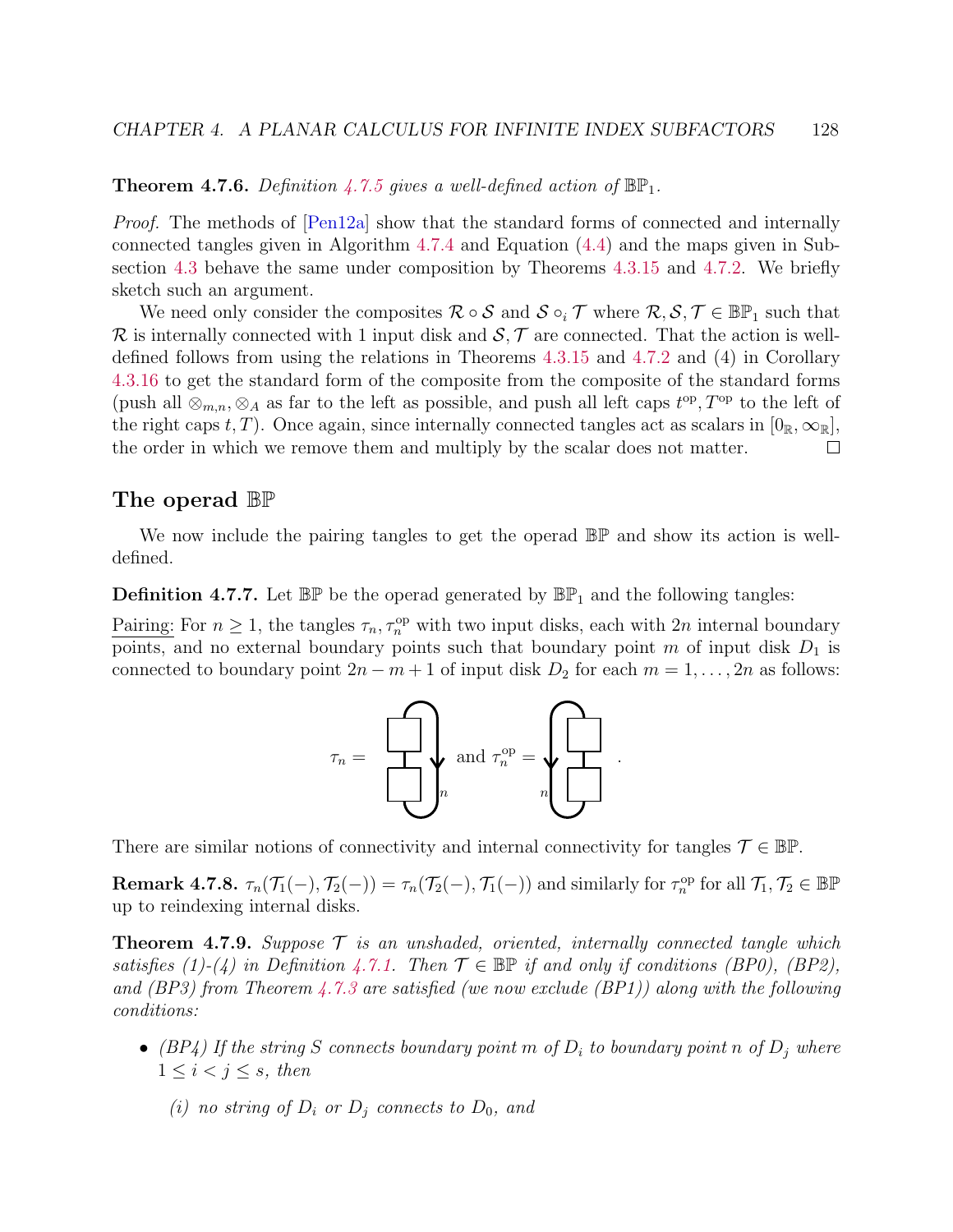**Theorem 4.7.6.** Definition [4.7.5](#page-131-0) gives a well-defined action of  $\mathbb{BP}_1$ .

Proof. The methods of [\[Pen12a\]](#page-142-0) show that the standard forms of connected and internally connected tangles given in Algorithm [4.7.4](#page-130-0) and Equation [\(4.4\)](#page-130-2) and the maps given in Subsection [4.3](#page-94-0) behave the same under composition by Theorems [4.3.15](#page-98-0) and [4.7.2.](#page-129-0) We briefly sketch such an argument.

We need only consider the composites  $\mathcal{R} \circ \mathcal{S}$  and  $\mathcal{S} \circ_i \mathcal{T}$  where  $\mathcal{R}, \mathcal{S}, \mathcal{T} \in \mathbb{BP}_1$  such that  $\mathcal R$  is internally connected with 1 input disk and  $\mathcal S$ ,  $\mathcal T$  are connected. That the action is welldefined follows from using the relations in Theorems [4.3.15](#page-98-0) and [4.7.2](#page-129-0) and (4) in Corollary [4.3.16](#page-99-0) to get the standard form of the composite from the composite of the standard forms (push all  $\otimes_{m,n}$ ,  $\otimes_A$  as far to the left as possible, and push all left caps  $t^{op}$ ,  $T^{op}$  to the left of the right caps t, T). Once again, since internally connected tangles act as scalars in  $[0_R,\infty_R]$ , the order in which we remove them and multiply by the scalar does not matter. П

## The operad BP

We now include the pairing tangles to get the operad  $\mathbb{BP}$  and show its action is welldefined.

<span id="page-132-0"></span>**Definition 4.7.7.** Let  $\mathbb{BP}$  be the operad generated by  $\mathbb{BP}_1$  and the following tangles:

Pairing: For  $n \geq 1$ , the tangles  $\tau_n, \tau_n^{\text{op}}$  with two input disks, each with  $2n$  internal boundary points, and no external boundary points such that boundary point m of input disk  $D_1$  is connected to boundary point  $2n - m + 1$  of input disk  $D_2$  for each  $m = 1, \ldots, 2n$  as follows:



There are similar notions of connectivity and internal connectivity for tangles  $\mathcal{T} \in \mathbb{BP}$ .

**Remark 4.7.8.**  $\tau_n(\mathcal{T}_1(-), \mathcal{T}_2(-)) = \tau_n(\mathcal{T}_2(-), \mathcal{T}_1(-))$  and similarly for  $\tau_n^{\text{op}}$  for all  $\mathcal{T}_1, \mathcal{T}_2 \in \mathbb{BP}$ up to reindexing internal disks.

<span id="page-132-1"></span>**Theorem 4.7.9.** Suppose  $\mathcal{T}$  is an unshaded, oriented, internally connected tangle which satisfies (1)-(4) in Definition [4.7.1.](#page-128-0) Then  $\mathcal{T} \in \mathbb{BP}$  if and only if conditions (BP0), (BP2), and (BP3) from Theorem [4.7.3](#page-130-1) are satisfied (we now exclude  $(BPI)$ ) along with the following conditions:

- (BP4) If the string S connects boundary point m of  $D_i$  to boundary point n of  $D_j$  where  $1 \leq i \leq j \leq s$ , then
	- (i) no string of  $D_i$  or  $D_j$  connects to  $D_0$ , and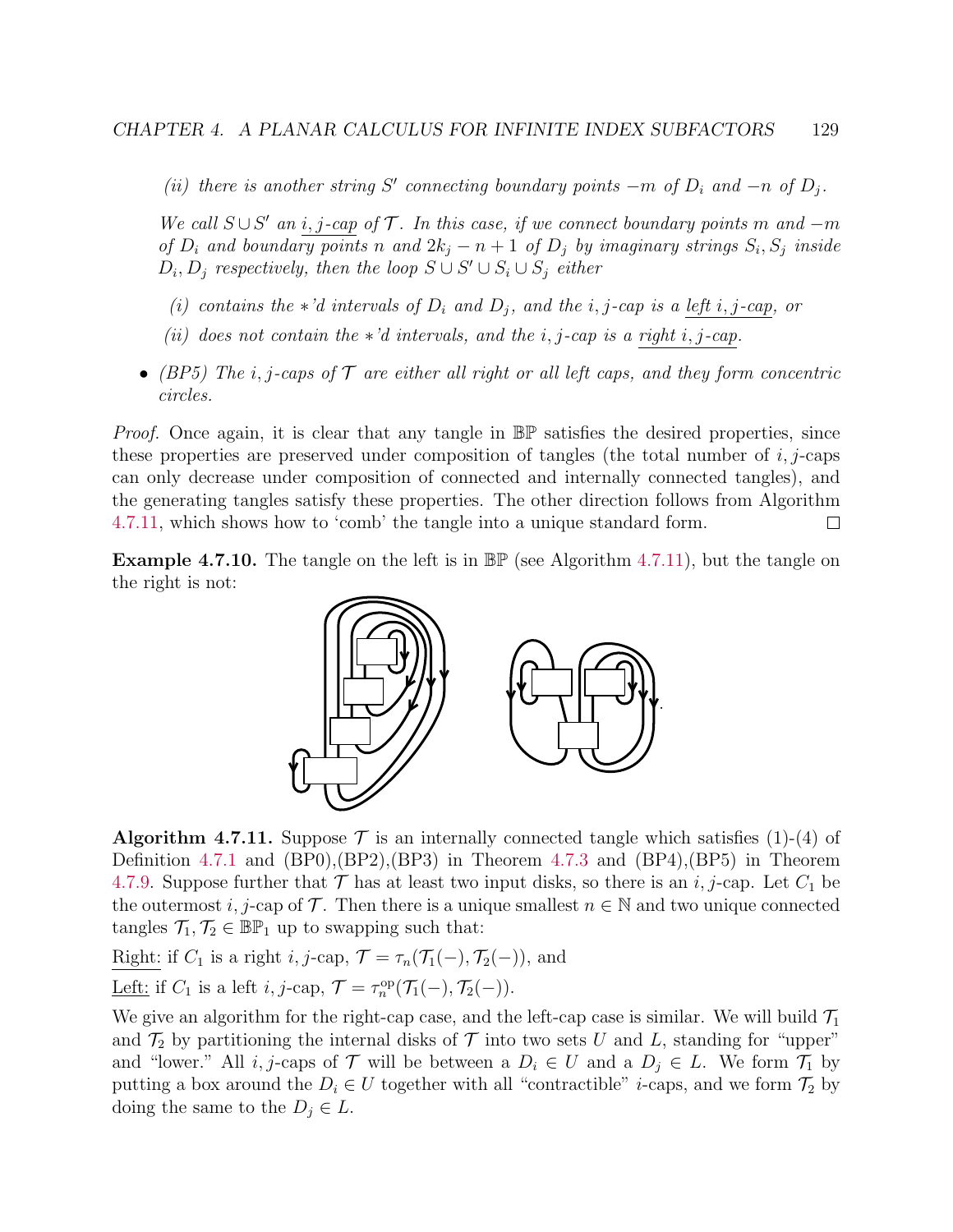(ii) there is another string S' connecting boundary points  $-m$  of  $D_i$  and  $-n$  of  $D_j$ .

We call  $S \cup S'$  an i, j-cap of  $\mathcal T$ . In this case, if we connect boundary points m and  $-m$ of  $D_i$  and boundary points n and  $2k_j - n + 1$  of  $D_j$  by imaginary strings  $S_i$ ,  $S_j$  inside  $D_i, D_j$  respectively, then the loop  $S \cup S' \cup S_i \cup S_j$  either

- (i) contains the \*'d intervals of  $D_i$  and  $D_j$ , and the i, j-cap is a left i, j-cap, or
- (ii) does not contain the  $*$ 'd intervals, and the i, j-cap is a right i, j-cap.
- (BP5) The i, j-caps of  $\mathcal T$  are either all right or all left caps, and they form concentric circles.

Proof. Once again, it is clear that any tangle in  $\mathbb{BP}$  satisfies the desired properties, since these properties are preserved under composition of tangles (the total number of  $i$ ,  $j$ -caps can only decrease under composition of connected and internally connected tangles), and the generating tangles satisfy these properties. The other direction follows from Algorithm [4.7.11,](#page-133-0) which shows how to 'comb' the tangle into a unique standard form.  $\Box$ 

**Example 4.7.10.** The tangle on the left is in  $\mathbb{BP}$  (see Algorithm [4.7.11\)](#page-133-0), but the tangle on the right is not:



<span id="page-133-0"></span>**Algorithm 4.7.11.** Suppose  $\mathcal{T}$  is an internally connected tangle which satisfies (1)-(4) of Definition [4.7.1](#page-128-0) and (BP0),(BP2),(BP3) in Theorem [4.7.3](#page-130-1) and (BP4),(BP5) in Theorem [4.7.9.](#page-132-1) Suppose further that  $\mathcal T$  has at least two input disks, so there is an i, j-cap. Let  $C_1$  be the outermost i, j-cap of  $\mathcal T$ . Then there is a unique smallest  $n \in \mathbb N$  and two unique connected tangles  $\mathcal{T}_1, \mathcal{T}_2 \in \mathbb{BP}_1$  up to swapping such that:

Right: if  $C_1$  is a right i, j-cap,  $\mathcal{T} = \tau_n(\mathcal{T}_1(-), \mathcal{T}_2(-))$ , and

Left: if  $C_1$  is a left *i*, *j*-cap,  $\mathcal{T} = \tau_n^{\text{op}}(\mathcal{T}_1(-), \mathcal{T}_2(-))$ .

We give an algorithm for the right-cap case, and the left-cap case is similar. We will build  $\mathcal{T}_1$ and  $\mathcal{T}_2$  by partitioning the internal disks of  $\mathcal T$  into two sets U and L, standing for "upper" and "lower." All *i*, *j*-caps of  $\mathcal{T}$  will be between a  $D_i \in U$  and a  $D_j \in L$ . We form  $\mathcal{T}_1$  by putting a box around the  $D_i \in U$  together with all "contractible" *i*-caps, and we form  $\mathcal{T}_2$  by doing the same to the  $D_j \in L$ .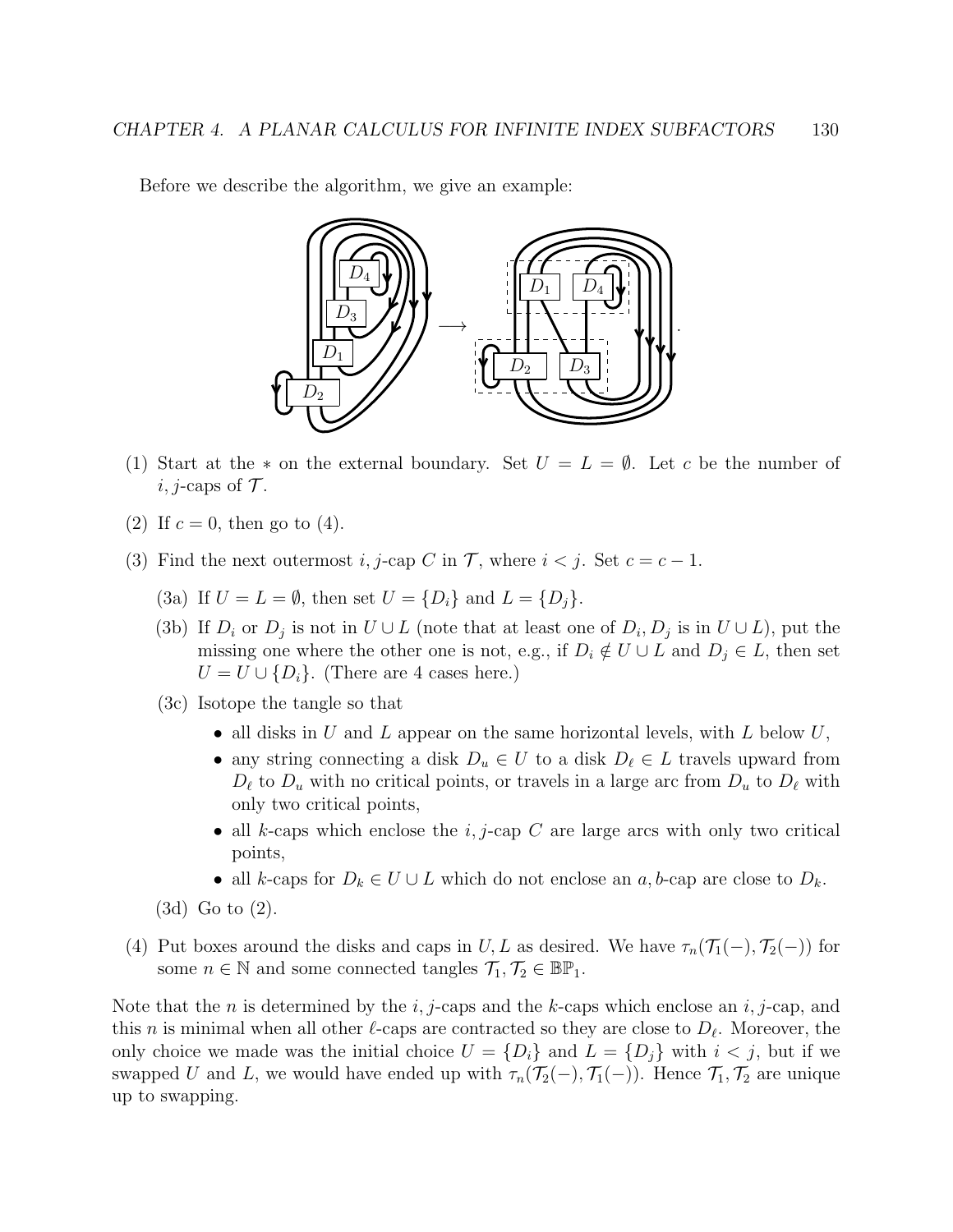Before we describe the algorithm, we give an example:



- (1) Start at the  $*$  on the external boundary. Set  $U = L = \emptyset$ . Let c be the number of *i*, *j*-caps of  $\mathcal{T}$ .
- (2) If  $c = 0$ , then go to (4).
- (3) Find the next outermost i, j-cap C in T, where  $i < j$ . Set  $c = c 1$ .
	- (3a) If  $U = L = \emptyset$ , then set  $U = \{D_i\}$  and  $L = \{D_j\}$ .
	- (3b) If  $D_i$  or  $D_j$  is not in  $U \cup L$  (note that at least one of  $D_i, D_j$  is in  $U \cup L$ ), put the missing one where the other one is not, e.g., if  $D_i \notin U \cup L$  and  $D_j \in L$ , then set  $U = U \cup \{D_i\}$ . (There are 4 cases here.)
	- (3c) Isotope the tangle so that
		- all disks in U and L appear on the same horizontal levels, with  $L$  below  $U$ ,
		- any string connecting a disk  $D_u \in U$  to a disk  $D_\ell \in L$  travels upward from  $D_\ell$  to  $D_u$  with no critical points, or travels in a large arc from  $D_u$  to  $D_\ell$  with only two critical points,
		- all k-caps which enclose the  $i, j$ -cap C are large arcs with only two critical points,
		- all k-caps for  $D_k \in U \cup L$  which do not enclose an a, b-cap are close to  $D_k$ .

(3d) Go to (2).

(4) Put boxes around the disks and caps in U, L as desired. We have  $\tau_n(\mathcal{T}_1(-), \mathcal{T}_2(-))$  for some  $n \in \mathbb{N}$  and some connected tangles  $\mathcal{T}_1, \mathcal{T}_2 \in \mathbb{BP}_1$ .

Note that the n is determined by the i, j-caps and the k-caps which enclose an i, j-cap, and this *n* is minimal when all other  $\ell$ -caps are contracted so they are close to  $D_{\ell}$ . Moreover, the only choice we made was the initial choice  $U = \{D_i\}$  and  $L = \{D_j\}$  with  $i < j$ , but if we swapped U and L, we would have ended up with  $\tau_n(\mathcal{T}_2(-), \mathcal{T}_1(-))$ . Hence  $\mathcal{T}_1, \mathcal{T}_2$  are unique up to swapping.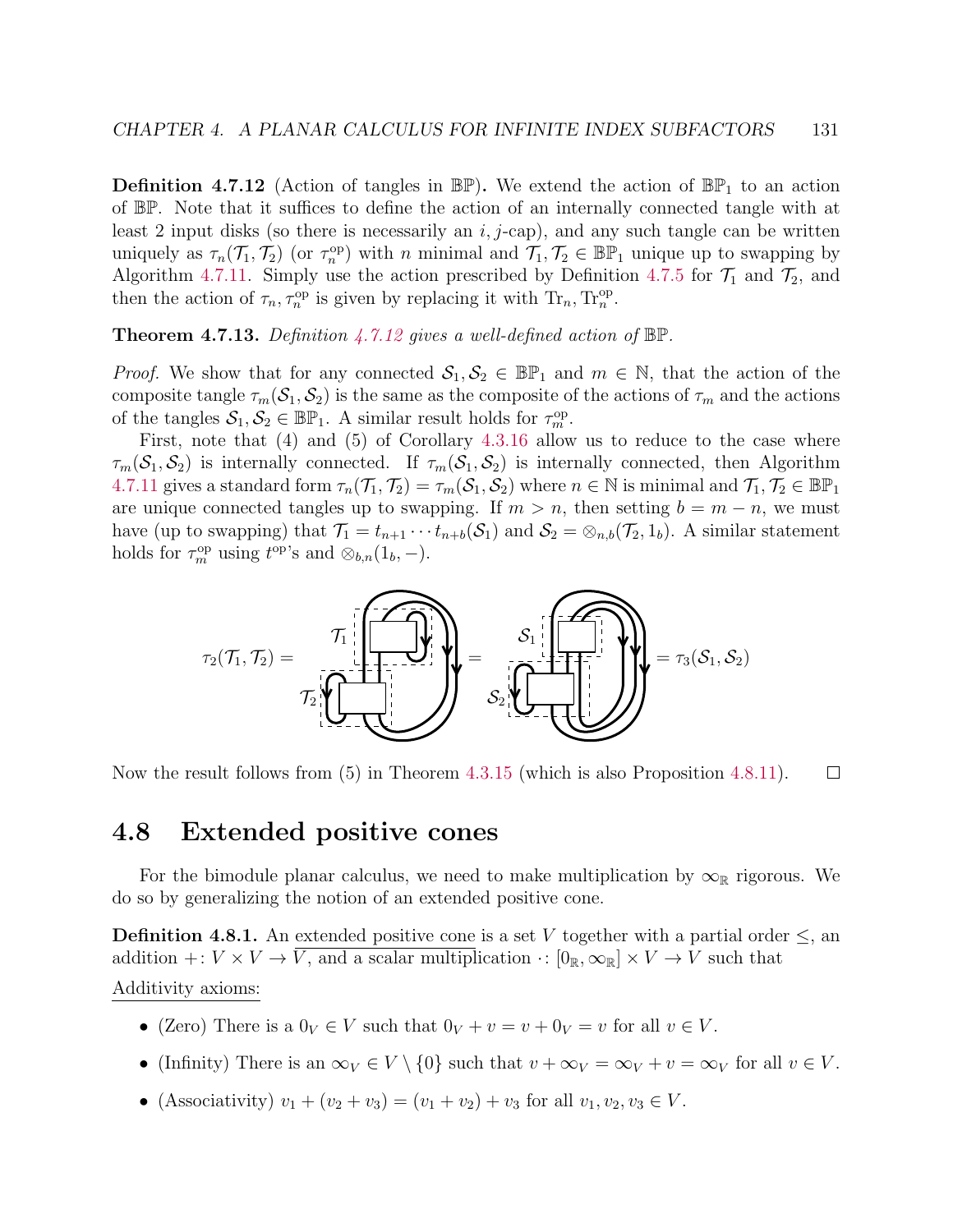<span id="page-135-0"></span>**Definition 4.7.12** (Action of tangles in  $\mathbb{BP}$ ). We extend the action of  $\mathbb{BP}_1$  to an action of BP. Note that it suffices to define the action of an internally connected tangle with at least 2 input disks (so there is necessarily an  $i, j$ -cap), and any such tangle can be written uniquely as  $\tau_n(\mathcal{T}_1, \mathcal{T}_2)$  (or  $\tau_n^{\text{op}}$ ) with n minimal and  $\mathcal{T}_1, \mathcal{T}_2 \in \mathbb{BP}_1$  unique up to swapping by Algorithm [4.7.11.](#page-133-0) Simply use the action prescribed by Definition [4.7.5](#page-131-0) for  $\mathcal{T}_1$  and  $\mathcal{T}_2$ , and then the action of  $\tau_n, \tau_n^{\text{op}}$  is given by replacing it with  $\text{Tr}_n, \text{Tr}_n^{\text{op}}$ .

**Theorem 4.7.13.** Definition [4.7.12](#page-135-0) gives a well-defined action of  $\mathbb{BP}$ .

*Proof.* We show that for any connected  $S_1, S_2 \in \mathbb{BP}_1$  and  $m \in \mathbb{N}$ , that the action of the composite tangle  $\tau_m(\mathcal{S}_1, \mathcal{S}_2)$  is the same as the composite of the actions of  $\tau_m$  and the actions of the tangles  $S_1, S_2 \in \mathbb{BP}_1$ . A similar result holds for  $\tau_m^{\text{op}}$ .

First, note that (4) and (5) of Corollary [4.3.16](#page-99-0) allow us to reduce to the case where  $\tau_m(\mathcal{S}_1, \mathcal{S}_2)$  is internally connected. If  $\tau_m(\mathcal{S}_1, \mathcal{S}_2)$  is internally connected, then Algorithm [4.7.11](#page-133-0) gives a standard form  $\tau_n(\mathcal{T}_1, \mathcal{T}_2) = \tau_m(\mathcal{S}_1, \mathcal{S}_2)$  where  $n \in \mathbb{N}$  is minimal and  $\mathcal{T}_1, \mathcal{T}_2 \in \mathbb{BP}_1$ are unique connected tangles up to swapping. If  $m > n$ , then setting  $b = m - n$ , we must have (up to swapping) that  $\mathcal{T}_1 = t_{n+1} \cdots t_{n+b}(\mathcal{S}_1)$  and  $\mathcal{S}_2 = \otimes_{n,b}(\mathcal{T}_2, 1_b)$ . A similar statement holds for  $\tau_m^{\rm op}$  using  $t^{\rm op}$ 's and  $\otimes_{b,n}(1_b, -)$ .



Now the result follows from (5) in Theorem [4.3.15](#page-98-0) (which is also Proposition [4.8.11\)](#page-138-0).  $\Box$ 

# 4.8 Extended positive cones

For the bimodule planar calculus, we need to make multiplication by  $\infty_{\mathbb{R}}$  rigorous. We do so by generalizing the notion of an extended positive cone.

**Definition 4.8.1.** An extended positive cone is a set V together with a partial order  $\leq$ , an addition +:  $V \times V \to \overline{V}$ , and a scalar multiplication  $\cdot : [0_{\mathbb{R}}, \infty_{\mathbb{R}}] \times V \to V$  such that Additivity axioms:

- (Zero) There is a  $0_V \in V$  such that  $0_V + v = v + 0_V = v$  for all  $v \in V$ .
- (Infinity) There is an  $\infty_V \in V \setminus \{0\}$  such that  $v + \infty_V = \infty_V + v = \infty_V$  for all  $v \in V$ .
- (Associativity)  $v_1 + (v_2 + v_3) = (v_1 + v_2) + v_3$  for all  $v_1, v_2, v_3 \in V$ .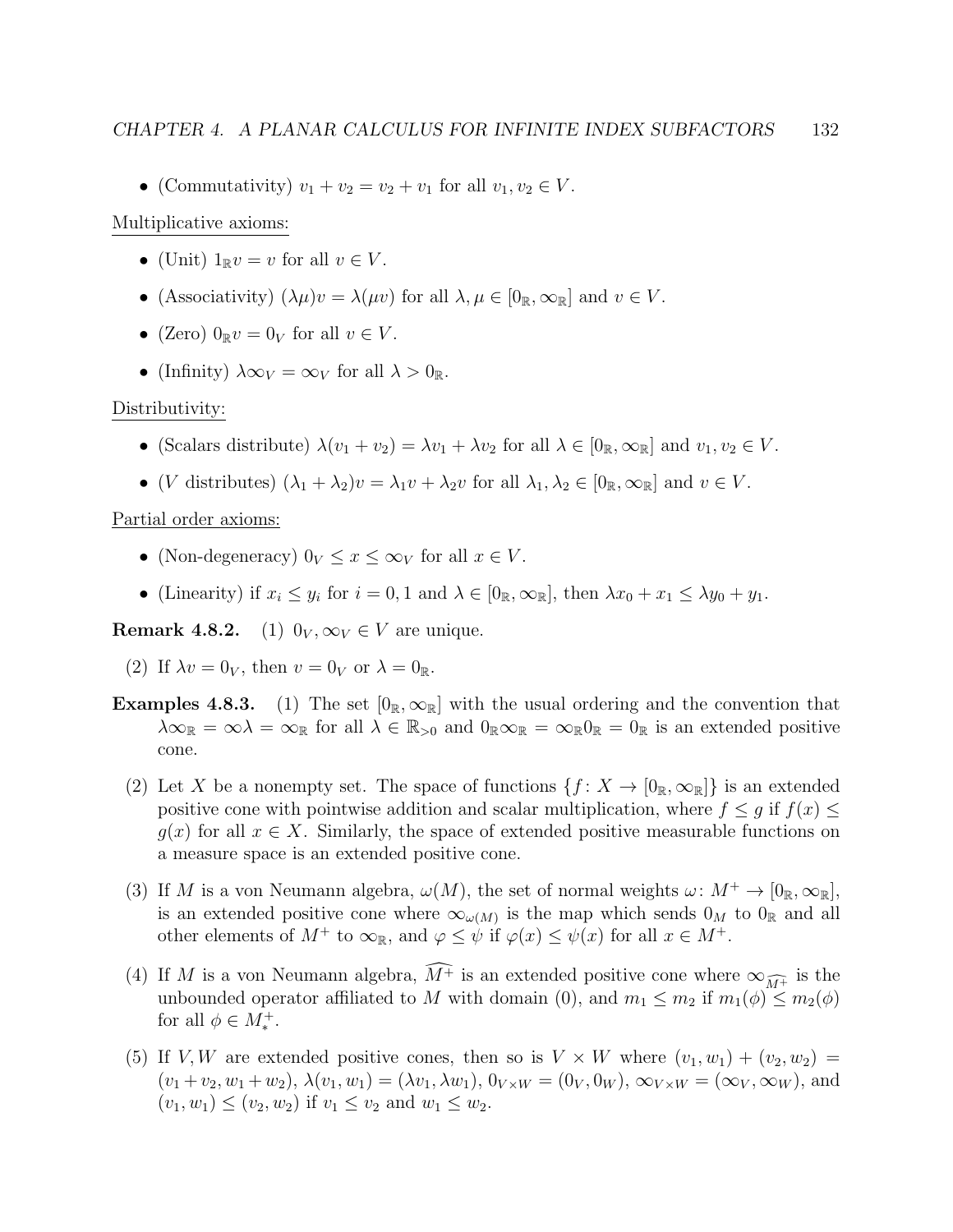• (Commutativity)  $v_1 + v_2 = v_2 + v_1$  for all  $v_1, v_2 \in V$ .

#### Multiplicative axioms:

- (Unit)  $1_{\mathbb{R}}v = v$  for all  $v \in V$ .
- (Associativity)  $(\lambda \mu)v = \lambda(\mu v)$  for all  $\lambda, \mu \in [0_{\mathbb{R}}, \infty_{\mathbb{R}}]$  and  $v \in V$ .
- (Zero)  $0_{\mathbb{R}}v = 0_V$  for all  $v \in V$ .
- (Infinity)  $\lambda \infty_V = \infty_V$  for all  $\lambda > 0_{\mathbb{R}}$ .

#### Distributivity:

- (Scalars distribute)  $\lambda(v_1 + v_2) = \lambda v_1 + \lambda v_2$  for all  $\lambda \in [0_{\mathbb{R}}, \infty_{\mathbb{R}}]$  and  $v_1, v_2 \in V$ .
- (V distributes)  $(\lambda_1 + \lambda_2)v = \lambda_1v + \lambda_2v$  for all  $\lambda_1, \lambda_2 \in [0_{\mathbb{R}}, \infty_{\mathbb{R}}]$  and  $v \in V$ .

#### Partial order axioms:

- (Non-degeneracy)  $0_V \le x \le \infty_V$  for all  $x \in V$ .
- (Linearity) if  $x_i \leq y_i$  for  $i = 0, 1$  and  $\lambda \in [0_{\mathbb{R}}, \infty_{\mathbb{R}}]$ , then  $\lambda x_0 + x_1 \leq \lambda y_0 + y_1$ .

**Remark 4.8.2.** (1)  $0_V, \infty_V \in V$  are unique.

- (2) If  $\lambda v = 0_V$ , then  $v = 0_V$  or  $\lambda = 0_{\mathbb{R}}$ .
- **Examples 4.8.3.** (1) The set  $[0_{\mathbb{R}}, \infty_{\mathbb{R}}]$  with the usual ordering and the convention that  $\lambda\infty_{\mathbb{R}} = \infty\lambda = \infty_{\mathbb{R}}$  for all  $\lambda \in \mathbb{R}_{>0}$  and  $0_{\mathbb{R}}\infty_{\mathbb{R}} = \infty_{\mathbb{R}}0_{\mathbb{R}} = 0_{\mathbb{R}}$  is an extended positive cone.
	- (2) Let X be a nonempty set. The space of functions  $\{f: X \to [0_{\mathbb{R}}, \infty_{\mathbb{R}}]\}$  is an extended positive cone with pointwise addition and scalar multiplication, where  $f \leq g$  if  $f(x) \leq$  $g(x)$  for all  $x \in X$ . Similarly, the space of extended positive measurable functions on a measure space is an extended positive cone.
	- (3) If M is a von Neumann algebra,  $\omega(M)$ , the set of normal weights  $\omega: M^+ \to [0_R, \infty_R]$ , is an extended positive cone where  $\infty_{\omega(M)}$  is the map which sends  $0_M$  to  $0_R$  and all other elements of  $M^+$  to  $\infty_{\mathbb{R}}$ , and  $\varphi \leq \psi$  if  $\varphi(x) \leq \psi(x)$  for all  $x \in M^+$ .
	- (4) If M is a von Neumann algebra,  $\widehat{M^+}$  is an extended positive cone where  $\infty_{\widehat{M^+}}$  is the unbounded operator affiliated to M with domain (0), and  $m_1 \leq m_2$  if  $m_1(\phi) \leq m_2(\phi)$ for all  $\phi \in M_*^+$ .
	- (5) If V, W are extended positive cones, then so is  $V \times W$  where  $(v_1, w_1) + (v_2, w_2) =$  $(v_1 + v_2, w_1 + w_2), \lambda(v_1, w_1) = (\lambda v_1, \lambda w_1), 0_{V \times W} = (0_V, 0_W), \infty_{V \times W} = (\infty_V, \infty_W),$  and  $(v_1, w_1) \le (v_2, w_2)$  if  $v_1 \le v_2$  and  $w_1 \le w_2$ .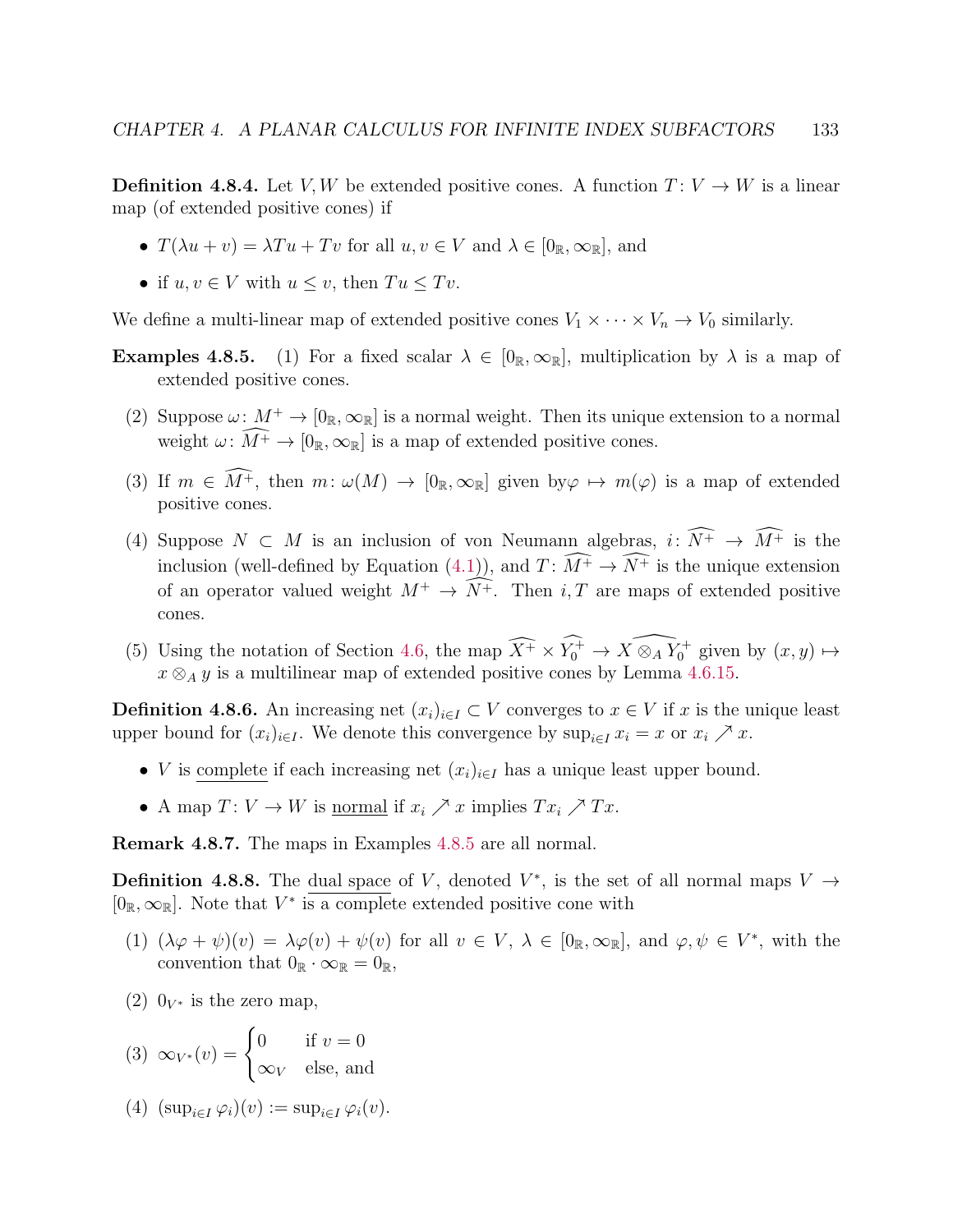**Definition 4.8.4.** Let V, W be extended positive cones. A function  $T: V \to W$  is a linear map (of extended positive cones) if

- $T(\lambda u + v) = \lambda Tu + Tv$  for all  $u, v \in V$  and  $\lambda \in [0_{\mathbb{R}}, \infty_{\mathbb{R}}]$ , and
- if  $u, v \in V$  with  $u \leq v$ , then  $Tu \leq Tv$ .

We define a multi-linear map of extended positive cones  $V_1 \times \cdots \times V_n \to V_0$  similarly.

- **Examples 4.8.5.** (1) For a fixed scalar  $\lambda \in [0_{\mathbb{R}}, \infty_{\mathbb{R}}]$ , multiplication by  $\lambda$  is a map of extended positive cones.
	- (2) Suppose  $\omega: M^+ \to [0_{\mathbb{R}}, \infty_{\mathbb{R}}]$  is a normal weight. Then its unique extension to a normal weight  $\omega: \widehat{M^+} \to [0_{\mathbb{R}}, \infty_{\mathbb{R}}]$  is a map of extended positive cones.
	- (3) If  $m \in \widehat{M^+}$ , then  $m: \omega(M) \to [0_{\mathbb{R}}, \infty_{\mathbb{R}}]$  given by  $\varphi \mapsto m(\varphi)$  is a map of extended positive cones.
	- (4) Suppose  $N \subset M$  is an inclusion of von Neumann algebras,  $i: \widehat{N^+} \to \widehat{M^+}$  is the inclusion (well-defined by Equation [\(4.1\)](#page-89-0)), and  $T: \widehat{M^+} \to \widehat{N^+}$  is the unique extension of an operator valued weight  $M^+ \to \widehat{N^+}$ . Then i, T are maps of extended positive cones.
	- (5) Using the notation of Section [4.6,](#page-119-1) the map  $\widehat{X^+} \times \widehat{Y_0^+} \to \widehat{X \otimes_A Y_0^+}$  given by  $(x, y) \mapsto$  $x \otimes_A y$  is a multilinear map of extended positive cones by Lemma [4.6.15.](#page-128-1)

**Definition 4.8.6.** An increasing net  $(x_i)_{i\in I} \subset V$  converges to  $x \in V$  if x is the unique least upper bound for  $(x_i)_{i\in I}$ . We denote this convergence by  $\sup_{i\in I} x_i = x$  or  $x_i \nearrow x$ .

- V is complete if each increasing net  $(x_i)_{i\in I}$  has a unique least upper bound.
- A map  $T: V \to W$  is <u>normal</u> if  $x_i \nearrow x$  implies  $Tx_i \nearrow Tx$ .

Remark 4.8.7. The maps in Examples [4.8.5](#page-0-0) are all normal.

**Definition 4.8.8.** The dual space of V, denoted  $V^*$ , is the set of all normal maps  $V \rightarrow$  $[0_{\mathbb{R}}, \infty_{\mathbb{R}}]$ . Note that  $V^*$  is a complete extended positive cone with

- (1)  $(\lambda \varphi + \psi)(v) = \lambda \varphi(v) + \psi(v)$  for all  $v \in V$ ,  $\lambda \in [0_{\mathbb{R}}, \infty_{\mathbb{R}}]$ , and  $\varphi, \psi \in V^*$ , with the convention that  $0_{\mathbb{R}} \cdot \infty_{\mathbb{R}} = 0_{\mathbb{R}}$ ,
- (2)  $0_{V^*}$  is the zero map,

(3) 
$$
\infty_{V^*}(v) = \begin{cases} 0 & \text{if } v = 0 \\ \infty_V & \text{else, and} \end{cases}
$$

(4)  $(\sup_{i \in I} \varphi_i)(v) := \sup_{i \in I} \varphi_i(v)$ .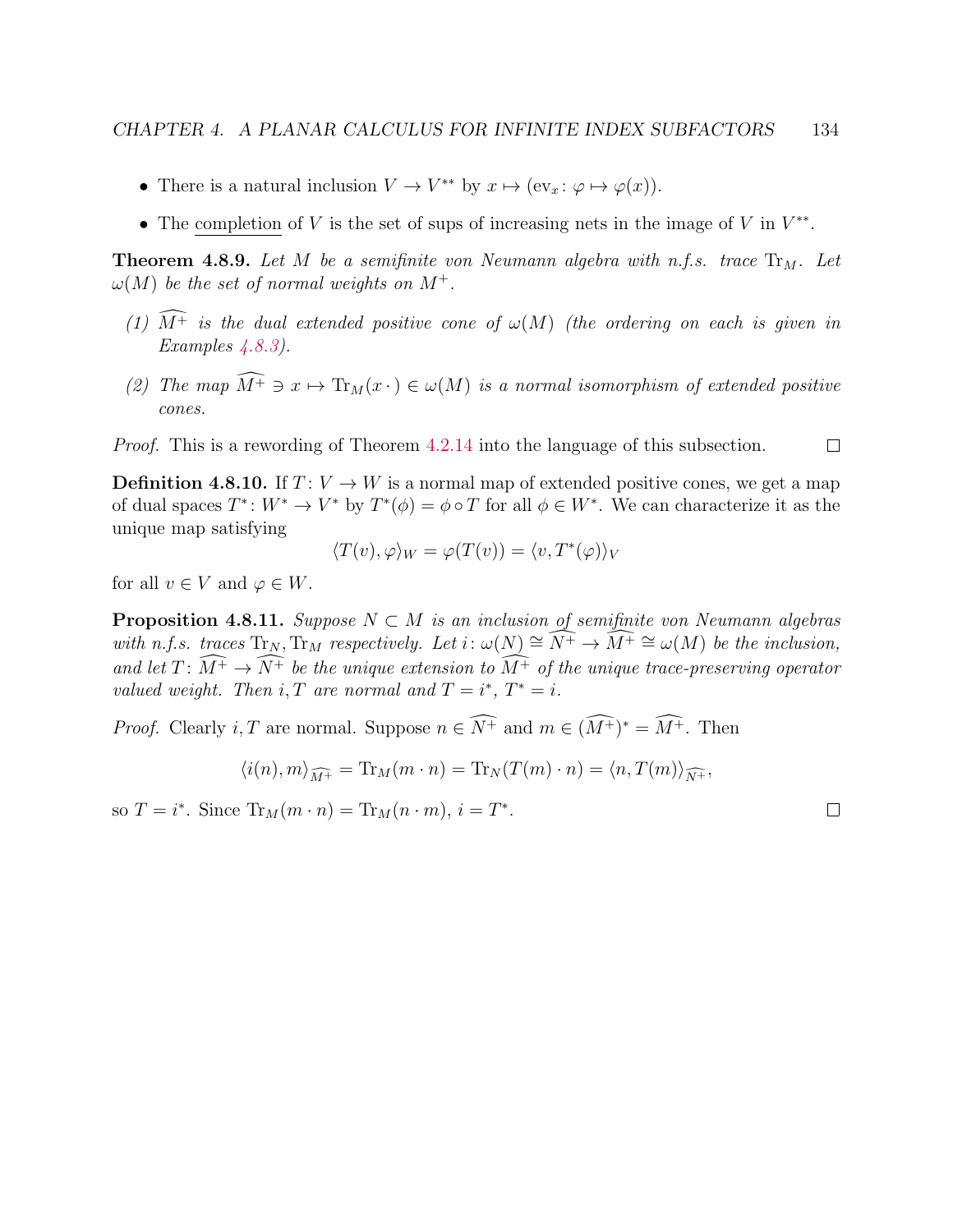- There is a natural inclusion  $V \to V^{**}$  by  $x \mapsto (ev_x : \varphi \mapsto \varphi(x)).$
- The completion of V is the set of sups of increasing nets in the image of V in  $V^{**}$ .

**Theorem 4.8.9.** Let M be a semifinite von Neumann algebra with n.f.s. trace  $Tr_M$ . Let  $\omega(M)$  be the set of normal weights on  $M^+$ .

- (1)  $\widehat{M^+}$  is the dual extended positive cone of  $\omega(M)$  (the ordering on each is given in Examples  $\angle 4.8.3$ .
- (2) The map  $\widehat{M^+} \ni x \mapsto \text{Tr}_M(x \cdot) \in \omega(M)$  is a normal isomorphism of extended positive cones.

Proof. This is a rewording of Theorem [4.2.14](#page-90-0) into the language of this subsection.  $\Box$ 

**Definition 4.8.10.** If  $T: V \to W$  is a normal map of extended positive cones, we get a map of dual spaces  $T^*: W^* \to V^*$  by  $T^*(\phi) = \phi \circ T$  for all  $\phi \in W^*$ . We can characterize it as the unique map satisfying

$$
\langle T(v), \varphi \rangle_W = \varphi(T(v)) = \langle v, T^*(\varphi) \rangle_V
$$

for all  $v \in V$  and  $\varphi \in W$ .

<span id="page-138-0"></span>**Proposition 4.8.11.** Suppose  $N \subset M$  is an inclusion of semifinite von Neumann algebras with n.f.s. traces  $\text{Tr}_N$ ,  $\text{Tr}_M$  respectively. Let  $i: \omega(N) \cong \widehat{N^+} \to \widehat{M^+} \cong \omega(M)$  be the inclusion, and let  $T \colon \widehat{M^+} \to \widehat{N^+}$  be the unique extension to  $\widehat{M^+}$  of the unique trace-preserving operator valued weight. Then i, T are normal and  $T = i^*$ ,  $T^* = i$ .

*Proof.* Clearly *i*, *T* are normal. Suppose  $n \in \overline{N^+}$  and  $m \in (\overline{M^+})^* = \overline{M^+}$ . Then

$$
\langle i(n), m \rangle_{\widehat{M^+}} = \text{Tr}_M(m \cdot n) = \text{Tr}_N(T(m) \cdot n) = \langle n, T(m) \rangle_{\widehat{N^+}},
$$

so  $T = i^*$ . Since  $\text{Tr}_M(m \cdot n) = \text{Tr}_M(n \cdot m), i = T^*$ .

 $\Box$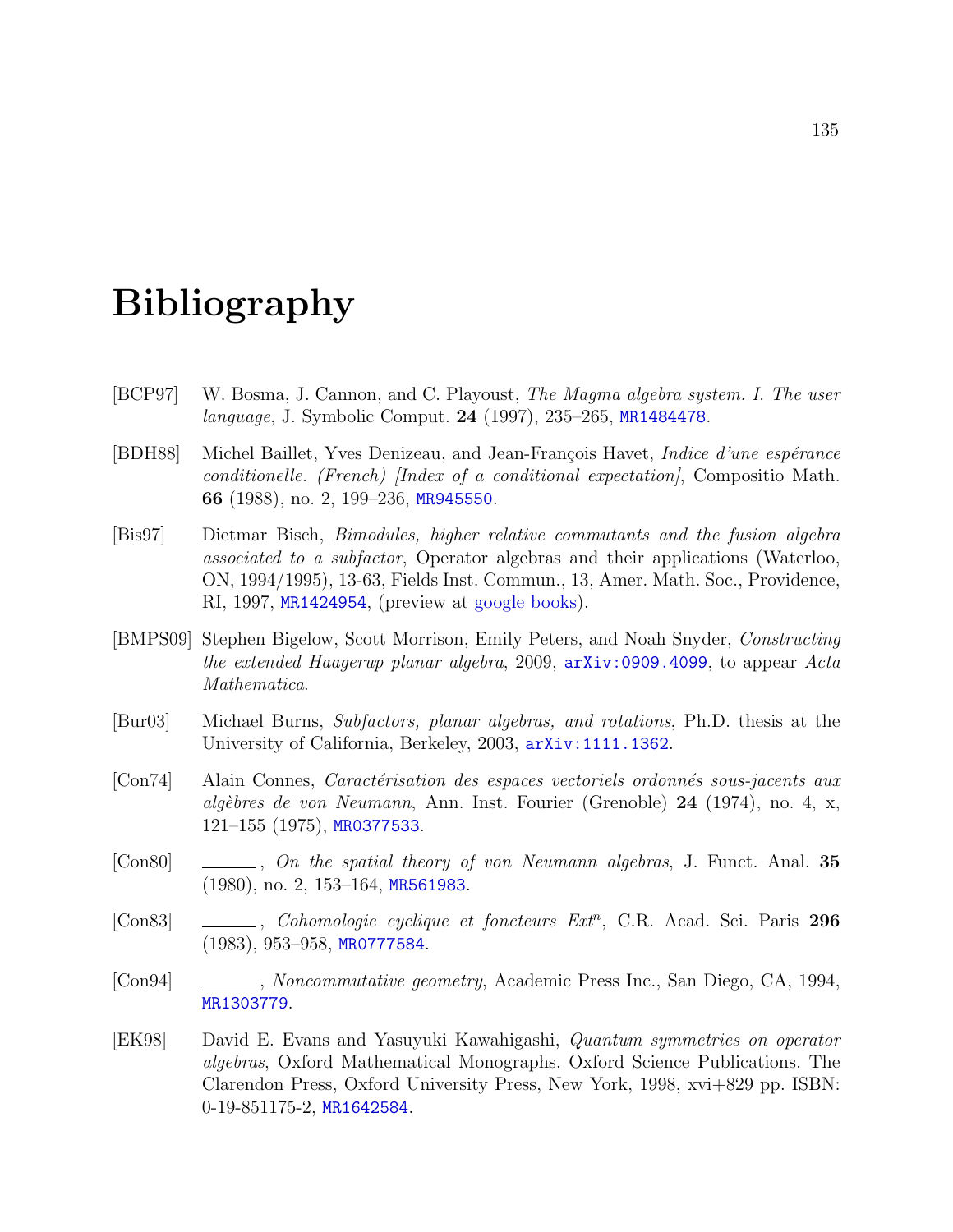# Bibliography

- [BCP97] W. Bosma, J. Cannon, and C. Playoust, The Magma algebra system. I. The user language, J. Symbolic Comput. 24 (1997), 235–265, [MR1484478](http://www.ams.org/mathscinet-getitem?mr=MR1484478).
- [BDH88] Michel Baillet, Yves Denizeau, and Jean-François Havet, *Indice d'une espérance* conditionelle. (French) [Index of a conditional expectation], Compositio Math. 66 (1988), no. 2, 199–236, [MR945550](http://www.ams.org/mathscinet-getitem?mr=MR945550).
- <span id="page-139-1"></span>[Bis97] Dietmar Bisch, Bimodules, higher relative commutants and the fusion algebra associated to a subfactor, Operator algebras and their applications (Waterloo, ON, 1994/1995), 13-63, Fields Inst. Commun., 13, Amer. Math. Soc., Providence, RI, 1997, [MR1424954](http://www.ams.org/mathscinet-getitem?mr=MR1424954), (preview at [google books\)](http://books.google.com/books?id=_InIRTO8Y7gC).
- [BMPS09] Stephen Bigelow, Scott Morrison, Emily Peters, and Noah Snyder, Constructing the extended Haagerup planar algebra, 2009, [arXiv:0909.4099](http://arxiv.org/abs/0909.4099), to appear Acta Mathematica.
- <span id="page-139-0"></span>[Bur03] Michael Burns, Subfactors, planar algebras, and rotations, Ph.D. thesis at the University of California, Berkeley, 2003, [arXiv:1111.1362](http://arxiv.org/abs/1111.1362).
- [Con74] Alain Connes, *Caractérisation des espaces vectoriels ordonnés sous-jacents aux* algèbres de von Neumann, Ann. Inst. Fourier (Grenoble) 24 (1974), no. 4, x, 121–155 (1975), [MR0377533](http://www.ams.org/mathscinet-getitem?mr=MR0377533).
- [Con80] , On the spatial theory of von Neumann algebras, J. Funct. Anal. 35 (1980), no. 2, 153–164, [MR561983](http://www.ams.org/mathscinet-getitem?mr=MR561983).
- [Con83] \_\_\_\_, Cohomologie cyclique et foncteurs Ext<sup>n</sup>, C.R. Acad. Sci. Paris 296 (1983), 953–958, [MR0777584](http://www.ams.org/mathscinet-getitem?mr=MR0777584).
- [Con94] , Noncommutative geometry, Academic Press Inc., San Diego, CA, 1994, [MR1303779](http://www.ams.org/mathscinet-getitem?mr=MR1303779).
- [EK98] David E. Evans and Yasuyuki Kawahigashi, Quantum symmetries on operator algebras, Oxford Mathematical Monographs. Oxford Science Publications. The Clarendon Press, Oxford University Press, New York, 1998, xvi+829 pp. ISBN: 0-19-851175-2, [MR1642584](http://www.ams.org/mathscinet-getitem?mr=MR1642584).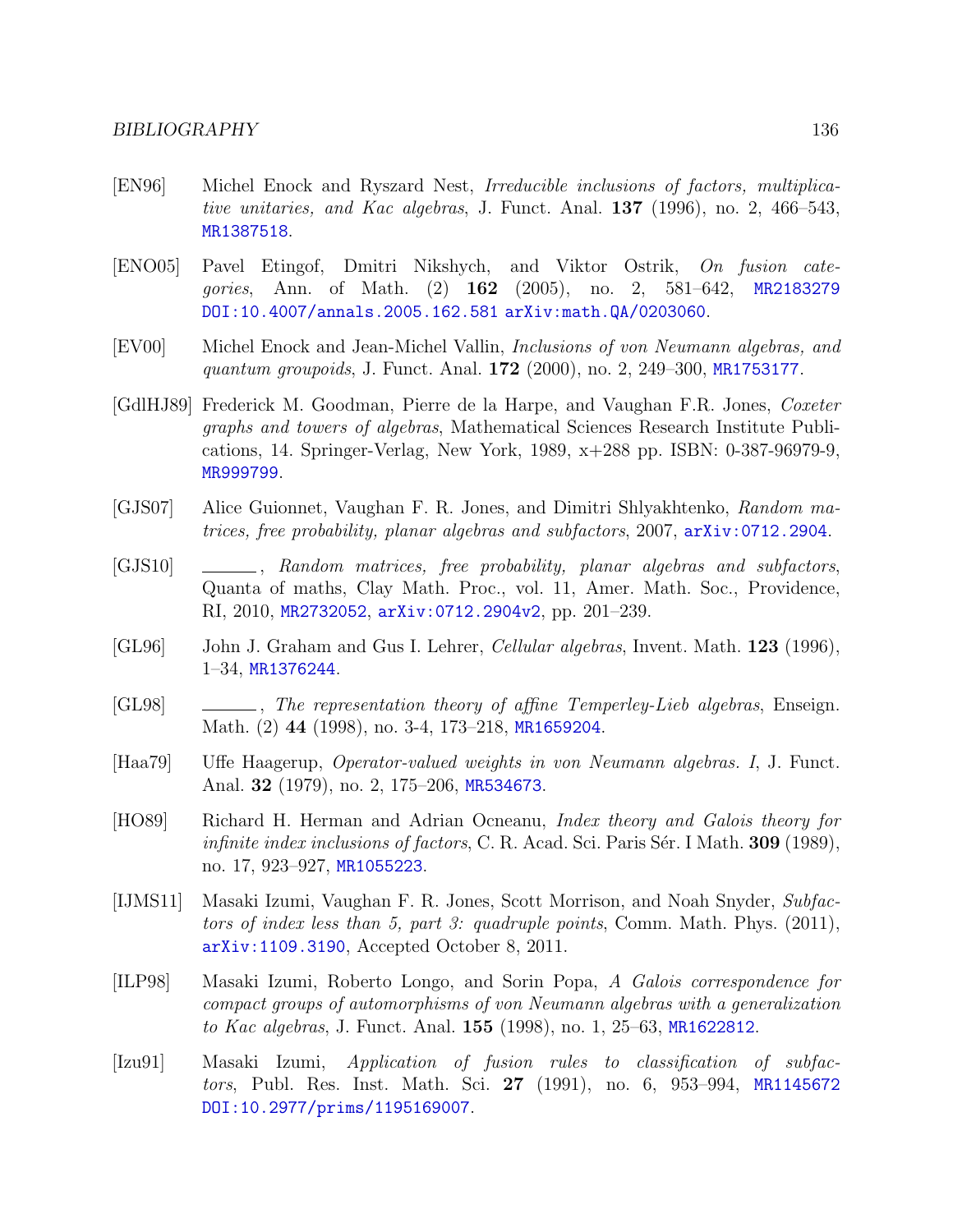- <span id="page-140-1"></span>[EN96] Michel Enock and Ryszard Nest, Irreducible inclusions of factors, multiplicative unitaries, and Kac algebras, J. Funct. Anal.  $137$  (1996), no. 2, 466–543, [MR1387518](http://www.ams.org/mathscinet-getitem?mr=MR1387518).
- [ENO05] Pavel Etingof, Dmitri Nikshych, and Viktor Ostrik, On fusion categories, Ann. of Math. (2) **162** (2005), no. 2, 581–642, [MR2183279](http://www.ams.org/mathscinet-getitem?mr=MR2183279) [DOI:10.4007/annals.2005.162.581](http://dx.doi.org/10.4007/annals.2005.162.581) [arXiv:math.QA/0203060](http://arxiv.org/abs/math.QA/0203060).
- [EV00] Michel Enock and Jean-Michel Vallin, Inclusions of von Neumann algebras, and quantum groupoids, J. Funct. Anal. 172 (2000), no. 2, 249–300, [MR1753177](http://www.ams.org/mathscinet-getitem?mr=MR1753177).
- [GdlHJ89] Frederick M. Goodman, Pierre de la Harpe, and Vaughan F.R. Jones, Coxeter graphs and towers of algebras, Mathematical Sciences Research Institute Publications, 14. Springer-Verlag, New York, 1989, x+288 pp. ISBN: 0-387-96979-9, [MR999799](http://www.ams.org/mathscinet-getitem?mr=MR999799).
- [GJS07] Alice Guionnet, Vaughan F. R. Jones, and Dimitri Shlyakhtenko, Random matrices, free probability, planar algebras and subfactors, 2007, [arXiv:0712.2904](http://arxiv.org/abs/0712.2904).
- [GJS10]  $\qquad \qquad \qquad$ , Random matrices, free probability, planar algebras and subfactors, Quanta of maths, Clay Math. Proc., vol. 11, Amer. Math. Soc., Providence, RI, 2010, [MR2732052](http://www.ams.org/mathscinet-getitem?mr=MR2732052), [arXiv:0712.2904v2](http://arxiv.org/abs/0712.2904v2), pp. 201–239.
- [GL96] John J. Graham and Gus I. Lehrer, *Cellular algebras*, Invent. Math. **123** (1996), 1–34, [MR1376244](http://www.ams.org/mathscinet-getitem?mr=MR1376244).
- [GL98]  $\qquad \qquad \qquad$ , The representation theory of affine Temperley-Lieb algebras, Enseign. Math. (2) 44 (1998), no. 3-4, 173-218, [MR1659204](http://www.ams.org/mathscinet-getitem?mr=MR1659204).
- [Haa79] Uffe Haagerup, Operator-valued weights in von Neumann algebras. I, J. Funct. Anal. **32** (1979), no. 2, 175–206, [MR534673](http://www.ams.org/mathscinet-getitem?mr=MR534673).
- <span id="page-140-0"></span>[HO89] Richard H. Herman and Adrian Ocneanu, Index theory and Galois theory for *infinite index inclusions of factors*, C. R. Acad. Sci. Paris S $\acute{\text{e}}$ r. I Math. **309** (1989), no. 17, 923–927, [MR1055223](http://www.ams.org/mathscinet-getitem?mr=MR1055223).
- [IJMS11] Masaki Izumi, Vaughan F. R. Jones, Scott Morrison, and Noah Snyder, Subfactors of index less than 5, part 3: quadruple points, Comm. Math. Phys. (2011), [arXiv:1109.3190](http://arxiv.org/abs/1109.3190), Accepted October 8, 2011.
- <span id="page-140-2"></span>[ILP98] Masaki Izumi, Roberto Longo, and Sorin Popa, A Galois correspondence for compact groups of automorphisms of von Neumann algebras with a generalization to Kac algebras, J. Funct. Anal. **155** (1998), no. 1, 25–63, [MR1622812](http://www.ams.org/mathscinet-getitem?mr=MR1622812).
- [Izu91] Masaki Izumi, Application of fusion rules to classification of subfac-tors, Publ. Res. Inst. Math. Sci. 27 (1991), no. 6, 953-994, [MR1145672](http://www.ams.org/mathscinet-getitem?mr=MR1145672) [DOI:10.2977/prims/1195169007](http://dx.doi.org/10.2977/prims/1195169007).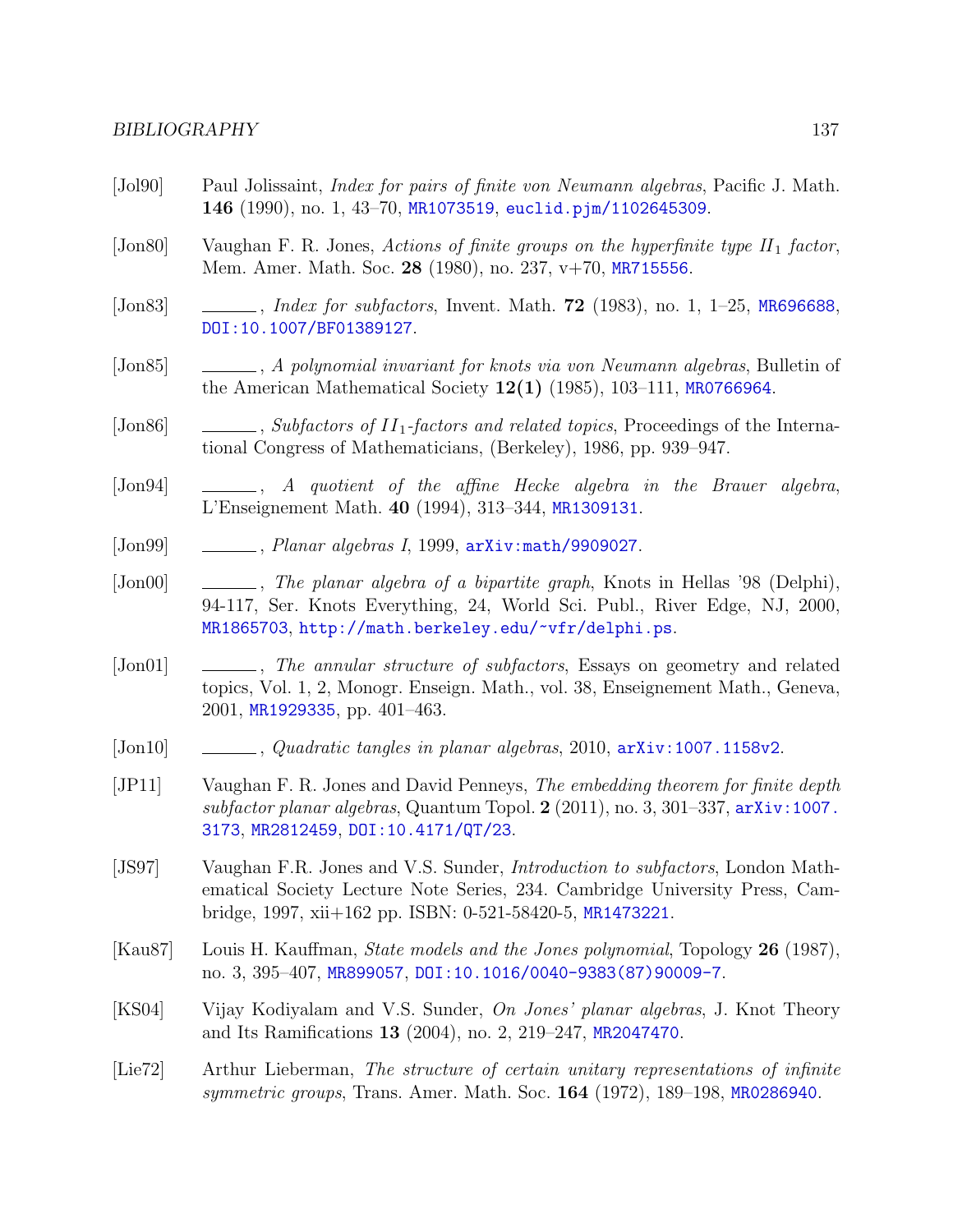- [Jol90] Paul Jolissaint, *Index for pairs of finite von Neumann algebras*, Pacific J. Math. 146 (1990), no. 1, 43–70, [MR1073519](http://www.ams.org/mathscinet-getitem?mr=MR1073519), [euclid.pjm/1102645309](http://projecteuclid.org/getRecord?id=euclid.pjm/1102645309).
- [Jon80] Vaughan F. R. Jones, Actions of finite groups on the hyperfinite type  $II_1$  factor, Mem. Amer. Math. Soc. 28 (1980), no. 237, v+70, [MR715556](http://www.ams.org/mathscinet-getitem?mr=MR715556).
- <span id="page-141-1"></span>[Jon83]  $\quad \_\_\_\_\_\_\_$  *Index for subfactors*, Invent. Math. **72** (1983), no. 1, 1–25, [MR696688](http://www.ams.org/mathscinet-getitem?mr=MR696688), [DOI:10.1007/BF01389127](http://dx.doi.org/10.1007/BF01389127).
- [Jon85] , A polynomial invariant for knots via von Neumann algebras, Bulletin of the American Mathematical Society  $12(1)$  (1985), 103–111, [MR0766964](http://www.ams.org/mathscinet-getitem?mr=MR0766964).
- [Jon86] , Subfactors of  $II_1$ -factors and related topics, Proceedings of the International Congress of Mathematicians, (Berkeley), 1986, pp. 939–947.
- [Jon94]  $\qquad \qquad \qquad$ , A quotient of the affine Hecke algebra in the Brauer algebra, L'Enseignement Math. 40 (1994), 313–344, [MR1309131](http://www.ams.org/mathscinet-getitem?mr=MR1309131).
- $[Jon99]$  , Planar algebras I, 1999,  $arXiv:math/9909027$ .
- [Jon00] , The planar algebra of a bipartite graph, Knots in Hellas '98 (Delphi), 94-117, Ser. Knots Everything, 24, World Sci. Publ., River Edge, NJ, 2000, [MR1865703](http://www.ams.org/mathscinet-getitem?mr=MR1865703), <http://math.berkeley.edu/~vfr/delphi.ps>.
- [Jon01] , The annular structure of subfactors, Essays on geometry and related topics, Vol. 1, 2, Monogr. Enseign. Math., vol. 38, Enseignement Math., Geneva, 2001, [MR1929335](http://www.ams.org/mathscinet-getitem?mr=MR1929335), pp. 401–463.
- $[John10] \quad \_\_\_\_\_$ , Quadratic tangles in planar algebras, 2010,  $arXiv:1007.1158v2$ .
- <span id="page-141-2"></span>[JP11] Vaughan F. R. Jones and David Penneys, The embedding theorem for finite depth subfactor planar algebras, Quantum Topol.  $2$  (2011), no. 3, 301–337, arXiv: 1007. [3173](http://arxiv.org/abs/1007.3173), [MR2812459](http://www.ams.org/mathscinet-getitem?mr=MR2812459), [DOI:10.4171/QT/23](http://dx.doi.org/10.4171/QT/23).
- [JS97] Vaughan F.R. Jones and V.S. Sunder, Introduction to subfactors, London Mathematical Society Lecture Note Series, 234. Cambridge University Press, Cambridge, 1997, xii+162 pp. ISBN: 0-521-58420-5, [MR1473221](http://www.ams.org/mathscinet-getitem?mr=MR1473221).
- [Kau87] Louis H. Kauffman, State models and the Jones polynomial, Topology 26 (1987), no. 3, 395–407, [MR899057](http://www.ams.org/mathscinet-getitem?mr=MR899057), [DOI:10.1016/0040-9383\(87\)90009-7](http://dx.doi.org/10.1016/0040-9383(87)90009-7).
- [KS04] Vijay Kodiyalam and V.S. Sunder, On Jones' planar algebras, J. Knot Theory and Its Ramifications 13 (2004), no. 2, 219–247, [MR2047470](http://www.ams.org/mathscinet-getitem?mr=MR2047470).
- <span id="page-141-0"></span>[Lie72] Arthur Lieberman, The structure of certain unitary representations of infinite symmetric groups, Trans. Amer. Math. Soc. 164 (1972), 189–198, [MR0286940](http://www.ams.org/mathscinet-getitem?mr=MR0286940).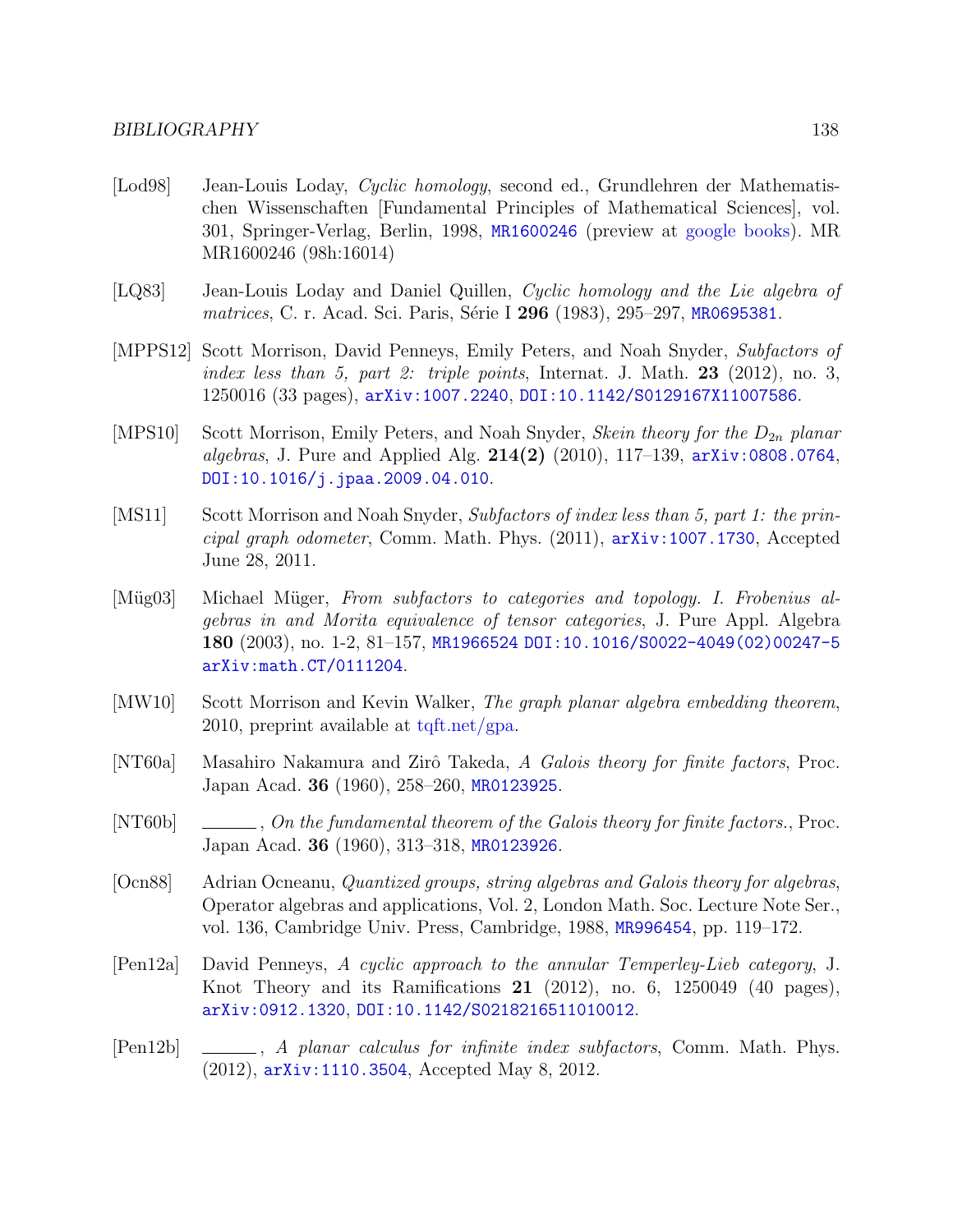- [Lod98] Jean-Louis Loday, Cyclic homology, second ed., Grundlehren der Mathematischen Wissenschaften [Fundamental Principles of Mathematical Sciences], vol. 301, Springer-Verlag, Berlin, 1998, [MR1600246](http://www.ams.org/mathscinet-getitem?mr=MR1600246) (preview at [google books\)](http://books.google.com/books?id=KaLshoPoSlsC). MR MR1600246 (98h:16014)
- [LQ83] Jean-Louis Loday and Daniel Quillen, Cyclic homology and the Lie algebra of matrices, C. r. Acad. Sci. Paris, Série I 296 (1983), 295–297, [MR0695381](http://www.ams.org/mathscinet-getitem?mr=MR0695381).
- [MPPS12] Scott Morrison, David Penneys, Emily Peters, and Noah Snyder, Subfactors of index less than 5, part 2: triple points, Internat. J. Math.  $23$  (2012), no. 3, 1250016 (33 pages), [arXiv:1007.2240](http://arxiv.org/abs/1007.2240), [DOI:10.1142/S0129167X11007586](http://dx.doi.org/10.1142/S0129167X11007586).
- [MPS10] Scott Morrison, Emily Peters, and Noah Snyder, *Skein theory for the*  $D_{2n}$  *planar algebras*, J. Pure and Applied Alg.  $214(2)$  (2010), 117–139,  $arXiv:0808.0764$ , [DOI:10.1016/j.jpaa.2009.04.010](http://dx.doi.org/10.1016/j.jpaa.2009.04.010).
- [MS11] Scott Morrison and Noah Snyder, Subfactors of index less than 5, part 1: the principal graph odometer, Comm. Math. Phys. (2011), [arXiv:1007.1730](http://arxiv.org/abs/1007.1730), Accepted June 28, 2011.
- [Müg03] Michael Müger, From subfactors to categories and topology. I. Frobenius algebras in and Morita equivalence of tensor categories, J. Pure Appl. Algebra 180 (2003), no. 1-2, 81–157, [MR1966524](http://www.ams.org/mathscinet-getitem?mr=MR1966524) [DOI:10.1016/S0022-4049\(02\)00247-5](http://dx.doi.org/10.1016/S0022-4049(02)00247-5) [arXiv:math.CT/0111204](http://arxiv.org/abs/math.CT/0111204).
- [MW10] Scott Morrison and Kevin Walker, The graph planar algebra embedding theorem, 2010, preprint available at [tqft.net/gpa.](http://tqft.net/gpa)
- [NT60a] Masahiro Nakamura and Zirô Takeda, A Galois theory for finite factors, Proc. Japan Acad. 36 (1960), 258–260, [MR0123925](http://www.ams.org/mathscinet-getitem?mr=MR0123925).
- [NT60b] , On the fundamental theorem of the Galois theory for finite factors., Proc. Japan Acad. 36 (1960), 313–318, [MR0123926](http://www.ams.org/mathscinet-getitem?mr=MR0123926).
- [Ocn88] Adrian Ocneanu, Quantized groups, string algebras and Galois theory for algebras, Operator algebras and applications, Vol. 2, London Math. Soc. Lecture Note Ser., vol. 136, Cambridge Univ. Press, Cambridge, 1988, [MR996454](http://www.ams.org/mathscinet-getitem?mr=MR996454), pp. 119–172.
- <span id="page-142-0"></span>[Pen12a] David Penneys, A cyclic approach to the annular Temperley-Lieb category, J. Knot Theory and its Ramifications  $21$  (2012), no. 6, 1250049 (40 pages), [arXiv:0912.1320](http://arxiv.org/abs/0912.1320), [DOI:10.1142/S0218216511010012](http://dx.doi.org/10.1142/S0218216511010012).
- [Pen12b] , A planar calculus for infinite index subfactors, Comm. Math. Phys. (2012), [arXiv:1110.3504](http://arxiv.org/abs/1110.3504), Accepted May 8, 2012.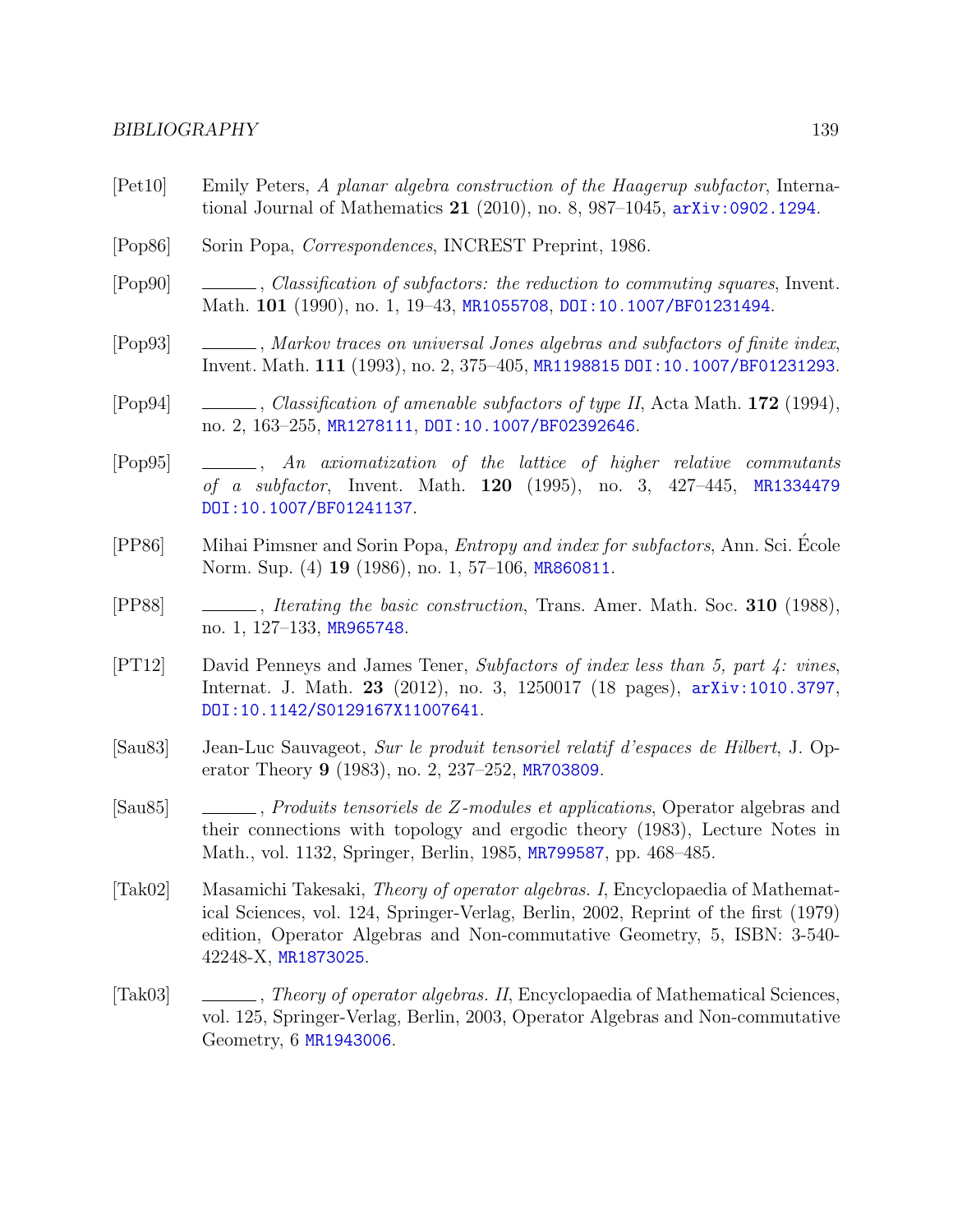#### BIBLIOGRAPHY 139

- [Pet10] Emily Peters, A planar algebra construction of the Haagerup subfactor, International Journal of Mathematics 21 (2010), no. 8, 987–1045, [arXiv:0902.1294](http://arxiv.org/abs/0902.1294).
- [Pop86] Sorin Popa, Correspondences, INCREST Preprint, 1986.
- [Pop90] , Classification of subfactors: the reduction to commuting squares, Invent. Math. 101 (1990), no. 1, 19–43, [MR1055708](http://www.ams.org/mathscinet-getitem?mr=MR1055708), [DOI:10.1007/BF01231494](http://dx.doi.org/10.1007/BF01231494).
- [Pop93] , Markov traces on universal Jones algebras and subfactors of finite index, Invent. Math. 111 (1993), no. 2, 375–405, [MR1198815](http://www.ams.org/mathscinet-getitem?mr=MR1198815) [DOI:10.1007/BF01231293](http://dx.doi.org/10.1007/BF01231293).
- [Pop94] , Classification of amenable subfactors of type II, Acta Math. 172 (1994), no. 2, 163–255, [MR1278111](http://www.ams.org/mathscinet-getitem?mr=MR1278111), [DOI:10.1007/BF02392646](http://dx.doi.org/10.1007/BF02392646).
- [Pop95] , An axiomatization of the lattice of higher relative commutants of a subfactor, Invent. Math. **120** (1995), no. 3, 427–445, [MR1334479](http://www.ams.org/mathscinet-getitem?mr=MR1334479) [DOI:10.1007/BF01241137](http://dx.doi.org/10.1007/BF01241137).
- [PP86] Mihai Pimsner and Sorin Popa, Entropy and index for subfactors, Ann. Sci. Ecole ´ Norm. Sup. (4) **19** (1986), no. 1, 57–106, [MR860811](http://www.ams.org/mathscinet-getitem?mr=MR860811).
- [PP88] , Iterating the basic construction, Trans. Amer. Math. Soc. 310 (1988), no. 1, 127–133, [MR965748](http://www.ams.org/mathscinet-getitem?mr=MR965748).
- [PT12] David Penneys and James Tener, Subfactors of index less than 5, part 4: vines, Internat. J. Math. 23 (2012), no. 3, 1250017 (18 pages), [arXiv:1010.3797](http://arxiv.org/abs/1010.3797), [DOI:10.1142/S0129167X11007641](http://dx.doi.org/10.1142/S0129167X11007641).
- <span id="page-143-0"></span>[Sau83] Jean-Luc Sauvageot, Sur le produit tensoriel relatif d'espaces de Hilbert, J. Operator Theory 9 (1983), no. 2, 237–252, [MR703809](http://www.ams.org/mathscinet-getitem?mr=MR703809).
- [Sau85] , Produits tensoriels de Z-modules et applications, Operator algebras and their connections with topology and ergodic theory (1983), Lecture Notes in Math., vol. 1132, Springer, Berlin, 1985, [MR799587](http://www.ams.org/mathscinet-getitem?mr=MR799587), pp. 468–485.
- [Tak02] Masamichi Takesaki, Theory of operator algebras. I, Encyclopaedia of Mathematical Sciences, vol. 124, Springer-Verlag, Berlin, 2002, Reprint of the first (1979) edition, Operator Algebras and Non-commutative Geometry, 5, ISBN: 3-540- 42248-X, [MR1873025](http://www.ams.org/mathscinet-getitem?mr=MR1873025).
- [Tak03] , Theory of operator algebras. II, Encyclopaedia of Mathematical Sciences, vol. 125, Springer-Verlag, Berlin, 2003, Operator Algebras and Non-commutative Geometry, 6 [MR1943006](http://www.ams.org/mathscinet-getitem?mr=MR1943006).